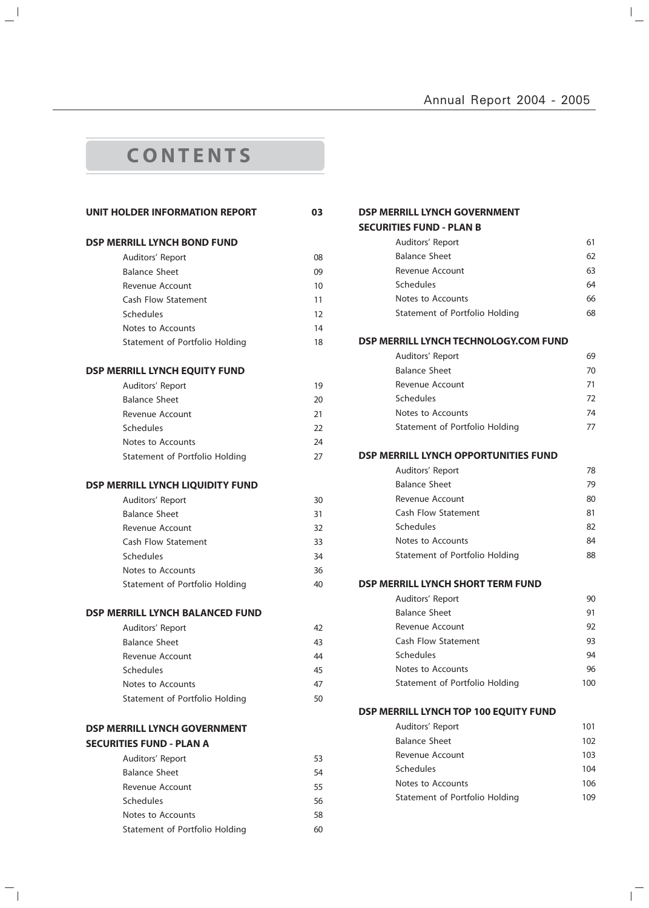$\overline{a}$ 

 $\overline{\mathbb{F}}$ 

# **C O N T E N T S**

 $\mathbf{a}^{\dagger}$ 

 $\mathord{\hspace{1pt}\text{--}\hspace{1pt}}_\mathbb{L}$ 

| UNIT HOLDER INFORMATION REPORT         | 03               |
|----------------------------------------|------------------|
| <b>DSP MERRILL LYNCH BOND FUND</b>     |                  |
| Auditors' Report                       | 08               |
| <b>Balance Sheet</b>                   | 09               |
| Revenue Account                        | 10 <sup>10</sup> |
| Cash Flow Statement                    | 11               |
| Schedules                              | 12               |
| Notes to Accounts                      | 14               |
| Statement of Portfolio Holding         | 18               |
| <b>DSP MERRILL LYNCH EQUITY FUND</b>   |                  |
| Auditors' Report                       | 19               |
| <b>Balance Sheet</b>                   | 20               |
| Revenue Account                        | 21               |
| <b>Schedules</b>                       | 22               |
| Notes to Accounts                      | 24               |
| Statement of Portfolio Holding         | 27               |
| DSP MERRILL LYNCH LIQUIDITY FUND       |                  |
| Auditors' Report                       | 30               |
| <b>Balance Sheet</b>                   | 31               |
| <b>Revenue Account</b>                 | 32               |
| Cash Flow Statement                    | 33               |
| Schedules                              | 34               |
| Notes to Accounts                      | 36               |
| Statement of Portfolio Holding         | 40               |
| <b>DSP MERRILL LYNCH BALANCED FUND</b> |                  |
| Auditors' Report                       | 42               |
| <b>Balance Sheet</b>                   | 43               |
| Revenue Account                        | 44               |
| Schedules                              | 45               |
| Notes to Accounts                      | 47               |
| Statement of Portfolio Holding         | 50               |
| <b>DSP MERRILL LYNCH GOVERNMENT</b>    |                  |
| <b>SECURITIES FUND - PLAN A</b>        |                  |
| Auditors' Report                       | 53               |
| <b>Balance Sheet</b>                   | 54               |
| Revenue Account                        | 55               |
| <b>Schedules</b>                       | 56               |
| Notes to Accounts                      | 58               |
| Statement of Portfolio Holding         | 60               |

| DSP MERRILL LYNCH GOVERNMENT          |     |
|---------------------------------------|-----|
| <b>SECURITIES FUND - PLAN B</b>       |     |
| Auditors' Report                      | 61  |
| <b>Balance Sheet</b>                  | 62  |
| Revenue Account                       | 63  |
| Schedules                             | 64  |
| Notes to Accounts                     | 66  |
| Statement of Portfolio Holding        | 68  |
| DSP MERRILL LYNCH TECHNOLOGY.COM FUND |     |
| Auditors' Report                      | 69  |
| <b>Balance Sheet</b>                  | 70  |
| Revenue Account                       | 71  |
| Schedules                             | 72  |
| Notes to Accounts                     | 74  |
| Statement of Portfolio Holding        | 77  |
| DSP MERRILL LYNCH OPPORTUNITIES FUND  |     |
| Auditors' Report                      | 78  |
| <b>Balance Sheet</b>                  | 79  |
| Revenue Account                       | 80  |
| <b>Cash Flow Statement</b>            | 81  |
| Schedules                             | 82  |
| Notes to Accounts                     | 84  |
| Statement of Portfolio Holding        | 88  |
| DSP MERRILL LYNCH SHORT TERM FUND     |     |
| Auditors' Report                      | 90  |
| <b>Balance Sheet</b>                  | 91  |
| Revenue Account                       | 92  |
| <b>Cash Flow Statement</b>            | 93  |
| Schedules                             | 94  |
| Notes to Accounts                     | 96  |
| Statement of Portfolio Holding        | 100 |
| DSP MERRILL LYNCH TOP 100 EQUITY FUND |     |
| Auditors' Report                      | 101 |
| <b>Balance Sheet</b>                  | 102 |
| Revenue Account                       | 103 |
| Schedules                             | 104 |
| Notes to Accounts                     | 106 |
| Statement of Portfolio Holding        | 109 |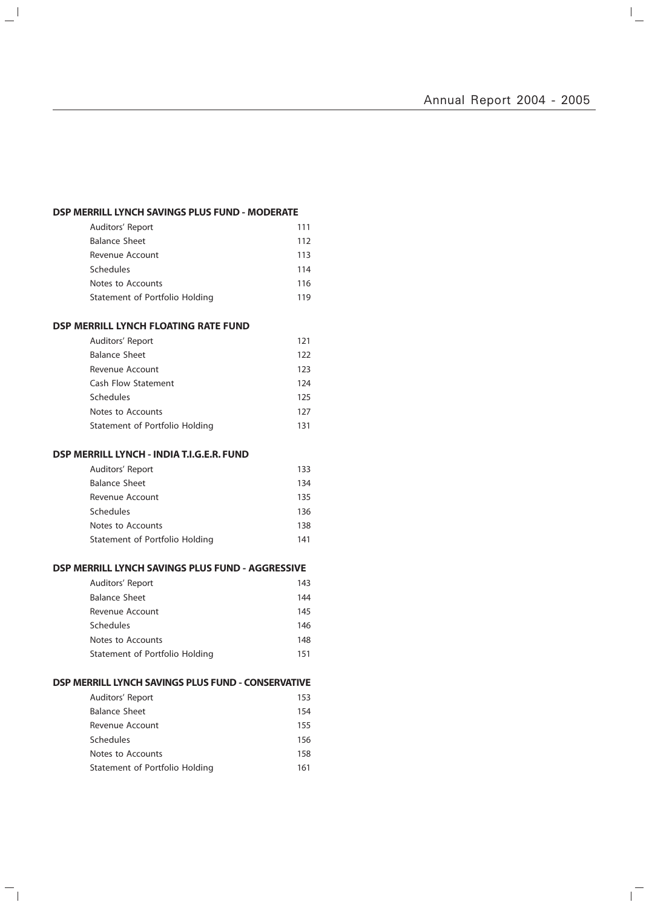$\mathbb{I}_+$ 

 $\overline{\mathbb{L}}$ 

## **DSP MERRILL LYNCH SAVINGS PLUS FUND - MODERATE**

| Auditors' Report               | 111 |
|--------------------------------|-----|
| <b>Balance Sheet</b>           | 112 |
| Revenue Account                | 113 |
| <b>Schedules</b>               | 114 |
| Notes to Accounts              | 116 |
| Statement of Portfolio Holding | 119 |

## **DSP MERRILL LYNCH FLOATING RATE FUND**

 $\mathbb{L}^{\mathbb{I}}$ 

 $\overline{\phantom{a}}_1$ 

| Auditors' Report               | 121 |
|--------------------------------|-----|
| <b>Balance Sheet</b>           | 122 |
| Revenue Account                | 123 |
| Cash Flow Statement            | 124 |
| Schedules                      | 125 |
| Notes to Accounts              | 127 |
| Statement of Portfolio Holding | 131 |

## **DSP MERRILL LYNCH - INDIA T.I.G.E.R. FUND**

| Auditors' Report               | 133 |
|--------------------------------|-----|
| Balance Sheet                  | 134 |
| Revenue Account                | 135 |
| <b>Schedules</b>               | 136 |
| Notes to Accounts              | 138 |
| Statement of Portfolio Holding | 141 |

## **DSP MERRILL LYNCH SAVINGS PLUS FUND - AGGRESSIVE**

| Auditors' Report               | 143 |
|--------------------------------|-----|
| <b>Balance Sheet</b>           | 144 |
| Revenue Account                | 145 |
| Schedules                      | 146 |
| Notes to Accounts              | 148 |
| Statement of Portfolio Holding | 151 |

## **DSP MERRILL LYNCH SAVINGS PLUS FUND - CONSERVATIVE**

| Auditors' Report               | 153 |
|--------------------------------|-----|
| <b>Balance Sheet</b>           | 154 |
| Revenue Account                | 155 |
| Schedules                      | 156 |
| Notes to Accounts              | 158 |
| Statement of Portfolio Holding | 161 |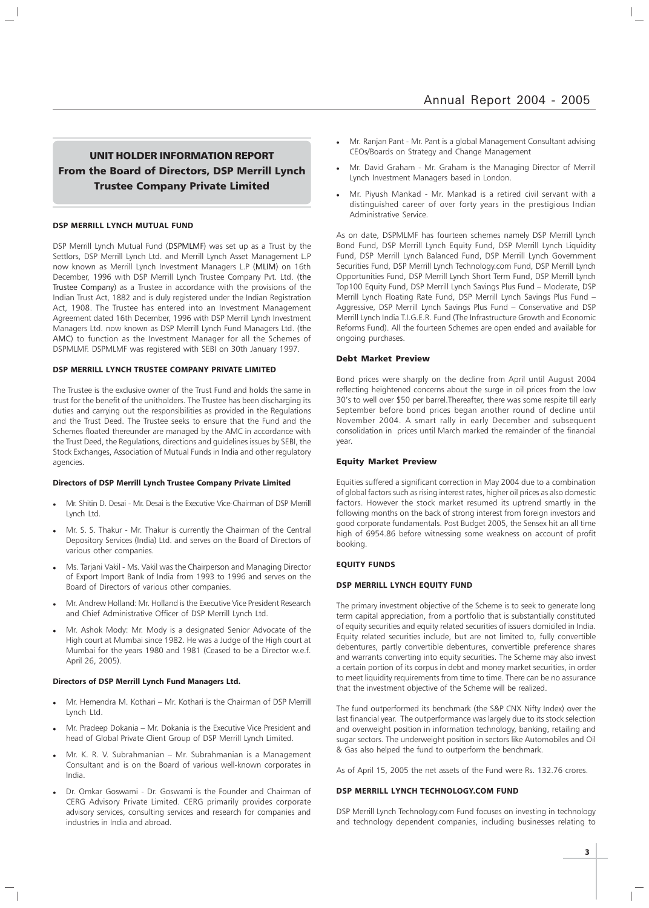## UNIT HOLDER INFORMATION REPORT From the Board of Directors, DSP Merrill Lynch Trustee Company Private Limited

#### **DSP MERRILL LYNCH MUTUAL FUND**

DSP Merrill Lynch Mutual Fund (DSPMLMF) was set up as a Trust by the Settlors, DSP Merrill Lynch Ltd. and Merrill Lynch Asset Management L.P now known as Merrill Lynch Investment Managers L.P (MLIM) on 16th December, 1996 with DSP Merrill Lynch Trustee Company Pvt. Ltd. (the Trustee Company) as a Trustee in accordance with the provisions of the Indian Trust Act, 1882 and is duly registered under the Indian Registration Act, 1908. The Trustee has entered into an Investment Management Agreement dated 16th December, 1996 with DSP Merrill Lynch Investment Managers Ltd. now known as DSP Merrill Lynch Fund Managers Ltd. (the AMC) to function as the Investment Manager for all the Schemes of DSPMLMF. DSPMLMF was registered with SEBI on 30th January 1997.

## **DSP MERRILL LYNCH TRUSTEE COMPANY PRIVATE LIMITED**

The Trustee is the exclusive owner of the Trust Fund and holds the same in trust for the benefit of the unitholders. The Trustee has been discharging its duties and carrying out the responsibilities as provided in the Regulations and the Trust Deed. The Trustee seeks to ensure that the Fund and the Schemes floated thereunder are managed by the AMC in accordance with the Trust Deed, the Regulations, directions and guidelines issues by SEBI, the Stock Exchanges, Association of Mutual Funds in India and other regulatory agencies.

## **Directors of DSP Merrill Lynch Trustee Company Private Limited**

- Mr. Shitin D. Desai Mr. Desai is the Executive Vice-Chairman of DSP Merrill Lynch Ltd.
- Mr. S. S. Thakur Mr. Thakur is currently the Chairman of the Central Depository Services (India) Ltd. and serves on the Board of Directors of various other companies.
- Ms. Tarjani Vakil Ms. Vakil was the Chairperson and Managing Director of Export Import Bank of India from 1993 to 1996 and serves on the Board of Directors of various other companies.
- Mr. Andrew Holland: Mr. Holland is the Executive Vice President Research and Chief Administrative Officer of DSP Merrill Lynch Ltd.
- Mr. Ashok Mody: Mr. Mody is a designated Senior Advocate of the High court at Mumbai since 1982. He was a Judge of the High court at Mumbai for the years 1980 and 1981 (Ceased to be a Director w.e.f. April 26, 2005).

#### **Directors of DSP Merrill Lynch Fund Managers Ltd.**

- Mr. Hemendra M. Kothari Mr. Kothari is the Chairman of DSP Merrill Lynch Ltd.
- Mr. Pradeep Dokania Mr. Dokania is the Executive Vice President and head of Global Private Client Group of DSP Merrill Lynch Limited.
- Mr. K. R. V. Subrahmanian Mr. Subrahmanian is a Management Consultant and is on the Board of various well-known corporates in India.
- Dr. Omkar Goswami Dr. Goswami is the Founder and Chairman of CERG Advisory Private Limited. CERG primarily provides corporate advisory services, consulting services and research for companies and industries in India and abroad.
- Mr. Ranjan Pant Mr. Pant is a global Management Consultant advising CEOs/Boards on Strategy and Change Management
- Mr. David Graham Mr. Graham is the Managing Director of Merrill Lynch Investment Managers based in London.
- Mr. Piyush Mankad Mr. Mankad is a retired civil servant with a distinguished career of over forty years in the prestigious Indian Administrative Service.

As on date, DSPMLMF has fourteen schemes namely DSP Merrill Lynch Bond Fund, DSP Merrill Lynch Equity Fund, DSP Merrill Lynch Liquidity Fund, DSP Merrill Lynch Balanced Fund, DSP Merrill Lynch Government Securities Fund, DSP Merrill Lynch Technology.com Fund, DSP Merrill Lynch Opportunities Fund, DSP Merrill Lynch Short Term Fund, DSP Merrill Lynch Top100 Equity Fund, DSP Merrill Lynch Savings Plus Fund – Moderate, DSP Merrill Lynch Floating Rate Fund, DSP Merrill Lynch Savings Plus Fund – Aggressive, DSP Merrill Lynch Savings Plus Fund – Conservative and DSP Merrill Lynch India T.I.G.E.R. Fund (The Infrastructure Growth and Economic Reforms Fund). All the fourteen Schemes are open ended and available for ongoing purchases.

#### Debt Market Preview

Bond prices were sharply on the decline from April until August 2004 reflecting heightened concerns about the surge in oil prices from the low 30's to well over \$50 per barrel.Thereafter, there was some respite till early September before bond prices began another round of decline until November 2004. A smart rally in early December and subsequent consolidation in prices until March marked the remainder of the financial year.

#### Equity Market Preview

Equities suffered a significant correction in May 2004 due to a combination of global factors such as rising interest rates, higher oil prices as also domestic factors. However the stock market resumed its uptrend smartly in the following months on the back of strong interest from foreign investors and good corporate fundamentals. Post Budget 2005, the Sensex hit an all time high of 6954.86 before witnessing some weakness on account of profit booking.

#### **EQUITY FUNDS**

#### **DSP MERRILL LYNCH EQUITY FUND**

The primary investment objective of the Scheme is to seek to generate long term capital appreciation, from a portfolio that is substantially constituted of equity securities and equity related securities of issuers domiciled in India. Equity related securities include, but are not limited to, fully convertible debentures, partly convertible debentures, convertible preference shares and warrants converting into equity securities. The Scheme may also invest a certain portion of its corpus in debt and money market securities, in order to meet liquidity requirements from time to time. There can be no assurance that the investment objective of the Scheme will be realized.

The fund outperformed its benchmark (the S&P CNX Nifty Index) over the last financial year. The outperformance was largely due to its stock selection and overweight position in information technology, banking, retailing and sugar sectors. The underweight position in sectors like Automobiles and Oil & Gas also helped the fund to outperform the benchmark.

As of April 15, 2005 the net assets of the Fund were Rs. 132.76 crores.

#### **DSP MERRILL LYNCH TECHNOLOGY.COM FUND**

DSP Merrill Lynch Technology.com Fund focuses on investing in technology and technology dependent companies, including businesses relating to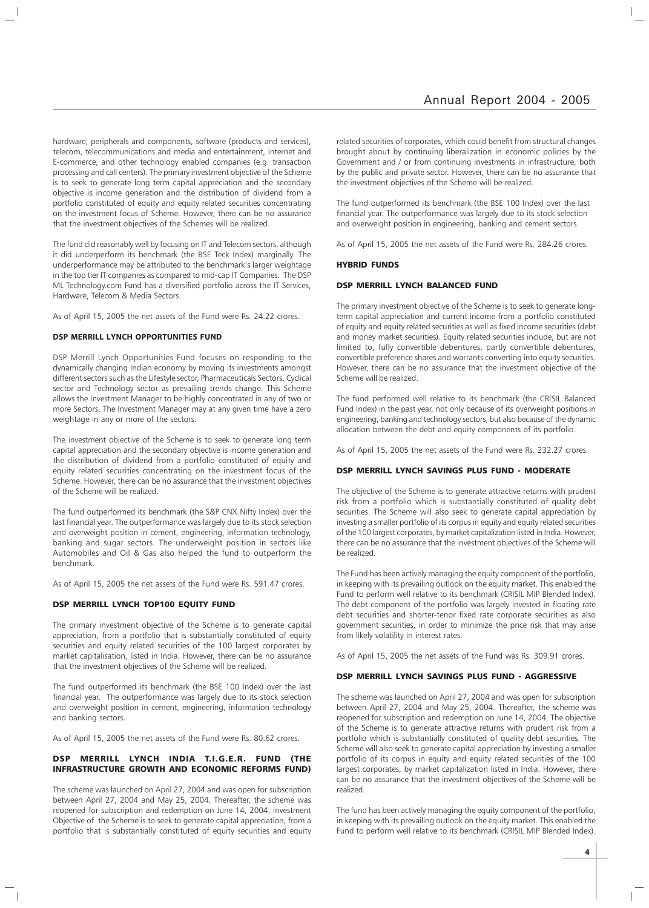hardware, peripherals and components, software (products and services), telecom, telecommunications and media and entertainment, internet and E-commerce, and other technology enabled companies (e.g. transaction processing and call centers). The primary investment objective of the Scheme is to seek to generate long term capital appreciation and the secondary objective is income generation and the distribution of dividend from a portfolio constituted of equity and equity related securities concentrating on the investment focus of Scheme. However, there can be no assurance that the investment objectives of the Schemes will be realized.

The fund did reasonably well by focusing on IT and Telecom sectors, although it did underperform its benchmark (the BSE Teck Index) marginally. The underperformance may be attributed to the benchmark's larger weightage in the top tier IT companies as compared to mid-cap IT Companies. The DSP ML Technology.com Fund has a diversified portfolio across the IT Services, Hardware, Telecom & Media Sectors.

As of April 15, 2005 the net assets of the Fund were Rs. 24.22 crores.

## **DSP MERRILL LYNCH OPPORTUNITIES FUND**

DSP Merrill Lynch Opportunities Fund focuses on responding to the dynamically changing Indian economy by moving its investments amongst different sectors such as the Lifestyle sector, Pharmaceuticals Sectors, Cyclical sector and Technology sector as prevailing trends change. This Scheme allows the Investment Manager to be highly concentrated in any of two or more Sectors. The Investment Manager may at any given time have a zero weightage in any or more of the sectors.

The investment objective of the Scheme is to seek to generate long term capital appreciation and the secondary objective is income generation and the distribution of dividend from a portfolio constituted of equity and equity related securities concentrating on the investment focus of the Scheme. However, there can be no assurance that the investment objectives of the Scheme will be realized.

The fund outperformed its benchmark (the S&P CNX Nifty Index) over the last financial year. The outperformance was largely due to its stock selection and overweight position in cement, engineering, information technology, banking and sugar sectors. The underweight position in sectors like Automobiles and Oil & Gas also helped the fund to outperform the benchmark.

As of April 15, 2005 the net assets of the Fund were Rs. 591.47 crores.

#### DSP MERRILL LYNCH TOP100 EQUITY FUND

The primary investment objective of the Scheme is to generate capital appreciation, from a portfolio that is substantially constituted of equity securities and equity related securities of the 100 largest corporates by market capitalisation, listed in India. However, there can be no assurance that the investment objectives of the Scheme will be realized.

The fund outperformed its benchmark (the BSE 100 Index) over the last financial year. The outperformance was largely due to its stock selection and overweight position in cement, engineering, information technology and banking sectors.

As of April 15, 2005 the net assets of the Fund were Rs. 80.62 crores.

## DSP MERRILL LYNCH INDIA T.I.G.E.R. FUND (THE INFRASTRUCTURE GROWTH AND ECONOMIC REFORMS FUND)

The scheme was launched on April 27, 2004 and was open for subscription between April 27, 2004 and May 25, 2004. Thereafter, the scheme was reopened for subscription and redemption on June 14, 2004. Investment Objective of the Scheme is to seek to generate capital appreciation, from a portfolio that is substantially constituted of equity securities and equity

related securities of corporates, which could benefit from structural changes brought about by continuing liberalization in economic policies by the Government and / or from continuing investments in infrastructure, both by the public and private sector. However, there can be no assurance that the investment objectives of the Scheme will be realized.

The fund outperformed its benchmark (the BSE 100 Index) over the last financial year. The outperformance was largely due to its stock selection and overweight position in engineering, banking and cement sectors.

As of April 15, 2005 the net assets of the Fund were Rs. 284.26 crores.

#### HYBRID FUNDS

## DSP MERRILL LYNCH BALANCED FUND

The primary investment objective of the Scheme is to seek to generate longterm capital appreciation and current income from a portfolio constituted of equity and equity related securities as well as fixed income securities (debt and money market securities). Equity related securities include, but are not limited to, fully convertible debentures, partly convertible debentures, convertible preference shares and warrants converting into equity securities. However, there can be no assurance that the investment objective of the Scheme will be realized.

The fund performed well relative to its benchmark (the CRISIL Balanced Fund Index) in the past year, not only because of its overweight positions in engineering, banking and technology sectors, but also because of the dynamic allocation between the debt and equity components of its portfolio.

As of April 15, 2005 the net assets of the Fund were Rs. 232.27 crores.

## DSP MERRILL LYNCH SAVINGS PLUS FUND - MODERATE

The objective of the Scheme is to generate attractive returns with prudent risk from a portfolio which is substantially constituted of quality debt securities. The Scheme will also seek to generate capital appreciation by investing a smaller portfolio of its corpus in equity and equity related securities of the 100 largest corporates, by market capitalization listed in India. However, there can be no assurance that the investment objectives of the Scheme will be realized.

The Fund has been actively managing the equity component of the portfolio, in keeping with its prevailing outlook on the equity market. This enabled the Fund to perform well relative to its benchmark (CRISIL MIP Blended Index). The debt component of the portfolio was largely invested in floating rate debt securities and shorter-tenor fixed rate corporate securities as also government securities, in order to minimize the price risk that may arise from likely volatility in interest rates.

As of April 15, 2005 the net assets of the Fund was Rs. 309.91 crores.

## DSP MERRILL LYNCH SAVINGS PLUS FUND - AGGRESSIVE

The scheme was launched on April 27, 2004 and was open for subscription between April 27, 2004 and May 25, 2004. Thereafter, the scheme was reopened for subscription and redemption on June 14, 2004. The objective of the Scheme is to generate attractive returns with prudent risk from a portfolio which is substantially constituted of quality debt securities. The Scheme will also seek to generate capital appreciation by investing a smaller portfolio of its corpus in equity and equity related securities of the 100 largest corporates, by market capitalization listed in India. However, there can be no assurance that the investment objectives of the Scheme will be realized.

The fund has been actively managing the equity component of the portfolio, in keeping with its prevailing outlook on the equity market. This enabled the Fund to perform well relative to its benchmark (CRISIL MIP Blended Index).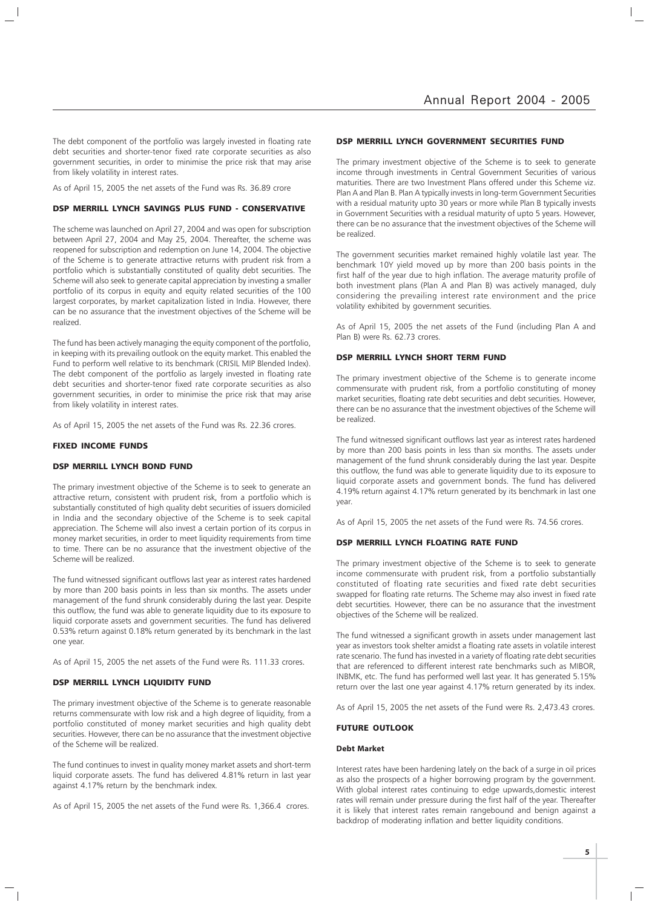The debt component of the portfolio was largely invested in floating rate debt securities and shorter-tenor fixed rate corporate securities as also government securities, in order to minimise the price risk that may arise from likely volatility in interest rates.

As of April 15, 2005 the net assets of the Fund was Rs. 36.89 crore

## DSP MERRILL LYNCH SAVINGS PLUS FUND - CONSERVATIVE

The scheme was launched on April 27, 2004 and was open for subscription between April 27, 2004 and May 25, 2004. Thereafter, the scheme was reopened for subscription and redemption on June 14, 2004. The objective of the Scheme is to generate attractive returns with prudent risk from a portfolio which is substantially constituted of quality debt securities. The Scheme will also seek to generate capital appreciation by investing a smaller portfolio of its corpus in equity and equity related securities of the 100 largest corporates, by market capitalization listed in India. However, there can be no assurance that the investment objectives of the Scheme will be realized.

The fund has been actively managing the equity component of the portfolio, in keeping with its prevailing outlook on the equity market. This enabled the Fund to perform well relative to its benchmark (CRISIL MIP Blended Index). The debt component of the portfolio as largely invested in floating rate debt securities and shorter-tenor fixed rate corporate securities as also government securities, in order to minimise the price risk that may arise from likely volatility in interest rates.

As of April 15, 2005 the net assets of the Fund was Rs. 22.36 crores.

#### FIXED INCOME FUNDS

## DSP MERRILL LYNCH BOND FUND

The primary investment objective of the Scheme is to seek to generate an attractive return, consistent with prudent risk, from a portfolio which is substantially constituted of high quality debt securities of issuers domiciled in India and the secondary objective of the Scheme is to seek capital appreciation. The Scheme will also invest a certain portion of its corpus in money market securities, in order to meet liquidity requirements from time to time. There can be no assurance that the investment objective of the Scheme will be realized.

The fund witnessed significant outflows last year as interest rates hardened by more than 200 basis points in less than six months. The assets under management of the fund shrunk considerably during the last year. Despite this outflow, the fund was able to generate liquidity due to its exposure to liquid corporate assets and government securities. The fund has delivered 0.53% return against 0.18% return generated by its benchmark in the last one year.

As of April 15, 2005 the net assets of the Fund were Rs. 111.33 crores.

## DSP MERRILL LYNCH LIQUIDITY FUND

The primary investment objective of the Scheme is to generate reasonable returns commensurate with low risk and a high degree of liquidity, from a portfolio constituted of money market securities and high quality debt securities. However, there can be no assurance that the investment objective of the Scheme will be realized.

The fund continues to invest in quality money market assets and short-term liquid corporate assets. The fund has delivered 4.81% return in last year against 4.17% return by the benchmark index.

As of April 15, 2005 the net assets of the Fund were Rs. 1,366.4 crores.

## DSP MERRILL LYNCH GOVERNMENT SECURITIES FUND

The primary investment objective of the Scheme is to seek to generate income through investments in Central Government Securities of various maturities. There are two Investment Plans offered under this Scheme viz. Plan A and Plan B. Plan A typically invests in long-term Government Securities with a residual maturity upto 30 years or more while Plan B typically invests in Government Securities with a residual maturity of upto 5 years. However, there can be no assurance that the investment objectives of the Scheme will be realized.

The government securities market remained highly volatile last year. The benchmark 10Y yield moved up by more than 200 basis points in the first half of the year due to high inflation. The average maturity profile of both investment plans (Plan A and Plan B) was actively managed, duly considering the prevailing interest rate environment and the price volatility exhibited by government securities.

As of April 15, 2005 the net assets of the Fund (including Plan A and Plan B) were Rs. 62.73 crores.

## DSP MERRILL LYNCH SHORT TERM FUND

The primary investment objective of the Scheme is to generate income commensurate with prudent risk, from a portfolio constituting of money market securities, floating rate debt securities and debt securities. However, there can be no assurance that the investment objectives of the Scheme will be realized.

The fund witnessed significant outflows last year as interest rates hardened by more than 200 basis points in less than six months. The assets under management of the fund shrunk considerably during the last year. Despite this outflow, the fund was able to generate liquidity due to its exposure to liquid corporate assets and government bonds. The fund has delivered 4.19% return against 4.17% return generated by its benchmark in last one year.

As of April 15, 2005 the net assets of the Fund were Rs. 74.56 crores.

## DSP MERRILL LYNCH FLOATING RATE FUND

The primary investment objective of the Scheme is to seek to generate income commensurate with prudent risk, from a portfolio substantially constituted of floating rate securities and fixed rate debt securities swapped for floating rate returns. The Scheme may also invest in fixed rate debt securtities. However, there can be no assurance that the investment objectives of the Scheme will be realized.

The fund witnessed a significant growth in assets under management last year as investors took shelter amidst a floating rate assets in volatile interest rate scenario. The fund has invested in a variety of floating rate debt securities that are referenced to different interest rate benchmarks such as MIBOR, INBMK, etc. The fund has performed well last year. It has generated 5.15% return over the last one year against 4.17% return generated by its index.

As of April 15, 2005 the net assets of the Fund were Rs. 2,473.43 crores.

## FUTURE OUTLOOK

## **Debt Market**

Interest rates have been hardening lately on the back of a surge in oil prices as also the prospects of a higher borrowing program by the government. With global interest rates continuing to edge upwards,domestic interest rates will remain under pressure during the first half of the year. Thereafter it is likely that interest rates remain rangebound and benign against a backdrop of moderating inflation and better liquidity conditions.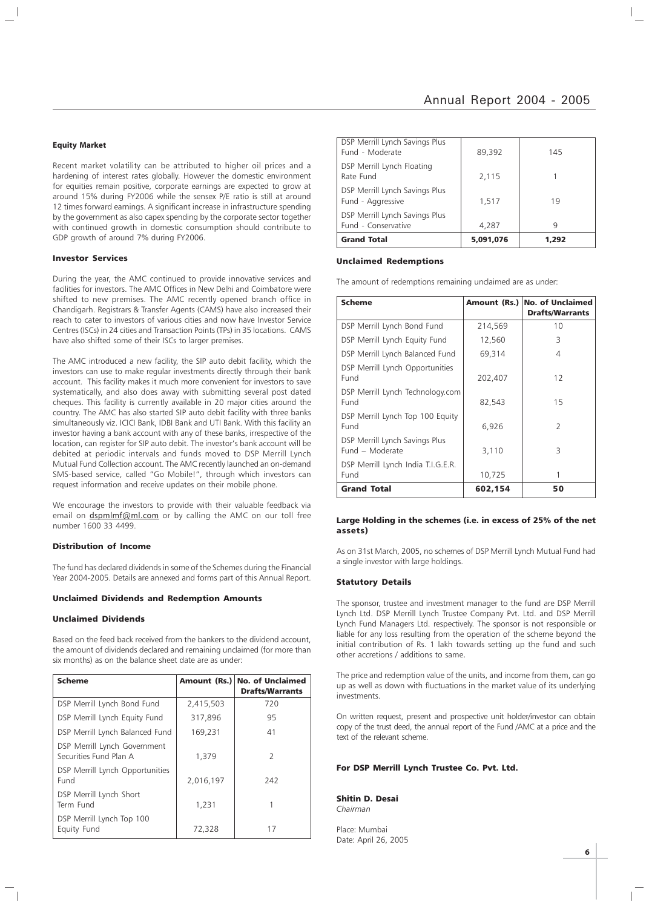#### **Equity Market**

Recent market volatility can be attributed to higher oil prices and a hardening of interest rates globally. However the domestic environment for equities remain positive, corporate earnings are expected to grow at around 15% during FY2006 while the sensex P/E ratio is still at around 12 times forward earnings. A significant increase in infrastructure spending by the government as also capex spending by the corporate sector together with continued growth in domestic consumption should contribute to GDP growth of around 7% during FY2006.

#### Investor Services

During the year, the AMC continued to provide innovative services and facilities for investors. The AMC Offices in New Delhi and Coimbatore were shifted to new premises. The AMC recently opened branch office in Chandigarh. Registrars & Transfer Agents (CAMS) have also increased their reach to cater to investors of various cities and now have Investor Service Centres (ISCs) in 24 cities and Transaction Points (TPs) in 35 locations. CAMS have also shifted some of their ISCs to larger premises.

The AMC introduced a new facility, the SIP auto debit facility, which the investors can use to make regular investments directly through their bank account. This facility makes it much more convenient for investors to save systematically, and also does away with submitting several post dated cheques. This facility is currently available in 20 major cities around the country. The AMC has also started SIP auto debit facility with three banks simultaneously viz. ICICI Bank, IDBI Bank and UTI Bank. With this facility an investor having a bank account with any of these banks, irrespective of the location, can register for SIP auto debit. The investor's bank account will be debited at periodic intervals and funds moved to DSP Merrill Lynch Mutual Fund Collection account. The AMC recently launched an on-demand SMS-based service, called "Go Mobile!", through which investors can request information and receive updates on their mobile phone.

We encourage the investors to provide with their valuable feedback via email on dspmlmf@ml.com or by calling the AMC on our toll free number 1600 33 4499.

#### Distribution of Income

The fund has declared dividends in some of the Schemes during the Financial Year 2004-2005. Details are annexed and forms part of this Annual Report.

#### Unclaimed Dividends and Redemption Amounts

## Unclaimed Dividends

Based on the feed back received from the bankers to the dividend account, the amount of dividends declared and remaining unclaimed (for more than six months) as on the balance sheet date are as under:

| <b>Scheme</b>                                          |           | Amount (Rs.) No. of Unclaimed<br><b>Drafts/Warrants</b> |
|--------------------------------------------------------|-----------|---------------------------------------------------------|
| DSP Merrill Lynch Bond Fund                            | 2,415,503 | 720                                                     |
| DSP Merrill Lynch Equity Fund                          | 317,896   | 95                                                      |
| DSP Merrill Lynch Balanced Fund                        | 169,231   | 41                                                      |
| DSP Merrill Lynch Government<br>Securities Fund Plan A | 1,379     | $\mathcal{L}$                                           |
| DSP Merrill Lynch Opportunities<br>Fund                | 2,016,197 | 242                                                     |
| DSP Merrill Lynch Short<br>Term Fund                   | 1,231     |                                                         |
| DSP Merrill Lynch Top 100<br>Equity Fund               | 72,328    | 17                                                      |

| DSP Merrill Lynch Savings Plus<br>Fund - Moderate     | 89,392    | 145   |
|-------------------------------------------------------|-----------|-------|
| DSP Merrill Lynch Floating<br>Rate Fund               | 2,115     |       |
| DSP Merrill Lynch Savings Plus<br>Fund - Aggressive   | 1,517     | 19    |
| DSP Merrill Lynch Savings Plus<br>Fund - Conservative | 4,287     | q     |
| <b>Grand Total</b>                                    | 5,091,076 | 1.292 |

#### Unclaimed Redemptions

The amount of redemptions remaining unclaimed are as under:

| <b>Scheme</b>                                     |         | Amount (Rs.) No. of Unclaimed<br><b>Drafts/Warrants</b> |
|---------------------------------------------------|---------|---------------------------------------------------------|
|                                                   |         |                                                         |
| DSP Merrill Lynch Bond Fund                       | 214,569 | 10                                                      |
| DSP Merrill Lynch Equity Fund                     | 12,560  | 3                                                       |
| DSP Merrill Lynch Balanced Fund                   | 69,314  | 4                                                       |
| DSP Merrill Lynch Opportunities<br>Fund           | 202,407 | 12                                                      |
| DSP Merrill Lynch Technology.com<br>Fund          | 82.543  | 15                                                      |
| DSP Merrill Lynch Top 100 Equity<br>Fund          | 6,926   | $\overline{2}$                                          |
| DSP Merrill Lynch Savings Plus<br>Fund - Moderate | 3,110   | 3                                                       |
| DSP Merrill Lynch India T.I.G.E.R.<br>Fund        | 10,725  |                                                         |
| <b>Grand Total</b>                                | 602,154 | 50                                                      |

## Large Holding in the schemes (i.e. in excess of 25% of the net assets)

As on 31st March, 2005, no schemes of DSP Merrill Lynch Mutual Fund had a single investor with large holdings.

#### Statutory Details

The sponsor, trustee and investment manager to the fund are DSP Merrill Lynch Ltd. DSP Merrill Lynch Trustee Company Pvt. Ltd. and DSP Merrill Lynch Fund Managers Ltd. respectively. The sponsor is not responsible or liable for any loss resulting from the operation of the scheme beyond the initial contribution of Rs. 1 lakh towards setting up the fund and such other accretions / additions to same.

The price and redemption value of the units, and income from them, can go up as well as down with fluctuations in the market value of its underlying investments.

On written request, present and prospective unit holder/investor can obtain copy of the trust deed, the annual report of the Fund /AMC at a price and the text of the relevant scheme.

## For DSP Merrill Lynch Trustee Co. Pvt. Ltd.

Shitin D. Desai Chairman

Place: Mumbai Date: April 26, 2005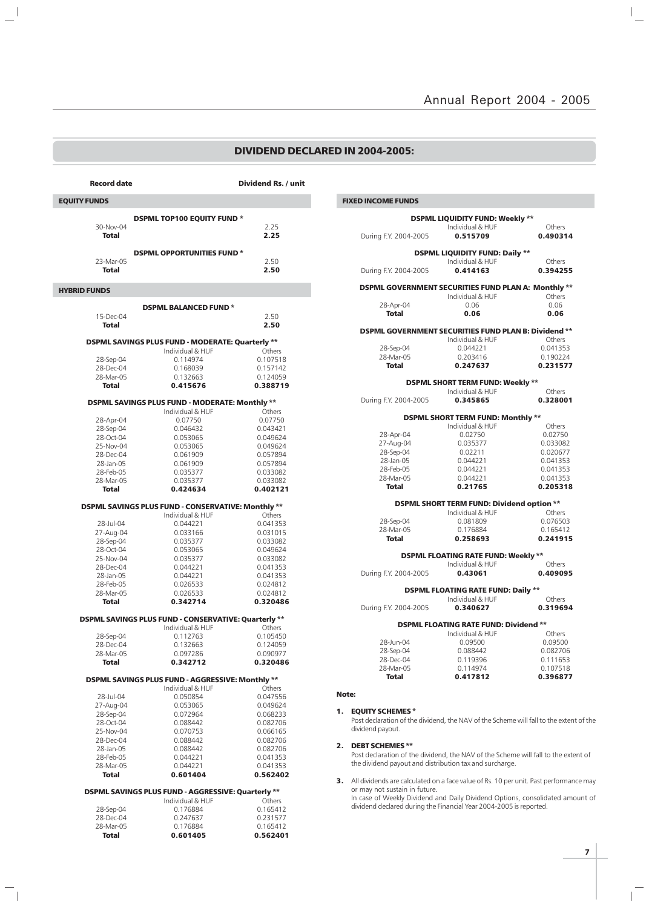## DIVIDEND DECLARED IN 2004-2005:

| <b>Record date</b>        |                                                      | Dividend Rs. / unit  |
|---------------------------|------------------------------------------------------|----------------------|
| <b>EQUITY FUNDS</b>       |                                                      |                      |
|                           | <b>DSPML TOP100 EQUITY FUND *</b>                    |                      |
| 30-Nov-04                 |                                                      | 2.25                 |
| <b>Total</b>              |                                                      | 2.25                 |
|                           | <b>DSPML OPPORTUNITIES FUND*</b>                     |                      |
| 23-Mar-05<br>Total        |                                                      | 2.50<br>2.50         |
|                           |                                                      |                      |
| <b>HYBRID FUNDS</b>       |                                                      |                      |
|                           | <b>DSPML BALANCED FUND*</b>                          |                      |
| 15-Dec-04<br><b>Total</b> |                                                      | 2.50<br>2.50         |
|                           |                                                      |                      |
|                           | DSPML SAVINGS PLUS FUND - MODERATE: Quarterly **     |                      |
| 28-Sep-04                 | Individual & HUF<br>0.114974                         | Others<br>0.107518   |
| 28-Dec-04                 | 0.168039                                             | 0.157142             |
| 28-Mar-05<br>Total        | 0.132663<br>0.415676                                 | 0.124059<br>0.388719 |
|                           |                                                      |                      |
|                           | DSPML SAVINGS PLUS FUND - MODERATE: Monthly **       |                      |
| 28-Apr-04                 | Individual & HUF<br>0.07750                          | Others<br>0.07750    |
| 28-Sep-04                 | 0.046432                                             | 0.043421             |
| 28-Oct-04                 | 0.053065                                             | 0.049624             |
| 25-Nov-04                 | 0.053065                                             | 0.049624             |
| 28-Dec-04<br>28-Jan-05    | 0.061909<br>0.061909                                 | 0.057894<br>0.057894 |
| 28-Feb-05                 | 0.035377                                             | 0.033082             |
| 28-Mar-05                 | 0.035377                                             | 0.033082             |
| <b>Total</b>              | 0.424634                                             | 0.402121             |
|                           | DSPML SAVINGS PLUS FUND - CONSERVATIVE: Monthly **   |                      |
|                           | Individual & HUF                                     | Others               |
| 28-Jul-04<br>27-Aug-04    | 0.044221<br>0.033166                                 | 0.041353<br>0.031015 |
| 28-Sep-04                 | 0.035377                                             | 0.033082             |
| 28-Oct-04                 | 0.053065                                             | 0.049624             |
| 25-Nov-04                 | 0.035377                                             | 0.033082             |
| 28-Dec-04                 | 0.044221<br>0.044221                                 | 0.041353<br>0.041353 |
| 28-Jan-05<br>28-Feb-05    | 0.026533                                             | 0.024812             |
| 28-Mar-05                 | 0.026533                                             | 0.024812             |
| Total                     | 0.342714                                             | 0.320486             |
|                           | DSPML SAVINGS PLUS FUND - CONSERVATIVE: Quarterly ** |                      |
|                           | Individual & HUF                                     | Others               |
| 28-Sep-04<br>28-Dec-04    | 0.112763<br>0.132663                                 | 0.105450<br>0.124059 |
| 28-Mar-05                 | 0.097286                                             | 0.090977             |
| Total                     | 0.342712                                             | 0.320486             |
|                           | DSPML SAVINGS PLUS FUND - AGGRESSIVE: Monthly **     |                      |
|                           | Individual & HUF                                     | Others               |
| 28-Jul-04<br>27-Aug-04    | 0.050854<br>0.053065                                 | 0.047556<br>0.049624 |
| 28-Sep-04                 | 0.072964                                             | 0.068233             |
| 28-Oct-04                 | 0.088442                                             | 0.082706             |
| 25-Nov-04                 | 0.070753                                             | 0.066165             |
| 28-Dec-04                 | 0.088442                                             | 0.082706<br>0.082706 |
| 28-Jan-05<br>28-Feb-05    | 0.088442<br>0.044221                                 | 0.041353             |
| 28-Mar-05                 | 0.044221                                             | 0.041353             |
| Total                     | 0.601404                                             | 0.562402             |
|                           | DSPML SAVINGS PLUS FUND - AGGRESSIVE: Quarterly **   |                      |
|                           | Individual & HUF                                     | Others               |
| 28-Sep-04<br>28-Dec-04    | 0.176884                                             | 0.165412             |
| 28-Mar-05                 | 0.247637<br>0.176884                                 | 0.231577<br>0.165412 |
| <b>Total</b>              | 0.601405                                             | 0.562401             |

 $\frac{1}{2}$ 

 $\overline{\phantom{a}}_1$ 

| <b>FIXED INCOME FUNDS</b> |                                                             |          |
|---------------------------|-------------------------------------------------------------|----------|
|                           | <b>DSPML LIQUIDITY FUND: Weekly **</b>                      |          |
|                           | Individual & HUF                                            | Others   |
| During F.Y. 2004-2005     | 0.515709                                                    | 0.490314 |
|                           | <b>DSPML LIQUIDITY FUND: Daily **</b>                       |          |
|                           | Individual & HUF                                            | Others   |
| During F.Y. 2004-2005     | 0.414163                                                    | 0.394255 |
|                           | <b>DSPML GOVERNMENT SECURITIES FUND PLAN A: Monthly **</b>  |          |
|                           | Individual & HUF                                            | Others   |
| 28-Apr-04                 | 0.06                                                        | 0.06     |
| <b>Total</b>              | 0.06                                                        | 0.06     |
|                           | <b>DSPML GOVERNMENT SECURITIES FUND PLAN B: Dividend **</b> |          |
|                           | Individual & HUF                                            | Others   |
| 28-Sep-04                 | 0.044221                                                    | 0.041353 |
| 28-Mar-05                 | 0.203416                                                    | 0.190224 |
| <b>Total</b>              | 0.247637                                                    | 0.231577 |
|                           | <b>DSPML SHORT TERM FUND: Weekly **</b>                     |          |
|                           | Individual & HUF                                            | Others   |
| During F.Y. 2004-2005     | 0.345865                                                    | 0.328001 |
|                           | <b>DSPML SHORT TERM FUND: Monthly **</b>                    |          |
|                           | Individual & HUF                                            | Others   |
| 28-Apr-04                 | 0.02750                                                     | 0.02750  |
| 27-Aug-04                 | 0.035377                                                    | 0.033082 |
| 28-Sep-04                 | 0.02211                                                     | 0.020677 |
| 28-Jan-05                 | 0.044221                                                    | 0.041353 |
| 28-Feb-05                 | 0.044221                                                    | 0.041353 |
| 28-Mar-05                 | 0.044221                                                    | 0.041353 |
| <b>Total</b>              | 0.21765                                                     | 0.205318 |
|                           | <b>DSPML SHORT TERM FUND: Dividend option **</b>            |          |
|                           | Individual & HUF                                            | Others   |
| 28-Sep-04                 | 0.081809                                                    | 0.076503 |
| 28-Mar-05                 | 0.176884                                                    | 0.165412 |
| <b>Total</b>              | 0.258693                                                    | 0.241915 |
|                           | <b>DSPML FLOATING RATE FUND: Weekly **</b>                  |          |
|                           | Individual & HUF                                            | Others   |
| During F.Y. 2004-2005     | 0.43061                                                     | 0.409095 |
|                           | <b>DSPML FLOATING RATE FUND: Daily **</b>                   |          |
|                           | Individual & HUF                                            | Others   |
| During F.Y. 2004-2005     | 0.340627                                                    | 0.319694 |
|                           | <b>DSPML FLOATING RATE FUND: Dividend **</b>                |          |
|                           | Individual & HUF                                            | Others   |
| 28-Jun-04                 | 0.09500                                                     | 0.09500  |
| 28-Sep-04                 | 0.088442                                                    | 0.082706 |
| 28-Dec-04                 | 0.119396                                                    | 0.111653 |
| 28-Mar-05                 | 0.114974                                                    | 0.107518 |
| <b>Total</b>              | 0.417812                                                    | 0.396877 |
|                           |                                                             |          |
| Note:                     |                                                             |          |

## 1. EQUITY SCHEMES \*

Note:

Post declaration of the dividend, the NAV of the Scheme will fall to the extent of the dividend payout.

#### 2. DEBT SCHEMES \*\*

Post declaration of the dividend, the NAV of the Scheme will fall to the extent of the dividend payout and distribution tax and surcharge.

3. All dividends are calculated on a face value of Rs. 10 per unit. Past performance may or may not sustain in future. In case of Weekly Dividend and Daily Dividend Options, consolidated amount of dividend declared during the Financial Year 2004-2005 is reported.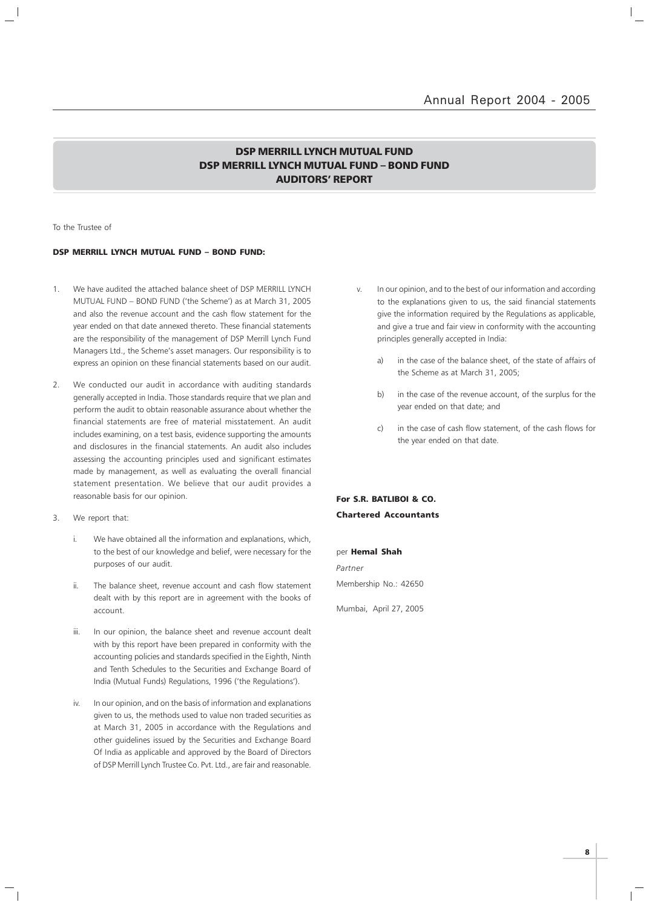## DSP MERRILL LYNCH MUTUAL FUND DSP MERRILL LYNCH MUTUAL FUND – BOND FUND AUDITORS' REPORT

To the Trustee of

## DSP MERRILL LYNCH MUTUAL FUND – BOND FUND:

- 1. We have audited the attached balance sheet of DSP MERRILL LYNCH MUTUAL FUND – BOND FUND ('the Scheme') as at March 31, 2005 and also the revenue account and the cash flow statement for the year ended on that date annexed thereto. These financial statements are the responsibility of the management of DSP Merrill Lynch Fund Managers Ltd., the Scheme's asset managers. Our responsibility is to express an opinion on these financial statements based on our audit.
- 2. We conducted our audit in accordance with auditing standards generally accepted in India. Those standards require that we plan and perform the audit to obtain reasonable assurance about whether the financial statements are free of material misstatement. An audit includes examining, on a test basis, evidence supporting the amounts and disclosures in the financial statements. An audit also includes assessing the accounting principles used and significant estimates made by management, as well as evaluating the overall financial statement presentation. We believe that our audit provides a reasonable basis for our opinion.
- 3. We report that:
	- i. We have obtained all the information and explanations, which, to the best of our knowledge and belief, were necessary for the purposes of our audit.
	- ii. The balance sheet, revenue account and cash flow statement dealt with by this report are in agreement with the books of account.
	- iii. In our opinion, the balance sheet and revenue account dealt with by this report have been prepared in conformity with the accounting policies and standards specified in the Eighth, Ninth and Tenth Schedules to the Securities and Exchange Board of India (Mutual Funds) Regulations, 1996 ('the Regulations').
	- iv. In our opinion, and on the basis of information and explanations given to us, the methods used to value non traded securities as at March 31, 2005 in accordance with the Regulations and other guidelines issued by the Securities and Exchange Board Of India as applicable and approved by the Board of Directors of DSP Merrill Lynch Trustee Co. Pvt. Ltd., are fair and reasonable.
- v. In our opinion, and to the best of our information and according to the explanations given to us, the said financial statements give the information required by the Regulations as applicable, and give a true and fair view in conformity with the accounting principles generally accepted in India:
	- a) in the case of the balance sheet, of the state of affairs of the Scheme as at March 31, 2005;
	- b) in the case of the revenue account, of the surplus for the year ended on that date; and
	- c) in the case of cash flow statement, of the cash flows for the year ended on that date.

## For S.R. BATLIBOI & CO. Chartered Accountants

per Hemal Shah Partner Membership No.: 42650

Mumbai, April 27, 2005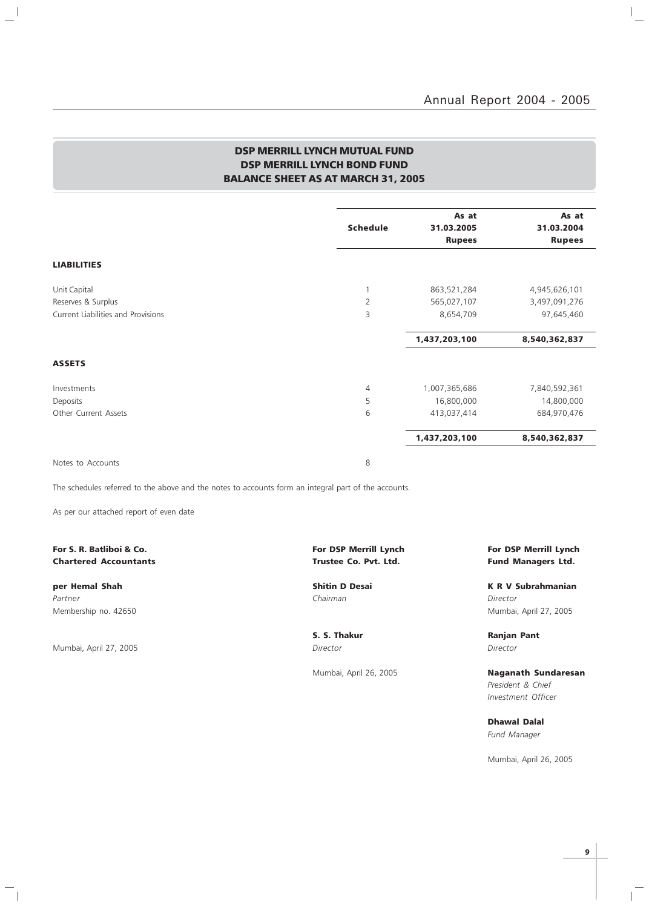$\mathbb{I}_+$ 

## DSP MERRILL LYNCH MUTUAL FUND DSP MERRILL LYNCH BOND FUND BALANCE SHEET AS AT MARCH 31, 2005

|                                    | <b>Schedule</b> | As at<br>31.03.2005 | As at<br>31.03.2004 |
|------------------------------------|-----------------|---------------------|---------------------|
|                                    |                 | <b>Rupees</b>       | <b>Rupees</b>       |
| <b>LIABILITIES</b>                 |                 |                     |                     |
| Unit Capital                       | 1               | 863,521,284         | 4,945,626,101       |
| Reserves & Surplus                 | $\overline{2}$  | 565,027,107         | 3,497,091,276       |
| Current Liabilities and Provisions | 3               | 8,654,709           | 97,645,460          |
|                                    |                 | 1,437,203,100       | 8,540,362,837       |
| <b>ASSETS</b>                      |                 |                     |                     |
| Investments                        | $\overline{4}$  | 1,007,365,686       | 7,840,592,361       |
| Deposits                           | 5               | 16,800,000          | 14,800,000          |
| Other Current Assets               | 6               | 413,037,414         | 684,970,476         |
|                                    |                 | 1,437,203,100       | 8,540,362,837       |
| Notes to Accounts                  | 8               |                     |                     |

The schedules referred to the above and the notes to accounts form an integral part of the accounts.

As per our attached report of even date

## Chartered Accountants **Chartered Accountants Trustee Co. Pvt. Ltd.** Fund Managers Ltd.

Partner Chairman Director (Chairman Chairman Chairman Director Director Chairman Chairman Director

 $\frac{1}{2}$ 

Mumbai, April 27, 2005 Director Director

 $\frac{1}{\sqrt{2}}$ 

## For S. R. Batliboi & Co. The Community of the Community of DSP Merrill Lynch For DSP Merrill Lynch For DSP Merrill Lynch

per Hemal Shah Shah Shitin D Desai New York K R V Subrahmanian Membership no. 42650 Mumbai, April 27, 2005

S. S. Thakur **Ranjan Pant** 

Mumbai, April 26, 2005 **Naganath Sundaresan** President & Chief Investment Officer

> Dhawal Dalal Fund Manager

Mumbai, April 26, 2005

 $\mathbb{R}$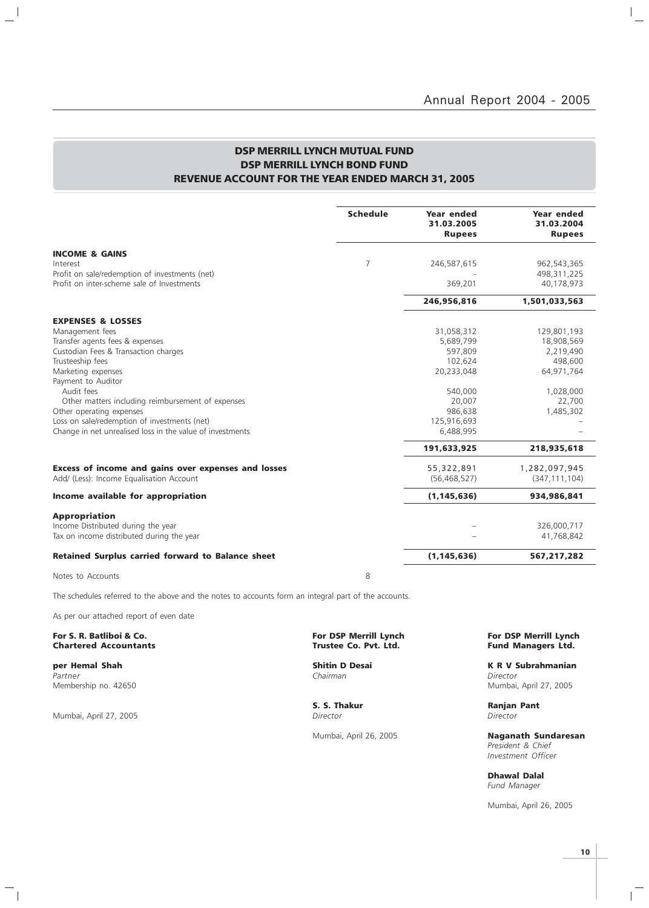$\mathbb{I}_+$ 

## DSP MERRILL LYNCH MUTUAL FUND DSP MERRILL LYNCH BOND FUND REVENUE ACCOUNT FOR THE YEAR ENDED MARCH 31, 2005

|                                                           | <b>Schedule</b> | <b>Year ended</b><br>31.03.2005<br><b>Rupees</b> | Year ended<br>31.03.2004<br><b>Rupees</b> |
|-----------------------------------------------------------|-----------------|--------------------------------------------------|-------------------------------------------|
| <b>INCOME &amp; GAINS</b>                                 |                 |                                                  |                                           |
| Interest                                                  | $\overline{7}$  | 246,587,615                                      | 962,543,365                               |
| Profit on sale/redemption of investments (net)            |                 |                                                  | 498,311,225                               |
| Profit on inter-scheme sale of Investments                |                 | 369,201                                          | 40,178,973                                |
|                                                           |                 | 246,956,816                                      | 1,501,033,563                             |
| <b>EXPENSES &amp; LOSSES</b>                              |                 |                                                  |                                           |
| Management fees                                           |                 | 31,058,312                                       | 129,801,193                               |
| Transfer agents fees & expenses                           |                 | 5,689,799                                        | 18,908,569                                |
| Custodian Fees & Transaction charges                      |                 | 597.809                                          | 2,219,490                                 |
| Trusteeship fees                                          |                 | 102,624                                          | 498,600                                   |
| Marketing expenses                                        |                 | 20,233,048                                       | 64,971,764                                |
| Payment to Auditor<br>Audit fees                          |                 | 540,000                                          | 1,028,000                                 |
| Other matters including reimbursement of expenses         |                 | 20,007                                           | 22,700                                    |
| Other operating expenses                                  |                 | 986,638                                          | 1,485,302                                 |
| Loss on sale/redemption of investments (net)              |                 | 125,916,693                                      |                                           |
| Change in net unrealised loss in the value of investments |                 | 6,488,995                                        |                                           |
|                                                           |                 | 191,633,925                                      | 218,935,618                               |
| Excess of income and gains over expenses and losses       |                 | 55,322,891                                       | 1,282,097,945                             |
| Add/ (Less): Income Equalisation Account                  |                 | (56, 468, 527)                                   | (347, 111, 104)                           |
| Income available for appropriation                        |                 | (1, 145, 636)                                    | 934,986,841                               |
| <b>Appropriation</b>                                      |                 |                                                  |                                           |
| Income Distributed during the year                        |                 |                                                  | 326,000,717                               |
| Tax on income distributed during the year                 |                 |                                                  | 41,768,842                                |
| <b>Retained Surplus carried forward to Balance sheet</b>  |                 | (1, 145, 636)                                    | 567,217,282                               |
|                                                           |                 |                                                  |                                           |

Notes to Accounts 8

 $\frac{1}{2}$ 

The schedules referred to the above and the notes to accounts form an integral part of the accounts.

As per our attached report of even date

## For S. R. Batliboi & Co. For Merrill Lynch (For DSP Merrill Lynch For DSP Merrill Lynch For DSP Merrill Lynch<br>Chartered Accountants Co. For DSP Merrill Lynch (Fund Managers Ltd. **Chartered Accountants**

Partner Chairman Director (Chairman Chairman Chairman Director Director Chairman Chairman Director

Mumbai, April 27, 2005

 $\overline{\phantom{a}}_1$ 

**per Hemal Shah Shah Shitin D Desai K R V Subrahmanian**<br>Partner Shah Shah Shahmanian Shahman Shahman Shahmanian Shahmanian Shahmanian Shahmanian Shahmanian Shahmanian Membership no. 42650 Mumbai, April 27, 2005

S. S. Thakur Ranjan Pant<br>
Director Director Director

Mumbai, April 26, 2005 Naganath Sundaresan President & Chief Investment Officer

> Dhawal Dalal Fund Manager

Mumbai, April 26, 2005

 $\mathbb{R}$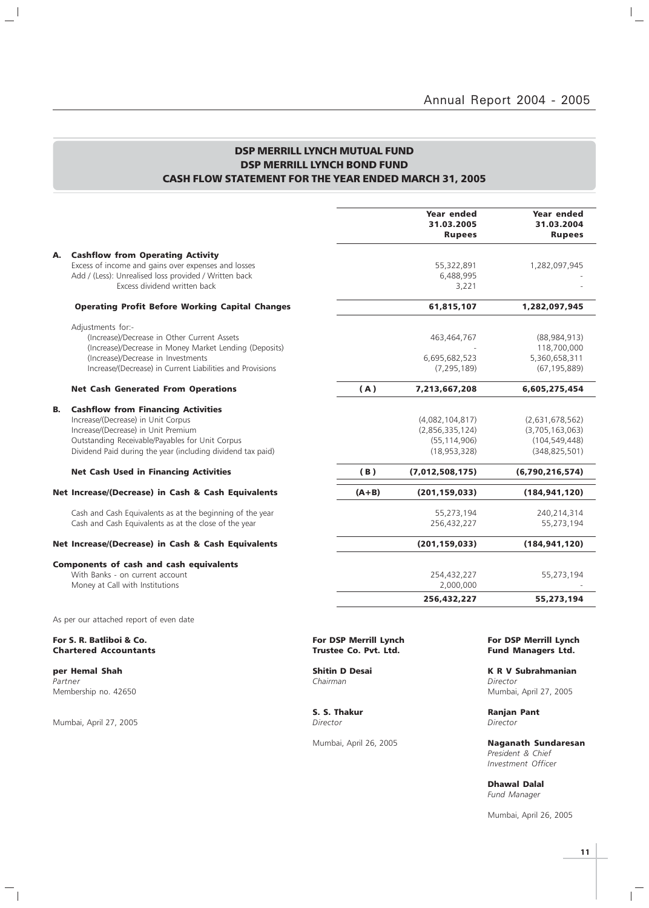## DSP MERRILL LYNCH MUTUAL FUND DSP MERRILL LYNCH BOND FUND CASH FLOW STATEMENT FOR THE YEAR ENDED MARCH 31, 2005

|    |                                                                                                                                                                                                                                          |                       | Year ended<br>31.03.2005<br><b>Rupees</b>                              | Year ended<br>31.03.2004<br><b>Rupees</b>                                |
|----|------------------------------------------------------------------------------------------------------------------------------------------------------------------------------------------------------------------------------------------|-----------------------|------------------------------------------------------------------------|--------------------------------------------------------------------------|
| А. | <b>Cashflow from Operating Activity</b><br>Excess of income and gains over expenses and losses                                                                                                                                           |                       | 55,322,891                                                             | 1,282,097,945                                                            |
|    | Add / (Less): Unrealised loss provided / Written back<br>Excess dividend written back                                                                                                                                                    |                       | 6,488,995<br>3,221                                                     |                                                                          |
|    | <b>Operating Profit Before Working Capital Changes</b>                                                                                                                                                                                   |                       | 61,815,107                                                             | 1,282,097,945                                                            |
|    | Adjustments for:-<br>(Increase)/Decrease in Other Current Assets<br>(Increase)/Decrease in Money Market Lending (Deposits)<br>(Increase)/Decrease in Investments<br>Increase/(Decrease) in Current Liabilities and Provisions            |                       | 463,464,767<br>6,695,682,523<br>(7, 295, 189)                          | (88,984,913)<br>118,700,000<br>5,360,658,311<br>(67, 195, 889)           |
|    | <b>Net Cash Generated From Operations</b>                                                                                                                                                                                                | (A)                   | 7,213,667,208                                                          | 6,605,275,454                                                            |
| В. | <b>Cashflow from Financing Activities</b><br>Increase/(Decrease) in Unit Corpus<br>Increase/(Decrease) in Unit Premium<br>Outstanding Receivable/Payables for Unit Corpus<br>Dividend Paid during the year (including dividend tax paid) |                       | (4,082,104,817)<br>(2,856,335,124)<br>(55, 114, 906)<br>(18, 953, 328) | (2,631,678,562)<br>(3,705,163,063)<br>(104, 549, 448)<br>(348, 825, 501) |
|    | <b>Net Cash Used in Financing Activities</b>                                                                                                                                                                                             | (B)                   | (7,012,508,175)                                                        | (6,790,216,574)                                                          |
|    | Net Increase/(Decrease) in Cash & Cash Equivalents                                                                                                                                                                                       | $(A+B)$               | (201, 159, 033)                                                        | (184, 941, 120)                                                          |
|    | Cash and Cash Equivalents as at the beginning of the year<br>Cash and Cash Equivalents as at the close of the year                                                                                                                       |                       | 55,273,194<br>256,432,227                                              | 240,214,314<br>55,273,194                                                |
|    | Net Increase/(Decrease) in Cash & Cash Equivalents                                                                                                                                                                                       |                       | (201, 159, 033)                                                        | (184, 941, 120)                                                          |
|    | <b>Components of cash and cash equivalents</b><br>With Banks - on current account<br>Money at Call with Institutions                                                                                                                     |                       | 254,432,227<br>2,000,000                                               | 55,273,194                                                               |
|    |                                                                                                                                                                                                                                          |                       | 256,432,227                                                            | 55,273,194                                                               |
|    | As per our attached report of even date                                                                                                                                                                                                  |                       |                                                                        |                                                                          |
|    | For S. R. Batliboi & Co.                                                                                                                                                                                                                 | For DSP Merrill Lynch |                                                                        | <b>For DSP Merrill Lynch</b>                                             |

Chartered Accountants **Trustee Co. Pvt. Ltd.** Fund Managers Ltd.

Partner Chairman Director (Chairman Chairman Chairman Director Director Director

 $\frac{1}{2}$ 

Mumbai, April 27, 2005 Director Director

 $\overline{\phantom{a}}_1$ 

**S. S. Thakur Ranjan Pant Director Ranjan Pant Director** 

**per Hemal Shah Shitin D Desai K R V Subrahmanian**<br>Partner **K R V Subrahmanian**<br>Chairman Chairman Membership no. 42650 Mumbai, April 27, 2005

Mumbai, April 26, 2005 Naganath Sundaresan President & Chief Investment Officer

> Dhawal Dalal Fund Manager

Mumbai, April 26, 2005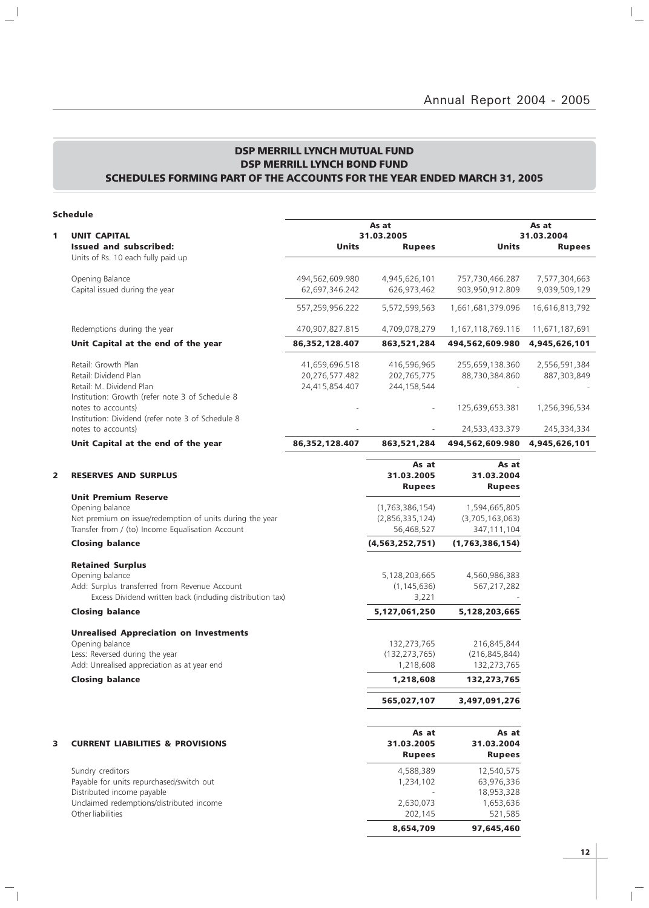$\mathbb{I}_+$ 

## DSP MERRILL LYNCH MUTUAL FUND DSP MERRILL LYNCH BOND FUND SCHEDULES FORMING PART OF THE ACCOUNTS FOR THE YEAR ENDED MARCH 31, 2005

|--|

 $\mathbb{L}^{\mathbb{I}}$ 

 $\overline{\phantom{a}}_1$ 

|   | scheaule                                                            |                 |                    |                   |                |
|---|---------------------------------------------------------------------|-----------------|--------------------|-------------------|----------------|
|   |                                                                     |                 | As at              |                   | As at          |
| 1 | <b>UNIT CAPITAL</b>                                                 |                 | 31.03.2005         |                   | 31.03.2004     |
|   | <b>Issued and subscribed:</b><br>Units of Rs. 10 each fully paid up | <b>Units</b>    | <b>Rupees</b>      | Units             | <b>Rupees</b>  |
|   | Opening Balance                                                     | 494,562,609.980 | 4,945,626,101      | 757,730,466.287   | 7,577,304,663  |
|   | Capital issued during the year                                      | 62,697,346.242  | 626,973,462        | 903,950,912.809   | 9,039,509,129  |
|   |                                                                     | 557,259,956.222 | 5,572,599,563      | 1,661,681,379.096 | 16,616,813,792 |
|   | Redemptions during the year                                         | 470,907,827.815 | 4,709,078,279      | 1,167,118,769.116 | 11,671,187,691 |
|   | Unit Capital at the end of the year                                 | 86,352,128.407  | 863,521,284        | 494,562,609.980   | 4,945,626,101  |
|   | Retail: Growth Plan                                                 | 41,659,696.518  | 416,596,965        | 255,659,138.360   | 2,556,591,384  |
|   | Retail: Dividend Plan                                               | 20,276,577.482  | 202,765,775        | 88,730,384.860    | 887,303,849    |
|   | Retail: M. Dividend Plan                                            | 24,415,854.407  | 244,158,544        |                   |                |
|   | Institution: Growth (refer note 3 of Schedule 8                     |                 |                    |                   |                |
|   | notes to accounts)                                                  |                 |                    | 125,639,653.381   | 1,256,396,534  |
|   | Institution: Dividend (refer note 3 of Schedule 8                   |                 |                    |                   |                |
|   | notes to accounts)                                                  |                 |                    | 24,533,433.379    | 245,334,334    |
|   | Unit Capital at the end of the year                                 | 86,352,128.407  | 863,521,284        | 494,562,609.980   | 4,945,626,101  |
|   |                                                                     |                 | As at              | As at             |                |
| 2 | <b>RESERVES AND SURPLUS</b>                                         |                 | 31.03.2005         | 31.03.2004        |                |
|   |                                                                     |                 |                    |                   |                |
|   |                                                                     |                 | <b>Rupees</b>      | <b>Rupees</b>     |                |
|   | <b>Unit Premium Reserve</b>                                         |                 |                    |                   |                |
|   | Opening balance                                                     |                 | (1,763,386,154)    | 1,594,665,805     |                |
|   | Net premium on issue/redemption of units during the year            |                 | (2,856,335,124)    | (3,705,163,063)   |                |
|   | Transfer from / (to) Income Equalisation Account                    |                 | 56,468,527         | 347,111,104       |                |
|   | <b>Closing balance</b>                                              |                 | (4, 563, 252, 751) | (1,763,386,154)   |                |
|   | <b>Retained Surplus</b>                                             |                 |                    |                   |                |
|   | Opening balance                                                     |                 | 5,128,203,665      | 4,560,986,383     |                |
|   | Add: Surplus transferred from Revenue Account                       |                 | (1, 145, 636)      | 567,217,282       |                |
|   | Excess Dividend written back (including distribution tax)           |                 | 3,221              |                   |                |
|   | <b>Closing balance</b>                                              |                 | 5,127,061,250      | 5,128,203,665     |                |
|   | <b>Unrealised Appreciation on Investments</b>                       |                 |                    |                   |                |
|   | Opening balance                                                     |                 | 132,273,765        | 216,845,844       |                |
|   | Less: Reversed during the year                                      |                 | (132, 273, 765)    | (216, 845, 844)   |                |
|   | Add: Unrealised appreciation as at year end                         |                 | 1,218,608          | 132,273,765       |                |
|   | <b>Closing balance</b>                                              |                 | 1,218,608          | 132,273,765       |                |
|   |                                                                     |                 | 565,027,107        | 3,497,091,276     |                |
|   |                                                                     |                 |                    |                   |                |
|   |                                                                     |                 | As at              | As at             |                |
| 3 | <b>CURRENT LIABILITIES &amp; PROVISIONS</b>                         |                 | 31.03.2005         | 31.03.2004        |                |
|   |                                                                     |                 | <b>Rupees</b>      | <b>Rupees</b>     |                |
|   | Sundry creditors                                                    |                 | 4,588,389          | 12,540,575        |                |
|   | Payable for units repurchased/switch out                            |                 | 1,234,102          | 63,976,336        |                |
|   | Distributed income payable                                          |                 |                    | 18,953,328        |                |
|   | Unclaimed redemptions/distributed income                            |                 | 2,630,073          | 1,653,636         |                |
|   | Other liabilities                                                   |                 | 202,145            | 521,585           |                |

 $\mathbf{r}^{\top}$ 

8,654,709 97,645,460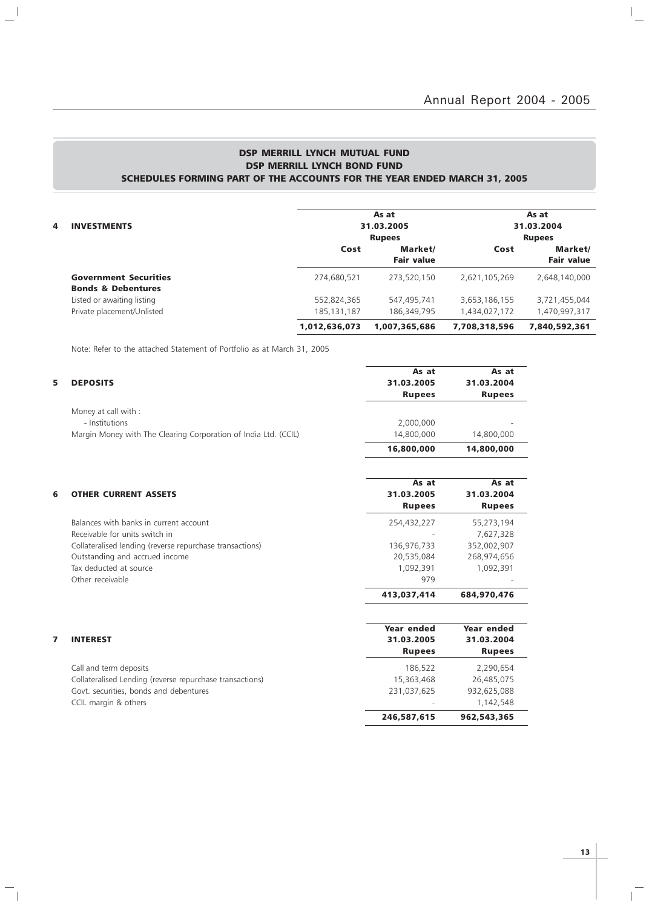## DSP MERRILL LYNCH MUTUAL FUND DSP MERRILL LYNCH BOND FUND SCHEDULES FORMING PART OF THE ACCOUNTS FOR THE YEAR ENDED MARCH 31, 2005

|   |                               |               | As at             |               | As at             |
|---|-------------------------------|---------------|-------------------|---------------|-------------------|
| 4 | <b>INVESTMENTS</b>            |               | 31.03.2005        |               | 31.03.2004        |
|   |                               |               | <b>Rupees</b>     |               | <b>Rupees</b>     |
|   |                               | Cost          | Market/           | Cost          | Market/           |
|   |                               |               | <b>Fair value</b> |               | <b>Fair value</b> |
|   | <b>Government Securities</b>  | 274,680,521   | 273.520.150       | 2,621,105,269 | 2,648,140,000     |
|   | <b>Bonds &amp; Debentures</b> |               |                   |               |                   |
|   | Listed or awaiting listing    | 552,824,365   | 547,495,741       | 3,653,186,155 | 3,721,455,044     |
|   | Private placement/Unlisted    | 185, 131, 187 | 186,349,795       | 1,434,027,172 | 1,470,997,317     |
|   |                               | 1,012,636,073 | 1,007,365,686     | 7,708,318,596 | 7.840.592.361     |

Note: Refer to the attached Statement of Portfolio as at March 31, 2005

 $\mathbf{a}^{\parallel}$ 

 $\overline{\phantom{a}}_1$ 

| <b>DEPOSITS</b>                                                 | As at<br>31.03.2005 | As at<br>31.03.2004 |
|-----------------------------------------------------------------|---------------------|---------------------|
|                                                                 | <b>Rupees</b>       | <b>Rupees</b>       |
| Money at call with :                                            |                     |                     |
| - Institutions                                                  | 2,000,000           |                     |
| Margin Money with The Clearing Corporation of India Ltd. (CCIL) | 14,800,000          | 14,800,000          |
|                                                                 | 16,800,000          | 14,800,000          |
|                                                                 | As at               | As at               |
| <b>OTHER CURRENT ASSETS</b>                                     | 31.03.2005          | 31.03.2004          |
|                                                                 | <b>Rupees</b>       | <b>Rupees</b>       |
| Balances with banks in current account                          | 254,432,227         | 55,273,194          |
| Receivable for units switch in                                  |                     | 7,627,328           |
| Collateralised lending (reverse repurchase transactions)        | 136,976,733         | 352,002,907         |
| Outstanding and accrued income                                  | 20,535,084          | 268,974,656         |
| Tax deducted at source                                          | 1,092,391           | 1,092,391           |
| Other receivable                                                | 979                 |                     |
|                                                                 | 413,037,414         | 684,970,476         |
|                                                                 | Year ended          | Year ended          |
| <b>INTEREST</b>                                                 | 31.03.2005          | 31.03.2004          |
|                                                                 | <b>Rupees</b>       | <b>Rupees</b>       |
| Call and term deposits                                          | 186,522             | 2,290,654           |
| Collateralised Lending (reverse repurchase transactions)        | 15,363,468          | 26,485,075          |
| Govt. securities, bonds and debentures                          | 231,037,625         | 932,625,088         |
| CCIL margin & others                                            |                     | 1,142,548           |
|                                                                 | 246,587,615         | 962,543,365         |

**13**

 $\overline{1}$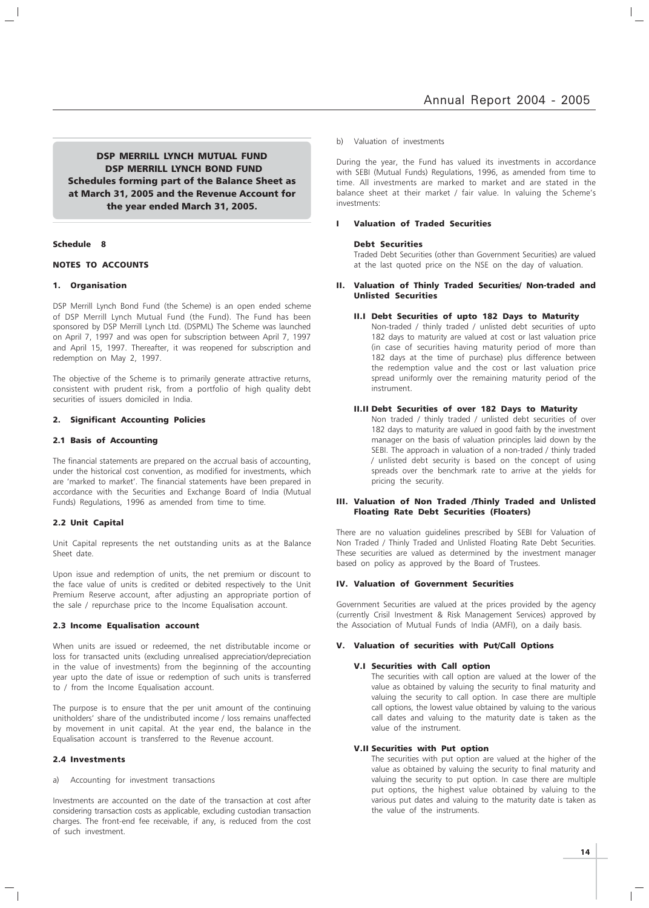DSP MERRILL LYNCH MUTUAL FUND DSP MERRILL LYNCH BOND FUND Schedules forming part of the Balance Sheet as at March 31, 2005 and the Revenue Account for the year ended March 31, 2005.

## Schedule 8

## NOTES TO ACCOUNTS

## 1. Organisation

DSP Merrill Lynch Bond Fund (the Scheme) is an open ended scheme of DSP Merrill Lynch Mutual Fund (the Fund). The Fund has been sponsored by DSP Merrill Lynch Ltd. (DSPML) The Scheme was launched on April 7, 1997 and was open for subscription between April 7, 1997 and April 15, 1997. Thereafter, it was reopened for subscription and redemption on May 2, 1997.

The objective of the Scheme is to primarily generate attractive returns, consistent with prudent risk, from a portfolio of high quality debt securities of issuers domiciled in India.

#### 2. Significant Accounting Policies

## 2.1 Basis of Accounting

The financial statements are prepared on the accrual basis of accounting, under the historical cost convention, as modified for investments, which are 'marked to market'. The financial statements have been prepared in accordance with the Securities and Exchange Board of India (Mutual Funds) Regulations, 1996 as amended from time to time.

## 2.2 Unit Capital

Unit Capital represents the net outstanding units as at the Balance Sheet date.

Upon issue and redemption of units, the net premium or discount to the face value of units is credited or debited respectively to the Unit Premium Reserve account, after adjusting an appropriate portion of the sale / repurchase price to the Income Equalisation account.

#### 2.3 Income Equalisation account

When units are issued or redeemed, the net distributable income or loss for transacted units (excluding unrealised appreciation/depreciation in the value of investments) from the beginning of the accounting year upto the date of issue or redemption of such units is transferred to / from the Income Equalisation account.

The purpose is to ensure that the per unit amount of the continuing unitholders' share of the undistributed income / loss remains unaffected by movement in unit capital. At the year end, the balance in the Equalisation account is transferred to the Revenue account.

## 2.4 Investments

a) Accounting for investment transactions

Investments are accounted on the date of the transaction at cost after considering transaction costs as applicable, excluding custodian transaction charges. The front-end fee receivable, if any, is reduced from the cost of such investment.

#### b) Valuation of investments

During the year, the Fund has valued its investments in accordance with SEBI (Mutual Funds) Regulations, 1996, as amended from time to time. All investments are marked to market and are stated in the balance sheet at their market / fair value. In valuing the Scheme's investments:

## I Valuation of Traded Securities

#### Debt Securities

Traded Debt Securities (other than Government Securities) are valued at the last quoted price on the NSE on the day of valuation.

## II. Valuation of Thinly Traded Securities/ Non-traded and Unlisted Securities

## II.I Debt Securities of upto 182 Days to Maturity

Non-traded / thinly traded / unlisted debt securities of upto 182 days to maturity are valued at cost or last valuation price (in case of securities having maturity period of more than 182 days at the time of purchase) plus difference between the redemption value and the cost or last valuation price spread uniformly over the remaining maturity period of the instrument.

## II.II Debt Securities of over 182 Days to Maturity

Non traded / thinly traded / unlisted debt securities of over 182 days to maturity are valued in good faith by the investment manager on the basis of valuation principles laid down by the SEBI. The approach in valuation of a non-traded / thinly traded / unlisted debt security is based on the concept of using spreads over the benchmark rate to arrive at the yields for pricing the security.

## III. Valuation of Non Traded /Thinly Traded and Unlisted Floating Rate Debt Securities (Floaters)

There are no valuation guidelines prescribed by SEBI for Valuation of Non Traded / Thinly Traded and Unlisted Floating Rate Debt Securities. These securities are valued as determined by the investment manager based on policy as approved by the Board of Trustees.

## IV. Valuation of Government Securities

Government Securities are valued at the prices provided by the agency (currently Crisil Investment & Risk Management Services) approved by the Association of Mutual Funds of India (AMFI), on a daily basis.

## V. Valuation of securities with Put/Call Options

## V.I Securities with Call option

The securities with call option are valued at the lower of the value as obtained by valuing the security to final maturity and valuing the security to call option. In case there are multiple call options, the lowest value obtained by valuing to the various call dates and valuing to the maturity date is taken as the value of the instrument.

## V.II Securities with Put option

The securities with put option are valued at the higher of the value as obtained by valuing the security to final maturity and valuing the security to put option. In case there are multiple put options, the highest value obtained by valuing to the various put dates and valuing to the maturity date is taken as the value of the instruments.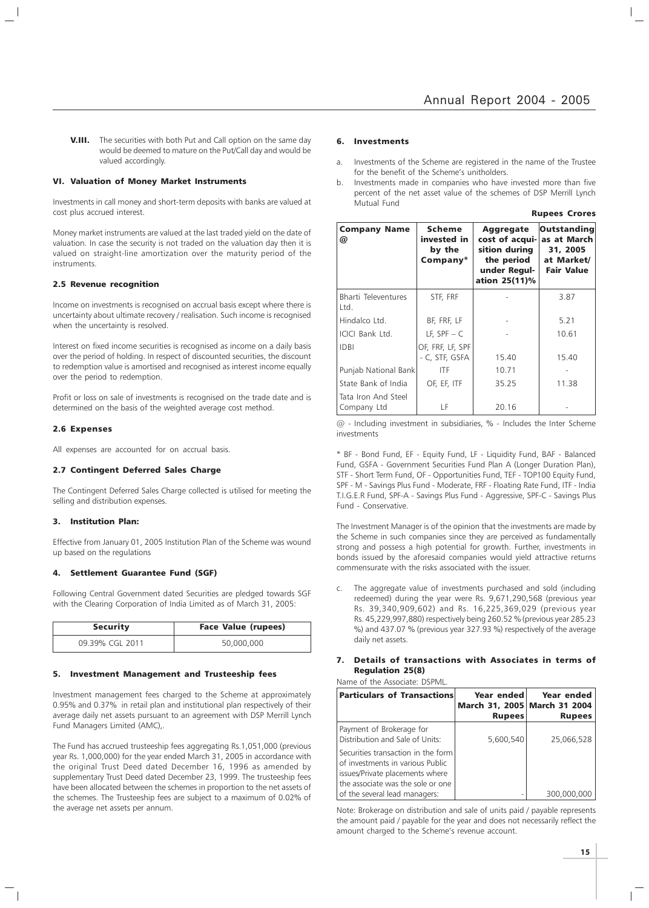**V.III.** The securities with both Put and Call option on the same day would be deemed to mature on the Put/Call day and would be valued accordingly.

## VI. Valuation of Money Market Instruments

Investments in call money and short-term deposits with banks are valued at cost plus accrued interest.

Money market instruments are valued at the last traded yield on the date of valuation. In case the security is not traded on the valuation day then it is valued on straight-line amortization over the maturity period of the instruments.

#### 2.5 Revenue recognition

Income on investments is recognised on accrual basis except where there is uncertainty about ultimate recovery / realisation. Such income is recognised when the uncertainty is resolved.

Interest on fixed income securities is recognised as income on a daily basis over the period of holding. In respect of discounted securities, the discount to redemption value is amortised and recognised as interest income equally over the period to redemption.

Profit or loss on sale of investments is recognised on the trade date and is determined on the basis of the weighted average cost method.

#### 2.6 Expenses

All expenses are accounted for on accrual basis.

## 2.7 Contingent Deferred Sales Charge

The Contingent Deferred Sales Charge collected is utilised for meeting the selling and distribution expenses.

## 3. Institution Plan:

Effective from January 01, 2005 Institution Plan of the Scheme was wound up based on the regulations

## 4. Settlement Guarantee Fund (SGF)

Following Central Government dated Securities are pledged towards SGF with the Clearing Corporation of India Limited as of March 31, 2005:

| <b>Security</b> | <b>Face Value (rupees)</b> |
|-----------------|----------------------------|
| 09.39% CGL 2011 | 50,000,000                 |

## 5. Investment Management and Trusteeship fees

Investment management fees charged to the Scheme at approximately 0.95% and 0.37% in retail plan and institutional plan respectively of their average daily net assets pursuant to an agreement with DSP Merrill Lynch Fund Managers Limited (AMC),.

The Fund has accrued trusteeship fees aggregating Rs.1,051,000 (previous year Rs. 1,000,000) for the year ended March 31, 2005 in accordance with the original Trust Deed dated December 16, 1996 as amended by supplementary Trust Deed dated December 23, 1999. The trusteeship fees have been allocated between the schemes in proportion to the net assets of the schemes. The Trusteeship fees are subject to a maximum of 0.02% of the average net assets per annum.

#### 6. Investments

- a. Investments of the Scheme are registered in the name of the Trustee for the benefit of the Scheme's unitholders.
- b. Investments made in companies who have invested more than five percent of the net asset value of the schemes of DSP Merrill Lynch Mutual Fund

| <b>Rupees Crores</b> |  |
|----------------------|--|
|----------------------|--|

| <b>Company Name</b><br>@           | Scheme<br>invested in<br>by the<br>Company* | Aggregate<br>cost of acqui-<br>sition during<br>the period<br>under Regul-<br>ation 25(11)% | Outstanding<br>as at March<br>31, 2005<br>at Market/<br><b>Fair Value</b> |
|------------------------------------|---------------------------------------------|---------------------------------------------------------------------------------------------|---------------------------------------------------------------------------|
| Bharti Televentures<br>Ltd.        | STF, FRF                                    |                                                                                             | 3.87                                                                      |
| Hindalco Ltd.                      | BF, FRF, LF                                 |                                                                                             | 5.21                                                                      |
| ICICI Bank Ltd.                    | LF, $SPF - C$                               |                                                                                             | 10.61                                                                     |
| <b>IDBI</b>                        | OF, FRF, LF, SPF<br>- C, STF, GSFA          | 15.40                                                                                       | 15.40                                                                     |
| Punjab National Bank               | ITF                                         | 10.71                                                                                       |                                                                           |
| State Bank of India                | OF, EF, ITF                                 | 35.25                                                                                       | 11.38                                                                     |
| Tata Iron And Steel<br>Company Ltd | LF                                          | 20.16                                                                                       |                                                                           |

@ - Including investment in subsidiaries, % - Includes the Inter Scheme investments

\* BF - Bond Fund, EF - Equity Fund, LF - Liquidity Fund, BAF - Balanced Fund, GSFA - Government Securities Fund Plan A (Longer Duration Plan), STF - Short Term Fund, OF - Opportunities Fund, TEF - TOP100 Equity Fund, SPF - M - Savings Plus Fund - Moderate, FRF - Floating Rate Fund, ITF - India T.I.G.E.R Fund, SPF-A - Savings Plus Fund - Aggressive, SPF-C - Savings Plus Fund - Conservative.

The Investment Manager is of the opinion that the investments are made by the Scheme in such companies since they are perceived as fundamentally strong and possess a high potential for growth. Further, investments in bonds issued by the aforesaid companies would yield attractive returns commensurate with the risks associated with the issuer.

c. The aggregate value of investments purchased and sold (including redeemed) during the year were Rs. 9,671,290,568 (previous year Rs. 39,340,909,602) and Rs. 16,225,369,029 (previous year Rs. 45,229,997,880) respectively being 260.52 % (previous year 285.23 %) and 437.07 % (previous year 327.93 %) respectively of the average daily net assets.

## 7. Details of transactions with Associates in terms of Regulation 25(8)

Name of the Associate: DSPML.

| <b>Particulars of Transactions</b>                                                                                                             | Year ended<br>March 31, 2005 March 31 2004<br><b>Rupees</b> | Year ended<br><b>Rupees</b> |
|------------------------------------------------------------------------------------------------------------------------------------------------|-------------------------------------------------------------|-----------------------------|
| Payment of Brokerage for<br>Distribution and Sale of Units:                                                                                    | 5,600,540                                                   | 25,066,528                  |
| Securities transaction in the form<br>of investments in various Public<br>issues/Private placements where<br>the associate was the sole or one |                                                             |                             |
| of the several lead managers:                                                                                                                  |                                                             | 300,000,000                 |

Note: Brokerage on distribution and sale of units paid / payable represents the amount paid / payable for the year and does not necessarily reflect the amount charged to the Scheme's revenue account.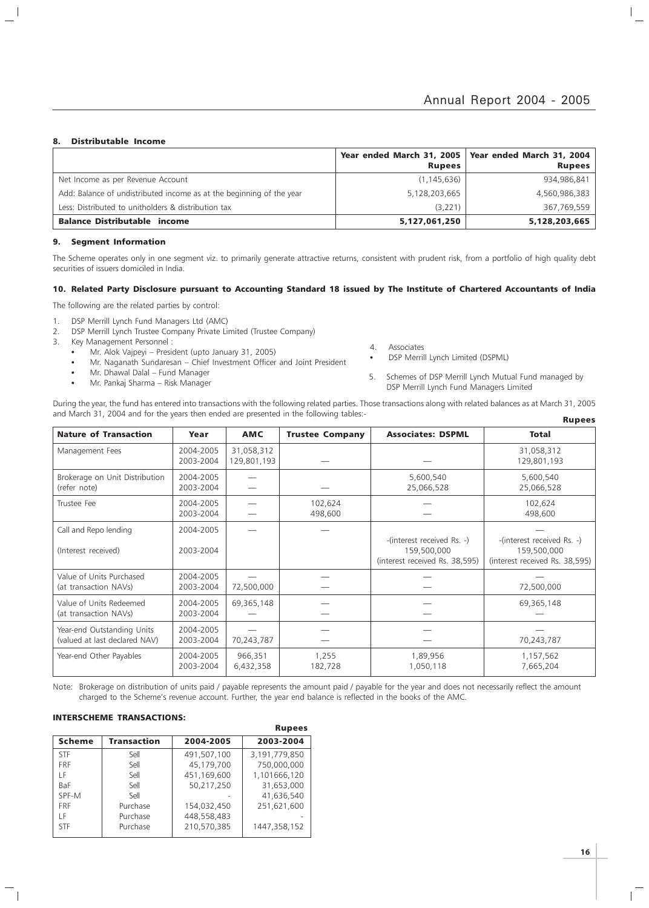## 8. Distributable Income

 $\overline{\phantom{a}}$ 

|                                                                      | <b>Rupees</b> | Year ended March 31, 2005   Year ended March 31, 2004  <br><b>Rupees</b> |
|----------------------------------------------------------------------|---------------|--------------------------------------------------------------------------|
| Net Income as per Revenue Account                                    | (1, 145, 636) | 934,986,841                                                              |
| Add: Balance of undistributed income as at the beginning of the year | 5,128,203,665 | 4,560,986,383                                                            |
| Less: Distributed to unitholders & distribution tax                  | (3,221)       | 367,769,559                                                              |
| <b>Balance Distributable income</b>                                  | 5,127,061,250 | 5,128,203,665                                                            |

## 9. Segment Information

The Scheme operates only in one segment viz. to primarily generate attractive returns, consistent with prudent risk, from a portfolio of high quality debt securities of issuers domiciled in India.

## 10. Related Party Disclosure pursuant to Accounting Standard 18 issued by The Institute of Chartered Accountants of India

The following are the related parties by control:

- 1. DSP Merrill Lynch Fund Managers Ltd (AMC)
- 2. DSP Merrill Lynch Trustee Company Private Limited (Trustee Company)
- 3. Key Management Personnel :
	- Mr. Alok Vajpeyi President (upto January 31, 2005)
	- Mr. Naganath Sundaresan Chief Investment Officer and Joint President
	- Mr. Dhawal Dalal Fund Manager
	- Mr. Pankaj Sharma Risk Manager
- 4. Associates
- DSP Merrill Lynch Limited (DSPML)
- 5. Schemes of DSP Merrill Lynch Mutual Fund managed by DSP Merrill Lynch Fund Managers Limited

During the year, the fund has entered into transactions with the following related parties. Those transactions along with related balances as at March 31, 2005 and March 31, 2004 and for the years then ended are presented in the following tables:- Rupees

| <b>Nature of Transaction</b>                                | Year                   | <b>AMC</b>                | <b>Trustee Company</b> | <b>Associates: DSPML</b>                                                    | <b>Total</b>                                                                |
|-------------------------------------------------------------|------------------------|---------------------------|------------------------|-----------------------------------------------------------------------------|-----------------------------------------------------------------------------|
| Management Fees                                             | 2004-2005<br>2003-2004 | 31,058,312<br>129,801,193 |                        |                                                                             | 31,058,312<br>129,801,193                                                   |
| Brokerage on Unit Distribution<br>(refer note)              | 2004-2005<br>2003-2004 |                           |                        | 5,600,540<br>25,066,528                                                     | 5,600,540<br>25,066,528                                                     |
| Trustee Fee                                                 | 2004-2005<br>2003-2004 |                           | 102,624<br>498,600     |                                                                             | 102,624<br>498,600                                                          |
| Call and Repo lending<br>(Interest received)                | 2004-2005<br>2003-2004 |                           |                        | -(interest received Rs. -)<br>159,500,000<br>(interest received Rs. 38,595) | -(interest received Rs. -)<br>159,500,000<br>(interest received Rs. 38,595) |
| Value of Units Purchased<br>(at transaction NAVs)           | 2004-2005<br>2003-2004 | 72,500,000                |                        |                                                                             | 72,500,000                                                                  |
| Value of Units Redeemed<br>(at transaction NAVs)            | 2004-2005<br>2003-2004 | 69,365,148                |                        |                                                                             | 69,365,148                                                                  |
| Year-end Outstanding Units<br>(valued at last declared NAV) | 2004-2005<br>2003-2004 | 70,243,787                |                        |                                                                             | 70,243,787                                                                  |
| Year-end Other Payables                                     | 2004-2005<br>2003-2004 | 966,351<br>6,432,358      | 1,255<br>182,728       | 1,89,956<br>1,050,118                                                       | 1,157,562<br>7,665,204                                                      |

Note: Brokerage on distribution of units paid / payable represents the amount paid / payable for the year and does not necessarily reflect the amount charged to the Scheme's revenue account. Further, the year end balance is reflected in the books of the AMC.

Rupees

## INTERSCHEME TRANSACTIONS:

|               |             |             | <b>Kupees</b> |
|---------------|-------------|-------------|---------------|
| <b>Scheme</b> | Transaction | 2004-2005   | 2003-2004     |
| <b>STF</b>    | Sell        | 491,507,100 | 3,191,779,850 |
| <b>FRF</b>    | Sell        | 45,179,700  | 750,000,000   |
| ΙF            | Sell        | 451,169,600 | 1,101666,120  |
| <b>BaF</b>    | Sell        | 50,217,250  | 31,653,000    |
| SPF-M         | Sell        |             | 41,636,540    |
| <b>FRF</b>    | Purchase    | 154,032,450 | 251,621,600   |
| ΙF            | Purchase    | 448.558.483 |               |
| <b>STF</b>    | Purchase    | 210.570.385 | 1447,358,152  |
|               |             |             |               |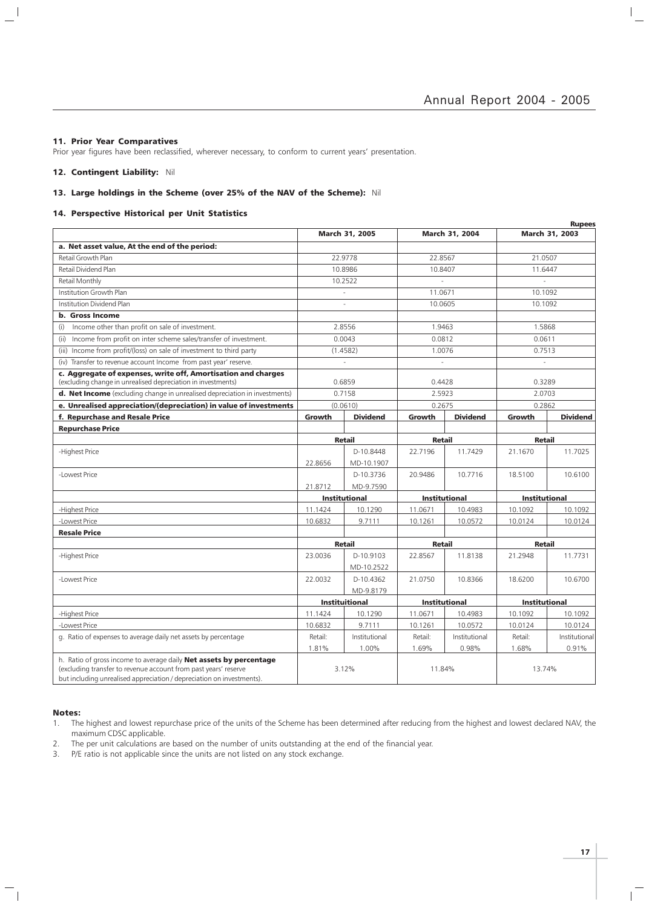$\vert$  $\overline{\phantom{a}}$ 

## 11. Prior Year Comparatives

 $\overline{\phantom{a}}$ 

 $\mathcal{L}$ 

Prior year figures have been reclassified, wherever necessary, to conform to current years' presentation.

## 12. Contingent Liability: Nil

## 13. Large holdings in the Scheme (over 25% of the NAV of the Scheme): Nil

## 14. Perspective Historical per Unit Statistics

|                                                                                                                                                                                                                |         |                       |                      |                       |                      | <b>Rupees</b>   |
|----------------------------------------------------------------------------------------------------------------------------------------------------------------------------------------------------------------|---------|-----------------------|----------------------|-----------------------|----------------------|-----------------|
|                                                                                                                                                                                                                |         | <b>March 31, 2005</b> |                      | <b>March 31, 2004</b> |                      | March 31, 2003  |
| a. Net asset value, At the end of the period:                                                                                                                                                                  |         |                       |                      |                       |                      |                 |
| Retail Growth Plan                                                                                                                                                                                             |         | 22.9778               | 22.8567              |                       | 21.0507              |                 |
| Retail Dividend Plan                                                                                                                                                                                           |         | 10.8986               | 10.8407              |                       | 11.6447              |                 |
| Retail Monthly                                                                                                                                                                                                 |         | 10.2522               |                      |                       |                      |                 |
| Institution Growth Plan                                                                                                                                                                                        |         | ÷,                    | 11.0671              |                       | 10.1092              |                 |
| Institution Dividend Plan                                                                                                                                                                                      |         |                       | 10.0605              |                       | 10.1092              |                 |
| <b>b.</b> Gross Income                                                                                                                                                                                         |         |                       |                      |                       |                      |                 |
| Income other than profit on sale of investment.<br>(i)                                                                                                                                                         |         | 2.8556                | 1.9463               |                       | 1.5868               |                 |
| (ii) Income from profit on inter scheme sales/transfer of investment.                                                                                                                                          |         | 0.0043                | 0.0812               |                       | 0.0611               |                 |
| (iii) Income from profit/(loss) on sale of investment to third party                                                                                                                                           |         | (1.4582)              | 1.0076               |                       | 0.7513               |                 |
| (iv) Transfer to revenue account Income from past year' reserve.                                                                                                                                               |         | $\sim$                | L.                   |                       | $\mathcal{L}$        |                 |
| c. Aggregate of expenses, write off, Amortisation and charges<br>(excluding change in unrealised depreciation in investments)                                                                                  |         | 0.6859                | 0.4428               |                       | 0.3289               |                 |
| d. Net Income (excluding change in unrealised depreciation in investments)                                                                                                                                     |         | 0.7158                | 2.5923               |                       | 2.0703               |                 |
| e. Unrealised appreciation/(depreciation) in value of investments                                                                                                                                              |         | (0.0610)              | 0.2675               |                       | 0.2862               |                 |
| f. Repurchase and Resale Price                                                                                                                                                                                 | Growth  | <b>Dividend</b>       | Growth               | <b>Dividend</b>       | Growth               | <b>Dividend</b> |
| <b>Repurchase Price</b>                                                                                                                                                                                        |         |                       |                      |                       |                      |                 |
|                                                                                                                                                                                                                |         | <b>Retail</b>         | <b>Retail</b>        |                       | <b>Retail</b>        |                 |
| -Highest Price                                                                                                                                                                                                 |         | D-10.8448             | 22.7196              | 11.7429               | 21.1670              | 11.7025         |
|                                                                                                                                                                                                                | 22.8656 | MD-10.1907            |                      |                       |                      |                 |
| -Lowest Price                                                                                                                                                                                                  |         | D-10.3736             | 20.9486              | 10.7716               | 18.5100              | 10.6100         |
|                                                                                                                                                                                                                | 21.8712 | MD-9.7590             |                      |                       |                      |                 |
|                                                                                                                                                                                                                |         | <b>Institutional</b>  | <b>Institutional</b> |                       | <b>Institutional</b> |                 |
| -Highest Price                                                                                                                                                                                                 | 11.1424 | 10.1290               | 11.0671              | 10.4983               | 10.1092              | 10.1092         |
| -Lowest Price                                                                                                                                                                                                  | 10.6832 | 9.7111                | 10.1261              | 10.0572               | 10.0124              | 10.0124         |
| <b>Resale Price</b>                                                                                                                                                                                            |         |                       |                      |                       |                      |                 |
|                                                                                                                                                                                                                |         | <b>Retail</b>         | <b>Retail</b>        |                       | <b>Retail</b>        |                 |
| -Highest Price                                                                                                                                                                                                 | 23.0036 | D-10.9103             | 22.8567              | 11.8138               | 21.2948              | 11.7731         |
|                                                                                                                                                                                                                |         | MD-10.2522            |                      |                       |                      |                 |
| -Lowest Price                                                                                                                                                                                                  | 22.0032 | D-10.4362             | 21.0750              | 10.8366               | 18.6200              | 10.6700         |
|                                                                                                                                                                                                                |         | MD-9.8179             |                      |                       |                      |                 |
|                                                                                                                                                                                                                |         | <b>Instituitional</b> | <b>Institutional</b> |                       | <b>Institutional</b> |                 |
| -Highest Price                                                                                                                                                                                                 | 11.1424 | 10.1290               | 11.0671              | 10.4983               | 10.1092              | 10.1092         |
| -Lowest Price                                                                                                                                                                                                  | 10.6832 | 9.7111                | 10.1261              | 10.0572               | 10.0124              | 10.0124         |
| g. Ratio of expenses to average daily net assets by percentage                                                                                                                                                 | Retail: | Institutional         | Retail:              | Institutional         | Retail:              | Institutional   |
|                                                                                                                                                                                                                | 1.81%   | 1.00%                 | 1.69%                | 0.98%                 | 1.68%                | 0.91%           |
| h. Ratio of gross income to average daily Net assets by percentage<br>(excluding transfer to revenue account from past years' reserve<br>but including unrealised appreciation / depreciation on investments). |         | 3.12%                 | 11.84%               |                       | 13.74%               |                 |

## Notes:

 $\overline{\phantom{a}}_1$ 

- 1. The highest and lowest repurchase price of the units of the Scheme has been determined after reducing from the highest and lowest declared NAV, the maximum CDSC applicable.
- 2. The per unit calculations are based on the number of units outstanding at the end of the financial year.
- 3. P/E ratio is not applicable since the units are not listed on any stock exchange.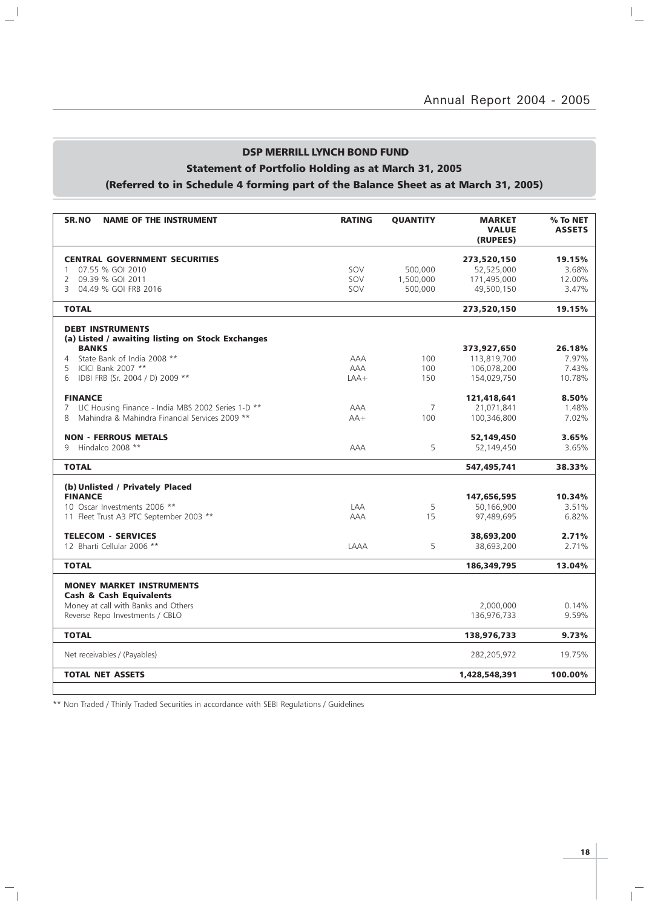## DSP MERRILL LYNCH BOND FUND

## Statement of Portfolio Holding as at March 31, 2005

## (Referred to in Schedule 4 forming part of the Balance Sheet as at March 31, 2005)

| SR.NO<br><b>NAME OF THE INSTRUMENT</b>                                      | <b>RATING</b>     | <b>QUANTITY</b> | <b>MARKET</b><br><b>VALUE</b><br>(RUPEES) | % To NET<br><b>ASSETS</b> |
|-----------------------------------------------------------------------------|-------------------|-----------------|-------------------------------------------|---------------------------|
| <b>CENTRAL GOVERNMENT SECURITIES</b>                                        |                   |                 | 273,520,150                               | 19.15%                    |
| 07.55 % GOI 2010<br>$\mathbf{1}$                                            | SOV               | 500,000         | 52,525,000                                | 3.68%                     |
| 2 09.39 % GOI 2011                                                          | SOV               | 1,500,000       | 171,495,000                               | 12.00%                    |
| 3 04.49 % GOI FRB 2016                                                      | SOV               | 500,000         | 49,500,150                                | 3.47%                     |
| <b>TOTAL</b>                                                                |                   |                 | 273,520,150                               | 19.15%                    |
| <b>DEBT INSTRUMENTS</b><br>(a) Listed / awaiting listing on Stock Exchanges |                   |                 |                                           |                           |
| <b>BANKS</b>                                                                |                   |                 | 373,927,650                               | 26.18%                    |
| State Bank of India 2008 **<br>$\overline{4}$<br>ICICI Bank 2007 **         | <b>AAA</b><br>AAA | 100<br>100      | 113,819,700                               | 7.97%<br>7.43%            |
| 5<br>IDBI FRB (Sr. 2004 / D) 2009 **<br>6                                   | $LAA+$            | 150             | 106,078,200<br>154,029,750                | 10.78%                    |
|                                                                             |                   |                 |                                           |                           |
| <b>FINANCE</b>                                                              |                   |                 | 121,418,641                               | 8.50%                     |
| LIC Housing Finance - India MBS 2002 Series 1-D **<br>7                     | <b>AAA</b>        | $\overline{7}$  | 21,071,841                                | 1.48%                     |
| Mahindra & Mahindra Financial Services 2009 **<br>8                         | $AA+$             | 100             | 100,346,800                               | 7.02%                     |
| <b>NON - FERROUS METALS</b>                                                 |                   |                 | 52,149,450                                | 3.65%                     |
| Hindalco 2008 **<br>9                                                       | <b>AAA</b>        | 5               | 52,149,450                                | 3.65%                     |
| <b>TOTAL</b>                                                                |                   |                 | 547,495,741                               | 38.33%                    |
| (b) Unlisted / Privately Placed                                             |                   |                 |                                           |                           |
| <b>FINANCE</b>                                                              |                   |                 | 147,656,595                               | 10.34%                    |
| 10 Oscar Investments 2006 **                                                | LAA               | 5               | 50,166,900                                | 3.51%                     |
| 11 Fleet Trust A3 PTC September 2003 **                                     | <b>AAA</b>        | 15              | 97,489,695                                | 6.82%                     |
| <b>TELECOM - SERVICES</b>                                                   |                   |                 | 38,693,200                                | 2.71%                     |
| 12 Bharti Cellular 2006 **                                                  | LAAA              | 5               | 38,693,200                                | 2.71%                     |
| <b>TOTAL</b>                                                                |                   |                 | 186,349,795                               | 13.04%                    |
| <b>MONEY MARKET INSTRUMENTS</b><br><b>Cash &amp; Cash Equivalents</b>       |                   |                 |                                           |                           |
| Money at call with Banks and Others                                         |                   |                 | 2,000,000                                 | 0.14%                     |
| Reverse Repo Investments / CBLO                                             |                   |                 | 136,976,733                               | 9.59%                     |
| <b>TOTAL</b>                                                                |                   |                 | 138,976,733                               | 9.73%                     |
| Net receivables / (Payables)                                                |                   |                 | 282,205,972                               | 19.75%                    |
| <b>TOTAL NET ASSETS</b>                                                     |                   |                 | 1,428,548,391                             | 100.00%                   |
|                                                                             |                   |                 |                                           |                           |

\*\* Non Traded / Thinly Traded Securities in accordance with SEBI Regulations / Guidelines

 $\mathbb{L}^{\mathbb{I}}$ 

 $\overline{\phantom{a}}_1$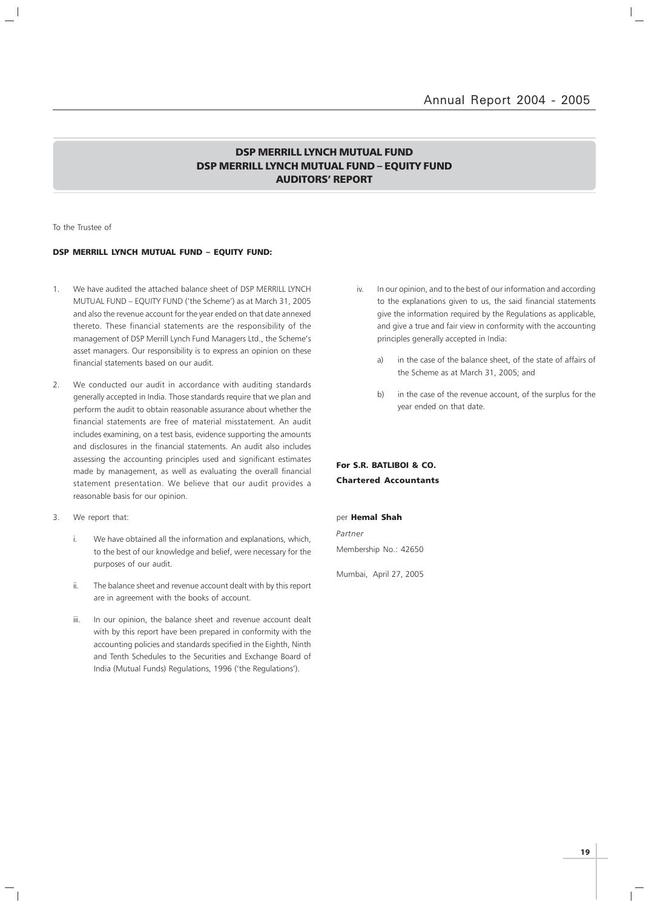## DSP MERRILL LYNCH MUTUAL FUND DSP MERRILL LYNCH MUTUAL FUND – EQUITY FUND AUDITORS' REPORT

To the Trustee of

## DSP MERRILL LYNCH MUTUAL FUND – EQUITY FUND:

- 1. We have audited the attached balance sheet of DSP MERRILL LYNCH MUTUAL FUND – EQUITY FUND ('the Scheme') as at March 31, 2005 and also the revenue account for the year ended on that date annexed thereto. These financial statements are the responsibility of the management of DSP Merrill Lynch Fund Managers Ltd., the Scheme's asset managers. Our responsibility is to express an opinion on these financial statements based on our audit.
- 2. We conducted our audit in accordance with auditing standards generally accepted in India. Those standards require that we plan and perform the audit to obtain reasonable assurance about whether the financial statements are free of material misstatement. An audit includes examining, on a test basis, evidence supporting the amounts and disclosures in the financial statements. An audit also includes assessing the accounting principles used and significant estimates made by management, as well as evaluating the overall financial statement presentation. We believe that our audit provides a reasonable basis for our opinion.
- 3. We report that:
	- i. We have obtained all the information and explanations, which, to the best of our knowledge and belief, were necessary for the purposes of our audit.
	- ii. The balance sheet and revenue account dealt with by this report are in agreement with the books of account.
	- iii. In our opinion, the balance sheet and revenue account dealt with by this report have been prepared in conformity with the accounting policies and standards specified in the Eighth, Ninth and Tenth Schedules to the Securities and Exchange Board of India (Mutual Funds) Regulations, 1996 ('the Regulations').
- iv. In our opinion, and to the best of our information and according to the explanations given to us, the said financial statements give the information required by the Regulations as applicable, and give a true and fair view in conformity with the accounting principles generally accepted in India:
	- a) in the case of the balance sheet, of the state of affairs of the Scheme as at March 31, 2005; and
	- b) in the case of the revenue account, of the surplus for the year ended on that date.

## For S.R. BATLIBOI & CO. Chartered Accountants

## per Hemal Shah

Partner Membership No.: 42650

Mumbai, April 27, 2005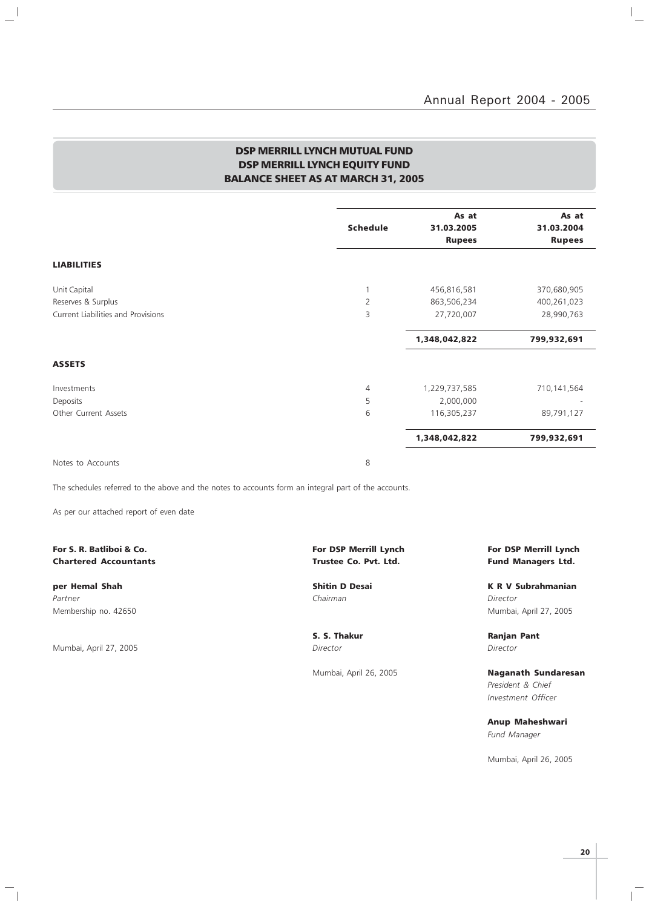$\mathbb{I}_+$ 

## DSP MERRILL LYNCH MUTUAL FUND DSP MERRILL LYNCH EQUITY FUND BALANCE SHEET AS AT MARCH 31, 2005

|                                    | <b>Schedule</b> | As at<br>31.03.2005 | As at<br>31.03.2004 |
|------------------------------------|-----------------|---------------------|---------------------|
|                                    |                 | <b>Rupees</b>       | <b>Rupees</b>       |
| <b>LIABILITIES</b>                 |                 |                     |                     |
| Unit Capital                       |                 | 456,816,581         | 370,680,905         |
| Reserves & Surplus                 | $\overline{2}$  | 863,506,234         | 400,261,023         |
| Current Liabilities and Provisions | 3               | 27,720,007          | 28,990,763          |
|                                    |                 | 1,348,042,822       | 799,932,691         |
| <b>ASSETS</b>                      |                 |                     |                     |
| Investments                        | $\overline{4}$  | 1,229,737,585       | 710,141,564         |
| Deposits                           | 5               | 2,000,000           |                     |
| Other Current Assets               | 6               | 116,305,237         | 89,791,127          |
|                                    |                 | 1,348,042,822       | 799,932,691         |
| Notes to Accounts                  | 8               |                     |                     |

The schedules referred to the above and the notes to accounts form an integral part of the accounts.

As per our attached report of even date

## Chartered Accountants **Chartered Accountants Trustee Co. Pvt. Ltd.** Fund Managers Ltd.

Partner Chairman Director (Chairman Chairman Chairman Director Director Director

 $\frac{1}{2}$ 

Mumbai, April 27, 2005 Director Director

 $\mathord{\hspace{1pt}\text{--}\hspace{1pt}}_\parallel$ 

# For S. R. Batliboi & Co. The Community of the Community of DSP Merrill Lynch For DSP Merrill Lynch For DSP Merrill Lynch

per Hemal Shah Shah Shitin D Desai New York K R V Subrahmanian Membership no. 42650 Mumbai, April 27, 2005

S. S. Thakur **Ranjan Pant** 

Mumbai, April 26, 2005 **Naganath Sundaresan** President & Chief Investment Officer

> Anup Maheshwari Fund Manager

Mumbai, April 26, 2005

 $\mathbb{R}$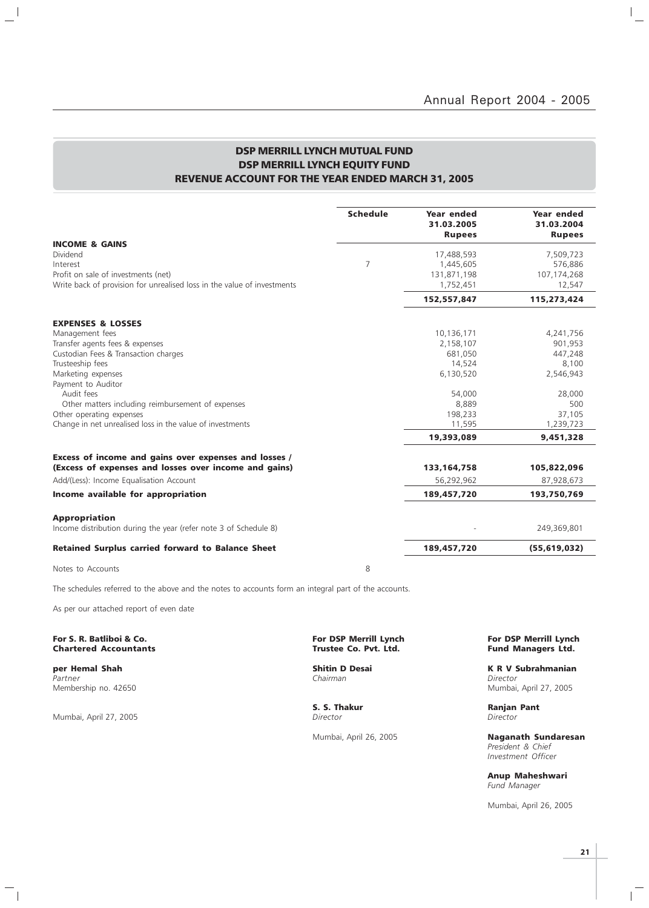## DSP MERRILL LYNCH MUTUAL FUND DSP MERRILL LYNCH EQUITY FUND REVENUE ACCOUNT FOR THE YEAR ENDED MARCH 31, 2005

|                                                                                                                                                                     | <b>Schedule</b> | Year ended<br>31.03.2005<br><b>Rupees</b>           | Year ended<br>31.03.2004<br><b>Rupees</b>     |
|---------------------------------------------------------------------------------------------------------------------------------------------------------------------|-----------------|-----------------------------------------------------|-----------------------------------------------|
| <b>INCOME &amp; GAINS</b><br>Dividend<br>Interest<br>Profit on sale of investments (net)<br>Write back of provision for unrealised loss in the value of investments | $\overline{7}$  | 17,488,593<br>1,445,605<br>131,871,198<br>1,752,451 | 7,509,723<br>576,886<br>107,174,268<br>12,547 |
|                                                                                                                                                                     |                 | 152,557,847                                         | 115,273,424                                   |
| <b>EXPENSES &amp; LOSSES</b>                                                                                                                                        |                 |                                                     |                                               |
| Management fees                                                                                                                                                     |                 | 10,136,171                                          | 4,241,756                                     |
| Transfer agents fees & expenses                                                                                                                                     |                 | 2,158,107                                           | 901,953                                       |
| Custodian Fees & Transaction charges                                                                                                                                |                 | 681,050                                             | 447,248                                       |
| Trusteeship fees                                                                                                                                                    |                 | 14,524                                              | 8,100                                         |
| Marketing expenses                                                                                                                                                  |                 | 6,130,520                                           | 2,546,943                                     |
| Payment to Auditor                                                                                                                                                  |                 |                                                     |                                               |
| Audit fees                                                                                                                                                          |                 | 54,000                                              | 28,000                                        |
| Other matters including reimbursement of expenses                                                                                                                   |                 | 8,889                                               | 500                                           |
| Other operating expenses                                                                                                                                            |                 | 198,233                                             | 37,105                                        |
| Change in net unrealised loss in the value of investments                                                                                                           |                 | 11,595                                              | 1,239,723                                     |
|                                                                                                                                                                     |                 | 19,393,089                                          | 9,451,328                                     |
| Excess of income and gains over expenses and losses /                                                                                                               |                 |                                                     |                                               |
| (Excess of expenses and losses over income and gains)                                                                                                               |                 | 133, 164, 758                                       | 105,822,096                                   |
| Add/(Less): Income Equalisation Account                                                                                                                             |                 | 56,292,962                                          | 87,928,673                                    |
| Income available for appropriation                                                                                                                                  |                 | 189,457,720                                         | 193,750,769                                   |
| <b>Appropriation</b><br>Income distribution during the year (refer note 3 of Schedule 8)                                                                            |                 |                                                     | 249,369,801                                   |
| <b>Retained Surplus carried forward to Balance Sheet</b>                                                                                                            |                 | 189,457,720                                         | (55, 619, 032)                                |
| Notes to Accounts                                                                                                                                                   | 8               |                                                     |                                               |

The schedules referred to the above and the notes to accounts form an integral part of the accounts.

As per our attached report of even date

## For S. R. Batliboi & Co. The Co. All the Control of Communication of the Co. Por DSP Merrill Lynch For DSP Merrill Lynch Chartered Accountants (1990) Trustee Co. Pvt. Ltd. Trustee Co. Pvt. Ltd. **Chartered Accountants**

Partner Chairman Director (Chairman Chairman Chairman Director Director Director

 $\frac{1}{2}$ 

Mumbai, April 27, 2005

 $\frac{1}{\sqrt{2}}$ 

**S. S. Thakur Ranjan Pant Director Ranjan Pant Director** 

**per Hemal Shah Shitin D Desai K R V Subrahmanian**<br>Partner Shah Shitin D Desai Shahmanian Shitin D Desai K R V Subrahmanian Membership no. 42650 Mumbai, April 27, 2005

Mumbai, April 26, 2005 Naganath Sundaresan President & Chief Investment Officer

> Anup Maheshwari Fund Manager

Mumbai, April 26, 2005

 $\mathbb{R}$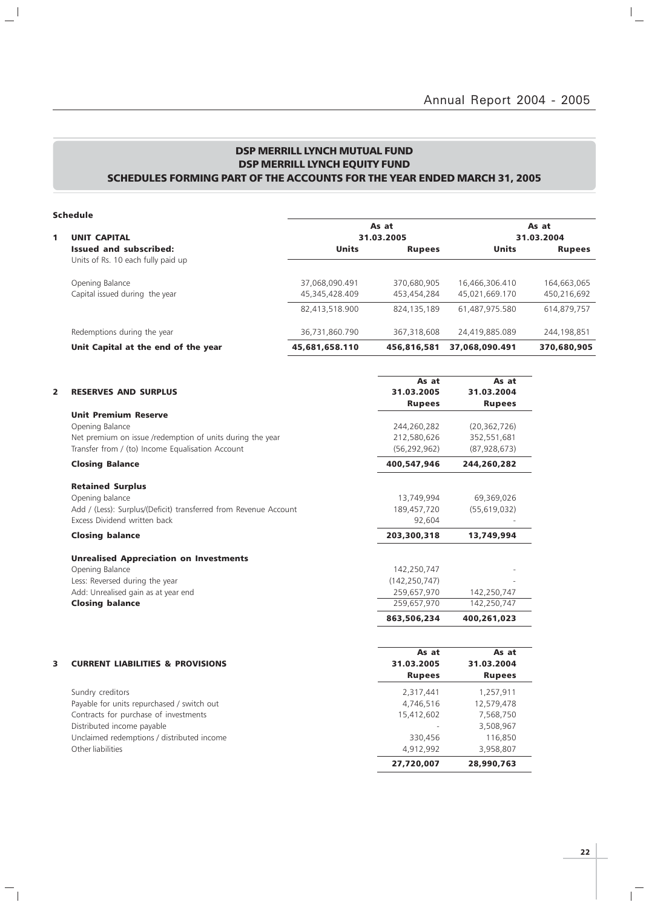## DSP MERRILL LYNCH MUTUAL FUND DSP MERRILL LYNCH EQUITY FUND SCHEDULES FORMING PART OF THE ACCOUNTS FOR THE YEAR ENDED MARCH 31, 2005

## Schedule

 $\mathbb{L}^{\mathbb{I}}$ 

 $\overline{\phantom{a}}_1$ 

|                                     |                | As at         |                | As at         |
|-------------------------------------|----------------|---------------|----------------|---------------|
| <b>UNIT CAPITAL</b>                 |                | 31.03.2005    |                | 31.03.2004    |
| <b>Issued and subscribed:</b>       | Units          | <b>Rupees</b> | Units          | <b>Rupees</b> |
| Units of Rs. 10 each fully paid up  |                |               |                |               |
| Opening Balance                     | 37,068,090.491 | 370,680,905   | 16,466,306.410 | 164,663,065   |
| Capital issued during the year      | 45,345,428.409 | 453,454,284   | 45,021,669.170 | 450,216,692   |
|                                     | 82,413,518.900 | 824,135,189   | 61,487,975.580 | 614,879,757   |
| Redemptions during the year         | 36,731,860.790 | 367,318,608   | 24,419,885.089 | 244,198,851   |
| Unit Capital at the end of the year | 45,681,658.110 | 456,816,581   | 37,068,090.491 | 370,680,905   |

|   |                                                                  | As at           | As at          |  |
|---|------------------------------------------------------------------|-----------------|----------------|--|
| 2 | <b>RESERVES AND SURPLUS</b>                                      | 31.03.2005      | 31.03.2004     |  |
|   |                                                                  | <b>Rupees</b>   | <b>Rupees</b>  |  |
|   | <b>Unit Premium Reserve</b>                                      |                 |                |  |
|   | Opening Balance                                                  | 244,260,282     | (20, 362, 726) |  |
|   | Net premium on issue /redemption of units during the year        | 212,580,626     | 352,551,681    |  |
|   | Transfer from / (to) Income Equalisation Account                 | (56, 292, 962)  | (87, 928, 673) |  |
|   | <b>Closing Balance</b>                                           | 400,547,946     | 244,260,282    |  |
|   | <b>Retained Surplus</b>                                          |                 |                |  |
|   | Opening balance                                                  | 13,749,994      | 69,369,026     |  |
|   | Add / (Less): Surplus/(Deficit) transferred from Revenue Account | 189,457,720     | (55,619,032)   |  |
|   | Excess Dividend written back                                     | 92,604          |                |  |
|   | <b>Closing balance</b>                                           | 203,300,318     | 13,749,994     |  |
|   | <b>Unrealised Appreciation on Investments</b>                    |                 |                |  |
|   | Opening Balance                                                  | 142,250,747     |                |  |
|   | Less: Reversed during the year                                   | (142, 250, 747) |                |  |
|   | Add: Unrealised gain as at year end                              | 259,657,970     | 142,250,747    |  |
|   | <b>Closing balance</b>                                           | 259.657.970     | 142,250,747    |  |
|   |                                                                  | 863,506,234     | 400,261,023    |  |
|   |                                                                  |                 |                |  |
|   |                                                                  | As at           | As at          |  |
| 3 | <b>CURRENT LIABILITIES &amp; PROVISIONS</b>                      | 31.03.2005      | 31.03.2004     |  |
|   |                                                                  | <b>Rupees</b>   | <b>Rupees</b>  |  |
|   | Sundry creditors                                                 | 2,317,441       | 1,257,911      |  |
|   | Payable for units repurchased / switch out                       | 4,746,516       | 12,579,478     |  |
|   | Contracts for purchase of investments                            | 15,412,602      | 7,568,750      |  |
|   | Distributed income payable                                       |                 | 3,508,967      |  |
|   | Unclaimed redemptions / distributed income                       | 330,456         | 116,850        |  |
|   | Other liabilities                                                | 4,912,992       | 3,958,807      |  |
|   |                                                                  | 27,720,007      | 28,990,763     |  |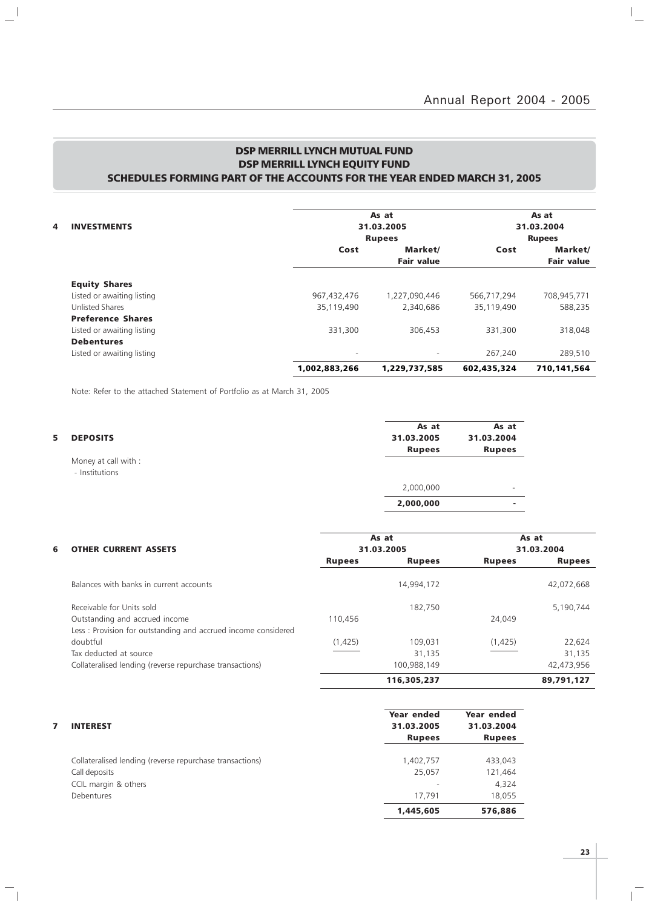## DSP MERRILL LYNCH MUTUAL FUND DSP MERRILL LYNCH EQUITY FUND SCHEDULES FORMING PART OF THE ACCOUNTS FOR THE YEAR ENDED MARCH 31, 2005

|   |                            |                          | As at                    |             | As at             |
|---|----------------------------|--------------------------|--------------------------|-------------|-------------------|
| 4 | <b>INVESTMENTS</b>         |                          | 31.03.2005               |             | 31.03.2004        |
|   |                            |                          | <b>Rupees</b>            |             | <b>Rupees</b>     |
|   |                            | Cost                     | Market/                  | Cost        | Market/           |
|   |                            |                          | <b>Fair value</b>        |             | <b>Fair value</b> |
|   | <b>Equity Shares</b>       |                          |                          |             |                   |
|   | Listed or awaiting listing | 967,432,476              | 1,227,090,446            | 566,717,294 | 708,945,771       |
|   | <b>Unlisted Shares</b>     | 35,119,490               | 2,340,686                | 35,119,490  | 588,235           |
|   | <b>Preference Shares</b>   |                          |                          |             |                   |
|   | Listed or awaiting listing | 331,300                  | 306,453                  | 331,300     | 318,048           |
|   | <b>Debentures</b>          |                          |                          |             |                   |
|   | Listed or awaiting listing | $\overline{\phantom{a}}$ | $\overline{\phantom{a}}$ | 267.240     | 289,510           |
|   |                            | 1,002,883,266            | 1,229,737,585            | 602,435,324 | 710,141,564       |

Note: Refer to the attached Statement of Portfolio as at March 31, 2005

 $\frac{1}{2}$ 

 $\overline{\phantom{a}}_1$ 

| 5.<br><b>DEPOSITS</b>                  | As at<br>31.03.2005<br><b>Rupees</b> | As at<br>31.03.2004<br><b>Rupees</b> |
|----------------------------------------|--------------------------------------|--------------------------------------|
| Money at call with :<br>- Institutions |                                      |                                      |
|                                        | 2,000,000                            | -                                    |
|                                        | 2,000,000                            |                                      |

| 6 | <b>OTHER CURRENT ASSETS</b>                                   |               | As at<br>31.03.2005 |               | As at<br>31.03.2004 |
|---|---------------------------------------------------------------|---------------|---------------------|---------------|---------------------|
|   |                                                               | <b>Rupees</b> | <b>Rupees</b>       | <b>Rupees</b> | <b>Rupees</b>       |
|   | Balances with banks in current accounts                       |               | 14,994,172          |               | 42,072,668          |
|   | Receivable for Units sold                                     |               | 182.750             |               | 5,190,744           |
|   | Outstanding and accrued income                                | 110,456       |                     | 24,049        |                     |
|   | Less: Provision for outstanding and accrued income considered |               |                     |               |                     |
|   | doubtful                                                      | (1,425)       | 109.031             | (1,425)       | 22,624              |
|   | Tax deducted at source                                        |               | 31.135              |               | 31,135              |
|   | Collateralised lending (reverse repurchase transactions)      |               | 100,988,149         |               | 42,473,956          |
|   |                                                               |               | 116,305,237         |               | 89,791,127          |

| Year ended<br>31.03.2005<br><b>Rupees</b> | Year ended<br>31.03.2004<br><b>Rupees</b> |
|-------------------------------------------|-------------------------------------------|
| 1,402,757                                 | 433,043                                   |
| 25,057                                    | 121,464                                   |
| $\qquad \qquad$                           | 4,324                                     |
| 17.791                                    | 18,055                                    |
| 1,445,605                                 | 576,886                                   |
|                                           |                                           |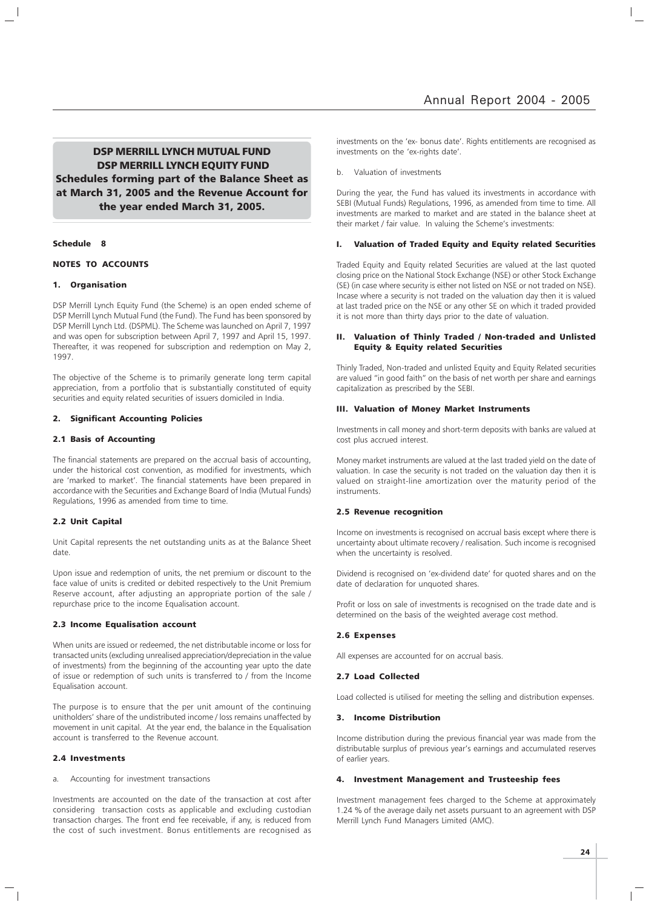DSP MERRILL LYNCH MUTUAL FUND DSP MERRILL LYNCH EQUITY FUND Schedules forming part of the Balance Sheet as at March 31, 2005 and the Revenue Account for the year ended March 31, 2005.

## Schedule 8

## NOTES TO ACCOUNTS

## 1. Organisation

DSP Merrill Lynch Equity Fund (the Scheme) is an open ended scheme of DSP Merrill Lynch Mutual Fund (the Fund). The Fund has been sponsored by DSP Merrill Lynch Ltd. (DSPML). The Scheme was launched on April 7, 1997 and was open for subscription between April 7, 1997 and April 15, 1997. Thereafter, it was reopened for subscription and redemption on May 2, 1997.

The objective of the Scheme is to primarily generate long term capital appreciation, from a portfolio that is substantially constituted of equity securities and equity related securities of issuers domiciled in India.

#### 2. Significant Accounting Policies

## 2.1 Basis of Accounting

The financial statements are prepared on the accrual basis of accounting, under the historical cost convention, as modified for investments, which are 'marked to market'. The financial statements have been prepared in accordance with the Securities and Exchange Board of India (Mutual Funds) Regulations, 1996 as amended from time to time.

## 2.2 Unit Capital

Unit Capital represents the net outstanding units as at the Balance Sheet date.

Upon issue and redemption of units, the net premium or discount to the face value of units is credited or debited respectively to the Unit Premium Reserve account, after adjusting an appropriate portion of the sale / repurchase price to the income Equalisation account.

## 2.3 Income Equalisation account

When units are issued or redeemed, the net distributable income or loss for transacted units (excluding unrealised appreciation/depreciation in the value of investments) from the beginning of the accounting year upto the date of issue or redemption of such units is transferred to / from the Income Equalisation account.

The purpose is to ensure that the per unit amount of the continuing unitholders' share of the undistributed income / loss remains unaffected by movement in unit capital. At the year end, the balance in the Equalisation account is transferred to the Revenue account.

## 2.4 Investments

a. Accounting for investment transactions

Investments are accounted on the date of the transaction at cost after considering transaction costs as applicable and excluding custodian transaction charges. The front end fee receivable, if any, is reduced from the cost of such investment. Bonus entitlements are recognised as

investments on the 'ex- bonus date'. Rights entitlements are recognised as investments on the 'ex-rights date'.

Valuation of investments

During the year, the Fund has valued its investments in accordance with SEBI (Mutual Funds) Regulations, 1996, as amended from time to time. All investments are marked to market and are stated in the balance sheet at their market / fair value. In valuing the Scheme's investments:

## I. Valuation of Traded Equity and Equity related Securities

Traded Equity and Equity related Securities are valued at the last quoted closing price on the National Stock Exchange (NSE) or other Stock Exchange (SE) (in case where security is either not listed on NSE or not traded on NSE). Incase where a security is not traded on the valuation day then it is valued at last traded price on the NSE or any other SE on which it traded provided it is not more than thirty days prior to the date of valuation.

## II. Valuation of Thinly Traded / Non-traded and Unlisted Equity & Equity related Securities

Thinly Traded, Non-traded and unlisted Equity and Equity Related securities are valued "in good faith" on the basis of net worth per share and earnings capitalization as prescribed by the SEBI.

#### III. Valuation of Money Market Instruments

Investments in call money and short-term deposits with banks are valued at cost plus accrued interest.

Money market instruments are valued at the last traded yield on the date of valuation. In case the security is not traded on the valuation day then it is valued on straight-line amortization over the maturity period of the instruments.

## 2.5 Revenue recognition

Income on investments is recognised on accrual basis except where there is uncertainty about ultimate recovery / realisation. Such income is recognised when the uncertainty is resolved.

Dividend is recognised on 'ex-dividend date' for quoted shares and on the date of declaration for unquoted shares.

Profit or loss on sale of investments is recognised on the trade date and is determined on the basis of the weighted average cost method.

## 2.6 Expenses

All expenses are accounted for on accrual basis.

## 2.7 Load Collected

Load collected is utilised for meeting the selling and distribution expenses.

## 3. Income Distribution

Income distribution during the previous financial year was made from the distributable surplus of previous year's earnings and accumulated reserves of earlier years.

## 4. Investment Management and Trusteeship fees

Investment management fees charged to the Scheme at approximately 1.24 % of the average daily net assets pursuant to an agreement with DSP Merrill Lynch Fund Managers Limited (AMC).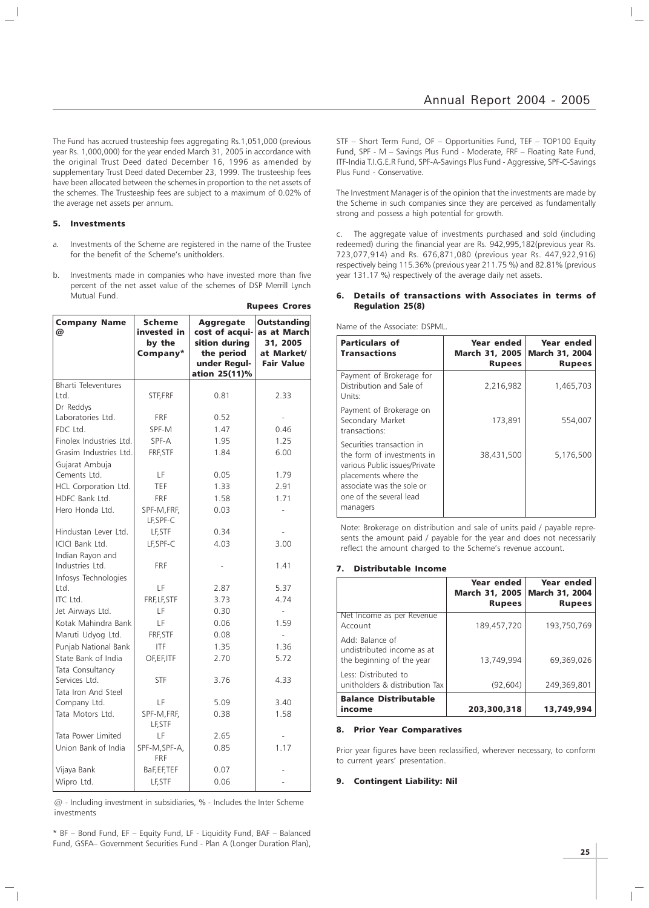The Fund has accrued trusteeship fees aggregating Rs.1,051,000 (previous year Rs. 1,000,000) for the year ended March 31, 2005 in accordance with the original Trust Deed dated December 16, 1996 as amended by supplementary Trust Deed dated December 23, 1999. The trusteeship fees have been allocated between the schemes in proportion to the net assets of the schemes. The Trusteeship fees are subject to a maximum of 0.02% of the average net assets per annum.

## 5. Investments

- a. Investments of the Scheme are registered in the name of the Trustee for the benefit of the Scheme's unitholders.
- b. Investments made in companies who have invested more than five percent of the net asset value of the schemes of DSP Merrill Lynch Mutual Fund.

|                                     |                                                    |                                                                                                    | <b>Rupees Crores</b>                                                             |
|-------------------------------------|----------------------------------------------------|----------------------------------------------------------------------------------------------------|----------------------------------------------------------------------------------|
| <b>Company Name</b><br>@            | <b>Scheme</b><br>invested in<br>by the<br>Company* | <b>Aggregate</b><br>cost of acqui-<br>sition during<br>the period<br>under Regul-<br>ation 25(11)% | <b>Outstanding</b><br>as at March<br>31, 2005<br>at Market/<br><b>Fair Value</b> |
| <b>Bharti Televentures</b>          |                                                    |                                                                                                    |                                                                                  |
| Ltd.                                | STF, FRF                                           | 0.81                                                                                               | 2.33                                                                             |
| Dr Reddys<br>Laboratories Ltd.      | <b>FRF</b>                                         | 0.52                                                                                               |                                                                                  |
| FDC Ltd.                            | SPF-M                                              | 1.47                                                                                               | 0.46                                                                             |
| Finolex Industries Ltd.             | SPF-A                                              | 1.95                                                                                               | 1.25                                                                             |
| Grasim Industries Ltd.              | FRF, STF                                           | 1.84                                                                                               | 6.00                                                                             |
| Gujarat Ambuja                      |                                                    |                                                                                                    |                                                                                  |
| Cements Ltd.                        | LF                                                 | 0.05                                                                                               | 1.79                                                                             |
| HCL Corporation Ltd.                | TEF                                                | 1.33                                                                                               | 2.91                                                                             |
| HDFC Bank Ltd.                      | <b>FRF</b>                                         | 1.58                                                                                               | 1.71                                                                             |
| Hero Honda Ltd.                     | SPF-M, FRF,<br>LF, SPF-C                           | 0.03                                                                                               |                                                                                  |
| Hindustan Lever Ltd.                | LF, STF                                            | 0.34                                                                                               |                                                                                  |
| <b>ICICI Bank Ltd.</b>              | LF, SPF-C                                          | 4.03                                                                                               | 3.00                                                                             |
| Indian Rayon and<br>Industries Ltd. | <b>FRF</b>                                         |                                                                                                    | 1.41                                                                             |
| Infosys Technologies                |                                                    |                                                                                                    |                                                                                  |
| Ltd.                                | LF                                                 | 2.87                                                                                               | 5.37                                                                             |
| ITC Ltd.                            | FRF, LF, STF                                       | 3.73                                                                                               | 4.74                                                                             |
| Jet Airways Ltd.                    | LF                                                 | 0.30                                                                                               |                                                                                  |
| Kotak Mahindra Bank                 | LF                                                 | 0.06                                                                                               | 1.59                                                                             |
| Maruti Udyog Ltd.                   | FRF, STF                                           | 0.08                                                                                               | $\overline{a}$                                                                   |
| Punjab National Bank                | <b>ITF</b>                                         | 1.35                                                                                               | 1.36                                                                             |
| State Bank of India                 | OF, EF, ITF                                        | 2.70                                                                                               | 5.72                                                                             |
| Tata Consultancy<br>Services Ltd.   | <b>STF</b>                                         | 3.76                                                                                               | 4.33                                                                             |
| Tata Iron And Steel                 |                                                    |                                                                                                    |                                                                                  |
| Company Ltd.                        | LF                                                 | 5.09                                                                                               | 3.40                                                                             |
| Tata Motors Ltd.                    | SPF-M, FRF,<br>LF, STF                             | 0.38                                                                                               | 1.58                                                                             |
| Tata Power Limited                  | LF                                                 | 2.65                                                                                               | $\overline{\phantom{a}}$                                                         |
| Union Bank of India                 | SPF-M, SPF-A,<br><b>FRF</b>                        | 0.85                                                                                               | 1.17                                                                             |
| Vijaya Bank                         | BaF,EF,TEF                                         | 0.07                                                                                               |                                                                                  |
| Wipro Ltd.                          | LF, STF                                            | 0.06                                                                                               |                                                                                  |

 $@$  - Including investment in subsidiaries, % - Includes the Inter Scheme investments

\* BF – Bond Fund, EF – Equity Fund, LF - Liquidity Fund, BAF – Balanced Fund, GSFA– Government Securities Fund - Plan A (Longer Duration Plan),

STF – Short Term Fund, OF – Opportunities Fund, TEF – TOP100 Equity Fund, SPF - M – Savings Plus Fund - Moderate, FRF – Floating Rate Fund, ITF-India T.I.G.E.R Fund, SPF-A-Savings Plus Fund - Aggressive, SPF-C-Savings Plus Fund - Conservative.

The Investment Manager is of the opinion that the investments are made by the Scheme in such companies since they are perceived as fundamentally strong and possess a high potential for growth.

c. The aggregate value of investments purchased and sold (including redeemed) during the financial year are Rs. 942,995,182(previous year Rs. 723,077,914) and Rs. 676,871,080 (previous year Rs. 447,922,916) respectively being 115.36% (previous year 211.75 %) and 82.81% (previous year 131.17 %) respectively of the average daily net assets.

## 6. Details of transactions with Associates in terms of Regulation 25(8)

Name of the Associate: DSPML.

| <b>Particulars of</b><br><b>Transactions</b>                                                                                                                                         | Year ended<br><b>March 31, 2005</b><br><b>Rupees</b> | Year ended<br><b>March 31, 2004</b><br>Rupees |
|--------------------------------------------------------------------------------------------------------------------------------------------------------------------------------------|------------------------------------------------------|-----------------------------------------------|
| Payment of Brokerage for<br>Distribution and Sale of<br>Units:                                                                                                                       | 2,216,982                                            | 1,465,703                                     |
| Payment of Brokerage on<br>Secondary Market<br>transactions:                                                                                                                         | 173,891                                              | 554,007                                       |
| Securities transaction in<br>the form of investments in<br>various Public issues/Private<br>placements where the<br>associate was the sole or<br>one of the several lead<br>managers | 38,431,500                                           | 5,176,500                                     |

Note: Brokerage on distribution and sale of units paid / payable represents the amount paid / payable for the year and does not necessarily reflect the amount charged to the Scheme's revenue account.

#### 7. Distributable Income

|                                                                            | Year ended<br><b>March 31, 2005</b><br><b>Rupees</b> | Year ended<br><b>March 31, 2004</b><br><b>Rupees</b> |
|----------------------------------------------------------------------------|------------------------------------------------------|------------------------------------------------------|
| Net Income as per Revenue<br>Account                                       | 189,457,720                                          | 193,750,769                                          |
| Add: Balance of<br>undistributed income as at<br>the beginning of the year | 13,749,994                                           | 69,369,026                                           |
| Less: Distributed to<br>unitholders & distribution Tax                     | (92, 604)                                            | 249,369,801                                          |
| <b>Balance Distributable</b><br>income                                     | 203,300,318                                          | 13,749,994                                           |

## 8. Prior Year Comparatives

Prior year figures have been reclassified, wherever necessary, to conform to current years' presentation.

## 9. Contingent Liability: Nil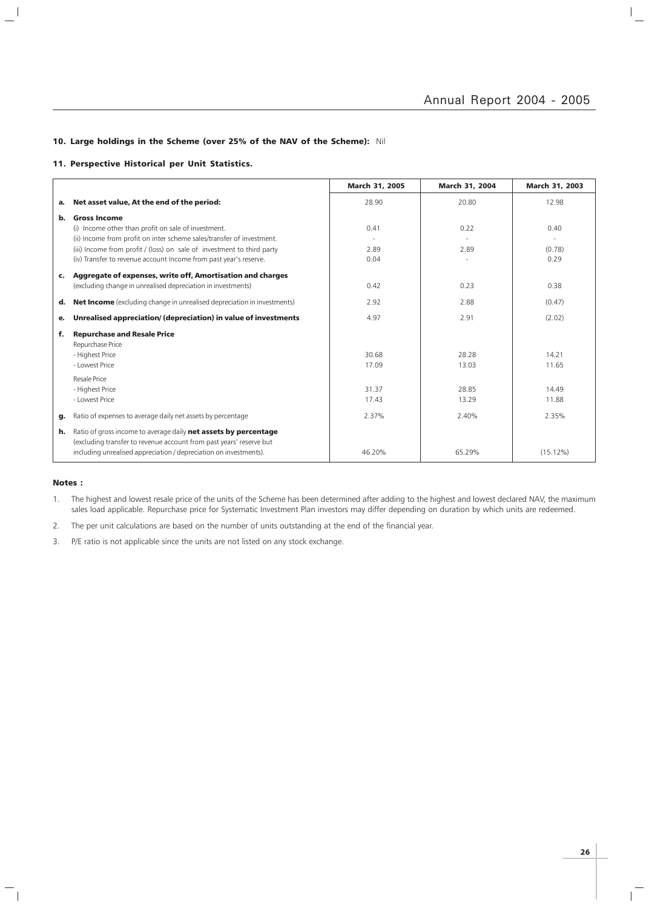$\frac{1}{\sqrt{2}}$ 

## 10. Large holdings in the Scheme (over 25% of the NAV of the Scheme): Nil

## 11. Perspective Historical per Unit Statistics.

|    |                                                                                | March 31, 2005 | March 31, 2004 | March 31, 2003 |
|----|--------------------------------------------------------------------------------|----------------|----------------|----------------|
| а. | Net asset value, At the end of the period:                                     | 28.90          | 20.80          | 12.98          |
| b. | <b>Gross Income</b>                                                            |                |                |                |
|    | (i) Income other than profit on sale of investment.                            | 0.41           | 0.22           | 0.40           |
|    | (ii) Income from profit on inter scheme sales/transfer of investment.          |                |                |                |
|    | (iii) Income from profit / (loss) on sale of investment to third party         | 2.89           | 2.89           | (0.78)         |
|    | (iv) Transfer to revenue account Income from past year's reserve.              | 0.04           |                | 0.29           |
| c. | Aggregate of expenses, write off, Amortisation and charges                     |                |                |                |
|    | (excluding change in unrealised depreciation in investments)                   | 0.42           | 0.23           | 0.38           |
| d. | <b>Net Income</b> (excluding change in unrealised depreciation in investments) | 2.92           | 2.88           | (0.47)         |
| е. | Unrealised appreciation/ (depreciation) in value of investments                | 4.97           | 2.91           | (2.02)         |
| f. | <b>Repurchase and Resale Price</b>                                             |                |                |                |
|    | Repurchase Price                                                               |                |                |                |
|    | - Highest Price<br>- Lowest Price                                              | 30.68          | 28.28          | 14.21          |
|    |                                                                                | 17.09          | 13.03          | 11.65          |
|    | Resale Price                                                                   |                |                |                |
|    | - Highest Price                                                                | 31.37          | 28.85          | 14.49          |
|    | - Lowest Price                                                                 | 17.43          | 13.29          | 11.88          |
| g. | Ratio of expenses to average daily net assets by percentage                    | 2.37%          | 2.40%          | 2.35%          |
| h. | Ratio of gross income to average daily net assets by percentage                |                |                |                |
|    | (excluding transfer to revenue account from past years' reserve but            |                |                |                |
|    | including unrealised appreciation / depreciation on investments).              | 46.20%         | 65.29%         | $(15.12\%)$    |

## Notes :

 $\mathord{\hspace{1pt}\text{--}\hspace{1pt}}_\parallel$ 

 $\overline{\phantom{a}}$  $\mathcal{L}$ 

> 1. The highest and lowest resale price of the units of the Scheme has been determined after adding to the highest and lowest declared NAV, the maximum sales load applicable. Repurchase price for Systematic Investment Plan investors may differ depending on duration by which units are redeemed.

2. The per unit calculations are based on the number of units outstanding at the end of the financial year.

3. P/E ratio is not applicable since the units are not listed on any stock exchange.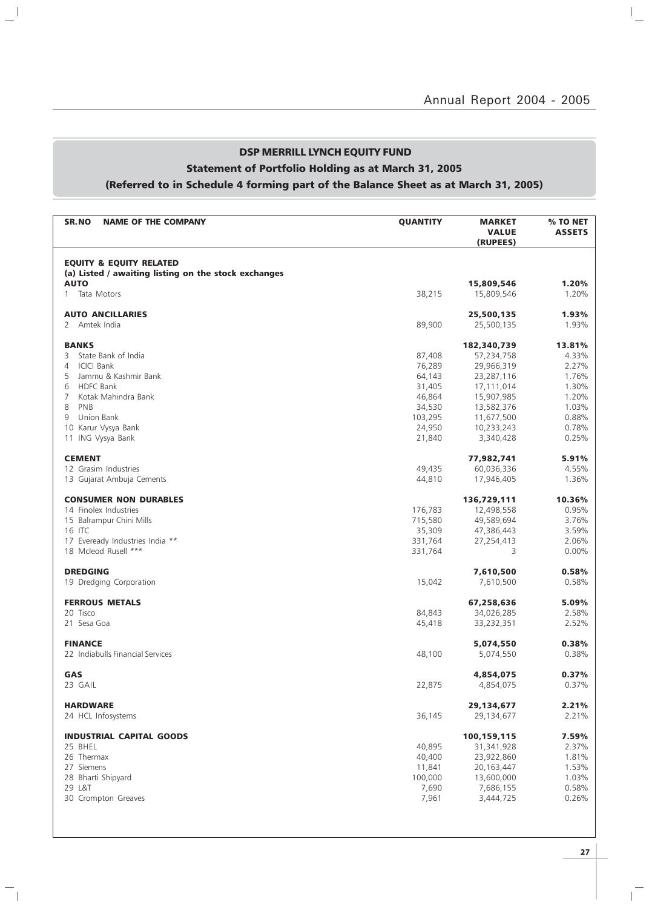## DSP MERRILL LYNCH EQUITY FUND

## Statement of Portfolio Holding as at March 31, 2005

 $\mathbf{a}^{\dagger}$ 

 $\overline{\phantom{a}}_1$ 

## (Referred to in Schedule 4 forming part of the Balance Sheet as at March 31, 2005)

| <b>SR.NO</b><br><b>NAME OF THE COMPANY</b>           | <b>QUANTITY</b> | <b>MARKET</b><br><b>VALUE</b><br>(RUPEES) | % TO NET<br><b>ASSETS</b> |
|------------------------------------------------------|-----------------|-------------------------------------------|---------------------------|
| <b>EQUITY &amp; EQUITY RELATED</b>                   |                 |                                           |                           |
| (a) Listed / awaiting listing on the stock exchanges |                 |                                           |                           |
| <b>AUTO</b>                                          |                 | 15,809,546                                | 1.20%                     |
| Tata Motors<br>$\mathbf{1}$                          | 38,215          | 15,809,546                                | 1.20%                     |
| <b>AUTO ANCILLARIES</b>                              |                 | 25,500,135                                | 1.93%                     |
| Amtek India<br>$\mathbf{2}$                          | 89,900          | 25,500,135                                | 1.93%                     |
| <b>BANKS</b>                                         |                 | 182,340,739                               | 13.81%                    |
| State Bank of India<br>3                             | 87,408          | 57,234,758                                | 4.33%                     |
| <b>ICICI Bank</b><br>4                               | 76,289          | 29,966,319                                | 2.27%                     |
| 5<br>Jammu & Kashmir Bank                            | 64,143          | 23,287,116                                | 1.76%                     |
| <b>HDFC Bank</b><br>6                                | 31,405          | 17,111,014                                | 1.30%                     |
| 7<br>Kotak Mahindra Bank                             | 46,864          | 15,907,985                                | 1.20%                     |
| 8<br>PNB                                             | 34,530          | 13,582,376                                | 1.03%                     |
| Union Bank<br>9                                      | 103,295         | 11,677,500                                | 0.88%                     |
| 10 Karur Vysya Bank                                  | 24,950          | 10,233,243                                | 0.78%                     |
| 11 ING Vysya Bank                                    | 21,840          | 3,340,428                                 | 0.25%                     |
| <b>CEMENT</b>                                        |                 | 77.982.741                                | 5.91%                     |
| 12 Grasim Industries                                 | 49,435          | 60,036,336                                | 4.55%                     |
| 13 Gujarat Ambuja Cements                            | 44,810          | 17,946,405                                | 1.36%                     |
| <b>CONSUMER NON DURABLES</b>                         |                 | 136,729,111                               | 10.36%                    |
| 14 Finolex Industries                                | 176,783         | 12,498,558                                | 0.95%                     |
| 15 Balrampur Chini Mills                             | 715,580         | 49,589,694                                | 3.76%                     |
| 16 ITC                                               | 35,309          | 47,386,443                                | 3.59%                     |
| 17 Eveready Industries India **                      | 331,764         | 27,254,413                                | 2.06%                     |
| 18 Mcleod Rusell ***                                 | 331,764         | 3                                         | $0.00\%$                  |
| <b>DREDGING</b>                                      |                 | 7,610,500                                 | 0.58%                     |
| 19 Dredging Corporation                              | 15,042          | 7,610,500                                 | 0.58%                     |
| <b>FERROUS METALS</b>                                |                 | 67,258,636                                | 5.09%                     |
| 20 Tisco                                             | 84,843          | 34,026,285                                | 2.58%                     |
| 21 Sesa Goa                                          | 45,418          | 33,232,351                                | 2.52%                     |
| <b>FINANCE</b>                                       |                 | 5,074,550                                 | 0.38%                     |
| 22 Indiabulls Financial Services                     | 48,100          | 5,074,550                                 | 0.38%                     |
| GAS                                                  |                 | 4,854,075                                 | 0.37%                     |
| 23 GAIL                                              | 22,875          | 4,854,075                                 | 0.37%                     |
|                                                      |                 |                                           |                           |
| <b>HARDWARE</b>                                      |                 | 29,134,677                                | 2.21%                     |
| 24 HCL Infosystems                                   | 36,145          | 29,134,677                                | 2.21%                     |
| <b>INDUSTRIAL CAPITAL GOODS</b>                      |                 | 100,159,115                               | 7.59%                     |
| 25 BHEL                                              | 40,895          | 31,341,928                                | 2.37%                     |
| 26 Thermax                                           | 40,400          | 23,922,860                                | 1.81%                     |
| 27 Siemens                                           | 11,841          | 20,163,447                                | 1.53%                     |
| 28 Bharti Shipyard                                   | 100,000         | 13,600,000                                | 1.03%                     |
| 29 L&T                                               | 7,690           | 7,686,155                                 | 0.58%                     |
| 30 Crompton Greaves                                  | 7,961           | 3,444,725                                 | 0.26%                     |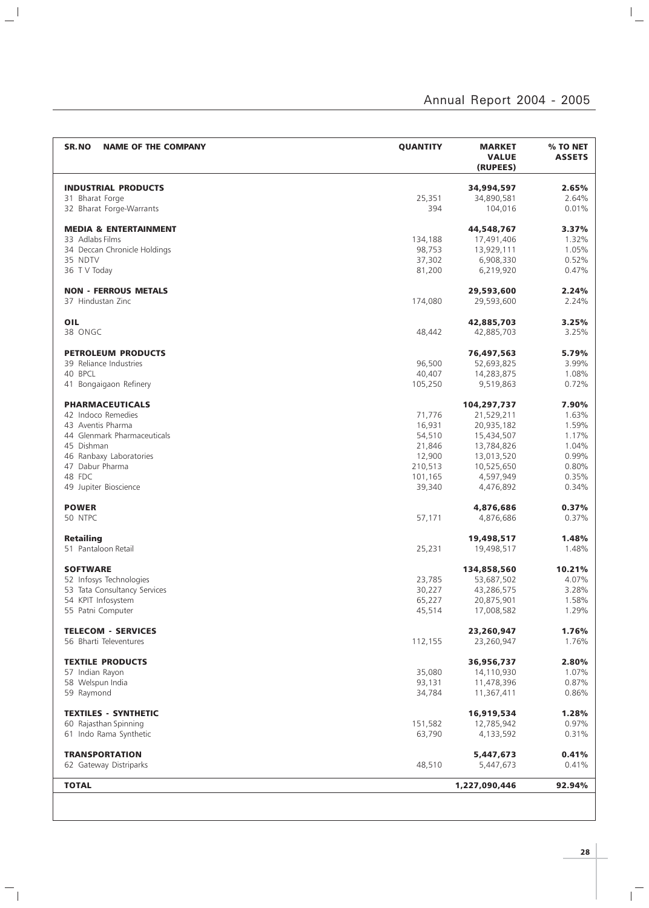| SR.NO<br><b>NAME OF THE COMPANY</b>         | <b>QUANTITY</b>   | <b>MARKET</b><br><b>VALUE</b><br>(RUPEES) | % TO NET<br><b>ASSETS</b> |
|---------------------------------------------|-------------------|-------------------------------------------|---------------------------|
| <b>INDUSTRIAL PRODUCTS</b>                  |                   | 34,994,597                                | 2.65%                     |
|                                             | 25,351            | 34,890,581                                | 2.64%                     |
| 31 Bharat Forge<br>32 Bharat Forge-Warrants | 394               | 104,016                                   | 0.01%                     |
| <b>MEDIA &amp; ENTERTAINMENT</b>            |                   | 44,548,767                                | 3.37%                     |
| 33 Adlabs Films                             |                   |                                           | 1.32%                     |
| 34 Deccan Chronicle Holdings                | 134,188<br>98,753 | 17,491,406<br>13,929,111                  | 1.05%                     |
| 35 NDTV                                     | 37,302            | 6,908,330                                 | 0.52%                     |
| 36 T V Today                                | 81,200            | 6,219,920                                 | 0.47%                     |
| <b>NON - FERROUS METALS</b>                 |                   | 29,593,600                                | 2.24%                     |
| 37 Hindustan Zinc                           | 174,080           | 29,593,600                                | 2.24%                     |
| OIL                                         |                   | 42,885,703                                | 3.25%                     |
| 38 ONGC                                     | 48,442            | 42,885,703                                | 3.25%                     |
|                                             |                   |                                           |                           |
| <b>PETROLEUM PRODUCTS</b>                   |                   | 76,497,563                                | 5.79%                     |
| 39 Reliance Industries                      | 96,500            | 52,693,825                                | 3.99%                     |
| 40 BPCL                                     | 40,407            | 14,283,875                                | 1.08%                     |
| 41 Bongaigaon Refinery                      | 105,250           | 9,519,863                                 | 0.72%                     |
| <b>PHARMACEUTICALS</b>                      |                   | 104,297,737                               | 7.90%                     |
| 42 Indoco Remedies                          | 71,776            | 21,529,211                                | 1.63%                     |
| 43 Aventis Pharma                           | 16,931            | 20,935,182                                | 1.59%                     |
| 44 Glenmark Pharmaceuticals                 | 54,510            | 15,434,507                                | 1.17%                     |
| 45 Dishman                                  | 21,846            | 13,784,826                                | 1.04%                     |
| 46 Ranbaxy Laboratories                     | 12,900            | 13,013,520                                | 0.99%                     |
| 47 Dabur Pharma                             | 210,513           | 10,525,650                                | 0.80%                     |
| 48 FDC<br>49 Jupiter Bioscience             | 101,165<br>39,340 | 4,597,949<br>4,476,892                    | 0.35%<br>0.34%            |
|                                             |                   |                                           |                           |
| <b>POWER</b><br>50 NTPC                     | 57,171            | 4,876,686<br>4,876,686                    | 0.37%<br>0.37%            |
| <b>Retailing</b>                            |                   | 19,498,517                                | 1.48%                     |
| 51 Pantaloon Retail                         | 25,231            | 19,498,517                                | 1.48%                     |
| <b>SOFTWARE</b>                             |                   | 134,858,560                               | 10.21%                    |
| 52 Infosys Technologies                     | 23,785            | 53,687,502                                | 4.07%                     |
| 53 Tata Consultancy Services                | 30,227            | 43,286,575                                | 3.28%                     |
| 54 KPIT Infosystem                          | 65,227            | 20,875,901                                | 1.58%                     |
| 55 Patni Computer                           | 45,514            | 17,008,582                                | 1.29%                     |
| <b>TELECOM - SERVICES</b>                   |                   | 23,260,947                                | 1.76%                     |
| 56 Bharti Televentures                      | 112,155           | 23,260,947                                | 1.76%                     |
| <b>TEXTILE PRODUCTS</b>                     |                   | 36,956,737                                | 2.80%                     |
| 57 Indian Rayon                             | 35,080            | 14,110,930                                | 1.07%                     |
| 58 Welspun India                            | 93,131            | 11,478,396                                | 0.87%                     |
| 59 Raymond                                  | 34,784            | 11,367,411                                | 0.86%                     |
| <b>TEXTILES - SYNTHETIC</b>                 |                   | 16,919,534                                | 1.28%                     |
| 60 Rajasthan Spinning                       | 151,582           | 12,785,942                                | 0.97%                     |
| 61 Indo Rama Synthetic                      | 63,790            | 4,133,592                                 | 0.31%                     |
| <b>TRANSPORTATION</b>                       |                   | 5,447,673                                 | 0.41%                     |
| 62 Gateway Distriparks                      | 48,510            | 5,447,673                                 | 0.41%                     |
| <b>TOTAL</b>                                |                   | 1,227,090,446                             | 92.94%                    |
|                                             |                   |                                           |                           |

 $\Box$ 

 $\frac{1}{\sqrt{2}}$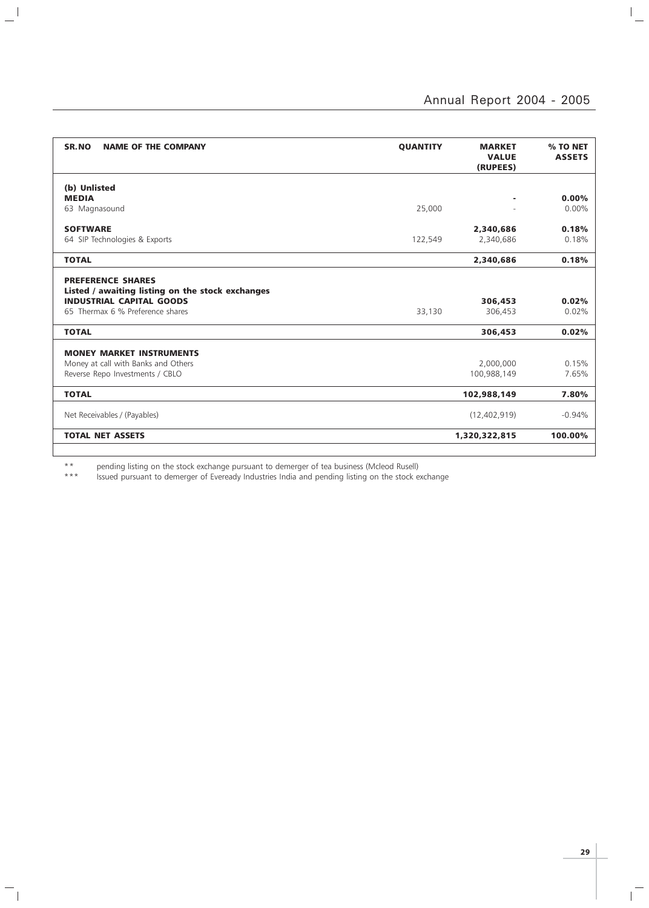$\overline{a}$ 

| (b) Unlisted<br><b>MEDIA</b><br>٠<br>25,000<br>63 Magnasound<br><b>SOFTWARE</b><br>2,340,686<br>2,340,686<br>64 SIP Technologies & Exports<br>122,549<br><b>TOTAL</b><br>2,340,686<br><b>PREFERENCE SHARES</b><br>Listed / awaiting listing on the stock exchanges<br><b>INDUSTRIAL CAPITAL GOODS</b><br>306,453<br>65 Thermax 6 % Preference shares<br>306,453<br>33,130<br><b>TOTAL</b><br>306,453<br><b>MONEY MARKET INSTRUMENTS</b><br>Money at call with Banks and Others<br>2,000,000<br>Reverse Repo Investments / CBLO<br>100,988,149<br><b>TOTAL</b><br>102,988,149<br>Net Receivables / (Payables)<br>(12,402,919) | SR.NO<br><b>NAME OF THE COMPANY</b> | <b>QUANTITY</b> | <b>MARKET</b><br><b>VALUE</b><br>(RUPEES) | % TO NET<br><b>ASSETS</b> |
|------------------------------------------------------------------------------------------------------------------------------------------------------------------------------------------------------------------------------------------------------------------------------------------------------------------------------------------------------------------------------------------------------------------------------------------------------------------------------------------------------------------------------------------------------------------------------------------------------------------------------|-------------------------------------|-----------------|-------------------------------------------|---------------------------|
|                                                                                                                                                                                                                                                                                                                                                                                                                                                                                                                                                                                                                              |                                     |                 |                                           |                           |
|                                                                                                                                                                                                                                                                                                                                                                                                                                                                                                                                                                                                                              |                                     |                 |                                           | 0.00%                     |
|                                                                                                                                                                                                                                                                                                                                                                                                                                                                                                                                                                                                                              |                                     |                 |                                           | $0.00\%$                  |
|                                                                                                                                                                                                                                                                                                                                                                                                                                                                                                                                                                                                                              |                                     |                 |                                           | 0.18%                     |
|                                                                                                                                                                                                                                                                                                                                                                                                                                                                                                                                                                                                                              |                                     |                 |                                           | 0.18%                     |
|                                                                                                                                                                                                                                                                                                                                                                                                                                                                                                                                                                                                                              |                                     |                 |                                           | 0.18%                     |
|                                                                                                                                                                                                                                                                                                                                                                                                                                                                                                                                                                                                                              |                                     |                 |                                           | 0.02%<br>0.02%            |
|                                                                                                                                                                                                                                                                                                                                                                                                                                                                                                                                                                                                                              |                                     |                 |                                           | 0.02%                     |
|                                                                                                                                                                                                                                                                                                                                                                                                                                                                                                                                                                                                                              |                                     |                 |                                           |                           |
|                                                                                                                                                                                                                                                                                                                                                                                                                                                                                                                                                                                                                              |                                     |                 |                                           | 0.15%                     |
|                                                                                                                                                                                                                                                                                                                                                                                                                                                                                                                                                                                                                              |                                     |                 |                                           | 7.65%                     |
|                                                                                                                                                                                                                                                                                                                                                                                                                                                                                                                                                                                                                              |                                     |                 |                                           | 7.80%                     |
|                                                                                                                                                                                                                                                                                                                                                                                                                                                                                                                                                                                                                              |                                     |                 |                                           | $-0.94%$                  |
| <b>TOTAL NET ASSETS</b><br>1,320,322,815                                                                                                                                                                                                                                                                                                                                                                                                                                                                                                                                                                                     |                                     |                 |                                           | 100.00%                   |

\*\* pending listing on the stock exchange pursuant to demerger of tea business (Mcleod Rusell)

 $\mathbb{R}^{\mathbb{N}}$ 

 $\mathord{\hspace{1pt}\text{--}\hspace{1pt}}_\mathbb{L}$ 

\*\*\* Issued pursuant to demerger of Eveready Industries India and pending listing on the stock exchange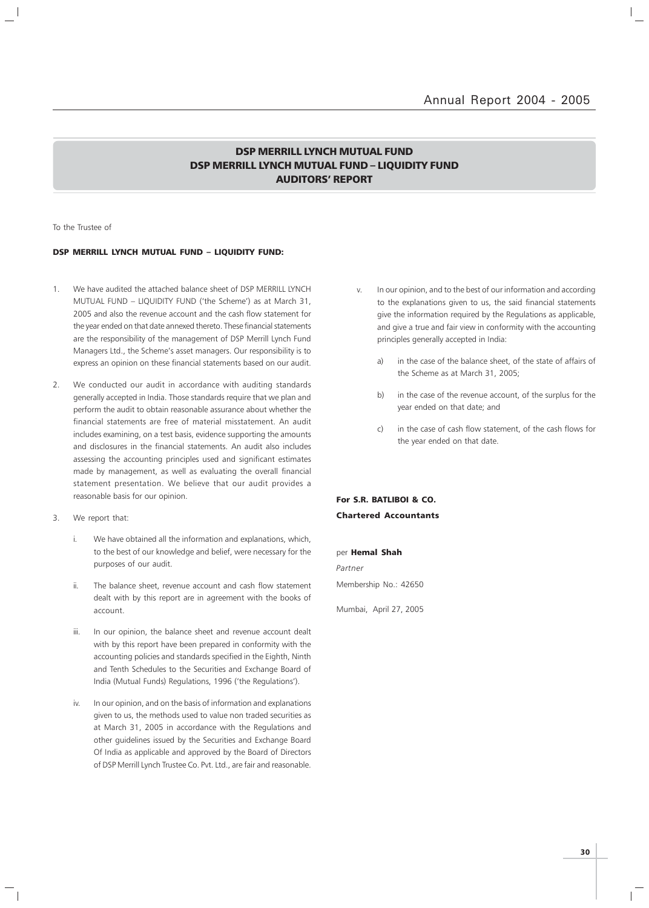## DSP MERRILL LYNCH MUTUAL FUND DSP MERRILL LYNCH MUTUAL FUND – LIQUIDITY FUND AUDITORS' REPORT

To the Trustee of

## DSP MERRILL LYNCH MUTUAL FUND – LIQUIDITY FUND:

- 1. We have audited the attached balance sheet of DSP MERRILL LYNCH MUTUAL FUND – LIQUIDITY FUND ('the Scheme') as at March 31, 2005 and also the revenue account and the cash flow statement for the year ended on that date annexed thereto. These financial statements are the responsibility of the management of DSP Merrill Lynch Fund Managers Ltd., the Scheme's asset managers. Our responsibility is to express an opinion on these financial statements based on our audit.
- 2. We conducted our audit in accordance with auditing standards generally accepted in India. Those standards require that we plan and perform the audit to obtain reasonable assurance about whether the financial statements are free of material misstatement. An audit includes examining, on a test basis, evidence supporting the amounts and disclosures in the financial statements. An audit also includes assessing the accounting principles used and significant estimates made by management, as well as evaluating the overall financial statement presentation. We believe that our audit provides a reasonable basis for our opinion.
- 3. We report that:
	- i. We have obtained all the information and explanations, which, to the best of our knowledge and belief, were necessary for the purposes of our audit.
	- ii. The balance sheet, revenue account and cash flow statement dealt with by this report are in agreement with the books of account.
	- iii. In our opinion, the balance sheet and revenue account dealt with by this report have been prepared in conformity with the accounting policies and standards specified in the Eighth, Ninth and Tenth Schedules to the Securities and Exchange Board of India (Mutual Funds) Regulations, 1996 ('the Regulations').
	- iv. In our opinion, and on the basis of information and explanations given to us, the methods used to value non traded securities as at March 31, 2005 in accordance with the Regulations and other guidelines issued by the Securities and Exchange Board Of India as applicable and approved by the Board of Directors of DSP Merrill Lynch Trustee Co. Pvt. Ltd., are fair and reasonable.
- v. In our opinion, and to the best of our information and according to the explanations given to us, the said financial statements give the information required by the Regulations as applicable, and give a true and fair view in conformity with the accounting principles generally accepted in India:
	- a) in the case of the balance sheet, of the state of affairs of the Scheme as at March 31, 2005;
	- b) in the case of the revenue account, of the surplus for the year ended on that date; and
	- c) in the case of cash flow statement, of the cash flows for the year ended on that date.

## For S.R. BATLIBOI & CO. Chartered Accountants

per Hemal Shah

Partner Membership No.: 42650

Mumbai, April 27, 2005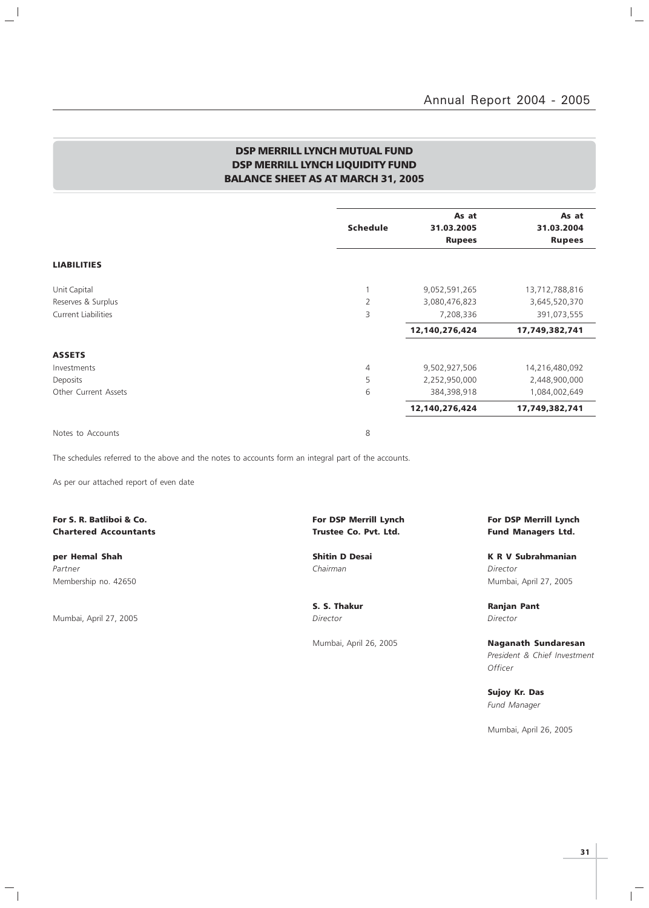$\vert$ 

## DSP MERRILL LYNCH MUTUAL FUND DSP MERRILL LYNCH LIQUIDITY FUND BALANCE SHEET AS AT MARCH 31, 2005

|                            |                 | As at          | As at          |
|----------------------------|-----------------|----------------|----------------|
|                            | <b>Schedule</b> | 31.03.2005     | 31.03.2004     |
|                            |                 | <b>Rupees</b>  | <b>Rupees</b>  |
| <b>LIABILITIES</b>         |                 |                |                |
| Unit Capital               |                 | 9,052,591,265  | 13,712,788,816 |
| Reserves & Surplus         | $\overline{2}$  | 3,080,476,823  | 3,645,520,370  |
| <b>Current Liabilities</b> | 3               | 7,208,336      | 391,073,555    |
|                            |                 | 12,140,276,424 | 17,749,382,741 |
| <b>ASSETS</b>              |                 |                |                |
| Investments                | 4               | 9,502,927,506  | 14,216,480,092 |
| Deposits                   | 5               | 2,252,950,000  | 2,448,900,000  |
| Other Current Assets       | 6               | 384,398,918    | 1,084,002,649  |
|                            |                 | 12,140,276,424 | 17,749,382,741 |
| Notes to Accounts          | 8               |                |                |

The schedules referred to the above and the notes to accounts form an integral part of the accounts.

As per our attached report of even date

Chartered Accountants Trustee Co. Pvt. Ltd. Fund Managers Ltd.

Partner Chairman Director (Chairman Chairman Chairman Director Director Director Membership no. 42650 Mumbai, April 27, 2005

 $\overline{\phantom{a}}$ 

 $\mathcal{L}$ 

Mumbai, April 27, 2005 **Director** Director Director Director

 $\overline{\phantom{a}}_1$ 

For S. R. Batliboi & Co. The Superior State of Lynch For DSP Merrill Lynch For DSP Merrill Lynch For DSP Merrill Lynch

per Hemal Shah Shitin D Desai K R V Subrahmanian

S. S. Thakur **Ranjan Pant** 

Mumbai, April 26, 2005 Naganath Sundaresan President & Chief Investment **Officer** 

> Sujoy Kr. Das Fund Manager

Mumbai, April 26, 2005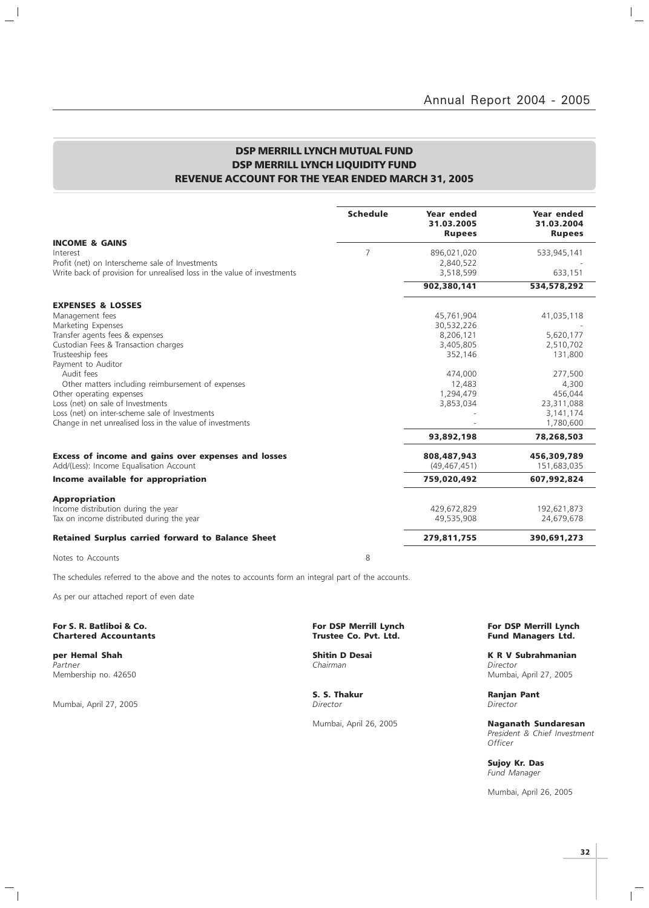$\vert$ 

 $\overline{\phantom{0}}$ 

## DSP MERRILL LYNCH MUTUAL FUND DSP MERRILL LYNCH LIQUIDITY FUND REVENUE ACCOUNT FOR THE YEAR ENDED MARCH 31, 2005

|                                                                                                                            | <b>Schedule</b> | <b>Year ended</b><br>31.03.2005<br><b>Rupees</b> | <b>Year ended</b><br>31.03.2004<br><b>Rupees</b> |
|----------------------------------------------------------------------------------------------------------------------------|-----------------|--------------------------------------------------|--------------------------------------------------|
| <b>INCOME &amp; GAINS</b>                                                                                                  |                 |                                                  |                                                  |
| Interest                                                                                                                   | 7               | 896,021,020                                      | 533,945,141                                      |
| Profit (net) on Interscheme sale of Investments<br>Write back of provision for unrealised loss in the value of investments |                 | 2,840,522<br>3,518,599                           | 633,151                                          |
|                                                                                                                            |                 |                                                  |                                                  |
|                                                                                                                            |                 | 902,380,141                                      | 534,578,292                                      |
| <b>EXPENSES &amp; LOSSES</b>                                                                                               |                 |                                                  |                                                  |
| Management fees                                                                                                            |                 | 45,761,904                                       | 41,035,118                                       |
| Marketing Expenses                                                                                                         |                 | 30,532,226                                       |                                                  |
| Transfer agents fees & expenses                                                                                            |                 | 8,206,121                                        | 5,620,177                                        |
| Custodian Fees & Transaction charges                                                                                       |                 | 3,405,805                                        | 2,510,702                                        |
| Trusteeship fees                                                                                                           |                 | 352,146                                          | 131,800                                          |
| Payment to Auditor                                                                                                         |                 |                                                  |                                                  |
| Audit fees                                                                                                                 |                 | 474,000                                          | 277,500                                          |
| Other matters including reimbursement of expenses                                                                          |                 | 12,483                                           | 4,300                                            |
| Other operating expenses                                                                                                   |                 | 1,294,479                                        | 456,044                                          |
| Loss (net) on sale of Investments                                                                                          |                 | 3,853,034                                        | 23,311,088                                       |
| Loss (net) on inter-scheme sale of Investments                                                                             |                 |                                                  | 3,141,174                                        |
| Change in net unrealised loss in the value of investments                                                                  |                 |                                                  | 1,780,600                                        |
|                                                                                                                            |                 | 93,892,198                                       | 78,268,503                                       |
| Excess of income and gains over expenses and losses                                                                        |                 | 808,487,943                                      | 456,309,789                                      |
| Add/(Less): Income Equalisation Account                                                                                    |                 | (49, 467, 451)                                   | 151,683,035                                      |
| Income available for appropriation                                                                                         |                 | 759,020,492                                      | 607,992,824                                      |
| <b>Appropriation</b>                                                                                                       |                 |                                                  |                                                  |
| Income distribution during the year                                                                                        |                 | 429,672,829                                      | 192,621,873                                      |
| Tax on income distributed during the year                                                                                  |                 | 49,535,908                                       | 24,679,678                                       |
| <b>Retained Surplus carried forward to Balance Sheet</b>                                                                   |                 | 279,811,755                                      | 390,691,273                                      |
| Notes to Accounts                                                                                                          | 8               |                                                  |                                                  |

The schedules referred to the above and the notes to accounts form an integral part of the accounts.

As per our attached report of even date

For S. R. Batliboi & Co. The S. R. Batliboi & Co. For DSP Merrill Lynch For DSP Merrill Lynch For DSP Merrill Lynch<br>Chartered Accountants Charles For DSP Merrill Lynch Fund Managers Ltd. **Chartered Accountants** 

Partner Chairman Director (Chairman Chairman Chairman Director Director Chairman Chairman Director Membership no. 42650 Mumbai, April 27, 2005

 $\overline{\phantom{a}}$ 

 $\overline{\phantom{0}}$ 

Mumbai, April 27, 2005 **Director** Director **Director** Director

 $\mathord{\hspace{1pt}\text{--}\hspace{1pt}}_\parallel$ 

**per Hemal Shah Shah Shitin D Desai K R V Subrahmanian**<br>Partner Shah Shah Shah Shah Shahman Shahman Shahmanian Shahmanian Shahmanian Shahmanian Shahmanian Shahmanian

S. S. Thakur **Ranjan Pant** 

Mumbai, April 26, 2005 Naganath Sundaresan President & Chief Investment **Officer** 

> Sujoy Kr. Das Fund Manager

Mumbai, April 26, 2005

 $\mathbb{R}$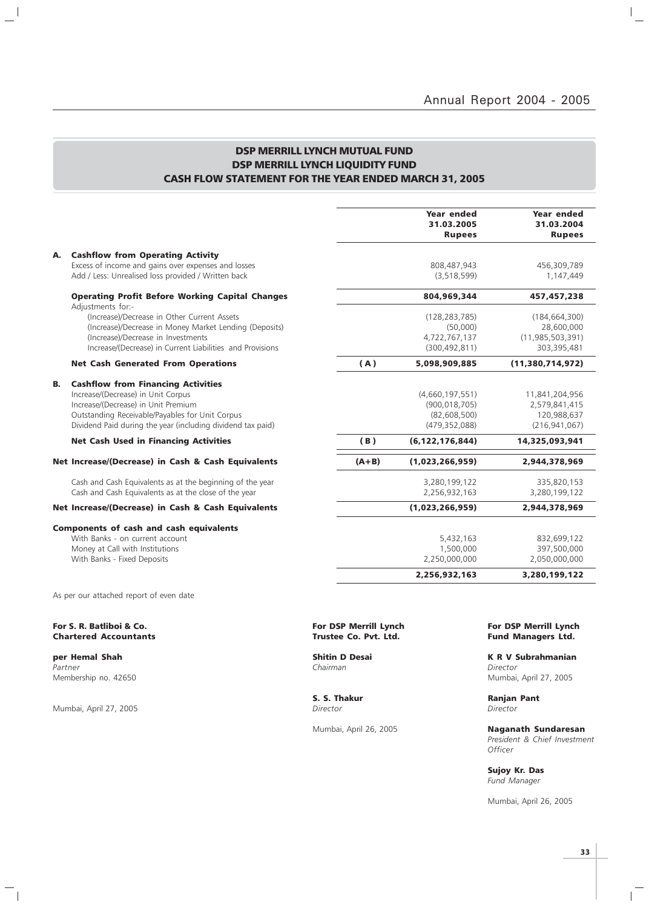$\mathbb{I}_+$ 

## DSP MERRILL LYNCH MUTUAL FUND DSP MERRILL LYNCH LIQUIDITY FUND CASH FLOW STATEMENT FOR THE YEAR ENDED MARCH 31, 2005

|    |                                                                                                                                                                                                                                          |         | Year ended<br>31.03.2005<br><b>Rupees</b>                             | Year ended<br>31.03.2004<br><b>Rupees</b>                           |
|----|------------------------------------------------------------------------------------------------------------------------------------------------------------------------------------------------------------------------------------------|---------|-----------------------------------------------------------------------|---------------------------------------------------------------------|
| А. | <b>Cashflow from Operating Activity</b><br>Excess of income and gains over expenses and losses<br>Add / Less: Unrealised loss provided / Written back                                                                                    |         | 808,487,943<br>(3, 518, 599)                                          | 456,309,789<br>1,147,449                                            |
|    | <b>Operating Profit Before Working Capital Changes</b>                                                                                                                                                                                   |         | 804,969,344                                                           | 457, 457, 238                                                       |
|    | Adjustments for:-<br>(Increase)/Decrease in Other Current Assets<br>(Increase)/Decrease in Money Market Lending (Deposits)<br>(Increase)/Decrease in Investments<br>Increase/(Decrease) in Current Liabilities and Provisions            |         | (128, 283, 785)<br>(50,000)<br>4,722,767,137<br>(300, 492, 811)       | (184, 664, 300)<br>28,600,000<br>(11, 985, 503, 391)<br>303,395,481 |
|    | <b>Net Cash Generated From Operations</b>                                                                                                                                                                                                | (A)     | 5,098,909,885                                                         | (11,380,714,972)                                                    |
| В. | <b>Cashflow from Financing Activities</b><br>Increase/(Decrease) in Unit Corpus<br>Increase/(Decrease) in Unit Premium<br>Outstanding Receivable/Payables for Unit Corpus<br>Dividend Paid during the year (including dividend tax paid) |         | (4,660,197,551)<br>(900, 018, 705)<br>(82,608,500)<br>(479, 352, 088) | 11,841,204,956<br>2,579,841,415<br>120,988,637<br>(216, 941, 067)   |
|    | <b>Net Cash Used in Financing Activities</b>                                                                                                                                                                                             | (B)     | (6, 122, 176, 844)                                                    | 14,325,093,941                                                      |
|    | Net Increase/(Decrease) in Cash & Cash Equivalents                                                                                                                                                                                       | $(A+B)$ | (1,023,266,959)                                                       | 2,944,378,969                                                       |
|    | Cash and Cash Equivalents as at the beginning of the year<br>Cash and Cash Equivalents as at the close of the year                                                                                                                       |         | 3,280,199,122<br>2,256,932,163                                        | 335,820,153<br>3,280,199,122                                        |
|    | Net Increase/(Decrease) in Cash & Cash Equivalents                                                                                                                                                                                       |         | (1,023,266,959)                                                       | 2,944,378,969                                                       |
|    | <b>Components of cash and cash equivalents</b><br>With Banks - on current account<br>Money at Call with Institutions<br>With Banks - Fixed Deposits                                                                                      |         | 5,432,163<br>1,500,000<br>2,250,000,000                               | 832,699,122<br>397,500,000<br>2,050,000,000                         |
|    |                                                                                                                                                                                                                                          |         | 2,256,932,163                                                         | 3,280,199,122                                                       |
|    | As per our attached report of even date                                                                                                                                                                                                  |         |                                                                       |                                                                     |
|    |                                                                                                                                                                                                                                          |         |                                                                       |                                                                     |

**Chartered Accountants** 

**per Hemal Shah Shitin D Desai K R V Subrahmanian**<br>Partner **K R V Subrahmanian**<br>Chairman Chairman Partner Chairman Director (Chairman Chairman Chairman Director Director Chairman Director (Chairman Director Ch Membership no. 42650 Mumbai, April 27, 2005

 $\frac{1}{2}$ 

Mumbai, April 27, 2005

 $\mathcal{L}_{\parallel}$ 

**S. S. Thakur Ranjan Pant** *Director Director* 

For S. R. Batliboi & Co. The Co. For DSP Merrill Lynch For DSP Merrill Lynch For DSP Merrill Lynch For DSP Merrill Lynch Chartered Accountants (1990) Structure Co. Pvt. Ltd. Fund Managers Ltd.

Mumbai, April 26, 2005 Naganath Sundaresan President & Chief Investment **Officer** 

> Sujoy Kr. Das Fund Manager

Mumbai, April 26, 2005

 $\mathbb{R}$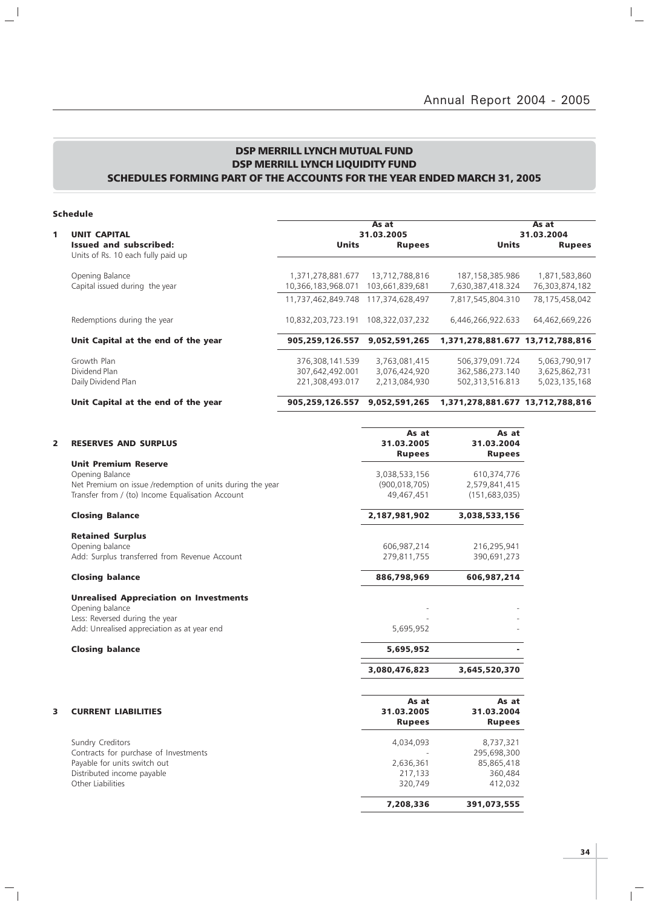## DSP MERRILL LYNCH MUTUAL FUND DSP MERRILL LYNCH LIQUIDITY FUND SCHEDULES FORMING PART OF THE ACCOUNTS FOR THE YEAR ENDED MARCH 31, 2005

## Schedule

 $\mathbf{a}^{\dagger}$ 

 $\overline{\phantom{a}}_1$ 

|                                                                     |                                    | As at                          |                                    | As at                          |
|---------------------------------------------------------------------|------------------------------------|--------------------------------|------------------------------------|--------------------------------|
| <b>UNIT CAPITAL</b>                                                 |                                    | 31.03.2005                     |                                    | 31.03.2004                     |
| <b>Issued and subscribed:</b><br>Units of Rs. 10 each fully paid up | <b>Units</b>                       | <b>Rupees</b>                  | <b>Units</b>                       | <b>Rupees</b>                  |
| Opening Balance                                                     | 1,371,278,881.677                  | 13.712.788.816                 | 187, 158, 385. 986                 | 1,871,583,860                  |
| Capital issued during the year                                      | 10,366,183,968.071                 | 103,661,839,681                | 7,630,387,418.324                  | 76,303,874,182                 |
|                                                                     | 11.737.462.849.748                 | 117.374.628.497                | 7,817,545,804.310                  | 78,175,458,042                 |
| Redemptions during the year                                         | 10,832,203,723.191                 | 108,322,037,232                | 6,446,266,922.633                  | 64,462,669,226                 |
| Unit Capital at the end of the year                                 | 905.259.126.557                    | 9,052,591,265                  | 1,371,278,881.677 13,712,788,816   |                                |
| Growth Plan<br>Dividend Plan                                        | 376,308,141.539<br>307,642,492.001 | 3,763,081,415<br>3,076,424,920 | 506,379,091.724<br>362,586,273.140 | 5,063,790,917<br>3,625,862,731 |
| Daily Dividend Plan                                                 | 221,308,493.017                    | 2,213,084,930                  | 502,313,516.813                    | 5,023,135,168                  |

## Unit Capital at the end of the year 905,259,126.557 9,052,591,265 1,371,278,881.677 13,712,788,816

| 2 | <b>RESERVES AND SURPLUS</b>                               | As at<br>31.03.2005<br><b>Rupees</b> | As at<br>31.03.2004<br><b>Rupees</b> |
|---|-----------------------------------------------------------|--------------------------------------|--------------------------------------|
|   | <b>Unit Premium Reserve</b>                               |                                      |                                      |
|   | Opening Balance                                           | 3,038,533,156                        | 610,374,776                          |
|   | Net Premium on issue /redemption of units during the year | (900, 018, 705)                      | 2,579,841,415                        |
|   | Transfer from / (to) Income Equalisation Account          | 49,467,451                           | (151, 683, 035)                      |
|   | <b>Closing Balance</b>                                    | 2,187,981,902                        | 3,038,533,156                        |
|   | <b>Retained Surplus</b>                                   |                                      |                                      |
|   | Opening balance                                           | 606,987,214                          | 216,295,941                          |
|   | Add: Surplus transferred from Revenue Account             | 279,811,755                          | 390,691,273                          |
|   | <b>Closing balance</b>                                    | 886,798,969                          | 606,987,214                          |
|   | <b>Unrealised Appreciation on Investments</b>             |                                      |                                      |
|   | Opening balance                                           |                                      |                                      |
|   | Less: Reversed during the year                            |                                      |                                      |
|   | Add: Unrealised appreciation as at year end               | 5,695,952                            |                                      |
|   | <b>Closing balance</b>                                    | 5,695,952                            |                                      |
|   |                                                           | 3,080,476,823                        | 3,645,520,370                        |
|   |                                                           | As at                                | As at                                |
| 3 | <b>CURRENT LIABILITIES</b>                                | 31.03.2005                           | 31.03.2004                           |
|   |                                                           | <b>Rupees</b>                        | <b>Rupees</b>                        |
|   | Sundry Creditors                                          | 4,034,093                            | 8,737,321                            |
|   | Contracts for purchase of Investments                     |                                      | 295,698,300                          |
|   | Payable for units switch out                              | 2,636,361                            | 85,865,418                           |
|   | Distributed income payable                                | 217,133                              | 360,484                              |
|   | Other Liabilities                                         | 320,749                              | 412,032                              |
|   |                                                           | 7,208,336                            | 391,073,555                          |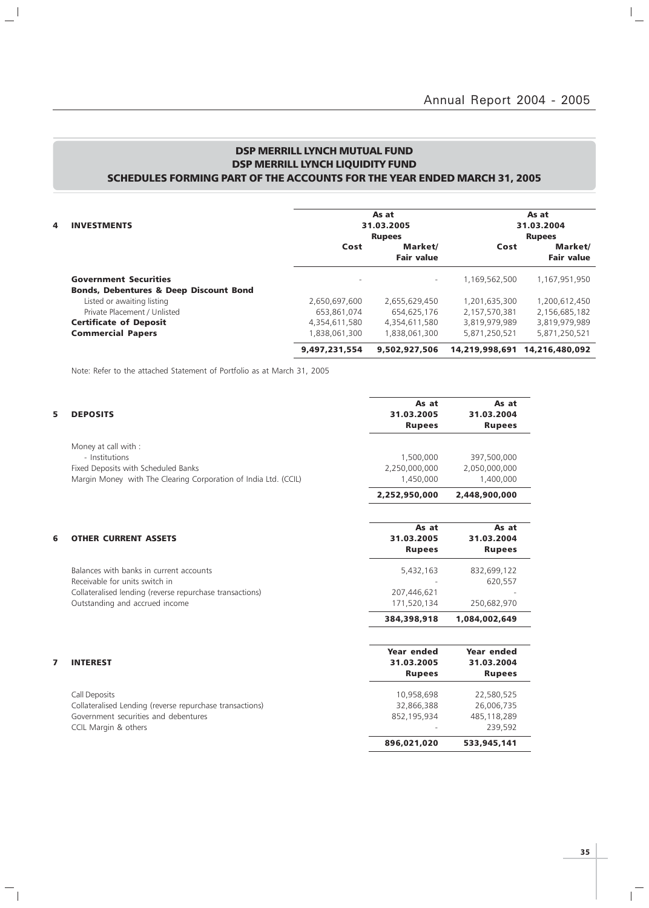$\mathbb{I}_+$ 

## DSP MERRILL LYNCH MUTUAL FUND DSP MERRILL LYNCH LIQUIDITY FUND SCHEDULES FORMING PART OF THE ACCOUNTS FOR THE YEAR ENDED MARCH 31, 2005

|   |                                                   | As at<br>31.03.2005<br><b>Rupees</b> |                          | As at<br>31.03.2004<br><b>Rupees</b> |                               |
|---|---------------------------------------------------|--------------------------------------|--------------------------|--------------------------------------|-------------------------------|
| 4 | <b>INVESTMENTS</b>                                |                                      |                          |                                      |                               |
|   |                                                   |                                      |                          |                                      |                               |
|   |                                                   | Cost                                 | Market/                  | Cost                                 | Market/                       |
|   |                                                   |                                      | <b>Fair value</b>        |                                      | <b>Fair value</b>             |
|   | <b>Government Securities</b>                      | $\overline{\phantom{a}}$             | $\overline{\phantom{0}}$ | 1,169,562,500                        | 1,167,951,950                 |
|   | <b>Bonds, Debentures &amp; Deep Discount Bond</b> |                                      |                          |                                      |                               |
|   | Listed or awaiting listing                        | 2,650,697,600                        | 2,655,629,450            | 1,201,635,300                        | 1,200,612,450                 |
|   | Private Placement / Unlisted                      | 653,861,074                          | 654,625,176              | 2,157,570,381                        | 2,156,685,182                 |
|   | <b>Certificate of Deposit</b>                     | 4.354.611.580                        | 4.354.611.580            | 3,819,979,989                        | 3,819,979,989                 |
|   | <b>Commercial Papers</b>                          | 1.838.061.300                        | 1.838.061.300            | 5,871,250,521                        | 5,871,250,521                 |
|   |                                                   | 9,497,231,554                        | 9,502,927,506            |                                      | 14.219.998.691 14.216.480.092 |

Note: Refer to the attached Statement of Portfolio as at March 31, 2005

 $\mathbf{a}^{\parallel}$ 

 $\overline{\phantom{a}}_1$ 

| 5 | <b>DEPOSITS</b>                                                 | As at<br>31.03.2005<br><b>Rupees</b> | As at<br>31.03.2004<br><b>Rupees</b> |
|---|-----------------------------------------------------------------|--------------------------------------|--------------------------------------|
|   | Money at call with :                                            |                                      |                                      |
|   | - Institutions                                                  | 1,500,000                            | 397,500,000                          |
|   | Fixed Deposits with Scheduled Banks                             | 2,250,000,000                        | 2,050,000,000                        |
|   | Margin Money with The Clearing Corporation of India Ltd. (CCIL) | 1,450,000                            | 1,400,000                            |
|   |                                                                 | 2,252,950,000                        | 2,448,900,000                        |
|   |                                                                 | As at                                |                                      |
| 6 | <b>OTHER CURRENT ASSETS</b>                                     | 31.03.2005                           | As at<br>31.03.2004                  |
|   |                                                                 | <b>Rupees</b>                        | <b>Rupees</b>                        |
|   |                                                                 |                                      |                                      |
|   | Balances with banks in current accounts                         | 5,432,163                            | 832,699,122                          |
|   | Receivable for units switch in                                  |                                      | 620,557                              |
|   | Collateralised lending (reverse repurchase transactions)        | 207,446,621                          |                                      |
|   | Outstanding and accrued income                                  | 171,520,134                          | 250,682,970                          |
|   |                                                                 | 384,398,918                          | 1,084,002,649                        |
|   |                                                                 |                                      |                                      |
|   |                                                                 | Year ended                           | Year ended                           |
| 7 | <b>INTEREST</b>                                                 | 31.03.2005                           | 31.03.2004                           |
|   |                                                                 | <b>Rupees</b>                        | <b>Rupees</b>                        |
|   | <b>Call Deposits</b>                                            | 10,958,698                           | 22,580,525                           |
|   | Collateralised Lending (reverse repurchase transactions)        | 32,866,388                           | 26,006,735                           |
|   | Government securities and debentures                            | 852,195,934                          | 485,118,289                          |
|   | CCIL Margin & others                                            |                                      | 239,592                              |
|   |                                                                 | 896,021,020                          | 533,945,141                          |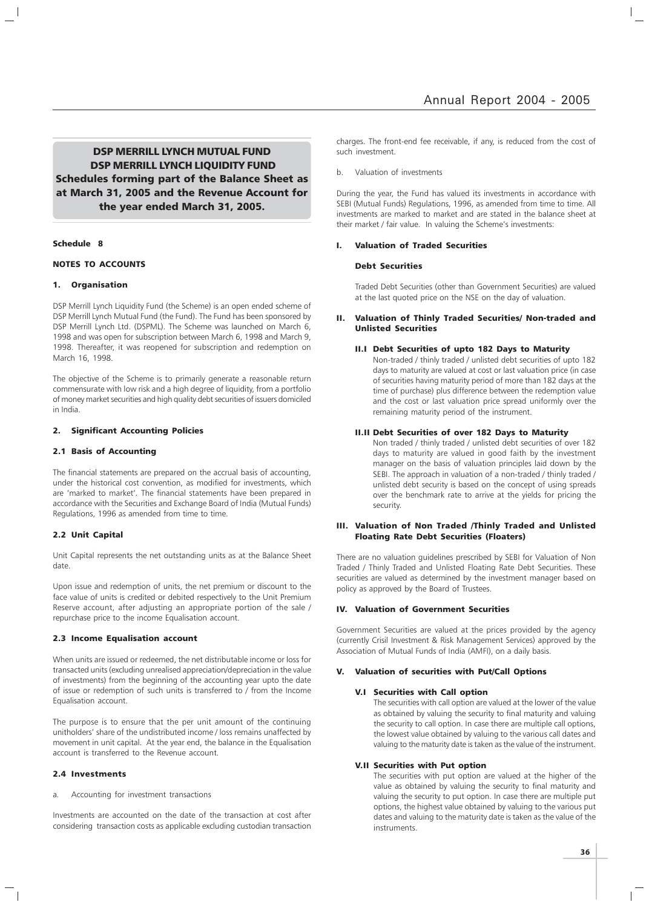DSP MERRILL LYNCH MUTUAL FUND DSP MERRILL LYNCH LIQUIDITY FUND Schedules forming part of the Balance Sheet as at March 31, 2005 and the Revenue Account for the year ended March 31, 2005.

## Schedule 8

## NOTES TO ACCOUNTS

## 1. Organisation

DSP Merrill Lynch Liquidity Fund (the Scheme) is an open ended scheme of DSP Merrill Lynch Mutual Fund (the Fund). The Fund has been sponsored by DSP Merrill Lynch Ltd. (DSPML). The Scheme was launched on March 6, 1998 and was open for subscription between March 6, 1998 and March 9, 1998. Thereafter, it was reopened for subscription and redemption on March 16, 1998.

The objective of the Scheme is to primarily generate a reasonable return commensurate with low risk and a high degree of liquidity, from a portfolio of money market securities and high quality debt securities of issuers domiciled in India.

## 2. Significant Accounting Policies

## 2.1 Basis of Accounting

The financial statements are prepared on the accrual basis of accounting, under the historical cost convention, as modified for investments, which are 'marked to market'. The financial statements have been prepared in accordance with the Securities and Exchange Board of India (Mutual Funds) Regulations, 1996 as amended from time to time.

#### 2.2 Unit Capital

Unit Capital represents the net outstanding units as at the Balance Sheet date.

Upon issue and redemption of units, the net premium or discount to the face value of units is credited or debited respectively to the Unit Premium Reserve account, after adjusting an appropriate portion of the sale / repurchase price to the income Equalisation account.

## 2.3 Income Equalisation account

When units are issued or redeemed, the net distributable income or loss for transacted units (excluding unrealised appreciation/depreciation in the value of investments) from the beginning of the accounting year upto the date of issue or redemption of such units is transferred to / from the Income Equalisation account.

The purpose is to ensure that the per unit amount of the continuing unitholders' share of the undistributed income / loss remains unaffected by movement in unit capital. At the year end, the balance in the Equalisation account is transferred to the Revenue account.

## 2.4 Investments

a. Accounting for investment transactions

Investments are accounted on the date of the transaction at cost after considering transaction costs as applicable excluding custodian transaction charges. The front-end fee receivable, if any, is reduced from the cost of such investment.

## Valuation of investments

During the year, the Fund has valued its investments in accordance with SEBI (Mutual Funds) Regulations, 1996, as amended from time to time. All investments are marked to market and are stated in the balance sheet at their market / fair value. In valuing the Scheme's investments:

## I. Valuation of Traded Securities

## Debt Securities

Traded Debt Securities (other than Government Securities) are valued at the last quoted price on the NSE on the day of valuation.

## Valuation of Thinly Traded Securities/ Non-traded and Unlisted Securities

## II.I Debt Securities of upto 182 Days to Maturity

Non-traded / thinly traded / unlisted debt securities of upto 182 days to maturity are valued at cost or last valuation price (in case of securities having maturity period of more than 182 days at the time of purchase) plus difference between the redemption value and the cost or last valuation price spread uniformly over the remaining maturity period of the instrument.

## II.II Debt Securities of over 182 Days to Maturity

Non traded / thinly traded / unlisted debt securities of over 182 days to maturity are valued in good faith by the investment manager on the basis of valuation principles laid down by the SEBI. The approach in valuation of a non-traded / thinly traded / unlisted debt security is based on the concept of using spreads over the benchmark rate to arrive at the yields for pricing the security.

## III. Valuation of Non Traded /Thinly Traded and Unlisted Floating Rate Debt Securities (Floaters)

There are no valuation guidelines prescribed by SEBI for Valuation of Non Traded / Thinly Traded and Unlisted Floating Rate Debt Securities. These securities are valued as determined by the investment manager based on policy as approved by the Board of Trustees.

## IV. Valuation of Government Securities

Government Securities are valued at the prices provided by the agency (currently Crisil Investment & Risk Management Services) approved by the Association of Mutual Funds of India (AMFI), on a daily basis.

## V. Valuation of securities with Put/Call Options

## V.I Securities with Call option

The securities with call option are valued at the lower of the value as obtained by valuing the security to final maturity and valuing the security to call option. In case there are multiple call options, the lowest value obtained by valuing to the various call dates and valuing to the maturity date is taken as the value of the instrument.

## V.II Securities with Put option

The securities with put option are valued at the higher of the value as obtained by valuing the security to final maturity and valuing the security to put option. In case there are multiple put options, the highest value obtained by valuing to the various put dates and valuing to the maturity date is taken as the value of the instruments.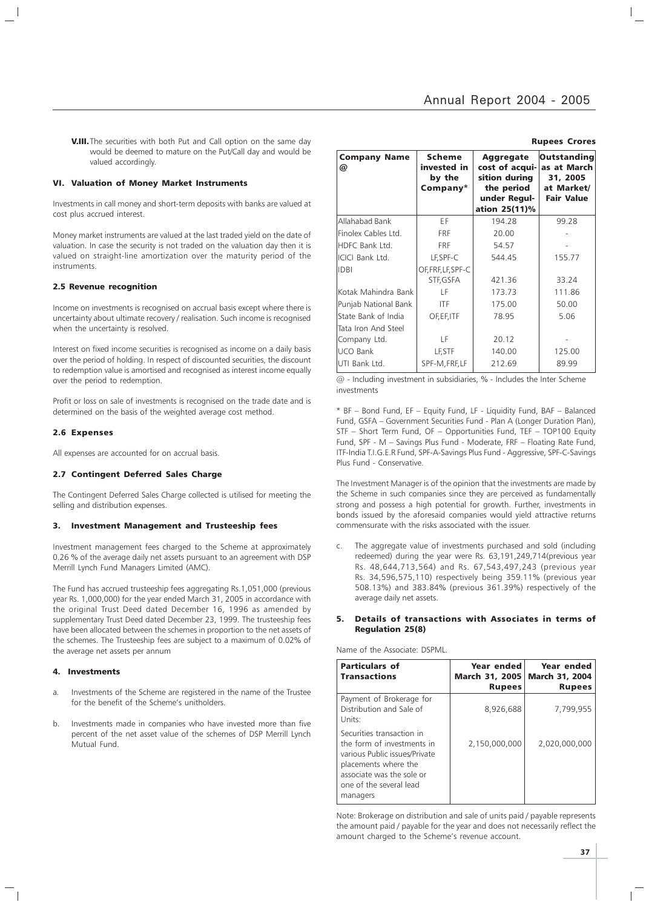**V.III.** The securities with both Put and Call option on the same day would be deemed to mature on the Put/Call day and would be valued accordingly.

#### VI. Valuation of Money Market Instruments

Investments in call money and short-term deposits with banks are valued at cost plus accrued interest.

Money market instruments are valued at the last traded yield on the date of valuation. In case the security is not traded on the valuation day then it is valued on straight-line amortization over the maturity period of the instruments.

#### 2.5 Revenue recognition

Income on investments is recognised on accrual basis except where there is uncertainty about ultimate recovery / realisation. Such income is recognised when the uncertainty is resolved.

Interest on fixed income securities is recognised as income on a daily basis over the period of holding. In respect of discounted securities, the discount to redemption value is amortised and recognised as interest income equally over the period to redemption.

Profit or loss on sale of investments is recognised on the trade date and is determined on the basis of the weighted average cost method.

#### 2.6 Expenses

All expenses are accounted for on accrual basis.

#### 2.7 Contingent Deferred Sales Charge

The Contingent Deferred Sales Charge collected is utilised for meeting the selling and distribution expenses.

#### 3. Investment Management and Trusteeship fees

Investment management fees charged to the Scheme at approximately 0.26 % of the average daily net assets pursuant to an agreement with DSP Merrill Lynch Fund Managers Limited (AMC).

The Fund has accrued trusteeship fees aggregating Rs.1,051,000 (previous year Rs. 1,000,000) for the year ended March 31, 2005 in accordance with the original Trust Deed dated December 16, 1996 as amended by supplementary Trust Deed dated December 23, 1999. The trusteeship fees have been allocated between the schemes in proportion to the net assets of the schemes. The Trusteeship fees are subject to a maximum of 0.02% of the average net assets per annum

#### 4. Investments

- Investments of the Scheme are registered in the name of the Trustee for the benefit of the Scheme's unitholders.
- b. Investments made in companies who have invested more than five percent of the net asset value of the schemes of DSP Merrill Lynch Mutual Fund.

| <b>Rupees Crores</b>     |                                                    |                                                                                                    |                                                                                  |  |  |
|--------------------------|----------------------------------------------------|----------------------------------------------------------------------------------------------------|----------------------------------------------------------------------------------|--|--|
| <b>Company Name</b><br>@ | <b>Scheme</b><br>invested in<br>by the<br>Company* | <b>Aggregate</b><br>cost of acqui-<br>sition during<br>the period<br>under Regul-<br>ation 25(11)% | <b>Outstanding</b><br>as at March<br>31, 2005<br>at Market/<br><b>Fair Value</b> |  |  |
| Allahabad Bank           | ΕF                                                 | 194.28                                                                                             | 99.28                                                                            |  |  |
| Finolex Cables Ltd.      | <b>FRF</b>                                         | 20.00                                                                                              |                                                                                  |  |  |
| HDFC Bank Ltd.           | <b>FRF</b>                                         | 54.57                                                                                              |                                                                                  |  |  |
| ICICI Bank Ltd.          | LF, SPF-C                                          | 544.45                                                                                             | 155.77                                                                           |  |  |
| <b>IDBI</b>              | OF, FRF, LF, SPF-C                                 |                                                                                                    |                                                                                  |  |  |
|                          | STF, GSFA                                          | 421.36                                                                                             | 33.24                                                                            |  |  |
| Kotak Mahindra Bank      | ΙF                                                 | 173.73                                                                                             | 111.86                                                                           |  |  |
| Punjab National Bank     | <b>ITF</b>                                         | 175.00                                                                                             | 50.00                                                                            |  |  |
| State Bank of India      | OF, EF, ITF                                        | 78.95                                                                                              | 5.06                                                                             |  |  |
| Tata Iron And Steel      |                                                    |                                                                                                    |                                                                                  |  |  |
| Company Ltd.             | LF                                                 | 20.12                                                                                              |                                                                                  |  |  |
| <b>UCO Bank</b>          | LF, STF                                            | 140.00                                                                                             | 125.00                                                                           |  |  |
| UTI Bank Ltd.            | SPF-M, FRF, LF                                     | 212.69                                                                                             | 89.99                                                                            |  |  |

 $@$  - Including investment in subsidiaries, % - Includes the Inter Scheme investments

\* BF – Bond Fund, EF – Equity Fund, LF - Liquidity Fund, BAF – Balanced Fund, GSFA – Government Securities Fund - Plan A (Longer Duration Plan), STF – Short Term Fund, OF – Opportunities Fund, TEF – TOP100 Equity Fund, SPF - M – Savings Plus Fund - Moderate, FRF – Floating Rate Fund, ITF-India T.I.G.E.R Fund, SPF-A-Savings Plus Fund - Aggressive, SPF-C-Savings Plus Fund - Conservative.

The Investment Manager is of the opinion that the investments are made by the Scheme in such companies since they are perceived as fundamentally strong and possess a high potential for growth. Further, investments in bonds issued by the aforesaid companies would yield attractive returns commensurate with the risks associated with the issuer.

c. The aggregate value of investments purchased and sold (including redeemed) during the year were Rs. 63,191,249,714(previous year Rs. 48,644,713,564) and Rs. 67,543,497,243 (previous year Rs. 34,596,575,110) respectively being 359.11% (previous year 508.13%) and 383.84% (previous 361.39%) respectively of the average daily net assets.

#### 5. Details of transactions with Associates in terms of Regulation 25(8)

Name of the Associate: DSPML.

| <b>Particulars of</b><br><b>Transactions</b>                                                                                                                                         | Year ended<br><b>March 31, 2005</b><br><b>Rupees</b> | Year ended<br>March 31, 2004<br><b>Rupees</b> |
|--------------------------------------------------------------------------------------------------------------------------------------------------------------------------------------|------------------------------------------------------|-----------------------------------------------|
| Payment of Brokerage for<br>Distribution and Sale of<br>Units:                                                                                                                       | 8,926,688                                            | 7.799.955                                     |
| Securities transaction in<br>the form of investments in<br>various Public issues/Private<br>placements where the<br>associate was the sole or<br>one of the several lead<br>managers | 2,150,000,000                                        | 2,020,000,000                                 |

Note: Brokerage on distribution and sale of units paid / payable represents the amount paid / payable for the year and does not necessarily reflect the amount charged to the Scheme's revenue account.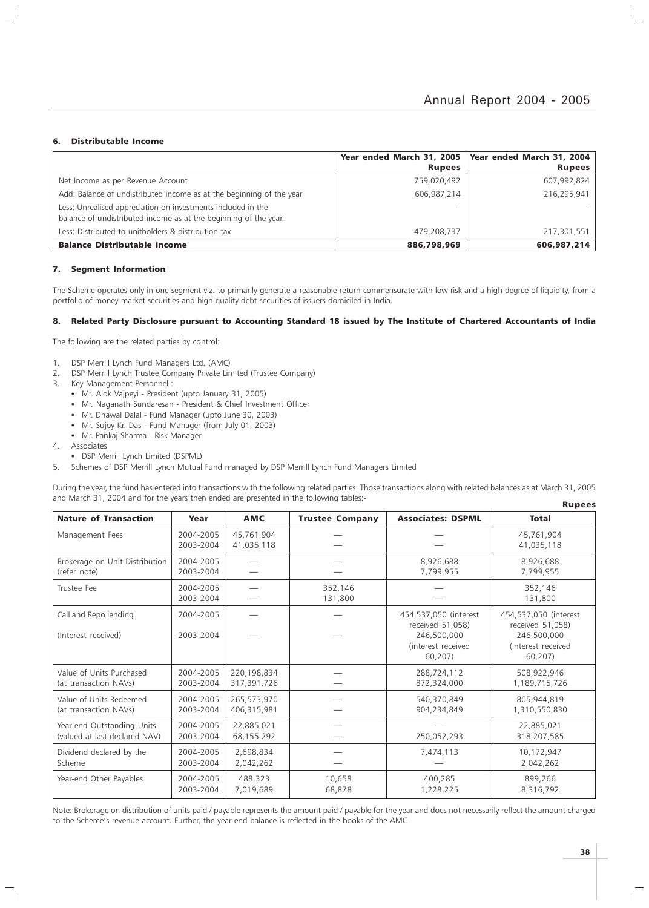#### 6. Distributable Income

 $\overline{\phantom{a}}$ 

|                                                                                                                                  |               | Year ended March 31, 2005   Year ended March 31, 2004 |
|----------------------------------------------------------------------------------------------------------------------------------|---------------|-------------------------------------------------------|
|                                                                                                                                  | <b>Rupees</b> | <b>Rupees</b>                                         |
| Net Income as per Revenue Account                                                                                                | 759,020,492   | 607,992,824                                           |
| Add: Balance of undistributed income as at the beginning of the year                                                             | 606,987,214   | 216,295,941                                           |
| Less: Unrealised appreciation on investments included in the<br>balance of undistributed income as at the beginning of the year. |               |                                                       |
| Less: Distributed to unitholders & distribution tax                                                                              | 479,208,737   | 217,301,551                                           |
| <b>Balance Distributable income</b>                                                                                              | 886,798,969   | 606,987,214                                           |

#### 7. Segment Information

The Scheme operates only in one segment viz. to primarily generate a reasonable return commensurate with low risk and a high degree of liquidity, from a portfolio of money market securities and high quality debt securities of issuers domiciled in India.

#### 8. Related Party Disclosure pursuant to Accounting Standard 18 issued by The Institute of Chartered Accountants of India

The following are the related parties by control:

- 1. DSP Merrill Lynch Fund Managers Ltd. (AMC)
- 2. DSP Merrill Lynch Trustee Company Private Limited (Trustee Company)
- 3. Key Management Personnel :
	- Mr. Alok Vajpeyi President (upto January 31, 2005)
	- Mr. Naganath Sundaresan President & Chief Investment Officer
	- Mr. Dhawal Dalal Fund Manager (upto June 30, 2003)
	- Mr. Sujoy Kr. Das Fund Manager (from July 01, 2003)
	- Mr. Pankaj Sharma Risk Manager
- 4. Associates
- DSP Merrill Lynch Limited (DSPML)
- 5. Schemes of DSP Merrill Lynch Mutual Fund managed by DSP Merrill Lynch Fund Managers Limited

During the year, the fund has entered into transactions with the following related parties. Those transactions along with related balances as at March 31, 2005 and March 31, 2004 and for the years then ended are presented in the following tables:- Rupees

|                                                             |                        |                            |                                                                                           |                            | napees                                                                                    |
|-------------------------------------------------------------|------------------------|----------------------------|-------------------------------------------------------------------------------------------|----------------------------|-------------------------------------------------------------------------------------------|
| <b>Nature of Transaction</b>                                | Year                   | <b>AMC</b>                 | <b>Trustee Company</b>                                                                    | <b>Associates: DSPML</b>   | <b>Total</b>                                                                              |
| Management Fees                                             | 2004-2005<br>2003-2004 | 45,761,904<br>41,035,118   |                                                                                           |                            | 45,761,904<br>41,035,118                                                                  |
| Brokerage on Unit Distribution<br>(refer note)              | 2004-2005<br>2003-2004 |                            |                                                                                           | 8,926,688<br>7,799,955     | 8,926,688<br>7,799,955                                                                    |
| Trustee Fee                                                 | 2004-2005<br>2003-2004 |                            | 352,146<br>131,800                                                                        |                            | 352,146<br>131,800                                                                        |
| Call and Repo lending<br>(Interest received)                | 2004-2005<br>2003-2004 |                            | 454,537,050 (interest<br>received 51,058)<br>246,500,000<br>(interest received<br>60,207) |                            | 454,537,050 (interest<br>received 51,058)<br>246,500,000<br>(interest received<br>60,207) |
| Value of Units Purchased<br>(at transaction NAVs)           | 2004-2005<br>2003-2004 | 220,198,834<br>317,391,726 |                                                                                           | 288,724,112<br>872,324,000 | 508,922,946<br>1,189,715,726                                                              |
| Value of Units Redeemed<br>(at transaction NAVs)            | 2004-2005<br>2003-2004 | 265,573,970<br>406,315,981 |                                                                                           | 540,370,849<br>904,234,849 | 805,944,819<br>1,310,550,830                                                              |
| Year-end Outstanding Units<br>(valued at last declared NAV) | 2004-2005<br>2003-2004 | 22,885,021<br>68,155,292   |                                                                                           | 250,052,293                | 22,885,021<br>318,207,585                                                                 |
| Dividend declared by the<br>Scheme                          | 2004-2005<br>2003-2004 | 2,698,834<br>2,042,262     |                                                                                           | 7,474,113                  | 10,172,947<br>2,042,262                                                                   |
| Year-end Other Payables                                     | 2004-2005<br>2003-2004 | 488,323<br>7,019,689       | 10,658<br>68,878                                                                          | 400,285<br>1,228,225       | 899,266<br>8,316,792                                                                      |

Note: Brokerage on distribution of units paid / payable represents the amount paid / payable for the year and does not necessarily reflect the amount charged to the Scheme's revenue account. Further, the year end balance is reflected in the books of the AMC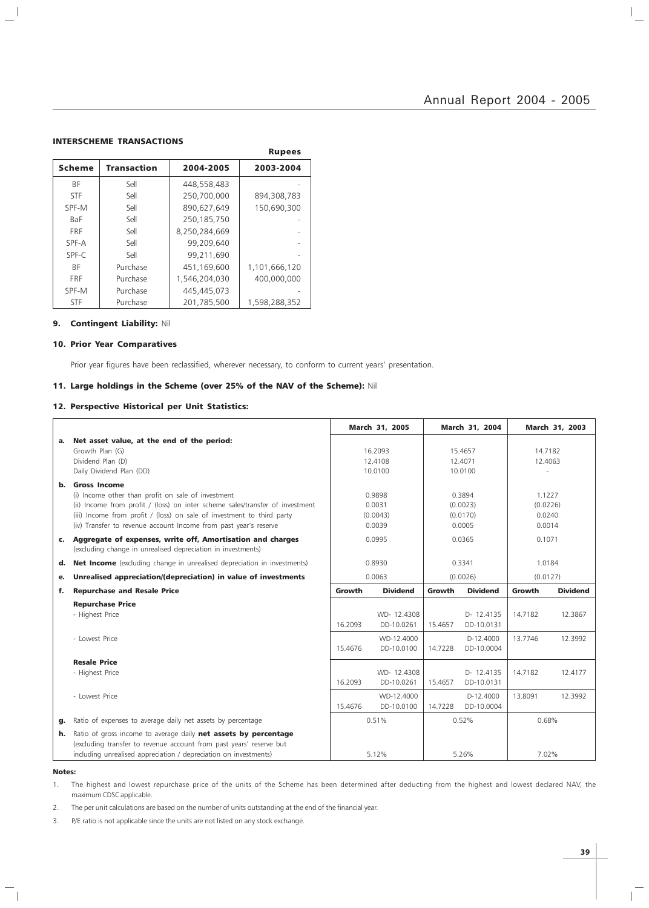$\mathbb{I}_+$ 

#### INTERSCHEME TRANSACTIONS

 $\frac{1}{2}$ 

|               |                    |               | <b>Rupees</b> |
|---------------|--------------------|---------------|---------------|
| <b>Scheme</b> | <b>Transaction</b> | 2004-2005     | 2003-2004     |
| BF            | Sell               | 448,558,483   |               |
| <b>STF</b>    | Sell               | 250.700.000   | 894,308,783   |
| SPF-M         | Sell               | 890.627.649   | 150.690.300   |
| BaF           | Sell               | 250,185,750   |               |
| <b>FRF</b>    | Sell               | 8,250,284,669 |               |
| SPF-A         | Sell               | 99.209.640    |               |
| SPF-C         | Sell               | 99,211,690    |               |
| ΒF            | Purchase           | 451.169.600   | 1,101,666,120 |
| <b>FRF</b>    | Purchase           | 1,546,204,030 | 400.000.000   |
| SPF-M         | Purchase           | 445.445.073   |               |
| <b>STF</b>    | Purchase           | 201.785.500   | 1.598.288.352 |

### 9. Contingent Liability: Nil

#### 10. Prior Year Comparatives

Prior year figures have been reclassified, wherever necessary, to conform to current years' presentation.

Rupees

### 11. Large holdings in the Scheme (over 25% of the NAV of the Scheme): Nil

### 12. Perspective Historical per Unit Statistics:

|    |                                                                                                                                                                                                                                                                                                          |         | March 31, 2005                         |         | March 31, 2004                           |                                        | March 31, 2003  |
|----|----------------------------------------------------------------------------------------------------------------------------------------------------------------------------------------------------------------------------------------------------------------------------------------------------------|---------|----------------------------------------|---------|------------------------------------------|----------------------------------------|-----------------|
| а. | Net asset value, at the end of the period:<br>Growth Plan (G)<br>Dividend Plan (D)<br>Daily Dividend Plan (DD)                                                                                                                                                                                           |         | 16.2093<br>12.4108<br>10.0100          |         | 15.4657<br>12.4071<br>10.0100            | 14.7182<br>12.4063                     |                 |
| b. | <b>Gross Income</b><br>(i) Income other than profit on sale of investment<br>(ii) Income from profit / (loss) on inter scheme sales/transfer of investment<br>(iii) Income from profit / (loss) on sale of investment to third party<br>(iv) Transfer to revenue account Income from past year's reserve |         | 0.9898<br>0.0031<br>(0.0043)<br>0.0039 |         | 0.3894<br>(0.0023)<br>(0.0170)<br>0.0005 | 1.1227<br>(0.0226)<br>0.0240<br>0.0014 |                 |
|    | c. Aggregate of expenses, write off, Amortisation and charges<br>(excluding change in unrealised depreciation in investments)                                                                                                                                                                            |         | 0.0995                                 |         | 0.0365                                   | 0.1071                                 |                 |
| d. | <b>Net Income</b> (excluding change in unrealised depreciation in investments)                                                                                                                                                                                                                           |         | 0.8930                                 |         | 0.3341                                   | 1.0184                                 |                 |
| е. | Unrealised appreciation/(depreciation) in value of investments                                                                                                                                                                                                                                           |         | 0.0063                                 |         | (0.0026)                                 | (0.0127)                               |                 |
| f. | <b>Repurchase and Resale Price</b>                                                                                                                                                                                                                                                                       | Growth  | <b>Dividend</b>                        | Growth  | <b>Dividend</b>                          | Growth                                 | <b>Dividend</b> |
|    | <b>Repurchase Price</b><br>- Highest Price                                                                                                                                                                                                                                                               | 16.2093 | WD-12,4308<br>DD-10.0261               | 15.4657 | D- 12.4135<br>DD-10.0131                 | 14.7182                                | 12.3867         |
|    | - Lowest Price                                                                                                                                                                                                                                                                                           | 15.4676 | WD-12,4000<br>DD-10.0100               | 14.7228 | D-12.4000<br>DD-10.0004                  | 13.7746                                | 12.3992         |
|    | <b>Resale Price</b><br>- Highest Price                                                                                                                                                                                                                                                                   | 16.2093 | WD-12.4308<br>DD-10.0261               | 15.4657 | D-12.4135<br>DD-10.0131                  | 14.7182                                | 12.4177         |
|    | - Lowest Price                                                                                                                                                                                                                                                                                           | 15.4676 | WD-12,4000<br>DD-10.0100               | 14.7228 | D-12,4000<br>DD-10.0004                  | 13.8091                                | 12.3992         |
| q. | Ratio of expenses to average daily net assets by percentage                                                                                                                                                                                                                                              |         | 0.51%                                  |         | 0.52%                                    | 0.68%                                  |                 |
| h. | Ratio of gross income to average daily net assets by percentage<br>(excluding transfer to revenue account from past years' reserve but<br>including unrealised appreciation / depreciation on investments)                                                                                               |         | 5.12%                                  |         | 5.26%                                    | 7.02%                                  |                 |

#### Notes:

 $\overline{\phantom{a}}_1$ 

1. The highest and lowest repurchase price of the units of the Scheme has been determined after deducting from the highest and lowest declared NAV, the maximum CDSC applicable.

2. The per unit calculations are based on the number of units outstanding at the end of the financial year.

3. P/E ratio is not applicable since the units are not listed on any stock exchange.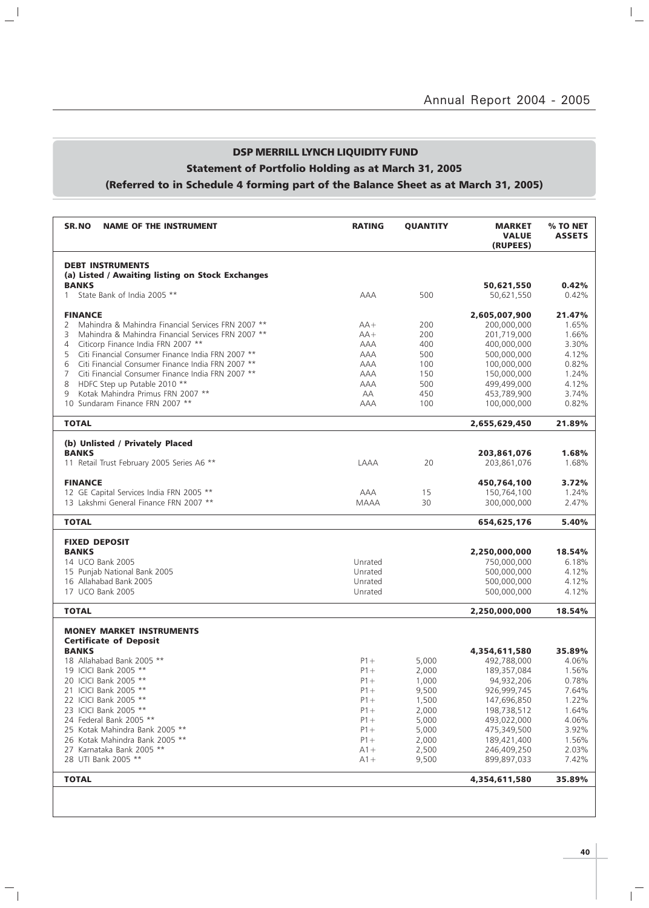$\overline{a}$ 

## DSP MERRILL LYNCH LIQUIDITY FUND

# Statement of Portfolio Holding as at March 31, 2005

 $\mathbf{u}^{\dagger}$ 

 $\overline{\phantom{a}}_1$ 

## (Referred to in Schedule 4 forming part of the Balance Sheet as at March 31, 2005)

| SR.NO<br><b>NAME OF THE INSTRUMENT</b>                  | <b>RATING</b> | <b>QUANTITY</b> | <b>MARKET</b><br><b>VALUE</b><br>(RUPEES) | % TO NET<br><b>ASSETS</b> |
|---------------------------------------------------------|---------------|-----------------|-------------------------------------------|---------------------------|
| <b>DEBT INSTRUMENTS</b>                                 |               |                 |                                           |                           |
| (a) Listed / Awaiting listing on Stock Exchanges        |               |                 |                                           |                           |
| <b>BANKS</b><br>State Bank of India 2005 **<br>1        |               | 500             | 50,621,550                                | 0.42%<br>0.42%            |
|                                                         | AAA           |                 | 50,621,550                                |                           |
| <b>FINANCE</b>                                          |               |                 | 2,605,007,900                             | 21.47%                    |
| Mahindra & Mahindra Financial Services FRN 2007 **<br>2 | $AA+$         | 200             | 200,000,000                               | 1.65%                     |
| 3<br>Mahindra & Mahindra Financial Services FRN 2007 ** | $AA+$         | 200             | 201,719,000                               | 1.66%                     |
| Citicorp Finance India FRN 2007 **<br>4                 | AAA           | 400             | 400,000,000                               | 3.30%                     |
| Citi Financial Consumer Finance India FRN 2007 **<br>5  | AAA           | 500             | 500,000,000                               | 4.12%                     |
| Citi Financial Consumer Finance India FRN 2007 **<br>6  | AAA           | 100             | 100,000,000                               | 0.82%                     |
| 7<br>Citi Financial Consumer Finance India FRN 2007 **  | AAA           | 150             | 150,000,000                               | 1.24%                     |
| 8<br>HDFC Step up Putable 2010 **                       | <b>AAA</b>    | 500             | 499,499,000                               | 4.12%                     |
| Kotak Mahindra Primus FRN 2007 **<br>9                  | AA            | 450             | 453,789,900                               | 3.74%                     |
| 10 Sundaram Finance FRN 2007 **                         | AAA           | 100             | 100,000,000                               | 0.82%                     |
| <b>TOTAL</b>                                            |               |                 | 2,655,629,450                             | 21.89%                    |
| (b) Unlisted / Privately Placed                         |               |                 |                                           |                           |
| <b>BANKS</b>                                            |               |                 | 203,861,076                               | 1.68%                     |
| 11 Retail Trust February 2005 Series A6 **              | LAAA          | 20              | 203,861,076                               | 1.68%                     |
| <b>FINANCE</b>                                          |               |                 | 450,764,100                               | 3.72%                     |
| 12 GE Capital Services India FRN 2005 **                | AAA           | 15              | 150,764,100                               | 1.24%                     |
| 13 Lakshmi General Finance FRN 2007 **                  | <b>MAAA</b>   | 30              | 300,000,000                               | 2.47%                     |
| <b>TOTAL</b>                                            |               |                 | 654,625,176                               | 5.40%                     |
| <b>FIXED DEPOSIT</b>                                    |               |                 |                                           |                           |
| <b>BANKS</b>                                            |               |                 | 2,250,000,000                             | 18.54%                    |
| 14 UCO Bank 2005                                        | Unrated       |                 | 750,000,000                               | 6.18%                     |
| 15 Punjab National Bank 2005                            | Unrated       |                 | 500,000,000                               | 4.12%                     |
| 16 Allahabad Bank 2005                                  | Unrated       |                 | 500,000,000                               | 4.12%                     |
| 17 UCO Bank 2005                                        | Unrated       |                 | 500,000,000                               | 4.12%                     |
| <b>TOTAL</b>                                            |               |                 | 2,250,000,000                             | 18.54%                    |
| <b>MONEY MARKET INSTRUMENTS</b>                         |               |                 |                                           |                           |
| <b>Certificate of Deposit</b>                           |               |                 |                                           |                           |
| <b>BANKS</b>                                            |               |                 | 4,354,611,580                             | 35.89%                    |
| 18 Allahabad Bank 2005 **                               | $P1 +$        | 5,000           | 492,788,000                               | 4.06%                     |
| 19 ICICI Bank 2005 **                                   | $P1 +$        | 2.000           | 189,357,084                               | 1.56%                     |
| 20 ICICI Bank 2005 **                                   | $P1 +$        | 1,000           | 94,932,206                                | 0.78%                     |
| 21 ICICI Bank 2005 **                                   | $P1 +$        | 9,500           | 926,999,745                               | 7.64%                     |
| 22 ICICI Bank 2005 **                                   | $P1 +$        | 1,500           | 147,696,850                               | 1.22%                     |
| 23 ICICI Bank 2005 **                                   | $P1 +$        | 2,000           | 198,738,512                               | 1.64%                     |
| 24 Federal Bank 2005 **                                 | $P1 +$        | 5,000           | 493,022,000                               | 4.06%                     |
| 25 Kotak Mahindra Bank 2005 **                          | $P1 +$        | 5,000           | 475,349,500                               | 3.92%                     |
| 26 Kotak Mahindra Bank 2005 **                          | $P1 +$        | 2,000           | 189,421,400                               | 1.56%                     |
| 27 Karnataka Bank 2005 **                               | $A1 +$        | 2,500           | 246,409,250                               | 2.03%                     |
| 28 UTI Bank 2005 **                                     | $A1+$         | 9,500           | 899,897,033                               | 7.42%                     |
| <b>TOTAL</b>                                            |               |                 | 4,354,611,580                             | 35.89%                    |
|                                                         |               |                 |                                           |                           |

 $\overline{\mathbb{F}}$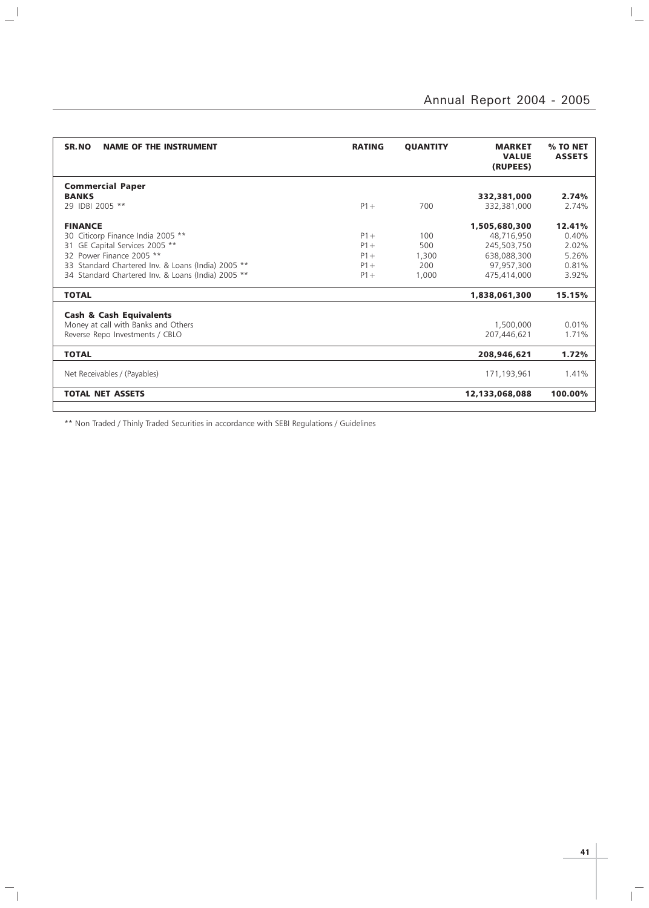$\overline{a}$ 

| SR.NO<br><b>NAME OF THE INSTRUMENT</b>             | <b>RATING</b> | <b>QUANTITY</b> | <b>MARKET</b><br><b>VALUE</b><br>(RUPEES) | % TO NET<br><b>ASSETS</b> |
|----------------------------------------------------|---------------|-----------------|-------------------------------------------|---------------------------|
| <b>Commercial Paper</b>                            |               |                 |                                           |                           |
| <b>BANKS</b>                                       |               |                 | 332,381,000                               | 2.74%                     |
| 29 IDBI 2005 **                                    | $P1 +$        | 700             | 332,381,000                               | 2.74%                     |
| <b>FINANCE</b>                                     |               |                 | 1,505,680,300                             | 12.41%                    |
| 30 Citicorp Finance India 2005 **                  | $P1 +$        | 100             | 48,716,950                                | 0.40%                     |
| GE Capital Services 2005 **<br>31                  | $P1 +$        | 500             | 245,503,750                               | 2.02%                     |
| 32 Power Finance 2005 **                           | $P1 +$        | 1,300           | 638,088,300                               | 5.26%                     |
| 33 Standard Chartered Inv. & Loans (India) 2005 ** | $P1 +$        | 200             | 97,957,300                                | 0.81%                     |
| 34 Standard Chartered Inv. & Loans (India) 2005 ** | $P1+$         | 1,000           | 475,414,000                               | 3.92%                     |
| <b>TOTAL</b>                                       |               |                 | 1,838,061,300                             | 15.15%                    |
| <b>Cash &amp; Cash Equivalents</b>                 |               |                 |                                           |                           |
| Money at call with Banks and Others                |               |                 | 1,500,000                                 | 0.01%                     |
| Reverse Repo Investments / CBLO                    |               |                 | 207,446,621                               | 1.71%                     |
| <b>TOTAL</b>                                       |               |                 | 208,946,621                               | 1.72%                     |
| Net Receivables / (Payables)                       |               |                 | 171,193,961                               | 1.41%                     |
| <b>TOTAL NET ASSETS</b>                            |               |                 | 12,133,068,088                            | 100.00%                   |
|                                                    |               |                 |                                           |                           |

\*\* Non Traded / Thinly Traded Securities in accordance with SEBI Regulations / Guidelines

 $\frac{1}{2}$ 

 $\overline{\phantom{a}}_1$ 

 $\overline{\mathbb{F}}$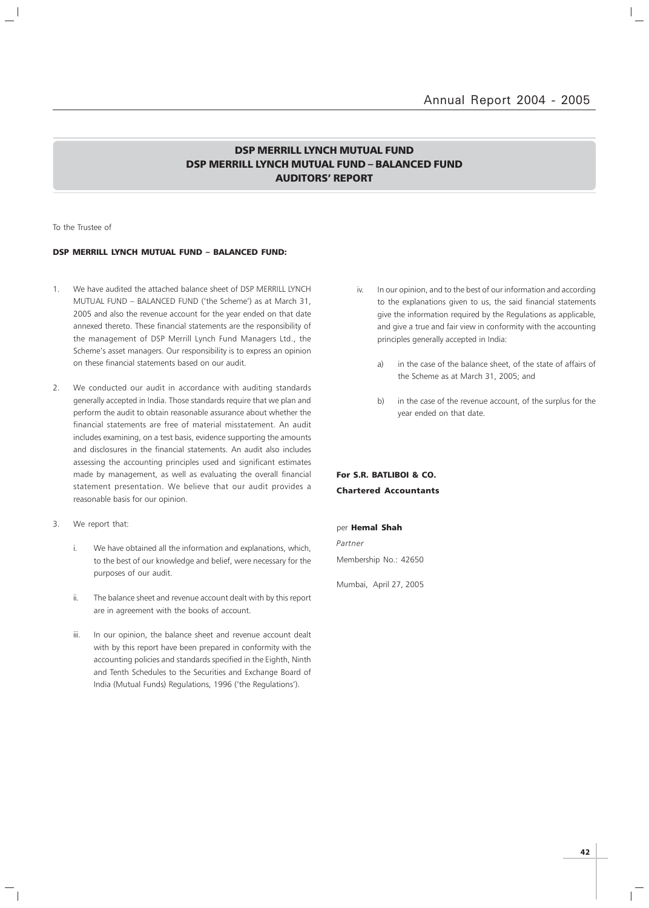### DSP MERRILL LYNCH MUTUAL FUND DSP MERRILL LYNCH MUTUAL FUND – BALANCED FUND AUDITORS' REPORT

To the Trustee of

#### DSP MERRILL LYNCH MUTUAL FUND – BALANCED FUND:

- 1 We have audited the attached balance sheet of DSP MERRILL LYNCH MUTUAL FUND – BALANCED FUND ('the Scheme') as at March 31, 2005 and also the revenue account for the year ended on that date annexed thereto. These financial statements are the responsibility of the management of DSP Merrill Lynch Fund Managers Ltd., the Scheme's asset managers. Our responsibility is to express an opinion on these financial statements based on our audit.
- 2. We conducted our audit in accordance with auditing standards generally accepted in India. Those standards require that we plan and perform the audit to obtain reasonable assurance about whether the financial statements are free of material misstatement. An audit includes examining, on a test basis, evidence supporting the amounts and disclosures in the financial statements. An audit also includes assessing the accounting principles used and significant estimates made by management, as well as evaluating the overall financial statement presentation. We believe that our audit provides a reasonable basis for our opinion.
- 3. We report that:
	- i. We have obtained all the information and explanations, which, to the best of our knowledge and belief, were necessary for the purposes of our audit.
	- ii. The balance sheet and revenue account dealt with by this report are in agreement with the books of account.
	- iii. In our opinion, the balance sheet and revenue account dealt with by this report have been prepared in conformity with the accounting policies and standards specified in the Eighth, Ninth and Tenth Schedules to the Securities and Exchange Board of India (Mutual Funds) Regulations, 1996 ('the Regulations').
- iv. In our opinion, and to the best of our information and according to the explanations given to us, the said financial statements give the information required by the Regulations as applicable, and give a true and fair view in conformity with the accounting principles generally accepted in India:
	- a) in the case of the balance sheet, of the state of affairs of the Scheme as at March 31, 2005; and
	- b) in the case of the revenue account, of the surplus for the year ended on that date.

### For S.R. BATLIBOI & CO. Chartered Accountants

#### per Hemal Shah

Partner Membership No.: 42650

Mumbai, April 27, 2005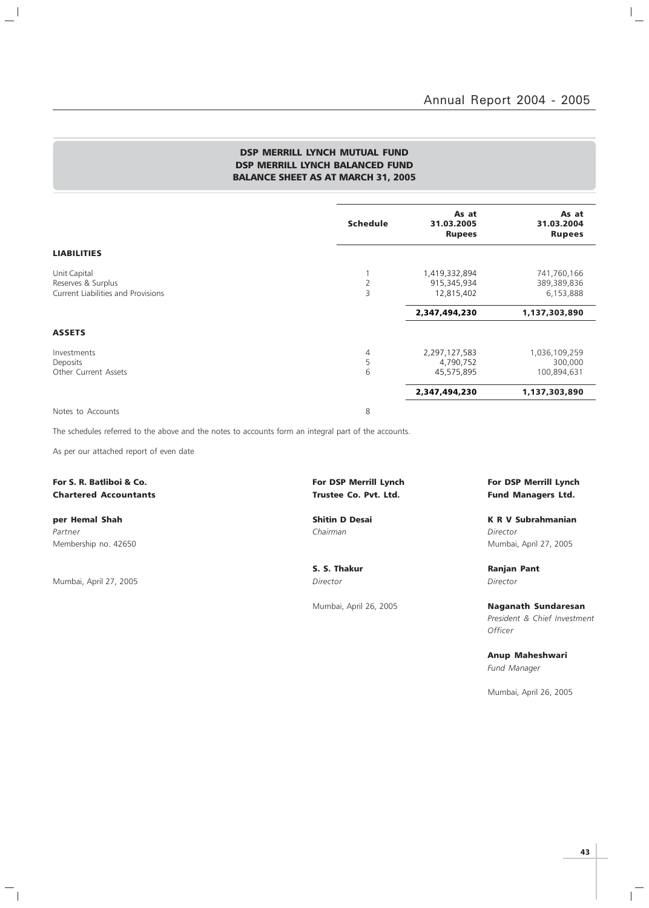$\vert$ 

### DSP MERRILL LYNCH MUTUAL FUND DSP MERRILL LYNCH BALANCED FUND BALANCE SHEET AS AT MARCH 31, 2005

|                                                                          | <b>Schedule</b> | As at<br>31.03.2005<br><b>Rupees</b>       | As at<br>31.03.2004<br><b>Rupees</b>    |
|--------------------------------------------------------------------------|-----------------|--------------------------------------------|-----------------------------------------|
| <b>LIABILITIES</b>                                                       |                 |                                            |                                         |
| Unit Capital<br>Reserves & Surplus<br>Current Liabilities and Provisions | 2<br>3          | 1,419,332,894<br>915,345,934<br>12,815,402 | 741,760,166<br>389,389,836<br>6,153,888 |
|                                                                          |                 | 2,347,494,230                              | 1,137,303,890                           |
| <b>ASSETS</b>                                                            |                 |                                            |                                         |
| Investments<br>Deposits<br>Other Current Assets                          | 4<br>5<br>6     | 2,297,127,583<br>4,790,752<br>45,575,895   | 1,036,109,259<br>300,000<br>100,894,631 |
|                                                                          |                 | 2,347,494,230                              | 1,137,303,890                           |
| Notes to Accounts                                                        | 8               |                                            |                                         |

The schedules referred to the above and the notes to accounts form an integral part of the accounts.

As per our attached report of even date

For S. R. Batliboi & Co. The Community of Latin Structure For DSP Merrill Lynch For DSP Merrill Lynch For DSP Merrill Lynch Chartered Accountants Trustee Co. Pvt. Ltd. Fund Managers Ltd.

 $\overline{\phantom{a}}$ 

 $\mathcal{L}$ 

Partner Chairman Director (Chairman Chairman Chairman Director Director Director Membership no. 42650 Mumbai, April 27, 2005

Mumbai, April 27, 2005 Director Director

 $\mathord{\hspace{1pt}\text{--}\hspace{1pt}}_\parallel$ 

per Hemal Shah Shah Shitin D Desai New York K R V Subrahmanian

S. S. Thakur Ranjan Pant

Mumbai, April 26, 2005 Naganath Sundaresan President & Chief Investment **Officer** 

> Anup Maheshwari Fund Manager

Mumbai, April 26, 2005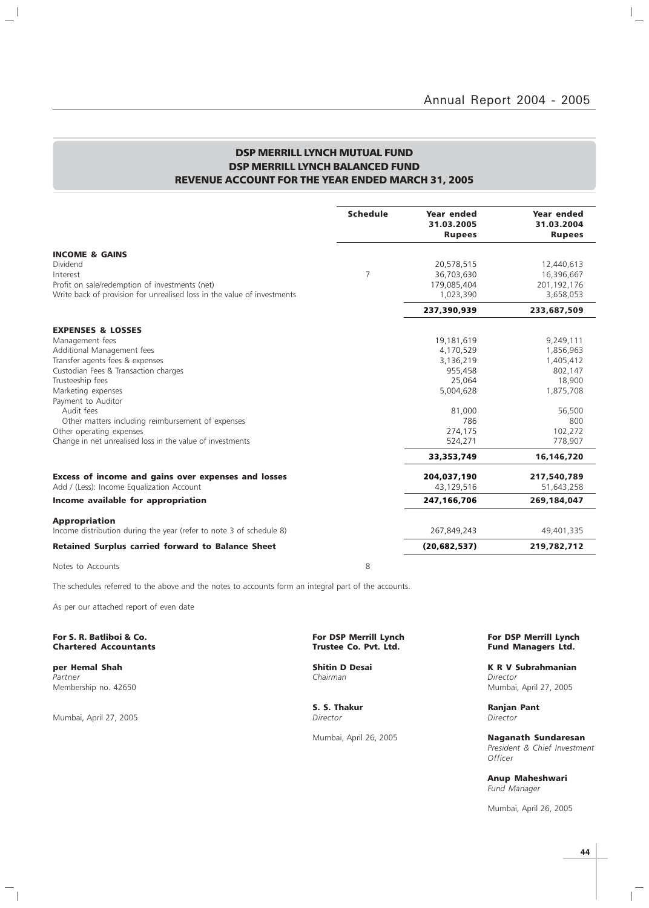$\vert$  $\equiv$ 

### DSP MERRILL LYNCH MUTUAL FUND DSP MERRILL LYNCH BALANCED FUND REVENUE ACCOUNT FOR THE YEAR ENDED MARCH 31, 2005

|                                                                         | <b>Schedule</b> | <b>Year ended</b><br>31.03.2005<br><b>Rupees</b> | <b>Year ended</b><br>31.03.2004<br><b>Rupees</b> |
|-------------------------------------------------------------------------|-----------------|--------------------------------------------------|--------------------------------------------------|
| <b>INCOME &amp; GAINS</b>                                               |                 |                                                  |                                                  |
| Dividend                                                                |                 | 20,578,515                                       | 12,440,613                                       |
| Interest                                                                | 7               | 36,703,630                                       | 16,396,667                                       |
| Profit on sale/redemption of investments (net)                          |                 | 179,085,404                                      | 201,192,176                                      |
| Write back of provision for unrealised loss in the value of investments |                 | 1,023,390                                        | 3,658,053                                        |
|                                                                         |                 | 237,390,939                                      | 233,687,509                                      |
| <b>EXPENSES &amp; LOSSES</b>                                            |                 |                                                  |                                                  |
| Management fees                                                         |                 | 19,181,619                                       | 9,249,111                                        |
| Additional Management fees                                              |                 | 4,170,529                                        | 1,856,963                                        |
| Transfer agents fees & expenses                                         |                 | 3,136,219                                        | 1,405,412                                        |
| Custodian Fees & Transaction charges                                    |                 | 955,458                                          | 802,147                                          |
| Trusteeship fees                                                        |                 | 25,064                                           | 18,900                                           |
| Marketing expenses                                                      |                 | 5,004,628                                        | 1,875,708                                        |
| Payment to Auditor                                                      |                 |                                                  |                                                  |
| Audit fees                                                              |                 | 81,000                                           | 56,500                                           |
| Other matters including reimbursement of expenses                       |                 | 786                                              | 800                                              |
| Other operating expenses                                                |                 | 274,175                                          | 102,272                                          |
| Change in net unrealised loss in the value of investments               |                 | 524,271                                          | 778,907                                          |
|                                                                         |                 | 33,353,749                                       | 16,146,720                                       |
| Excess of income and gains over expenses and losses                     |                 | 204,037,190                                      | 217,540,789                                      |
| Add / (Less): Income Equalization Account                               |                 | 43,129,516                                       | 51,643,258                                       |
| Income available for appropriation                                      |                 | 247,166,706                                      | 269,184,047                                      |
| <b>Appropriation</b>                                                    |                 |                                                  |                                                  |
| Income distribution during the year (refer to note 3 of schedule 8)     |                 | 267,849,243                                      | 49,401,335                                       |
| <b>Retained Surplus carried forward to Balance Sheet</b>                |                 | (20, 682, 537)                                   | 219,782,712                                      |
| Notes to Accounts                                                       | 8               |                                                  |                                                  |

The schedules referred to the above and the notes to accounts form an integral part of the accounts.

As per our attached report of even date

#### For S. R. Batliboi & Co. The S. R. Batliboi & Co. For DSP Merrill Lynch For DSP Merrill Lynch For DSP Merrill Lynch<br>Chartered Accountants Trustee Co. Pvt. Ltd. Fund Managers Ltd. **Chartered Accountants**

Partner Chairman Director (Chairman Chairman Chairman Director Director Director

 $\mathbf{I}$ 

Mumbai, April 27, 2005

 $\frac{1}{\sqrt{2}}$ 

**S. S. Thakur S. S. Thakur Ranjan Pant** Director

**per Hemal Shah Shitin D Desai K R V Subrahmanian**<br>Partner **K R V Subrahmanian**<br>Chairman Chairman Membership no. 42650 Mumbai, April 27, 2005

Mumbai, April 26, 2005 Naganath Sundaresan President & Chief Investment **Officer** 

> Anup Maheshwari Fund Manager

Mumbai, April 26, 2005

**44**

 $\mathbb{R}$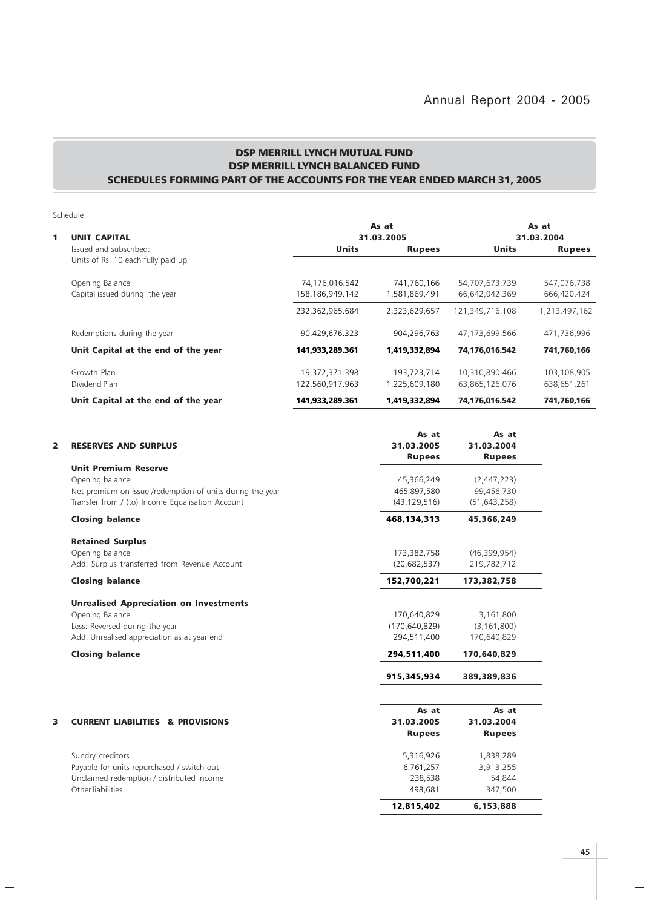$\overline{a}$ 

### DSP MERRILL LYNCH MUTUAL FUND DSP MERRILL LYNCH BALANCED FUND SCHEDULES FORMING PART OF THE ACCOUNTS FOR THE YEAR ENDED MARCH 31, 2005

Schedule

 $\mathbf{a}^{\dagger}$ 

 $\overline{\phantom{a}}_1$ 

|   |                                     |                 | As at         |                 | As at         |  |  |
|---|-------------------------------------|-----------------|---------------|-----------------|---------------|--|--|
| 1 | <b>UNIT CAPITAL</b>                 |                 | 31.03.2005    |                 | 31.03.2004    |  |  |
|   | Issued and subscribed:              | <b>Units</b>    | <b>Rupees</b> | <b>Units</b>    | <b>Rupees</b> |  |  |
|   | Units of Rs. 10 each fully paid up  |                 |               |                 |               |  |  |
|   | Opening Balance                     | 74,176,016.542  | 741.760.166   | 54,707,673.739  | 547,076,738   |  |  |
|   | Capital issued during the year      | 158,186,949.142 | 1,581,869,491 | 66,642,042.369  | 666,420,424   |  |  |
|   |                                     | 232,362,965.684 | 2,323,629,657 | 121,349,716.108 | 1,213,497,162 |  |  |
|   | Redemptions during the year         | 90,429,676.323  | 904,296,763   | 47.173.699.566  | 471,736,996   |  |  |
|   | Unit Capital at the end of the year | 141,933,289.361 | 1,419,332,894 | 74.176.016.542  | 741,760,166   |  |  |
|   | Growth Plan                         | 19,372,371.398  | 193,723,714   | 10,310,890.466  | 103,108,905   |  |  |
|   | Dividend Plan                       | 122,560,917.963 | 1.225.609.180 | 63,865,126.076  | 638,651,261   |  |  |
|   | Unit Capital at the end of the year | 141.933.289.361 | 1,419,332,894 | 74.176.016.542  | 741.760.166   |  |  |

| 2 | <b>RESERVES AND SURPLUS</b>                               | As at<br>31.03.2005<br><b>Rupees</b> | As at<br>31.03.2004<br><b>Rupees</b> |
|---|-----------------------------------------------------------|--------------------------------------|--------------------------------------|
|   | <b>Unit Premium Reserve</b>                               |                                      |                                      |
|   | Opening balance                                           | 45,366,249                           | (2,447,223)                          |
|   | Net premium on issue /redemption of units during the year | 465,897,580                          | 99,456,730                           |
|   | Transfer from / (to) Income Equalisation Account          | (43, 129, 516)                       | (51, 643, 258)                       |
|   | <b>Closing balance</b>                                    | 468,134,313                          | 45,366,249                           |
|   | <b>Retained Surplus</b>                                   |                                      |                                      |
|   | Opening balance                                           | 173,382,758                          | (46,399,954)                         |
|   | Add: Surplus transferred from Revenue Account             | (20, 682, 537)                       | 219,782,712                          |
|   | <b>Closing balance</b>                                    | 152,700,221                          | 173,382,758                          |
|   | <b>Unrealised Appreciation on Investments</b>             |                                      |                                      |
|   | Opening Balance                                           | 170,640,829                          | 3,161,800                            |
|   | Less: Reversed during the year                            | (170, 640, 829)                      | (3, 161, 800)                        |
|   | Add: Unrealised appreciation as at year end               | 294,511,400                          | 170,640,829                          |
|   | <b>Closing balance</b>                                    | 294,511,400                          | 170,640,829                          |
|   |                                                           | 915,345,934                          | 389,389,836                          |
|   |                                                           | As at                                | As at                                |
| 3 | <b>CURRENT LIABILITIES &amp; PROVISIONS</b>               | 31.03.2005                           | 31.03.2004                           |
|   |                                                           | <b>Rupees</b>                        | <b>Rupees</b>                        |
|   | Sundry creditors                                          | 5,316,926                            | 1,838,289                            |
|   | Payable for units repurchased / switch out                | 6,761,257                            | 3,913,255                            |
|   | Unclaimed redemption / distributed income                 | 238,538                              | 54,844                               |
|   | Other liabilities                                         | 498,681                              | 347,500                              |
|   |                                                           | 12,815,402                           | 6,153,888                            |

 $\overline{1}$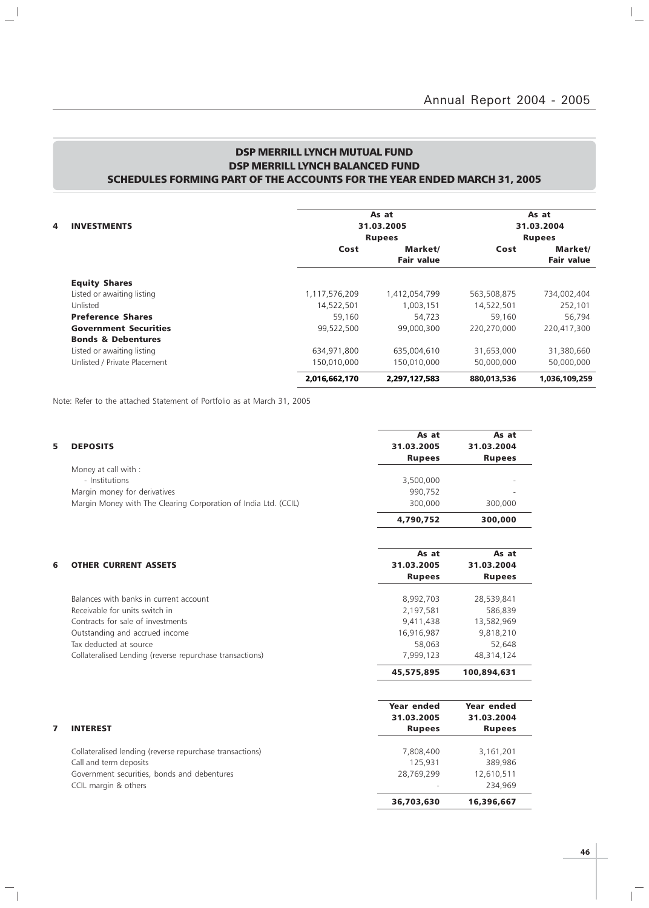### DSP MERRILL LYNCH MUTUAL FUND DSP MERRILL LYNCH BALANCED FUND SCHEDULES FORMING PART OF THE ACCOUNTS FOR THE YEAR ENDED MARCH 31, 2005

|                               |  |               | As at             |             | As at             |  |
|-------------------------------|--|---------------|-------------------|-------------|-------------------|--|
| <b>INVESTMENTS</b><br>4       |  |               | 31.03.2005        |             |                   |  |
|                               |  |               | <b>Rupees</b>     |             | <b>Rupees</b>     |  |
|                               |  | Cost          | Market/           | Cost        | Market/           |  |
|                               |  |               | <b>Fair value</b> |             | <b>Fair value</b> |  |
| <b>Equity Shares</b>          |  |               |                   |             |                   |  |
| Listed or awaiting listing    |  | 1,117,576,209 | 1,412,054,799     | 563,508,875 | 734,002,404       |  |
| Unlisted                      |  | 14.522.501    | 1.003.151         | 14.522.501  | 252,101           |  |
| <b>Preference Shares</b>      |  | 59,160        | 54,723            | 59,160      | 56,794            |  |
| <b>Government Securities</b>  |  | 99,522,500    | 99,000,300        | 220,270,000 | 220,417,300       |  |
| <b>Bonds &amp; Debentures</b> |  |               |                   |             |                   |  |
| Listed or awaiting listing    |  | 634,971,800   | 635,004,610       | 31,653,000  | 31,380,660        |  |
| Unlisted / Private Placement  |  | 150,010,000   | 150,010,000       | 50,000,000  | 50,000,000        |  |
|                               |  | 2,016,662,170 | 2.297.127.583     | 880.013,536 | 1,036,109,259     |  |

Note: Refer to the attached Statement of Portfolio as at March 31, 2005

 $\mathbb{L}^{\mathbb{I}}$ 

 $\overline{\phantom{a}}_1$ 

|   |                                                                 | As at<br>31.03.2005 | As at         |
|---|-----------------------------------------------------------------|---------------------|---------------|
| 5 | <b>DEPOSITS</b>                                                 |                     | 31.03.2004    |
|   | Money at call with :                                            | <b>Rupees</b>       | <b>Rupees</b> |
|   | - Institutions                                                  | 3,500,000           |               |
|   | Margin money for derivatives                                    | 990,752             |               |
|   | Margin Money with The Clearing Corporation of India Ltd. (CCIL) | 300,000             | 300,000       |
|   |                                                                 |                     |               |
|   |                                                                 | 4,790,752           | 300,000       |
|   |                                                                 | As at               | As at         |
| 6 | <b>OTHER CURRENT ASSETS</b>                                     | 31.03.2005          | 31.03.2004    |
|   |                                                                 | <b>Rupees</b>       | <b>Rupees</b> |
|   |                                                                 |                     |               |
|   | Balances with banks in current account                          | 8,992,703           | 28,539,841    |
|   | Receivable for units switch in                                  | 2,197,581           | 586,839       |
|   | Contracts for sale of investments                               | 9,411,438           | 13,582,969    |
|   | Outstanding and accrued income                                  | 16,916,987          | 9,818,210     |
|   | Tax deducted at source                                          | 58,063              | 52,648        |
|   | Collateralised Lending (reverse repurchase transactions)        | 7,999,123           | 48,314,124    |
|   |                                                                 | 45,575,895          | 100,894,631   |
|   |                                                                 | Year ended          | Year ended    |
|   |                                                                 | 31.03.2005          | 31.03.2004    |
| 7 | <b>INTEREST</b>                                                 | <b>Rupees</b>       | <b>Rupees</b> |
|   |                                                                 |                     |               |
|   | Collateralised lending (reverse repurchase transactions)        | 7,808,400           | 3,161,201     |
|   | Call and term deposits                                          | 125,931             | 389,986       |
|   | Government securities, bonds and debentures                     | 28,769,299          | 12,610,511    |
|   | CCIL margin & others                                            |                     | 234,969       |

 $\overline{1}$ 

36,703,630 16,396,667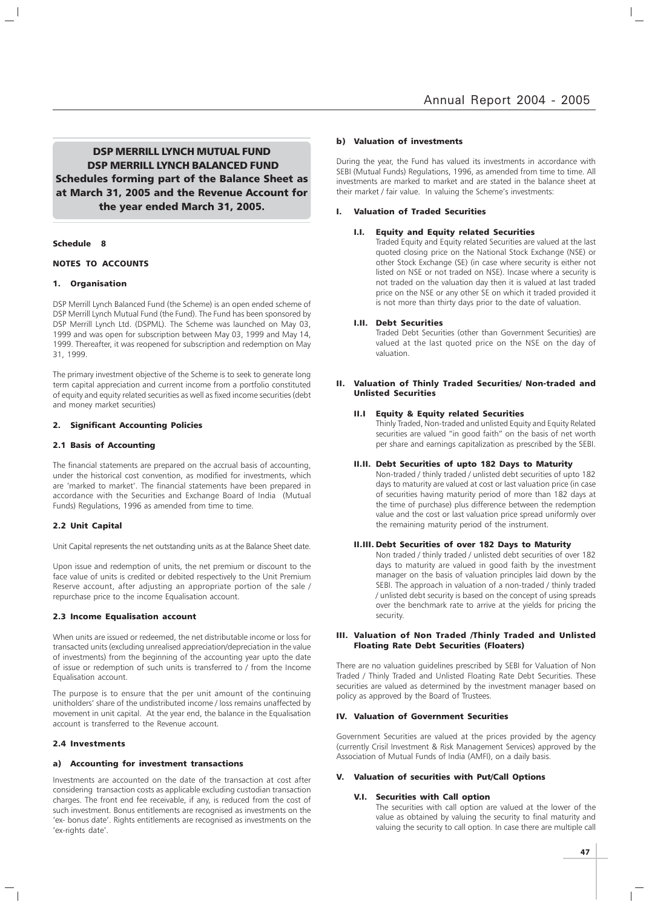DSP MERRILL LYNCH MUTUAL FUND DSP MERRILL LYNCH BALANCED FUND Schedules forming part of the Balance Sheet as at March 31, 2005 and the Revenue Account for the year ended March 31, 2005.

#### Schedule 8

#### NOTES TO ACCOUNTS

#### 1. Organisation

DSP Merrill Lynch Balanced Fund (the Scheme) is an open ended scheme of DSP Merrill Lynch Mutual Fund (the Fund). The Fund has been sponsored by DSP Merrill Lynch Ltd. (DSPML). The Scheme was launched on May 03, 1999 and was open for subscription between May 03, 1999 and May 14, 1999. Thereafter, it was reopened for subscription and redemption on May 31, 1999.

The primary investment objective of the Scheme is to seek to generate long term capital appreciation and current income from a portfolio constituted of equity and equity related securities as well as fixed income securities (debt and money market securities)

#### 2. Significant Accounting Policies

#### 2.1 Basis of Accounting

The financial statements are prepared on the accrual basis of accounting, under the historical cost convention, as modified for investments, which are 'marked to market'. The financial statements have been prepared in accordance with the Securities and Exchange Board of India (Mutual Funds) Regulations, 1996 as amended from time to time.

#### 2.2 Unit Capital

Unit Capital represents the net outstanding units as at the Balance Sheet date.

Upon issue and redemption of units, the net premium or discount to the face value of units is credited or debited respectively to the Unit Premium Reserve account, after adjusting an appropriate portion of the sale / repurchase price to the income Equalisation account.

#### 2.3 Income Equalisation account

When units are issued or redeemed, the net distributable income or loss for transacted units (excluding unrealised appreciation/depreciation in the value of investments) from the beginning of the accounting year upto the date of issue or redemption of such units is transferred to / from the Income Equalisation account.

The purpose is to ensure that the per unit amount of the continuing unitholders' share of the undistributed income / loss remains unaffected by movement in unit capital. At the year end, the balance in the Equalisation account is transferred to the Revenue account.

#### 2.4 Investments

#### a) Accounting for investment transactions

Investments are accounted on the date of the transaction at cost after considering transaction costs as applicable excluding custodian transaction charges. The front end fee receivable, if any, is reduced from the cost of such investment. Bonus entitlements are recognised as investments on the 'ex- bonus date'. Rights entitlements are recognised as investments on the 'ex-rights date'.

#### b) Valuation of investments

During the year, the Fund has valued its investments in accordance with SEBI (Mutual Funds) Regulations, 1996, as amended from time to time. All investments are marked to market and are stated in the balance sheet at their market / fair value. In valuing the Scheme's investments:

#### I. Valuation of Traded Securities

#### I.I. Equity and Equity related Securities

Traded Equity and Equity related Securities are valued at the last quoted closing price on the National Stock Exchange (NSE) or other Stock Exchange (SE) (in case where security is either not listed on NSE or not traded on NSE). Incase where a security is not traded on the valuation day then it is valued at last traded price on the NSE or any other SE on which it traded provided it is not more than thirty days prior to the date of valuation.

#### I.II. Debt Securities

Traded Debt Securities (other than Government Securities) are valued at the last quoted price on the NSE on the day of valuation.

#### II. Valuation of Thinly Traded Securities/ Non-traded and Unlisted Securities

#### II.I Equity & Equity related Securities

Thinly Traded, Non-traded and unlisted Equity and Equity Related securities are valued "in good faith" on the basis of net worth per share and earnings capitalization as prescribed by the SEBI.

#### II.II. Debt Securities of upto 182 Days to Maturity

Non-traded / thinly traded / unlisted debt securities of upto 182 days to maturity are valued at cost or last valuation price (in case of securities having maturity period of more than 182 days at the time of purchase) plus difference between the redemption value and the cost or last valuation price spread uniformly over the remaining maturity period of the instrument.

#### II.III. Debt Securities of over 182 Days to Maturity

Non traded / thinly traded / unlisted debt securities of over 182 days to maturity are valued in good faith by the investment manager on the basis of valuation principles laid down by the SEBI. The approach in valuation of a non-traded / thinly traded / unlisted debt security is based on the concept of using spreads over the benchmark rate to arrive at the yields for pricing the security.

#### III. Valuation of Non Traded /Thinly Traded and Unlisted Floating Rate Debt Securities (Floaters)

There are no valuation guidelines prescribed by SEBI for Valuation of Non Traded / Thinly Traded and Unlisted Floating Rate Debt Securities. These securities are valued as determined by the investment manager based on policy as approved by the Board of Trustees.

#### IV. Valuation of Government Securities

Government Securities are valued at the prices provided by the agency (currently Crisil Investment & Risk Management Services) approved by the Association of Mutual Funds of India (AMFI), on a daily basis.

#### V. Valuation of securities with Put/Call Options

#### V.I. Securities with Call option

The securities with call option are valued at the lower of the value as obtained by valuing the security to final maturity and valuing the security to call option. In case there are multiple call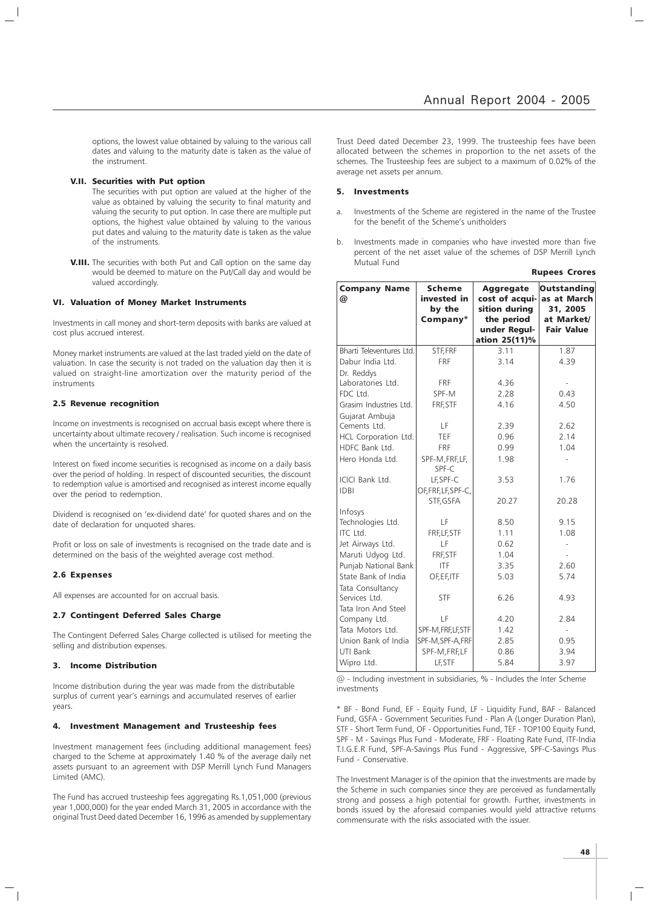options, the lowest value obtained by valuing to the various call dates and valuing to the maturity date is taken as the value of the instrument.

#### V.II. Securities with Put option

The securities with put option are valued at the higher of the value as obtained by valuing the security to final maturity and valuing the security to put option. In case there are multiple put options, the highest value obtained by valuing to the various put dates and valuing to the maturity date is taken as the value of the instruments.

V.III. The securities with both Put and Call option on the same day would be deemed to mature on the Put/Call day and would be valued accordingly.

#### VI. Valuation of Money Market Instruments

Investments in call money and short-term deposits with banks are valued at cost plus accrued interest.

Money market instruments are valued at the last traded yield on the date of valuation. In case the security is not traded on the valuation day then it is valued on straight-line amortization over the maturity period of the instruments

#### 2.5 Revenue recognition

Income on investments is recognised on accrual basis except where there is uncertainty about ultimate recovery / realisation. Such income is recognised when the uncertainty is resolved.

Interest on fixed income securities is recognised as income on a daily basis over the period of holding. In respect of discounted securities, the discount to redemption value is amortised and recognised as interest income equally over the period to redemption.

Dividend is recognised on 'ex-dividend date' for quoted shares and on the date of declaration for unquoted shares.

Profit or loss on sale of investments is recognised on the trade date and is determined on the basis of the weighted average cost method.

#### 2.6 Expenses

All expenses are accounted for on accrual basis.

#### 2.7 Contingent Deferred Sales Charge

The Contingent Deferred Sales Charge collected is utilised for meeting the selling and distribution expenses.

#### 3. Income Distribution

Income distribution during the year was made from the distributable surplus of current year's earnings and accumulated reserves of earlier years.

#### 4. Investment Management and Trusteeship fees

Investment management fees (including additional management fees) charged to the Scheme at approximately 1.40 % of the average daily net assets pursuant to an agreement with DSP Merrill Lynch Fund Managers Limited (AMC).

The Fund has accrued trusteeship fees aggregating Rs.1,051,000 (previous year 1,000,000) for the year ended March 31, 2005 in accordance with the original Trust Deed dated December 16, 1996 as amended by supplementary

Trust Deed dated December 23, 1999. The trusteeship fees have been allocated between the schemes in proportion to the net assets of the schemes. The Trusteeship fees are subject to a maximum of 0.02% of the average net assets per annum.

#### 5. Investments

- Investments of the Scheme are registered in the name of the Trustee for the benefit of the Scheme's unitholders
- b. Investments made in companies who have invested more than five percent of the net asset value of the schemes of DSP Merrill Lynch Mutual Fund

|                          |                                                    |                                                                                                    | <b>Rupees Crores</b>                                                             |
|--------------------------|----------------------------------------------------|----------------------------------------------------------------------------------------------------|----------------------------------------------------------------------------------|
| <b>Company Name</b><br>@ | <b>Scheme</b><br>invested in<br>by the<br>Company* | <b>Aggregate</b><br>cost of acqui-<br>sition during<br>the period<br>under Regul-<br>ation 25(11)% | <b>Outstanding</b><br>as at March<br>31, 2005<br>at Market/<br><b>Fair Value</b> |
| Bharti Televentures Ltd. | STF, FRF                                           | 3.11                                                                                               | 1.87                                                                             |
| Dabur India Ltd.         | <b>FRF</b>                                         | 3.14                                                                                               | 4.39                                                                             |
| Dr. Reddys               |                                                    |                                                                                                    |                                                                                  |
| Laboratories Ltd.        | <b>FRF</b>                                         | 4.36                                                                                               |                                                                                  |
| FDC Ltd.                 | SPF-M                                              | 2.28                                                                                               | 0.43                                                                             |
| Grasim Industries Ltd.   | FRF, STF                                           | 4.16                                                                                               | 4.50                                                                             |
| Gujarat Ambuja           |                                                    |                                                                                                    |                                                                                  |
| Cements Ltd.             | LF                                                 | 2.39                                                                                               | 2.62                                                                             |
| HCL Corporation Ltd.     | TEF                                                | 0.96                                                                                               | 2.14                                                                             |
| HDFC Bank Ltd.           | <b>FRF</b>                                         | 0.99                                                                                               | 1.04                                                                             |
| Hero Honda Ltd.          | SPF-M, FRF, LF,<br>SPF-C                           | 1.98                                                                                               |                                                                                  |
| ICICI Bank Ltd.          | LF, SPF-C                                          | 3.53                                                                                               | 1.76                                                                             |
| <b>IDBI</b>              | OF, FRF, LF, SPF-C,<br>STF, GSFA                   | 20.27                                                                                              | 20.28                                                                            |
| Infosys                  |                                                    |                                                                                                    |                                                                                  |
| Technologies Ltd.        | LF                                                 | 8.50                                                                                               | 9.15                                                                             |
| ITC Ltd.                 | FRF, LF, STF                                       | 1.11                                                                                               | 1.08                                                                             |
| Jet Airways Ltd.         | LF                                                 | 0.62                                                                                               |                                                                                  |
| Maruti Udyog Ltd.        | FRF, STF                                           | 1.04                                                                                               |                                                                                  |
| Punjab National Bank     | <b>ITF</b>                                         | 3.35                                                                                               | 2.60                                                                             |
| State Bank of India      | OF, EF, ITF                                        | 5.03                                                                                               | 5.74                                                                             |
| Tata Consultancy         |                                                    |                                                                                                    |                                                                                  |
| Services Ltd.            | <b>STF</b>                                         | 6.26                                                                                               | 4.93                                                                             |
| Tata Iron And Steel      |                                                    |                                                                                                    |                                                                                  |
| Company Ltd.             | LF                                                 | 4.20                                                                                               | 2.84                                                                             |
| Tata Motors Ltd.         | SPF-M, FRF, LF, STF                                | 1.42                                                                                               |                                                                                  |
| Union Bank of India      | SPF-M, SPF-A, FRF                                  | 2.85                                                                                               | 0.95                                                                             |
| UTI Bank                 | SPF-M, FRF, LF                                     | 0.86                                                                                               | 3.94                                                                             |
| Wipro Ltd.               | LF, STF                                            | 5.84                                                                                               | 3.97                                                                             |

 $@$  - Including investment in subsidiaries, % - Includes the Inter Scheme investments

\* BF - Bond Fund, EF - Equity Fund, LF - Liquidity Fund, BAF - Balanced Fund, GSFA - Government Securities Fund - Plan A (Longer Duration Plan), STF - Short Term Fund, OF - Opportunities Fund, TEF - TOP100 Equity Fund, SPF - M - Savings Plus Fund - Moderate, FRF - Floating Rate Fund, ITF-India T.I.G.E.R Fund, SPF-A-Savings Plus Fund - Aggressive, SPF-C-Savings Plus Fund - Conservative.

The Investment Manager is of the opinion that the investments are made by the Scheme in such companies since they are perceived as fundamentally strong and possess a high potential for growth. Further, investments in bonds issued by the aforesaid companies would yield attractive returns commensurate with the risks associated with the issuer.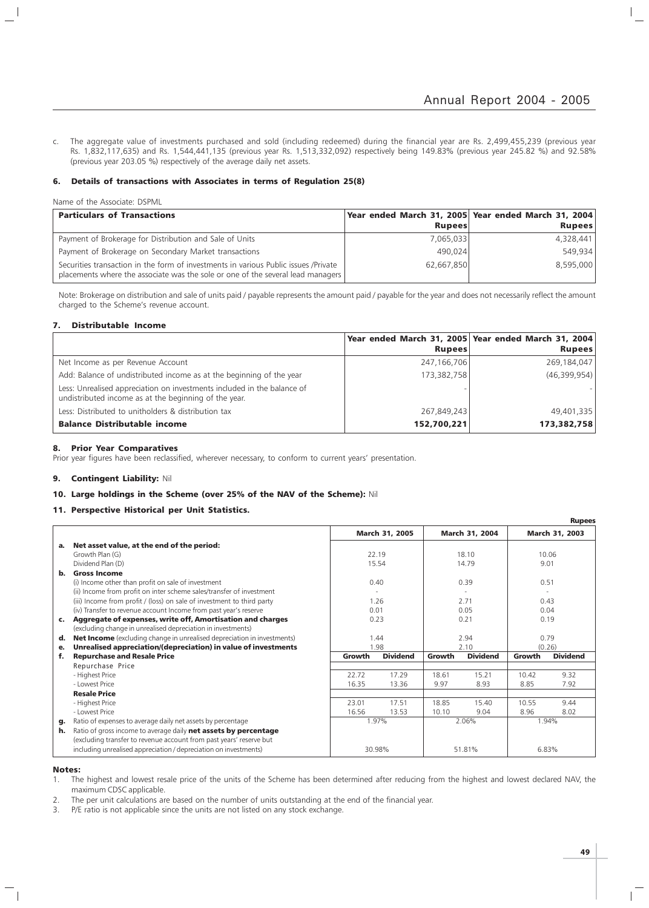c. The aggregate value of investments purchased and sold (including redeemed) during the financial year are Rs. 2,499,455,239 (previous year Rs. 1,832,117,635) and Rs. 1,544,441,135 (previous year Rs. 1,513,332,092) respectively being 149.83% (previous year 245.82 %) and 92.58% (previous year 203.05 %) respectively of the average daily net assets.

#### 6. Details of transactions with Associates in terms of Regulation 25(8)

Name of the Associate: DSPML

 $\overline{\phantom{a}}$ 

| <b>Particulars of Transactions</b>                                                                                                                                     |               | Year ended March 31, 2005 Year ended March 31, 2004 |
|------------------------------------------------------------------------------------------------------------------------------------------------------------------------|---------------|-----------------------------------------------------|
|                                                                                                                                                                        | <b>Rupees</b> | <b>Rupees</b>                                       |
| Payment of Brokerage for Distribution and Sale of Units                                                                                                                | 7,065,033     | 4,328,441                                           |
| Payment of Brokerage on Secondary Market transactions                                                                                                                  | 490.024       | 549,934                                             |
| Securities transaction in the form of investments in various Public issues /Private<br>placements where the associate was the sole or one of the several lead managers | 62,667,850    | 8,595,000                                           |

Note: Brokerage on distribution and sale of units paid / payable represents the amount paid / payable for the year and does not necessarily reflect the amount charged to the Scheme's revenue account.

#### 7. Distributable Income

|                                                                                                                                  |               | Year ended March 31, 2005 Year ended March 31, 2004 |
|----------------------------------------------------------------------------------------------------------------------------------|---------------|-----------------------------------------------------|
|                                                                                                                                  | <b>Rupees</b> | <b>Rupees</b>                                       |
| Net Income as per Revenue Account                                                                                                | 247,166,706   | 269,184,047                                         |
| Add: Balance of undistributed income as at the beginning of the year                                                             | 173,382,758   | (46,399,954)                                        |
| Less: Unrealised appreciation on investments included in the balance of<br>undistributed income as at the beginning of the year. |               |                                                     |
| Less: Distributed to unitholders & distribution tax                                                                              | 267,849,243   | 49,401,335                                          |
| <b>Balance Distributable income</b>                                                                                              | 152,700,221   | 173,382,758                                         |

#### 8. Prior Year Comparatives

Prior year figures have been reclassified, wherever necessary, to conform to current years' presentation.

#### 9. Contingent Liability: Nil

#### 10. Large holdings in the Scheme (over 25% of the NAV of the Scheme): Nil

#### 11. Perspective Historical per Unit Statistics.

|                |                                                                                |        |                       |        |                 |        | <b>Rupees</b>   |
|----------------|--------------------------------------------------------------------------------|--------|-----------------------|--------|-----------------|--------|-----------------|
|                |                                                                                |        | <b>March 31, 2005</b> |        | March 31, 2004  |        | March 31, 2003  |
| а.             | Net asset value, at the end of the period:                                     |        |                       |        |                 |        |                 |
|                | Growth Plan (G)                                                                |        | 22.19                 |        | 18.10           |        | 10.06           |
|                | Dividend Plan (D)                                                              | 15.54  |                       |        | 14.79           |        | 9.01            |
| b.             | <b>Gross Income</b>                                                            |        |                       |        |                 |        |                 |
|                | (i) Income other than profit on sale of investment                             |        | 0.40                  |        | 0.39            |        | 0.51            |
|                | (ii) Income from profit on inter scheme sales/transfer of investment           |        |                       |        |                 |        |                 |
|                | (iii) Income from profit / (loss) on sale of investment to third party         |        | 1.26                  |        | 2.71            |        | 0.43            |
|                | (iv) Transfer to revenue account Income from past year's reserve               | 0.01   |                       | 0.05   |                 |        | 0.04            |
| $\mathbf{c}$ . | Aggregate of expenses, write off, Amortisation and charges                     |        | 0.23                  |        | 0.21            |        | 0.19            |
|                | (excluding change in unrealised depreciation in investments)                   |        |                       |        |                 |        |                 |
| d.             | <b>Net Income</b> (excluding change in unrealised depreciation in investments) | 1.44   |                       | 2.94   |                 |        | 0.79            |
| е.             | Unrealised appreciation/(depreciation) in value of investments                 |        | 1.98                  | 2.10   |                 | (0.26) |                 |
| f.             | <b>Repurchase and Resale Price</b>                                             | Growth | <b>Dividend</b>       | Growth | <b>Dividend</b> | Growth | <b>Dividend</b> |
|                | Repurchase Price                                                               |        |                       |        |                 |        |                 |
|                | - Highest Price                                                                | 22.72  | 17.29                 | 18.61  | 15.21           | 10.42  | 9.32            |
|                | - Lowest Price                                                                 | 16.35  | 13.36                 | 9.97   | 8.93            | 8.85   | 7.92            |
|                | <b>Resale Price</b>                                                            |        |                       |        |                 |        |                 |
|                | - Highest Price                                                                | 23.01  | 17.51                 | 18.85  | 15.40           | 10.55  | 9.44            |
|                | - Lowest Price                                                                 | 16.56  | 13.53                 | 10.10  | 9.04            | 8.96   | 8.02            |
| g.             | Ratio of expenses to average daily net assets by percentage                    |        | 1.97%                 |        | 2.06%           |        | 1.94%           |
| h.             | Ratio of gross income to average daily net assets by percentage                |        |                       |        |                 |        |                 |
|                | (excluding transfer to revenue account from past years' reserve but            |        |                       |        |                 |        |                 |
|                | including unrealised appreciation / depreciation on investments)               |        | 30.98%                |        | 51.81%          |        | 6.83%           |

#### Notes:

1. The highest and lowest resale price of the units of the Scheme has been determined after reducing from the highest and lowest declared NAV, the maximum CDSC applicable.

2. The per unit calculations are based on the number of units outstanding at the end of the financial year.

3. P/E ratio is not applicable since the units are not listed on any stock exchange.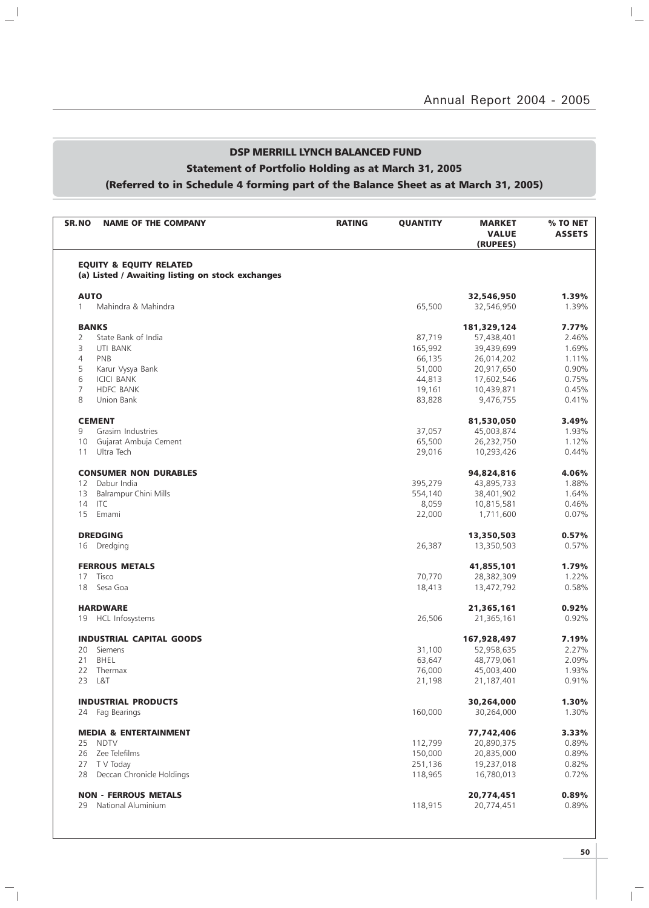$\overline{a}$ 

## DSP MERRILL LYNCH BALANCED FUND

## Statement of Portfolio Holding as at March 31, 2005

 $\mathbf{u}^{\dagger}$ 

 $\overline{\phantom{a}}_1$ 

## (Referred to in Schedule 4 forming part of the Balance Sheet as at March 31, 2005)

| <b>NAME OF THE COMPANY</b><br>SR.NO              | <b>RATING</b> | <b>QUANTITY</b> | <b>MARKET</b><br><b>VALUE</b><br>(RUPEES) | % TO NET<br><b>ASSETS</b> |
|--------------------------------------------------|---------------|-----------------|-------------------------------------------|---------------------------|
| <b>EQUITY &amp; EQUITY RELATED</b>               |               |                 |                                           |                           |
| (a) Listed / Awaiting listing on stock exchanges |               |                 |                                           |                           |
| <b>AUTO</b>                                      |               |                 | 32,546,950                                | 1.39%                     |
| Mahindra & Mahindra<br>$\mathbf{1}$              |               | 65,500          | 32,546,950                                | 1.39%                     |
| <b>BANKS</b>                                     |               |                 | 181,329,124                               | 7.77%                     |
| State Bank of India<br>2                         |               | 87,719          | 57,438,401                                | 2.46%                     |
| 3<br>UTI BANK                                    |               | 165,992         | 39,439,699                                | 1.69%                     |
| $\overline{4}$<br>PNB                            |               | 66,135          | 26,014,202                                | 1.11%                     |
| 5<br>Karur Vysya Bank                            |               | 51,000          | 20,917,650                                | 0.90%                     |
| 6<br><b>ICICI BANK</b>                           |               | 44,813          | 17,602,546                                | 0.75%                     |
| $\overline{7}$<br><b>HDFC BANK</b>               |               | 19,161          | 10,439,871                                | 0.45%                     |
| 8<br>Union Bank                                  |               | 83,828          | 9,476,755                                 | 0.41%                     |
| <b>CEMENT</b>                                    |               |                 | 81,530,050                                | 3.49%                     |
| Grasim Industries<br>9                           |               | 37,057          | 45,003,874                                | 1.93%                     |
| 10 Gujarat Ambuja Cement                         |               | 65,500          | 26,232,750                                | 1.12%                     |
| Ultra Tech<br>11                                 |               | 29,016          | 10,293,426                                | 0.44%                     |
| <b>CONSUMER NON DURABLES</b>                     |               |                 | 94,824,816                                | 4.06%                     |
| Dabur India<br>12                                |               | 395,279         | 43,895,733                                | 1.88%                     |
| 13<br><b>Balrampur Chini Mills</b>               |               | 554,140         | 38,401,902                                | 1.64%                     |
| 14 ITC                                           |               | 8,059           | 10,815,581                                | 0.46%                     |
| 15<br>Emami                                      |               | 22,000          | 1,711,600                                 | 0.07%                     |
| <b>DREDGING</b>                                  |               |                 | 13,350,503                                | 0.57%                     |
| 16 Dredging                                      |               | 26,387          | 13,350,503                                | 0.57%                     |
| <b>FERROUS METALS</b>                            |               |                 | 41,855,101                                | 1.79%                     |
| 17<br>Tisco                                      |               | 70,770          | 28,382,309                                | 1.22%                     |
| 18<br>Sesa Goa                                   |               | 18,413          | 13,472,792                                | 0.58%                     |
| <b>HARDWARE</b>                                  |               |                 | 21,365,161                                | 0.92%                     |
| 19 HCL Infosystems                               |               | 26,506          | 21,365,161                                | 0.92%                     |
| <b>INDUSTRIAL CAPITAL GOODS</b>                  |               |                 | 167,928,497                               | 7.19%                     |
| 20<br>Siemens                                    |               | 31,100          | 52,958,635                                | 2.27%                     |
| 21<br>BHEL                                       |               | 63,647          | 48,779,061                                | 2.09%                     |
| 22 Thermax                                       |               | 76,000          | 45,003,400                                | 1.93%                     |
| 23 L&T                                           |               | 21,198          | 21,187,401                                | 0.91%                     |
| <b>INDUSTRIAL PRODUCTS</b>                       |               |                 | 30,264,000                                | 1.30%                     |
| 24 Fag Bearings                                  |               | 160,000         | 30,264,000                                | 1.30%                     |
| <b>MEDIA &amp; ENTERTAINMENT</b>                 |               |                 | 77,742,406                                | 3.33%                     |
| 25 NDTV                                          |               | 112,799         | 20,890,375                                | 0.89%                     |
| 26 Zee Telefilms                                 |               | 150,000         | 20,835,000                                | 0.89%                     |
| 27 T V Today                                     |               | 251,136         | 19,237,018                                | 0.82%                     |
| Deccan Chronicle Holdings<br>28                  |               | 118,965         | 16,780,013                                | 0.72%                     |
|                                                  |               |                 |                                           | 0.89%                     |
| <b>NON - FERROUS METALS</b>                      |               |                 | 20,774,451                                |                           |

 $\overline{\mathbb{F}}$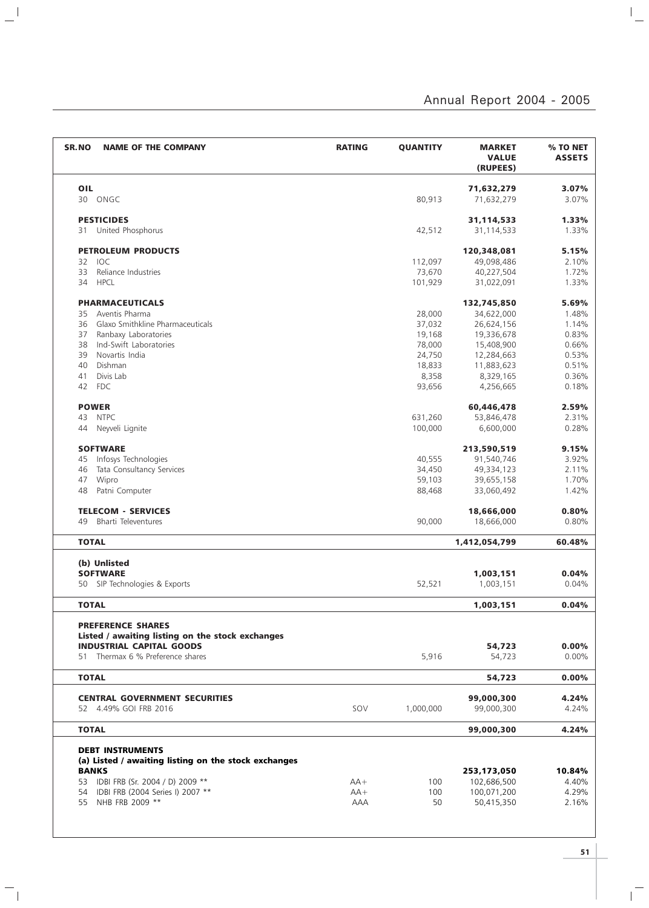| <b>NAME OF THE COMPANY</b><br><b>SR.NO</b>           | <b>RATING</b> | <b>QUANTITY</b> | <b>MARKET</b><br><b>VALUE</b><br>(RUPEES) | % TO NET<br><b>ASSETS</b> |
|------------------------------------------------------|---------------|-----------------|-------------------------------------------|---------------------------|
| OIL                                                  |               |                 | 71,632,279                                | 3.07%                     |
| ONGC<br>30                                           |               | 80,913          | 71,632,279                                | 3.07%                     |
|                                                      |               |                 |                                           |                           |
| <b>PESTICIDES</b>                                    |               |                 | 31,114,533                                | 1.33%                     |
| 31 United Phosphorus                                 |               | 42,512          | 31,114,533                                | 1.33%                     |
| <b>PETROLEUM PRODUCTS</b>                            |               |                 | 120,348,081                               | 5.15%                     |
| 32 IOC                                               |               | 112,097         | 49,098,486                                | 2.10%                     |
| 33<br>Reliance Industries                            |               | 73,670          | 40,227,504                                | 1.72%                     |
| 34<br><b>HPCL</b>                                    |               | 101,929         | 31,022,091                                | 1.33%                     |
| <b>PHARMACEUTICALS</b>                               |               |                 | 132,745,850                               | 5.69%                     |
| Aventis Pharma<br>35                                 |               | 28,000          | 34,622,000                                | 1.48%                     |
| Glaxo Smithkline Pharmaceuticals<br>36               |               | 37,032          | 26,624,156                                | 1.14%                     |
| Ranbaxy Laboratories<br>37                           |               | 19,168          | 19,336,678                                | 0.83%                     |
| Ind-Swift Laboratories<br>38                         |               | 78,000          | 15,408,900                                | 0.66%                     |
| 39<br>Novartis India                                 |               | 24,750          | 12,284,663                                | 0.53%                     |
| Dishman<br>40                                        |               | 18,833          | 11,883,623                                | 0.51%                     |
| Divis Lab<br>41                                      |               | 8,358           | 8,329,165                                 | 0.36%                     |
| <b>FDC</b><br>42                                     |               | 93,656          | 4,256,665                                 | 0.18%                     |
| <b>POWER</b>                                         |               |                 | 60,446,478                                | 2.59%                     |
| <b>NTPC</b><br>43                                    |               | 631,260         | 53,846,478                                | 2.31%                     |
| Nevveli Lignite<br>44                                |               | 100,000         | 6,600,000                                 | 0.28%                     |
| <b>SOFTWARE</b>                                      |               |                 | 213,590,519                               | 9.15%                     |
| Infosys Technologies<br>45                           |               | 40,555          | 91,540,746                                | 3.92%                     |
| 46<br>Tata Consultancy Services                      |               | 34,450          | 49,334,123                                | 2.11%                     |
| Wipro<br>47                                          |               | 59,103          | 39,655,158                                | 1.70%                     |
| Patni Computer<br>48                                 |               | 88,468          | 33,060,492                                | 1.42%                     |
| <b>TELECOM - SERVICES</b>                            |               |                 | 18,666,000                                | 0.80%                     |
| Bharti Televentures<br>49                            |               | 90,000          | 18,666,000                                | 0.80%                     |
| <b>TOTAL</b>                                         |               |                 | 1,412,054,799                             | 60.48%                    |
|                                                      |               |                 |                                           |                           |
| (b) Unlisted                                         |               |                 |                                           |                           |
| <b>SOFTWARE</b>                                      |               |                 | 1,003,151                                 | 0.04%                     |
| SIP Technologies & Exports<br>50                     |               | 52,521          | 1,003,151                                 | 0.04%                     |
| <b>TOTAL</b>                                         |               |                 | 1,003,151                                 | 0.04%                     |
| <b>PREFERENCE SHARES</b>                             |               |                 |                                           |                           |
| Listed / awaiting listing on the stock exchanges     |               |                 |                                           |                           |
| <b>INDUSTRIAL CAPITAL GOODS</b>                      |               |                 | 54,723                                    | $0.00\%$                  |
| 51 Thermax 6 % Preference shares                     |               | 5,916           | 54,723                                    | $0.00\%$                  |
| <b>TOTAL</b>                                         |               |                 | 54,723                                    | $0.00\%$                  |
| <b>CENTRAL GOVERNMENT SECURITIES</b>                 |               |                 | 99,000,300                                | 4.24%                     |
| 52 4.49% GOI FRB 2016                                | SOV           | 1,000,000       | 99,000,300                                | 4.24%                     |
|                                                      |               |                 |                                           |                           |
| <b>TOTAL</b>                                         |               |                 | 99,000,300                                | 4.24%                     |
| <b>DEBT INSTRUMENTS</b>                              |               |                 |                                           |                           |
| (a) Listed / awaiting listing on the stock exchanges |               |                 |                                           |                           |
| <b>BANKS</b>                                         |               |                 | 253,173,050                               | 10.84%                    |
| 53 IDBI FRB (Sr. 2004 / D) 2009 **                   | $AA+$         | 100             | 102,686,500                               | 4.40%                     |
| 54 IDBI FRB (2004 Series I) 2007 **                  | $AA+$         | 100             | 100,071,200                               | 4.29%                     |
| 55 NHB FRB 2009 **                                   | AAA           | 50              | 50,415,350                                | 2.16%                     |

 $\mathbb{L}^{\parallel}$ 

 $\frac{1}{\sqrt{2}}$ 

 $\mathbf{1}^{\frac{1}{n}}$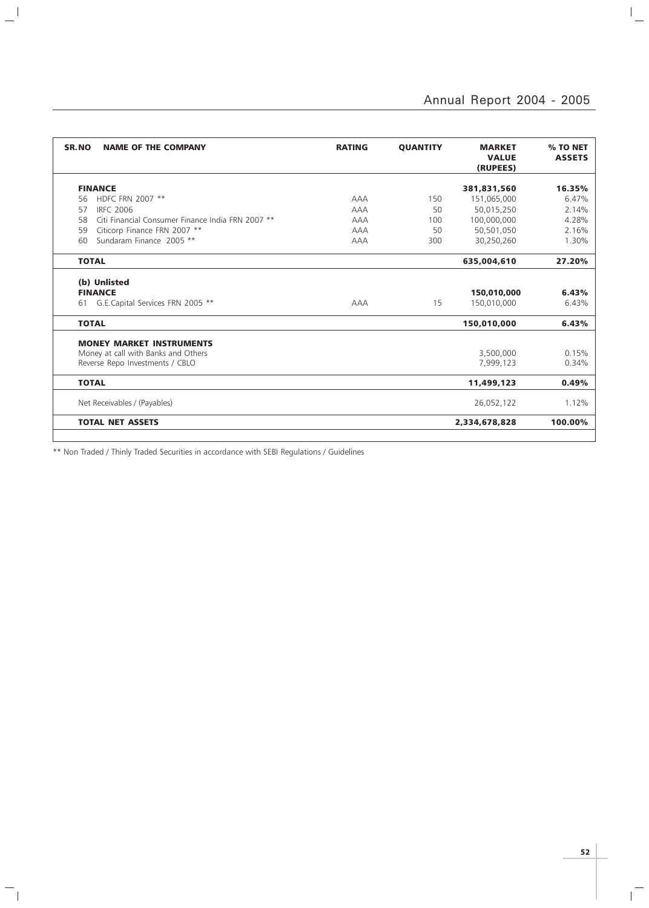# Annual Report 2004 - 2005

 $\mathbb{L}$ 

| SR.NO<br><b>NAME OF THE COMPANY</b>                     | <b>RATING</b> | <b>QUANTITY</b> | <b>MARKET</b><br><b>VALUE</b><br>(RUPEES) | % TO NET<br><b>ASSETS</b> |
|---------------------------------------------------------|---------------|-----------------|-------------------------------------------|---------------------------|
| <b>FINANCE</b>                                          |               |                 | 381,831,560                               | 16.35%                    |
| HDFC FRN 2007 **<br>56                                  | <b>AAA</b>    | 150             | 151,065,000                               | 6.47%                     |
| <b>IRFC 2006</b><br>57                                  | <b>AAA</b>    | 50              | 50,015,250                                | 2.14%                     |
| 58<br>Citi Financial Consumer Finance India FRN 2007 ** | AAA           | 100             | 100,000,000                               | 4.28%                     |
| Citicorp Finance FRN 2007 **<br>59                      | <b>AAA</b>    | 50              | 50,501,050                                | 2.16%                     |
| Sundaram Finance 2005 **<br>60                          | <b>AAA</b>    | 300             | 30,250,260                                | 1.30%                     |
| <b>TOTAL</b>                                            |               |                 | 635,004,610                               | 27.20%                    |
| (b) Unlisted                                            |               |                 |                                           |                           |
| <b>FINANCE</b>                                          |               |                 | 150,010,000                               | 6.43%                     |
| 61 G.E.Capital Services FRN 2005 **                     | AAA           | 15              | 150,010,000                               | 6.43%                     |
| <b>TOTAL</b>                                            |               |                 | 150,010,000                               | 6.43%                     |
| <b>MONEY MARKET INSTRUMENTS</b>                         |               |                 |                                           |                           |
| Money at call with Banks and Others                     |               |                 | 3,500,000                                 | 0.15%                     |
| Reverse Repo Investments / CBLO                         |               |                 | 7,999,123                                 | 0.34%                     |
| <b>TOTAL</b>                                            |               |                 | 11,499,123                                | 0.49%                     |
| Net Receivables / (Payables)                            |               |                 | 26,052,122                                | 1.12%                     |
| <b>TOTAL NET ASSETS</b>                                 |               |                 | 2,334,678,828                             | 100.00%                   |

\*\* Non Traded / Thinly Traded Securities in accordance with SEBI Regulations / Guidelines

 $\frac{1}{2}$ 

 $\mathord{\hspace{1pt}\text{--}\hspace{1pt}}_\mathbb{L}$ 

**52**

 $\overline{\mathbb{F}}$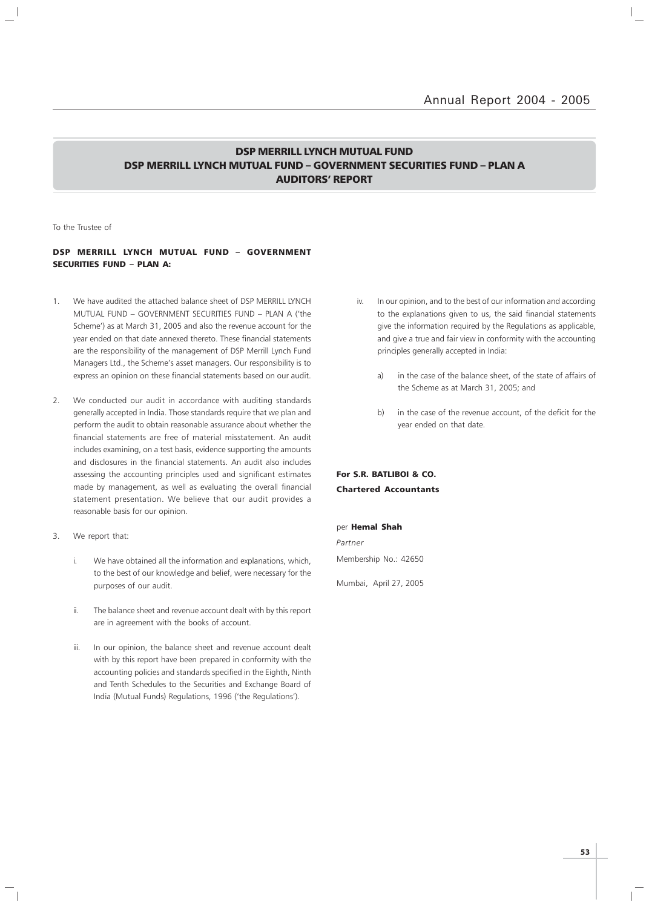### DSP MERRILL LYNCH MUTUAL FUND DSP MERRILL LYNCH MUTUAL FUND – GOVERNMENT SECURITIES FUND – PLAN A AUDITORS' REPORT

To the Trustee of

### DSP MERRILL LYNCH MUTUAL FUND – GOVERNMENT SECURITIES FUND – PLAN A:

- 1. We have audited the attached balance sheet of DSP MERRILL LYNCH MUTUAL FUND – GOVERNMENT SECURITIES FUND – PLAN A ('the Scheme') as at March 31, 2005 and also the revenue account for the year ended on that date annexed thereto. These financial statements are the responsibility of the management of DSP Merrill Lynch Fund Managers Ltd., the Scheme's asset managers. Our responsibility is to express an opinion on these financial statements based on our audit.
- 2. We conducted our audit in accordance with auditing standards generally accepted in India. Those standards require that we plan and perform the audit to obtain reasonable assurance about whether the financial statements are free of material misstatement. An audit includes examining, on a test basis, evidence supporting the amounts and disclosures in the financial statements. An audit also includes assessing the accounting principles used and significant estimates made by management, as well as evaluating the overall financial statement presentation. We believe that our audit provides a reasonable basis for our opinion.
- 3. We report that:
	- i. We have obtained all the information and explanations, which, to the best of our knowledge and belief, were necessary for the purposes of our audit.
	- ii. The balance sheet and revenue account dealt with by this report are in agreement with the books of account.
	- iii. In our opinion, the balance sheet and revenue account dealt with by this report have been prepared in conformity with the accounting policies and standards specified in the Eighth, Ninth and Tenth Schedules to the Securities and Exchange Board of India (Mutual Funds) Regulations, 1996 ('the Regulations').
- iv. In our opinion, and to the best of our information and according to the explanations given to us, the said financial statements give the information required by the Regulations as applicable, and give a true and fair view in conformity with the accounting principles generally accepted in India:
	- a) in the case of the balance sheet, of the state of affairs of the Scheme as at March 31, 2005; and
	- b) in the case of the revenue account, of the deficit for the year ended on that date.

### For S.R. BATLIBOI & CO. Chartered Accountants

#### per Hemal Shah

Partner Membership No.: 42650

Mumbai, April 27, 2005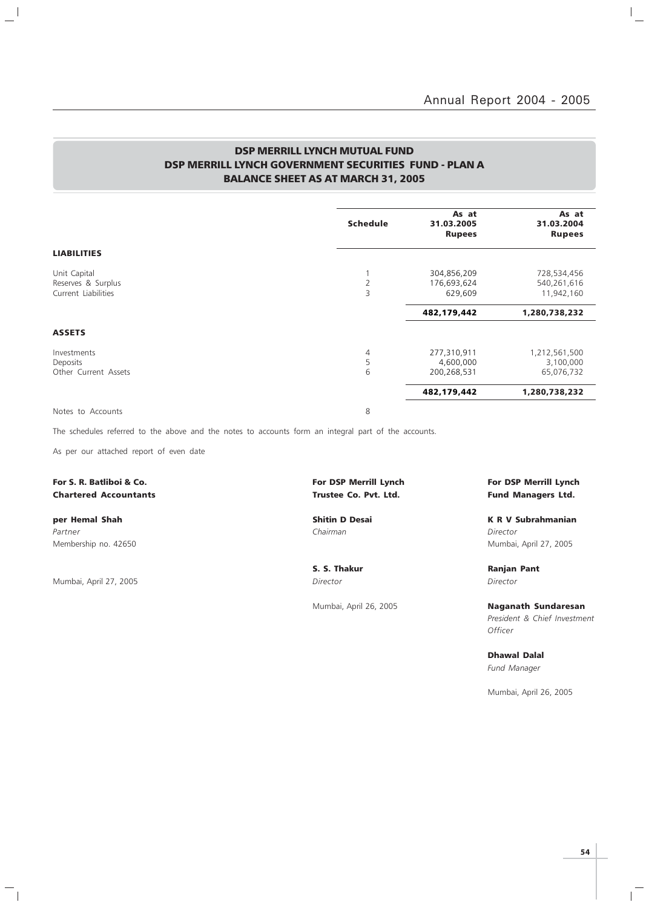$\vert$ 

### DSP MERRILL LYNCH MUTUAL FUND DSP MERRILL LYNCH GOVERNMENT SECURITIES FUND - PLAN A BALANCE SHEET AS AT MARCH 31, 2005

|                                                           | <b>Schedule</b>          | As at<br>31.03.2005<br><b>Rupees</b>    | As at<br>31.03.2004<br><b>Rupees</b>     |
|-----------------------------------------------------------|--------------------------|-----------------------------------------|------------------------------------------|
| <b>LIABILITIES</b>                                        |                          |                                         |                                          |
| Unit Capital<br>Reserves & Surplus<br>Current Liabilities | $\overline{2}$<br>3      | 304,856,209<br>176,693,624<br>629,609   | 728,534,456<br>540,261,616<br>11,942,160 |
|                                                           |                          | 482,179,442                             | 1,280,738,232                            |
| <b>ASSETS</b>                                             |                          |                                         |                                          |
| Investments<br>Deposits<br>Other Current Assets           | $\overline{4}$<br>5<br>6 | 277,310,911<br>4,600,000<br>200,268,531 | 1,212,561,500<br>3,100,000<br>65,076,732 |
|                                                           |                          | 482,179,442                             | 1,280,738,232                            |
| Notes to Accounts                                         | 8                        |                                         |                                          |

The schedules referred to the above and the notes to accounts form an integral part of the accounts.

As per our attached report of even date

### For S. R. Batliboi & Co. The Community of Latin Structure For DSP Merrill Lynch For DSP Merrill Lynch For DSP Merrill Lynch Chartered Accountants Trustee Co. Pvt. Ltd. Fund Managers Ltd.

 $\overline{\phantom{a}}$ 

 $\mathcal{L}$ 

Partner Chairman Director (Chairman Chairman Chairman Director Director Director

Mumbai, April 27, 2005 Director Director

 $\mathord{\hspace{1pt}\text{--}\hspace{1pt}}_\mathbb{I}$ 

per Hemal Shah Shah Shitin D Desai K R V Subrahmanian Membership no. 42650 Mumbai, April 27, 2005

S. S. Thakur Ranjan Pant

Mumbai, April 26, 2005 Naganath Sundaresan President & Chief Investment **Officer** 

> Dhawal Dalal Fund Manager

Mumbai, April 26, 2005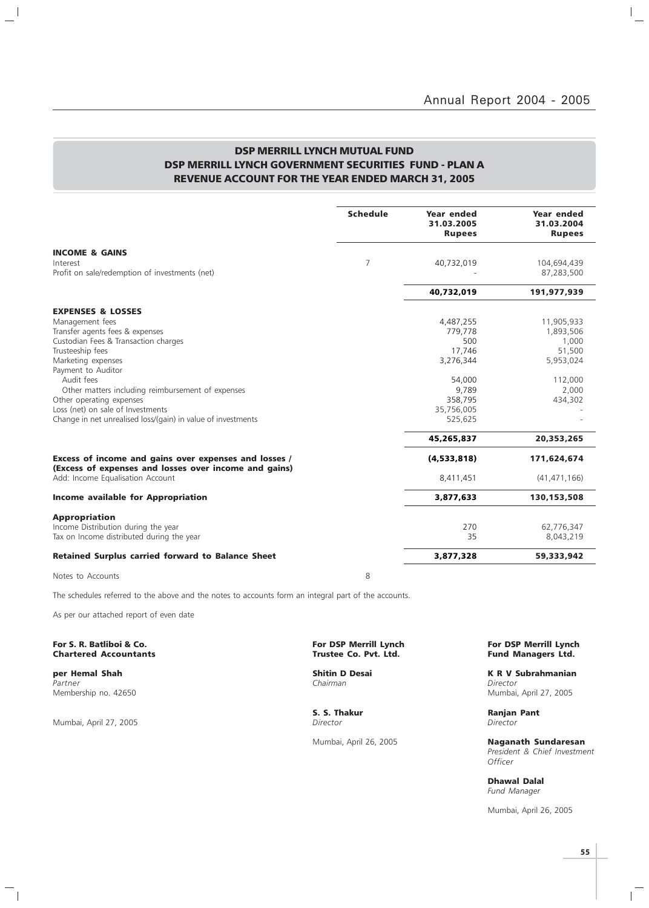$\vert$  $\overline{\phantom{0}}$ 

### DSP MERRILL LYNCH MUTUAL FUND DSP MERRILL LYNCH GOVERNMENT SECURITIES FUND - PLAN A REVENUE ACCOUNT FOR THE YEAR ENDED MARCH 31, 2005

|                                                                                                                | <b>Schedule</b> | Year ended<br>31.03.2005<br><b>Rupees</b> | Year ended<br>31.03.2004<br><b>Rupees</b> |
|----------------------------------------------------------------------------------------------------------------|-----------------|-------------------------------------------|-------------------------------------------|
| <b>INCOME &amp; GAINS</b>                                                                                      |                 |                                           |                                           |
| Interest<br>Profit on sale/redemption of investments (net)                                                     | $\overline{7}$  | 40,732,019                                | 104,694,439<br>87,283,500                 |
|                                                                                                                |                 |                                           |                                           |
|                                                                                                                |                 | 40,732,019                                | 191,977,939                               |
| <b>EXPENSES &amp; LOSSES</b>                                                                                   |                 |                                           |                                           |
| Management fees                                                                                                |                 | 4,487,255                                 | 11,905,933                                |
| Transfer agents fees & expenses                                                                                |                 | 779,778                                   | 1,893,506                                 |
| Custodian Fees & Transaction charges                                                                           |                 | 500                                       | 1,000                                     |
| Trusteeship fees                                                                                               |                 | 17,746                                    | 51,500                                    |
| Marketing expenses                                                                                             |                 | 3,276,344                                 | 5,953,024                                 |
| Payment to Auditor<br>Audit fees                                                                               |                 | 54,000                                    | 112,000                                   |
| Other matters including reimbursement of expenses                                                              |                 | 9,789                                     | 2,000                                     |
| Other operating expenses                                                                                       |                 | 358,795                                   | 434,302                                   |
| Loss (net) on sale of Investments                                                                              |                 | 35,756,005                                |                                           |
| Change in net unrealised loss/(gain) in value of investments                                                   |                 | 525,625                                   |                                           |
|                                                                                                                |                 | 45,265,837                                | 20,353,265                                |
| Excess of income and gains over expenses and losses /<br>(Excess of expenses and losses over income and gains) |                 | (4,533,818)                               | 171,624,674                               |
| Add: Income Equalisation Account                                                                               |                 | 8,411,451                                 | (41, 471, 166)                            |
| Income available for Appropriation                                                                             |                 | 3,877,633                                 | 130,153,508                               |
| <b>Appropriation</b>                                                                                           |                 |                                           |                                           |
| Income Distribution during the year                                                                            |                 | 270                                       | 62,776,347                                |
| Tax on Income distributed during the year                                                                      |                 | 35                                        | 8,043,219                                 |
| <b>Retained Surplus carried forward to Balance Sheet</b>                                                       |                 | 3,877,328                                 | 59,333,942                                |
| Notes to Accounts                                                                                              | 8               |                                           |                                           |

 $\mathbf{I}$ 

The schedules referred to the above and the notes to accounts form an integral part of the accounts.

As per our attached report of even date

For S. R. Batliboi & Co. The S. R. Batliboi & Co. For DSP Merrill Lynch For DSP Merrill Lynch For DSP Merrill Lynch<br>Chartered Accountants Trustee Co. Pvt. Ltd. Fund Managers Ltd. **Chartered Accountants** 

Partner Chairman Director (Chairman Chairman Chairman Director Director Chairman Chairman Director

Mumbai, April 27, 2005 Director Director

 $\mathord{\hspace{1pt}\text{--}\hspace{1pt}}_\parallel$ 

S. S. Thakur Ranjan Pant

per Hemal Shah Shah Shitin D Desai New York K R V Subrahmanian Membership no. 42650 Mumbai, April 27, 2005

Mumbai, April 26, 2005 **Naganath Sundaresan** President & Chief Investment **Officer** 

> Dhawal Dalal Fund Manager

Mumbai, April 26, 2005

 $\mathbb{R}$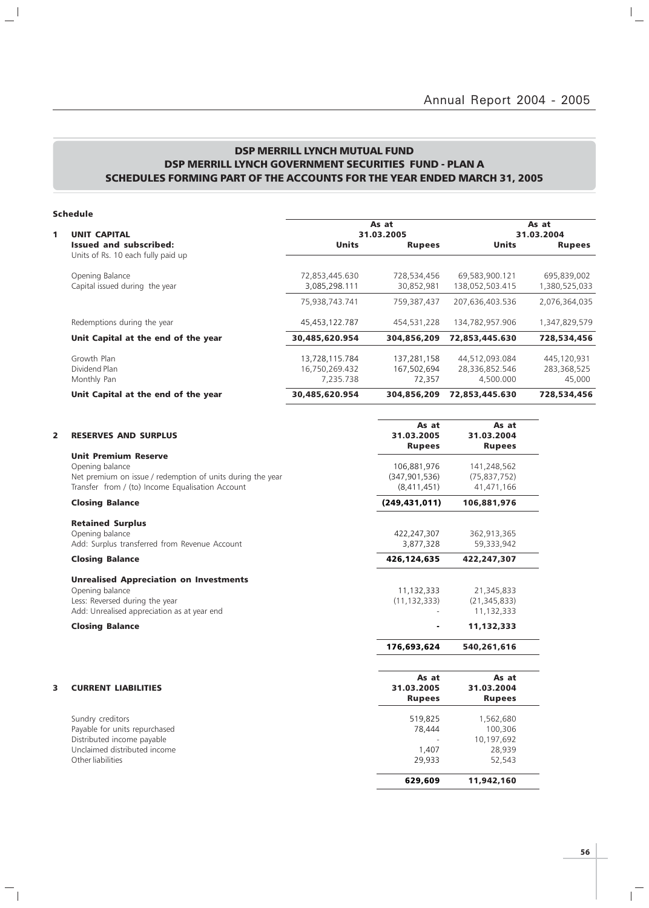### DSP MERRILL LYNCH MUTUAL FUND DSP MERRILL LYNCH GOVERNMENT SECURITIES FUND - PLAN A SCHEDULES FORMING PART OF THE ACCOUNTS FOR THE YEAR ENDED MARCH 31, 2005

### Schedule

 $\mathbf{a}^{\dagger}$ 

 $\overline{\phantom{a}}_1$ 

|                                               |                                      |                                               | As at<br>31.03.2004                  |
|-----------------------------------------------|--------------------------------------|-----------------------------------------------|--------------------------------------|
| <b>Units</b>                                  | <b>Rupees</b>                        | <b>Units</b>                                  | <b>Rupees</b>                        |
| 72,853,445.630<br>3,085,298.111               | 728,534,456<br>30,852,981            | 69,583,900.121<br>138,052,503.415             | 695,839,002<br>1,380,525,033         |
| 75.938.743.741                                | 759.387.437                          | 207,636,403.536                               | 2,076,364,035                        |
| 45,453,122.787                                | 454,531,228                          | 134,782,957.906                               | 1,347,829,579                        |
| 30,485,620.954                                | 304,856,209                          | 72,853,445.630                                | 728,534,456                          |
| 13,728,115.784<br>16,750,269.432<br>7.235.738 | 137,281,158<br>167,502,694<br>72.357 | 44,512,093.084<br>28,336,852.546<br>4,500.000 | 445,120,931<br>283,368,525<br>45,000 |
| 30,485,620.954                                | 304,856,209                          | 72,853,445.630                                | 728,534,456                          |
|                                               |                                      | As at<br>31.03.2005                           |                                      |

| <b>RESERVES AND SURPLUS</b>                                                                                    | As at<br>31.03.2005<br><b>Rupees</b> | As at<br>31.03.2004<br><b>Rupees</b>       |
|----------------------------------------------------------------------------------------------------------------|--------------------------------------|--------------------------------------------|
| <b>Unit Premium Reserve</b><br>Opening balance                                                                 | 106,881,976                          | 141,248,562                                |
| Net premium on issue / redemption of units during the year<br>Transfer from / (to) Income Equalisation Account | (347, 901, 536)<br>(8,411,451)       | (75, 837, 752)<br>41,471,166               |
| <b>Closing Balance</b>                                                                                         | (249, 431, 011)                      | 106,881,976                                |
| <b>Retained Surplus</b>                                                                                        |                                      |                                            |
| Opening balance<br>Add: Surplus transferred from Revenue Account                                               | 422,247,307<br>3,877,328             | 362,913,365<br>59,333,942                  |
| <b>Closing Balance</b>                                                                                         | 426,124,635                          | 422,247,307                                |
| <b>Unrealised Appreciation on Investments</b>                                                                  |                                      |                                            |
| Opening balance<br>Less: Reversed during the year<br>Add: Unrealised appreciation as at year end               | 11,132,333<br>(11, 132, 333)         | 21,345,833<br>(21, 345, 833)<br>11,132,333 |
| <b>Closing Balance</b>                                                                                         |                                      | 11,132,333                                 |
|                                                                                                                | 176,693,624                          | 540,261,616                                |
|                                                                                                                | As at                                | As at                                      |
| <b>CURRENT LIABILITIES</b>                                                                                     | 31.03.2005<br><b>Rupees</b>          | 31.03.2004<br><b>Rupees</b>                |
| Sundry creditors                                                                                               | 519,825                              | 1,562,680                                  |
| Payable for units repurchased<br>Distributed income payable                                                    | 78,444                               | 100,306<br>10,197,692                      |
| Unclaimed distributed income                                                                                   | 1,407                                | 28,939                                     |
| Other liabilities                                                                                              | 29,933                               | 52,543                                     |
|                                                                                                                | 629,609                              | 11,942,160                                 |

 $\overline{1}$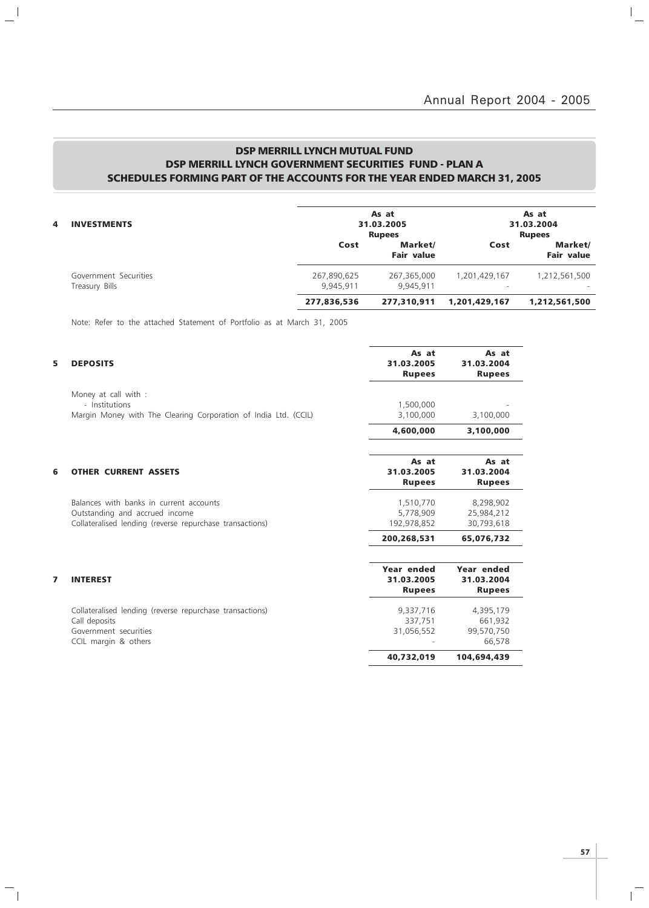$\mathbb{I}_+$ 

### DSP MERRILL LYNCH MUTUAL FUND DSP MERRILL LYNCH GOVERNMENT SECURITIES FUND - PLAN A SCHEDULES FORMING PART OF THE ACCOUNTS FOR THE YEAR ENDED MARCH 31, 2005

| 4 | <b>INVESTMENTS</b>                      | As at<br>31.03.2005<br><b>Rupees</b> |                              |               | As at<br>31.03.2004<br><b>Rupees</b> |
|---|-----------------------------------------|--------------------------------------|------------------------------|---------------|--------------------------------------|
|   |                                         | Cost                                 | Market/<br><b>Fair value</b> | Cost          | Market/<br><b>Fair value</b>         |
|   | Government Securities<br>Treasury Bills | 267,890,625<br>9.945.911             | 267,365,000<br>9.945.911     | 1,201,429,167 | 1,212,561,500                        |
|   |                                         | 277,836,536                          | 277,310,911                  | 1,201,429,167 | 1,212,561,500                        |

Note: Refer to the attached Statement of Portfolio as at March 31, 2005

 $\mathbb{L}^{\parallel}$ 

 $\overline{\phantom{a}}_1$ 

| 5 | <b>DEPOSITS</b>                                                                                                                       | As at<br>31.03.2005<br><b>Rupees</b>      | As at<br>31.03.2004<br><b>Rupees</b>         |
|---|---------------------------------------------------------------------------------------------------------------------------------------|-------------------------------------------|----------------------------------------------|
|   | Money at call with :<br>- Institutions<br>Margin Money with The Clearing Corporation of India Ltd. (CCIL)                             | 1,500,000<br>3,100,000                    | 3,100,000                                    |
|   |                                                                                                                                       | 4,600,000                                 | 3,100,000                                    |
| 6 | <b>OTHER CURRENT ASSETS</b>                                                                                                           | As at<br>31.03.2005<br><b>Rupees</b>      | As at<br>31.03.2004<br><b>Rupees</b>         |
|   | Balances with banks in current accounts<br>Outstanding and accrued income<br>Collateralised lending (reverse repurchase transactions) | 1,510,770<br>5,778,909<br>192,978,852     | 8,298,902<br>25,984,212<br>30,793,618        |
|   |                                                                                                                                       | 200,268,531                               | 65,076,732                                   |
| 7 | <b>INTEREST</b>                                                                                                                       | Year ended<br>31.03.2005<br><b>Rupees</b> | Year ended<br>31.03.2004<br><b>Rupees</b>    |
|   | Collateralised lending (reverse repurchase transactions)<br>Call deposits<br>Government securities<br>CCIL margin & others            | 9,337,716<br>337,751<br>31,056,552        | 4,395,179<br>661,932<br>99,570,750<br>66,578 |
|   |                                                                                                                                       | 40,732,019                                | 104,694,439                                  |

 $\overline{\mathbb{F}}$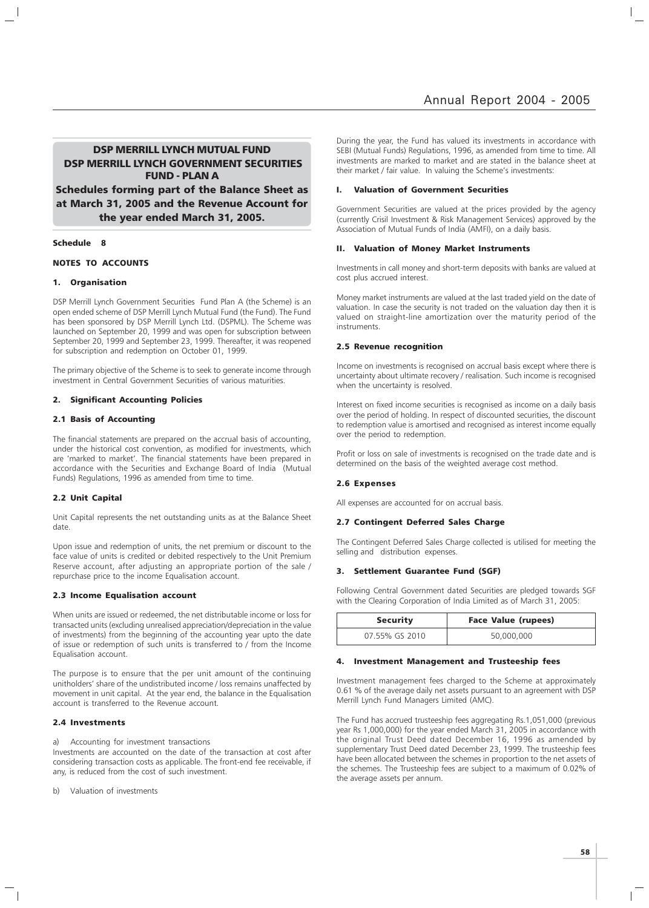DSP MERRILL LYNCH MUTUAL FUND DSP MERRILL LYNCH GOVERNMENT SECURITIES FUND - PLAN A Schedules forming part of the Balance Sheet as at March 31, 2005 and the Revenue Account for the year ended March 31, 2005.

#### Schedule 8

#### NOTES TO ACCOUNTS

#### 1. Organisation

DSP Merrill Lynch Government Securities Fund Plan A (the Scheme) is an open ended scheme of DSP Merrill Lynch Mutual Fund (the Fund). The Fund has been sponsored by DSP Merrill Lynch Ltd. (DSPML). The Scheme was launched on September 20, 1999 and was open for subscription between September 20, 1999 and September 23, 1999. Thereafter, it was reopened for subscription and redemption on October 01, 1999.

The primary objective of the Scheme is to seek to generate income through investment in Central Government Securities of various maturities.

#### 2. Significant Accounting Policies

#### 2.1 Basis of Accounting

The financial statements are prepared on the accrual basis of accounting, under the historical cost convention, as modified for investments, which are 'marked to market'. The financial statements have been prepared in accordance with the Securities and Exchange Board of India (Mutual Funds) Regulations, 1996 as amended from time to time.

#### 2.2 Unit Capital

Unit Capital represents the net outstanding units as at the Balance Sheet date.

Upon issue and redemption of units, the net premium or discount to the face value of units is credited or debited respectively to the Unit Premium Reserve account, after adjusting an appropriate portion of the sale / repurchase price to the income Equalisation account.

#### 2.3 Income Equalisation account

When units are issued or redeemed, the net distributable income or loss for transacted units (excluding unrealised appreciation/depreciation in the value of investments) from the beginning of the accounting year upto the date of issue or redemption of such units is transferred to / from the Income Equalisation account.

The purpose is to ensure that the per unit amount of the continuing unitholders' share of the undistributed income / loss remains unaffected by movement in unit capital. At the year end, the balance in the Equalisation account is transferred to the Revenue account.

#### 2.4 Investments

a) Accounting for investment transactions

Investments are accounted on the date of the transaction at cost after considering transaction costs as applicable. The front-end fee receivable, if any, is reduced from the cost of such investment.

b) Valuation of investments

During the year, the Fund has valued its investments in accordance with SEBI (Mutual Funds) Regulations, 1996, as amended from time to time. All investments are marked to market and are stated in the balance sheet at their market / fair value. In valuing the Scheme's investments:

#### I. Valuation of Government Securities

Government Securities are valued at the prices provided by the agency (currently Crisil Investment & Risk Management Services) approved by the Association of Mutual Funds of India (AMFI), on a daily basis.

#### II. Valuation of Money Market Instruments

Investments in call money and short-term deposits with banks are valued at cost plus accrued interest.

Money market instruments are valued at the last traded yield on the date of valuation. In case the security is not traded on the valuation day then it is valued on straight-line amortization over the maturity period of the instruments.

#### 2.5 Revenue recognition

Income on investments is recognised on accrual basis except where there is uncertainty about ultimate recovery / realisation. Such income is recognised when the uncertainty is resolved.

Interest on fixed income securities is recognised as income on a daily basis over the period of holding. In respect of discounted securities, the discount to redemption value is amortised and recognised as interest income equally over the period to redemption.

Profit or loss on sale of investments is recognised on the trade date and is determined on the basis of the weighted average cost method.

#### 2.6 Expenses

All expenses are accounted for on accrual basis.

#### 2.7 Contingent Deferred Sales Charge

The Contingent Deferred Sales Charge collected is utilised for meeting the selling and distribution expenses.

#### 3. Settlement Guarantee Fund (SGF)

Following Central Government dated Securities are pledged towards SGF with the Clearing Corporation of India Limited as of March 31, 2005:

| <b>Security</b> | <b>Face Value (rupees)</b> |
|-----------------|----------------------------|
| 07.55% GS 2010  | 50,000,000                 |

#### 4. Investment Management and Trusteeship fees

Investment management fees charged to the Scheme at approximately 0.61 % of the average daily net assets pursuant to an agreement with DSP Merrill Lynch Fund Managers Limited (AMC).

The Fund has accrued trusteeship fees aggregating Rs.1,051,000 (previous year Rs 1,000,000) for the year ended March 31, 2005 in accordance with the original Trust Deed dated December 16, 1996 as amended by supplementary Trust Deed dated December 23, 1999. The trusteeship fees have been allocated between the schemes in proportion to the net assets of the schemes. The Trusteeship fees are subject to a maximum of 0.02% of the average assets per annum.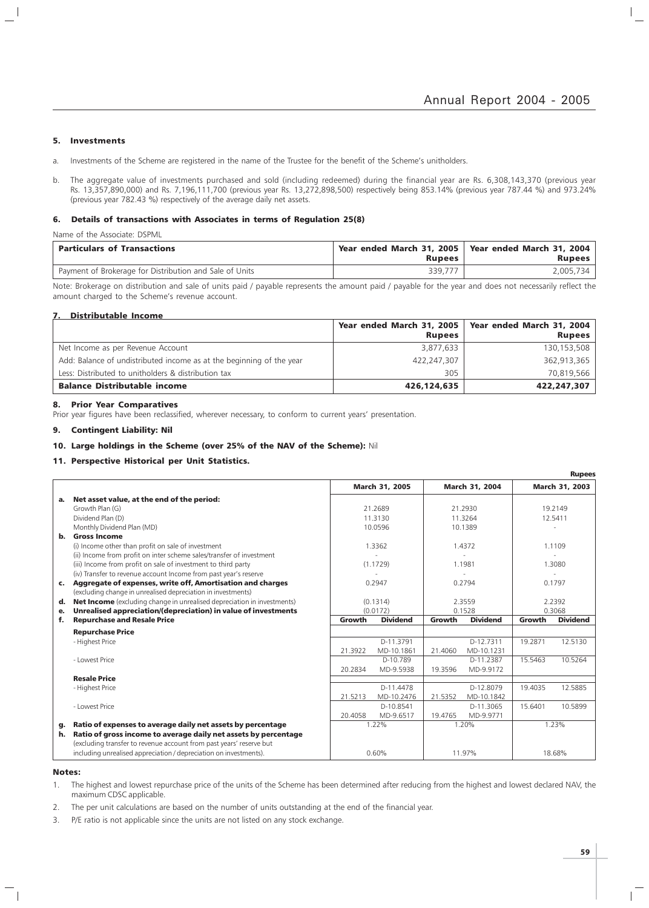#### 5. Investments

 $\overline{\phantom{a}}$ 

- a. Investments of the Scheme are registered in the name of the Trustee for the benefit of the Scheme's unitholders.
- b. The aggregate value of investments purchased and sold (including redeemed) during the financial year are Rs. 6,308,143,370 (previous year Rs. 13,357,890,000) and Rs. 7,196,111,700 (previous year Rs. 13,272,898,500) respectively being 853.14% (previous year 787.44 %) and 973.24% (previous year 782.43 %) respectively of the average daily net assets.

#### 6. Details of transactions with Associates in terms of Regulation 25(8)

Name of the Associate: DSPML

| <b>Particulars of Transactions</b>                      | <b>Rupees</b> | Year ended March 31, 2005   Year ended March 31, 2004<br><b>Rupees</b> |
|---------------------------------------------------------|---------------|------------------------------------------------------------------------|
| Payment of Brokerage for Distribution and Sale of Units | 339.777       | 2.005.734                                                              |

Note: Brokerage on distribution and sale of units paid / payable represents the amount paid / payable for the year and does not necessarily reflect the amount charged to the Scheme's revenue account.

#### 7. Distributable Income

|                                                                      |               | Year ended March 31, 2005   Year ended March 31, 2004 |
|----------------------------------------------------------------------|---------------|-------------------------------------------------------|
|                                                                      | <b>Rupees</b> | <b>Rupees</b>                                         |
| Net Income as per Revenue Account                                    | 3,877,633     | 130,153,508                                           |
| Add: Balance of undistributed income as at the beginning of the year | 422,247,307   | 362,913,365                                           |
| Less: Distributed to unitholders & distribution tax                  | 305           | 70,819,566                                            |
| <b>Balance Distributable income</b>                                  | 426,124,635   | 422,247,307                                           |

#### 8. Prior Year Comparatives

Prior year figures have been reclassified, wherever necessary, to conform to current years' presentation.

#### 9. Contingent Liability: Nil

#### 10. Large holdings in the Scheme (over 25% of the NAV of the Scheme): Nil

#### 11. Perspective Historical per Unit Statistics.

|                |                                                                                                                                        |         |                 |         |                 |         | <b>Rupees</b>   |
|----------------|----------------------------------------------------------------------------------------------------------------------------------------|---------|-----------------|---------|-----------------|---------|-----------------|
|                |                                                                                                                                        |         | March 31, 2005  |         | March 31, 2004  |         | March 31, 2003  |
| а.             | Net asset value, at the end of the period:                                                                                             |         |                 |         |                 |         |                 |
|                | Growth Plan (G)                                                                                                                        |         | 21.2689         |         | 21.2930         |         | 19.2149         |
|                | Dividend Plan (D)                                                                                                                      |         | 11.3130         |         | 11.3264         |         | 12.5411         |
|                | Monthly Dividend Plan (MD)                                                                                                             |         | 10.0596         |         | 10.1389         |         |                 |
|                | b. Gross Income                                                                                                                        |         |                 |         |                 |         |                 |
|                | (i) Income other than profit on sale of investment                                                                                     |         | 1.3362          |         | 1.4372          |         | 1.1109          |
|                | (ii) Income from profit on inter scheme sales/transfer of investment                                                                   |         |                 |         |                 |         |                 |
|                | (iii) Income from profit on sale of investment to third party                                                                          |         | (1.1729)        |         | 1.1981          |         | 1.3080          |
|                | (iv) Transfer to revenue account Income from past year's reserve                                                                       |         |                 |         |                 |         |                 |
| $\mathsf{c}$ . | Aggregate of expenses, write off, Amortisation and charges                                                                             |         | 0.2947          |         | 0.2794          |         | 0.1797          |
|                | (excluding change in unrealised depreciation in investments)                                                                           |         |                 |         |                 |         |                 |
| d.             | <b>Net Income</b> (excluding change in unrealised depreciation in investments)                                                         |         | (0.1314)        | 2.3559  |                 |         | 2.2392          |
| е.             | Unrealised appreciation/(depreciation) in value of investments                                                                         |         | (0.0172)        |         | 0.1528          | 0.3068  |                 |
| f.             | <b>Repurchase and Resale Price</b>                                                                                                     | Growth  | <b>Dividend</b> | Growth  | <b>Dividend</b> | Growth  | <b>Dividend</b> |
|                | <b>Repurchase Price</b>                                                                                                                |         |                 |         |                 |         |                 |
|                | - Highest Price                                                                                                                        |         | D-11.3791       |         | D-12.7311       | 19.2871 | 12.5130         |
|                |                                                                                                                                        | 21.3922 | MD-10.1861      | 21.4060 | MD-10.1231      |         |                 |
|                | - Lowest Price                                                                                                                         |         | D-10.789        |         | D-11.2387       | 15.5463 | 10.5264         |
|                |                                                                                                                                        | 20.2834 | MD-9.5938       | 19.3596 | MD-9.9172       |         |                 |
|                | <b>Resale Price</b>                                                                                                                    |         |                 |         |                 |         |                 |
|                | - Highest Price                                                                                                                        |         | D-11.4478       |         | D-12.8079       | 19.4035 | 12.5885         |
|                |                                                                                                                                        | 21.5213 | MD-10.2476      | 21.5352 | MD-10.1842      |         |                 |
|                | - Lowest Price                                                                                                                         |         | D-10.8541       |         | D-11.3065       | 15.6401 | 10.5899         |
|                |                                                                                                                                        | 20.4058 | MD-9.6517       | 19.4765 | MD-9.9771       |         |                 |
| g.             | Ratio of expenses to average daily net assets by percentage                                                                            |         | 1.22%           |         | 1.20%           |         | 1.23%           |
| h.             | Ratio of gross income to average daily net assets by percentage<br>(excluding transfer to revenue account from past years' reserve but |         |                 |         |                 |         |                 |
|                | including unrealised appreciation / depreciation on investments).                                                                      |         | 0.60%           |         | 11.97%          |         | 18.68%          |

#### Notes:

1. The highest and lowest repurchase price of the units of the Scheme has been determined after reducing from the highest and lowest declared NAV, the maximum CDSC applicable.

2. The per unit calculations are based on the number of units outstanding at the end of the financial year.

3. P/E ratio is not applicable since the units are not listed on any stock exchange.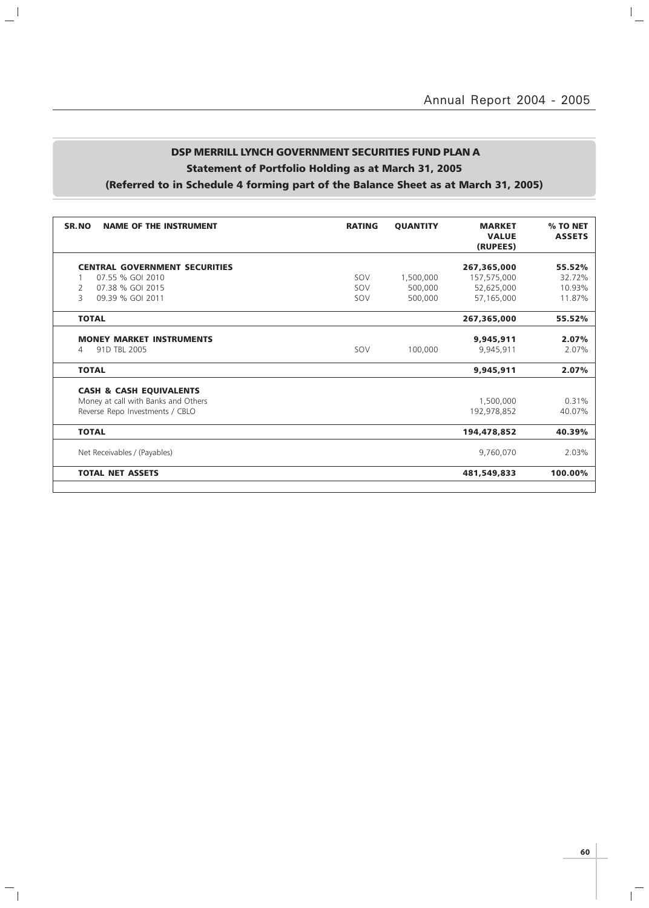$\overline{a}$ 

# DSP MERRILL LYNCH GOVERNMENT SECURITIES FUND PLAN A Statement of Portfolio Holding as at March 31, 2005

 $\mathbb{L}^{\mathbb{I}}$ 

 $\mathbb{Z}_1$ 

| (Referred to in Schedule 4 forming part of the Balance Sheet as at March 31, 2005) |  |
|------------------------------------------------------------------------------------|--|
|------------------------------------------------------------------------------------|--|

| SR.NO<br><b>NAME OF THE INSTRUMENT</b> | <b>RATING</b> | <b>QUANTITY</b> | <b>MARKET</b><br><b>VALUE</b><br>(RUPEES) | % TO NET<br><b>ASSETS</b> |
|----------------------------------------|---------------|-----------------|-------------------------------------------|---------------------------|
|                                        |               |                 |                                           |                           |
| <b>CENTRAL GOVERNMENT SECURITIES</b>   |               |                 | 267,365,000                               | 55.52%                    |
| 07.55 % GOI 2010                       | SOV           | 1,500,000       | 157,575,000                               | 32.72%                    |
| 07.38 % GOI 2015<br>2                  | SOV           | 500,000         | 52,625,000                                | 10.93%                    |
| 3<br>09.39 % GOI 2011                  | SOV           | 500,000         | 57,165,000                                | 11.87%                    |
| <b>TOTAL</b>                           |               |                 | 267,365,000                               | 55.52%                    |
|                                        |               |                 |                                           |                           |
| <b>MONEY MARKET INSTRUMENTS</b>        |               |                 | 9,945,911                                 | 2.07%                     |
| 91D TBL 2005<br>4                      | SOV           | 100,000         | 9,945,911                                 | 2.07%                     |
| <b>TOTAL</b>                           |               |                 | 9,945,911                                 | 2.07%                     |
|                                        |               |                 |                                           |                           |
| <b>CASH &amp; CASH EQUIVALENTS</b>     |               |                 |                                           |                           |
| Money at call with Banks and Others    |               |                 | 1,500,000                                 | 0.31%                     |
| Reverse Repo Investments / CBLO        |               |                 | 192,978,852                               | 40.07%                    |
| <b>TOTAL</b>                           |               |                 | 194,478,852                               | 40.39%                    |
|                                        |               |                 |                                           |                           |
| Net Receivables / (Payables)           |               |                 | 9,760,070                                 | 2.03%                     |
| <b>TOTAL NET ASSETS</b>                |               |                 | 481,549,833                               | 100.00%                   |
|                                        |               |                 |                                           |                           |

 $\mathbf{r}^{\top}$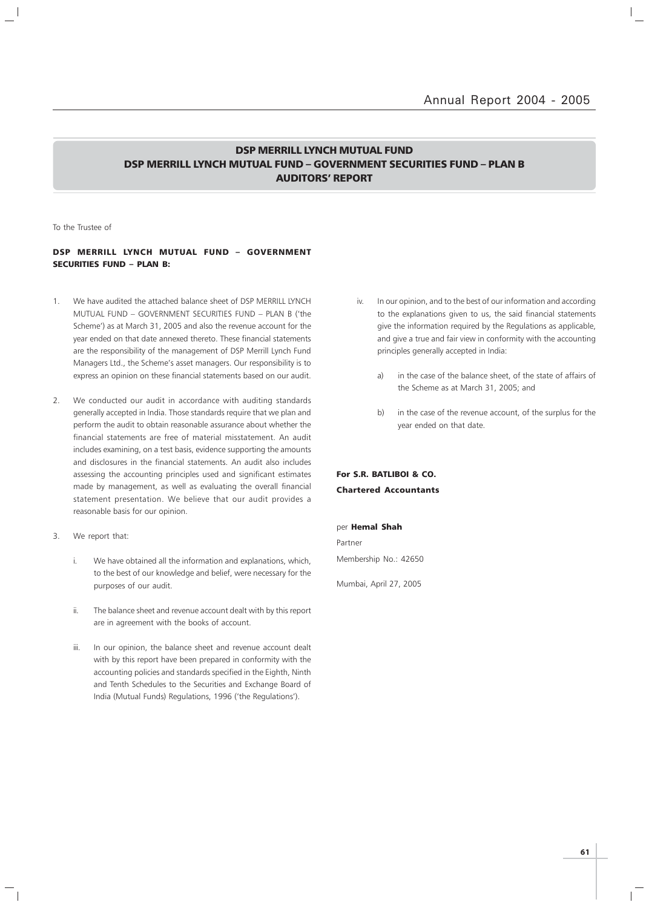### DSP MERRILL LYNCH MUTUAL FUND DSP MERRILL LYNCH MUTUAL FUND – GOVERNMENT SECURITIES FUND – PLAN B AUDITORS' REPORT

To the Trustee of

### DSP MERRILL LYNCH MUTUAL FUND – GOVERNMENT SECURITIES FUND – PLAN B:

- 1. We have audited the attached balance sheet of DSP MERRILL LYNCH MUTUAL FUND – GOVERNMENT SECURITIES FUND – PLAN B ('the Scheme') as at March 31, 2005 and also the revenue account for the year ended on that date annexed thereto. These financial statements are the responsibility of the management of DSP Merrill Lynch Fund Managers Ltd., the Scheme's asset managers. Our responsibility is to express an opinion on these financial statements based on our audit.
- 2. We conducted our audit in accordance with auditing standards generally accepted in India. Those standards require that we plan and perform the audit to obtain reasonable assurance about whether the financial statements are free of material misstatement. An audit includes examining, on a test basis, evidence supporting the amounts and disclosures in the financial statements. An audit also includes assessing the accounting principles used and significant estimates made by management, as well as evaluating the overall financial statement presentation. We believe that our audit provides a reasonable basis for our opinion.
- 3. We report that:
	- i. We have obtained all the information and explanations, which, to the best of our knowledge and belief, were necessary for the purposes of our audit.
	- ii. The balance sheet and revenue account dealt with by this report are in agreement with the books of account.
	- iii. In our opinion, the balance sheet and revenue account dealt with by this report have been prepared in conformity with the accounting policies and standards specified in the Eighth, Ninth and Tenth Schedules to the Securities and Exchange Board of India (Mutual Funds) Regulations, 1996 ('the Regulations').
- iv. In our opinion, and to the best of our information and according to the explanations given to us, the said financial statements give the information required by the Regulations as applicable, and give a true and fair view in conformity with the accounting principles generally accepted in India:
	- a) in the case of the balance sheet, of the state of affairs of the Scheme as at March 31, 2005; and
	- b) in the case of the revenue account, of the surplus for the year ended on that date.

### For S.R. BATLIBOI & CO. Chartered Accountants

#### per Hemal Shah

Partner Membership No.: 42650

Mumbai, April 27, 2005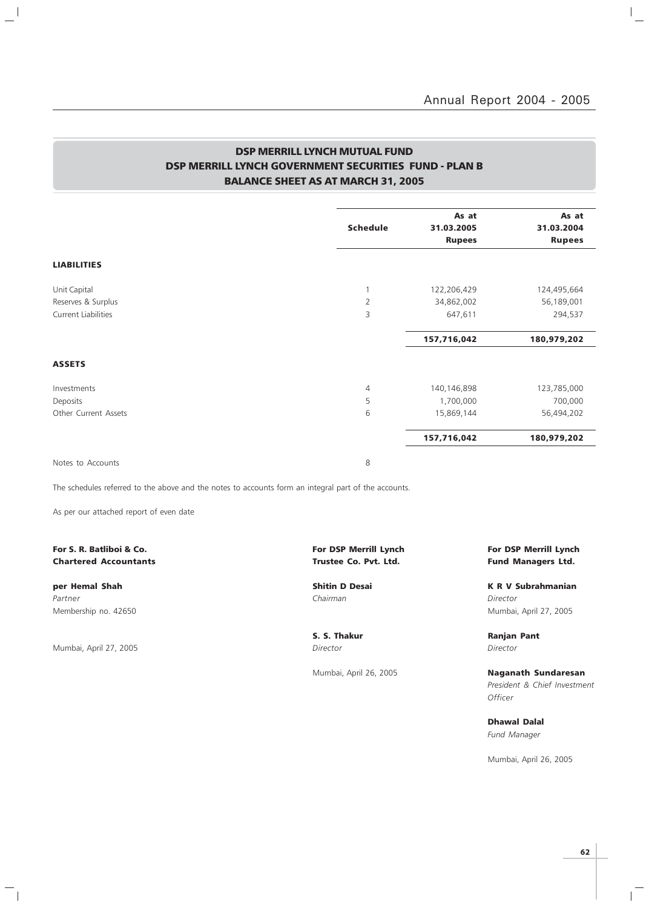$\vert$  $\overline{\phantom{a}}$ 

### DSP MERRILL LYNCH MUTUAL FUND DSP MERRILL LYNCH GOVERNMENT SECURITIES FUND - PLAN B BALANCE SHEET AS AT MARCH 31, 2005

|                | As at           | As at<br>31.03.2004         |
|----------------|-----------------|-----------------------------|
|                |                 |                             |
|                |                 | <b>Rupees</b>               |
|                |                 |                             |
| 1              | 122,206,429     | 124,495,664                 |
| $\overline{2}$ | 34,862,002      | 56,189,001                  |
| 3              | 647,611         | 294,537                     |
|                | 157,716,042     | 180,979,202                 |
|                |                 |                             |
| $\overline{4}$ | 140,146,898     | 123,785,000                 |
| 5              | 1,700,000       | 700,000                     |
| 6              | 15,869,144      | 56,494,202                  |
|                | 157,716,042     | 180,979,202                 |
|                | <b>Schedule</b> | 31.03.2005<br><b>Rupees</b> |

Notes to Accounts 8

 $\frac{1}{2}$ 

The schedules referred to the above and the notes to accounts form an integral part of the accounts.

As per our attached report of even date

### For S. R. Batliboi & Co. The Community of the Community of DSP Merrill Lynch For DSP Merrill Lynch For DSP Merrill Lynch Chartered Accountants **Chartered Accountants Trustee Co. Pvt. Ltd.** Fund Managers Ltd.

Partner Chairman Director (Chairman Chairman Chairman Director Director Director Membership no. 42650 Mumbai, April 27, 2005

Mumbai, April 27, 2005 Director Director

 $\overline{\phantom{a}}_1$ 

per Hemal Shah Shah Shitin D Desai New York K R V Subrahmanian

S. S. Thakur **Ranjan Pant** 

Mumbai, April 26, 2005 **Naganath Sundaresan** President & Chief Investment **Officer** 

> Dhawal Dalal Fund Manager

Mumbai, April 26, 2005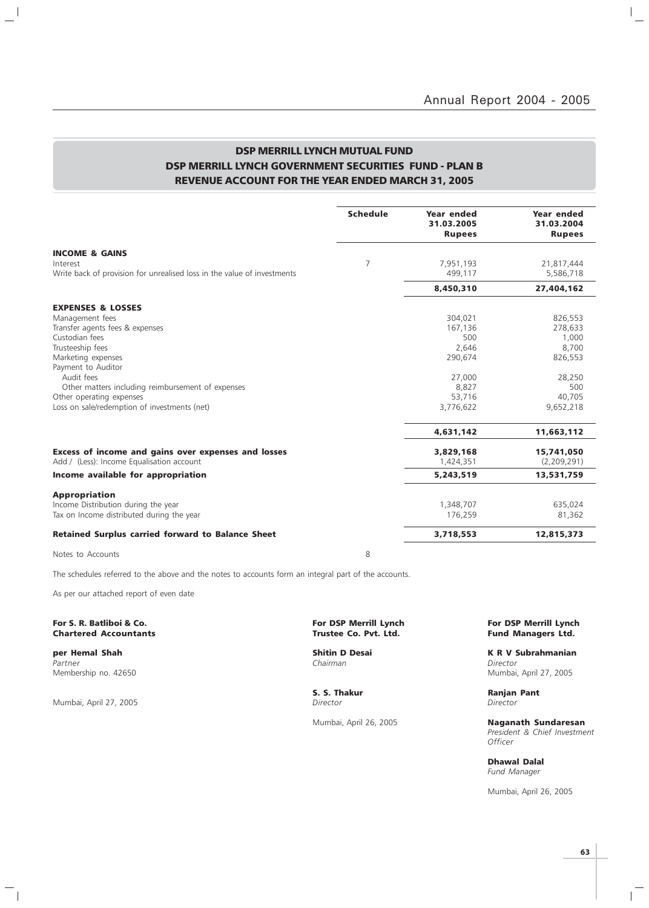$\vert$  $\overline{\phantom{0}}$ 

### DSP MERRILL LYNCH MUTUAL FUND DSP MERRILL LYNCH GOVERNMENT SECURITIES FUND - PLAN B REVENUE ACCOUNT FOR THE YEAR ENDED MARCH 31, 2005

|                                                                                     | <b>Schedule</b> | Year ended<br>31.03.2005<br><b>Rupees</b> | <b>Year ended</b><br>31.03.2004<br><b>Rupees</b> |
|-------------------------------------------------------------------------------------|-----------------|-------------------------------------------|--------------------------------------------------|
| <b>INCOME &amp; GAINS</b>                                                           |                 |                                           |                                                  |
| Interest<br>Write back of provision for unrealised loss in the value of investments | $\overline{7}$  | 7,951,193<br>499,117                      | 21,817,444<br>5,586,718                          |
|                                                                                     |                 | 8,450,310                                 | 27,404,162                                       |
| <b>EXPENSES &amp; LOSSES</b>                                                        |                 |                                           |                                                  |
| Management fees                                                                     |                 | 304,021                                   | 826,553                                          |
| Transfer agents fees & expenses                                                     |                 | 167,136                                   | 278,633                                          |
| Custodian fees                                                                      |                 | 500                                       | 1,000                                            |
| Trusteeship fees                                                                    |                 | 2,646                                     | 8,700                                            |
| Marketing expenses                                                                  |                 | 290,674                                   | 826,553                                          |
| Payment to Auditor                                                                  |                 |                                           |                                                  |
| Audit fees                                                                          |                 | 27,000                                    | 28,250                                           |
| Other matters including reimbursement of expenses                                   |                 | 8,827                                     | 500                                              |
| Other operating expenses                                                            |                 | 53,716                                    | 40,705                                           |
| Loss on sale/redemption of investments (net)                                        |                 | 3,776,622                                 | 9,652,218                                        |
|                                                                                     |                 | 4,631,142                                 | 11,663,112                                       |
| Excess of income and gains over expenses and losses                                 |                 | 3,829,168                                 | 15,741,050                                       |
| Add / (Less): Income Equalisation account                                           |                 | 1,424,351                                 | (2,209,291)                                      |
| Income available for appropriation                                                  |                 | 5,243,519                                 | 13,531,759                                       |
| <b>Appropriation</b>                                                                |                 |                                           |                                                  |
| Income Distribution during the year                                                 |                 | 1,348,707                                 | 635,024                                          |
| Tax on Income distributed during the year                                           |                 | 176,259                                   | 81,362                                           |
| <b>Retained Surplus carried forward to Balance Sheet</b>                            |                 | 3,718,553                                 | 12,815,373                                       |
| Notes to Accounts                                                                   | 8               |                                           |                                                  |

The schedules referred to the above and the notes to accounts form an integral part of the accounts.

As per our attached report of even date

For S. R. Batliboi & Co. The S. R. Batliboi & Co. For DSP Merrill Lynch For DSP Merrill Lynch For DSP Merrill Lynch<br>Chartered Accountants Trustee Co. Pvt. Ltd. Trustee Co. Pvt. Ltd. Fund Managers Ltd. **Chartered Accountants** 

Partner Chairman Director (Chairman Chairman Chairman Director Director Chairman Chairman Director Membership no. 42650 Mumbai, April 27, 2005

 $\frac{1}{2}$ 

Mumbai, April 27, 2005

 $\overline{\phantom{a}}_1$ 

S. S. Thakur Ranjan Pant Director Ranjan Pant Director

**per Hemal Shah Shah Shitin D Desai K R V Subrahmanian**<br>Partner Shah Shah Shah Shahman Shahman Shahman Director Director

Mumbai, April 26, 2005 Naganath Sundaresan President & Chief Investment **Officer** 

> Dhawal Dalal Fund Manager

Mumbai, April 26, 2005

 $\mathbb{R}$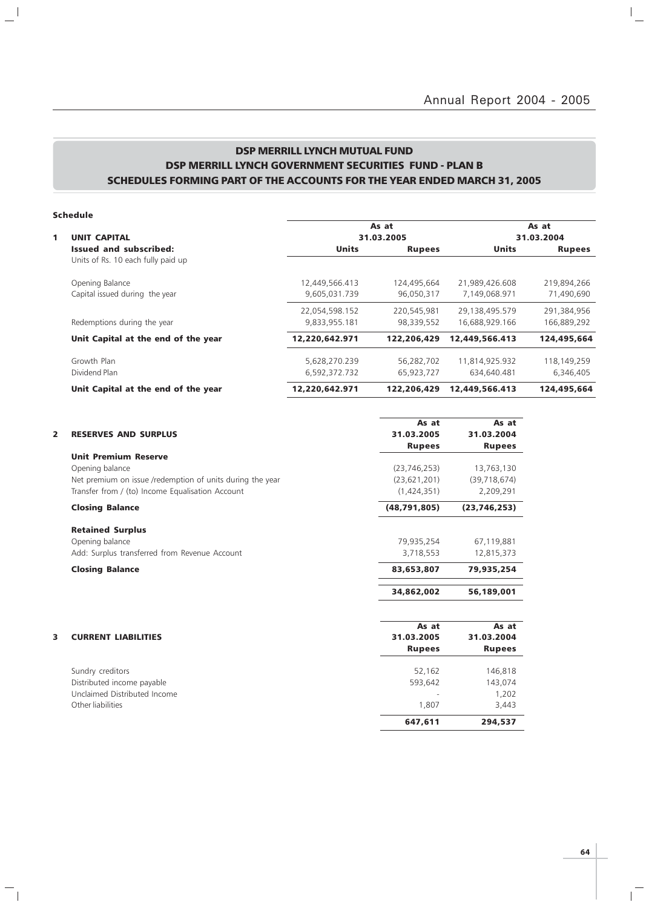### DSP MERRILL LYNCH MUTUAL FUND DSP MERRILL LYNCH GOVERNMENT SECURITIES FUND - PLAN B SCHEDULES FORMING PART OF THE ACCOUNTS FOR THE YEAR ENDED MARCH 31, 2005

### Schedule

 $\mathbf{a}^{\dagger}$ 

 $\overline{\phantom{a}}_1$ 

|                                     |                | As at         |                | As at         |
|-------------------------------------|----------------|---------------|----------------|---------------|
| <b>UNIT CAPITAL</b>                 |                | 31.03.2005    |                |               |
| Issued and subscribed:              | <b>Units</b>   | <b>Rupees</b> | <b>Units</b>   | <b>Rupees</b> |
| Units of Rs. 10 each fully paid up  |                |               |                |               |
| Opening Balance                     | 12,449,566.413 | 124,495,664   | 21,989,426.608 | 219,894,266   |
| Capital issued during the year      | 9.605.031.739  | 96,050,317    | 7.149.068.971  | 71,490,690    |
|                                     | 22,054,598.152 | 220,545,981   | 29,138,495.579 | 291,384,956   |
| Redemptions during the year         | 9.833.955.181  | 98,339,552    | 16.688.929.166 | 166.889.292   |
| Unit Capital at the end of the year | 12,220,642.971 | 122,206,429   | 12,449,566,413 | 124,495,664   |
| Growth Plan                         | 5,628,270.239  | 56,282,702    | 11,814,925.932 | 118,149,259   |
| Dividend Plan                       | 6,592,372.732  | 65,923,727    | 634,640.481    | 6,346,405     |
| Unit Capital at the end of the year | 12,220,642.971 | 122,206,429   | 12,449,566,413 | 124,495,664   |

|                |                                                           | As at          | As at          |
|----------------|-----------------------------------------------------------|----------------|----------------|
| $\overline{2}$ | <b>RESERVES AND SURPLUS</b>                               | 31.03.2005     | 31.03.2004     |
|                |                                                           | <b>Rupees</b>  | <b>Rupees</b>  |
|                | <b>Unit Premium Reserve</b>                               |                |                |
|                | Opening balance                                           | (23, 746, 253) | 13,763,130     |
|                | Net premium on issue /redemption of units during the year | (23, 621, 201) | (39, 718, 674) |
|                | Transfer from / (to) Income Equalisation Account          | (1,424,351)    | 2,209,291      |
|                | <b>Closing Balance</b>                                    | (48,791,805)   | (23, 746, 253) |
|                | <b>Retained Surplus</b>                                   |                |                |
|                | Opening balance                                           | 79,935,254     | 67,119,881     |
|                | Add: Surplus transferred from Revenue Account             | 3,718,553      | 12,815,373     |
|                | <b>Closing Balance</b>                                    | 83,653,807     | 79,935,254     |
|                |                                                           | 34,862,002     | 56,189,001     |
|                |                                                           | As at          | As at          |
| 3              | <b>CURRENT LIABILITIES</b>                                | 31.03.2005     | 31.03.2004     |
|                |                                                           | <b>Rupees</b>  | <b>Rupees</b>  |
|                | Sundry creditors                                          | 52.162         | 146,818        |
|                | Distributed income payable                                | 593,642        | 143,074        |
|                | Unclaimed Distributed Income                              |                | 1,202          |
|                | Other liabilities                                         | 1,807          | 3,443          |
|                |                                                           | 647.611        | 294,537        |
|                |                                                           |                |                |

 $\overline{1}$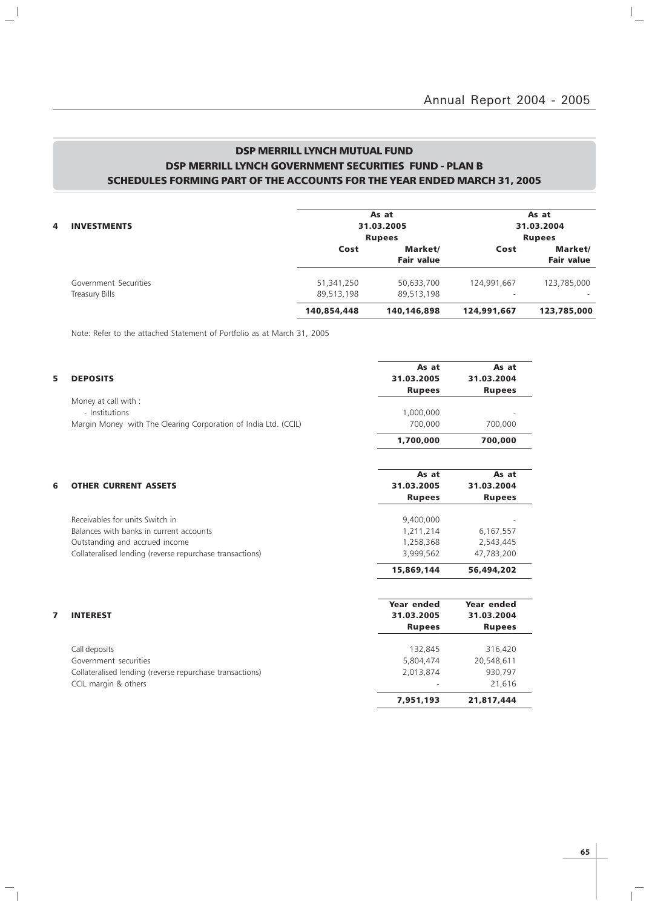### DSP MERRILL LYNCH MUTUAL FUND DSP MERRILL LYNCH GOVERNMENT SECURITIES FUND - PLAN B SCHEDULES FORMING PART OF THE ACCOUNTS FOR THE YEAR ENDED MARCH 31, 2005

| <b>INVESTMENTS</b><br>4 |             | As at<br>31.03.2005                           |                          | As at<br>31.03.2004                           |
|-------------------------|-------------|-----------------------------------------------|--------------------------|-----------------------------------------------|
|                         | Cost        | <b>Rupees</b><br>Market/<br><b>Fair value</b> | Cost                     | <b>Rupees</b><br>Market/<br><b>Fair value</b> |
| Government Securities   | 51,341,250  | 50,633,700                                    | 124,991,667              | 123,785,000                                   |
| Treasury Bills          | 89,513,198  | 89,513,198                                    | $\overline{\phantom{a}}$ |                                               |
|                         | 140,854,448 | 140,146,898                                   | 124,991,667              | 123,785,000                                   |

Note: Refer to the attached Statement of Portfolio as at March 31, 2005

 $\mathbf{a}^{\dagger}$ 

 $\mathcal{L}_{\parallel}$ 

| 5 | <b>DEPOSITS</b>                                                 | As at<br>31.03.2005 | As at<br>31.03.2004 |
|---|-----------------------------------------------------------------|---------------------|---------------------|
|   |                                                                 | <b>Rupees</b>       | <b>Rupees</b>       |
|   | Money at call with :                                            |                     |                     |
|   | - Institutions                                                  | 1,000,000           |                     |
|   | Margin Money with The Clearing Corporation of India Ltd. (CCIL) | 700,000             | 700,000             |
|   |                                                                 | 1,700,000           | 700,000             |
|   |                                                                 | As at               | As at               |
| 6 | <b>OTHER CURRENT ASSETS</b>                                     | 31.03.2005          | 31.03.2004          |
|   |                                                                 | <b>Rupees</b>       | <b>Rupees</b>       |
|   | Receivables for units Switch in                                 | 9,400,000           |                     |
|   | Balances with banks in current accounts                         | 1,211,214           | 6,167,557           |
|   | Outstanding and accrued income                                  | 1,258,368           | 2,543,445           |
|   | Collateralised lending (reverse repurchase transactions)        | 3,999,562           | 47,783,200          |
|   |                                                                 | 15,869,144          | 56,494,202          |
|   |                                                                 | Year ended          | Year ended          |
|   | <b>INTEREST</b>                                                 | 31.03.2005          | 31.03.2004          |
|   |                                                                 | <b>Rupees</b>       | <b>Rupees</b>       |
|   | Call deposits                                                   | 132,845             | 316,420             |
|   | Government securities                                           | 5,804,474           | 20,548,611          |
|   | Collateralised lending (reverse repurchase transactions)        | 2,013,874           | 930,797             |
|   | CCIL margin & others                                            |                     | 21,616              |
|   |                                                                 | 7,951,193           | 21,817,444          |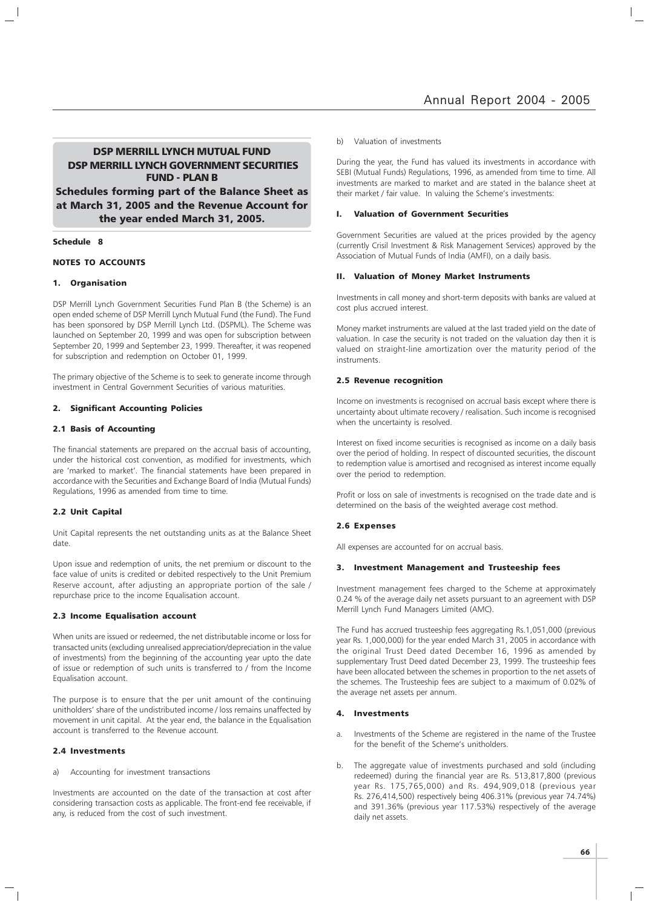### DSP MERRILL LYNCH MUTUAL FUND DSP MERRILL LYNCH GOVERNMENT SECURITIES FUND - PLAN B

Schedules forming part of the Balance Sheet as at March 31, 2005 and the Revenue Account for the year ended March 31, 2005.

#### Schedule 8

#### NOTES TO ACCOUNTS

#### 1. Organisation

DSP Merrill Lynch Government Securities Fund Plan B (the Scheme) is an open ended scheme of DSP Merrill Lynch Mutual Fund (the Fund). The Fund has been sponsored by DSP Merrill Lynch Ltd. (DSPML). The Scheme was launched on September 20, 1999 and was open for subscription between September 20, 1999 and September 23, 1999. Thereafter, it was reopened for subscription and redemption on October 01, 1999.

The primary objective of the Scheme is to seek to generate income through investment in Central Government Securities of various maturities.

#### 2. Significant Accounting Policies

#### 2.1 Basis of Accounting

The financial statements are prepared on the accrual basis of accounting, under the historical cost convention, as modified for investments, which are 'marked to market'. The financial statements have been prepared in accordance with the Securities and Exchange Board of India (Mutual Funds) Regulations, 1996 as amended from time to time.

#### 2.2 Unit Capital

Unit Capital represents the net outstanding units as at the Balance Sheet date.

Upon issue and redemption of units, the net premium or discount to the face value of units is credited or debited respectively to the Unit Premium Reserve account, after adjusting an appropriate portion of the sale / repurchase price to the income Equalisation account.

#### 2.3 Income Equalisation account

When units are issued or redeemed, the net distributable income or loss for transacted units (excluding unrealised appreciation/depreciation in the value of investments) from the beginning of the accounting year upto the date of issue or redemption of such units is transferred to / from the Income Equalisation account.

The purpose is to ensure that the per unit amount of the continuing unitholders' share of the undistributed income / loss remains unaffected by movement in unit capital. At the year end, the balance in the Equalisation account is transferred to the Revenue account.

#### 2.4 Investments

a) Accounting for investment transactions

Investments are accounted on the date of the transaction at cost after considering transaction costs as applicable. The front-end fee receivable, if any, is reduced from the cost of such investment.

#### b) Valuation of investments

During the year, the Fund has valued its investments in accordance with SEBI (Mutual Funds) Regulations, 1996, as amended from time to time. All investments are marked to market and are stated in the balance sheet at their market / fair value. In valuing the Scheme's investments:

#### I. Valuation of Government Securities

Government Securities are valued at the prices provided by the agency (currently Crisil Investment & Risk Management Services) approved by the Association of Mutual Funds of India (AMFI), on a daily basis.

### II. Valuation of Money Market Instruments

Investments in call money and short-term deposits with banks are valued at cost plus accrued interest.

Money market instruments are valued at the last traded yield on the date of valuation. In case the security is not traded on the valuation day then it is valued on straight-line amortization over the maturity period of the instruments.

#### 2.5 Revenue recognition

Income on investments is recognised on accrual basis except where there is uncertainty about ultimate recovery / realisation. Such income is recognised when the uncertainty is resolved.

Interest on fixed income securities is recognised as income on a daily basis over the period of holding. In respect of discounted securities, the discount to redemption value is amortised and recognised as interest income equally over the period to redemption.

Profit or loss on sale of investments is recognised on the trade date and is determined on the basis of the weighted average cost method.

#### 2.6 Expenses

All expenses are accounted for on accrual basis.

#### 3. Investment Management and Trusteeship fees

Investment management fees charged to the Scheme at approximately 0.24 % of the average daily net assets pursuant to an agreement with DSP Merrill Lynch Fund Managers Limited (AMC).

The Fund has accrued trusteeship fees aggregating Rs.1,051,000 (previous year Rs. 1,000,000) for the year ended March 31, 2005 in accordance with the original Trust Deed dated December 16, 1996 as amended by supplementary Trust Deed dated December 23, 1999. The trusteeship fees have been allocated between the schemes in proportion to the net assets of the schemes. The Trusteeship fees are subject to a maximum of 0.02% of the average net assets per annum.

#### 4. Investments

- a. Investments of the Scheme are registered in the name of the Trustee for the benefit of the Scheme's unitholders.
- The aggregate value of investments purchased and sold (including redeemed) during the financial year are Rs. 513,817,800 (previous year Rs. 175,765,000) and Rs. 494,909,018 (previous year Rs. 276,414,500) respectively being 406.31% (previous year 74.74%) and 391.36% (previous year 117.53%) respectively of the average daily net assets.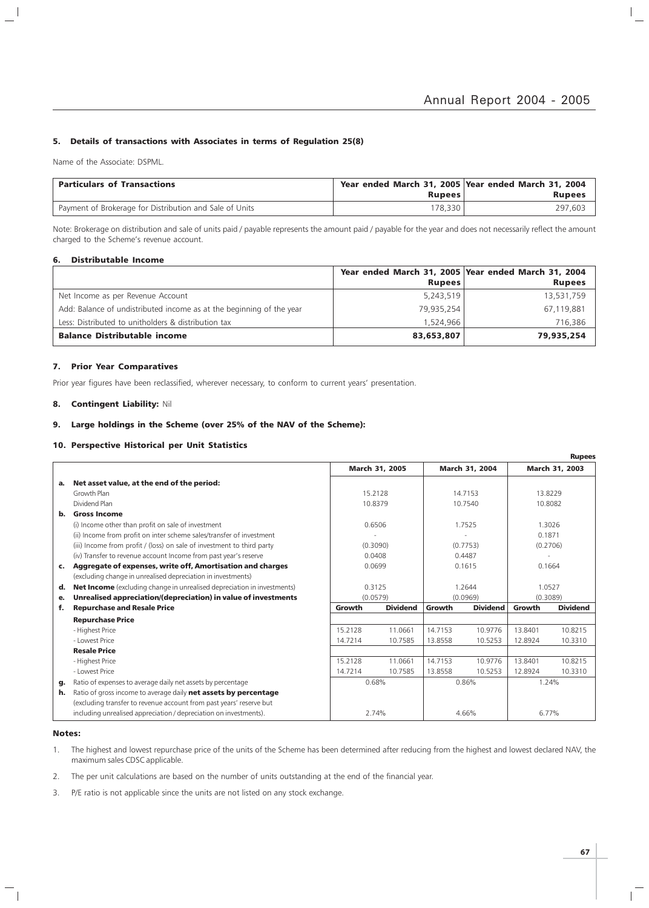#### 5. Details of transactions with Associates in terms of Regulation 25(8)

Name of the Associate: DSPML.

 $\overline{\phantom{a}}$ 

| <b>Particulars of Transactions</b>                      | Year ended March 31, 2005 Year ended March 31, 2004<br>Rupees | <b>Rupees</b> |
|---------------------------------------------------------|---------------------------------------------------------------|---------------|
| Payment of Brokerage for Distribution and Sale of Units | 78,330                                                        | 297.603       |

Note: Brokerage on distribution and sale of units paid / payable represents the amount paid / payable for the year and does not necessarily reflect the amount charged to the Scheme's revenue account.

#### 6. Distributable Income

|                                                                      | Year ended March 31, 2005 Year ended March 31, 2004 |               |
|----------------------------------------------------------------------|-----------------------------------------------------|---------------|
|                                                                      | <b>Rupees</b>                                       | <b>Rupees</b> |
| Net Income as per Revenue Account                                    | 5,243,519                                           | 13,531,759    |
| Add: Balance of undistributed income as at the beginning of the year | 79,935,254                                          | 67,119,881    |
| Less: Distributed to unitholders & distribution tax                  | 1.524.966                                           | 716,386       |
| <b>Balance Distributable income</b>                                  | 83,653,807                                          | 79,935,254    |

#### 7. Prior Year Comparatives

Prior year figures have been reclassified, wherever necessary, to conform to current years' presentation.

### 8. Contingent Liability: Nil

### 9. Large holdings in the Scheme (over 25% of the NAV of the Scheme):

### 10. Perspective Historical per Unit Statistics

|                |                                                                                |         |                 |         |                 |          | <b>Rupees</b>   |
|----------------|--------------------------------------------------------------------------------|---------|-----------------|---------|-----------------|----------|-----------------|
|                |                                                                                |         | March 31, 2005  |         | March 31, 2004  |          | March 31, 2003  |
| а.             | Net asset value, at the end of the period:                                     |         |                 |         |                 |          |                 |
|                | Growth Plan                                                                    |         | 15.2128         |         | 14.7153         | 13.8229  |                 |
|                | Dividend Plan                                                                  |         | 10.8379         |         | 10.7540         | 10.8082  |                 |
| b.             | <b>Gross Income</b>                                                            |         |                 |         |                 |          |                 |
|                | (i) Income other than profit on sale of investment                             |         | 0.6506          |         | 1.7525          | 1.3026   |                 |
|                | (ii) Income from profit on inter scheme sales/transfer of investment           |         |                 |         |                 | 0.1871   |                 |
|                | (iii) Income from profit / (loss) on sale of investment to third party         |         | (0.3090)        |         | (0.7753)        | (0.2706) |                 |
|                | (iv) Transfer to revenue account Income from past year's reserve               |         | 0.0408          |         | 0.4487          |          |                 |
| $\mathsf{c}$ . | Aggregate of expenses, write off, Amortisation and charges                     |         | 0.0699          |         | 0.1615          | 0.1664   |                 |
|                | (excluding change in unrealised depreciation in investments)                   |         |                 |         |                 |          |                 |
| d.             | <b>Net Income</b> (excluding change in unrealised depreciation in investments) |         | 0.3125          |         | 1.2644          | 1.0527   |                 |
| е.             | Unrealised appreciation/(depreciation) in value of investments                 |         | (0.0579)        |         | (0.0969)        | (0.3089) |                 |
| f.             | <b>Repurchase and Resale Price</b>                                             | Growth  | <b>Dividend</b> | Growth  | <b>Dividend</b> | Growth   | <b>Dividend</b> |
|                | <b>Repurchase Price</b>                                                        |         |                 |         |                 |          |                 |
|                | - Highest Price                                                                | 15.2128 | 11.0661         | 14.7153 | 10.9776         | 13.8401  | 10.8215         |
|                | - Lowest Price                                                                 | 14.7214 | 10.7585         | 13.8558 | 10.5253         | 12.8924  | 10.3310         |
|                | <b>Resale Price</b>                                                            |         |                 |         |                 |          |                 |
|                | - Highest Price                                                                | 15.2128 | 11.0661         | 14.7153 | 10.9776         | 13.8401  | 10.8215         |
|                | - Lowest Price                                                                 | 14.7214 | 10.7585         | 13.8558 | 10.5253         | 12.8924  | 10.3310         |
| g.             | Ratio of expenses to average daily net assets by percentage                    |         | 0.68%           |         | 0.86%           | 1.24%    |                 |
| h.             | Ratio of gross income to average daily net assets by percentage                |         |                 |         |                 |          |                 |
|                | (excluding transfer to revenue account from past years' reserve but            |         |                 |         |                 |          |                 |
|                | including unrealised appreciation / depreciation on investments).              |         | 2.74%           |         | 4.66%           | 6.77%    |                 |

#### Notes:

- 1. The highest and lowest repurchase price of the units of the Scheme has been determined after reducing from the highest and lowest declared NAV, the maximum sales CDSC applicable.
- 2. The per unit calculations are based on the number of units outstanding at the end of the financial year.
- 3. P/E ratio is not applicable since the units are not listed on any stock exchange.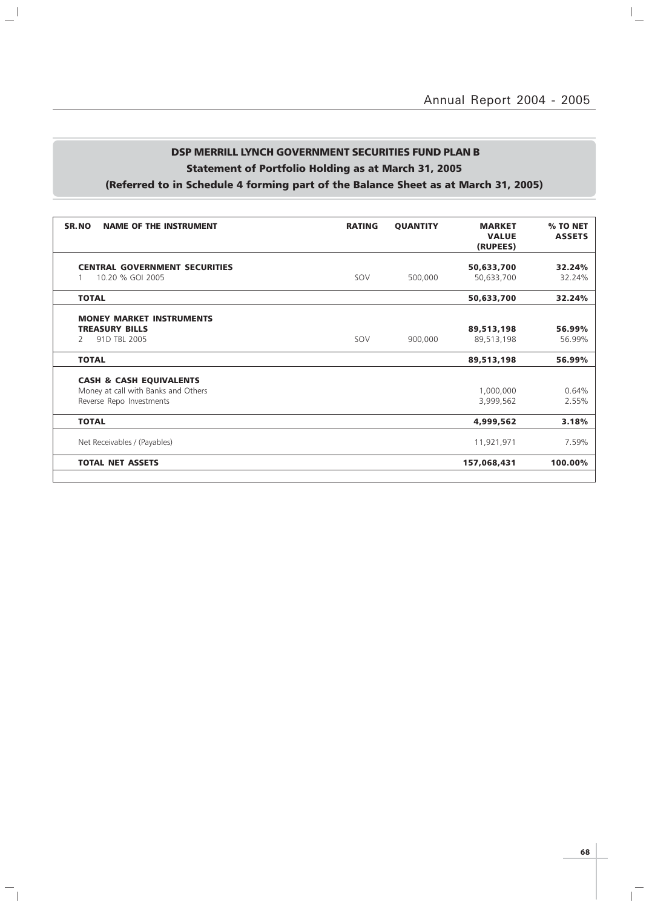$\overline{a}$ 

### DSP MERRILL LYNCH GOVERNMENT SECURITIES FUND PLAN B Statement of Portfolio Holding as at March 31, 2005 (Referred to in Schedule 4 forming part of the Balance Sheet as at March 31, 2005)

 $\frac{1}{2}$ 

 $\mathord{\hspace{1pt}\text{--}\hspace{1pt}}_\parallel$ 

| , (Referred to in Schedule 4 forming part of the balance Sheet as at March 31, 2003) |  |  |
|--------------------------------------------------------------------------------------|--|--|
|                                                                                      |  |  |

| SR.NO<br><b>NAME OF THE INSTRUMENT</b>                                                                | <b>RATING</b> | <b>QUANTITY</b> | <b>MARKET</b><br><b>VALUE</b><br>(RUPEES) | % TO NET<br><b>ASSETS</b> |
|-------------------------------------------------------------------------------------------------------|---------------|-----------------|-------------------------------------------|---------------------------|
| <b>CENTRAL GOVERNMENT SECURITIES</b><br>10.20 % GOI 2005                                              | SOV           | 500,000         | 50,633,700<br>50,633,700                  | 32.24%<br>32.24%          |
| <b>TOTAL</b>                                                                                          |               |                 | 50,633,700                                | 32.24%                    |
| <b>MONEY MARKET INSTRUMENTS</b><br><b>TREASURY BILLS</b><br>91D TBL 2005<br>$\mathcal{P}$             | SOV           | 900,000         | 89,513,198<br>89,513,198                  | 56.99%<br>56.99%          |
| <b>TOTAL</b>                                                                                          |               |                 | 89,513,198                                | 56.99%                    |
| <b>CASH &amp; CASH EQUIVALENTS</b><br>Money at call with Banks and Others<br>Reverse Repo Investments |               |                 | 1,000,000<br>3,999,562                    | 0.64%<br>2.55%            |
| <b>TOTAL</b>                                                                                          |               |                 | 4,999,562                                 | 3.18%                     |
| Net Receivables / (Payables)                                                                          |               |                 | 11,921,971                                | 7.59%                     |
| <b>TOTAL NET ASSETS</b>                                                                               |               |                 | 157,068,431                               | 100.00%                   |
|                                                                                                       |               |                 |                                           |                           |

 $\overline{\mathbb{L}}$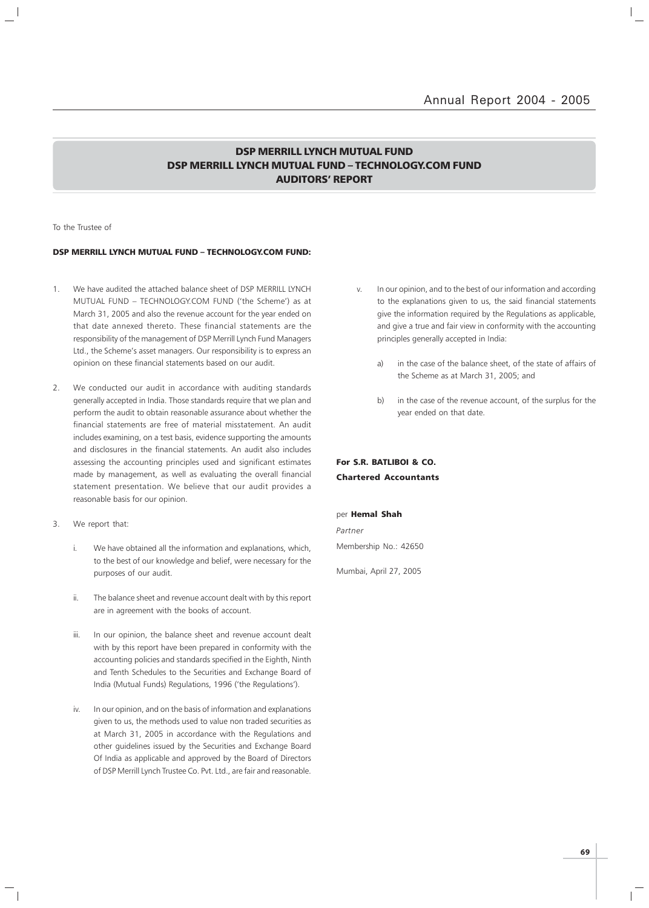### DSP MERRILL LYNCH MUTUAL FUND DSP MERRILL LYNCH MUTUAL FUND – TECHNOLOGY.COM FUND AUDITORS' REPORT

#### To the Trustee of

#### DSP MERRILL LYNCH MUTUAL FUND – TECHNOLOGY.COM FUND:

- 1. We have audited the attached balance sheet of DSP MERRILL LYNCH MUTUAL FUND – TECHNOLOGY.COM FUND ('the Scheme') as at March 31, 2005 and also the revenue account for the year ended on that date annexed thereto. These financial statements are the responsibility of the management of DSP Merrill Lynch Fund Managers Ltd., the Scheme's asset managers. Our responsibility is to express an opinion on these financial statements based on our audit.
- 2. We conducted our audit in accordance with auditing standards generally accepted in India. Those standards require that we plan and perform the audit to obtain reasonable assurance about whether the financial statements are free of material misstatement. An audit includes examining, on a test basis, evidence supporting the amounts and disclosures in the financial statements. An audit also includes assessing the accounting principles used and significant estimates made by management, as well as evaluating the overall financial statement presentation. We believe that our audit provides a reasonable basis for our opinion.
- 3. We report that:
	- i. We have obtained all the information and explanations, which, to the best of our knowledge and belief, were necessary for the purposes of our audit.
	- ii. The balance sheet and revenue account dealt with by this report are in agreement with the books of account.
	- iii. In our opinion, the balance sheet and revenue account dealt with by this report have been prepared in conformity with the accounting policies and standards specified in the Eighth, Ninth and Tenth Schedules to the Securities and Exchange Board of India (Mutual Funds) Regulations, 1996 ('the Regulations').
	- iv. In our opinion, and on the basis of information and explanations given to us, the methods used to value non traded securities as at March 31, 2005 in accordance with the Regulations and other guidelines issued by the Securities and Exchange Board Of India as applicable and approved by the Board of Directors of DSP Merrill Lynch Trustee Co. Pvt. Ltd., are fair and reasonable.
- v. In our opinion, and to the best of our information and according to the explanations given to us, the said financial statements give the information required by the Regulations as applicable, and give a true and fair view in conformity with the accounting principles generally accepted in India:
	- a) in the case of the balance sheet, of the state of affairs of the Scheme as at March 31, 2005; and
	- b) in the case of the revenue account, of the surplus for the year ended on that date.

### For S.R. BATLIBOI & CO. Chartered Accountants

per **Hemal Shah** Partner Membership No.: 42650

Mumbai, April 27, 2005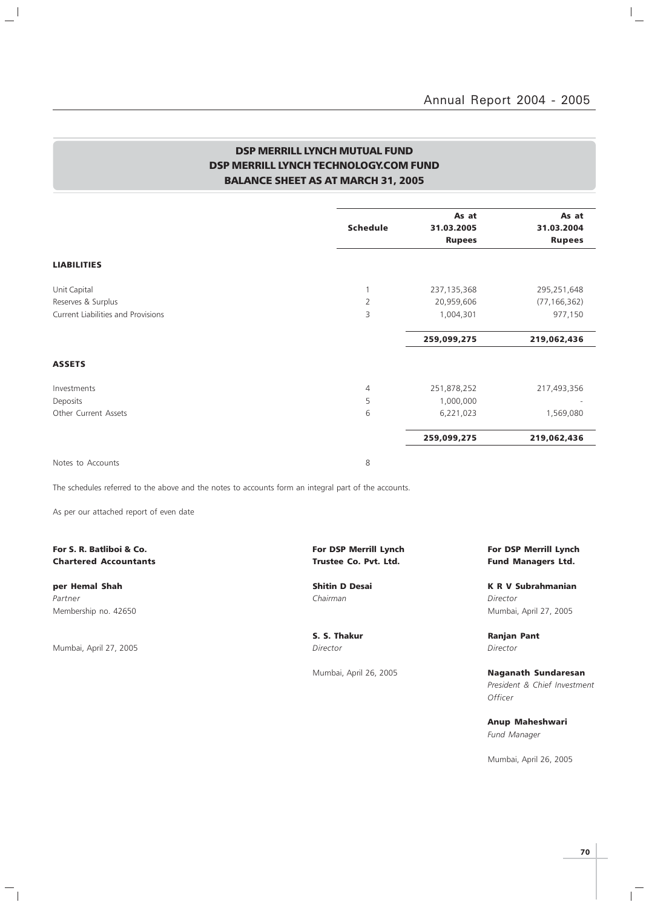$\mathbb{I}_+$ 

### DSP MERRILL LYNCH MUTUAL FUND DSP MERRILL LYNCH TECHNOLOGY.COM FUND BALANCE SHEET AS AT MARCH 31, 2005

| <b>Schedule</b> | As at<br>31.03.2005<br><b>Rupees</b> | As at<br>31.03.2004 |
|-----------------|--------------------------------------|---------------------|
|                 |                                      | <b>Rupees</b>       |
|                 |                                      |                     |
|                 |                                      |                     |
|                 | 237, 135, 368                        | 295,251,648         |
| 2               | 20,959,606                           | (77, 166, 362)      |
| 3               | 1,004,301                            | 977,150             |
|                 | 259,099,275                          | 219,062,436         |
|                 |                                      |                     |
| $\overline{4}$  | 251,878,252                          | 217,493,356         |
| 5               | 1,000,000                            |                     |
| 6               | 6,221,023                            | 1,569,080           |
|                 | 259,099,275                          | 219,062,436         |
|                 |                                      |                     |

Notes to Accounts 8

 $\frac{1}{2}$ 

The schedules referred to the above and the notes to accounts form an integral part of the accounts.

As per our attached report of even date

# Chartered Accountants **Chartered Accountants Trustee Co. Pvt. Ltd.** Fund Managers Ltd.

Partner Chairman Director (Chairman Chairman Chairman Director Director Director

Mumbai, April 27, 2005 Director Director

 $\mathord{\hspace{1pt}\text{--}\hspace{1pt}}_\parallel$ 

# For S. R. Batliboi & Co. The Community of the Community of DSP Merrill Lynch For DSP Merrill Lynch For DSP Merrill Lynch

per Hemal Shah Shah Shitin D Desai New York K R V Subrahmanian Membership no. 42650 Mumbai, April 27, 2005

S. S. Thakur **Ranjan Pant** 

Mumbai, April 26, 2005 **Naganath Sundaresan** President & Chief Investment **Officer** 

> Anup Maheshwari Fund Manager

Mumbai, April 26, 2005

 $\mathbb{R}$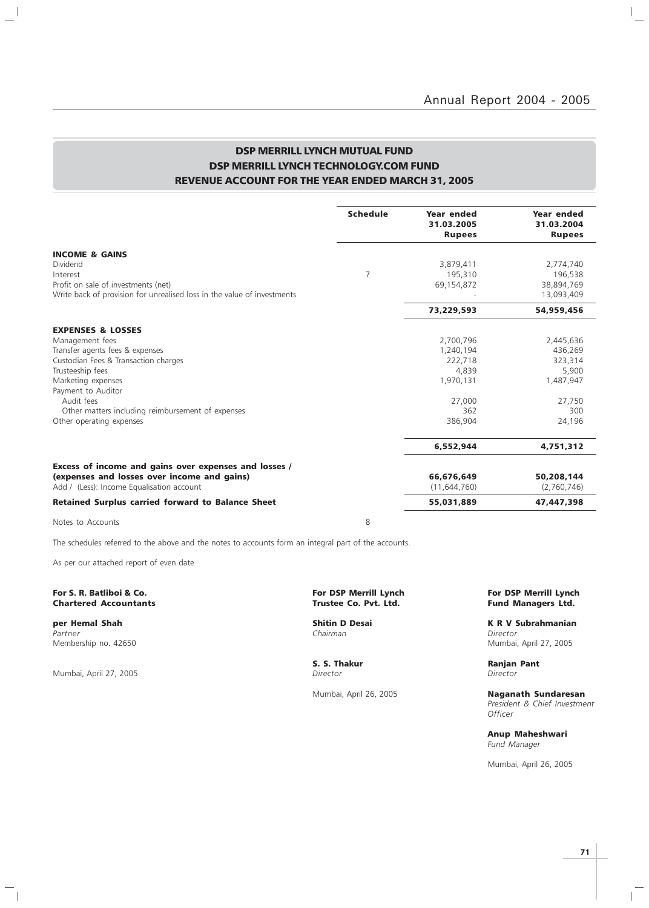$\mathbb{I}_+$ 

### DSP MERRILL LYNCH MUTUAL FUND DSP MERRILL LYNCH TECHNOLOGY.COM FUND REVENUE ACCOUNT FOR THE YEAR ENDED MARCH 31, 2005

|                                                                         | <b>Schedule</b> | Year ended<br>31.03.2005<br><b>Rupees</b> | Year ended<br>31.03.2004<br><b>Rupees</b> |
|-------------------------------------------------------------------------|-----------------|-------------------------------------------|-------------------------------------------|
| <b>INCOME &amp; GAINS</b>                                               |                 |                                           |                                           |
| Dividend                                                                |                 | 3,879,411                                 | 2,774,740                                 |
| Interest                                                                | $\overline{7}$  | 195,310                                   | 196,538                                   |
| Profit on sale of investments (net)                                     |                 | 69,154,872                                | 38,894,769                                |
| Write back of provision for unrealised loss in the value of investments |                 |                                           | 13,093,409                                |
|                                                                         |                 | 73,229,593                                | 54,959,456                                |
| <b>EXPENSES &amp; LOSSES</b>                                            |                 |                                           |                                           |
| Management fees                                                         |                 | 2,700,796                                 | 2,445,636                                 |
| Transfer agents fees & expenses                                         |                 | 1,240,194                                 | 436,269                                   |
| Custodian Fees & Transaction charges                                    |                 | 222,718                                   | 323,314                                   |
| Trusteeship fees                                                        |                 | 4,839                                     | 5,900                                     |
| Marketing expenses                                                      |                 | 1,970,131                                 | 1,487,947                                 |
| Payment to Auditor                                                      |                 |                                           |                                           |
| Audit fees                                                              |                 | 27,000                                    | 27,750                                    |
| Other matters including reimbursement of expenses                       |                 | 362                                       | 300                                       |
| Other operating expenses                                                |                 | 386,904                                   | 24,196                                    |
|                                                                         |                 | 6,552,944                                 | 4,751,312                                 |
| Excess of income and gains over expenses and losses /                   |                 |                                           |                                           |
| (expenses and losses over income and gains)                             |                 | 66,676,649                                | 50,208,144                                |
| Add / (Less): Income Equalisation account                               |                 | (11, 644, 760)                            | (2,760,746)                               |
| <b>Retained Surplus carried forward to Balance Sheet</b>                |                 | 55,031,889                                | 47,447,398                                |
| Notes to Accounts                                                       | 8               |                                           |                                           |

The schedules referred to the above and the notes to accounts form an integral part of the accounts.

As per our attached report of even date

#### For S. R. Batliboi & Co. The Co. For DSP Merrill Lynch For DSP Merrill Lynch For DSP Merrill Lynch For DSP Merrill Lynch Chartered Accountants (1990) Structure Co. Pvt. Ltd. **Chartered Accountants**

Partner Chairman Director (Chairman Chairman Chairman Director Director Chairman Chairman Director Membership no. 42650 Mumbai, April 27, 2005

 $\frac{1}{2}$ 

Mumbai, April 27, 2005

 $\mathord{\hspace{1pt}\text{--}\hspace{1pt}}_\parallel$ 

S. S. Thakur **Ranjan Pant** Ranjan Pant Director

**per Hemal Shah Shitin D Desai K R V Subrahmanian**<br>Partner **K R V Subrahmanian**<br>Chairman Chairman

Mumbai, April 26, 2005 **Naganath Sundaresan** President & Chief Investment **Officer** 

> Anup Maheshwari Fund Manager

Mumbai, April 26, 2005

 $\mathbb{R}$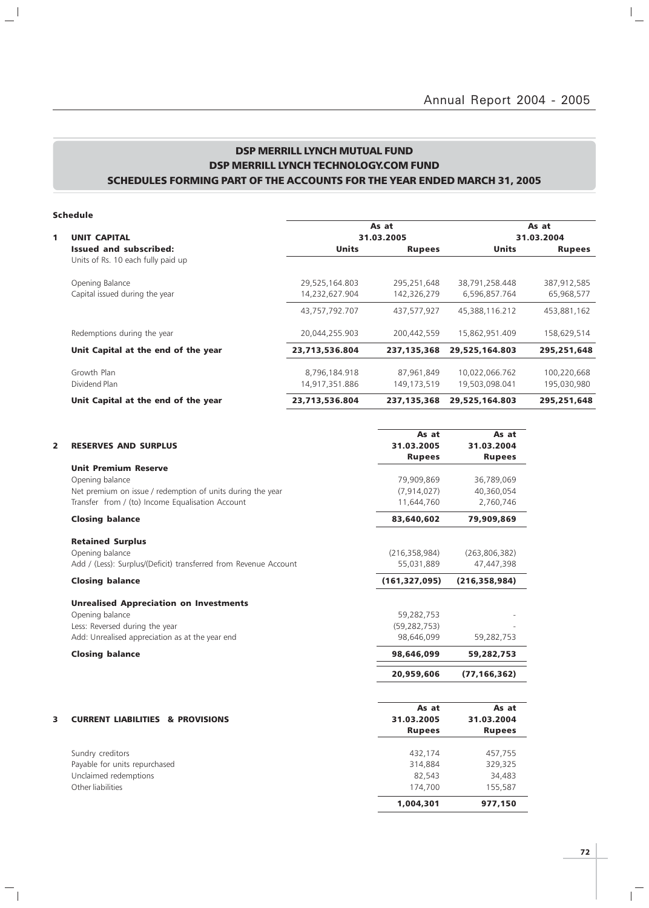### DSP MERRILL LYNCH MUTUAL FUND DSP MERRILL LYNCH TECHNOLOGY.COM FUND SCHEDULES FORMING PART OF THE ACCOUNTS FOR THE YEAR ENDED MARCH 31, 2005

### Schedule

 $\mathbb{R}^{\mathbb{N}}$ 

 $\overline{\phantom{a}}_1$ 

|   |                                     |                | As at         |                | As at         |
|---|-------------------------------------|----------------|---------------|----------------|---------------|
| 1 | <b>UNIT CAPITAL</b>                 |                | 31.03.2005    |                |               |
|   | Issued and subscribed:              | <b>Units</b>   | <b>Rupees</b> | <b>Units</b>   | <b>Rupees</b> |
|   | Units of Rs. 10 each fully paid up  |                |               |                |               |
|   | Opening Balance                     | 29,525,164.803 | 295,251,648   | 38,791,258.448 | 387,912,585   |
|   | Capital issued during the year      | 14,232,627.904 | 142,326,279   | 6.596.857.764  | 65,968,577    |
|   |                                     | 43,757,792.707 | 437,577,927   | 45,388,116.212 | 453,881,162   |
|   | Redemptions during the year         | 20,044,255.903 | 200.442.559   | 15,862,951.409 | 158,629,514   |
|   | Unit Capital at the end of the year | 23,713,536.804 | 237, 135, 368 | 29,525,164.803 | 295,251,648   |
|   | Growth Plan                         | 8,796,184.918  | 87,961,849    | 10,022,066.762 | 100,220,668   |
|   | Dividend Plan                       | 14,917,351.886 | 149,173,519   | 19,503,098.041 | 195,030,980   |
|   | Unit Capital at the end of the year | 23,713,536.804 | 237, 135, 368 | 29,525,164.803 | 295,251,648   |

|   |                                                                  | As at           | As at           |
|---|------------------------------------------------------------------|-----------------|-----------------|
| 2 | <b>RESERVES AND SURPLUS</b>                                      | 31.03.2005      | 31.03.2004      |
|   |                                                                  | <b>Rupees</b>   | <b>Rupees</b>   |
|   | <b>Unit Premium Reserve</b>                                      |                 |                 |
|   | Opening balance                                                  | 79,909,869      | 36,789,069      |
|   | Net premium on issue / redemption of units during the year       | (7, 914, 027)   | 40,360,054      |
|   | Transfer from / (to) Income Equalisation Account                 | 11,644,760      | 2,760,746       |
|   | <b>Closing balance</b>                                           | 83,640,602      | 79,909,869      |
|   | <b>Retained Surplus</b>                                          |                 |                 |
|   | Opening balance                                                  | (216, 358, 984) | (263, 806, 382) |
|   | Add / (Less): Surplus/(Deficit) transferred from Revenue Account | 55,031,889      | 47,447,398      |
|   | <b>Closing balance</b>                                           | (161, 327, 095) | (216, 358, 984) |
|   | <b>Unrealised Appreciation on Investments</b>                    |                 |                 |
|   | Opening balance                                                  | 59,282,753      |                 |
|   | Less: Reversed during the year                                   | (59, 282, 753)  |                 |
|   | Add: Unrealised appreciation as at the year end                  | 98,646,099      | 59,282,753      |
|   | <b>Closing balance</b>                                           | 98,646,099      | 59,282,753      |
|   |                                                                  | 20,959,606      | (77, 166, 362)  |
|   |                                                                  | As at           | As at           |
| 3 | <b>CURRENT LIABILITIES &amp; PROVISIONS</b>                      | 31.03.2005      | 31.03.2004      |
|   |                                                                  | <b>Rupees</b>   | <b>Rupees</b>   |
|   | Sundry creditors                                                 | 432,174         | 457,755         |
|   | Payable for units repurchased                                    | 314,884         | 329,325         |
|   | Unclaimed redemptions                                            | 82,543          | 34,483          |
|   | Other liabilities                                                | 174,700         | 155,587         |
|   |                                                                  | 1,004,301       | 977,150         |

 $\overline{1}$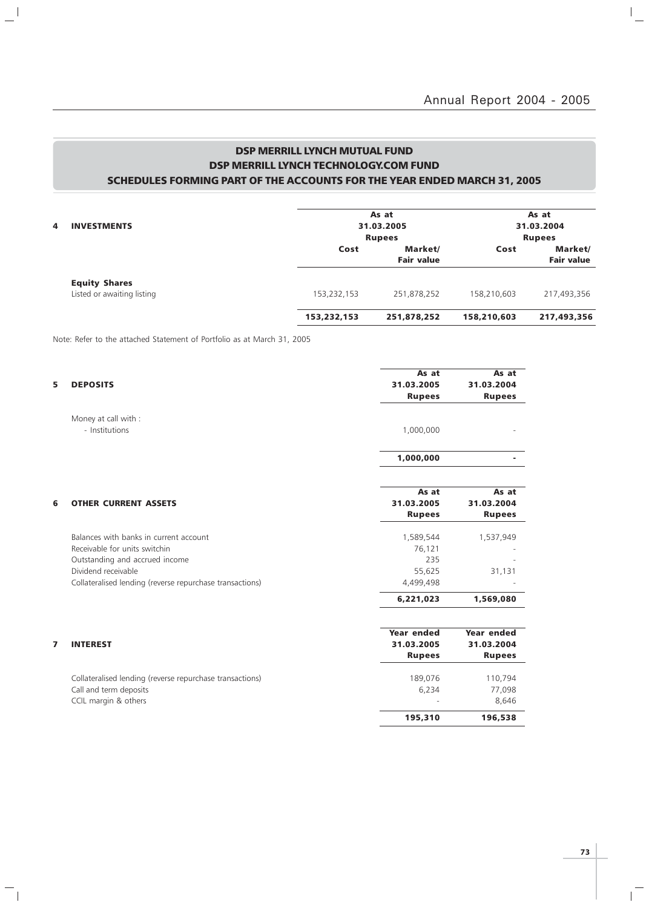$\mathbb{I}_+$ 

### DSP MERRILL LYNCH MUTUAL FUND DSP MERRILL LYNCH TECHNOLOGY.COM FUND SCHEDULES FORMING PART OF THE ACCOUNTS FOR THE YEAR ENDED MARCH 31, 2005

|   |                            |             | As at             |               | As at             |  |  |
|---|----------------------------|-------------|-------------------|---------------|-------------------|--|--|
| 4 | <b>INVESTMENTS</b>         |             | 31.03.2005        |               | 31.03.2004        |  |  |
|   |                            |             | <b>Rupees</b>     | <b>Rupees</b> |                   |  |  |
|   |                            | Cost        | Market/           | Cost          | Market/           |  |  |
|   |                            |             | <b>Fair value</b> |               | <b>Fair value</b> |  |  |
|   | <b>Equity Shares</b>       |             |                   |               |                   |  |  |
|   | Listed or awaiting listing | 153,232,153 | 251,878,252       | 158,210,603   | 217,493,356       |  |  |
|   |                            | 153,232,153 | 251,878,252       | 158,210,603   | 217,493,356       |  |  |

Note: Refer to the attached Statement of Portfolio as at March 31, 2005

 $\mathbf{u}^{\parallel}$ 

 $\mathcal{L}_{\parallel}$ 

| 5 | <b>DEPOSITS</b>                                          | As at<br>31.03.2005 | As at<br>31.03.2004 |
|---|----------------------------------------------------------|---------------------|---------------------|
|   |                                                          |                     |                     |
|   |                                                          | <b>Rupees</b>       | <b>Rupees</b>       |
|   | Money at call with :                                     |                     |                     |
|   | - Institutions                                           | 1,000,000           |                     |
|   |                                                          |                     |                     |
|   |                                                          | 1,000,000           |                     |
|   |                                                          |                     |                     |
|   |                                                          | As at               | As at               |
| 6 | <b>OTHER CURRENT ASSETS</b>                              | 31.03.2005          | 31.03.2004          |
|   |                                                          | <b>Rupees</b>       | <b>Rupees</b>       |
|   | Balances with banks in current account                   | 1,589,544           | 1,537,949           |
|   | Receivable for units switchin                            | 76,121              |                     |
|   | Outstanding and accrued income                           | 235                 |                     |
|   | Dividend receivable                                      | 55,625              | 31,131              |
|   | Collateralised lending (reverse repurchase transactions) | 4,499,498           |                     |
|   |                                                          | 6,221,023           | 1,569,080           |
|   |                                                          |                     |                     |
|   |                                                          | <b>Year ended</b>   | Year ended          |
| 7 | <b>INTEREST</b>                                          | 31.03.2005          | 31.03.2004          |
|   |                                                          | <b>Rupees</b>       | <b>Rupees</b>       |
|   | Collateralised lending (reverse repurchase transactions) | 189,076             | 110,794             |
|   | Call and term deposits                                   | 6,234               | 77,098              |
|   | CCIL margin & others                                     |                     | 8,646               |
|   |                                                          | 195,310             | 196,538             |
|   |                                                          |                     |                     |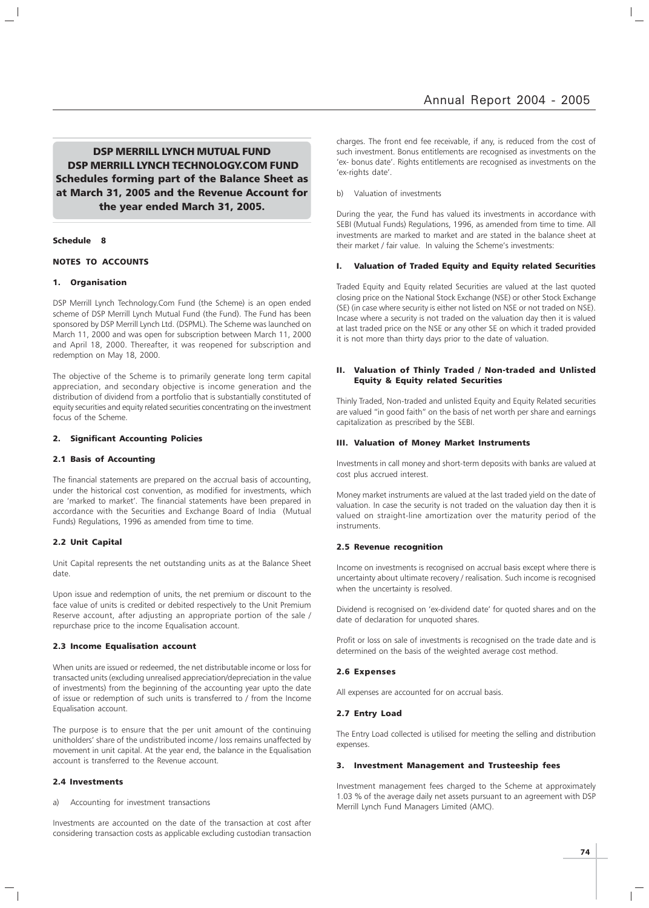DSP MERRILL LYNCH MUTUAL FUND DSP MERRILL LYNCH TECHNOLOGY.COM FUND Schedules forming part of the Balance Sheet as at March 31, 2005 and the Revenue Account for the year ended March 31, 2005.

#### Schedule 8

#### NOTES TO ACCOUNTS

#### 1. Organisation

DSP Merrill Lynch Technology.Com Fund (the Scheme) is an open ended scheme of DSP Merrill Lynch Mutual Fund (the Fund). The Fund has been sponsored by DSP Merrill Lynch Ltd. (DSPML). The Scheme was launched on March 11, 2000 and was open for subscription between March 11, 2000 and April 18, 2000. Thereafter, it was reopened for subscription and redemption on May 18, 2000.

The objective of the Scheme is to primarily generate long term capital appreciation, and secondary objective is income generation and the distribution of dividend from a portfolio that is substantially constituted of equity securities and equity related securities concentrating on the investment focus of the Scheme.

#### 2. Significant Accounting Policies

#### 2.1 Basis of Accounting

The financial statements are prepared on the accrual basis of accounting, under the historical cost convention, as modified for investments, which are 'marked to market'. The financial statements have been prepared in accordance with the Securities and Exchange Board of India (Mutual Funds) Regulations, 1996 as amended from time to time.

#### 2.2 Unit Capital

Unit Capital represents the net outstanding units as at the Balance Sheet date.

Upon issue and redemption of units, the net premium or discount to the face value of units is credited or debited respectively to the Unit Premium Reserve account, after adjusting an appropriate portion of the sale / repurchase price to the income Equalisation account.

#### 2.3 Income Equalisation account

When units are issued or redeemed, the net distributable income or loss for transacted units (excluding unrealised appreciation/depreciation in the value of investments) from the beginning of the accounting year upto the date of issue or redemption of such units is transferred to / from the Income Equalisation account.

The purpose is to ensure that the per unit amount of the continuing unitholders' share of the undistributed income / loss remains unaffected by movement in unit capital. At the year end, the balance in the Equalisation account is transferred to the Revenue account.

#### 2.4 Investments

a) Accounting for investment transactions

Investments are accounted on the date of the transaction at cost after considering transaction costs as applicable excluding custodian transaction charges. The front end fee receivable, if any, is reduced from the cost of such investment. Bonus entitlements are recognised as investments on the 'ex- bonus date'. Rights entitlements are recognised as investments on the 'ex-rights date'.

b) Valuation of investments

During the year, the Fund has valued its investments in accordance with SEBI (Mutual Funds) Regulations, 1996, as amended from time to time. All investments are marked to market and are stated in the balance sheet at their market / fair value. In valuing the Scheme's investments:

#### I. Valuation of Traded Equity and Equity related Securities

Traded Equity and Equity related Securities are valued at the last quoted closing price on the National Stock Exchange (NSE) or other Stock Exchange (SE) (in case where security is either not listed on NSE or not traded on NSE). Incase where a security is not traded on the valuation day then it is valued at last traded price on the NSE or any other SE on which it traded provided it is not more than thirty days prior to the date of valuation.

#### II. Valuation of Thinly Traded / Non-traded and Unlisted Equity & Equity related Securities

Thinly Traded, Non-traded and unlisted Equity and Equity Related securities are valued "in good faith" on the basis of net worth per share and earnings capitalization as prescribed by the SEBI.

#### III. Valuation of Money Market Instruments

Investments in call money and short-term deposits with banks are valued at cost plus accrued interest.

Money market instruments are valued at the last traded yield on the date of valuation. In case the security is not traded on the valuation day then it is valued on straight-line amortization over the maturity period of the instruments.

#### 2.5 Revenue recognition

Income on investments is recognised on accrual basis except where there is uncertainty about ultimate recovery / realisation. Such income is recognised when the uncertainty is resolved.

Dividend is recognised on 'ex-dividend date' for quoted shares and on the date of declaration for unquoted shares.

Profit or loss on sale of investments is recognised on the trade date and is determined on the basis of the weighted average cost method.

#### 2.6 Expenses

All expenses are accounted for on accrual basis.

#### 2.7 Entry Load

The Entry Load collected is utilised for meeting the selling and distribution expenses.

#### 3. Investment Management and Trusteeship fees

Investment management fees charged to the Scheme at approximately 1.03 % of the average daily net assets pursuant to an agreement with DSP Merrill Lynch Fund Managers Limited (AMC).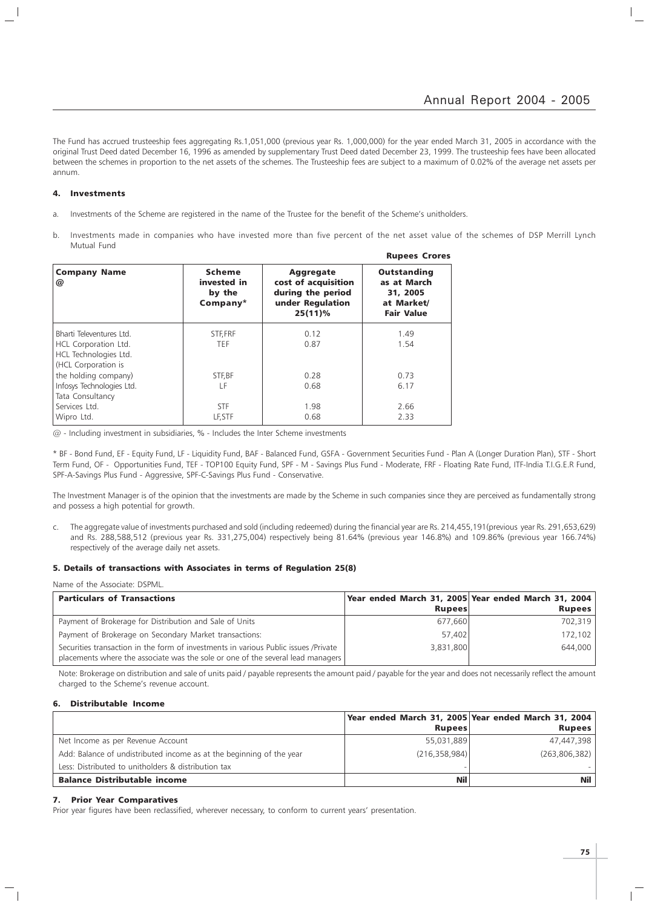The Fund has accrued trusteeship fees aggregating Rs.1,051,000 (previous year Rs. 1,000,000) for the year ended March 31, 2005 in accordance with the original Trust Deed dated December 16, 1996 as amended by supplementary Trust Deed dated December 23, 1999. The trusteeship fees have been allocated between the schemes in proportion to the net assets of the schemes. The Trusteeship fees are subject to a maximum of 0.02% of the average net assets per annum.

#### 4. Investments

- a. Investments of the Scheme are registered in the name of the Trustee for the benefit of the Scheme's unitholders.
- b. Investments made in companies who have invested more than five percent of the net asset value of the schemes of DSP Merrill Lynch Mutual Fund Rupees Crores

|                                                                                                  |                                                    |                                                                                                | <b>Rupees</b> Crores                                                             |
|--------------------------------------------------------------------------------------------------|----------------------------------------------------|------------------------------------------------------------------------------------------------|----------------------------------------------------------------------------------|
| <b>Company Name</b><br>@                                                                         | <b>Scheme</b><br>invested in<br>by the<br>Company* | <b>Aggregate</b><br>cost of acquisition<br>during the period<br>under Regulation<br>$25(11)\%$ | <b>Outstanding</b><br>as at March<br>31, 2005<br>at Market/<br><b>Fair Value</b> |
| Bharti Televentures Ltd.<br>HCL Corporation Ltd.<br>HCL Technologies Ltd.<br>(HCL Corporation is | STF, FRF<br>TEF.                                   | 0.12<br>0.87                                                                                   | 1.49<br>1.54                                                                     |
| the holding company)<br>Infosys Technologies Ltd.<br>Tata Consultancy                            | STF, BF<br>LF                                      | 0.28<br>0.68                                                                                   | 0.73<br>6.17                                                                     |
| Services Ltd.<br>Wipro Ltd.                                                                      | <b>STF</b><br>LF, STF                              | 1.98<br>0.68                                                                                   | 2.66<br>2.33                                                                     |

@ - Including investment in subsidiaries, % - Includes the Inter Scheme investments

\* BF - Bond Fund, EF - Equity Fund, LF - Liquidity Fund, BAF - Balanced Fund, GSFA - Government Securities Fund - Plan A (Longer Duration Plan), STF - Short Term Fund, OF - Opportunities Fund, TEF - TOP100 Equity Fund, SPF - M - Savings Plus Fund - Moderate, FRF - Floating Rate Fund, ITF-India T.I.G.E.R Fund, SPF-A-Savings Plus Fund - Aggressive, SPF-C-Savings Plus Fund - Conservative.

The Investment Manager is of the opinion that the investments are made by the Scheme in such companies since they are perceived as fundamentally strong and possess a high potential for growth.

c. The aggregate value of investments purchased and sold (including redeemed) during the financial year are Rs. 214,455,191(previous year Rs. 291,653,629) and Rs. 288,588,512 (previous year Rs. 331,275,004) respectively being 81.64% (previous year 146.8%) and 109.86% (previous year 166.74%) respectively of the average daily net assets.

#### 5. Details of transactions with Associates in terms of Regulation 25(8)

| <b>Particulars of Transactions</b>                                                                                                                                     |               | Year ended March 31, 2005 Year ended March 31, 2004 |
|------------------------------------------------------------------------------------------------------------------------------------------------------------------------|---------------|-----------------------------------------------------|
|                                                                                                                                                                        | <b>Rupees</b> | <b>Rupees</b>                                       |
| Payment of Brokerage for Distribution and Sale of Units                                                                                                                | 677.660       | 702,319                                             |
| Payment of Brokerage on Secondary Market transactions:                                                                                                                 | 57.402        | 172,102                                             |
| Securities transaction in the form of investments in various Public issues /Private<br>placements where the associate was the sole or one of the several lead managers | 3.831.800     | 644,000                                             |

Note: Brokerage on distribution and sale of units paid / payable represents the amount paid / payable for the year and does not necessarily reflect the amount charged to the Scheme's revenue account.

#### 6. Distributable Income

|                                                                      | <b>Rupees</b>   | Year ended March 31, 2005 Year ended March 31, 2004<br>Rupees |
|----------------------------------------------------------------------|-----------------|---------------------------------------------------------------|
| Net Income as per Revenue Account                                    | 55,031,889      | 47,447,398                                                    |
| Add: Balance of undistributed income as at the beginning of the year | (216, 358, 984) | (263, 806, 382)                                               |
| Less: Distributed to unitholders & distribution tax                  |                 |                                                               |
| <b>Balance Distributable income</b>                                  | Nil             | Nil                                                           |

#### 7. Prior Year Comparatives

Prior year figures have been reclassified, wherever necessary, to conform to current years' presentation.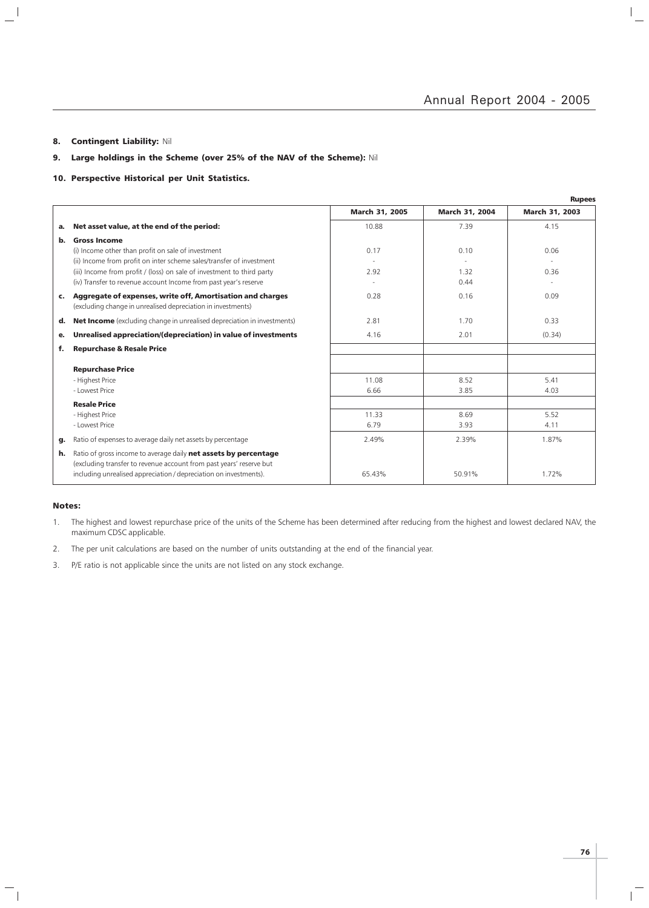$\frac{1}{\sqrt{2}}$ 

#### 8. Contingent Liability: Nil

 $\mathbb{R}^+$ 

### 9. Large holdings in the Scheme (over 25% of the NAV of the Scheme): Nil

#### 10. Perspective Historical per Unit Statistics.

|    |                                                                                                                                                                                                             |                |                       | <b>Rupees</b>  |
|----|-------------------------------------------------------------------------------------------------------------------------------------------------------------------------------------------------------------|----------------|-----------------------|----------------|
|    |                                                                                                                                                                                                             | March 31, 2005 | <b>March 31, 2004</b> | March 31, 2003 |
| a. | Net asset value, at the end of the period:                                                                                                                                                                  | 10.88          | 7.39                  | 4.15           |
| b. | <b>Gross Income</b>                                                                                                                                                                                         |                |                       |                |
|    | (i) Income other than profit on sale of investment                                                                                                                                                          | 0.17           | 0.10                  | 0.06           |
|    | (ii) Income from profit on inter scheme sales/transfer of investment                                                                                                                                        |                |                       |                |
|    | (iii) Income from profit / (loss) on sale of investment to third party                                                                                                                                      | 2.92           | 1.32                  | 0.36           |
|    | (iv) Transfer to revenue account Income from past year's reserve                                                                                                                                            |                | 0.44                  |                |
| c. | Aggregate of expenses, write off, Amortisation and charges<br>(excluding change in unrealised depreciation in investments)                                                                                  | 0.28           | 0.16                  | 0.09           |
| d. | <b>Net Income</b> (excluding change in unrealised depreciation in investments)                                                                                                                              | 2.81           | 1.70                  | 0.33           |
| е. | Unrealised appreciation/(depreciation) in value of investments                                                                                                                                              | 4.16           | 2.01                  | (0.34)         |
| f. | <b>Repurchase &amp; Resale Price</b>                                                                                                                                                                        |                |                       |                |
|    | <b>Repurchase Price</b>                                                                                                                                                                                     |                |                       |                |
|    | - Highest Price                                                                                                                                                                                             | 11.08          | 8.52                  | 5.41           |
|    | - Lowest Price                                                                                                                                                                                              | 6.66           | 3.85                  | 4.03           |
|    |                                                                                                                                                                                                             |                |                       |                |
|    | <b>Resale Price</b>                                                                                                                                                                                         |                |                       |                |
|    | - Highest Price                                                                                                                                                                                             | 11.33          | 8.69                  | 5.52           |
|    | - Lowest Price                                                                                                                                                                                              | 6.79           | 3.93                  | 4.11           |
| g. | Ratio of expenses to average daily net assets by percentage                                                                                                                                                 | 2.49%          | 2.39%                 | 1.87%          |
| h. | Ratio of gross income to average daily net assets by percentage<br>(excluding transfer to revenue account from past years' reserve but<br>including unrealised appreciation / depreciation on investments). | 65.43%         | 50.91%                | 1.72%          |
|    |                                                                                                                                                                                                             |                |                       |                |

#### Notes:

 $\overline{\phantom{a}}_1$ 

- 1. The highest and lowest repurchase price of the units of the Scheme has been determined after reducing from the highest and lowest declared NAV, the maximum CDSC applicable.
- 2. The per unit calculations are based on the number of units outstanding at the end of the financial year.
- 3. P/E ratio is not applicable since the units are not listed on any stock exchange.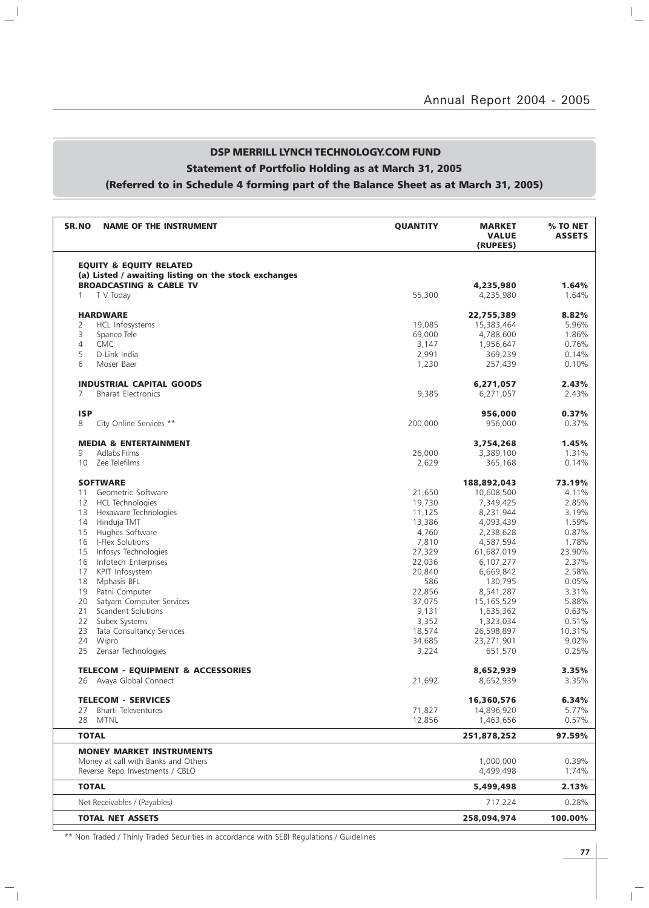## DSP MERRILL LYNCH TECHNOLOGY.COM FUND Statement of Portfolio Holding as at March 31, 2005 (Referred to in Schedule 4 forming part of the Balance Sheet as at March 31, 2005)

 $\mathbb{L}^{\parallel}$ 

 $\overline{\phantom{a}}_1$ 

| SR.NO<br><b>NAME OF THE INSTRUMENT</b>               | <b>QUANTITY</b> | <b>MARKET</b><br><b>VALUE</b><br>(RUPEES) | % TO NET<br><b>ASSETS</b> |
|------------------------------------------------------|-----------------|-------------------------------------------|---------------------------|
| <b>EQUITY &amp; EQUITY RELATED</b>                   |                 |                                           |                           |
| (a) Listed / awaiting listing on the stock exchanges |                 |                                           |                           |
| <b>BROADCASTING &amp; CABLE TV</b>                   |                 | 4,235,980                                 | 1.64%                     |
| T V Today<br>1                                       | 55,300          | 4,235,980                                 | 1.64%                     |
| <b>HARDWARE</b>                                      |                 | 22,755,389                                | 8.82%                     |
| HCL Infosystems<br>2                                 | 19,085          | 15,383,464                                | 5.96%                     |
| 3<br>Spanco Tele                                     | 69,000          | 4,788,600                                 | 1.86%                     |
| 4<br><b>CMC</b>                                      | 3,147           | 1,956,647                                 | 0.76%                     |
| 5<br>D-Link India                                    | 2,991           | 369,239                                   | 0.14%                     |
| 6<br>Moser Baer                                      | 1,230           | 257,439                                   | 0.10%                     |
| <b>INDUSTRIAL CAPITAL GOODS</b>                      |                 |                                           | 2.43%                     |
| 7<br><b>Bharat Electronics</b>                       | 9,385           | 6,271,057                                 | 2.43%                     |
|                                                      |                 | 6,271,057                                 |                           |
| <b>ISP</b>                                           |                 | 956,000                                   | 0.37%                     |
| 8<br>City Online Services **                         | 200,000         | 956,000                                   | 0.37%                     |
| <b>MEDIA &amp; ENTERTAINMENT</b>                     |                 | 3,754,268                                 | 1.45%                     |
| Adlabs Films<br>9                                    | 26,000          | 3,389,100                                 | 1.31%                     |
| 10<br>Zee Telefilms                                  | 2,629           | 365,168                                   | 0.14%                     |
| <b>SOFTWARE</b>                                      |                 | 188,892,043                               | 73.19%                    |
| Geometric Software<br>11                             | 21,650          | 10,608,500                                | 4.11%                     |
| <b>HCL Technologies</b><br>12                        | 19,730          | 7,349,425                                 | 2.85%                     |
| 13<br>Hexaware Technologies                          | 11,125          | 8,231,944                                 | 3.19%                     |
| 14<br>Hinduja TMT                                    | 13,386          | 4,093,439                                 | 1.59%                     |
| Hughes Software<br>15                                | 4,760           | 2,238,628                                 | 0.87%                     |
| I-Flex Solutions<br>16                               | 7,810           | 4,587,594                                 | 1.78%                     |
| Infosys Technologies<br>15                           | 27,329          | 61,687,019                                | 23.90%                    |
| 16<br>Infotech Enterprises                           | 22,036          | 6,107,277                                 | 2.37%                     |
| 17<br>KPIT Infosystem                                | 20,840          | 6,669,842                                 | 2.58%                     |
| 18<br>Mphasis BFL                                    | 586             | 130,795                                   | 0.05%                     |
| 19<br>Patni Computer                                 | 22,856          | 8,541,287                                 | 3.31%                     |
| Satyam Computer Services<br>20                       | 37,075          | 15,165,529                                | 5.88%                     |
| Scandent Solutions<br>21                             | 9,131           | 1,635,362                                 | 0.63%                     |
| 22<br>Subex Systems                                  | 3,352           | 1,323,034                                 | 0.51%                     |
| 23<br>Tata Consultancy Services                      | 18,574          | 26,598,897                                | 10.31%                    |
| 24<br>Wipro                                          | 34,685          | 23,271,901                                | 9.02%                     |
| 25<br>Zensar Technologies                            | 3,224           | 651,570                                   | 0.25%                     |
|                                                      |                 |                                           |                           |
| <b>TELECOM - EQUIPMENT &amp; ACCESSORIES</b>         |                 | 8,652,939                                 | 3.35%                     |
| Avaya Global Connect<br>26                           | 21,692          | 8,652,939                                 | 3.35%                     |
| <b>TELECOM - SERVICES</b>                            |                 | 16,360,576                                | 6.34%                     |
| Bharti Televentures<br>27                            | 71,827          | 14,896,920                                | 5.77%                     |
| <b>MTNL</b><br>28                                    | 12,856          | 1,463,656                                 | 0.57%                     |
| <b>TOTAL</b>                                         |                 | 251,878,252                               | 97.59%                    |
| <b>MONEY MARKET INSTRUMENTS</b>                      |                 |                                           |                           |
| Money at call with Banks and Others                  |                 | 1,000,000                                 | 0.39%                     |
| Reverse Repo Investments / CBLO                      |                 | 4,499,498                                 | 1.74%                     |
| <b>TOTAL</b>                                         |                 | 5,499,498                                 | 2.13%                     |
| Net Receivables / (Payables)                         |                 | 717,224                                   | 0.28%                     |
| <b>TOTAL NET ASSETS</b>                              |                 | 258,094,974                               | 100.00%                   |
|                                                      |                 |                                           |                           |

\*\* Non Traded / Thinly Traded Securities in accordance with SEBI Regulations / Guidelines

 $\overline{\mathbb{F}}$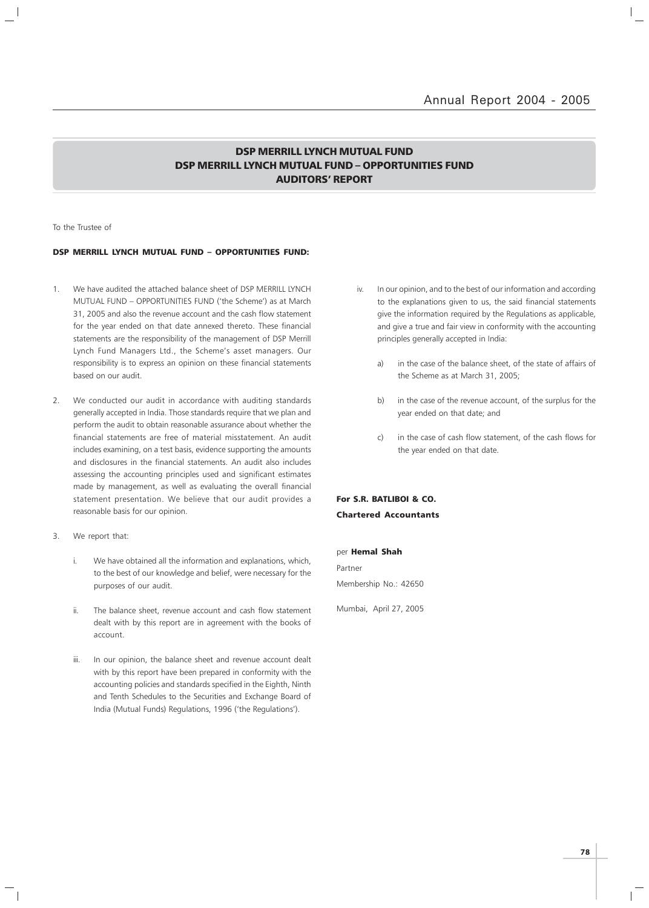### DSP MERRILL LYNCH MUTUAL FUND DSP MERRILL LYNCH MUTUAL FUND – OPPORTUNITIES FUND AUDITORS' REPORT

To the Trustee of

#### DSP MERRILL LYNCH MUTUAL FUND – OPPORTUNITIES FUND:

- 1. We have audited the attached balance sheet of DSP MERRILL LYNCH MUTUAL FUND – OPPORTUNITIES FUND ('the Scheme') as at March 31, 2005 and also the revenue account and the cash flow statement for the year ended on that date annexed thereto. These financial statements are the responsibility of the management of DSP Merrill Lynch Fund Managers Ltd., the Scheme's asset managers. Our responsibility is to express an opinion on these financial statements based on our audit.
- 2. We conducted our audit in accordance with auditing standards generally accepted in India. Those standards require that we plan and perform the audit to obtain reasonable assurance about whether the financial statements are free of material misstatement. An audit includes examining, on a test basis, evidence supporting the amounts and disclosures in the financial statements. An audit also includes assessing the accounting principles used and significant estimates made by management, as well as evaluating the overall financial statement presentation. We believe that our audit provides a reasonable basis for our opinion.
- 3. We report that:
	- i. We have obtained all the information and explanations, which, to the best of our knowledge and belief, were necessary for the purposes of our audit.
	- ii. The balance sheet, revenue account and cash flow statement dealt with by this report are in agreement with the books of account.
	- iii. In our opinion, the balance sheet and revenue account dealt with by this report have been prepared in conformity with the accounting policies and standards specified in the Eighth, Ninth and Tenth Schedules to the Securities and Exchange Board of India (Mutual Funds) Regulations, 1996 ('the Regulations').
- iv. In our opinion, and to the best of our information and according to the explanations given to us, the said financial statements give the information required by the Regulations as applicable, and give a true and fair view in conformity with the accounting principles generally accepted in India:
	- a) in the case of the balance sheet, of the state of affairs of the Scheme as at March 31, 2005;
	- b) in the case of the revenue account, of the surplus for the year ended on that date; and
	- c) in the case of cash flow statement, of the cash flows for the year ended on that date.

For S.R. BATLIBOI & CO. Chartered Accountants

per Hemal Shah Partner Membership No.: 42650

Mumbai, April 27, 2005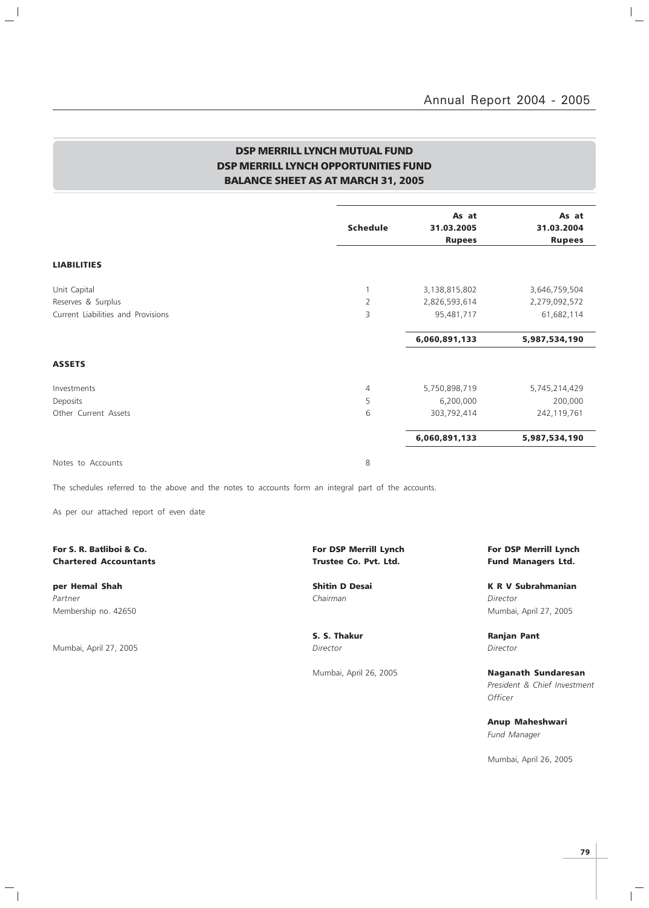$\mathbb{I}_+$ 

### DSP MERRILL LYNCH MUTUAL FUND DSP MERRILL LYNCH OPPORTUNITIES FUND BALANCE SHEET AS AT MARCH 31, 2005

|                                    | <b>Schedule</b> | As at<br>31.03.2005 | As at<br>31.03.2004 |
|------------------------------------|-----------------|---------------------|---------------------|
|                                    |                 | <b>Rupees</b>       | <b>Rupees</b>       |
| <b>LIABILITIES</b>                 |                 |                     |                     |
| Unit Capital                       | 1               | 3,138,815,802       | 3,646,759,504       |
| Reserves & Surplus                 | $\overline{2}$  | 2,826,593,614       | 2,279,092,572       |
| Current Liabilities and Provisions | 3               | 95,481,717          | 61,682,114          |
|                                    |                 | 6,060,891,133       | 5,987,534,190       |
| <b>ASSETS</b>                      |                 |                     |                     |
| Investments                        | $\overline{4}$  | 5,750,898,719       | 5,745,214,429       |
| Deposits                           | 5               | 6,200,000           | 200,000             |
| Other Current Assets               | 6               | 303,792,414         | 242,119,761         |
|                                    |                 | 6,060,891,133       | 5,987,534,190       |
|                                    |                 |                     |                     |

Notes to Accounts 8

 $\frac{1}{2}$ 

The schedules referred to the above and the notes to accounts form an integral part of the accounts.

As per our attached report of even date

### For S. R. Batliboi & Co. The Community of the Community of DSP Merrill Lynch For DSP Merrill Lynch For DSP Merrill Lynch Chartered Accountants **Chartered Accountants Trustee Co. Pvt. Ltd.** Fund Managers Ltd.

Partner Chairman Director (Chairman Chairman Chairman Director Director Director Membership no. 42650 Mumbai, April 27, 2005

Mumbai, April 27, 2005 Director Director

 $\frac{1}{\sqrt{2}}$ 

S. S. Thakur **Ranjan Pant** 

per Hemal Shah Shah Shitin D Desai New York K R V Subrahmanian

Mumbai, April 26, 2005 **Naganath Sundaresan** President & Chief Investment **Officer** 

> Anup Maheshwari Fund Manager

Mumbai, April 26, 2005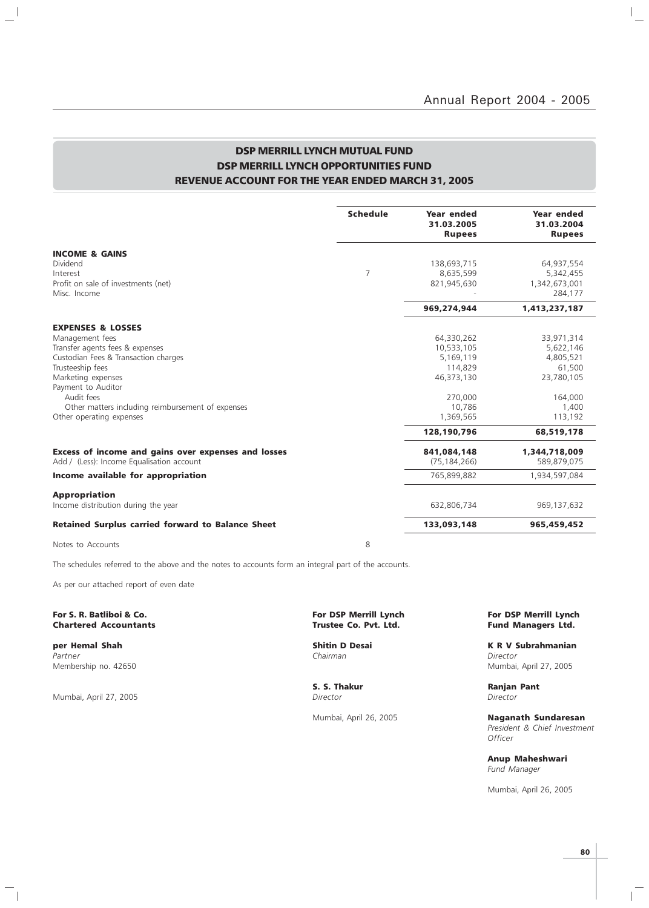### DSP MERRILL LYNCH MUTUAL FUND DSP MERRILL LYNCH OPPORTUNITIES FUND REVENUE ACCOUNT FOR THE YEAR ENDED MARCH 31, 2005

|                                                          | <b>Schedule</b> | Year ended<br>31.03.2005<br><b>Rupees</b> | Year ended<br>31.03.2004<br><b>Rupees</b> |
|----------------------------------------------------------|-----------------|-------------------------------------------|-------------------------------------------|
| <b>INCOME &amp; GAINS</b>                                |                 |                                           |                                           |
| Dividend                                                 |                 | 138,693,715                               | 64,937,554                                |
| Interest                                                 | $\overline{7}$  | 8,635,599                                 | 5,342,455                                 |
| Profit on sale of investments (net)                      |                 | 821,945,630                               | 1,342,673,001                             |
| Misc. Income                                             |                 |                                           | 284,177                                   |
|                                                          |                 | 969,274,944                               | 1,413,237,187                             |
| <b>EXPENSES &amp; LOSSES</b>                             |                 |                                           |                                           |
| Management fees                                          |                 | 64,330,262                                | 33,971,314                                |
| Transfer agents fees & expenses                          |                 | 10.533.105                                | 5,622,146                                 |
| Custodian Fees & Transaction charges                     |                 | 5,169,119                                 | 4,805,521                                 |
| Trusteeship fees                                         |                 | 114,829                                   | 61,500                                    |
| Marketing expenses                                       |                 | 46.373.130                                | 23,780,105                                |
| Payment to Auditor<br>Audit fees                         |                 |                                           |                                           |
| Other matters including reimbursement of expenses        |                 | 270,000<br>10,786                         | 164,000<br>1,400                          |
| Other operating expenses                                 |                 | 1,369,565                                 | 113,192                                   |
|                                                          |                 | 128,190,796                               | 68,519,178                                |
| Excess of income and gains over expenses and losses      |                 | 841.084.148                               | 1,344,718,009                             |
| Add / (Less): Income Equalisation account                |                 | (75, 184, 266)                            | 589,879,075                               |
| Income available for appropriation                       |                 | 765,899,882                               | 1,934,597,084                             |
| <b>Appropriation</b>                                     |                 |                                           |                                           |
| Income distribution during the year                      |                 | 632,806,734                               | 969,137,632                               |
| <b>Retained Surplus carried forward to Balance Sheet</b> |                 | 133,093,148                               | 965,459,452                               |

Notes to Accounts 8

 $\frac{1}{2}$ 

The schedules referred to the above and the notes to accounts form an integral part of the accounts.

As per our attached report of even date

**Chartered Accountants** 

Partner Chairman Director (Chairman Chairman Chairman Director Director Director Membership no. 42650 Mumbai, April 27, 2005

Mumbai, April 27, 2005

 $\frac{1}{\sqrt{2}}$ 

For S. R. Batliboi & Co. The Co. For DSP Merrill Lynch For DSP Merrill Lynch For DSP Merrill Lynch For DSP Merrill Lynch Chartered Accountants (1990) Structure Co. Port. Ltd.

S. S. Thakur Ranjan Pant<br>
Director Director Director

**per Hemal Shah Shitin D Desai K R V Subrahmanian**<br>Partner **K R V Subrahmanian**<br>Chairman Chairman

Mumbai, April 26, 2005 Naganath Sundaresan President & Chief Investment **Officer** 

> Anup Maheshwari Fund Manager

Mumbai, April 26, 2005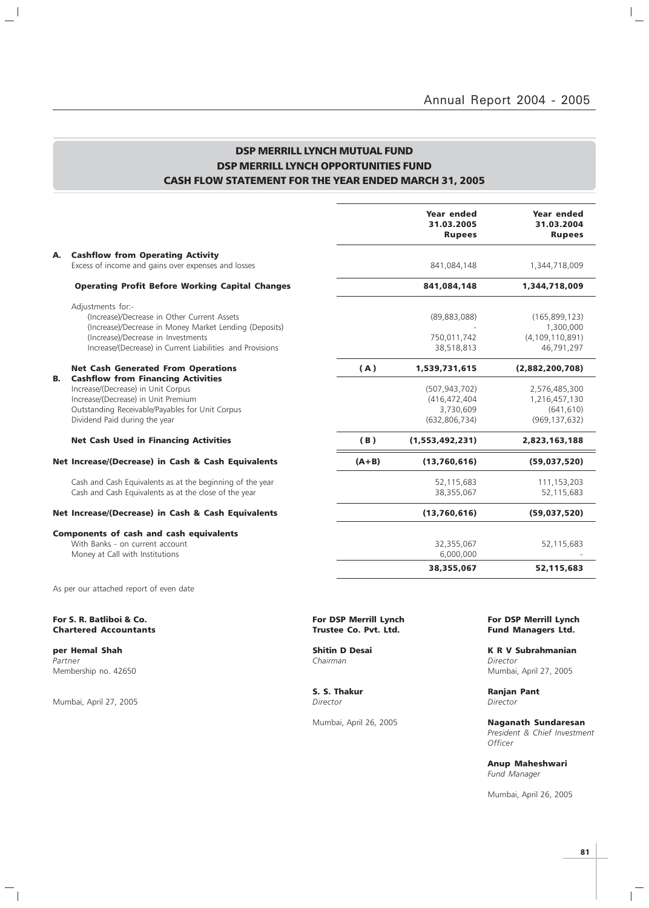$\vert$  $\overline{\phantom{a}}$ 

### DSP MERRILL LYNCH MUTUAL FUND DSP MERRILL LYNCH OPPORTUNITIES FUND CASH FLOW STATEMENT FOR THE YEAR ENDED MARCH 31, 2005

|    |                                                                                                                                                                                                                               |         | Year ended<br>31.03.2005<br><b>Rupees</b>                       | Year ended<br>31.03.2004<br><b>Rupees</b>                        |
|----|-------------------------------------------------------------------------------------------------------------------------------------------------------------------------------------------------------------------------------|---------|-----------------------------------------------------------------|------------------------------------------------------------------|
| А. | <b>Cashflow from Operating Activity</b><br>Excess of income and gains over expenses and losses                                                                                                                                |         | 841,084,148                                                     | 1,344,718,009                                                    |
|    | <b>Operating Profit Before Working Capital Changes</b>                                                                                                                                                                        |         | 841,084,148                                                     | 1,344,718,009                                                    |
|    | Adjustments for:-<br>(Increase)/Decrease in Other Current Assets<br>(Increase)/Decrease in Money Market Lending (Deposits)<br>(Increase)/Decrease in Investments<br>Increase/(Decrease) in Current Liabilities and Provisions |         | (89, 883, 088)<br>750,011,742<br>38,518,813                     | (165, 899, 123)<br>1,300,000<br>(4, 109, 110, 891)<br>46,791,297 |
|    | <b>Net Cash Generated From Operations</b>                                                                                                                                                                                     | (A)     | 1,539,731,615                                                   | (2,882,200,708)                                                  |
| В. | <b>Cashflow from Financing Activities</b><br>Increase/(Decrease) in Unit Corpus<br>Increase/(Decrease) in Unit Premium<br>Outstanding Receivable/Payables for Unit Corpus<br>Dividend Paid during the year                    |         | (507, 943, 702)<br>(416,472,404<br>3,730,609<br>(632, 806, 734) | 2,576,485,300<br>1,216,457,130<br>(641, 610)<br>(969, 137, 632)  |
|    | <b>Net Cash Used in Financing Activities</b>                                                                                                                                                                                  | (B)     | (1,553,492,231)                                                 | 2,823,163,188                                                    |
|    | Net Increase/(Decrease) in Cash & Cash Equivalents                                                                                                                                                                            | $(A+B)$ | (13,760,616)                                                    | (59,037,520)                                                     |
|    | Cash and Cash Equivalents as at the beginning of the year<br>Cash and Cash Equivalents as at the close of the year                                                                                                            |         | 52,115,683<br>38,355,067                                        | 111,153,203<br>52,115,683                                        |
|    | Net Increase/(Decrease) in Cash & Cash Equivalents                                                                                                                                                                            |         | (13,760,616)                                                    | (59,037,520)                                                     |
|    | <b>Components of cash and cash equivalents</b><br>With Banks - on current account<br>Money at Call with Institutions                                                                                                          |         | 32,355,067<br>6,000,000                                         | 52,115,683                                                       |
|    |                                                                                                                                                                                                                               |         | 38,355,067                                                      | 52,115,683                                                       |
|    | As per our attached report of even date                                                                                                                                                                                       |         |                                                                 |                                                                  |

#### For S. R. Batliboi & Co. For Merrill Lynch (For DSP Merrill Lynch For DSP Merrill Lynch For DSP Merrill Lynch<br>Chartered Accountants Fund Managers Ltd. Fund Managers Ltd. **Chartered Accountants**

Partner Chairman Director (Chairman Chairman Chairman Director Director Chairman Chairman Director Membership no. 42650 Mumbai, April 27, 2005

 $\frac{1}{2}$ 

Mumbai, April 27, 2005 Director Director

 $\overline{\phantom{a}}_1$ 

S. S. Thakur **Ranjan Pant** 

**per Hemal Shah Shitin D Desai K R V Subrahmanian**<br>Partner **K R V Subrahmanian**<br>Chairman Chairman

Mumbai, April 26, 2005 Naganath Sundaresan President & Chief Investment **Officer** 

> Anup Maheshwari Fund Manager

Mumbai, April 26, 2005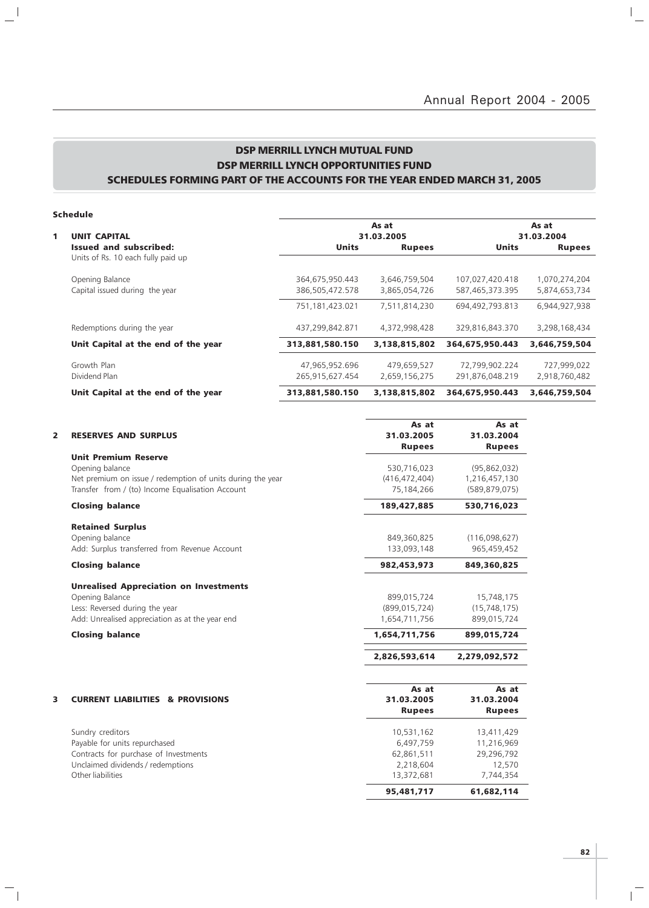### DSP MERRILL LYNCH MUTUAL FUND DSP MERRILL LYNCH OPPORTUNITIES FUND SCHEDULES FORMING PART OF THE ACCOUNTS FOR THE YEAR ENDED MARCH 31, 2005

 $\mathbf{a}^{\dagger}$ 

 $\overline{\phantom{a}}_1$ 

| 1 | <b>UNIT CAPITAL</b>                 | 31.03.2005      |               | As at<br>31.03.2004 |               |  |
|---|-------------------------------------|-----------------|---------------|---------------------|---------------|--|
|   | <b>Issued and subscribed:</b>       | <b>Units</b>    | <b>Rupees</b> | <b>Units</b>        | <b>Rupees</b> |  |
|   | Units of Rs. 10 each fully paid up  |                 |               |                     |               |  |
|   | Opening Balance                     | 364,675,950.443 | 3,646,759,504 | 107,027,420.418     | 1,070,274,204 |  |
|   | Capital issued during the year      | 386,505,472.578 | 3,865,054,726 | 587,465,373.395     | 5,874,653,734 |  |
|   |                                     | 751,181,423.021 | 7,511,814,230 | 694,492,793.813     | 6,944,927,938 |  |
|   | Redemptions during the year         | 437,299,842.871 | 4,372,998,428 | 329,816,843.370     | 3,298,168,434 |  |
|   | Unit Capital at the end of the year | 313,881,580.150 | 3,138,815,802 | 364,675,950.443     | 3,646,759,504 |  |
|   | Growth Plan                         | 47,965,952.696  | 479,659,527   | 72,799,902.224      | 727,999,022   |  |
|   | Dividend Plan                       | 265,915,627.454 | 2,659,156,275 | 291,876,048.219     | 2,918,760,482 |  |
|   | Unit Capital at the end of the year | 313,881,580.150 | 3,138,815,802 | 364,675,950.443     | 3,646,759,504 |  |

| 2 | <b>RESERVES AND SURPLUS</b>                                                                                                                                                     | As at<br>31.03.2005<br><b>Rupees</b>                                           | As at<br>31.03.2004<br><b>Rupees</b>                                        |
|---|---------------------------------------------------------------------------------------------------------------------------------------------------------------------------------|--------------------------------------------------------------------------------|-----------------------------------------------------------------------------|
|   | <b>Unit Premium Reserve</b><br>Opening balance<br>Net premium on issue / redemption of units during the year<br>Transfer from / (to) Income Equalisation Account                | 530,716,023<br>(416, 472, 404)<br>75,184,266                                   | (95,862,032)<br>1,216,457,130<br>(589, 879, 075)                            |
|   | <b>Closing balance</b>                                                                                                                                                          | 189,427,885                                                                    | 530,716,023                                                                 |
|   | <b>Retained Surplus</b><br>Opening balance<br>Add: Surplus transferred from Revenue Account                                                                                     | 849,360,825<br>133,093,148                                                     | (116,098,627)<br>965,459,452                                                |
|   | <b>Closing balance</b>                                                                                                                                                          | 982,453,973                                                                    | 849,360,825                                                                 |
|   | <b>Unrealised Appreciation on Investments</b><br>Opening Balance<br>Less: Reversed during the year<br>Add: Unrealised appreciation as at the year end<br><b>Closing balance</b> | 899,015,724<br>(899, 015, 724)<br>1,654,711,756<br>1,654,711,756               | 15,748,175<br>(15, 748, 175)<br>899,015,724<br>899,015,724                  |
|   |                                                                                                                                                                                 | 2,826,593,614                                                                  | 2,279,092,572                                                               |
| 3 | <b>CURRENT LIABILITIES &amp; PROVISIONS</b>                                                                                                                                     | As at<br>31.03.2005<br><b>Rupees</b>                                           | As at<br>31.03.2004<br><b>Rupees</b>                                        |
|   | Sundry creditors<br>Payable for units repurchased<br>Contracts for purchase of Investments<br>Unclaimed dividends / redemptions<br>Other liabilities                            | 10,531,162<br>6,497,759<br>62,861,511<br>2,218,604<br>13,372,681<br>95,481,717 | 13,411,429<br>11,216,969<br>29,296,792<br>12,570<br>7,744,354<br>61,682,114 |

 $\overline{1}$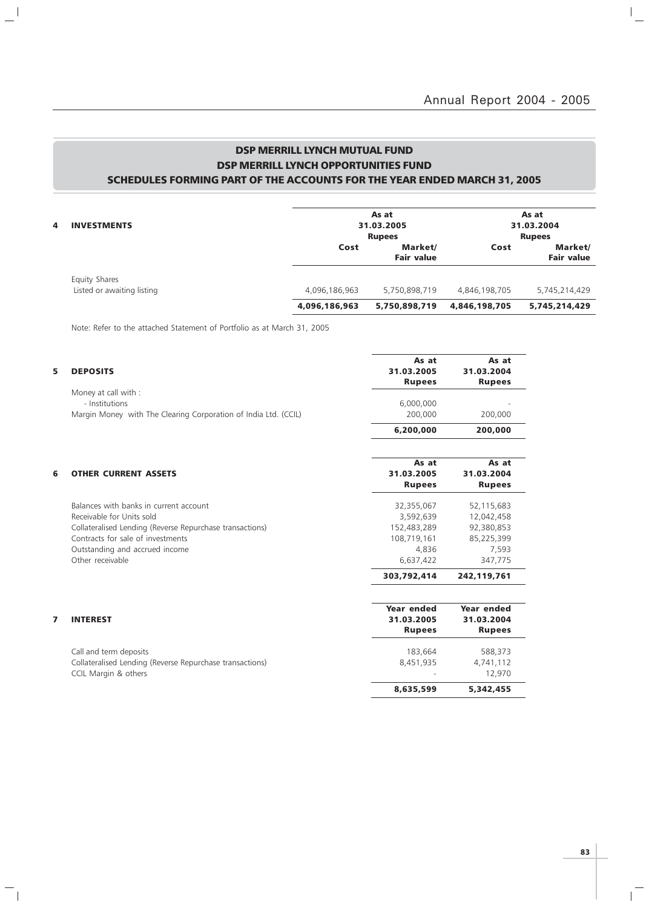### DSP MERRILL LYNCH MUTUAL FUND DSP MERRILL LYNCH OPPORTUNITIES FUND SCHEDULES FORMING PART OF THE ACCOUNTS FOR THE YEAR ENDED MARCH 31, 2005

| 4 | <b>INVESTMENTS</b>                          |               | As at<br>31.03.2005<br><b>Rupees</b> |               | As at<br>31.03.2004<br><b>Rupees</b> |
|---|---------------------------------------------|---------------|--------------------------------------|---------------|--------------------------------------|
|   |                                             | Cost          | Market/<br><b>Fair value</b>         | Cost          | Market/<br><b>Fair value</b>         |
|   | Equity Shares<br>Listed or awaiting listing | 4,096,186,963 | 5,750,898,719                        | 4,846,198,705 | 5,745,214,429                        |
|   |                                             | 4,096,186,963 | 5,750,898,719                        | 4,846,198,705 | 5,745,214,429                        |

Note: Refer to the attached Statement of Portfolio as at March 31, 2005

 $\mathbf{a}^{\dagger}$ 

 $\mathcal{L}_{\parallel}$ 

| 5 | <b>DEPOSITS</b>                                                                                                                                                                                                            | As at<br>31.03.2005<br><b>Rupees</b>                                        | As at<br>31.03.2004<br><b>Rupees</b>                                     |
|---|----------------------------------------------------------------------------------------------------------------------------------------------------------------------------------------------------------------------------|-----------------------------------------------------------------------------|--------------------------------------------------------------------------|
|   | Money at call with :<br>- Institutions<br>Margin Money with The Clearing Corporation of India Ltd. (CCIL)                                                                                                                  | 6,000,000<br>200,000                                                        | 200,000                                                                  |
|   |                                                                                                                                                                                                                            | 6,200,000                                                                   | 200,000                                                                  |
| 6 | <b>OTHER CURRENT ASSETS</b>                                                                                                                                                                                                | As at<br>31.03.2005<br><b>Rupees</b>                                        | As at<br>31.03.2004<br><b>Rupees</b>                                     |
|   | Balances with banks in current account<br>Receivable for Units sold<br>Collateralised Lending (Reverse Repurchase transactions)<br>Contracts for sale of investments<br>Outstanding and accrued income<br>Other receivable | 32,355,067<br>3,592,639<br>152,483,289<br>108,719,161<br>4,836<br>6,637,422 | 52,115,683<br>12,042,458<br>92,380,853<br>85,225,399<br>7,593<br>347,775 |
|   |                                                                                                                                                                                                                            | 303,792,414                                                                 | 242,119,761                                                              |
|   | <b>INTEREST</b>                                                                                                                                                                                                            | Year ended<br>31.03.2005<br><b>Rupees</b>                                   | Year ended<br>31.03.2004<br><b>Rupees</b>                                |
|   | Call and term deposits<br>Collateralised Lending (Reverse Repurchase transactions)<br>CCIL Margin & others                                                                                                                 | 183,664<br>8,451,935                                                        | 588,373<br>4,741,112<br>12,970                                           |
|   |                                                                                                                                                                                                                            | 8,635,599                                                                   | 5,342,455                                                                |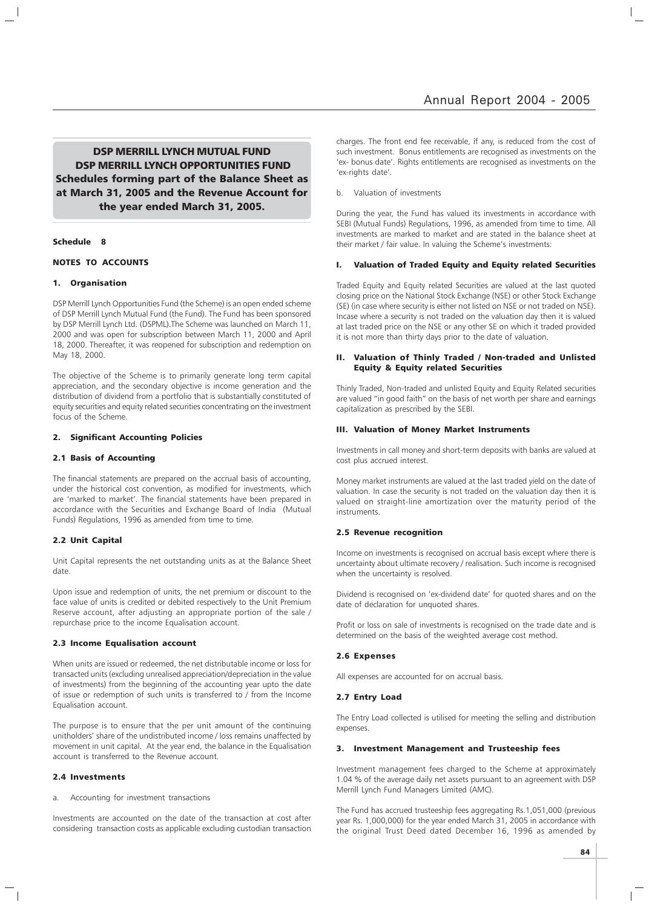DSP MERRILL LYNCH MUTUAL FUND DSP MERRILL LYNCH OPPORTUNITIES FUND Schedules forming part of the Balance Sheet as at March 31, 2005 and the Revenue Account for the year ended March 31, 2005.

#### Schedule 8

#### NOTES TO ACCOUNTS

#### 1. Organisation

DSP Merrill Lynch Opportunities Fund (the Scheme) is an open ended scheme of DSP Merrill Lynch Mutual Fund (the Fund). The Fund has been sponsored by DSP Merrill Lynch Ltd. (DSPML).The Scheme was launched on March 11, 2000 and was open for subscription between March 11, 2000 and April 18, 2000. Thereafter, it was reopened for subscription and redemption on May 18, 2000.

The objective of the Scheme is to primarily generate long term capital appreciation, and the secondary objective is income generation and the distribution of dividend from a portfolio that is substantially constituted of equity securities and equity related securities concentrating on the investment focus of the Scheme.

#### 2. Significant Accounting Policies

#### 2.1 Basis of Accounting

The financial statements are prepared on the accrual basis of accounting, under the historical cost convention, as modified for investments, which are 'marked to market'. The financial statements have been prepared in accordance with the Securities and Exchange Board of India (Mutual Funds) Regulations, 1996 as amended from time to time.

#### 2.2 Unit Capital

Unit Capital represents the net outstanding units as at the Balance Sheet date.

Upon issue and redemption of units, the net premium or discount to the face value of units is credited or debited respectively to the Unit Premium Reserve account, after adjusting an appropriate portion of the sale / repurchase price to the income Equalisation account.

#### 2.3 Income Equalisation account

When units are issued or redeemed, the net distributable income or loss for transacted units (excluding unrealised appreciation/depreciation in the value of investments) from the beginning of the accounting year upto the date of issue or redemption of such units is transferred to / from the Income Equalisation account.

The purpose is to ensure that the per unit amount of the continuing unitholders' share of the undistributed income / loss remains unaffected by movement in unit capital. At the year end, the balance in the Equalisation account is transferred to the Revenue account.

#### 2.4 Investments

a. Accounting for investment transactions

Investments are accounted on the date of the transaction at cost after considering transaction costs as applicable excluding custodian transaction charges. The front end fee receivable, if any, is reduced from the cost of such investment. Bonus entitlements are recognised as investments on the 'ex- bonus date'. Rights entitlements are recognised as investments on the 'ex-rights date'.

b. Valuation of investments

During the year, the Fund has valued its investments in accordance with SEBI (Mutual Funds) Regulations, 1996, as amended from time to time. All investments are marked to market and are stated in the balance sheet at their market / fair value. In valuing the Scheme's investments:

#### I. Valuation of Traded Equity and Equity related Securities

Traded Equity and Equity related Securities are valued at the last quoted closing price on the National Stock Exchange (NSE) or other Stock Exchange (SE) (in case where security is either not listed on NSE or not traded on NSE). Incase where a security is not traded on the valuation day then it is valued at last traded price on the NSE or any other SE on which it traded provided it is not more than thirty days prior to the date of valuation.

#### II. Valuation of Thinly Traded / Non-traded and Unlisted Equity & Equity related Securities

Thinly Traded, Non-traded and unlisted Equity and Equity Related securities are valued "in good faith" on the basis of net worth per share and earnings capitalization as prescribed by the SEBI.

#### III. Valuation of Money Market Instruments

Investments in call money and short-term deposits with banks are valued at cost plus accrued interest.

Money market instruments are valued at the last traded yield on the date of valuation. In case the security is not traded on the valuation day then it is valued on straight-line amortization over the maturity period of the instruments.

#### 2.5 Revenue recognition

Income on investments is recognised on accrual basis except where there is uncertainty about ultimate recovery / realisation. Such income is recognised when the uncertainty is resolved.

Dividend is recognised on 'ex-dividend date' for quoted shares and on the date of declaration for unquoted shares.

Profit or loss on sale of investments is recognised on the trade date and is determined on the basis of the weighted average cost method.

#### 2.6 Expenses

All expenses are accounted for on accrual basis.

#### 2.7 Entry Load

The Entry Load collected is utilised for meeting the selling and distribution expenses.

#### 3. Investment Management and Trusteeship fees

Investment management fees charged to the Scheme at approximately 1.04 % of the average daily net assets pursuant to an agreement with DSP Merrill Lynch Fund Managers Limited (AMC).

The Fund has accrued trusteeship fees aggregating Rs.1,051,000 (previous year Rs. 1,000,000) for the year ended March 31, 2005 in accordance with the original Trust Deed dated December 16, 1996 as amended by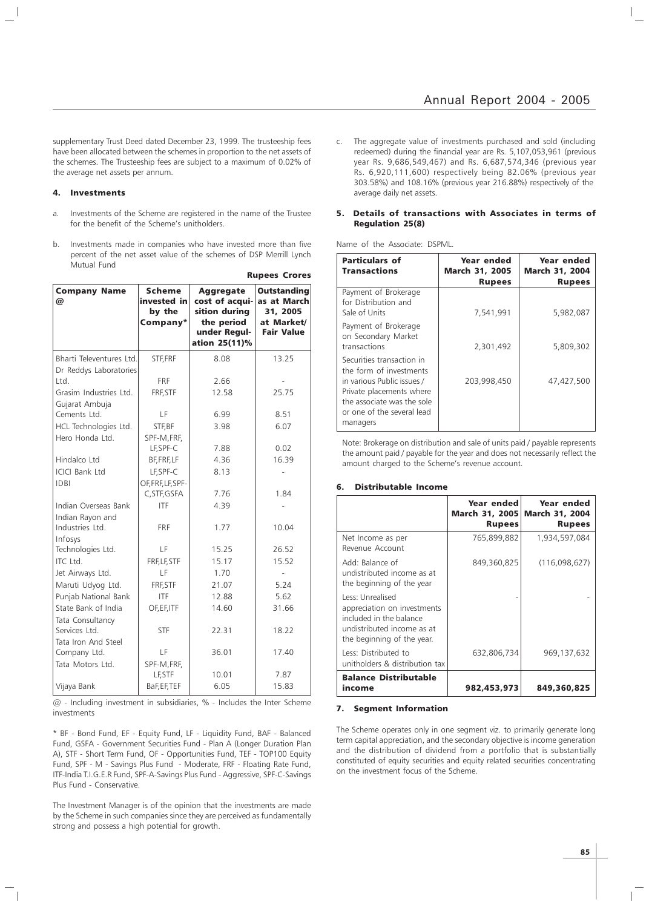supplementary Trust Deed dated December 23, 1999. The trusteeship fees have been allocated between the schemes in proportion to the net assets of the schemes. The Trusteeship fees are subject to a maximum of 0.02% of the average net assets per annum.

#### 4. Investments

- a. Investments of the Scheme are registered in the name of the Trustee for the benefit of the Scheme's unitholders.
- b. Investments made in companies who have invested more than five percent of the net asset value of the schemes of DSP Merrill Lynch Mutual Fund

Rupees Crores

| <b>Company Name</b><br>@             | <b>Scheme</b><br>invested in<br>by the<br>Company* | <b>Aggregate</b><br>cost of acqui-<br>sition during<br>the period<br>under Regul-<br>ation 25(11)% | <b>Outstanding</b><br>as at March<br>31, 2005<br>at Market/<br><b>Fair Value</b> |
|--------------------------------------|----------------------------------------------------|----------------------------------------------------------------------------------------------------|----------------------------------------------------------------------------------|
| Bharti Televentures Ltd.             | STF, FRF                                           | 8.08                                                                                               | 13.25                                                                            |
| Dr Reddys Laboratories<br>Ltd.       | <b>FRF</b>                                         | 2.66                                                                                               |                                                                                  |
| Grasim Industries Ltd.               | FRF.STF                                            | 12.58                                                                                              | 25.75                                                                            |
| Gujarat Ambuja                       |                                                    |                                                                                                    |                                                                                  |
| Cements Ltd.                         | LF                                                 | 6.99                                                                                               | 8.51                                                                             |
| HCL Technologies Ltd.                | STF, BF                                            | 3.98                                                                                               | 6.07                                                                             |
| Hero Honda Ltd.                      | SPF-M, FRF,                                        |                                                                                                    |                                                                                  |
|                                      | LF, SPF-C                                          | 7.88                                                                                               | 0.02                                                                             |
| Hindalco Ltd                         | BF, FRF, LF                                        | 4.36                                                                                               | 16.39                                                                            |
| <b>ICICI Bank Ltd</b>                | LF.SPF-C                                           | 8.13                                                                                               |                                                                                  |
| <b>IDBI</b>                          | OF, FRF, LF, SPF-<br>C, STF, GSFA                  | 7.76                                                                                               | 1.84                                                                             |
| Indian Overseas Bank                 | <b>ITF</b>                                         | 4.39                                                                                               |                                                                                  |
| Indian Rayon and                     |                                                    |                                                                                                    |                                                                                  |
| Industries Ltd.                      | <b>FRF</b>                                         | 1.77                                                                                               | 10.04                                                                            |
| Infosys                              |                                                    |                                                                                                    |                                                                                  |
| Technologies Ltd.                    | LF                                                 | 15.25                                                                                              | 26.52                                                                            |
| ITC Ltd.                             | FRF, LF, STF                                       | 15.17                                                                                              | 15.52                                                                            |
| Jet Airways Ltd.                     | LF                                                 | 1.70                                                                                               |                                                                                  |
| Maruti Udyog Ltd.                    | FRF, STF                                           | 21.07                                                                                              | 5.24                                                                             |
| Punjab National Bank                 | <b>ITF</b>                                         | 12.88                                                                                              | 5.62                                                                             |
| State Bank of India                  | OF, EF, ITF                                        | 14.60                                                                                              | 31.66                                                                            |
| Tata Consultancy                     |                                                    |                                                                                                    |                                                                                  |
| Services Ltd.<br>Tata Iron And Steel | <b>STF</b>                                         | 22.31                                                                                              | 18.22                                                                            |
| Company Ltd.                         | LF                                                 | 36.01                                                                                              | 17.40                                                                            |
| Tata Motors Ltd.                     | SPF-M, FRF,                                        |                                                                                                    |                                                                                  |
|                                      | LF, STF                                            | 10.01                                                                                              | 7.87                                                                             |
| Vijaya Bank                          | BaF, EF, TEF                                       | 6.05                                                                                               | 15.83                                                                            |

@ - Including investment in subsidiaries, % - Includes the Inter Scheme investments

\* BF - Bond Fund, EF - Equity Fund, LF - Liquidity Fund, BAF - Balanced Fund, GSFA - Government Securities Fund - Plan A (Longer Duration Plan A), STF - Short Term Fund, OF - Opportunities Fund, TEF - TOP100 Equity Fund, SPF - M - Savings Plus Fund - Moderate, FRF - Floating Rate Fund, ITF-India T.I.G.E.R Fund, SPF-A-Savings Plus Fund - Aggressive, SPF-C-Savings Plus Fund - Conservative.

The Investment Manager is of the opinion that the investments are made by the Scheme in such companies since they are perceived as fundamentally strong and possess a high potential for growth.

c. The aggregate value of investments purchased and sold (including redeemed) during the financial year are Rs. 5,107,053,961 (previous year Rs. 9,686,549,467) and Rs. 6,687,574,346 (previous year Rs. 6,920,111,600) respectively being 82.06% (previous year 303.58%) and 108.16% (previous year 216.88%) respectively of the average daily net assets.

#### 5. Details of transactions with Associates in terms of Regulation 25(8)

Name of the Associate: DSPML.

| <b>Particulars of</b><br><b>Transactions</b>                                                                                                                                           | Year ended<br><b>March 31, 2005</b><br><b>Rupees</b> | Year ended<br>March 31, 2004<br><b>Rupees</b> |
|----------------------------------------------------------------------------------------------------------------------------------------------------------------------------------------|------------------------------------------------------|-----------------------------------------------|
| Payment of Brokerage<br>for Distribution and<br>Sale of Units                                                                                                                          | 7,541,991                                            | 5,982,087                                     |
| Payment of Brokerage<br>on Secondary Market<br>transactions                                                                                                                            | 2,301,492                                            | 5,809,302                                     |
| Securities transaction in<br>the form of investments<br>in various Public issues /<br>Private placements where<br>the associate was the sole<br>or one of the several lead<br>managers | 203,998,450                                          | 47,427,500                                    |

Note: Brokerage on distribution and sale of units paid / payable represents the amount paid / payable for the year and does not necessarily reflect the amount charged to the Scheme's revenue account.

#### 6. Distributable Income

|                                                                                                                                        | Year ended<br>March 31, 2005<br><b>Rupees</b> | Year ended<br><b>March 31, 2004</b><br><b>Rupees</b> |
|----------------------------------------------------------------------------------------------------------------------------------------|-----------------------------------------------|------------------------------------------------------|
| Net Income as per<br>Revenue Account                                                                                                   | 765,899,882                                   | 1,934,597,084                                        |
| Add: Balance of<br>undistributed income as at<br>the beginning of the year                                                             | 849,360,825                                   | (116,098,627)                                        |
| Less: Unrealised<br>appreciation on investments<br>included in the balance<br>undistributed income as at<br>the beginning of the year. |                                               |                                                      |
| Less: Distributed to<br>unitholders & distribution tax                                                                                 | 632,806,734                                   | 969,137,632                                          |
| <b>Balance Distributable</b><br>income                                                                                                 | 982,453,973                                   | 849,360,825                                          |

#### 7. Segment Information

The Scheme operates only in one segment viz. to primarily generate long term capital appreciation, and the secondary objective is income generation and the distribution of dividend from a portfolio that is substantially constituted of equity securities and equity related securities concentrating on the investment focus of the Scheme.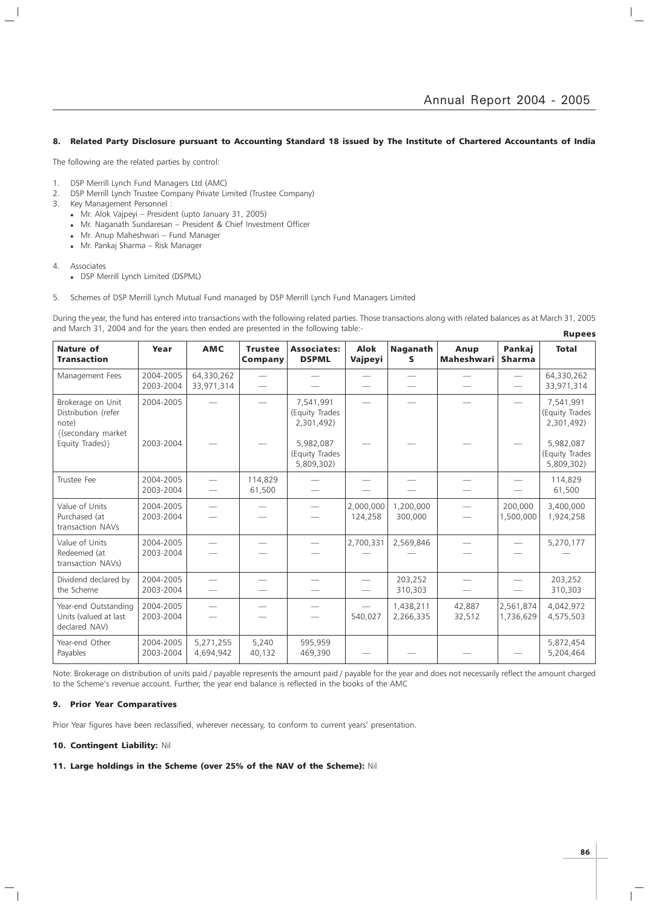#### 8. Related Party Disclosure pursuant to Accounting Standard 18 issued by The Institute of Chartered Accountants of India

The following are the related parties by control:

- 1. DSP Merrill Lynch Fund Managers Ltd (AMC)
- 2. DSP Merrill Lynch Trustee Company Private Limited (Trustee Company)
- 3. Key Management Personnel :
	- Mr. Alok Vajpeyi President (upto January 31, 2005)
	- Mr. Naganath Sundaresan President & Chief Investment Officer
	- Mr. Anup Maheshwari Fund Manager
	- Mr. Pankaj Sharma Risk Manager

#### 4. Associates

 $\overline{\phantom{a}}$ 

- DSP Merrill Lynch Limited (DSPML)
- 5. Schemes of DSP Merrill Lynch Mutual Fund managed by DSP Merrill Lynch Fund Managers Limited

During the year, the fund has entered into transactions with the following related parties. Those transactions along with related balances as at March 31, 2005 and March 31, 2004 and for the years then ended are presented in the following table:- Rupees

| <b>Nature of</b><br><b>Transaction</b>                                  | Year                   | <b>AMC</b>               | <b>Trustee</b><br>Company | <b>Associates:</b><br><b>DSPML</b>        | <b>Alok</b><br>Vajpeyi | <b>Naganath</b><br>S     | Anup<br><b>Maheshwari</b> | Pankaj<br><b>Sharma</b> | <b>Total</b>                              |
|-------------------------------------------------------------------------|------------------------|--------------------------|---------------------------|-------------------------------------------|------------------------|--------------------------|---------------------------|-------------------------|-------------------------------------------|
| Management Fees                                                         | 2004-2005<br>2003-2004 | 64,330,262<br>33,971,314 | $\overline{\phantom{0}}$  |                                           |                        | $\overline{\phantom{0}}$ |                           |                         | 64,330,262<br>33,971,314                  |
| Brokerage on Unit<br>Distribution (refer<br>note)<br>{(secondary market | 2004-2005<br>2003-2004 |                          |                           | 7,541,991<br>(Equity Trades<br>2,301,492) |                        |                          |                           |                         | 7,541,991<br>(Equity Trades<br>2,301,492) |
| Equity Trades)}                                                         |                        |                          |                           | 5,982,087<br>(Equity Trades<br>5,809,302) |                        |                          |                           |                         | 5,982,087<br>(Equity Trades<br>5,809,302) |
| Trustee Fee                                                             | 2004-2005<br>2003-2004 |                          | 114.829<br>61,500         |                                           |                        |                          |                           |                         | 114,829<br>61,500                         |
| Value of Units<br>Purchased (at<br>transaction NAVs                     | 2004-2005<br>2003-2004 |                          |                           |                                           | 2,000,000<br>124,258   | 1,200,000<br>300,000     |                           | 200,000<br>1,500,000    | 3,400,000<br>1,924,258                    |
| Value of Units<br>Redeemed (at<br>transaction NAVs)                     | 2004-2005<br>2003-2004 |                          |                           |                                           | 2,700,331              | 2,569,846                |                           |                         | 5,270,177                                 |
| Dividend declared by<br>the Scheme                                      | 2004-2005<br>2003-2004 |                          |                           |                                           |                        | 203,252<br>310,303       |                           |                         | 203,252<br>310,303                        |
| Year-end Outstanding<br>Units (valued at last<br>declared NAV)          | 2004-2005<br>2003-2004 |                          |                           |                                           | 540,027                | 1,438,211<br>2,266,335   | 42,887<br>32,512          | 2,561,874<br>1,736,629  | 4,042,972<br>4,575,503                    |
| Year-end Other<br>Payables                                              | 2004-2005<br>2003-2004 | 5,271,255<br>4,694,942   | 5,240<br>40,132           | 595,959<br>469,390                        |                        |                          |                           |                         | 5,872,454<br>5,204,464                    |

Note: Brokerage on distribution of units paid / payable represents the amount paid / payable for the year and does not necessarily reflect the amount charged to the Scheme's revenue account. Further, the year end balance is reflected in the books of the AMC

#### 9. Prior Year Comparatives

Prior Year figures have been reclassified, wherever necessary, to conform to current years' presentation.

#### 10. Contingent Liability: Nil

#### 11. Large holdings in the Scheme (over 25% of the NAV of the Scheme): Nil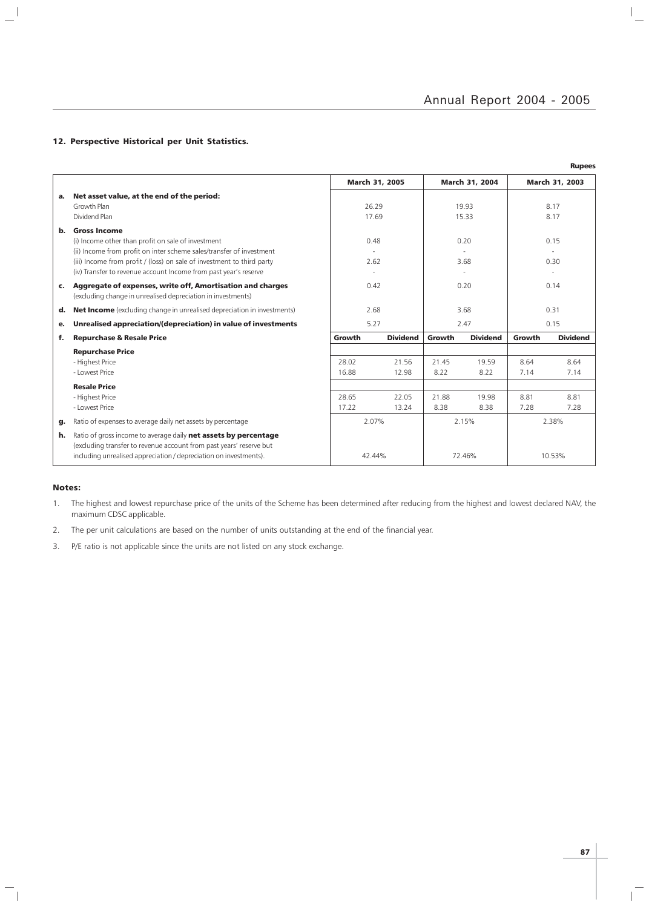$\mathbb{I}_+$ 

### 12. Perspective Historical per Unit Statistics.

|    |                                                                                                                                                                                                                             |        |                 |        |                 |        | <b>Rupees</b>   |
|----|-----------------------------------------------------------------------------------------------------------------------------------------------------------------------------------------------------------------------------|--------|-----------------|--------|-----------------|--------|-----------------|
|    |                                                                                                                                                                                                                             |        | March 31, 2005  |        | March 31, 2004  |        | March 31, 2003  |
| а. | Net asset value, at the end of the period:                                                                                                                                                                                  |        |                 |        |                 |        |                 |
|    | Growth Plan                                                                                                                                                                                                                 |        | 26.29           |        | 19.93           |        | 8.17            |
|    | Dividend Plan                                                                                                                                                                                                               |        | 17.69           |        | 15.33           |        | 8.17            |
| b. | <b>Gross Income</b><br>(i) Income other than profit on sale of investment<br>(ii) Income from profit on inter scheme sales/transfer of investment<br>(iii) Income from profit / (loss) on sale of investment to third party |        | 0.48<br>2.62    |        | 0.20<br>3.68    |        | 0.15<br>0.30    |
|    | (iv) Transfer to revenue account Income from past year's reserve                                                                                                                                                            |        |                 |        |                 |        |                 |
| c. | Aggregate of expenses, write off, Amortisation and charges<br>(excluding change in unrealised depreciation in investments)                                                                                                  |        | 0.42            |        | 0.20            |        | 0.14            |
| d. | <b>Net Income</b> (excluding change in unrealised depreciation in investments)                                                                                                                                              |        | 2.68            |        | 3.68            |        | 0.31            |
| е. | Unrealised appreciation/(depreciation) in value of investments                                                                                                                                                              |        | 5.27            |        | 2.47            |        | 0.15            |
| f. | <b>Repurchase &amp; Resale Price</b>                                                                                                                                                                                        | Growth | <b>Dividend</b> | Growth | <b>Dividend</b> | Growth | <b>Dividend</b> |
|    | <b>Repurchase Price</b>                                                                                                                                                                                                     |        |                 |        |                 |        |                 |
|    | - Highest Price                                                                                                                                                                                                             | 28.02  | 21.56           | 21.45  | 19.59           | 8.64   | 8.64            |
|    | - Lowest Price                                                                                                                                                                                                              | 16.88  | 12.98           | 8.22   | 8.22            | 7.14   | 7.14            |
|    | <b>Resale Price</b>                                                                                                                                                                                                         |        |                 |        |                 |        |                 |
|    | - Highest Price                                                                                                                                                                                                             | 28.65  | 22.05           | 21.88  | 19.98           | 8.81   | 8.81            |
|    | - Lowest Price                                                                                                                                                                                                              | 17.22  | 13.24           | 8.38   | 8.38            | 7.28   | 7.28            |
| g. | Ratio of expenses to average daily net assets by percentage                                                                                                                                                                 |        | 2.07%           |        | 2.15%           |        | 2.38%           |
| h. | Ratio of gross income to average daily net assets by percentage<br>(excluding transfer to revenue account from past years' reserve but<br>including unrealised appreciation / depreciation on investments).                 |        | 42.44%          |        | 72.46%          |        | 10.53%          |

#### Notes:

 $\mathord{\hspace{1pt}\text{--}\hspace{1pt}}_\parallel$ 

 $\frac{1}{2}$ 

1. The highest and lowest repurchase price of the units of the Scheme has been determined after reducing from the highest and lowest declared NAV, the maximum CDSC applicable.

2. The per unit calculations are based on the number of units outstanding at the end of the financial year.

3. P/E ratio is not applicable since the units are not listed on any stock exchange.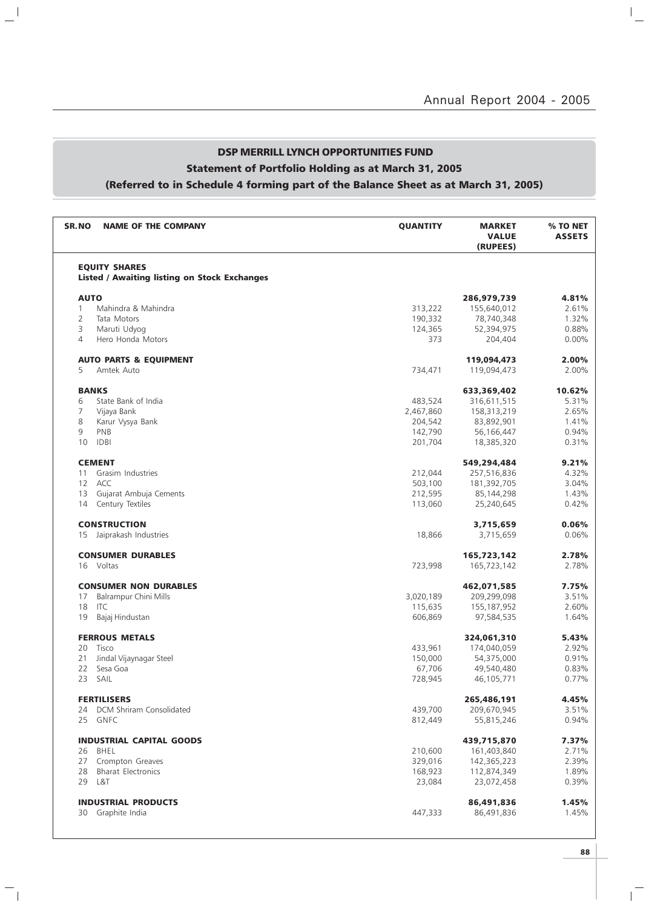## DSP MERRILL LYNCH OPPORTUNITIES FUND Statement of Portfolio Holding as at March 31, 2005 (Referred to in Schedule 4 forming part of the Balance Sheet as at March 31, 2005)

 $\mathbf{u}^{\parallel}$ 

 $\overline{\phantom{a}}_1$ 

| <b>SR.NO</b>      | <b>NAME OF THE COMPANY</b>                                                  | <b>QUANTITY</b> | <b>MARKET</b><br><b>VALUE</b><br>(RUPEES) | % TO NET<br><b>ASSETS</b> |
|-------------------|-----------------------------------------------------------------------------|-----------------|-------------------------------------------|---------------------------|
|                   | <b>EQUITY SHARES</b><br><b>Listed / Awaiting listing on Stock Exchanges</b> |                 |                                           |                           |
|                   |                                                                             |                 |                                           |                           |
| <b>AUTO</b>       |                                                                             |                 | 286,979,739                               | 4.81%                     |
| $\mathbf{1}$      | Mahindra & Mahindra                                                         | 313,222         | 155,640,012                               | 2.61%                     |
| 2                 | Tata Motors                                                                 | 190,332         | 78,740,348                                | 1.32%                     |
| 3                 | Maruti Udyog                                                                | 124,365         | 52,394,975                                | 0.88%                     |
| 4                 | Hero Honda Motors                                                           | 373             | 204,404                                   | $0.00\%$                  |
|                   | <b>AUTO PARTS &amp; EQUIPMENT</b>                                           |                 | 119,094,473                               | 2.00%                     |
| 5                 | Amtek Auto                                                                  | 734,471         | 119,094,473                               | 2.00%                     |
| <b>BANKS</b>      |                                                                             |                 | 633,369,402                               | 10.62%                    |
| 6                 | State Bank of India                                                         | 483,524         | 316,611,515                               | 5.31%                     |
| 7                 | Vijaya Bank                                                                 | 2,467,860       | 158,313,219                               | 2.65%                     |
| 8                 | Karur Vysya Bank                                                            | 204,542         | 83,892,901                                | 1.41%                     |
| 9                 | PNB                                                                         | 142,790         | 56,166,447                                | 0.94%                     |
| 10                | <b>IDBI</b>                                                                 | 201,704         | 18,385,320                                | 0.31%                     |
|                   | <b>CEMENT</b>                                                               |                 | 549,294,484                               | 9.21%                     |
| 11                | Grasim Industries                                                           | 212,044         | 257,516,836                               | 4.32%                     |
| $12 \overline{ }$ | ACC                                                                         | 503,100         | 181,392,705                               | 3.04%                     |
| 13                | Gujarat Ambuja Cements                                                      | 212,595         | 85,144,298                                | 1.43%                     |
| 14                | Century Textiles                                                            | 113,060         | 25,240,645                                | 0.42%                     |
|                   | <b>CONSTRUCTION</b>                                                         |                 | 3,715,659                                 | 0.06%                     |
| 15                | Jaiprakash Industries                                                       | 18,866          | 3,715,659                                 | 0.06%                     |
|                   | <b>CONSUMER DURABLES</b>                                                    |                 | 165,723,142                               | 2.78%                     |
|                   | 16 Voltas                                                                   | 723,998         | 165,723,142                               | 2.78%                     |
|                   | <b>CONSUMER NON DURABLES</b>                                                |                 | 462,071,585                               | 7.75%                     |
| 17                | <b>Balrampur Chini Mills</b>                                                | 3,020,189       | 209,299,098                               | 3.51%                     |
| 18                | <b>ITC</b>                                                                  | 115,635         | 155,187,952                               | 2.60%                     |
| 19                | Bajaj Hindustan                                                             | 606,869         | 97,584,535                                | 1.64%                     |
|                   | <b>FERROUS METALS</b>                                                       |                 | 324,061,310                               | 5.43%                     |
| 20                | Tisco                                                                       | 433,961         | 174,040,059                               | 2.92%                     |
| 21                | Jindal Vijaynagar Steel                                                     | 150,000         | 54,375,000                                | 0.91%                     |
| 22                | Sesa Goa                                                                    | 67,706          | 49,540,480                                | 0.83%                     |
|                   | 23 SAIL                                                                     | 728,945         | 46,105,771                                | 0.77%                     |
|                   | <b>FERTILISERS</b>                                                          |                 | 265,486,191                               | 4.45%                     |
| 24                | <b>DCM Shriram Consolidated</b>                                             | 439,700         | 209,670,945                               | 3.51%                     |
|                   | 25 GNFC                                                                     | 812,449         | 55,815,246                                | 0.94%                     |
|                   | <b>INDUSTRIAL CAPITAL GOODS</b>                                             |                 | 439,715,870                               | 7.37%                     |
|                   | 26 BHEL                                                                     | 210,600         | 161,403,840                               | 2.71%                     |
|                   | 27 Crompton Greaves                                                         | 329,016         | 142,365,223                               | 2.39%                     |
| 28                | <b>Bharat Electronics</b>                                                   | 168,923         | 112,874,349                               | 1.89%                     |
|                   | 29 L&T                                                                      | 23,084          | 23,072,458                                | 0.39%                     |
|                   | <b>INDUSTRIAL PRODUCTS</b>                                                  |                 | 86,491,836                                | 1.45%                     |
|                   | 30 Graphite India                                                           | 447,333         | 86,491,836                                | 1.45%                     |
|                   |                                                                             |                 |                                           |                           |

 $\overline{\mathbb{F}}$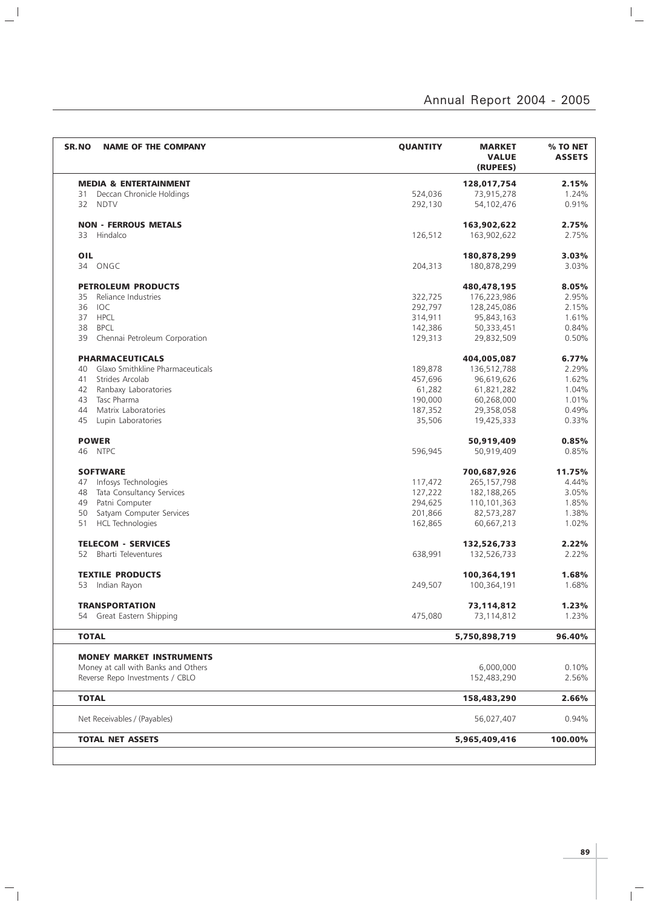$\overline{a}$ 

| SR.NO<br><b>NAME OF THE COMPANY</b>                                    | <b>QUANTITY</b> | <b>MARKET</b><br><b>VALUE</b><br>(RUPEES) | % TO NET<br><b>ASSETS</b> |
|------------------------------------------------------------------------|-----------------|-------------------------------------------|---------------------------|
| <b>MEDIA &amp; ENTERTAINMENT</b>                                       |                 | 128,017,754                               | 2.15%                     |
| Deccan Chronicle Holdings<br>31                                        | 524,036         | 73,915,278                                | 1.24%                     |
| 32<br><b>NDTV</b>                                                      | 292,130         | 54,102,476                                | 0.91%                     |
| <b>NON - FERROUS METALS</b>                                            |                 | 163,902,622                               | 2.75%                     |
| 33<br>Hindalco                                                         | 126,512         | 163,902,622                               | 2.75%                     |
|                                                                        |                 |                                           |                           |
| OIL                                                                    |                 | 180,878,299                               | 3.03%                     |
| 34 ONGC                                                                | 204,313         | 180,878,299                               | 3.03%                     |
| <b>PETROLEUM PRODUCTS</b>                                              |                 | 480,478,195                               | 8.05%                     |
| Reliance Industries<br>35                                              | 322,725         | 176,223,986                               | 2.95%                     |
| 36<br><b>IOC</b>                                                       | 292,797         | 128,245,086                               | 2.15%                     |
| <b>HPCL</b><br>37                                                      | 314,911         | 95,843,163                                | 1.61%                     |
| 38<br><b>BPCL</b>                                                      | 142,386         | 50,333,451                                | 0.84%                     |
| 39<br>Chennai Petroleum Corporation                                    | 129,313         | 29,832,509                                | 0.50%                     |
| <b>PHARMACEUTICALS</b>                                                 |                 | 404,005,087                               | 6.77%                     |
| Glaxo Smithkline Pharmaceuticals<br>40                                 | 189,878         | 136,512,788                               | 2.29%                     |
| 41<br>Strides Arcolab                                                  | 457,696         | 96,619,626                                | 1.62%                     |
| 42<br>Ranbaxy Laboratories                                             | 61,282          | 61,821,282                                | 1.04%                     |
| Tasc Pharma<br>43                                                      | 190,000         | 60,268,000                                | 1.01%                     |
| 44<br>Matrix Laboratories                                              | 187,352         | 29,358,058                                | 0.49%                     |
| 45<br>Lupin Laboratories                                               | 35,506          | 19,425,333                                | 0.33%                     |
|                                                                        |                 |                                           |                           |
| <b>POWER</b>                                                           |                 | 50,919,409                                | 0.85%                     |
| 46 NTPC                                                                | 596,945         | 50,919,409                                | 0.85%                     |
| <b>SOFTWARE</b>                                                        |                 | 700,687,926                               | 11.75%                    |
| Infosys Technologies<br>47                                             | 117,472         | 265, 157, 798                             | 4.44%                     |
| Tata Consultancy Services<br>48                                        | 127,222         | 182,188,265                               | 3.05%                     |
| 49<br>Patni Computer                                                   | 294,625         | 110,101,363                               | 1.85%                     |
| 50<br>Satyam Computer Services                                         | 201,866         | 82,573,287                                | 1.38%                     |
| <b>HCL Technologies</b><br>51                                          | 162,865         | 60,667,213                                | 1.02%                     |
| <b>TELECOM - SERVICES</b>                                              |                 | 132,526,733                               | 2.22%                     |
| 52<br>Bharti Televentures                                              | 638,991         | 132,526,733                               | 2.22%                     |
|                                                                        |                 |                                           |                           |
| <b>TEXTILE PRODUCTS</b>                                                |                 | 100,364,191                               | 1.68%                     |
| 53<br>Indian Rayon                                                     | 249,507         | 100,364,191                               | 1.68%                     |
| <b>TRANSPORTATION</b>                                                  |                 | 73,114,812                                | 1.23%                     |
| 54 Great Eastern Shipping                                              | 475,080         | 73,114,812                                | 1.23%                     |
| <b>TOTAL</b>                                                           |                 | 5,750,898,719                             | 96.40%                    |
|                                                                        |                 |                                           |                           |
| <b>MONEY MARKET INSTRUMENTS</b><br>Money at call with Banks and Others |                 |                                           |                           |
|                                                                        |                 | 6,000,000                                 | 0.10%                     |
| Reverse Repo Investments / CBLO                                        |                 | 152,483,290                               | 2.56%                     |
| <b>TOTAL</b>                                                           |                 | 158,483,290                               | 2.66%                     |
| Net Receivables / (Payables)                                           |                 | 56,027,407                                | 0.94%                     |
| <b>TOTAL NET ASSETS</b>                                                |                 | 5,965,409,416                             | 100.00%                   |
|                                                                        |                 |                                           |                           |

 $\mathbf{a}^{\dagger}$ 

 $\mathord{\hspace{1pt}\text{--}\hspace{1pt}}_\parallel$ 

 $\mathbf{1}^\top$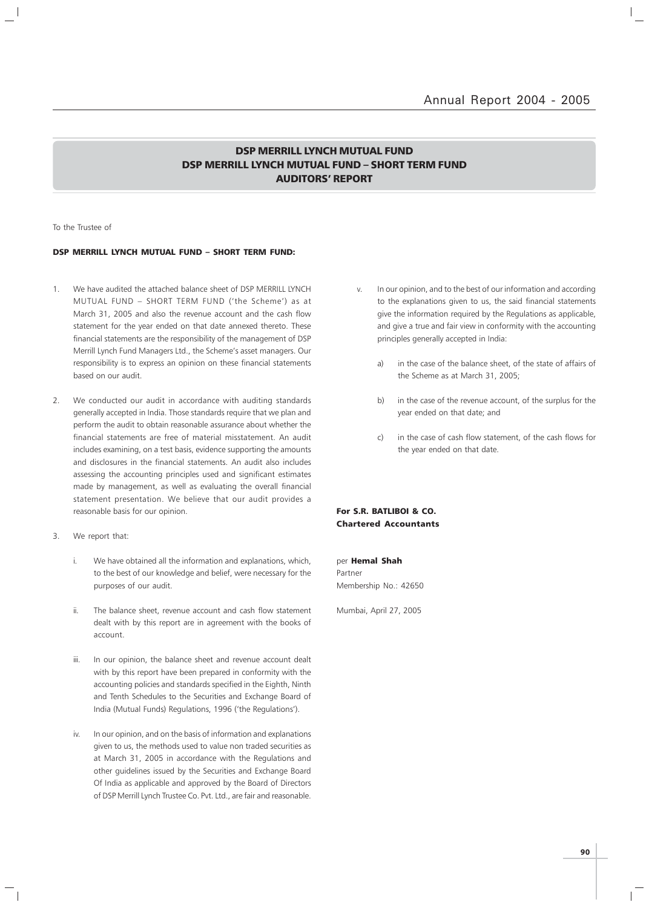### DSP MERRILL LYNCH MUTUAL FUND DSP MERRILL LYNCH MUTUAL FUND – SHORT TERM FUND AUDITORS' REPORT

To the Trustee of

#### DSP MERRILL LYNCH MUTUAL FUND – SHORT TERM FUND:

- 1. We have audited the attached balance sheet of DSP MERRILL LYNCH MUTUAL FUND – SHORT TERM FUND ('the Scheme') as at March 31, 2005 and also the revenue account and the cash flow statement for the year ended on that date annexed thereto. These financial statements are the responsibility of the management of DSP Merrill Lynch Fund Managers Ltd., the Scheme's asset managers. Our responsibility is to express an opinion on these financial statements based on our audit.
- 2. We conducted our audit in accordance with auditing standards generally accepted in India. Those standards require that we plan and perform the audit to obtain reasonable assurance about whether the financial statements are free of material misstatement. An audit includes examining, on a test basis, evidence supporting the amounts and disclosures in the financial statements. An audit also includes assessing the accounting principles used and significant estimates made by management, as well as evaluating the overall financial statement presentation. We believe that our audit provides a reasonable basis for our opinion.
- 3. We report that:
	- i. We have obtained all the information and explanations, which, to the best of our knowledge and belief, were necessary for the purposes of our audit.
	- ii. The balance sheet, revenue account and cash flow statement dealt with by this report are in agreement with the books of account.
	- iii. In our opinion, the balance sheet and revenue account dealt with by this report have been prepared in conformity with the accounting policies and standards specified in the Eighth, Ninth and Tenth Schedules to the Securities and Exchange Board of India (Mutual Funds) Regulations, 1996 ('the Regulations').
	- iv. In our opinion, and on the basis of information and explanations given to us, the methods used to value non traded securities as at March 31, 2005 in accordance with the Regulations and other guidelines issued by the Securities and Exchange Board Of India as applicable and approved by the Board of Directors of DSP Merrill Lynch Trustee Co. Pvt. Ltd., are fair and reasonable.
- v. In our opinion, and to the best of our information and according to the explanations given to us, the said financial statements give the information required by the Regulations as applicable, and give a true and fair view in conformity with the accounting principles generally accepted in India:
	- a) in the case of the balance sheet, of the state of affairs of the Scheme as at March 31, 2005;
	- b) in the case of the revenue account, of the surplus for the year ended on that date; and
	- c) in the case of cash flow statement, of the cash flows for the year ended on that date.

For S.R. BATLIBOI & CO. Chartered Accountants

per Hemal Shah Partner Membership No.: 42650

Mumbai, April 27, 2005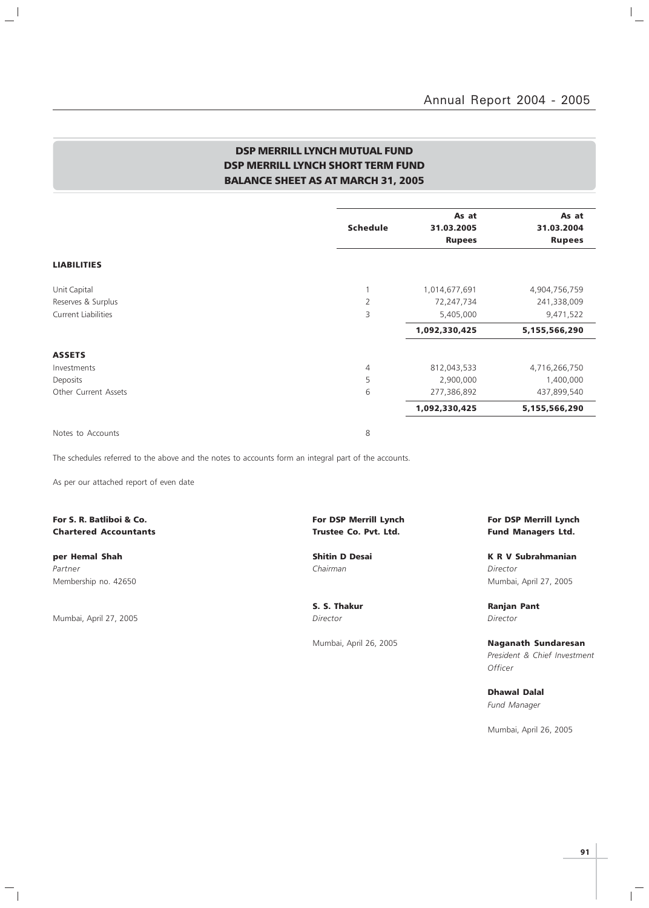$\vert$ 

### DSP MERRILL LYNCH MUTUAL FUND DSP MERRILL LYNCH SHORT TERM FUND BALANCE SHEET AS AT MARCH 31, 2005

|                            |                 | As at         | As at         |
|----------------------------|-----------------|---------------|---------------|
|                            | <b>Schedule</b> | 31.03.2005    | 31.03.2004    |
|                            |                 | <b>Rupees</b> | <b>Rupees</b> |
| <b>LIABILITIES</b>         |                 |               |               |
| Unit Capital               |                 | 1,014,677,691 | 4,904,756,759 |
| Reserves & Surplus         | $\overline{2}$  | 72,247,734    | 241,338,009   |
| <b>Current Liabilities</b> | $\overline{3}$  | 5,405,000     | 9,471,522     |
|                            |                 | 1,092,330,425 | 5,155,566,290 |
| <b>ASSETS</b>              |                 |               |               |
| Investments                | 4               | 812,043,533   | 4,716,266,750 |
| Deposits                   | 5               | 2,900,000     | 1,400,000     |
| Other Current Assets       | 6               | 277,386,892   | 437,899,540   |
|                            |                 | 1,092,330,425 | 5,155,566,290 |
| Notes to Accounts          | 8               |               |               |

The schedules referred to the above and the notes to accounts form an integral part of the accounts.

As per our attached report of even date

Chartered Accountants Trustee Co. Pvt. Ltd. Fund Managers Ltd.

 $\overline{\phantom{a}}$ 

 $\overline{\phantom{0}}$ 

Partner Chairman Director (Chairman Chairman Chairman Director Director Director Membership no. 42650 Mumbai, April 27, 2005

Mumbai, April 27, 2005 **Director** Director **Director** Director

 $\overline{\phantom{a}}_1$ 

For S. R. Batliboi & Co. The Superior State of Lynch For DSP Merrill Lynch For DSP Merrill Lynch For DSP Merrill Lynch

per Hemal Shah Shitin D Desai K R V Subrahmanian

S. S. Thakur **Ranjan Pant** 

Mumbai, April 26, 2005 Naganath Sundaresan President & Chief Investment **Officer** 

> Dhawal Dalal Fund Manager

Mumbai, April 26, 2005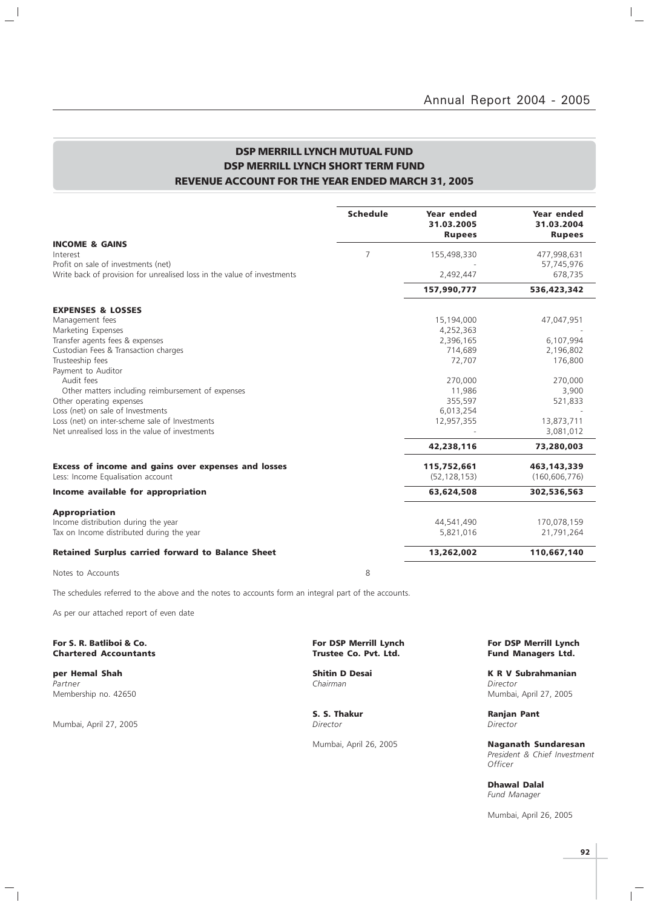### DSP MERRILL LYNCH MUTUAL FUND DSP MERRILL LYNCH SHORT TERM FUND REVENUE ACCOUNT FOR THE YEAR ENDED MARCH 31, 2005

| <b>Schedule</b> | Year ended<br>31.03.2005<br><b>Rupees</b> | Year ended<br>31.03.2004<br><b>Rupees</b>                                           |
|-----------------|-------------------------------------------|-------------------------------------------------------------------------------------|
|                 |                                           |                                                                                     |
|                 |                                           | 477,998,631                                                                         |
|                 |                                           | 57,745,976<br>678,735                                                               |
|                 | 157,990,777                               | 536,423,342                                                                         |
|                 |                                           |                                                                                     |
|                 | 15,194,000                                | 47,047,951                                                                          |
|                 | 4,252,363                                 |                                                                                     |
|                 | 2,396,165                                 | 6,107,994                                                                           |
|                 | 714,689                                   | 2,196,802                                                                           |
|                 | 72,707                                    | 176,800                                                                             |
|                 |                                           |                                                                                     |
|                 |                                           | 270,000                                                                             |
|                 |                                           | 3,900                                                                               |
|                 |                                           | 521,833                                                                             |
|                 |                                           | 13,873,711                                                                          |
|                 |                                           | 3,081,012                                                                           |
|                 | 42,238,116                                | 73,280,003                                                                          |
|                 | 115,752,661                               | 463,143,339                                                                         |
|                 | (52, 128, 153)                            | (160, 606, 776)                                                                     |
|                 | 63,624,508                                | 302,536,563                                                                         |
|                 |                                           |                                                                                     |
|                 | 44,541,490                                | 170,078,159                                                                         |
|                 | 5.821.016                                 | 21,791,264                                                                          |
|                 | 13,262,002                                | 110,667,140                                                                         |
|                 | $\overline{7}$                            | 155,498,330<br>2,492,447<br>270,000<br>11,986<br>355,597<br>6,013,254<br>12,957,355 |

Notes to Accounts 8

 $\mathbb{L}^{\mathbb{I}}$ 

The schedules referred to the above and the notes to accounts form an integral part of the accounts.

As per our attached report of even date

#### For S. R. Batliboi & Co. The S. R. Batliboi & Co. For DSP Merrill Lynch For DSP Merrill Lynch For DSP Merrill Lynch<br>Chartered Accountants Trustee Co. Pvt. Ltd. Fund Managers Ltd. **Chartered Accountants**

Partner Chairman Director (Chairman Chairman Chairman Director Director Chairman Chairman Director

Mumbai, April 27, 2005

 $\overline{\phantom{a}}_1$ 

per Hemal Shah Shah Shitin D Desai K R V Subrahmanian Membership no. 42650 Mumbai, April 27, 2005

**S. S. Thakur Ranjan Pant Director Community Community Community Community Community Community Community Community Community Ranjan Pant Director** 

Mumbai, April 26, 2005 **Naganath Sundaresan** President & Chief Investment **Officer** 

> Dhawal Dalal Fund Manager

Mumbai, April 26, 2005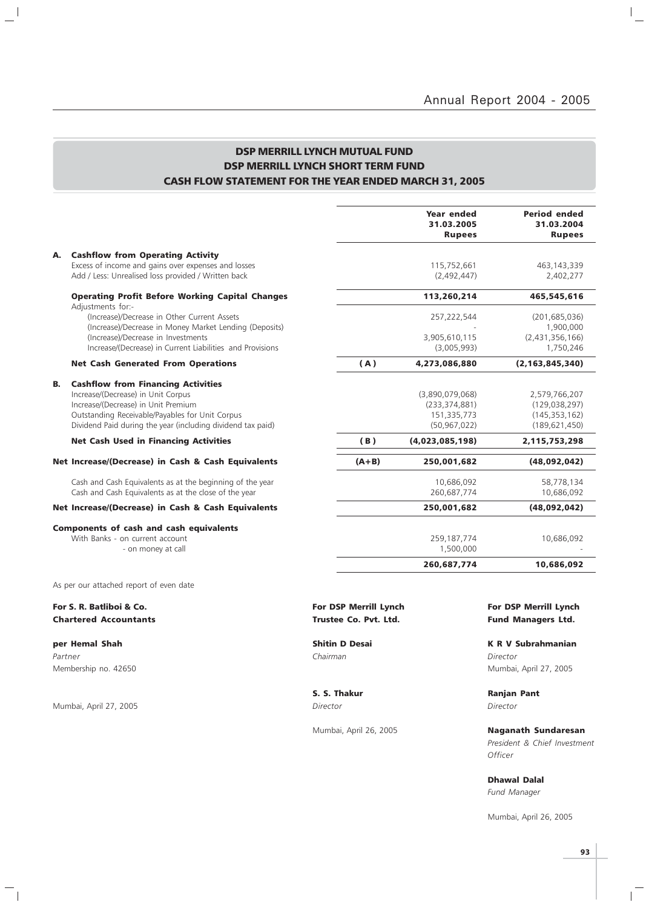### DSP MERRILL LYNCH MUTUAL FUND DSP MERRILL LYNCH SHORT TERM FUND CASH FLOW STATEMENT FOR THE YEAR ENDED MARCH 31, 2005

|                                                                                                                                                                                                                                                |         | Year ended<br>31.03.2005<br><b>Rupees</b>                           | <b>Period ended</b><br>31.03.2004<br><b>Rupees</b>                     |
|------------------------------------------------------------------------------------------------------------------------------------------------------------------------------------------------------------------------------------------------|---------|---------------------------------------------------------------------|------------------------------------------------------------------------|
| <b>Cashflow from Operating Activity</b><br>А.<br>Excess of income and gains over expenses and losses<br>Add / Less: Unrealised loss provided / Written back                                                                                    |         | 115,752,661<br>(2,492,447)                                          | 463, 143, 339<br>2,402,277                                             |
| <b>Operating Profit Before Working Capital Changes</b>                                                                                                                                                                                         |         | 113,260,214                                                         | 465,545,616                                                            |
| Adjustments for:-<br>(Increase)/Decrease in Other Current Assets<br>(Increase)/Decrease in Money Market Lending (Deposits)<br>(Increase)/Decrease in Investments<br>Increase/(Decrease) in Current Liabilities and Provisions                  |         | 257,222,544<br>3,905,610,115<br>(3,005,993)                         | (201, 685, 036)<br>1,900,000<br>(2,431,356,166)<br>1,750,246           |
| <b>Net Cash Generated From Operations</b>                                                                                                                                                                                                      | (A)     | 4,273,086,880                                                       | (2, 163, 845, 340)                                                     |
| В.<br><b>Cashflow from Financing Activities</b><br>Increase/(Decrease) in Unit Corpus<br>Increase/(Decrease) in Unit Premium<br>Outstanding Receivable/Payables for Unit Corpus<br>Dividend Paid during the year (including dividend tax paid) |         | (3,890,079,068)<br>(233, 374, 881)<br>151,335,773<br>(50, 967, 022) | 2,579,766,207<br>(129, 038, 297)<br>(145, 353, 162)<br>(189, 621, 450) |
| <b>Net Cash Used in Financing Activities</b>                                                                                                                                                                                                   | (B)     | (4,023,085,198)                                                     | 2,115,753,298                                                          |
| Net Increase/(Decrease) in Cash & Cash Equivalents                                                                                                                                                                                             | $(A+B)$ | 250,001,682                                                         | (48,092,042)                                                           |
| Cash and Cash Equivalents as at the beginning of the year<br>Cash and Cash Equivalents as at the close of the year                                                                                                                             |         | 10,686,092<br>260,687,774                                           | 58,778,134<br>10,686,092                                               |
| Net Increase/(Decrease) in Cash & Cash Equivalents                                                                                                                                                                                             |         | 250,001,682                                                         | (48,092,042)                                                           |
| <b>Components of cash and cash equivalents</b><br>With Banks - on current account<br>- on money at call                                                                                                                                        |         | 259,187,774<br>1,500,000                                            | 10,686,092                                                             |
|                                                                                                                                                                                                                                                |         | 260,687,774                                                         | 10,686,092                                                             |
| As per our attached report of even date                                                                                                                                                                                                        |         |                                                                     |                                                                        |

Chartered Accountants **Trustee Co. Pvt. Ltd.** Fund Managers Ltd.

Partner Chairman Director (Chairman Chairman Chairman Director Director Chairman Chairman Director

 $\frac{1}{2}$ 

Mumbai, April 27, 2005 Director Director

 $\overline{\phantom{a}}_1$ 

# For S. R. Batliboi & Co. The Community of the Community of DSP Merrill Lynch For DSP Merrill Lynch For DSP Merrill Lynch

per Hemal Shah Shitin D Desai K R V Subrahmanian Membership no. 42650 Mumbai, April 27, 2005

S. S. Thakur **Ranjan Pant** 

Mumbai, April 26, 2005 Naganath Sundaresan President & Chief Investment **Officer** 

> Dhawal Dalal Fund Manager

Mumbai, April 26, 2005

 $\overline{1}$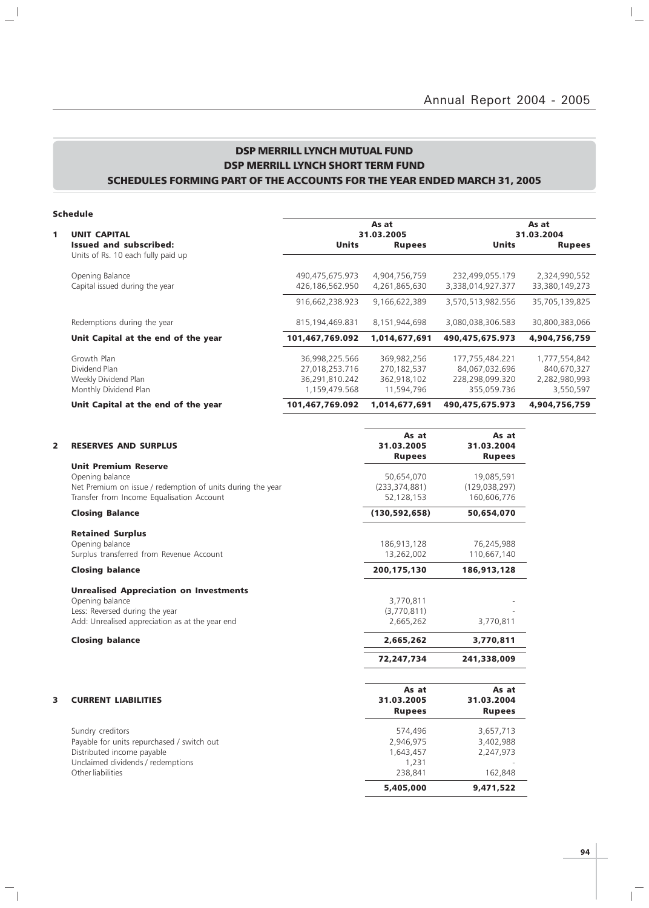$\overline{a}$ 

### DSP MERRILL LYNCH MUTUAL FUND DSP MERRILL LYNCH SHORT TERM FUND SCHEDULES FORMING PART OF THE ACCOUNTS FOR THE YEAR ENDED MARCH 31, 2005

### Schedule

 $\frac{1}{2}$ 

 $\overline{\phantom{a}}_1$ 

|   |                                                                               |                                                                     | As at                                                   |                                                                     |                                                            |  |
|---|-------------------------------------------------------------------------------|---------------------------------------------------------------------|---------------------------------------------------------|---------------------------------------------------------------------|------------------------------------------------------------|--|
| 1 | <b>UNIT CAPITAL</b>                                                           |                                                                     | 31.03.2005                                              |                                                                     | 31.03.2004                                                 |  |
|   | <b>Issued and subscribed:</b><br>Units of Rs. 10 each fully paid up           | Units                                                               | <b>Rupees</b>                                           | <b>Units</b>                                                        | <b>Rupees</b>                                              |  |
|   | Opening Balance<br>Capital issued during the year                             | 490,475,675.973<br>426,186,562.950                                  | 4,904,756,759<br>4,261,865,630                          | 232,499,055.179<br>3,338,014,927.377                                | 2,324,990,552<br>33,380,149,273                            |  |
|   |                                                                               | 916,662,238.923                                                     | 9,166,622,389                                           | 3,570,513,982.556                                                   | 35,705,139,825                                             |  |
|   | Redemptions during the year                                                   | 815,194,469.831                                                     | 8,151,944,698                                           | 3,080,038,306.583                                                   | 30,800,383,066                                             |  |
|   | Unit Capital at the end of the year                                           | 101,467,769.092                                                     | 1,014,677,691                                           | 490,475,675.973                                                     | 4,904,756,759                                              |  |
|   | Growth Plan<br>Dividend Plan<br>Weekly Dividend Plan<br>Monthly Dividend Plan | 36,998,225.566<br>27,018,253.716<br>36,291,810.242<br>1,159,479.568 | 369,982,256<br>270,182,537<br>362,918,102<br>11,594,796 | 177,755,484.221<br>84,067,032.696<br>228,298,099.320<br>355,059.736 | 1,777,554,842<br>840,670,327<br>2,282,980,993<br>3,550,597 |  |
|   | Unit Capital at the end of the year                                           | 101,467,769.092                                                     | 1,014,677,691                                           | 490,475,675.973                                                     | 4,904,756,759                                              |  |

| <b>RESERVES AND SURPLUS</b>                                | As at<br>31.03.2005                                                                                                                                                                                                                                                                   | As at<br>31.03.2004<br><b>Rupees</b>                                                                       |
|------------------------------------------------------------|---------------------------------------------------------------------------------------------------------------------------------------------------------------------------------------------------------------------------------------------------------------------------------------|------------------------------------------------------------------------------------------------------------|
| <b>Unit Premium Reserve</b>                                |                                                                                                                                                                                                                                                                                       |                                                                                                            |
| Opening balance                                            | 50,654,070                                                                                                                                                                                                                                                                            | 19,085,591                                                                                                 |
| Net Premium on issue / redemption of units during the year | (233, 374, 881)                                                                                                                                                                                                                                                                       | (129, 038, 297)                                                                                            |
|                                                            | 52,128,153                                                                                                                                                                                                                                                                            | 160,606,776                                                                                                |
| <b>Closing Balance</b>                                     | (130, 592, 658)                                                                                                                                                                                                                                                                       | 50,654,070                                                                                                 |
| <b>Retained Surplus</b>                                    |                                                                                                                                                                                                                                                                                       |                                                                                                            |
| Opening balance                                            | 186,913,128                                                                                                                                                                                                                                                                           | 76,245,988                                                                                                 |
|                                                            |                                                                                                                                                                                                                                                                                       | 110,667,140                                                                                                |
| <b>Closing balance</b>                                     | 200,175,130                                                                                                                                                                                                                                                                           | 186,913,128                                                                                                |
| <b>Unrealised Appreciation on Investments</b>              |                                                                                                                                                                                                                                                                                       |                                                                                                            |
|                                                            | 3,770,811                                                                                                                                                                                                                                                                             |                                                                                                            |
|                                                            |                                                                                                                                                                                                                                                                                       |                                                                                                            |
|                                                            |                                                                                                                                                                                                                                                                                       | 3,770,811                                                                                                  |
| <b>Closing balance</b>                                     | 2,665,262                                                                                                                                                                                                                                                                             | 3,770,811                                                                                                  |
|                                                            | 72,247,734                                                                                                                                                                                                                                                                            | 241,338,009                                                                                                |
|                                                            |                                                                                                                                                                                                                                                                                       |                                                                                                            |
|                                                            |                                                                                                                                                                                                                                                                                       | As at<br>31.03.2004                                                                                        |
|                                                            |                                                                                                                                                                                                                                                                                       | <b>Rupees</b>                                                                                              |
|                                                            |                                                                                                                                                                                                                                                                                       |                                                                                                            |
| Sundry creditors                                           | 574,496                                                                                                                                                                                                                                                                               | 3,657,713                                                                                                  |
| Payable for units repurchased / switch out                 | 2,946,975                                                                                                                                                                                                                                                                             | 3,402,988                                                                                                  |
| Distributed income payable                                 | 1,643,457                                                                                                                                                                                                                                                                             | 2,247,973                                                                                                  |
|                                                            | 1,231                                                                                                                                                                                                                                                                                 |                                                                                                            |
|                                                            |                                                                                                                                                                                                                                                                                       | 162,848                                                                                                    |
|                                                            | 5,405,000                                                                                                                                                                                                                                                                             | 9,471,522                                                                                                  |
|                                                            | Transfer from Income Equalisation Account<br>Surplus transferred from Revenue Account<br>Opening balance<br>Less: Reversed during the year<br>Add: Unrealised appreciation as at the year end<br><b>CURRENT LIABILITIES</b><br>Unclaimed dividends / redemptions<br>Other liabilities | <b>Rupees</b><br>13,262,002<br>(3,770,811)<br>2,665,262<br>As at<br>31.03.2005<br><b>Rupees</b><br>238,841 |

 $\overline{1}$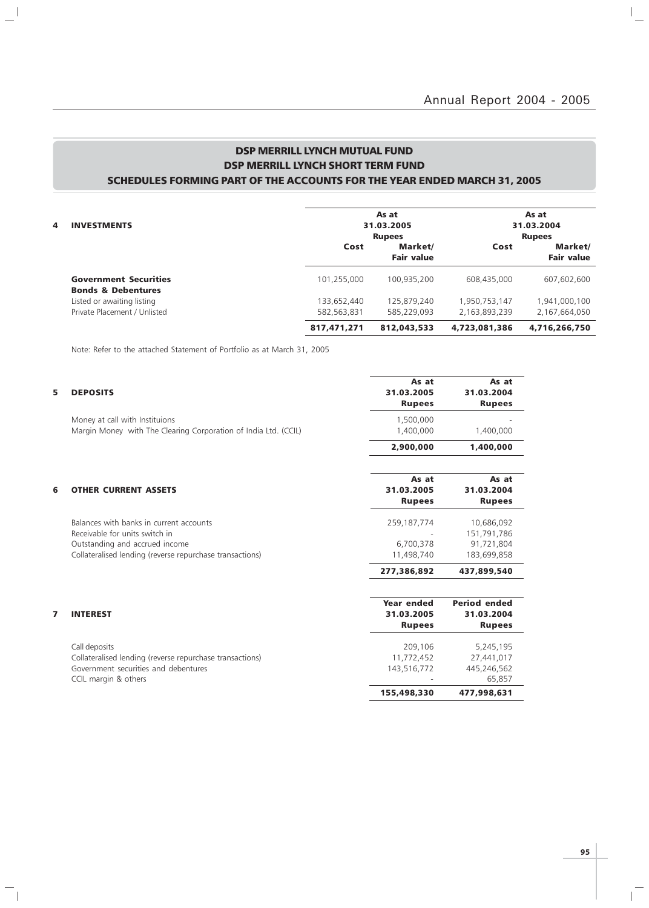$\mathbb{I}_+$ 

### DSP MERRILL LYNCH MUTUAL FUND DSP MERRILL LYNCH SHORT TERM FUND SCHEDULES FORMING PART OF THE ACCOUNTS FOR THE YEAR ENDED MARCH 31, 2005

| 4 | <b>INVESTMENTS</b>                                            |             | As at<br>31.03.2005                           |               | As at<br>31.03.2004                           |
|---|---------------------------------------------------------------|-------------|-----------------------------------------------|---------------|-----------------------------------------------|
|   |                                                               | Cost        | <b>Rupees</b><br>Market/<br><b>Fair value</b> | Cost          | <b>Rupees</b><br>Market/<br><b>Fair value</b> |
|   | <b>Government Securities</b><br><b>Bonds &amp; Debentures</b> | 101,255,000 | 100.935.200                                   | 608,435,000   | 607,602,600                                   |
|   | Listed or awaiting listing                                    | 133,652,440 | 125,879,240                                   | 1,950,753,147 | 1,941,000,100                                 |
|   | Private Placement / Unlisted                                  | 582,563,831 | 585.229.093                                   | 2,163,893,239 | 2,167,664,050                                 |
|   |                                                               | 817,471,271 | 812,043,533                                   | 4,723,081,386 | 4,716,266,750                                 |

Note: Refer to the attached Statement of Portfolio as at March 31, 2005

 $\frac{1}{2}$ 

 $\overline{\phantom{a}}_1$ 

| 5 | <b>DEPOSITS</b>                                                                                                                                                         | As at<br>31.03.2005<br><b>Rupees</b>      | As at<br>31.03.2004<br><b>Rupees</b>                   |
|---|-------------------------------------------------------------------------------------------------------------------------------------------------------------------------|-------------------------------------------|--------------------------------------------------------|
|   | Money at call with Instituions<br>Margin Money with The Clearing Corporation of India Ltd. (CCIL)                                                                       | 1,500,000<br>1,400,000                    | 1,400,000                                              |
|   |                                                                                                                                                                         | 2,900,000                                 | 1,400,000                                              |
| 6 | <b>OTHER CURRENT ASSETS</b>                                                                                                                                             | As at<br>31.03.2005<br><b>Rupees</b>      | As at<br>31.03.2004<br><b>Rupees</b>                   |
|   | Balances with banks in current accounts<br>Receivable for units switch in<br>Outstanding and accrued income<br>Collateralised lending (reverse repurchase transactions) | 259,187,774<br>6,700,378<br>11,498,740    | 10,686,092<br>151,791,786<br>91,721,804<br>183,699,858 |
|   |                                                                                                                                                                         | 277,386,892                               | 437,899,540                                            |
| 7 | <b>INTEREST</b>                                                                                                                                                         | Year ended<br>31.03.2005<br><b>Rupees</b> | <b>Period ended</b><br>31.03.2004<br><b>Rupees</b>     |
|   | Call deposits<br>Collateralised lending (reverse repurchase transactions)<br>Government securities and debentures<br>CCIL margin & others                               | 209,106<br>11,772,452<br>143,516,772      | 5,245,195<br>27,441,017<br>445,246,562<br>65.857       |

CCIL margin & others - 65,857

 $\overline{1}$ 

155,498,330 477,998,631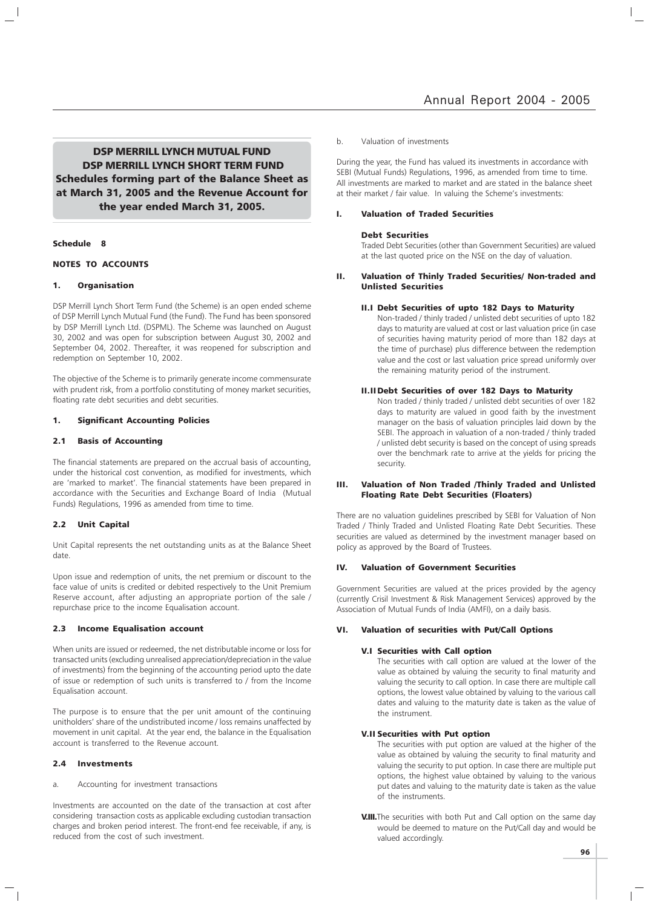DSP MERRILL LYNCH MUTUAL FUND DSP MERRILL LYNCH SHORT TERM FUND Schedules forming part of the Balance Sheet as at March 31, 2005 and the Revenue Account for the year ended March 31, 2005.

#### Schedule 8

#### NOTES TO ACCOUNTS

#### 1. Organisation

DSP Merrill Lynch Short Term Fund (the Scheme) is an open ended scheme of DSP Merrill Lynch Mutual Fund (the Fund). The Fund has been sponsored by DSP Merrill Lynch Ltd. (DSPML). The Scheme was launched on August 30, 2002 and was open for subscription between August 30, 2002 and September 04, 2002. Thereafter, it was reopened for subscription and redemption on September 10, 2002.

The objective of the Scheme is to primarily generate income commensurate with prudent risk, from a portfolio constituting of money market securities, floating rate debt securities and debt securities.

#### 1. Significant Accounting Policies

#### 2.1 Basis of Accounting

The financial statements are prepared on the accrual basis of accounting, under the historical cost convention, as modified for investments, which are 'marked to market'. The financial statements have been prepared in accordance with the Securities and Exchange Board of India (Mutual Funds) Regulations, 1996 as amended from time to time.

#### 2.2 Unit Capital

Unit Capital represents the net outstanding units as at the Balance Sheet date.

Upon issue and redemption of units, the net premium or discount to the face value of units is credited or debited respectively to the Unit Premium Reserve account, after adjusting an appropriate portion of the sale / repurchase price to the income Equalisation account.

#### 2.3 Income Equalisation account

When units are issued or redeemed, the net distributable income or loss for transacted units (excluding unrealised appreciation/depreciation in the value of investments) from the beginning of the accounting period upto the date of issue or redemption of such units is transferred to / from the Income Equalisation account.

The purpose is to ensure that the per unit amount of the continuing unitholders' share of the undistributed income / loss remains unaffected by movement in unit capital. At the year end, the balance in the Equalisation account is transferred to the Revenue account.

#### 2.4 Investments

a. Accounting for investment transactions

Investments are accounted on the date of the transaction at cost after considering transaction costs as applicable excluding custodian transaction charges and broken period interest. The front-end fee receivable, if any, is reduced from the cost of such investment.

#### b. Valuation of investments

During the year, the Fund has valued its investments in accordance with SEBI (Mutual Funds) Regulations, 1996, as amended from time to time. All investments are marked to market and are stated in the balance sheet at their market / fair value. In valuing the Scheme's investments:

#### I. Valuation of Traded Securities

#### Debt Securities

Traded Debt Securities (other than Government Securities) are valued at the last quoted price on the NSE on the day of valuation.

#### II. Valuation of Thinly Traded Securities/ Non-traded and Unlisted Securities

#### II.I Debt Securities of upto 182 Days to Maturity

Non-traded / thinly traded / unlisted debt securities of upto 182 days to maturity are valued at cost or last valuation price (in case of securities having maturity period of more than 182 days at the time of purchase) plus difference between the redemption value and the cost or last valuation price spread uniformly over the remaining maturity period of the instrument.

#### II.II Debt Securities of over 182 Days to Maturity

Non traded / thinly traded / unlisted debt securities of over 182 days to maturity are valued in good faith by the investment manager on the basis of valuation principles laid down by the SEBI. The approach in valuation of a non-traded / thinly traded / unlisted debt security is based on the concept of using spreads over the benchmark rate to arrive at the yields for pricing the security.

#### III. Valuation of Non Traded /Thinly Traded and Unlisted Floating Rate Debt Securities (Floaters)

There are no valuation guidelines prescribed by SEBI for Valuation of Non Traded / Thinly Traded and Unlisted Floating Rate Debt Securities. These securities are valued as determined by the investment manager based on policy as approved by the Board of Trustees.

#### IV. Valuation of Government Securities

Government Securities are valued at the prices provided by the agency (currently Crisil Investment & Risk Management Services) approved by the Association of Mutual Funds of India (AMFI), on a daily basis.

#### VI. Valuation of securities with Put/Call Options

#### V.I Securities with Call option

The securities with call option are valued at the lower of the value as obtained by valuing the security to final maturity and valuing the security to call option. In case there are multiple call options, the lowest value obtained by valuing to the various call dates and valuing to the maturity date is taken as the value of the instrument.

#### V.II Securities with Put option

The securities with put option are valued at the higher of the value as obtained by valuing the security to final maturity and valuing the security to put option. In case there are multiple put options, the highest value obtained by valuing to the various put dates and valuing to the maturity date is taken as the value of the instruments.

V.III.The securities with both Put and Call option on the same day would be deemed to mature on the Put/Call day and would be valued accordingly.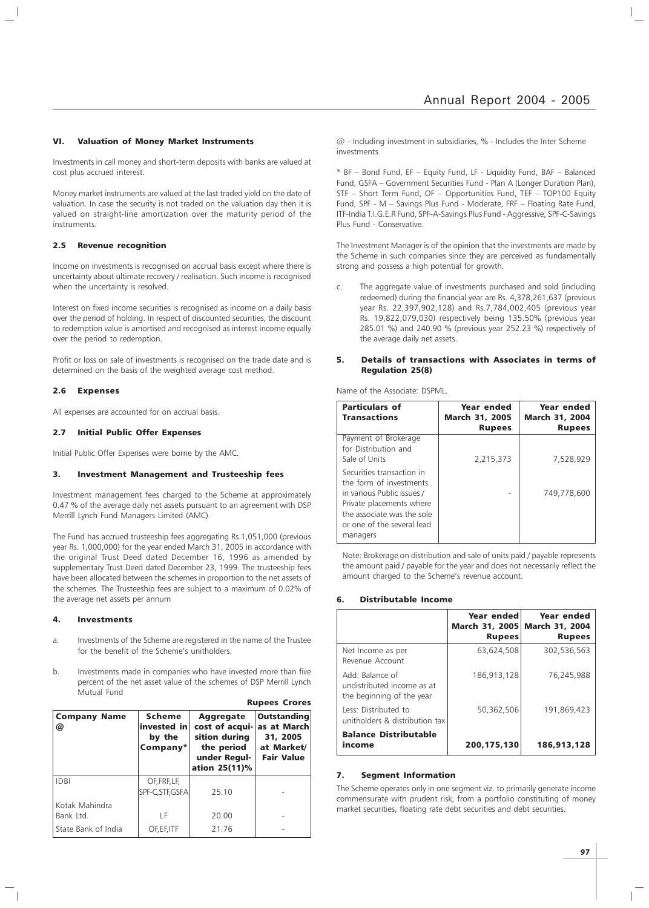#### VI. Valuation of Money Market Instruments

Investments in call money and short-term deposits with banks are valued at cost plus accrued interest.

Money market instruments are valued at the last traded yield on the date of valuation. In case the security is not traded on the valuation day then it is valued on straight-line amortization over the maturity period of the instruments.

#### 2.5 Revenue recognition

Income on investments is recognised on accrual basis except where there is uncertainty about ultimate recovery / realisation. Such income is recognised when the uncertainty is resolved.

Interest on fixed income securities is recognised as income on a daily basis over the period of holding. In respect of discounted securities, the discount to redemption value is amortised and recognised as interest income equally over the period to redemption.

Profit or loss on sale of investments is recognised on the trade date and is determined on the basis of the weighted average cost method.

#### 2.6 Expenses

All expenses are accounted for on accrual basis.

#### 2.7 Initial Public Offer Expenses

Initial Public Offer Expenses were borne by the AMC.

#### 3. Investment Management and Trusteeship fees

Investment management fees charged to the Scheme at approximately 0.47 % of the average daily net assets pursuant to an agreement with DSP Merrill Lynch Fund Managers Limited (AMC).

The Fund has accrued trusteeship fees aggregating Rs.1,051,000 (previous year Rs. 1,000,000) for the year ended March 31, 2005 in accordance with the original Trust Deed dated December 16, 1996 as amended by supplementary Trust Deed dated December 23, 1999. The trusteeship fees have been allocated between the schemes in proportion to the net assets of the schemes. The Trusteeship fees are subject to a maximum of 0.02% of the average net assets per annum

#### 4. Investments

- a. Investments of the Scheme are registered in the name of the Trustee for the benefit of the Scheme's unitholders.
- b. Investments made in companies who have invested more than five percent of the net asset value of the schemes of DSP Merrill Lynch Mutual Fund

| Scheme<br><b>Company Name</b><br>invested in<br>@<br>by the<br>$\mathsf{Company}^*$ |                                  | <b>Aggregate</b><br>cost of acqui- as at March<br>sition during<br>the period<br>under Regul-<br>ation 25(11)% | <b>Outstanding</b><br>31, 2005<br>at Market/<br><b>Fair Value</b> |
|-------------------------------------------------------------------------------------|----------------------------------|----------------------------------------------------------------------------------------------------------------|-------------------------------------------------------------------|
| <b>IDBI</b>                                                                         | OF, FRF, LF,<br>SPF-C, STF, GSFA | 25.10                                                                                                          |                                                                   |
| Kotak Mahindra<br>Bank Ltd.                                                         | LF                               | 20.00                                                                                                          |                                                                   |
| State Bank of India                                                                 | OF, EF, ITF                      | 21.76                                                                                                          |                                                                   |

Rupees Crores

@ - Including investment in subsidiaries, % - Includes the Inter Scheme investments

\* BF – Bond Fund, EF – Equity Fund, LF - Liquidity Fund, BAF – Balanced Fund, GSFA – Government Securities Fund - Plan A (Longer Duration Plan), STF – Short Term Fund, OF – Opportunities Fund, TEF – TOP100 Equity Fund, SPF - M – Savings Plus Fund - Moderate, FRF – Floating Rate Fund, ITF-India T.I.G.E.R Fund, SPF-A-Savings Plus Fund - Aggressive, SPF-C-Savings Plus Fund - Conservative.

The Investment Manager is of the opinion that the investments are made by the Scheme in such companies since they are perceived as fundamentally strong and possess a high potential for growth.

c. The aggregate value of investments purchased and sold (including redeemed) during the financial year are Rs. 4,378,261,637 (previous year Rs. 22,397,902,128) and Rs.7,784,002,405 (previous year Rs. 19,822,079,030) respectively being 135.50% (previous year 285.01 %) and 240.90 % (previous year 252.23 %) respectively of the average daily net assets.

#### 5. Details of transactions with Associates in terms of Regulation 25(8)

Name of the Associate: DSPML.

| <b>Particulars of</b><br><b>Transactions</b>                                                                                                                                           | Year ended<br><b>March 31, 2005</b><br><b>Rupees</b> | Year ended<br><b>March 31, 2004</b><br><b>Rupees</b> |
|----------------------------------------------------------------------------------------------------------------------------------------------------------------------------------------|------------------------------------------------------|------------------------------------------------------|
| Payment of Brokerage<br>for Distribution and<br>Sale of Units                                                                                                                          | 2,215,373                                            | 7,528,929                                            |
| Securities transaction in<br>the form of investments<br>in various Public issues /<br>Private placements where<br>the associate was the sole<br>or one of the several lead<br>managers |                                                      | 749.778.600                                          |

Note: Brokerage on distribution and sale of units paid / payable represents the amount paid / payable for the year and does not necessarily reflect the amount charged to the Scheme's revenue account.

#### 6. Distributable Income

|                                                                            | Year ended<br>March 31, 2005 March 31, 2004<br><b>Rupees</b> | Year ended<br><b>Rupees</b> |
|----------------------------------------------------------------------------|--------------------------------------------------------------|-----------------------------|
| Net Income as per<br>Revenue Account                                       | 63.624.508                                                   | 302,536,563                 |
| Add: Balance of<br>undistributed income as at<br>the beginning of the year | 186,913,128                                                  | 76,245,988                  |
| Less: Distributed to<br>unitholders & distribution tax                     | 50,362,506                                                   | 191,869,423                 |
| <b>Balance Distributable</b><br>income                                     | 200,175,130                                                  | 186,913,128                 |

#### 7. Segment Information

The Scheme operates only in one segment viz. to primarily generate income commensurate with prudent risk, from a portfolio constituting of money market securities, floating rate debt securities and debt securities.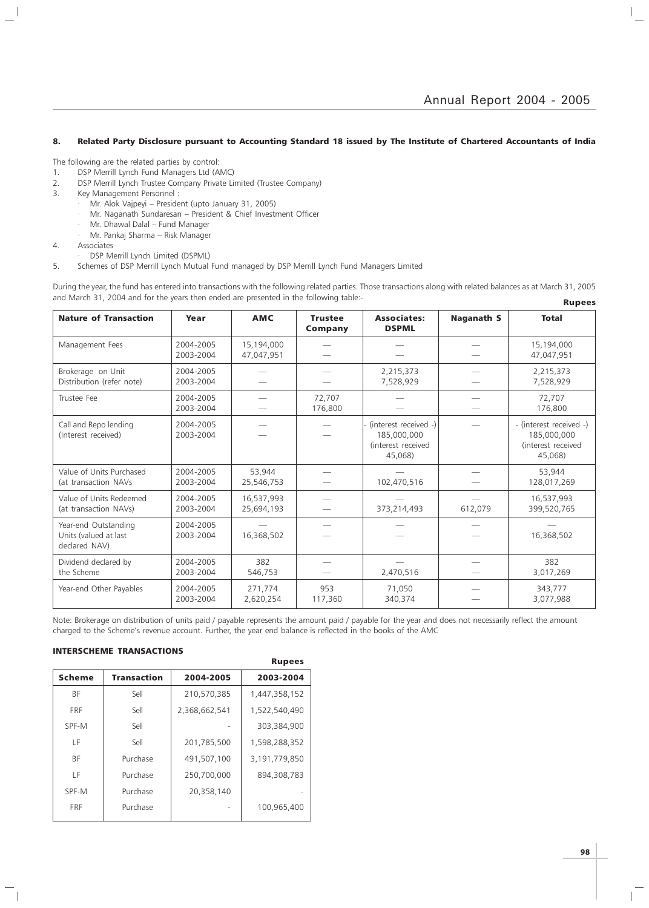#### 8. Related Party Disclosure pursuant to Accounting Standard 18 issued by The Institute of Chartered Accountants of India

The following are the related parties by control:

- 1. DSP Merrill Lynch Fund Managers Ltd (AMC)
- 2. DSP Merrill Lynch Trustee Company Private Limited (Trustee Company)
- 3. Key Management Personnel :
	- · Mr. Alok Vajpeyi President (upto January 31, 2005)
	- · Mr. Naganath Sundaresan President & Chief Investment Officer
	- · Mr. Dhawal Dalal Fund Manager
	- · Mr. Pankaj Sharma Risk Manager
- 4. Associates

 $\overline{\phantom{a}}$ 

- DSP Merrill Lynch Limited (DSPML)
- 5. Schemes of DSP Merrill Lynch Mutual Fund managed by DSP Merrill Lynch Fund Managers Limited

During the year, the fund has entered into transactions with the following related parties. Those transactions along with related balances as at March 31, 2005 and March 31, 2004 and for the years then ended are presented in the following table:- Rupees

| <b>Nature of Transaction</b>                                   | Year                        | <b>AMC</b>                                                            | <b>Trustee</b><br>Company | <b>Associates:</b><br><b>DSPML</b>                                      | <b>Naganath S</b> | <b>Total</b>              |  |
|----------------------------------------------------------------|-----------------------------|-----------------------------------------------------------------------|---------------------------|-------------------------------------------------------------------------|-------------------|---------------------------|--|
| Management Fees                                                | 2004-2005<br>2003-2004      | 15,194,000<br>47,047,951                                              |                           |                                                                         |                   |                           |  |
| Brokerage on Unit<br>Distribution (refer note)                 | 2004-2005<br>2003-2004      |                                                                       | 2,215,373<br>7,528,929    |                                                                         |                   | 2,215,373<br>7,528,929    |  |
| Trustee Fee                                                    | 2004-2005<br>2003-2004      |                                                                       | 72,707<br>176,800         |                                                                         |                   |                           |  |
| Call and Repo lending<br>(Interest received)                   | 2004-2005<br>2003-2004      | (interest received -)<br>185,000,000<br>(interest received<br>45,068) |                           | - (interest received -)<br>185,000,000<br>(interest received<br>45.068) |                   |                           |  |
| Value of Units Purchased<br>(at transaction NAVs               | 2004-2005<br>2003-2004      | 53.944<br>25,546,753                                                  |                           | 102,470,516                                                             |                   | 53,944<br>128,017,269     |  |
| Value of Units Redeemed<br>(at transaction NAVs)               | 2004-2005<br>2003-2004      | 16,537,993<br>25,694,193                                              |                           | 612,079<br>373,214,493                                                  |                   | 16,537,993<br>399,520,765 |  |
| Year-end Outstanding<br>Units (valued at last<br>declared NAV) | 2004-2005<br>2003-2004      | 16,368,502                                                            |                           |                                                                         |                   | 16,368,502                |  |
| Dividend declared by<br>2004-2005<br>the Scheme<br>2003-2004   | 382<br>2,470,516<br>546,753 |                                                                       |                           |                                                                         | 382<br>3,017,269  |                           |  |
| Year-end Other Payables                                        | 2004-2005<br>2003-2004      | 271.774<br>2,620,254                                                  | 953<br>117,360            | 71.050<br>340,374                                                       |                   | 343.777<br>3,077,988      |  |

Note: Brokerage on distribution of units paid / payable represents the amount paid / payable for the year and does not necessarily reflect the amount charged to the Scheme's revenue account. Further, the year end balance is reflected in the books of the AMC

#### INTERSCHEME TRANSACTIONS

|               |                    |               | <b>Rupees</b> |
|---------------|--------------------|---------------|---------------|
| <b>Scheme</b> | <b>Transaction</b> | 2004-2005     | 2003-2004     |
| <b>BF</b>     | Sell               | 210,570,385   | 1,447,358,152 |
| <b>FRF</b>    | Sell               | 2,368,662,541 | 1,522,540,490 |
| SPF-M         | Sell               |               | 303,384,900   |
| ΙF            | Sell               | 201,785,500   | 1,598,288,352 |
| <b>BF</b>     | Purchase           | 491,507,100   | 3,191,779,850 |
| ΙF            | Purchase           | 250,700,000   | 894,308,783   |
| SPF-M         | Purchase           | 20,358,140    |               |
| <b>FRF</b>    | Purchase           |               | 100,965,400   |
|               |                    |               |               |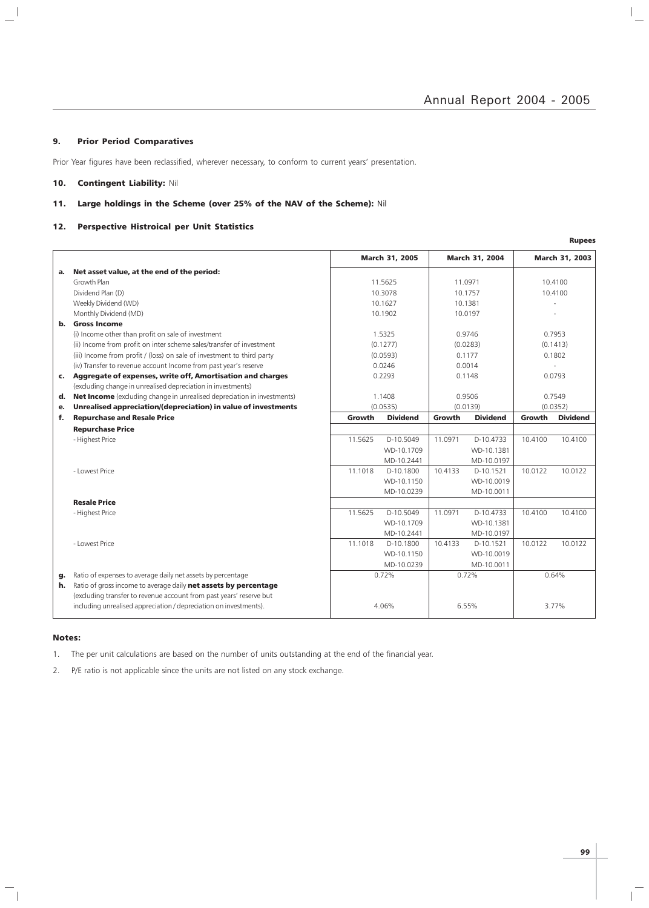$\frac{1}{\sqrt{2}}$ 

#### 9. Prior Period Comparatives

 $\frac{1}{2}$ 

Prior Year figures have been reclassified, wherever necessary, to conform to current years' presentation.

### 10. Contingent Liability: Nil

### 11. Large holdings in the Scheme (over 25% of the NAV of the Scheme): Nil

#### 12. Perspective Histroical per Unit Statistics

|    |                                                                                |                      |                 |         |                 |          | <b>Rupees</b>   |
|----|--------------------------------------------------------------------------------|----------------------|-----------------|---------|-----------------|----------|-----------------|
|    |                                                                                |                      | March 31, 2005  |         | March 31, 2004  |          | March 31, 2003  |
| a. | Net asset value, at the end of the period:                                     |                      |                 |         |                 |          |                 |
|    | Growth Plan                                                                    |                      | 11.5625         |         | 11.0971         |          | 10.4100         |
|    | Dividend Plan (D)                                                              |                      | 10.3078         |         | 10.1757         |          | 10.4100         |
|    | Weekly Dividend (WD)                                                           |                      | 10.1627         |         | 10.1381         |          |                 |
|    | Monthly Dividend (MD)                                                          |                      | 10.1902         |         | 10.0197         |          |                 |
| b. | <b>Gross Income</b>                                                            |                      |                 |         |                 |          |                 |
|    | (i) Income other than profit on sale of investment                             |                      | 1.5325          |         | 0.9746          |          | 0.7953          |
|    | (ii) Income from profit on inter scheme sales/transfer of investment           |                      | (0.1277)        |         | (0.0283)        |          | (0.1413)        |
|    | (iii) Income from profit / (loss) on sale of investment to third party         |                      | (0.0593)        |         | 0.1177          |          | 0.1802          |
|    | (iv) Transfer to revenue account Income from past year's reserve               |                      | 0.0246          |         | 0.0014          |          |                 |
| c. | Aggregate of expenses, write off, Amortisation and charges                     |                      | 0.2293          |         | 0.1148          |          | 0.0793          |
|    | (excluding change in unrealised depreciation in investments)                   |                      |                 |         |                 |          |                 |
| d. | <b>Net Income</b> (excluding change in unrealised depreciation in investments) |                      | 1.1408          | 0.9506  |                 | 0.7549   |                 |
| е. | Unrealised appreciation/(depreciation) in value of investments                 | (0.0535)<br>(0.0139) |                 |         |                 | (0.0352) |                 |
| f. | <b>Repurchase and Resale Price</b>                                             | Growth               | <b>Dividend</b> | Growth  | <b>Dividend</b> | Growth   | <b>Dividend</b> |
|    | <b>Repurchase Price</b>                                                        |                      |                 |         |                 |          |                 |
|    | - Highest Price                                                                | 11.5625              | D-10.5049       | 11.0971 | D-10.4733       | 10.4100  | 10.4100         |
|    |                                                                                |                      | WD-10.1709      |         | WD-10.1381      |          |                 |
|    |                                                                                |                      | MD-10.2441      |         | MD-10.0197      |          |                 |
|    | - Lowest Price                                                                 | 11.1018              | D-10.1800       | 10.4133 | D-10.1521       | 10.0122  | 10.0122         |
|    |                                                                                |                      | WD-10.1150      |         | WD-10.0019      |          |                 |
|    |                                                                                |                      | MD-10.0239      |         | MD-10.0011      |          |                 |
|    | <b>Resale Price</b>                                                            |                      |                 |         |                 |          |                 |
|    | - Highest Price                                                                | 11.5625              | D-10.5049       | 11.0971 | D-10.4733       | 10.4100  | 10.4100         |
|    |                                                                                |                      | WD-10.1709      |         | WD-10.1381      |          |                 |
|    |                                                                                |                      | MD-10.2441      |         | MD-10.0197      |          |                 |
|    | - Lowest Price                                                                 | 11.1018              | D-10.1800       | 10.4133 | D-10.1521       | 10.0122  | 10.0122         |
|    |                                                                                |                      | WD-10.1150      |         | WD-10.0019      |          |                 |
|    |                                                                                |                      | MD-10.0239      |         | MD-10.0011      |          |                 |
| g. | Ratio of expenses to average daily net assets by percentage                    |                      | 0.72%           |         | 0.72%           |          | 0.64%           |
| h. | Ratio of gross income to average daily net assets by percentage                |                      |                 |         |                 |          |                 |
|    | (excluding transfer to revenue account from past years' reserve but            |                      |                 |         |                 |          |                 |
|    | including unrealised appreciation / depreciation on investments).              |                      | 4.06%           |         | 6.55%           |          | 3.77%           |

#### Notes:

 $\mathord{\hspace{1pt}\text{--}\hspace{1pt}}_\parallel$ 

1. The per unit calculations are based on the number of units outstanding at the end of the financial year.

2. P/E ratio is not applicable since the units are not listed on any stock exchange.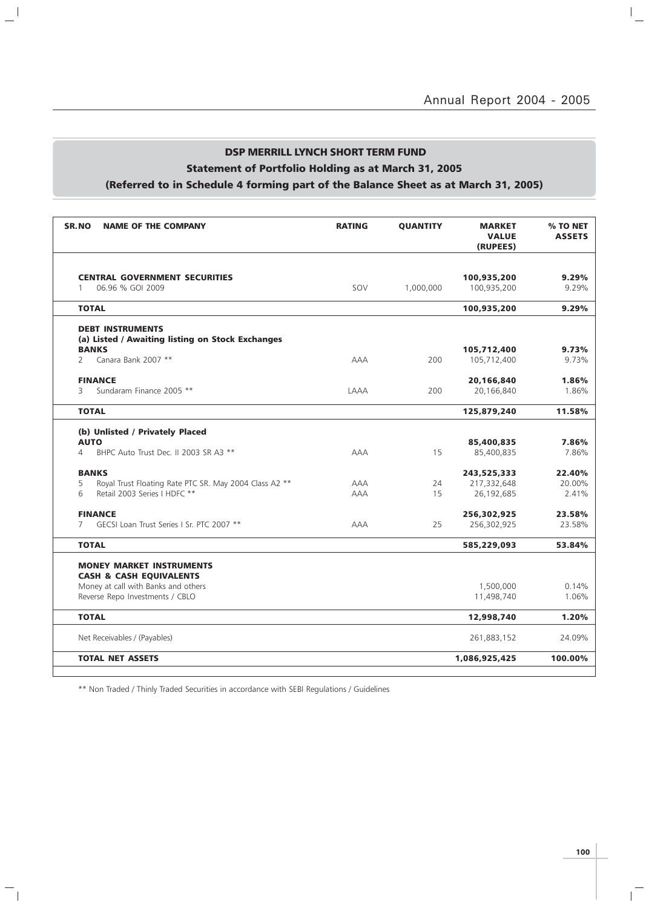## DSP MERRILL LYNCH SHORT TERM FUND Statement of Portfolio Holding as at March 31, 2005

 $\mathbb{L}^{\mathbb{I}}$ 

 $\mathcal{L}_{\parallel}$ 

# (Referred to in Schedule 4 forming part of the Balance Sheet as at March 31, 2005)

| <b>SR.NO</b><br><b>NAME OF THE COMPANY</b>                                                                                                      | <b>RATING</b> | <b>QUANTITY</b> | <b>MARKET</b><br><b>VALUE</b><br>(RUPEES) | % TO NET<br><b>ASSETS</b> |
|-------------------------------------------------------------------------------------------------------------------------------------------------|---------------|-----------------|-------------------------------------------|---------------------------|
| <b>CENTRAL GOVERNMENT SECURITIES</b><br>06.96 % GOI 2009<br>$\mathbf{1}$                                                                        | SOV           | 1,000,000       | 100,935,200<br>100,935,200                | 9.29%<br>9.29%            |
| <b>TOTAL</b>                                                                                                                                    |               |                 | 100,935,200                               | 9.29%                     |
| <b>DEBT INSTRUMENTS</b><br>(a) Listed / Awaiting listing on Stock Exchanges<br><b>BANKS</b>                                                     |               |                 | 105,712,400                               | 9.73%                     |
| Canara Bank 2007 **<br>$\overline{2}$                                                                                                           | AAA           | 200             | 105,712,400                               | 9.73%                     |
| <b>FINANCE</b><br>Sundaram Finance 2005 **<br>3                                                                                                 | LAAA          | 200             | 20,166,840<br>20,166,840                  | 1.86%<br>1.86%            |
| <b>TOTAL</b>                                                                                                                                    |               |                 | 125,879,240                               | 11.58%                    |
| (b) Unlisted / Privately Placed                                                                                                                 |               |                 |                                           |                           |
| <b>AUTO</b>                                                                                                                                     |               |                 | 85,400,835                                | 7.86%                     |
| BHPC Auto Trust Dec. II 2003 SR A3 **<br>$\overline{4}$                                                                                         | <b>AAA</b>    | 15              | 85,400,835                                | 7.86%                     |
| <b>BANKS</b>                                                                                                                                    |               |                 | 243,525,333                               | 22.40%                    |
| 5<br>Royal Trust Floating Rate PTC SR. May 2004 Class A2 **                                                                                     | AAA           | 24              | 217,332,648                               | 20.00%                    |
| Retail 2003 Series I HDFC **<br>6                                                                                                               | <b>AAA</b>    | 15              | 26,192,685                                | 2.41%                     |
| <b>FINANCE</b>                                                                                                                                  |               |                 | 256,302,925                               | 23.58%                    |
| GECSI Loan Trust Series I Sr. PTC 2007 **<br>$7^{\circ}$                                                                                        | AAA           | 25              | 256,302,925                               | 23.58%                    |
| <b>TOTAL</b>                                                                                                                                    |               |                 | 585,229,093                               | 53.84%                    |
| <b>MONEY MARKET INSTRUMENTS</b><br><b>CASH &amp; CASH EQUIVALENTS</b><br>Money at call with Banks and others<br>Reverse Repo Investments / CBLO |               |                 | 1,500,000<br>11,498,740                   | 0.14%<br>1.06%            |
| <b>TOTAL</b>                                                                                                                                    |               |                 | 12,998,740                                | 1.20%                     |
| Net Receivables / (Payables)                                                                                                                    |               |                 | 261,883,152                               | 24.09%                    |
| <b>TOTAL NET ASSETS</b>                                                                                                                         |               |                 | 1,086,925,425                             | 100.00%                   |

\*\* Non Traded / Thinly Traded Securities in accordance with SEBI Regulations / Guidelines

 $\overline{\mathbb{F}}$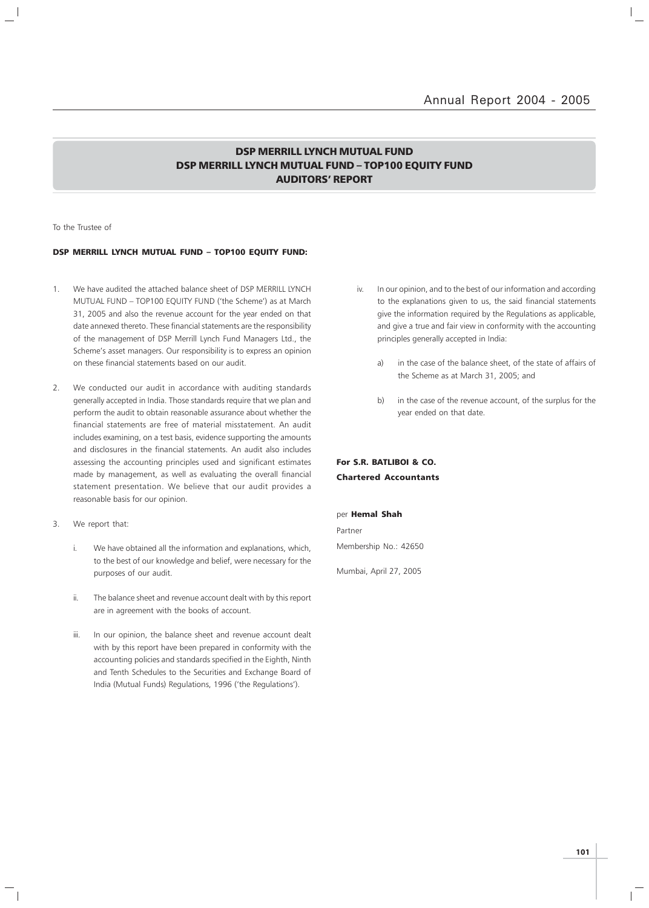### DSP MERRILL LYNCH MUTUAL FUND DSP MERRILL LYNCH MUTUAL FUND – TOP100 EQUITY FUND AUDITORS' REPORT

To the Trustee of

#### DSP MERRILL LYNCH MUTUAL FUND – TOP100 EQUITY FUND:

- 1. We have audited the attached balance sheet of DSP MERRILL LYNCH MUTUAL FUND – TOP100 EQUITY FUND ('the Scheme') as at March 31, 2005 and also the revenue account for the year ended on that date annexed thereto. These financial statements are the responsibility of the management of DSP Merrill Lynch Fund Managers Ltd., the Scheme's asset managers. Our responsibility is to express an opinion on these financial statements based on our audit.
- 2. We conducted our audit in accordance with auditing standards generally accepted in India. Those standards require that we plan and perform the audit to obtain reasonable assurance about whether the financial statements are free of material misstatement. An audit includes examining, on a test basis, evidence supporting the amounts and disclosures in the financial statements. An audit also includes assessing the accounting principles used and significant estimates made by management, as well as evaluating the overall financial statement presentation. We believe that our audit provides a reasonable basis for our opinion.
- 3. We report that:
	- i. We have obtained all the information and explanations, which, to the best of our knowledge and belief, were necessary for the purposes of our audit.
	- ii. The balance sheet and revenue account dealt with by this report are in agreement with the books of account.
	- iii. In our opinion, the balance sheet and revenue account dealt with by this report have been prepared in conformity with the accounting policies and standards specified in the Eighth, Ninth and Tenth Schedules to the Securities and Exchange Board of India (Mutual Funds) Regulations, 1996 ('the Regulations').
- iv. In our opinion, and to the best of our information and according to the explanations given to us, the said financial statements give the information required by the Regulations as applicable, and give a true and fair view in conformity with the accounting principles generally accepted in India:
	- a) in the case of the balance sheet, of the state of affairs of the Scheme as at March 31, 2005; and
	- b) in the case of the revenue account, of the surplus for the year ended on that date.

### For S.R. BATLIBOI & CO. Chartered Accountants

per Hemal Shah Partner Membership No.: 42650

Mumbai, April 27, 2005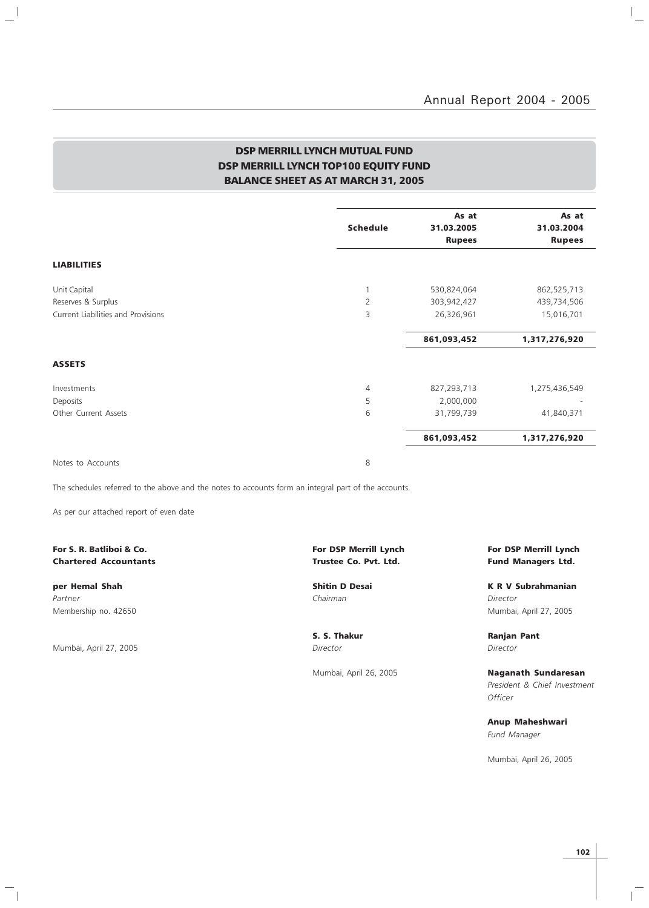### DSP MERRILL LYNCH MUTUAL FUND DSP MERRILL LYNCH TOP100 EQUITY FUND BALANCE SHEET AS AT MARCH 31, 2005

| <b>Schedule</b> | As at<br>31.03.2005<br><b>Rupees</b> | As at<br>31.03.2004<br><b>Rupees</b>     |
|-----------------|--------------------------------------|------------------------------------------|
|                 |                                      |                                          |
|                 |                                      | 862,525,713                              |
|                 |                                      | 439,734,506                              |
|                 |                                      |                                          |
|                 |                                      | 15,016,701                               |
|                 | 861,093,452                          | 1,317,276,920                            |
|                 |                                      |                                          |
| $\overline{4}$  | 827,293,713                          | 1,275,436,549                            |
| 5               | 2,000,000                            |                                          |
| 6               | 31,799,739                           | 41,840,371                               |
|                 | 861,093,452                          | 1,317,276,920                            |
|                 | 1<br>$\overline{2}$<br>3             | 530,824,064<br>303,942,427<br>26,326,961 |

Notes to Accounts 8

 $\mathbb{L}^{\parallel}$ 

The schedules referred to the above and the notes to accounts form an integral part of the accounts.

As per our attached report of even date

# Chartered Accountants **Chartered Accountants Trustee Co. Pvt. Ltd.** Fund Managers Ltd.

Partner Chairman Director (Chairman Chairman Chairman Director Director Director Membership no. 42650 Mumbai, April 27, 2005

Mumbai, April 27, 2005 Director Director

 $\overline{\phantom{a}}_1$ 

# For S. R. Batliboi & Co. The Community of the Community of DSP Merrill Lynch For DSP Merrill Lynch For DSP Merrill Lynch

per Hemal Shah Shah Shitin D Desai New York K R V Subrahmanian

S. S. Thakur **Ranjan Pant** 

Mumbai, April 26, 2005 **Naganath Sundaresan** President & Chief Investment **Officer** 

> Anup Maheshwari Fund Manager

Mumbai, April 26, 2005

 $\mathbb{L}$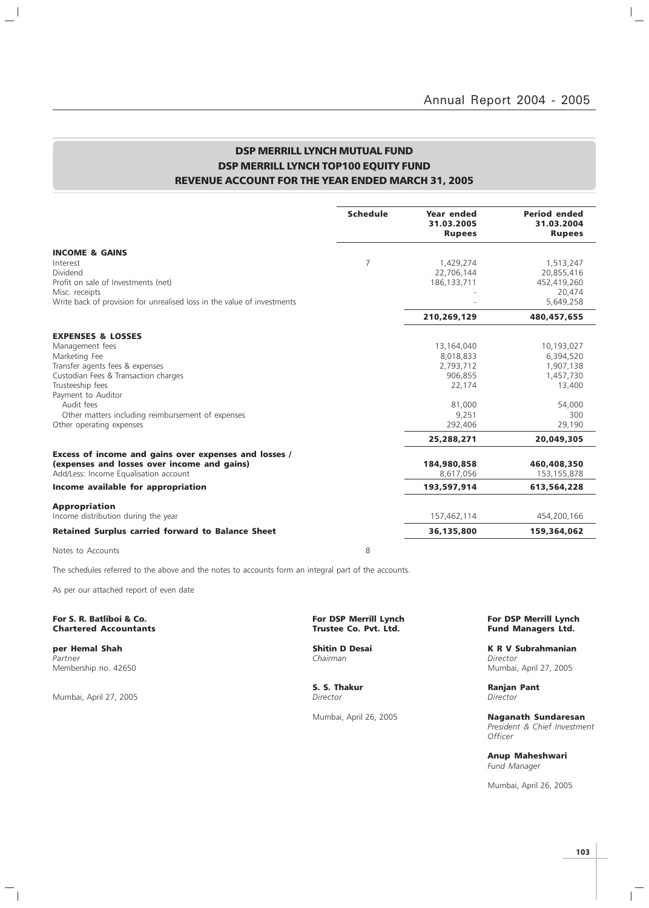$\frac{1}{\sqrt{2}}$ 

### DSP MERRILL LYNCH MUTUAL FUND DSP MERRILL LYNCH TOP100 EQUITY FUND REVENUE ACCOUNT FOR THE YEAR ENDED MARCH 31, 2005

|                                                                                           | <b>Schedule</b> | Year ended<br>31.03.2005<br><b>Rupees</b> | <b>Period ended</b><br>31.03.2004<br><b>Rupees</b> |
|-------------------------------------------------------------------------------------------|-----------------|-------------------------------------------|----------------------------------------------------|
| <b>INCOME &amp; GAINS</b>                                                                 |                 |                                           |                                                    |
| Interest                                                                                  | 7               | 1,429,274                                 | 1,513,247                                          |
| Dividend                                                                                  |                 | 22,706,144                                | 20,855,416                                         |
| Profit on sale of Investments (net)                                                       |                 | 186, 133, 711                             | 452,419,260                                        |
| Misc. receipts<br>Write back of provision for unrealised loss in the value of investments |                 |                                           | 20,474<br>5,649,258                                |
|                                                                                           |                 |                                           |                                                    |
|                                                                                           |                 | 210,269,129                               | 480,457,655                                        |
| <b>EXPENSES &amp; LOSSES</b>                                                              |                 |                                           |                                                    |
| Management fees                                                                           |                 | 13,164,040                                | 10,193,027                                         |
| Marketing Fee                                                                             |                 | 8,018,833                                 | 6,394,520                                          |
| Transfer agents fees & expenses                                                           |                 | 2,793,712                                 | 1,907,138                                          |
| Custodian Fees & Transaction charges                                                      |                 | 906,855                                   | 1,457,730                                          |
| Trusteeship fees                                                                          |                 | 22,174                                    | 13,400                                             |
| Payment to Auditor                                                                        |                 |                                           |                                                    |
| Audit fees                                                                                |                 | 81,000                                    | 54,000                                             |
| Other matters including reimbursement of expenses<br>Other operating expenses             |                 | 9,251<br>292,406                          | 300<br>29,190                                      |
|                                                                                           |                 |                                           |                                                    |
|                                                                                           |                 | 25,288,271                                | 20,049,305                                         |
| Excess of income and gains over expenses and losses /                                     |                 |                                           |                                                    |
| (expenses and losses over income and gains)                                               |                 | 184,980,858                               | 460,408,350                                        |
| Add/Less: Income Equalisation account                                                     |                 | 8,617,056                                 | 153, 155, 878                                      |
| Income available for appropriation                                                        |                 | 193,597,914                               | 613,564,228                                        |
| <b>Appropriation</b>                                                                      |                 |                                           |                                                    |
| Income distribution during the year                                                       |                 | 157,462,114                               | 454,200,166                                        |
| <b>Retained Surplus carried forward to Balance Sheet</b>                                  |                 | 36,135,800                                | 159,364,062                                        |
| Notes to Accounts                                                                         | 8               |                                           |                                                    |

The schedules referred to the above and the notes to accounts form an integral part of the accounts.

As per our attached report of even date

For S. R. Batliboi & Co. The South Charles of Co. For DSP Merrill Lynch Charles Co. Put. Ltd. For DSP Merrill Lynch Charles Co. Put. Ltd. Fund Managers Ltd. **Chartered Accountants** 

**per Hemal Shah**<br>Partner<br>Membership no. 42650

 $\mathbb{L}^{\mathbb{I}}$ 

Mumbai, April 27, 2005

 $\overline{\phantom{a}}_1$ 

S. S. Thakur **Ranjan Pant** Ranjan Pant Director

**Shitin D Desai K R V Subrahmanian**<br>Chairman Shah Shitin Director Mumbai, April 27, 2005

Mumbai, April 26, 2005 Naganath Sundaresan President & Chief Investment **Officer** 

> Anup Maheshwari Fund Manager

Mumbai, April 26, 2005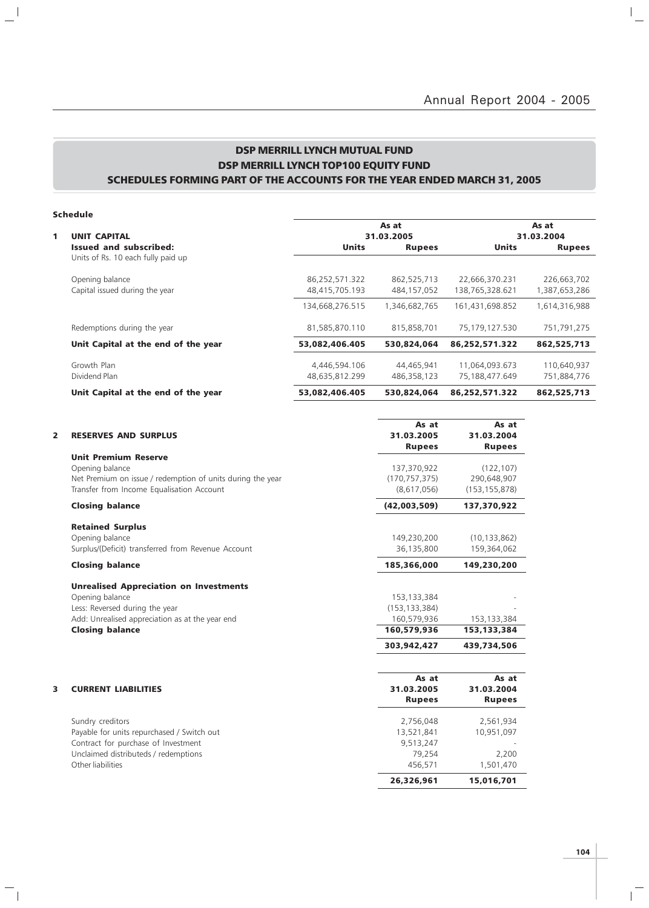### DSP MERRILL LYNCH MUTUAL FUND DSP MERRILL LYNCH TOP100 EQUITY FUND SCHEDULES FORMING PART OF THE ACCOUNTS FOR THE YEAR ENDED MARCH 31, 2005

#### Schedule

 $\frac{1}{2}$ 

 $\overline{\phantom{a}}_1$ 

|   |                                     |                 | As at         |                 | As at         |
|---|-------------------------------------|-----------------|---------------|-----------------|---------------|
| 1 | <b>UNIT CAPITAL</b>                 |                 | 31.03.2005    |                 |               |
|   | Issued and subscribed:              | <b>Units</b>    | <b>Rupees</b> | <b>Units</b>    | <b>Rupees</b> |
|   | Units of Rs. 10 each fully paid up  |                 |               |                 |               |
|   | Opening balance                     | 86,252,571.322  | 862,525,713   | 22,666,370.231  | 226,663,702   |
|   | Capital issued during the year      | 48,415,705.193  | 484,157,052   | 138,765,328.621 | 1,387,653,286 |
|   |                                     | 134,668,276.515 | 1,346,682,765 | 161,431,698.852 | 1,614,316,988 |
|   | Redemptions during the year         | 81,585,870.110  | 815,858,701   | 75,179,127.530  | 751,791,275   |
|   | Unit Capital at the end of the year | 53,082,406.405  | 530,824,064   | 86,252,571.322  | 862,525,713   |
|   | Growth Plan                         | 4,446,594.106   | 44,465,941    | 11,064,093.673  | 110,640,937   |
|   | Dividend Plan                       | 48.635.812.299  | 486,358,123   | 75,188,477.649  | 751,884,776   |
|   | Unit Capital at the end of the year | 53,082,406.405  | 530,824,064   | 86,252,571.322  | 862,525,713   |

| 2 | <b>RESERVES AND SURPLUS</b>                                | As at<br>31.03.2005<br><b>Rupees</b> | As at<br>31.03.2004<br><b>Rupees</b> |
|---|------------------------------------------------------------|--------------------------------------|--------------------------------------|
|   | <b>Unit Premium Reserve</b>                                |                                      |                                      |
|   | Opening balance                                            | 137,370,922                          | (122, 107)                           |
|   | Net Premium on issue / redemption of units during the year | (170, 757, 375)                      | 290,648,907                          |
|   | Transfer from Income Equalisation Account                  | (8,617,056)                          | (153, 155, 878)                      |
|   | <b>Closing balance</b>                                     | (42,003,509)                         | 137,370,922                          |
|   | <b>Retained Surplus</b>                                    |                                      |                                      |
|   | Opening balance                                            | 149,230,200                          | (10, 133, 862)                       |
|   | Surplus/(Deficit) transferred from Revenue Account         | 36,135,800                           | 159,364,062                          |
|   | <b>Closing balance</b>                                     | 185,366,000                          | 149,230,200                          |
|   | <b>Unrealised Appreciation on Investments</b>              |                                      |                                      |
|   | Opening balance                                            | 153, 133, 384                        |                                      |
|   | Less: Reversed during the year                             | (153, 133, 384)                      |                                      |
|   | Add: Unrealised appreciation as at the year end            | 160,579,936                          | 153,133,384                          |
|   | <b>Closing balance</b>                                     | 160,579,936                          | 153,133,384                          |
|   |                                                            | 303.942.427                          | 439,734,506                          |
|   |                                                            |                                      |                                      |
|   |                                                            | As at                                | As at                                |
| 3 | <b>CURRENT LIABILITIES</b>                                 | 31.03.2005                           | 31.03.2004                           |
|   |                                                            | <b>Rupees</b>                        | <b>Rupees</b>                        |
|   | Sundry creditors                                           | 2,756,048                            | 2,561,934                            |
|   | Payable for units repurchased / Switch out                 | 13,521,841                           | 10,951,097                           |
|   | Contract for purchase of Investment                        | 9,513,247                            |                                      |
|   | Unclaimed distributeds / redemptions                       | 79,254                               | 2,200                                |

Other liabilities 456,571 1,501,470

**104**

 $\overline{\mathbb{F}}$ 

26,326,961 15,016,701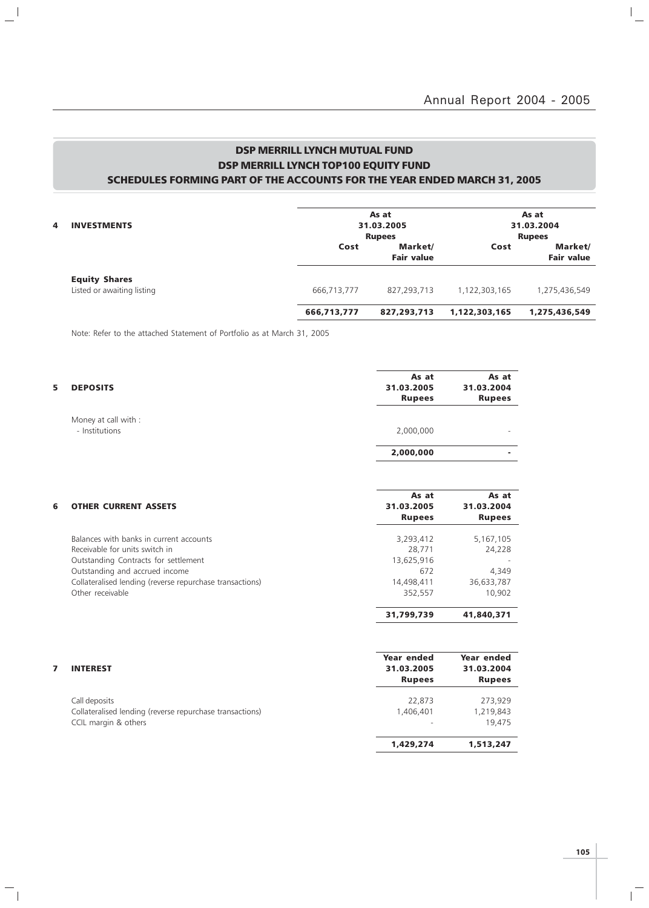$\mathbb{I}_+$ 

### DSP MERRILL LYNCH MUTUAL FUND DSP MERRILL LYNCH TOP100 EQUITY FUND SCHEDULES FORMING PART OF THE ACCOUNTS FOR THE YEAR ENDED MARCH 31, 2005

| 4 | <b>INVESTMENTS</b>                                 | As at<br>31.03.2005 |                              | As at<br>31.03.2004 |                              |
|---|----------------------------------------------------|---------------------|------------------------------|---------------------|------------------------------|
|   |                                                    |                     | <b>Rupees</b>                |                     | <b>Rupees</b>                |
|   |                                                    | Cost                | Market/<br><b>Fair value</b> | Cost                | Market/<br><b>Fair value</b> |
|   | <b>Equity Shares</b><br>Listed or awaiting listing | 666,713,777         | 827,293,713                  | 1,122,303,165       | 1,275,436,549                |
|   |                                                    | 666,713,777         | 827,293,713                  | 1,122,303,165       | 1,275,436,549                |

Note: Refer to the attached Statement of Portfolio as at March 31, 2005

 $\frac{1}{2}$ 

 $\mathcal{L}_{\parallel}$ 

| 5.<br><b>DEPOSITS</b>                  | As at<br>31.03.2005<br><b>Rupees</b> | As at<br>31.03.2004<br><b>Rupees</b> |
|----------------------------------------|--------------------------------------|--------------------------------------|
| Money at call with :<br>- Institutions | 2,000,000                            |                                      |
|                                        | 2,000,000                            |                                      |

| 6 | <b>OTHER CURRENT ASSETS</b>                              | As at<br>31.03.2005<br><b>Rupees</b> | As at<br>31.03.2004<br><b>Rupees</b> |  |  |  |
|---|----------------------------------------------------------|--------------------------------------|--------------------------------------|--|--|--|
|   | Balances with banks in current accounts                  | 3,293,412                            | 5,167,105                            |  |  |  |
|   | Receivable for units switch in                           | 28.771                               | 24,228                               |  |  |  |
|   | Outstanding Contracts for settlement                     | 13,625,916                           |                                      |  |  |  |
|   | Outstanding and accrued income                           | 672                                  | 4,349                                |  |  |  |
|   | Collateralised lending (reverse repurchase transactions) | 14,498,411                           | 36,633,787                           |  |  |  |
|   | Other receivable                                         | 352,557                              | 10.902                               |  |  |  |
|   |                                                          | 31,799,739                           | 41,840,371                           |  |  |  |

| <b>INTEREST</b>                                          | Year ended<br>31.03.2005<br><b>Rupees</b> | Year ended<br>31.03.2004<br><b>Rupees</b> |
|----------------------------------------------------------|-------------------------------------------|-------------------------------------------|
| Call deposits                                            | 22,873                                    | 273,929                                   |
| Collateralised lending (reverse repurchase transactions) | 1,406,401                                 | 1,219,843                                 |
| CCIL margin & others                                     |                                           | 19.475                                    |
|                                                          | 1,429,274                                 | 1,513,247                                 |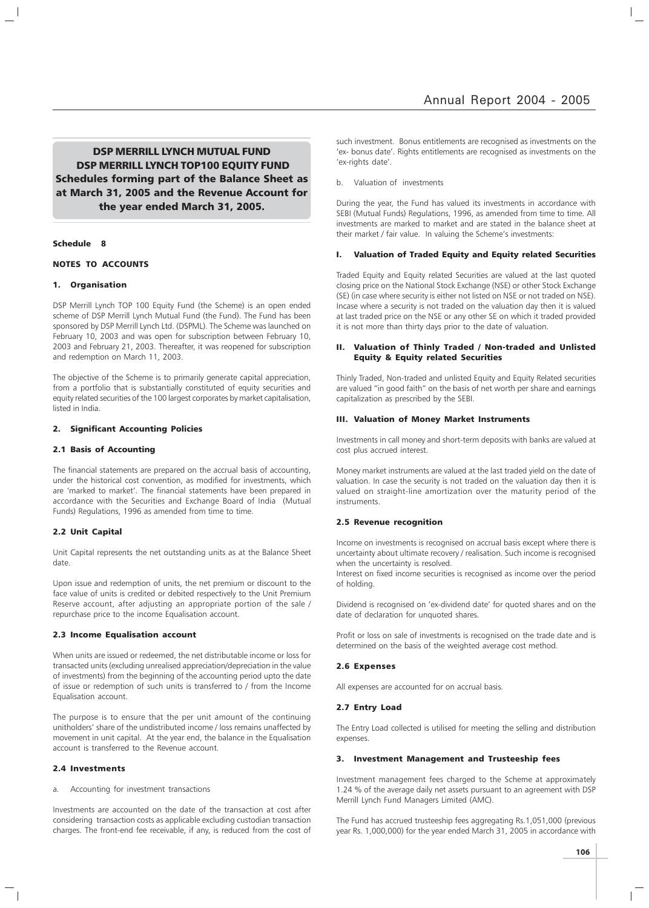DSP MERRILL LYNCH MUTUAL FUND DSP MERRILL LYNCH TOP100 EQUITY FUND Schedules forming part of the Balance Sheet as at March 31, 2005 and the Revenue Account for the year ended March 31, 2005.

#### Schedule 8

#### NOTES TO ACCOUNTS

#### 1. Organisation

DSP Merrill Lynch TOP 100 Equity Fund (the Scheme) is an open ended scheme of DSP Merrill Lynch Mutual Fund (the Fund). The Fund has been sponsored by DSP Merrill Lynch Ltd. (DSPML). The Scheme was launched on February 10, 2003 and was open for subscription between February 10, 2003 and February 21, 2003. Thereafter, it was reopened for subscription and redemption on March 11, 2003.

The objective of the Scheme is to primarily generate capital appreciation, from a portfolio that is substantially constituted of equity securities and equity related securities of the 100 largest corporates by market capitalisation, listed in India.

#### 2. Significant Accounting Policies

#### 2.1 Basis of Accounting

The financial statements are prepared on the accrual basis of accounting, under the historical cost convention, as modified for investments, which are 'marked to market'. The financial statements have been prepared in accordance with the Securities and Exchange Board of India (Mutual Funds) Regulations, 1996 as amended from time to time.

#### 2.2 Unit Capital

Unit Capital represents the net outstanding units as at the Balance Sheet date.

Upon issue and redemption of units, the net premium or discount to the face value of units is credited or debited respectively to the Unit Premium Reserve account, after adjusting an appropriate portion of the sale / repurchase price to the income Equalisation account.

#### 2.3 Income Equalisation account

When units are issued or redeemed, the net distributable income or loss for transacted units (excluding unrealised appreciation/depreciation in the value of investments) from the beginning of the accounting period upto the date of issue or redemption of such units is transferred to / from the Income Equalisation account.

The purpose is to ensure that the per unit amount of the continuing unitholders' share of the undistributed income / loss remains unaffected by movement in unit capital. At the year end, the balance in the Equalisation account is transferred to the Revenue account.

#### 2.4 Investments

a. Accounting for investment transactions

Investments are accounted on the date of the transaction at cost after considering transaction costs as applicable excluding custodian transaction charges. The front-end fee receivable, if any, is reduced from the cost of

such investment. Bonus entitlements are recognised as investments on the 'ex- bonus date'. Rights entitlements are recognised as investments on the 'ex-rights date'.

#### b. Valuation of investments

During the year, the Fund has valued its investments in accordance with SEBI (Mutual Funds) Regulations, 1996, as amended from time to time. All investments are marked to market and are stated in the balance sheet at their market / fair value. In valuing the Scheme's investments:

#### I. Valuation of Traded Equity and Equity related Securities

Traded Equity and Equity related Securities are valued at the last quoted closing price on the National Stock Exchange (NSE) or other Stock Exchange (SE) (in case where security is either not listed on NSE or not traded on NSE). Incase where a security is not traded on the valuation day then it is valued at last traded price on the NSE or any other SE on which it traded provided it is not more than thirty days prior to the date of valuation.

#### II. Valuation of Thinly Traded / Non-traded and Unlisted Equity & Equity related Securities

Thinly Traded, Non-traded and unlisted Equity and Equity Related securities are valued "in good faith" on the basis of net worth per share and earnings capitalization as prescribed by the SEBI.

#### III. Valuation of Money Market Instruments

Investments in call money and short-term deposits with banks are valued at cost plus accrued interest.

Money market instruments are valued at the last traded yield on the date of valuation. In case the security is not traded on the valuation day then it is valued on straight-line amortization over the maturity period of the instruments.

#### 2.5 Revenue recognition

Income on investments is recognised on accrual basis except where there is uncertainty about ultimate recovery / realisation. Such income is recognised when the uncertainty is resolved.

Interest on fixed income securities is recognised as income over the period of holding.

Dividend is recognised on 'ex-dividend date' for quoted shares and on the date of declaration for unquoted shares.

Profit or loss on sale of investments is recognised on the trade date and is determined on the basis of the weighted average cost method.

#### 2.6 Expenses

All expenses are accounted for on accrual basis.

#### 2.7 Entry Load

The Entry Load collected is utilised for meeting the selling and distribution expenses.

#### 3. Investment Management and Trusteeship fees

Investment management fees charged to the Scheme at approximately 1.24 % of the average daily net assets pursuant to an agreement with DSP Merrill Lynch Fund Managers Limited (AMC).

The Fund has accrued trusteeship fees aggregating Rs.1,051,000 (previous year Rs. 1,000,000) for the year ended March 31, 2005 in accordance with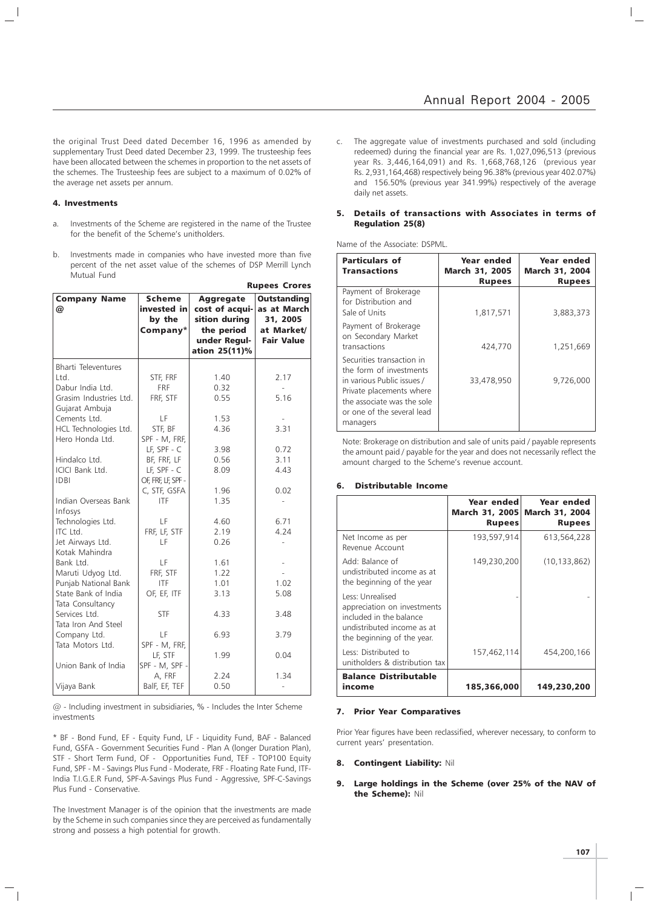the original Trust Deed dated December 16, 1996 as amended by supplementary Trust Deed dated December 23, 1999. The trusteeship fees have been allocated between the schemes in proportion to the net assets of the schemes. The Trusteeship fees are subject to a maximum of 0.02% of the average net assets per annum.

#### 4. Investments

- a. Investments of the Scheme are registered in the name of the Trustee for the benefit of the Scheme's unitholders.
- b. Investments made in companies who have invested more than five percent of the net asset value of the schemes of DSP Merrill Lynch Mutual Fund

|                            |                                                    |                                                                                                    | <b>Rupees Crores</b>                                                             |
|----------------------------|----------------------------------------------------|----------------------------------------------------------------------------------------------------|----------------------------------------------------------------------------------|
| <b>Company Name</b><br>@   | <b>Scheme</b><br>invested in<br>by the<br>Company* | <b>Aggregate</b><br>cost of acqui-<br>sition during<br>the period<br>under Regul-<br>ation 25(11)% | <b>Outstanding</b><br>as at March<br>31, 2005<br>at Market/<br><b>Fair Value</b> |
| <b>Bharti Televentures</b> |                                                    |                                                                                                    |                                                                                  |
| Ltd.                       | STF, FRF                                           | 1.40                                                                                               | 2.17                                                                             |
| Dabur India Ltd.           | FRF                                                | 0.32                                                                                               | $\overline{\phantom{a}}$                                                         |
| Grasim Industries Ltd.     | FRF, STF                                           | 0.55                                                                                               | 5.16                                                                             |
| Gujarat Ambuja             |                                                    |                                                                                                    |                                                                                  |
| Cements Ltd.               | LF                                                 | 1.53                                                                                               | $\overline{\phantom{a}}$                                                         |
| HCL Technologies Ltd.      | STF, BF                                            | 4.36                                                                                               | 3.31                                                                             |
| Hero Honda Ltd.            | SPF - M, FRF,                                      |                                                                                                    |                                                                                  |
|                            | $LF, SPF - C$                                      | 3.98                                                                                               | 0.72                                                                             |
| Hindalco Ltd.              | BF, FRF, LF                                        | 0.56                                                                                               | 3.11                                                                             |
| ICICI Bank Ltd.            | $LE$ , SPF - $C$                                   | 8.09                                                                                               | 4.43                                                                             |
| <b>IDBI</b>                | OF, FRF, LF, SPF -                                 |                                                                                                    |                                                                                  |
|                            | C, STF, GSFA                                       | 1.96                                                                                               | 0.02                                                                             |
| Indian Overseas Bank       | <b>ITF</b>                                         | 1.35                                                                                               |                                                                                  |
| Infosys                    |                                                    |                                                                                                    |                                                                                  |
| Technologies Ltd.          | LF                                                 | 4.60                                                                                               | 6.71                                                                             |
| ITC Ltd.                   | FRF, LF, STF                                       | 2.19                                                                                               | 4.24                                                                             |
| Jet Airways Ltd.           | LF                                                 | 0.26                                                                                               | $\overline{a}$                                                                   |
| Kotak Mahindra             |                                                    |                                                                                                    |                                                                                  |
| Bank Ltd.                  | LF                                                 | 1.61                                                                                               |                                                                                  |
| Maruti Udyog Ltd.          | FRF, STF                                           | 1.22                                                                                               |                                                                                  |
| Punjab National Bank       | <b>ITF</b>                                         | 1.01                                                                                               | 1.02                                                                             |
| State Bank of India        | OF, EF, ITF                                        | 3.13                                                                                               | 5.08                                                                             |
| Tata Consultancy           |                                                    |                                                                                                    |                                                                                  |
| Services Ltd.              | <b>STF</b>                                         | 4.33                                                                                               | 3.48                                                                             |
| Tata Iron And Steel        |                                                    |                                                                                                    |                                                                                  |
| Company Ltd.               | LF                                                 | 6.93                                                                                               | 3.79                                                                             |
| Tata Motors Ltd.           | SPF - M, FRF,                                      |                                                                                                    |                                                                                  |
|                            | LF, STF                                            | 1.99                                                                                               | 0.04                                                                             |
| Union Bank of India        | SPF - M, SPF -                                     |                                                                                                    |                                                                                  |
|                            | A, FRF                                             | 2.24                                                                                               | 1.34                                                                             |
| Vijaya Bank                | BalF, EF, TEF                                      | 0.50                                                                                               |                                                                                  |

@ - Including investment in subsidiaries, % - Includes the Inter Scheme investments

\* BF - Bond Fund, EF - Equity Fund, LF - Liquidity Fund, BAF - Balanced Fund, GSFA - Government Securities Fund - Plan A (longer Duration Plan), STF - Short Term Fund, OF - Opportunities Fund, TEF - TOP100 Equity Fund, SPF - M - Savings Plus Fund - Moderate, FRF - Floating Rate Fund, ITF-India T.I.G.E.R Fund, SPF-A-Savings Plus Fund - Aggressive, SPF-C-Savings Plus Fund - Conservative.

The Investment Manager is of the opinion that the investments are made by the Scheme in such companies since they are perceived as fundamentally strong and possess a high potential for growth.

The aggregate value of investments purchased and sold (including redeemed) during the financial year are Rs. 1,027,096,513 (previous year Rs. 3,446,164,091) and Rs. 1,668,768,126 (previous year Rs. 2,931,164,468) respectively being 96.38% (previous year 402.07%) and 156.50% (previous year 341.99%) respectively of the average daily net assets.

#### 5. Details of transactions with Associates in terms of Regulation 25(8)

Name of the Associate: DSPML.

| <b>Particulars of</b><br><b>Transactions</b>                                                                                                                                           | Year ended<br><b>March 31, 2005</b><br><b>Rupees</b> | Year ended<br><b>March 31, 2004</b><br><b>Rupees</b> |
|----------------------------------------------------------------------------------------------------------------------------------------------------------------------------------------|------------------------------------------------------|------------------------------------------------------|
| Payment of Brokerage<br>for Distribution and<br>Sale of Units                                                                                                                          | 1,817,571                                            | 3,883,373                                            |
| Payment of Brokerage<br>on Secondary Market<br>transactions                                                                                                                            | 424,770                                              | 1,251,669                                            |
| Securities transaction in<br>the form of investments<br>in various Public issues /<br>Private placements where<br>the associate was the sole<br>or one of the several lead<br>managers | 33,478,950                                           | 9,726,000                                            |

Note: Brokerage on distribution and sale of units paid / payable represents the amount paid / payable for the year and does not necessarily reflect the amount charged to the Scheme's revenue account.

#### 6. Distributable Income

|                                                                                                                                        | Year ended<br>March 31, 2005<br><b>Rupees</b> | Year ended<br><b>March 31, 2004</b><br><b>Rupees</b> |
|----------------------------------------------------------------------------------------------------------------------------------------|-----------------------------------------------|------------------------------------------------------|
| Net Income as per<br>Revenue Account                                                                                                   | 193,597,914                                   | 613,564,228                                          |
| Add: Balance of<br>undistributed income as at<br>the beginning of the year                                                             | 149,230,200                                   | (10, 133, 862)                                       |
| Less: Unrealised<br>appreciation on investments<br>included in the balance<br>undistributed income as at<br>the beginning of the year. |                                               |                                                      |
| Less: Distributed to<br>unitholders & distribution tax                                                                                 | 157,462,114                                   | 454,200,166                                          |
| <b>Balance Distributable</b><br>income                                                                                                 | 185,366,000                                   | 149,230,200                                          |

#### 7. Prior Year Comparatives

Prior Year figures have been reclassified, wherever necessary, to conform to current years' presentation.

#### 8. Contingent Liability: Nil

9. Large holdings in the Scheme (over 25% of the NAV of the Scheme): Nil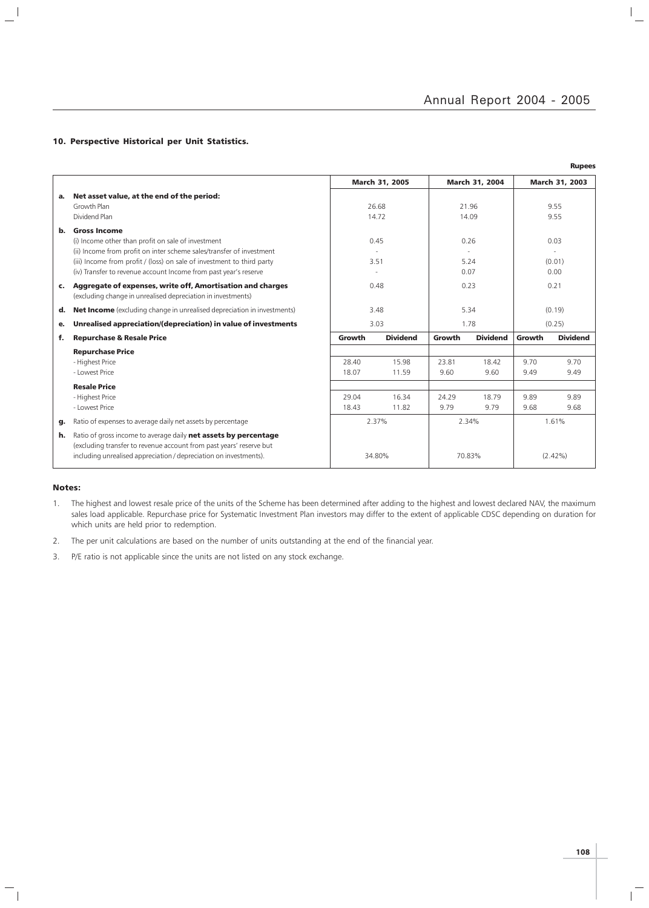$\frac{1}{2}$ 

#### 10. Perspective Historical per Unit Statistics.

|    |                                                                                                                                                                                                             |                |                 |                |                 |                | <b>Rupees</b>   |
|----|-------------------------------------------------------------------------------------------------------------------------------------------------------------------------------------------------------------|----------------|-----------------|----------------|-----------------|----------------|-----------------|
|    |                                                                                                                                                                                                             | March 31, 2005 |                 | March 31, 2004 |                 | March 31, 2003 |                 |
| а. | Net asset value, at the end of the period:                                                                                                                                                                  |                |                 |                |                 |                |                 |
|    | Growth Plan                                                                                                                                                                                                 | 26.68<br>14.72 |                 | 21.96<br>14.09 |                 | 9.55<br>9.55   |                 |
|    | Dividend Plan                                                                                                                                                                                               |                |                 |                |                 |                |                 |
| b. | <b>Gross Income</b>                                                                                                                                                                                         |                |                 |                |                 |                |                 |
|    | (i) Income other than profit on sale of investment                                                                                                                                                          | 0.45<br>3.51   |                 | 0.26<br>5.24   |                 | 0.03<br>(0.01) |                 |
|    | (ii) Income from profit on inter scheme sales/transfer of investment                                                                                                                                        |                |                 |                |                 |                |                 |
|    | (iii) Income from profit / (loss) on sale of investment to third party                                                                                                                                      |                |                 |                |                 |                |                 |
|    | (iv) Transfer to revenue account Income from past year's reserve                                                                                                                                            |                |                 | 0.07           |                 | 0.00           |                 |
| c. | Aggregate of expenses, write off, Amortisation and charges<br>(excluding change in unrealised depreciation in investments)                                                                                  | 0.48           |                 | 0.23           |                 | 0.21           |                 |
| d. | <b>Net Income</b> (excluding change in unrealised depreciation in investments)                                                                                                                              | 3.48           |                 | 5.34           |                 | (0.19)         |                 |
| е. | Unrealised appreciation/(depreciation) in value of investments                                                                                                                                              | 3.03           |                 | 1.78           |                 | (0.25)         |                 |
| f. | <b>Repurchase &amp; Resale Price</b>                                                                                                                                                                        | Growth         | <b>Dividend</b> | Growth         | <b>Dividend</b> | Growth         | <b>Dividend</b> |
|    | <b>Repurchase Price</b>                                                                                                                                                                                     |                |                 |                |                 |                |                 |
|    | - Highest Price                                                                                                                                                                                             | 28.40          | 15.98           | 23.81          | 18.42           | 9.70           | 9.70            |
|    | - Lowest Price                                                                                                                                                                                              | 18.07          | 11.59           | 9.60           | 9.60            | 9.49           | 9.49            |
|    | <b>Resale Price</b>                                                                                                                                                                                         |                |                 |                |                 |                |                 |
|    | - Highest Price                                                                                                                                                                                             | 29.04          | 16.34           | 24.29          | 18.79           | 9.89           | 9.89            |
|    | - Lowest Price                                                                                                                                                                                              | 18.43          | 11.82           | 9.79           | 9.79            | 9.68           | 9.68            |
| g. | Ratio of expenses to average daily net assets by percentage                                                                                                                                                 | 2.37%          |                 | 2.34%          |                 | 1.61%          |                 |
| h. | Ratio of gross income to average daily net assets by percentage<br>(excluding transfer to revenue account from past years' reserve but<br>including unrealised appreciation / depreciation on investments). | 34.80%         |                 | 70.83%         |                 | $(2.42\%)$     |                 |

#### Notes:

 $\overline{\phantom{a}}_1$ 

 $\overline{\phantom{a}}$  $\mathcal{L}$ 

- 1. The highest and lowest resale price of the units of the Scheme has been determined after adding to the highest and lowest declared NAV, the maximum sales load applicable. Repurchase price for Systematic Investment Plan investors may differ to the extent of applicable CDSC depending on duration for which units are held prior to redemption.
- 2. The per unit calculations are based on the number of units outstanding at the end of the financial year.
- 3. P/E ratio is not applicable since the units are not listed on any stock exchange.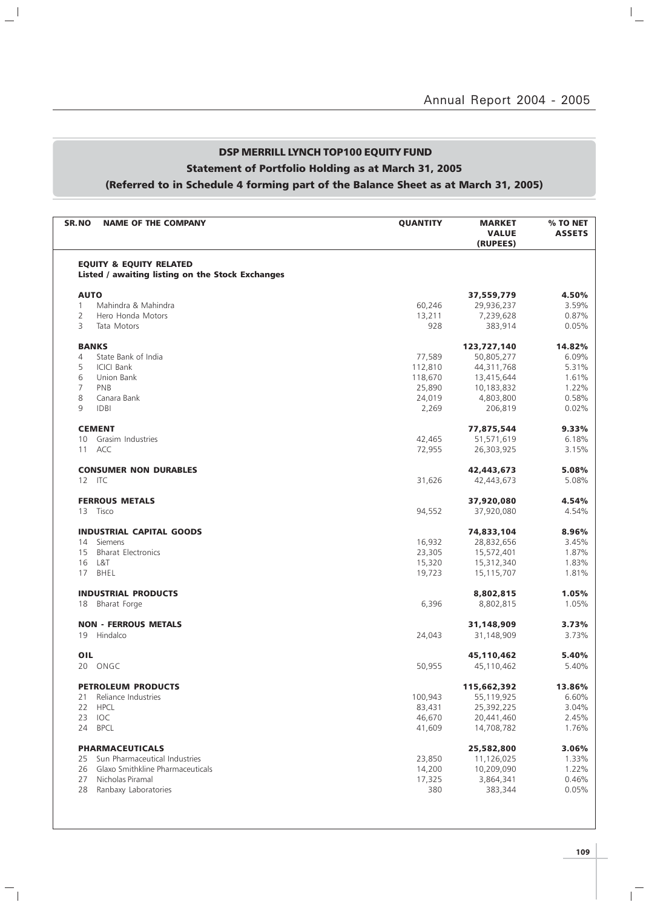## DSP MERRILL LYNCH TOP100 EQUITY FUND Statement of Portfolio Holding as at March 31, 2005 (Referred to in Schedule 4 forming part of the Balance Sheet as at March 31, 2005)

 $\mathbf{u}^{\parallel}$ 

 $\overline{\phantom{a}}_1$ 

| <b>SR.NO</b>    | <b>NAME OF THE COMPANY</b>                                                             | <b>QUANTITY</b> | <b>MARKET</b><br><b>VALUE</b><br>(RUPEES) | % TO NET<br><b>ASSETS</b> |
|-----------------|----------------------------------------------------------------------------------------|-----------------|-------------------------------------------|---------------------------|
|                 | <b>EQUITY &amp; EQUITY RELATED</b><br>Listed / awaiting listing on the Stock Exchanges |                 |                                           |                           |
| <b>AUTO</b>     |                                                                                        |                 | 37,559,779                                | 4.50%                     |
| $\mathbf{1}$    | Mahindra & Mahindra                                                                    | 60,246          | 29,936,237                                | 3.59%                     |
| 2               | Hero Honda Motors                                                                      | 13,211          | 7,239,628                                 | 0.87%                     |
| 3               | Tata Motors                                                                            | 928             | 383,914                                   | 0.05%                     |
| <b>BANKS</b>    |                                                                                        |                 | 123,727,140                               | 14.82%                    |
| 4               | State Bank of India                                                                    | 77,589          | 50,805,277                                | 6.09%                     |
| 5               | <b>ICICI Bank</b>                                                                      | 112,810         | 44,311,768                                | 5.31%                     |
| 6               | Union Bank                                                                             | 118,670         | 13,415,644                                | 1.61%                     |
| $\overline{7}$  | PNB                                                                                    | 25,890          | 10,183,832                                | 1.22%                     |
| 8               | Canara Bank                                                                            | 24,019          | 4,803,800                                 | 0.58%                     |
| 9               | <b>IDBI</b>                                                                            | 2,269           | 206,819                                   | 0.02%                     |
|                 | <b>CEMENT</b>                                                                          |                 | 77,875,544                                | 9.33%                     |
| 10 <sup>°</sup> | Grasim Industries                                                                      | 42,465          | 51,571,619                                | 6.18%                     |
| 11              | ACC                                                                                    | 72,955          | 26,303,925                                | 3.15%                     |
|                 | <b>CONSUMER NON DURABLES</b>                                                           |                 | 42,443,673                                | 5.08%                     |
| 12 ITC          |                                                                                        | 31,626          | 42,443,673                                | 5.08%                     |
|                 |                                                                                        |                 |                                           |                           |
|                 | <b>FERROUS METALS</b>                                                                  |                 | 37,920,080                                | 4.54%                     |
|                 | 13 Tisco                                                                               | 94,552          | 37,920,080                                | 4.54%                     |
|                 | <b>INDUSTRIAL CAPITAL GOODS</b>                                                        |                 | 74,833,104                                | 8.96%                     |
| 14              | Siemens                                                                                | 16,932          | 28,832,656                                | 3.45%                     |
| 15              | <b>Bharat Electronics</b>                                                              | 23,305          | 15,572,401                                | 1.87%                     |
| 16 L&T          |                                                                                        | 15,320          | 15,312,340                                | 1.83%                     |
|                 | 17 BHEL                                                                                | 19,723          | 15,115,707                                | 1.81%                     |
|                 | <b>INDUSTRIAL PRODUCTS</b>                                                             |                 | 8,802,815                                 | 1.05%                     |
|                 | 18 Bharat Forge                                                                        | 6,396           | 8,802,815                                 | 1.05%                     |
|                 | <b>NON - FERROUS METALS</b>                                                            |                 | 31,148,909                                | 3.73%                     |
|                 | 19 Hindalco                                                                            | 24,043          | 31,148,909                                | 3.73%                     |
| OIL             |                                                                                        |                 | 45,110,462                                | 5.40%                     |
|                 | 20 ONGC                                                                                | 50,955          | 45,110,462                                | 5.40%                     |
|                 | <b>PETROLEUM PRODUCTS</b>                                                              |                 | 115,662,392                               | 13.86%                    |
| 21              | Reliance Industries                                                                    | 100,943         | 55,119,925                                | 6.60%                     |
| 22              | <b>HPCL</b>                                                                            | 83,431          | 25,392,225                                | 3.04%                     |
| 23              | IOC                                                                                    | 46,670          | 20,441,460                                | 2.45%                     |
| 24              | <b>BPCL</b>                                                                            | 41,609          | 14,708,782                                | 1.76%                     |
|                 | <b>PHARMACEUTICALS</b>                                                                 |                 | 25,582,800                                | 3.06%                     |
| 25              | Sun Pharmaceutical Industries                                                          | 23,850          | 11,126,025                                | 1.33%                     |
| 26              | Glaxo Smithkline Pharmaceuticals                                                       | 14,200          | 10,209,090                                | 1.22%                     |
| 27              | Nicholas Piramal                                                                       | 17,325          | 3,864,341                                 | 0.46%                     |
| 28              | Ranbaxy Laboratories                                                                   | 380             | 383,344                                   | 0.05%                     |
|                 |                                                                                        |                 |                                           |                           |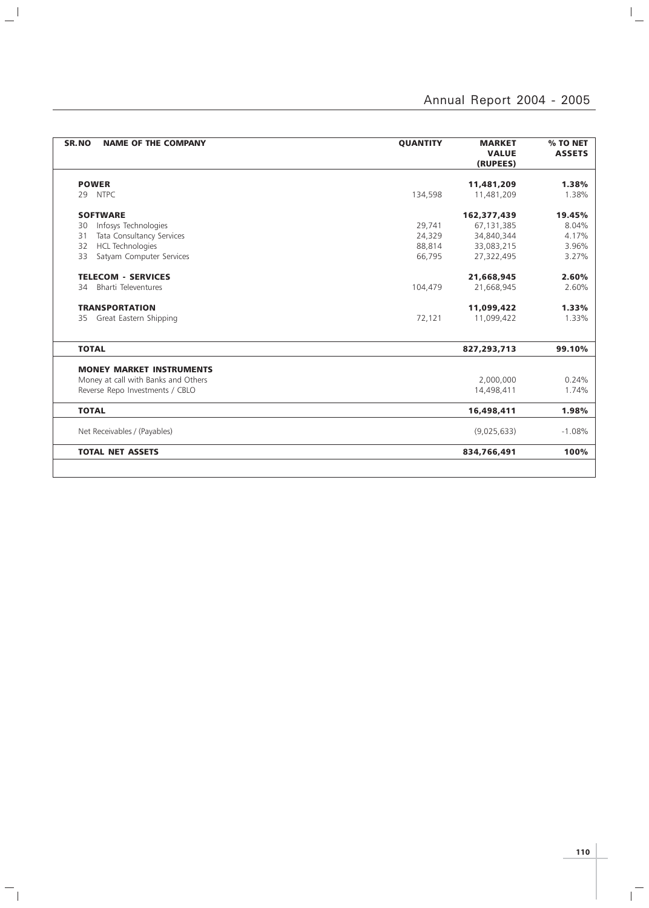| SR.NO<br><b>NAME OF THE COMPANY</b> | <b>QUANTITY</b> | <b>MARKET</b><br><b>VALUE</b><br>(RUPEES) | % TO NET<br><b>ASSETS</b> |
|-------------------------------------|-----------------|-------------------------------------------|---------------------------|
| <b>POWER</b>                        |                 | 11,481,209                                | 1.38%                     |
| 29 NTPC                             | 134,598         | 11,481,209                                | 1.38%                     |
| <b>SOFTWARE</b>                     |                 | 162,377,439                               | 19.45%                    |
| Infosys Technologies<br>30          | 29,741          | 67,131,385                                | 8.04%                     |
| Tata Consultancy Services<br>31     | 24,329          | 34,840,344                                | 4.17%                     |
| <b>HCL Technologies</b><br>32       | 88,814          | 33,083,215                                | 3.96%                     |
| Satyam Computer Services<br>33      | 66,795          | 27,322,495                                | 3.27%                     |
| <b>TELECOM - SERVICES</b>           |                 | 21,668,945                                | 2.60%                     |
| <b>Bharti Televentures</b><br>34    | 104,479         | 21.668.945                                | 2.60%                     |
| <b>TRANSPORTATION</b>               |                 | 11,099,422                                | 1.33%                     |
| 35 Great Eastern Shipping           | 72,121          | 11,099,422                                | 1.33%                     |
| <b>TOTAL</b>                        |                 | 827,293,713                               | 99.10%                    |
| <b>MONEY MARKET INSTRUMENTS</b>     |                 |                                           |                           |
| Money at call with Banks and Others |                 | 2,000,000                                 | 0.24%                     |
| Reverse Repo Investments / CBLO     |                 | 14,498,411                                | 1.74%                     |
| <b>TOTAL</b>                        |                 | 16,498,411                                | 1.98%                     |
| Net Receivables / (Payables)        |                 | (9,025,633)                               | $-1.08%$                  |
| <b>TOTAL NET ASSETS</b>             |                 | 834,766,491                               | 100%                      |

 $\mathbf{a}^{\dagger}$ 

 $\mathord{\hspace{1pt}\text{--}\hspace{1pt}}_\parallel$ 

 $\overline{1}$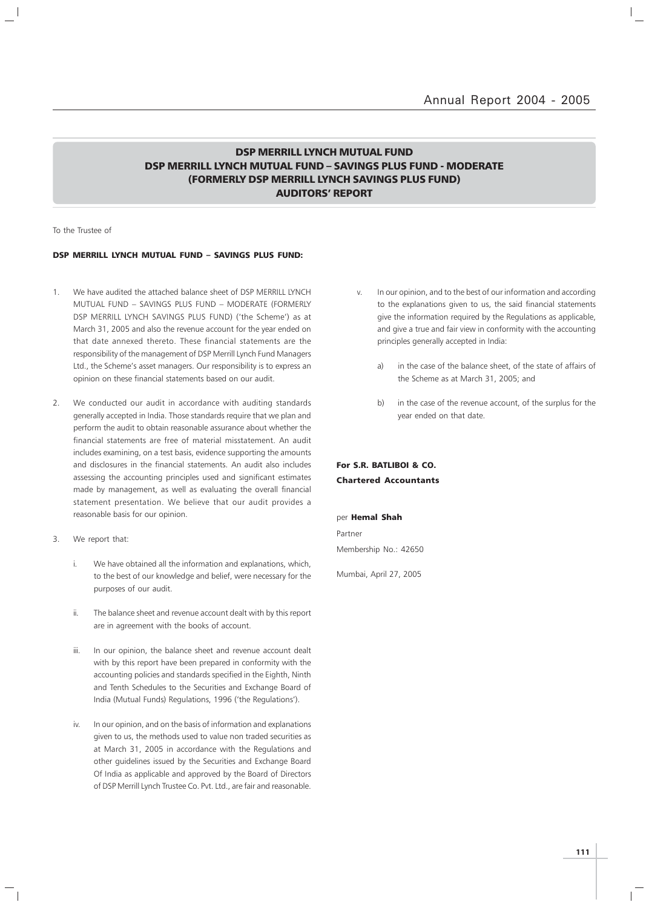### DSP MERRILL LYNCH MUTUAL FUND DSP MERRILL LYNCH MUTUAL FUND – SAVINGS PLUS FUND - MODERATE (FORMERLY DSP MERRILL LYNCH SAVINGS PLUS FUND) AUDITORS' REPORT

To the Trustee of

#### DSP MERRILL LYNCH MUTUAL FUND – SAVINGS PLUS FUND:

- 1. We have audited the attached balance sheet of DSP MERRILL LYNCH MUTUAL FUND – SAVINGS PLUS FUND – MODERATE (FORMERLY DSP MERRILL LYNCH SAVINGS PLUS FUND) ('the Scheme') as at March 31, 2005 and also the revenue account for the year ended on that date annexed thereto. These financial statements are the responsibility of the management of DSP Merrill Lynch Fund Managers Ltd., the Scheme's asset managers. Our responsibility is to express an opinion on these financial statements based on our audit.
- 2. We conducted our audit in accordance with auditing standards generally accepted in India. Those standards require that we plan and perform the audit to obtain reasonable assurance about whether the financial statements are free of material misstatement. An audit includes examining, on a test basis, evidence supporting the amounts and disclosures in the financial statements. An audit also includes assessing the accounting principles used and significant estimates made by management, as well as evaluating the overall financial statement presentation. We believe that our audit provides a reasonable basis for our opinion.
- 3. We report that:
	- i. We have obtained all the information and explanations, which, to the best of our knowledge and belief, were necessary for the purposes of our audit.
	- ii. The balance sheet and revenue account dealt with by this report are in agreement with the books of account.
	- iii. In our opinion, the balance sheet and revenue account dealt with by this report have been prepared in conformity with the accounting policies and standards specified in the Eighth, Ninth and Tenth Schedules to the Securities and Exchange Board of India (Mutual Funds) Regulations, 1996 ('the Regulations').
	- iv. In our opinion, and on the basis of information and explanations given to us, the methods used to value non traded securities as at March 31, 2005 in accordance with the Regulations and other guidelines issued by the Securities and Exchange Board Of India as applicable and approved by the Board of Directors of DSP Merrill Lynch Trustee Co. Pvt. Ltd., are fair and reasonable.
- v. In our opinion, and to the best of our information and according to the explanations given to us, the said financial statements give the information required by the Regulations as applicable, and give a true and fair view in conformity with the accounting principles generally accepted in India:
	- in the case of the balance sheet, of the state of affairs of the Scheme as at March 31, 2005; and
	- b) in the case of the revenue account, of the surplus for the year ended on that date.

### For S.R. BATLIBOI & CO. Chartered Accountants

per Hemal Shah Partner

Membership No.: 42650

Mumbai, April 27, 2005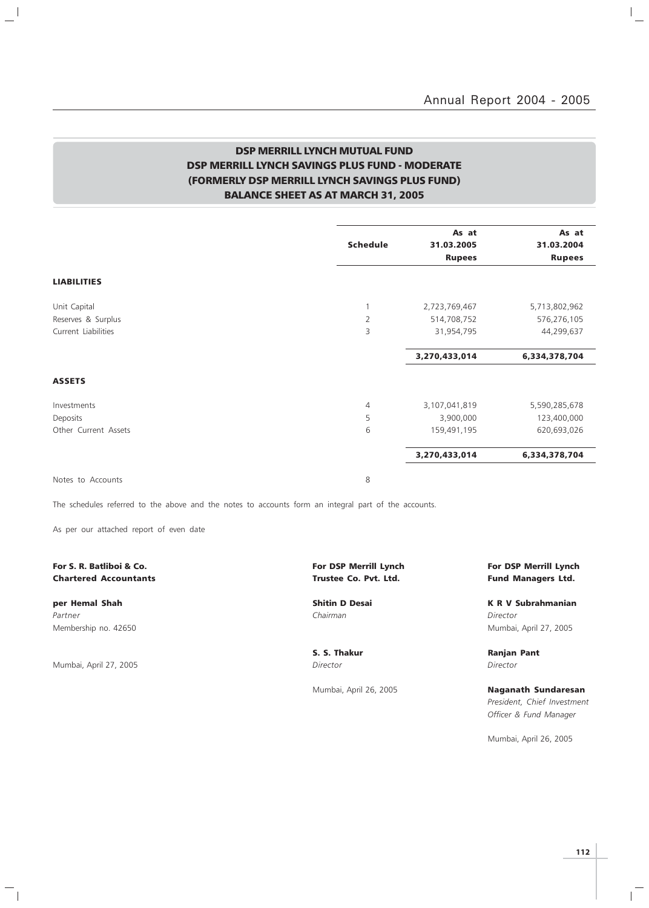$\mathbb{R}$ 

### DSP MERRILL LYNCH MUTUAL FUND DSP MERRILL LYNCH SAVINGS PLUS FUND - MODERATE (FORMERLY DSP MERRILL LYNCH SAVINGS PLUS FUND) BALANCE SHEET AS AT MARCH 31, 2005

|                      | <b>Schedule</b> | As at<br>31.03.2005 | As at<br>31.03.2004 |
|----------------------|-----------------|---------------------|---------------------|
|                      |                 | <b>Rupees</b>       | <b>Rupees</b>       |
| <b>LIABILITIES</b>   |                 |                     |                     |
| Unit Capital         |                 | 2,723,769,467       | 5,713,802,962       |
| Reserves & Surplus   | $\overline{2}$  | 514,708,752         | 576,276,105         |
| Current Liabilities  | 3               | 31,954,795          | 44,299,637          |
|                      |                 | 3,270,433,014       | 6,334,378,704       |
| <b>ASSETS</b>        |                 |                     |                     |
| Investments          | $\overline{4}$  | 3,107,041,819       | 5,590,285,678       |
| Deposits             | 5               | 3,900,000           | 123,400,000         |
| Other Current Assets | 6               | 159,491,195         | 620,693,026         |
|                      |                 | 3,270,433,014       | 6,334,378,704       |
|                      |                 |                     |                     |

Notes to Accounts 8

The schedules referred to the above and the notes to accounts form an integral part of the accounts.

As per our attached report of even date

#### For S. R. Batliboi & Co. The Co. For DSP Merrill Lynch For DSP Merrill Lynch For DSP Merrill Lynch For DSP Merrill Lynch Chartered Accountants Trustee Co. Pvt. Ltd. Fund Managers Ltd.

Partner Chairman Director (Chairman Chairman Chairman Director Director Director Membership no. 42650 Mumbai, April 27, 2005

 $\overline{\phantom{a}}$ 

 $\overline{\phantom{a}}$ 

Mumbai, April 27, 2005 **Director** Director **Director** Director

 $^{-}$ 

per Hemal Shah Shitin D Desai K R V Subrahmanian

S. S. Thakur **Ranjan Pant** 

Mumbai, April 26, 2005 **Naganath Sundaresan** President, Chief Investment Officer & Fund Manager

Mumbai, April 26, 2005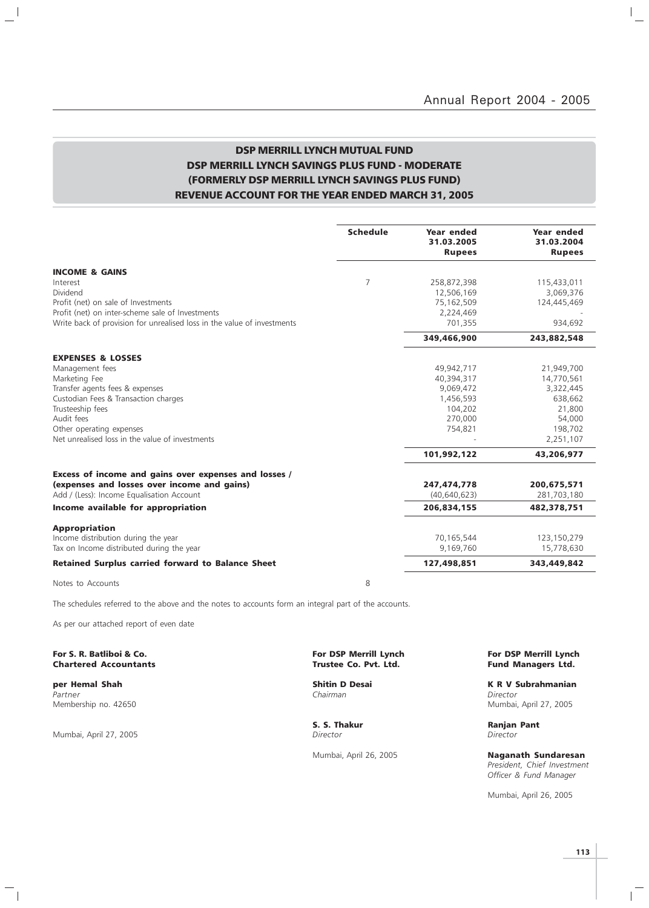$\vert$ 

 $\overline{\phantom{0}}$ 

### DSP MERRILL LYNCH MUTUAL FUND DSP MERRILL LYNCH SAVINGS PLUS FUND - MODERATE (FORMERLY DSP MERRILL LYNCH SAVINGS PLUS FUND) REVENUE ACCOUNT FOR THE YEAR ENDED MARCH 31, 2005

|                                                                         | <b>Schedule</b> | Year ended<br>31.03.2005<br><b>Rupees</b> | Year ended<br>31.03.2004<br><b>Rupees</b> |
|-------------------------------------------------------------------------|-----------------|-------------------------------------------|-------------------------------------------|
| <b>INCOME &amp; GAINS</b>                                               |                 |                                           |                                           |
| Interest                                                                | 7               | 258,872,398                               | 115,433,011                               |
| Dividend                                                                |                 | 12,506,169                                | 3,069,376                                 |
| Profit (net) on sale of Investments                                     |                 | 75,162,509                                | 124,445,469                               |
| Profit (net) on inter-scheme sale of Investments                        |                 | 2,224,469                                 |                                           |
| Write back of provision for unrealised loss in the value of investments |                 | 701,355                                   | 934,692                                   |
|                                                                         |                 | 349,466,900                               | 243,882,548                               |
| <b>EXPENSES &amp; LOSSES</b>                                            |                 |                                           |                                           |
| Management fees                                                         |                 | 49,942,717                                | 21,949,700                                |
| Marketing Fee                                                           |                 | 40,394,317                                | 14,770,561                                |
| Transfer agents fees & expenses                                         |                 | 9,069,472                                 | 3,322,445                                 |
| Custodian Fees & Transaction charges                                    |                 | 1,456,593                                 | 638,662                                   |
| Trusteeship fees                                                        |                 | 104,202                                   | 21,800                                    |
| Audit fees                                                              |                 | 270,000                                   | 54,000                                    |
| Other operating expenses                                                |                 | 754,821                                   | 198,702                                   |
| Net unrealised loss in the value of investments                         |                 |                                           | 2,251,107                                 |
|                                                                         |                 | 101,992,122                               | 43,206,977                                |
| Excess of income and gains over expenses and losses /                   |                 |                                           |                                           |
| (expenses and losses over income and gains)                             |                 | 247,474,778                               | 200,675,571                               |
| Add / (Less): Income Equalisation Account                               |                 | (40,640,623)                              | 281,703,180                               |
| Income available for appropriation                                      |                 | 206,834,155                               | 482,378,751                               |
| <b>Appropriation</b>                                                    |                 |                                           |                                           |
| Income distribution during the year                                     |                 | 70,165,544                                | 123,150,279                               |
| Tax on Income distributed during the year                               |                 | 9,169,760                                 | 15,778,630                                |
| <b>Retained Surplus carried forward to Balance Sheet</b>                |                 | 127,498,851                               | 343,449,842                               |
| Notes to Accounts                                                       | 8               |                                           |                                           |

 $\overline{\phantom{a}}$ 

 $\overline{\phantom{0}}$ 

The schedules referred to the above and the notes to accounts form an integral part of the accounts.

As per our attached report of even date

For S. R. Batliboi & Co. The Co. For DSP Merrill Lynch For DSP Merrill Lynch For DSP Merrill Lynch For DSP Merrill Lynch Chartered Accountants (1990) Structure Co. Pvt. Ltd. **Chartered Accountants** 

Partner Chairman Director (Chairman Chairman Chairman Director Director Chairman Chairman Director Membership no. 42650 Mumbai, April 27, 2005

Mumbai, April 27, 2005 Director Director

 $\mathord{\hspace{1pt}\text{--}\hspace{1pt}}_\parallel$ 

**per Hemal Shah Shah Shitin D Desai K R V Subrahmanian**<br>Partner Shah Shah Shahmanian Shahman Chairman Shahmanian Shitin D Desai Shahmanian Shitector

S. S. Thakur **Ranjan Pant** 

Mumbai, April 26, 2005 Naganath Sundaresan President, Chief Investment Officer & Fund Manager

Mumbai, April 26, 2005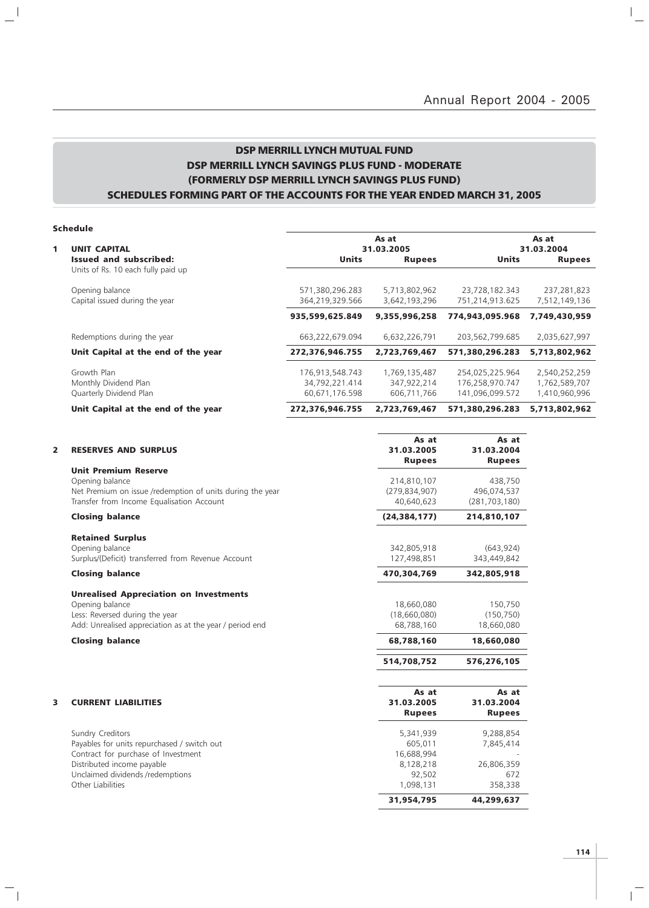### DSP MERRILL LYNCH MUTUAL FUND DSP MERRILL LYNCH SAVINGS PLUS FUND - MODERATE (FORMERLY DSP MERRILL LYNCH SAVINGS PLUS FUND) SCHEDULES FORMING PART OF THE ACCOUNTS FOR THE YEAR ENDED MARCH 31, 2005

| Schedule |  |  |  |
|----------|--|--|--|
|          |  |  |  |

 $\frac{1}{2}$ 

 $\mathcal{L}_{\parallel}$ 

|   | <b>PINDAIL</b>                                                      |                 |               |                 |               |
|---|---------------------------------------------------------------------|-----------------|---------------|-----------------|---------------|
|   |                                                                     |                 | As at         |                 | As at         |
| 1 | <b>UNIT CAPITAL</b>                                                 |                 | 31.03.2005    |                 | 31.03.2004    |
|   | <b>Issued and subscribed:</b><br>Units of Rs. 10 each fully paid up | <b>Units</b>    | <b>Rupees</b> | <b>Units</b>    | <b>Rupees</b> |
|   | Opening balance                                                     | 571,380,296.283 | 5,713,802,962 | 23,728,182.343  | 237,281,823   |
|   | Capital issued during the year                                      | 364,219,329.566 | 3,642,193,296 | 751,214,913.625 | 7,512,149,136 |
|   |                                                                     | 935,599,625.849 | 9,355,996,258 | 774,943,095.968 | 7,749,430,959 |
|   | Redemptions during the year                                         | 663,222,679.094 | 6,632,226,791 | 203,562,799.685 | 2,035,627,997 |
|   | Unit Capital at the end of the year                                 | 272,376,946.755 | 2,723,769,467 | 571,380,296.283 | 5,713,802,962 |
|   | Growth Plan                                                         | 176,913,548.743 | 1,769,135,487 | 254,025,225.964 | 2,540,252,259 |
|   | Monthly Dividend Plan                                               | 34,792,221.414  | 347,922,214   | 176,258,970.747 | 1,762,589,707 |
|   | Quarterly Dividend Plan                                             | 60,671,176.598  | 606,711,766   | 141,096,099.572 | 1,410,960,996 |
|   | Unit Capital at the end of the year                                 | 272,376,946.755 | 2,723,769,467 | 571,380,296.283 | 5,713,802,962 |

| 2 | <b>RESERVES AND SURPLUS</b>                               | As at<br>31.03.2005<br><b>Rupees</b> | As at<br>31.03.2004<br><b>Rupees</b> |
|---|-----------------------------------------------------------|--------------------------------------|--------------------------------------|
|   | <b>Unit Premium Reserve</b>                               |                                      |                                      |
|   | Opening balance                                           | 214,810,107                          | 438,750                              |
|   | Net Premium on issue /redemption of units during the year | (279, 834, 907)                      | 496,074,537                          |
|   | Transfer from Income Equalisation Account                 | 40,640,623                           | (281, 703, 180)                      |
|   | <b>Closing balance</b>                                    | (24, 384, 177)                       | 214,810,107                          |
|   | <b>Retained Surplus</b>                                   |                                      |                                      |
|   | Opening balance                                           | 342,805,918                          | (643, 924)                           |
|   | Surplus/(Deficit) transferred from Revenue Account        | 127,498,851                          | 343,449,842                          |
|   | <b>Closing balance</b>                                    | 470.304.769                          | 342,805,918                          |
|   | <b>Unrealised Appreciation on Investments</b>             |                                      |                                      |
|   | Opening balance                                           | 18,660,080                           | 150,750                              |
|   | Less: Reversed during the year                            | (18,660,080)                         | (150, 750)                           |
|   | Add: Unrealised appreciation as at the year / period end  | 68.788.160                           | 18,660,080                           |
|   | <b>Closing balance</b>                                    | 68,788,160                           | 18,660,080                           |
|   |                                                           | 514,708,752                          | 576,276,105                          |
|   |                                                           |                                      |                                      |
|   |                                                           | As at                                | As at                                |
| 3 | <b>CURRENT LIABILITIES</b>                                | 31.03.2005                           | 31.03.2004                           |
|   |                                                           | <b>Rupees</b>                        | <b>Rupees</b>                        |
|   | Sundry Creditors                                          | 5,341,939                            | 9,288,854                            |
|   | Payables for units repurchased / switch out               | 605.011                              | 7,845,414                            |
|   | Contract for purchase of Investment                       | 16,688,994                           |                                      |
|   | Distributed income payable                                | 8,128,218                            | 26,806,359                           |
|   | Unclaimed dividends /redemptions                          | 92,502                               | 672                                  |
|   | Other Liabilities                                         | 1,098,131                            | 358,338                              |
|   |                                                           | 31,954,795                           | 44,299,637                           |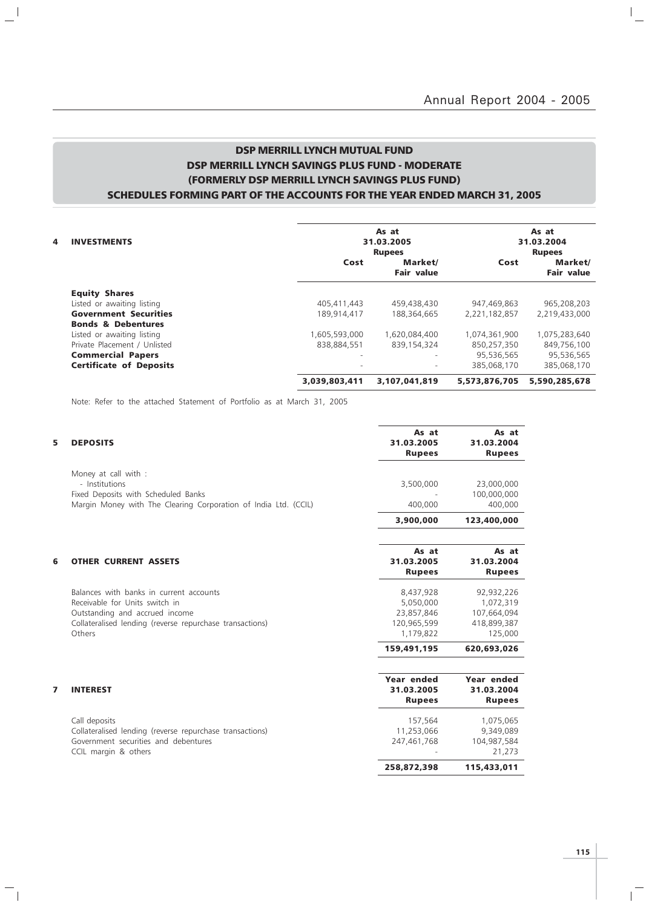$\mathbb{I}_+$ 

### DSP MERRILL LYNCH MUTUAL FUND DSP MERRILL LYNCH SAVINGS PLUS FUND - MODERATE (FORMERLY DSP MERRILL LYNCH SAVINGS PLUS FUND) SCHEDULES FORMING PART OF THE ACCOUNTS FOR THE YEAR ENDED MARCH 31, 2005

| 4<br><b>INVESTMENTS</b>        |                          | As at<br>31.03.2005<br><b>Rupees</b> |               | As at<br>31.03.2004<br><b>Rupees</b> |
|--------------------------------|--------------------------|--------------------------------------|---------------|--------------------------------------|
|                                | Cost                     | Market/<br><b>Fair value</b>         | Cost          | Market/<br><b>Fair value</b>         |
| <b>Equity Shares</b>           |                          |                                      |               |                                      |
| Listed or awaiting listing     | 405.411.443              | 459,438,430                          | 947,469,863   | 965,208,203                          |
| <b>Government Securities</b>   | 189,914,417              | 188,364,665                          | 2,221,182,857 | 2,219,433,000                        |
| <b>Bonds &amp; Debentures</b>  |                          |                                      |               |                                      |
| Listed or awaiting listing     | 1,605,593,000            | 1,620,084,400                        | 1,074,361,900 | 1,075,283,640                        |
| Private Placement / Unlisted   | 838,884,551              | 839,154,324                          | 850,257,350   | 849,756,100                          |
| <b>Commercial Papers</b>       | $\overline{\phantom{a}}$ | -                                    | 95,536,565    | 95,536,565                           |
| <b>Certificate of Deposits</b> |                          |                                      | 385.068.170   | 385.068.170                          |
|                                | 3,039,803,411            | 3,107,041,819                        | 5,573,876,705 | 5,590,285,678                        |

Note: Refer to the attached Statement of Portfolio as at March 31, 2005

 $\mathbb{L}^{\parallel}$ 

 $\overline{\phantom{a}}_1$ 

| 5 | <b>DEPOSITS</b>                                                 | As at<br>31.03.2005<br><b>Rupees</b> | As at<br>31.03.2004<br><b>Rupees</b> |
|---|-----------------------------------------------------------------|--------------------------------------|--------------------------------------|
|   | Money at call with :<br>- Institutions                          | 3,500,000                            | 23,000,000                           |
|   | Fixed Deposits with Scheduled Banks                             |                                      | 100,000,000                          |
|   | Margin Money with The Clearing Corporation of India Ltd. (CCIL) | 400,000                              | 400,000                              |
|   |                                                                 | 3,900,000                            | 123,400,000                          |
| 6 | <b>OTHER CURRENT ASSETS</b>                                     | As at<br>31.03.2005                  | As at<br>31.03.2004                  |
|   |                                                                 | <b>Rupees</b>                        | <b>Rupees</b>                        |
|   | Balances with banks in current accounts                         | 8,437,928                            | 92,932,226                           |
|   | Receivable for Units switch in                                  | 5,050,000                            | 1,072,319                            |
|   | Outstanding and accrued income                                  | 23,857,846                           | 107,664,094                          |
|   | Collateralised lending (reverse repurchase transactions)        | 120,965,599                          | 418,899,387                          |
|   | Others                                                          | 1,179,822                            | 125,000                              |
|   |                                                                 | 159,491,195                          | 620,693,026                          |
|   |                                                                 |                                      |                                      |
|   |                                                                 | Year ended                           | Year ended                           |
| 7 | <b>INTEREST</b>                                                 | 31.03.2005                           | 31.03.2004                           |
|   |                                                                 | <b>Rupees</b>                        | <b>Rupees</b>                        |
|   | Call deposits                                                   | 157,564                              | 1,075,065                            |
|   | Collateralised lending (reverse repurchase transactions)        | 11,253,066                           | 9,349,089                            |
|   | Government securities and debentures                            | 247,461,768                          | 104,987,584                          |
|   | CCIL margin & others                                            |                                      | 21,273                               |
|   |                                                                 | 258,872,398                          | 115,433,011                          |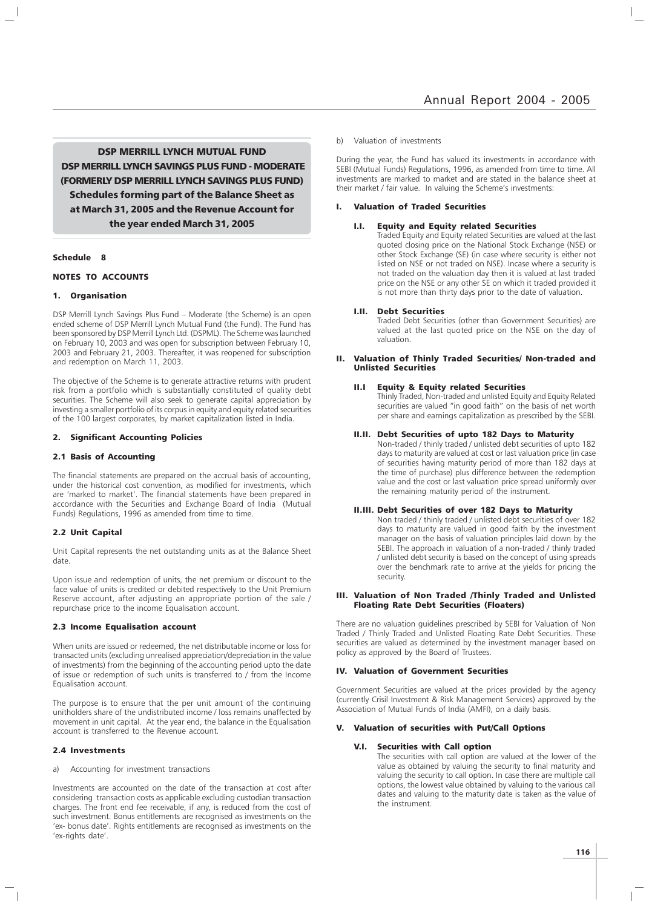DSP MERRILL LYNCH MUTUAL FUND DSP MERRILL LYNCH SAVINGS PLUS FUND - MODERATE (FORMERLY DSP MERRILL LYNCH SAVINGS PLUS FUND) Schedules forming part of the Balance Sheet as at March 31, 2005 and the Revenue Account for the year ended March 31, 2005

#### Schedule 8

#### NOTES TO ACCOUNTS

#### 1. Organisation

DSP Merrill Lynch Savings Plus Fund – Moderate (the Scheme) is an open ended scheme of DSP Merrill Lynch Mutual Fund (the Fund). The Fund has been sponsored by DSP Merrill Lynch Ltd. (DSPML). The Scheme was launched on February 10, 2003 and was open for subscription between February 10, 2003 and February 21, 2003. Thereafter, it was reopened for subscription and redemption on March 11, 2003.

The objective of the Scheme is to generate attractive returns with prudent risk from a portfolio which is substantially constituted of quality debt securities. The Scheme will also seek to generate capital appreciation by investing a smaller portfolio of its corpus in equity and equity related securities of the 100 largest corporates, by market capitalization listed in India.

#### 2. Significant Accounting Policies

#### 2.1 Basis of Accounting

The financial statements are prepared on the accrual basis of accounting, under the historical cost convention, as modified for investments, which are 'marked to market'. The financial statements have been prepared in accordance with the Securities and Exchange Board of India (Mutual Funds) Regulations, 1996 as amended from time to time.

#### 2.2 Unit Capital

Unit Capital represents the net outstanding units as at the Balance Sheet date.

Upon issue and redemption of units, the net premium or discount to the face value of units is credited or debited respectively to the Unit Premium Reserve account, after adjusting an appropriate portion of the sale / repurchase price to the income Equalisation account.

#### 2.3 Income Equalisation account

When units are issued or redeemed, the net distributable income or loss for transacted units (excluding unrealised appreciation/depreciation in the value of investments) from the beginning of the accounting period upto the date of issue or redemption of such units is transferred to / from the Income Equalisation account.

The purpose is to ensure that the per unit amount of the continuing unitholders share of the undistributed income / loss remains unaffected by movement in unit capital. At the year end, the balance in the Equalisation account is transferred to the Revenue account.

#### 2.4 Investments

a) Accounting for investment transactions

Investments are accounted on the date of the transaction at cost after considering transaction costs as applicable excluding custodian transaction charges. The front end fee receivable, if any, is reduced from the cost of such investment. Bonus entitlements are recognised as investments on the 'ex- bonus date'. Rights entitlements are recognised as investments on the 'ex-rights date'.

#### b) Valuation of investments

During the year, the Fund has valued its investments in accordance with SEBI (Mutual Funds) Regulations, 1996, as amended from time to time. All investments are marked to market and are stated in the balance sheet at their market / fair value. In valuing the Scheme's investments:

#### I. Valuation of Traded Securities

#### I.I. Equity and Equity related Securities

Traded Equity and Equity related Securities are valued at the last quoted closing price on the National Stock Exchange (NSE) or other Stock Exchange (SE) (in case where security is either not listed on NSE or not traded on NSE). Incase where a security is not traded on the valuation day then it is valued at last traded price on the NSE or any other SE on which it traded provided it is not more than thirty days prior to the date of valuation.

#### I.II. Debt Securities

Traded Debt Securities (other than Government Securities) are valued at the last quoted price on the NSE on the day of valuation.

#### II. Valuation of Thinly Traded Securities/ Non-traded and Unlisted Securities

#### Equity & Equity related Securities

Thinly Traded, Non-traded and unlisted Equity and Equity Related securities are valued "in good faith" on the basis of net worth per share and earnings capitalization as prescribed by the SEBI.

#### II.II. Debt Securities of upto 182 Days to Maturity

Non-traded / thinly traded / unlisted debt securities of upto 182 days to maturity are valued at cost or last valuation price (in case of securities having maturity period of more than 182 days at the time of purchase) plus difference between the redemption value and the cost or last valuation price spread uniformly over the remaining maturity period of the instrument.

#### II.III. Debt Securities of over 182 Days to Maturity

Non traded / thinly traded / unlisted debt securities of over 182 days to maturity are valued in good faith by the investment manager on the basis of valuation principles laid down by the SEBI. The approach in valuation of a non-traded / thinly traded / unlisted debt security is based on the concept of using spreads over the benchmark rate to arrive at the yields for pricing the security.

#### III. Valuation of Non Traded /Thinly Traded and Unlisted Floating Rate Debt Securities (Floaters)

There are no valuation guidelines prescribed by SEBI for Valuation of Non Traded / Thinly Traded and Unlisted Floating Rate Debt Securities. These securities are valued as determined by the investment manager based on policy as approved by the Board of Trustees.

#### IV. Valuation of Government Securities

Government Securities are valued at the prices provided by the agency (currently Crisil Investment & Risk Management Services) approved by the Association of Mutual Funds of India (AMFI), on a daily basis.

#### V. Valuation of securities with Put/Call Options

#### V.I. Securities with Call option

The securities with call option are valued at the lower of the value as obtained by valuing the security to final maturity and valuing the security to call option. In case there are multiple call options, the lowest value obtained by valuing to the various call dates and valuing to the maturity date is taken as the value of the instrument.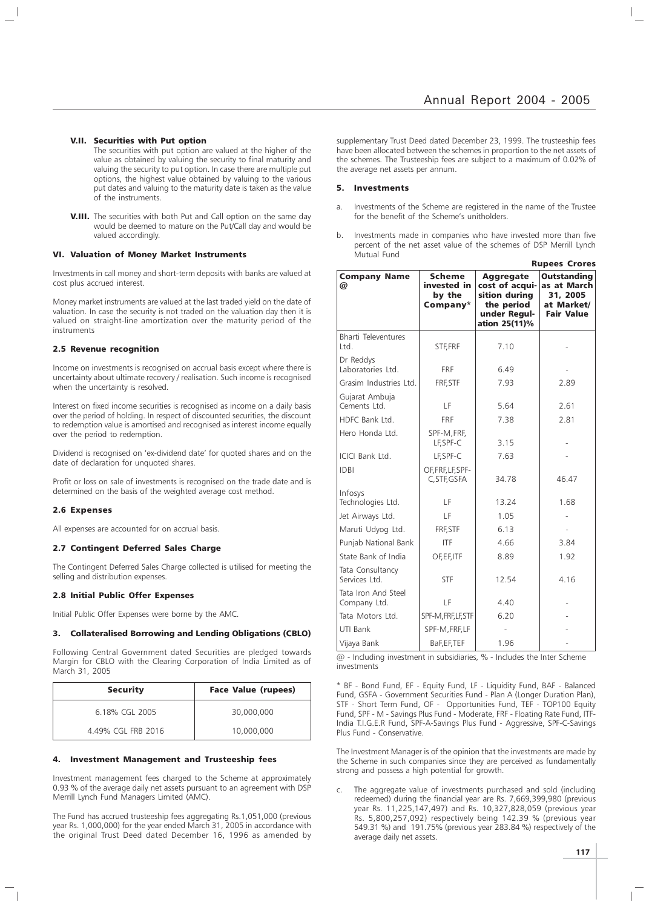- V.II. Securities with Put option
	- The securities with put option are valued at the higher of the value as obtained by valuing the security to final maturity and valuing the security to put option. In case there are multiple put options, the highest value obtained by valuing to the various put dates and valuing to the maturity date is taken as the value of the instruments.
- **V.III.** The securities with both Put and Call option on the same day would be deemed to mature on the Put/Call day and would be valued accordingly.

#### VI. Valuation of Money Market Instruments

Investments in call money and short-term deposits with banks are valued at cost plus accrued interest.

Money market instruments are valued at the last traded yield on the date of valuation. In case the security is not traded on the valuation day then it is valued on straight-line amortization over the maturity period of the instruments

#### 2.5 Revenue recognition

Income on investments is recognised on accrual basis except where there is uncertainty about ultimate recovery / realisation. Such income is recognised when the uncertainty is resolved.

Interest on fixed income securities is recognised as income on a daily basis over the period of holding. In respect of discounted securities, the discount to redemption value is amortised and recognised as interest income equally over the period to redemption.

Dividend is recognised on 'ex-dividend date' for quoted shares and on the date of declaration for unquoted shares.

Profit or loss on sale of investments is recognised on the trade date and is determined on the basis of the weighted average cost method.

#### 2.6 Expenses

All expenses are accounted for on accrual basis.

#### 2.7 Contingent Deferred Sales Charge

The Contingent Deferred Sales Charge collected is utilised for meeting the selling and distribution expenses.

#### 2.8 Initial Public Offer Expenses

Initial Public Offer Expenses were borne by the AMC.

#### 3. Collateralised Borrowing and Lending Obligations (CBLO)

Following Central Government dated Securities are pledged towards Margin for CBLO with the Clearing Corporation of India Limited as of March 31, 2005

| <b>Security</b>    | <b>Face Value (rupees)</b> |
|--------------------|----------------------------|
| 6.18% CGL 2005     | 30,000,000                 |
| 4.49% CGL FRB 2016 | 10,000,000                 |

#### 4. Investment Management and Trusteeship fees

Investment management fees charged to the Scheme at approximately 0.93 % of the average daily net assets pursuant to an agreement with DSP Merrill Lynch Fund Managers Limited (AMC).

The Fund has accrued trusteeship fees aggregating Rs.1,051,000 (previous year Rs. 1,000,000) for the year ended March 31, 2005 in accordance with the original Trust Deed dated December 16, 1996 as amended by

supplementary Trust Deed dated December 23, 1999. The trusteeship fees have been allocated between the schemes in proportion to the net assets of the schemes. The Trusteeship fees are subject to a maximum of 0.02% of the average net assets per annum.

#### 5. Investments

- a. Investments of the Scheme are registered in the name of the Trustee for the benefit of the Scheme's unitholders.
- b. Investments made in companies who have invested more than five percent of the net asset value of the schemes of DSP Merrill Lynch Mutual Fund

|                                     |                                                    |                                                                                                    | <b>Rupees Crores</b>                                                             |
|-------------------------------------|----------------------------------------------------|----------------------------------------------------------------------------------------------------|----------------------------------------------------------------------------------|
| <b>Company Name</b><br>@            | <b>Scheme</b><br>invested in<br>by the<br>Company* | <b>Aggregate</b><br>cost of acqui-<br>sition during<br>the period<br>under Regul-<br>ation 25(11)% | <b>Outstanding</b><br>as at March<br>31, 2005<br>at Market/<br><b>Fair Value</b> |
| <b>Bharti Televentures</b><br>Ltd.  | STF, FRF                                           | 7.10                                                                                               |                                                                                  |
| Dr Reddys<br>Laboratories Ltd.      | <b>FRF</b>                                         | 6.49                                                                                               |                                                                                  |
| Grasim Industries Ltd.              | FRF, STF                                           | 7.93                                                                                               | 2.89                                                                             |
| Gujarat Ambuja<br>Cements Ltd.      | LF                                                 | 5.64                                                                                               | 2.61                                                                             |
| HDFC Bank Ltd.                      | <b>FRF</b>                                         | 7.38                                                                                               | 2.81                                                                             |
| Hero Honda Ltd.                     | SPF-M, FRF,<br>LF, SPF-C                           | 3.15                                                                                               |                                                                                  |
| ICICI Bank Ltd.                     | LF, SPF-C                                          | 7.63                                                                                               |                                                                                  |
| <b>IDBI</b>                         | OF, FRF, LF, SPF-<br>C, STF, GSFA                  | 34.78                                                                                              | 46.47                                                                            |
| Infosys<br>Technologies Ltd.        | LF                                                 | 13.24                                                                                              | 1.68                                                                             |
| Jet Airways Ltd.                    | LF                                                 | 1.05                                                                                               |                                                                                  |
| Maruti Udyog Ltd.                   | FRF, STF                                           | 6.13                                                                                               |                                                                                  |
| Punjab National Bank                | <b>ITF</b>                                         | 4.66                                                                                               | 3.84                                                                             |
| State Bank of India                 | OF, EF, ITF                                        | 8.89                                                                                               | 1.92                                                                             |
| Tata Consultancy<br>Services Ltd.   | <b>STF</b>                                         | 12.54                                                                                              | 4.16                                                                             |
| Tata Iron And Steel<br>Company Ltd. | LF                                                 | 4.40                                                                                               |                                                                                  |
| Tata Motors Ltd.                    | SPF-M, FRF, LF, STF                                | 6.20                                                                                               |                                                                                  |
| UTI Bank                            | SPF-M, FRF, LF                                     |                                                                                                    |                                                                                  |
| Vijaya Bank                         | BaF, EF, TEF                                       | 1.96                                                                                               |                                                                                  |

@ - Including investment in subsidiaries, % - Includes the Inter Scheme investments

\* BF - Bond Fund, EF - Equity Fund, LF - Liquidity Fund, BAF - Balanced Fund, GSFA - Government Securities Fund - Plan A (Longer Duration Plan), STF - Short Term Fund, OF - Opportunities Fund, TEF - TOP100 Equity Fund, SPF - M - Savings Plus Fund - Moderate, FRF - Floating Rate Fund, ITF-India T.I.G.E.R Fund, SPF-A-Savings Plus Fund - Aggressive, SPF-C-Savings Plus Fund - Conservative.

The Investment Manager is of the opinion that the investments are made by the Scheme in such companies since they are perceived as fundamentally strong and possess a high potential for growth.

The aggregate value of investments purchased and sold (including redeemed) during the financial year are Rs. 7,669,399,980 (previous year Rs. 11,225,147,497) and Rs. 10,327,828,059 (previous year Rs. 5,800,257,092) respectively being 142.39 % (previous year 549.31 %) and 191.75% (previous year 283.84 %) respectively of the average daily net assets.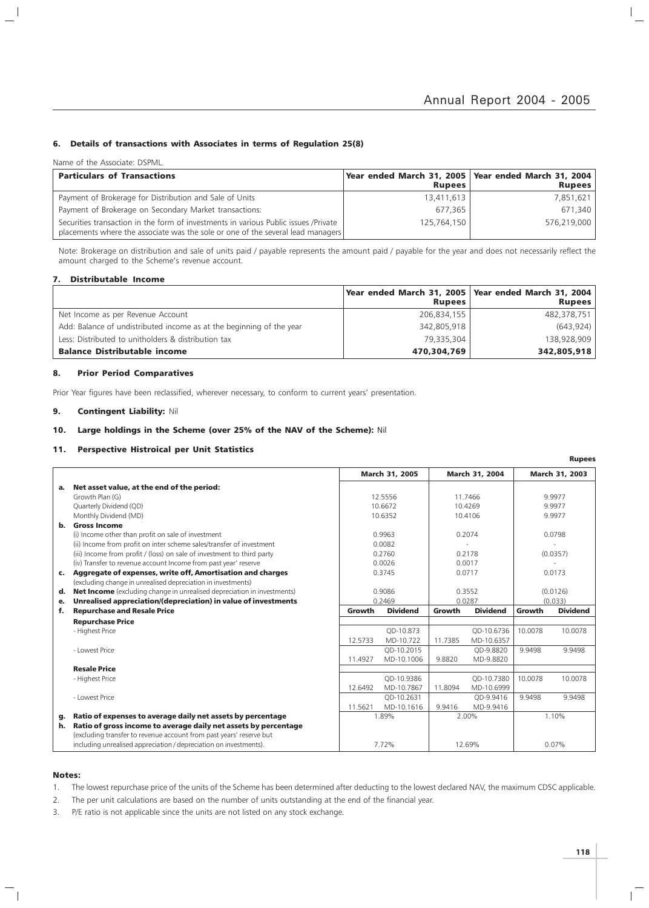#### 6. Details of transactions with Associates in terms of Regulation 25(8)

Name of the Associate: DSPML.

 $\overline{\phantom{a}}$ 

| <b>Particulars of Transactions</b>                                                                                                                                     | Year ended March 31, 2005   Year ended March 31, 2004<br><b>Rupees</b> | <b>Rupees</b> |
|------------------------------------------------------------------------------------------------------------------------------------------------------------------------|------------------------------------------------------------------------|---------------|
| Payment of Brokerage for Distribution and Sale of Units                                                                                                                | 13,411,613                                                             | 7.851.621     |
| Payment of Brokerage on Secondary Market transactions:                                                                                                                 | 677.365                                                                | 671.340       |
| Securities transaction in the form of investments in various Public issues /Private<br>placements where the associate was the sole or one of the several lead managers | 125,764,150                                                            | 576,219,000   |

Note: Brokerage on distribution and sale of units paid / payable represents the amount paid / payable for the year and does not necessarily reflect the amount charged to the Scheme's revenue account.

#### 7. Distributable Income

|                                                                      | Year ended March 31, 2005   Year ended March 31, 2004 |               |
|----------------------------------------------------------------------|-------------------------------------------------------|---------------|
|                                                                      | <b>Rupees</b>                                         | <b>Rupees</b> |
| Net Income as per Revenue Account                                    | 206,834,155                                           | 482,378,751   |
| Add: Balance of undistributed income as at the beginning of the year | 342,805,918                                           | (643, 924)    |
| Less: Distributed to unitholders & distribution tax                  | 79.335.304                                            | 138.928.909   |
| <b>Balance Distributable income</b>                                  | 470,304,769                                           | 342,805,918   |

#### 8. Prior Period Comparatives

Prior Year figures have been reclassified, wherever necessary, to conform to current years' presentation.

#### 9. Contingent Liability: Nil

#### 10. Large holdings in the Scheme (over 25% of the NAV of the Scheme): Nil

#### 11. Perspective Histroical per Unit Statistics

|                |                                                                                                                                        |         | <b>March 31, 2005</b> |         | <b>March 31, 2004</b> |         | March 31, 2003  |
|----------------|----------------------------------------------------------------------------------------------------------------------------------------|---------|-----------------------|---------|-----------------------|---------|-----------------|
| а.             | Net asset value, at the end of the period:                                                                                             |         |                       |         |                       |         |                 |
|                | Growth Plan (G)                                                                                                                        |         | 12.5556               |         | 11.7466               |         | 9.9977          |
|                | Quarterly Dividend (QD)                                                                                                                |         | 10.6672               |         | 10.4269               |         | 9.9977          |
|                | Monthly Dividend (MD)                                                                                                                  |         | 10.6352               |         | 10.4106               |         | 9.9977          |
| b.             | <b>Gross Income</b>                                                                                                                    |         |                       |         |                       |         |                 |
|                | (i) Income other than profit on sale of investment                                                                                     |         | 0.9963                |         | 0.2074                |         | 0.0798          |
|                | (ii) Income from profit on inter scheme sales/transfer of investment                                                                   |         | 0.0082                |         |                       |         |                 |
|                | (iii) Income from profit / (loss) on sale of investment to third party                                                                 |         | 0.2760                |         | 0.2178                |         | (0.0357)        |
|                | (iv) Transfer to revenue account Income from past year' reserve                                                                        |         | 0.0026                |         | 0.0017                |         |                 |
| $\mathsf{c}$ . | Aggregate of expenses, write off, Amortisation and charges                                                                             |         | 0.3745                |         | 0.0717                |         | 0.0173          |
|                | (excluding change in unrealised depreciation in investments)                                                                           |         |                       |         |                       |         |                 |
| d.             | Net Income (excluding change in unrealised depreciation in investments)                                                                |         | 0.9086                |         | 0.3552                |         | (0.0126)        |
| е.             | Unrealised appreciation/(depreciation) in value of investments                                                                         |         | 0.2469                |         | 0.0287                |         | (0.033)         |
| f.             | <b>Repurchase and Resale Price</b>                                                                                                     | Growth  | <b>Dividend</b>       | Growth  | <b>Dividend</b>       | Growth  | <b>Dividend</b> |
|                | <b>Repurchase Price</b>                                                                                                                |         |                       |         |                       |         |                 |
|                | - Highest Price                                                                                                                        |         | QD-10.873             |         | QD-10.6736            | 10.0078 | 10.0078         |
|                |                                                                                                                                        | 12.5733 | MD-10.722             | 11.7385 | MD-10.6357            |         |                 |
|                | - Lowest Price                                                                                                                         |         | QD-10.2015            |         | OD-9.8820             | 9.9498  | 9.9498          |
|                |                                                                                                                                        | 11.4927 | MD-10.1006            | 9.8820  | MD-9.8820             |         |                 |
|                | <b>Resale Price</b>                                                                                                                    |         |                       |         |                       |         |                 |
|                | - Highest Price                                                                                                                        |         | OD-10.9386            |         | OD-10.7380            | 10.0078 | 10.0078         |
|                |                                                                                                                                        | 12.6492 | MD-10.7867            | 11.8094 | MD-10.6999            |         |                 |
|                | - Lowest Price                                                                                                                         |         | OD-10.2631            |         | OD-9.9416             | 9.9498  | 9.9498          |
|                |                                                                                                                                        | 11.5621 | MD-10.1616            | 9.9416  | MD-9.9416             |         |                 |
| g.             | Ratio of expenses to average daily net assets by percentage                                                                            |         | 1.89%                 |         | 2.00%                 |         | 1.10%           |
| h.             | Ratio of gross income to average daily net assets by percentage<br>(excluding transfer to revenue account from past years' reserve but |         |                       |         |                       |         |                 |
|                | including unrealised appreciation / depreciation on investments).                                                                      |         | 7.72%                 |         | 12.69%                |         | 0.07%           |

#### Notes:

 $\overline{\phantom{0}}$ 

1. The lowest repurchase price of the units of the Scheme has been determined after deducting to the lowest declared NAV, the maximum CDSC applicable.

2. The per unit calculations are based on the number of units outstanding at the end of the financial year.

3. P/E ratio is not applicable since the units are not listed on any stock exchange.

Rupees

 $\vert$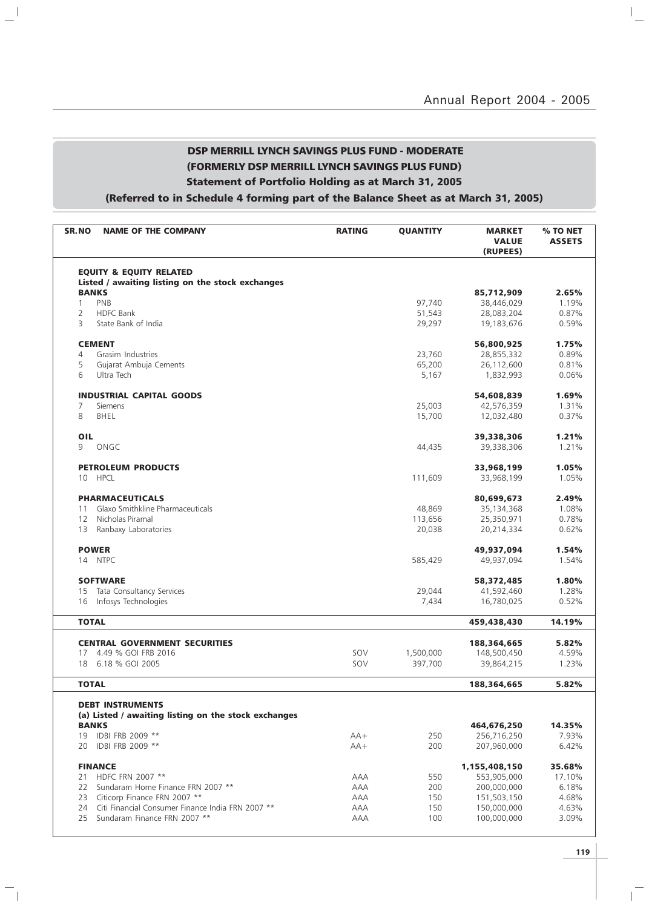### DSP MERRILL LYNCH SAVINGS PLUS FUND - MODERATE (FORMERLY DSP MERRILL LYNCH SAVINGS PLUS FUND) Statement of Portfolio Holding as at March 31, 2005

 $\mathbb{L}^{\mathbb{I}}$ 

 $\overline{\phantom{a}}_1$ 

## (Referred to in Schedule 4 forming part of the Balance Sheet as at March 31, 2005)

| SR.NO<br><b>NAME OF THE COMPANY</b>                                                    | <b>RATING</b> | <b>QUANTITY</b> | <b>MARKET</b><br><b>VALUE</b><br>(RUPEES) | % TO NET<br><b>ASSETS</b> |
|----------------------------------------------------------------------------------------|---------------|-----------------|-------------------------------------------|---------------------------|
| <b>EQUITY &amp; EQUITY RELATED</b><br>Listed / awaiting listing on the stock exchanges |               |                 |                                           |                           |
| <b>BANKS</b>                                                                           |               |                 | 85,712,909                                | 2.65%                     |
| PNB<br>$\mathbf{1}$                                                                    |               | 97,740          | 38,446,029                                | 1.19%                     |
| $\overline{2}$<br><b>HDFC Bank</b>                                                     |               | 51,543          | 28,083,204                                | 0.87%                     |
| State Bank of India<br>3                                                               |               | 29,297          | 19,183,676                                | 0.59%                     |
| <b>CEMENT</b>                                                                          |               |                 | 56,800,925                                | 1.75%                     |
| Grasim Industries<br>4                                                                 |               | 23,760          | 28,855,332                                | 0.89%                     |
| 5<br>Gujarat Ambuja Cements                                                            |               | 65,200          | 26,112,600                                | 0.81%                     |
| 6<br>Ultra Tech                                                                        |               | 5,167           | 1,832,993                                 | 0.06%                     |
| <b>INDUSTRIAL CAPITAL GOODS</b>                                                        |               |                 | 54,608,839                                | 1.69%                     |
| 7<br><b>Siemens</b>                                                                    |               | 25,003          | 42,576,359                                | 1.31%                     |
| 8<br>BHEL                                                                              |               | 15,700          | 12,032,480                                | 0.37%                     |
| OIL                                                                                    |               |                 | 39,338,306                                | 1.21%                     |
| 9<br>ONGC                                                                              |               | 44,435          | 39,338,306                                | 1.21%                     |
| <b>PETROLEUM PRODUCTS</b>                                                              |               |                 | 33,968,199                                | 1.05%                     |
| <b>HPCL</b><br>10                                                                      |               | 111,609         | 33,968,199                                | 1.05%                     |
| <b>PHARMACEUTICALS</b>                                                                 |               |                 | 80,699,673                                | 2.49%                     |
| Glaxo Smithkline Pharmaceuticals<br>11                                                 |               | 48,869          | 35,134,368                                | 1.08%                     |
| Nicholas Piramal<br>12                                                                 |               | 113,656         | 25,350,971                                | 0.78%                     |
| 13<br>Ranbaxy Laboratories                                                             |               | 20,038          | 20,214,334                                | 0.62%                     |
| <b>POWER</b>                                                                           |               |                 | 49,937,094                                | 1.54%                     |
| 14 NTPC                                                                                |               | 585,429         | 49,937,094                                | 1.54%                     |
| <b>SOFTWARE</b>                                                                        |               |                 | 58,372,485                                | 1.80%                     |
| Tata Consultancy Services<br>15                                                        |               | 29,044          | 41,592,460                                | 1.28%                     |
| Infosys Technologies<br>16                                                             |               | 7,434           | 16,780,025                                | 0.52%                     |
| <b>TOTAL</b>                                                                           |               |                 | 459,438,430                               | 14.19%                    |
|                                                                                        |               |                 |                                           |                           |
| <b>CENTRAL GOVERNMENT SECURITIES</b><br>4.49 % GOI FRB 2016<br>17                      | SOV           | 1,500,000       | 188,364,665<br>148,500,450                | 5.82%<br>4.59%            |
| 6.18 % GOI 2005<br>18                                                                  | SOV           | 397,700         | 39,864,215                                | 1.23%                     |
| <b>TOTAL</b>                                                                           |               |                 | 188,364,665                               | 5.82%                     |
|                                                                                        |               |                 |                                           |                           |
| <b>DEBT INSTRUMENTS</b><br>(a) Listed / awaiting listing on the stock exchanges        |               |                 |                                           |                           |
| <b>BANKS</b>                                                                           |               |                 | 464,676,250                               | 14.35%                    |
| 19 IDBI FRB 2009 **                                                                    | $AA+$         | 250             | 256,716,250                               | 7.93%                     |
| IDBI FRB 2009 **<br>20                                                                 | $AA+$         | 200             | 207,960,000                               | 6.42%                     |
| <b>FINANCE</b>                                                                         |               |                 | 1,155,408,150                             | 35.68%                    |
| HDFC FRN 2007 **<br>21                                                                 | AAA           | 550             | 553,905,000                               | 17.10%                    |
| Sundaram Home Finance FRN 2007 **<br>22                                                | AAA           | 200             | 200,000,000                               | 6.18%                     |
| Citicorp Finance FRN 2007 **<br>23                                                     | AAA           | 150             | 151,503,150                               | 4.68%                     |
| Citi Financial Consumer Finance India FRN 2007 **<br>24                                | AAA           | 150             | 150,000,000                               | 4.63%                     |
| Sundaram Finance FRN 2007 **<br>25                                                     | AAA           | 100             | 100,000,000                               | 3.09%                     |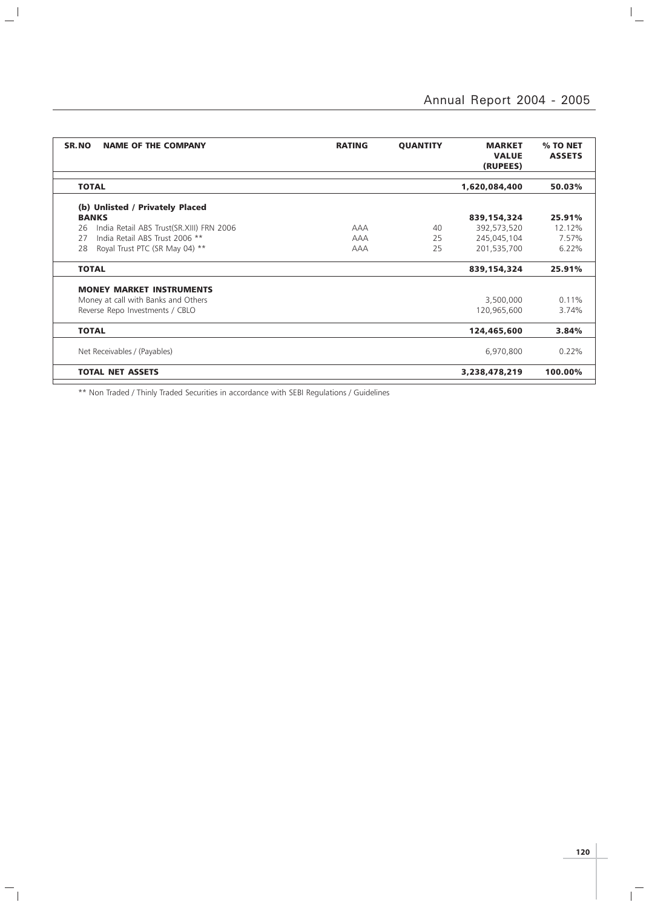$\overline{a}$ 

| SR.NO<br><b>NAME OF THE COMPANY</b>            | <b>RATING</b> | <b>QUANTITY</b> | <b>MARKET</b><br><b>VALUE</b><br>(RUPEES) | % TO NET<br><b>ASSETS</b> |
|------------------------------------------------|---------------|-----------------|-------------------------------------------|---------------------------|
|                                                |               |                 |                                           |                           |
| <b>TOTAL</b>                                   |               |                 | 1,620,084,400                             | 50.03%                    |
| (b) Unlisted / Privately Placed                |               |                 |                                           |                           |
| <b>BANKS</b>                                   |               |                 | 839,154,324                               | 25.91%                    |
| India Retail ABS Trust(SR.XIII) FRN 2006<br>26 | <b>AAA</b>    | 40              | 392,573,520                               | 12.12%                    |
| India Retail ABS Trust 2006 **<br>27           | <b>AAA</b>    | 25              | 245,045,104                               | 7.57%                     |
| Royal Trust PTC (SR May 04) **<br>28           | <b>AAA</b>    | 25              | 201,535,700                               | 6.22%                     |
| <b>TOTAL</b>                                   |               |                 | 839,154,324                               | 25.91%                    |
| <b>MONEY MARKET INSTRUMENTS</b>                |               |                 |                                           |                           |
| Money at call with Banks and Others            |               |                 | 3,500,000                                 | 0.11%                     |
| Reverse Repo Investments / CBLO                |               |                 | 120,965,600                               | 3.74%                     |
|                                                |               |                 |                                           |                           |
| <b>TOTAL</b>                                   |               |                 | 124,465,600                               | 3.84%                     |
| Net Receivables / (Payables)                   |               |                 | 6,970,800                                 | 0.22%                     |
| <b>TOTAL NET ASSETS</b>                        |               |                 | 3,238,478,219                             | 100.00%                   |

\*\* Non Traded / Thinly Traded Securities in accordance with SEBI Regulations / Guidelines

 $\mathbf{a}^{\dagger}$ 

 $\mathbb{Z}_1$ 

 $\mathbf{p}^{\top}$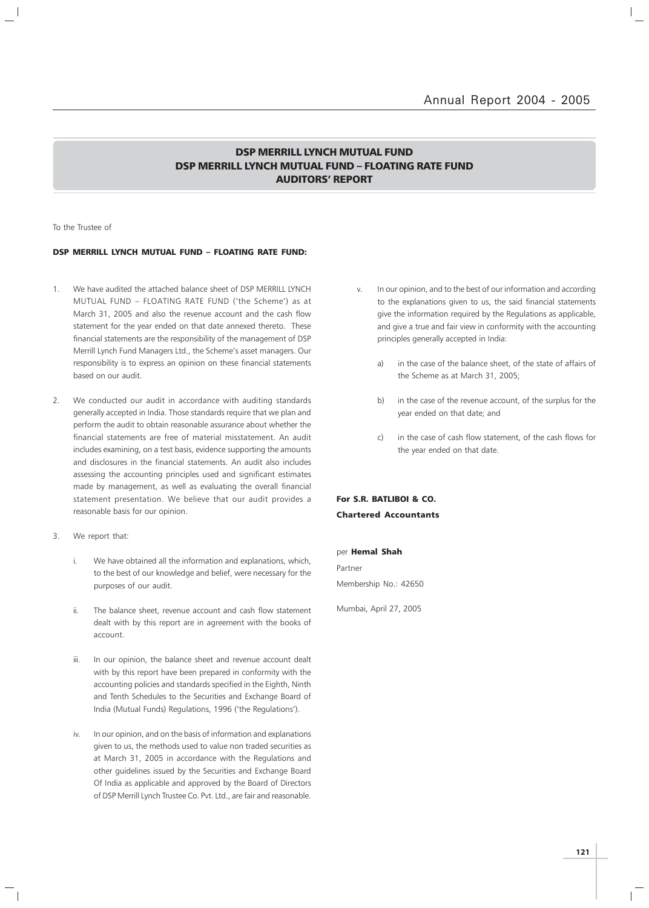### DSP MERRILL LYNCH MUTUAL FUND DSP MERRILL LYNCH MUTUAL FUND – FLOATING RATE FUND AUDITORS' REPORT

#### To the Trustee of

#### DSP MERRILL LYNCH MUTUAL FUND – FLOATING RATE FUND:

- 1. We have audited the attached balance sheet of DSP MERRILL LYNCH MUTUAL FUND – FLOATING RATE FUND ('the Scheme') as at March 31, 2005 and also the revenue account and the cash flow statement for the year ended on that date annexed thereto. These financial statements are the responsibility of the management of DSP Merrill Lynch Fund Managers Ltd., the Scheme's asset managers. Our responsibility is to express an opinion on these financial statements based on our audit.
- 2. We conducted our audit in accordance with auditing standards generally accepted in India. Those standards require that we plan and perform the audit to obtain reasonable assurance about whether the financial statements are free of material misstatement. An audit includes examining, on a test basis, evidence supporting the amounts and disclosures in the financial statements. An audit also includes assessing the accounting principles used and significant estimates made by management, as well as evaluating the overall financial statement presentation. We believe that our audit provides a reasonable basis for our opinion.
- 3. We report that:
	- i. We have obtained all the information and explanations, which, to the best of our knowledge and belief, were necessary for the purposes of our audit.
	- ii. The balance sheet, revenue account and cash flow statement dealt with by this report are in agreement with the books of account.
	- iii. In our opinion, the balance sheet and revenue account dealt with by this report have been prepared in conformity with the accounting policies and standards specified in the Eighth, Ninth and Tenth Schedules to the Securities and Exchange Board of India (Mutual Funds) Regulations, 1996 ('the Regulations').
	- iv. In our opinion, and on the basis of information and explanations given to us, the methods used to value non traded securities as at March 31, 2005 in accordance with the Regulations and other guidelines issued by the Securities and Exchange Board Of India as applicable and approved by the Board of Directors of DSP Merrill Lynch Trustee Co. Pvt. Ltd., are fair and reasonable.
- v. In our opinion, and to the best of our information and according to the explanations given to us, the said financial statements give the information required by the Regulations as applicable, and give a true and fair view in conformity with the accounting principles generally accepted in India:
	- a) in the case of the balance sheet, of the state of affairs of the Scheme as at March 31, 2005;
	- b) in the case of the revenue account, of the surplus for the year ended on that date; and
	- c) in the case of cash flow statement, of the cash flows for the year ended on that date.

### For S.R. BATLIBOI & CO. Chartered Accountants

### per Hemal Shah Partner Membership No.: 42650

Mumbai, April 27, 2005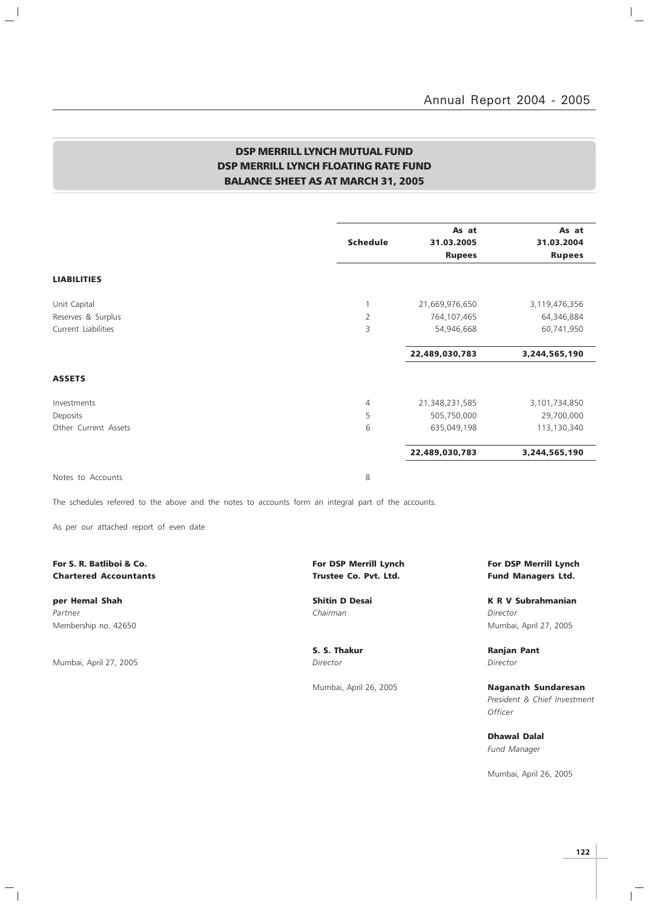$\frac{1}{\sqrt{2}}$ 

### DSP MERRILL LYNCH MUTUAL FUND DSP MERRILL LYNCH FLOATING RATE FUND BALANCE SHEET AS AT MARCH 31, 2005

|                      | <b>Schedule</b> | As at<br>31.03.2005<br><b>Rupees</b> | As at<br>31.03.2004<br><b>Rupees</b> |
|----------------------|-----------------|--------------------------------------|--------------------------------------|
| <b>LIABILITIES</b>   |                 |                                      |                                      |
| Unit Capital         | $\overline{1}$  | 21,669,976,650                       | 3,119,476,356                        |
| Reserves & Surplus   | $\overline{2}$  | 764,107,465                          | 64,346,884                           |
| Current Liabilities  | 3               | 54,946,668                           | 60,741,950                           |
|                      |                 | 22,489,030,783                       | 3,244,565,190                        |
| <b>ASSETS</b>        |                 |                                      |                                      |
| Investments          | $\overline{4}$  | 21,348,231,585                       | 3,101,734,850                        |
| Deposits             | 5               | 505,750,000                          | 29,700,000                           |
| Other Current Assets | 6               | 635,049,198                          | 113,130,340                          |
|                      |                 | 22,489,030,783                       | 3,244,565,190                        |
| Notes to Accounts    | 8               |                                      |                                      |

The schedules referred to the above and the notes to accounts form an integral part of the accounts.

As per our attached report of even date

# Chartered Accountants **Trustee Co. Pvt. Ltd.** Fund Managers Ltd.

Partner Chairman Director (Chairman Chairman Chairman Director Director Chairman Chairman Director

 $\frac{1}{2}$ 

Mumbai, April 27, 2005 Director Director

 $\frac{1}{\sqrt{2}}$ 

S. S. Thakur **Ranjan Pant** 

For S. R. Batliboi & Co. The State of the State of the Formula Lynch For DSP Merrill Lynch For DSP Merrill Lynch

per Hemal Shah Shah Shitin D Desai Shitin D Desai K R V Subrahmanian Membership no. 42650 Mumbai, April 27, 2005

Mumbai, April 26, 2005 **Naganath Sundaresan** President & Chief Investment **Officer** 

> Dhawal Dalal Fund Manager

Mumbai, April 26, 2005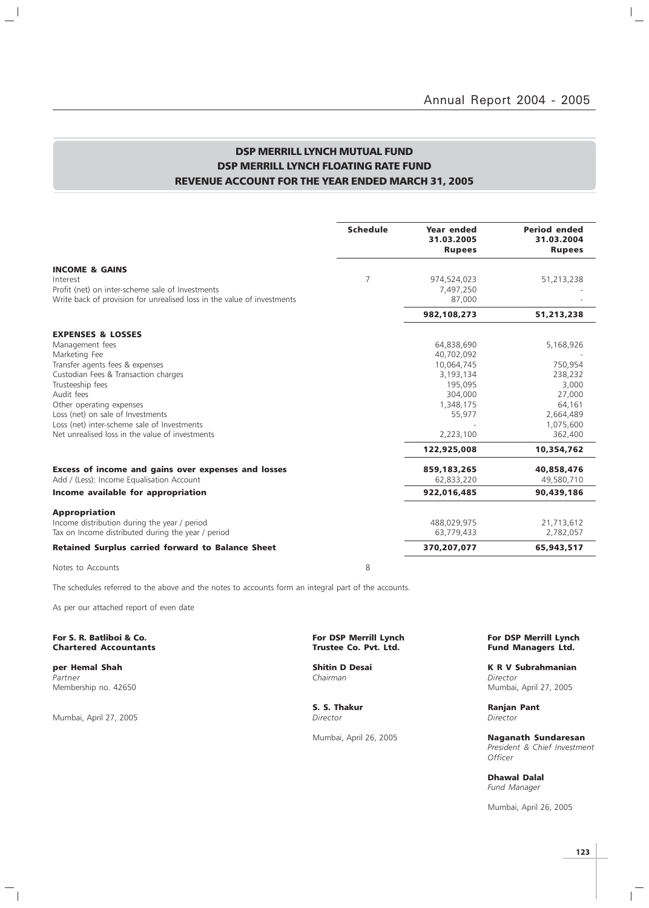### DSP MERRILL LYNCH MUTUAL FUND DSP MERRILL LYNCH FLOATING RATE FUND REVENUE ACCOUNT FOR THE YEAR ENDED MARCH 31, 2005

|                                                                                                                             | <b>Schedule</b> | Year ended<br>31.03.2005<br><b>Rupees</b> | <b>Period ended</b><br>31.03.2004<br><b>Rupees</b> |
|-----------------------------------------------------------------------------------------------------------------------------|-----------------|-------------------------------------------|----------------------------------------------------|
| <b>INCOME &amp; GAINS</b><br>Interest                                                                                       | 7               | 974,524,023                               | 51,213,238                                         |
| Profit (net) on inter-scheme sale of Investments<br>Write back of provision for unrealised loss in the value of investments |                 | 7,497,250<br>87,000                       |                                                    |
|                                                                                                                             |                 | 982,108,273                               | 51,213,238                                         |
| <b>EXPENSES &amp; LOSSES</b>                                                                                                |                 |                                           |                                                    |
| Management fees                                                                                                             |                 | 64,838,690                                | 5,168,926                                          |
| Marketing Fee                                                                                                               |                 | 40,702,092                                |                                                    |
| Transfer agents fees & expenses                                                                                             |                 | 10,064,745                                | 750,954                                            |
| Custodian Fees & Transaction charges                                                                                        |                 | 3,193,134                                 | 238,232                                            |
| Trusteeship fees<br>Audit fees                                                                                              |                 | 195,095                                   | 3,000                                              |
| Other operating expenses                                                                                                    |                 | 304,000<br>1,348,175                      | 27,000<br>64,161                                   |
| Loss (net) on sale of Investments                                                                                           |                 | 55,977                                    | 2,664,489                                          |
| Loss (net) inter-scheme sale of Investments                                                                                 |                 |                                           | 1,075,600                                          |
| Net unrealised loss in the value of investments                                                                             |                 | 2,223,100                                 | 362,400                                            |
|                                                                                                                             |                 | 122,925,008                               | 10,354,762                                         |
| <b>Excess of income and gains over expenses and losses</b>                                                                  |                 | 859,183,265                               | 40,858,476                                         |
| Add / (Less): Income Equalisation Account                                                                                   |                 | 62,833,220                                | 49,580,710                                         |
| Income available for appropriation                                                                                          |                 | 922,016,485                               | 90,439,186                                         |
| <b>Appropriation</b>                                                                                                        |                 |                                           |                                                    |
| Income distribution during the year / period                                                                                |                 | 488,029,975                               | 21,713,612                                         |
| Tax on Income distributed during the year / period                                                                          |                 | 63,779,433                                | 2,782,057                                          |
| <b>Retained Surplus carried forward to Balance Sheet</b>                                                                    |                 | 370,207,077                               | 65,943,517                                         |
|                                                                                                                             |                 |                                           |                                                    |

Notes to Accounts 8

 $\frac{1}{2}$ 

The schedules referred to the above and the notes to accounts form an integral part of the accounts.

As per our attached report of even date

#### For S. R. Batliboi & Co. The Communication of the Form DSP Merrill Lynch For DSP Merrill Lynch For DSP Merrill Lynch Chartered Accountants Trustee Co. Pvt. Ltd. Fund Managers Ltd.

Partner Chairman Director (Chairman Chairman Chairman Director Director Chairman Chairman Director

Mumbai, April 27, 2005

 $\overline{\phantom{a}}_1$ 

**S. S. Thakur Ranjan Pant Director Ranjan Pant Director** 

**per Hemal Shah Shitin D Desai K R V Subrahmanian**<br>Partner Shah Shah Shahmanian Shahman Shahman Shahmanian Shahmanian Shahmanian Shahmanian Shahmanian Shahmanian Membership no. 42650 Mumbai, April 27, 2005

Mumbai, April 26, 2005 Naganath Sundaresan President & Chief Investment **Officer** 

> Dhawal Dalal Fund Manager

Mumbai, April 26, 2005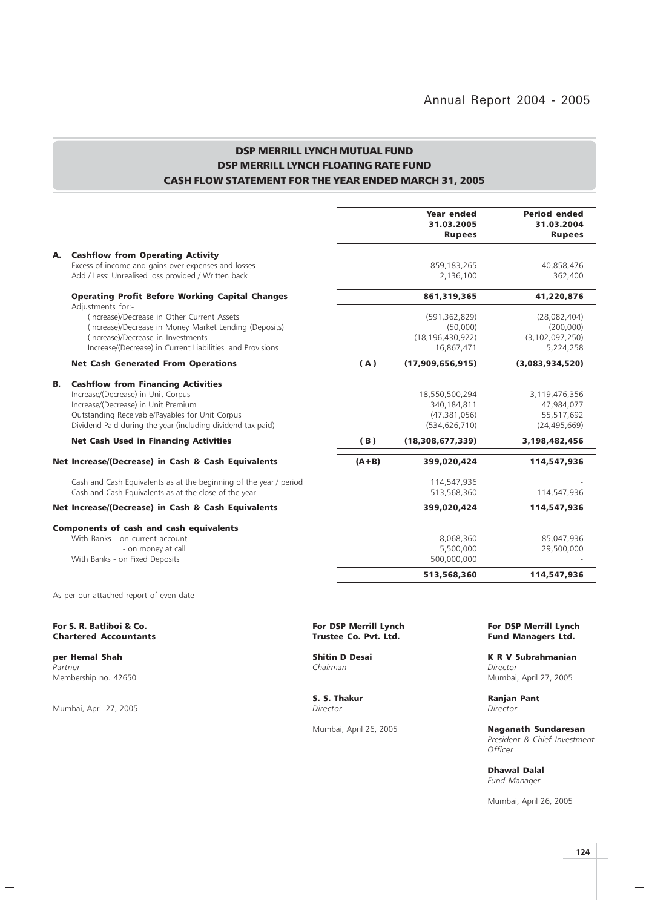$\mathbb{I}_+$ 

### DSP MERRILL LYNCH MUTUAL FUND DSP MERRILL LYNCH FLOATING RATE FUND CASH FLOW STATEMENT FOR THE YEAR ENDED MARCH 31, 2005

|    |                                                                                                                                                                                                                                          |         | <b>Year ended</b><br>31.03.2005<br><b>Rupees</b>                   | <b>Period ended</b><br>31.03.2004<br><b>Rupees</b>           |
|----|------------------------------------------------------------------------------------------------------------------------------------------------------------------------------------------------------------------------------------------|---------|--------------------------------------------------------------------|--------------------------------------------------------------|
| А. | <b>Cashflow from Operating Activity</b><br>Excess of income and gains over expenses and losses<br>Add / Less: Unrealised loss provided / Written back                                                                                    |         | 859,183,265<br>2,136,100                                           | 40,858,476<br>362,400                                        |
|    | <b>Operating Profit Before Working Capital Changes</b>                                                                                                                                                                                   |         | 861,319,365                                                        | 41,220,876                                                   |
|    | Adjustments for:-<br>(Increase)/Decrease in Other Current Assets<br>(Increase)/Decrease in Money Market Lending (Deposits)<br>(Increase)/Decrease in Investments<br>Increase/(Decrease) in Current Liabilities and Provisions            |         | (591, 362, 829)<br>(50,000)<br>(18, 196, 430, 922)<br>16,867,471   | (28,082,404)<br>(200,000)<br>(3, 102, 097, 250)<br>5,224,258 |
|    | <b>Net Cash Generated From Operations</b>                                                                                                                                                                                                | (A)     | (17,909,656,915)                                                   | (3,083,934,520)                                              |
| В. | <b>Cashflow from Financing Activities</b><br>Increase/(Decrease) in Unit Corpus<br>Increase/(Decrease) in Unit Premium<br>Outstanding Receivable/Payables for Unit Corpus<br>Dividend Paid during the year (including dividend tax paid) |         | 18,550,500,294<br>340,184,811<br>(47, 381, 056)<br>(534, 626, 710) | 3,119,476,356<br>47,984,077<br>55,517,692<br>(24, 495, 669)  |
|    | <b>Net Cash Used in Financing Activities</b>                                                                                                                                                                                             | (B)     | (18,308,677,339)                                                   | 3,198,482,456                                                |
|    | Net Increase/(Decrease) in Cash & Cash Equivalents                                                                                                                                                                                       | $(A+B)$ | 399,020,424                                                        | 114,547,936                                                  |
|    | Cash and Cash Equivalents as at the beginning of the year / period<br>Cash and Cash Equivalents as at the close of the year                                                                                                              |         | 114,547,936<br>513,568,360                                         | 114,547,936                                                  |
|    | Net Increase/(Decrease) in Cash & Cash Equivalents                                                                                                                                                                                       |         | 399,020,424                                                        | 114,547,936                                                  |
|    | <b>Components of cash and cash equivalents</b><br>With Banks - on current account<br>- on money at call<br>With Banks - on Fixed Deposits                                                                                                |         | 8,068,360<br>5,500,000<br>500,000,000                              | 85,047,936<br>29,500,000                                     |
|    |                                                                                                                                                                                                                                          |         | 513,568,360                                                        | 114,547,936                                                  |
|    |                                                                                                                                                                                                                                          |         |                                                                    |                                                              |

As per our attached report of even date

#### For S. R. Batliboi & Co. The Co. All the Control of Communist Control of Charles Co. Por DSP Merrill Lynch For DSP Merrill Lynch Charles Co. Pvt. Ltd. Fund Managers Ltd. **Chartered Accountants**

Partner Chairman Director (Chairman Chairman Chairman Director Director Chairman Director (Chairman Director Ch Membership no. 42650 Mumbai, April 27, 2005

 $\frac{1}{2}$ 

Mumbai, April 27, 2005

 $\overline{\phantom{a}}_1$ 

**S. S. Thakur Ranjan Pant** *Director Director* 

Mumbai, April 26, 2005 **Naganath Sundaresan** 

**per Hemal Shah Shitin D Desai K R V Subrahmanian**<br>Partner **K R V Subrahmanian**<br>Chairman Chairman

President & Chief Investment **Officer** 

Dhawal Dalal Fund Manager

Mumbai, April 26, 2005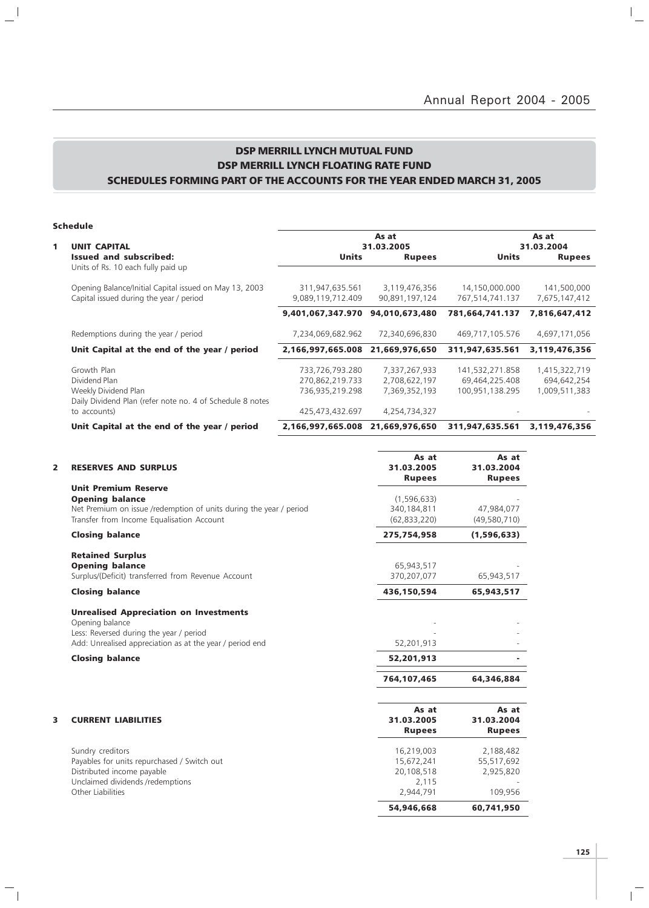$\overline{a}$ 

### DSP MERRILL LYNCH MUTUAL FUND DSP MERRILL LYNCH FLOATING RATE FUND SCHEDULES FORMING PART OF THE ACCOUNTS FOR THE YEAR ENDED MARCH 31, 2005

#### Schedule

 $\mathbf{a}^{\parallel}$ 

 $\overline{\phantom{a}}_1$ 

|                                                                                                   |                                                                                  | As at                           |                                                      | As at                        |
|---------------------------------------------------------------------------------------------------|----------------------------------------------------------------------------------|---------------------------------|------------------------------------------------------|------------------------------|
|                                                                                                   |                                                                                  |                                 |                                                      | 31.03.2004                   |
| Issued and subscribed:<br>Units of Rs. 10 each fully paid up                                      | <b>Units</b>                                                                     | <b>Rupees</b>                   | <b>Units</b>                                         | <b>Rupees</b>                |
| Opening Balance/Initial Capital issued on May 13, 2003<br>Capital issued during the year / period | 311,947,635.561<br>9,089,119,712.409                                             | 3,119,476,356<br>90,891,197,124 | 14,150,000.000<br>767,514,741.137                    | 141,500,000<br>7,675,147,412 |
|                                                                                                   |                                                                                  | 94,010,673,480                  | 781,664,741.137                                      | 7,816,647,412                |
| Redemptions during the year / period                                                              | 7,234,069,682.962                                                                | 72,340,696,830                  | 469,717,105.576                                      | 4,697,171,056                |
| Unit Capital at the end of the year / period                                                      |                                                                                  | 21,669,976,650                  | 311,947,635.561                                      | 3,119,476,356                |
| Growth Plan                                                                                       | 733,726,793.280                                                                  | 7,337,267,933                   | 141,532,271.858                                      | 1,415,322,719                |
| Dividend Plan                                                                                     | 270,862,219.733                                                                  | 2,708,622,197                   | 69,464,225.408                                       | 694,642,254                  |
| Weekly Dividend Plan                                                                              | 736,935,219.298                                                                  | 7,369,352,193                   | 100,951,138.295                                      | 1,009,511,383                |
|                                                                                                   |                                                                                  |                                 |                                                      |                              |
| to accounts)                                                                                      | 425,473,432.697                                                                  | 4,254,734,327                   |                                                      |                              |
| Unit Capital at the end of the year / period                                                      | 2,166,997,665.008                                                                | 21,669,976,650                  | 311,947,635.561                                      | 3,119,476,356                |
|                                                                                                   | <b>UNIT CAPITAL</b><br>Daily Dividend Plan (refer note no. 4 of Schedule 8 notes |                                 | 31.03.2005<br>9,401,067,347.970<br>2,166,997,665.008 |                              |

| 2 | <b>RESERVES AND SURPLUS</b>                                                                                                                                              | As at<br>31.03.2005<br><b>Rupees</b>                         | As at<br>31.03.2004<br><b>Rupees</b>            |
|---|--------------------------------------------------------------------------------------------------------------------------------------------------------------------------|--------------------------------------------------------------|-------------------------------------------------|
|   | <b>Unit Premium Reserve</b><br><b>Opening balance</b><br>Net Premium on issue /redemption of units during the year / period<br>Transfer from Income Equalisation Account | (1,596,633)<br>340,184,811<br>(62, 833, 220)                 | 47,984,077<br>(49,580,710)                      |
|   | <b>Closing balance</b>                                                                                                                                                   | 275,754,958                                                  | (1,596,633)                                     |
|   | <b>Retained Surplus</b><br><b>Opening balance</b><br>Surplus/(Deficit) transferred from Revenue Account                                                                  | 65,943,517<br>370,207,077                                    | 65,943,517                                      |
|   | <b>Closing balance</b>                                                                                                                                                   | 436,150,594                                                  | 65,943,517                                      |
|   | <b>Unrealised Appreciation on Investments</b><br>Opening balance<br>Less: Reversed during the year / period<br>Add: Unrealised appreciation as at the year / period end  | 52,201,913                                                   |                                                 |
|   | <b>Closing balance</b>                                                                                                                                                   | 52,201,913                                                   |                                                 |
|   |                                                                                                                                                                          | 764,107,465                                                  | 64,346,884                                      |
| 3 | <b>CURRENT LIABILITIES</b>                                                                                                                                               | As at<br>31.03.2005<br><b>Rupees</b>                         | As at<br>31.03.2004<br><b>Rupees</b>            |
|   | Sundry creditors<br>Payables for units repurchased / Switch out<br>Distributed income payable<br>Unclaimed dividends /redemptions<br>Other Liabilities                   | 16,219,003<br>15,672,241<br>20,108,518<br>2,115<br>2,944,791 | 2,188,482<br>55,517,692<br>2,925,820<br>109,956 |
|   |                                                                                                                                                                          | 54,946,668                                                   | 60,741,950                                      |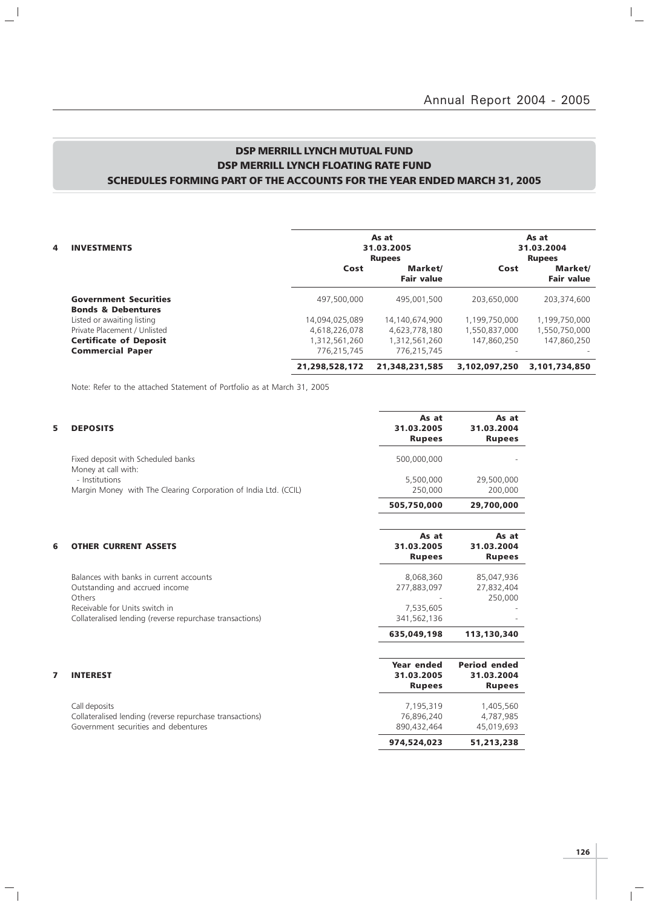$\frac{1}{\sqrt{2}}$ 

### DSP MERRILL LYNCH MUTUAL FUND DSP MERRILL LYNCH FLOATING RATE FUND SCHEDULES FORMING PART OF THE ACCOUNTS FOR THE YEAR ENDED MARCH 31, 2005

| 4 | As at<br><b>INVESTMENTS</b><br>31.03.2005<br><b>Rupees</b>    |                |                              |               | As at<br>31.03.2004<br><b>Rupees</b> |
|---|---------------------------------------------------------------|----------------|------------------------------|---------------|--------------------------------------|
|   |                                                               | Cost           | Market/<br><b>Fair value</b> | Cost          | Market/<br><b>Fair value</b>         |
|   | <b>Government Securities</b><br><b>Bonds &amp; Debentures</b> | 497.500.000    | 495,001,500                  | 203.650.000   | 203.374.600                          |
|   | Listed or awaiting listing                                    | 14,094,025,089 | 14.140.674.900               | 1,199,750,000 | 1,199,750,000                        |
|   | Private Placement / Unlisted                                  | 4,618,226,078  | 4.623.778.180                | 1,550,837,000 | 1,550,750,000                        |
|   | <b>Certificate of Deposit</b>                                 | 1,312,561,260  | 1,312,561,260                | 147,860,250   | 147,860,250                          |
|   | <b>Commercial Paper</b>                                       | 776.215.745    | 776.215.745                  |               |                                      |
|   |                                                               | 21,298,528,172 | 21,348,231,585               | 3,102,097,250 | 3,101,734,850                        |

Note: Refer to the attached Statement of Portfolio as at March 31, 2005

 $\mathbf{a}^{\dagger}$ 

 $\mathcal{L}_{\parallel}$ 

| 5 | <b>DEPOSITS</b>                                                                                                   | As at<br>31.03.2005<br><b>Rupees</b>      | As at<br>31.03.2004<br><b>Rupees</b>               |
|---|-------------------------------------------------------------------------------------------------------------------|-------------------------------------------|----------------------------------------------------|
|   | Fixed deposit with Scheduled banks<br>Money at call with:                                                         | 500,000,000                               |                                                    |
|   | - Institutions<br>Margin Money with The Clearing Corporation of India Ltd. (CCIL)                                 | 5,500,000<br>250,000                      | 29,500,000<br>200,000                              |
|   |                                                                                                                   | 505,750,000                               | 29,700,000                                         |
| 6 | <b>OTHER CURRENT ASSETS</b>                                                                                       | As at<br>31.03.2005<br><b>Rupees</b>      | As at<br>31.03.2004<br><b>Rupees</b>               |
|   | Balances with banks in current accounts<br>Outstanding and accrued income<br>Others                               | 8,068,360<br>277,883,097                  | 85,047,936<br>27,832,404<br>250,000                |
|   | Receivable for Units switch in<br>Collateralised lending (reverse repurchase transactions)                        | 7,535,605<br>341,562,136                  |                                                    |
|   |                                                                                                                   | 635,049,198                               | 113,130,340                                        |
| 7 | <b>INTEREST</b>                                                                                                   | Year ended<br>31.03.2005<br><b>Rupees</b> | <b>Period ended</b><br>31.03.2004<br><b>Rupees</b> |
|   | Call deposits<br>Collateralised lending (reverse repurchase transactions)<br>Government securities and debentures | 7,195,319<br>76,896,240<br>890,432,464    | 1,405,560<br>4,787,985<br>45,019,693               |
|   |                                                                                                                   | 974,524,023                               | 51,213,238                                         |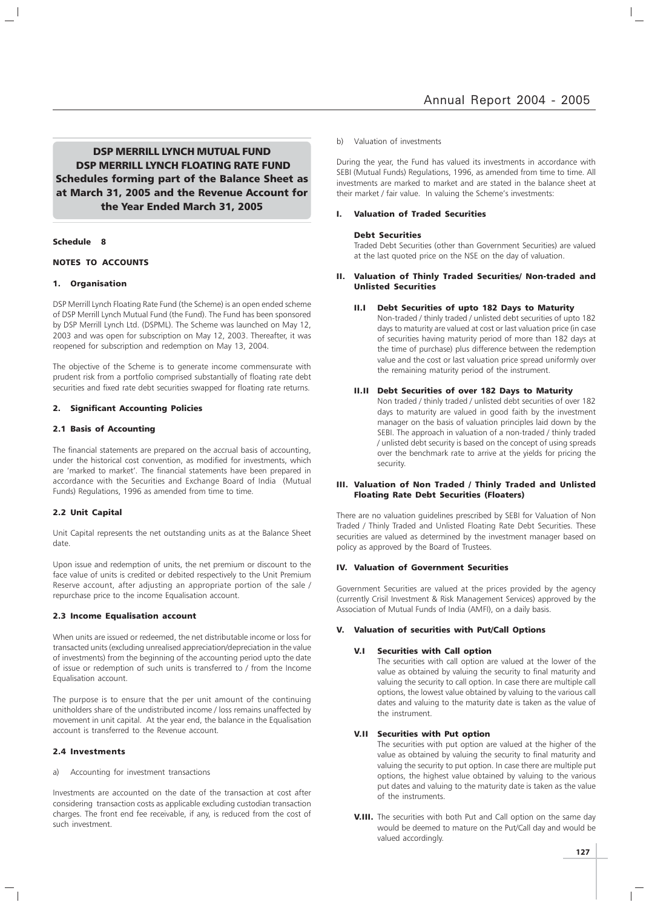DSP MERRILL LYNCH MUTUAL FUND DSP MERRILL LYNCH FLOATING RATE FUND Schedules forming part of the Balance Sheet as at March 31, 2005 and the Revenue Account for the Year Ended March 31, 2005

#### Schedule 8

#### NOTES TO ACCOUNTS

#### 1. Organisation

DSP Merrill Lynch Floating Rate Fund (the Scheme) is an open ended scheme of DSP Merrill Lynch Mutual Fund (the Fund). The Fund has been sponsored by DSP Merrill Lynch Ltd. (DSPML). The Scheme was launched on May 12, 2003 and was open for subscription on May 12, 2003. Thereafter, it was reopened for subscription and redemption on May 13, 2004.

The objective of the Scheme is to generate income commensurate with prudent risk from a portfolio comprised substantially of floating rate debt securities and fixed rate debt securities swapped for floating rate returns.

#### 2. Significant Accounting Policies

#### 2.1 Basis of Accounting

The financial statements are prepared on the accrual basis of accounting, under the historical cost convention, as modified for investments, which are 'marked to market'. The financial statements have been prepared in accordance with the Securities and Exchange Board of India (Mutual Funds) Regulations, 1996 as amended from time to time.

#### 2.2 Unit Capital

Unit Capital represents the net outstanding units as at the Balance Sheet date.

Upon issue and redemption of units, the net premium or discount to the face value of units is credited or debited respectively to the Unit Premium Reserve account, after adjusting an appropriate portion of the sale / repurchase price to the income Equalisation account.

#### 2.3 Income Equalisation account

When units are issued or redeemed, the net distributable income or loss for transacted units (excluding unrealised appreciation/depreciation in the value of investments) from the beginning of the accounting period upto the date of issue or redemption of such units is transferred to / from the Income Equalisation account.

The purpose is to ensure that the per unit amount of the continuing unitholders share of the undistributed income / loss remains unaffected by movement in unit capital. At the year end, the balance in the Equalisation account is transferred to the Revenue account.

#### 2.4 Investments

a) Accounting for investment transactions

Investments are accounted on the date of the transaction at cost after considering transaction costs as applicable excluding custodian transaction charges. The front end fee receivable, if any, is reduced from the cost of such investment.

#### b) Valuation of investments

During the year, the Fund has valued its investments in accordance with SEBI (Mutual Funds) Regulations, 1996, as amended from time to time. All investments are marked to market and are stated in the balance sheet at their market / fair value. In valuing the Scheme's investments:

#### I. Valuation of Traded Securities

#### Debt Securities

Traded Debt Securities (other than Government Securities) are valued at the last quoted price on the NSE on the day of valuation.

#### Valuation of Thinly Traded Securities/ Non-traded and Unlisted Securities

#### II.I Debt Securities of upto 182 Days to Maturity

Non-traded / thinly traded / unlisted debt securities of upto 182 days to maturity are valued at cost or last valuation price (in case of securities having maturity period of more than 182 days at the time of purchase) plus difference between the redemption value and the cost or last valuation price spread uniformly over the remaining maturity period of the instrument.

#### II.II Debt Securities of over 182 Days to Maturity

Non traded / thinly traded / unlisted debt securities of over 182 days to maturity are valued in good faith by the investment manager on the basis of valuation principles laid down by the SEBI. The approach in valuation of a non-traded / thinly traded / unlisted debt security is based on the concept of using spreads over the benchmark rate to arrive at the yields for pricing the security.

#### III. Valuation of Non Traded / Thinly Traded and Unlisted Floating Rate Debt Securities (Floaters)

There are no valuation guidelines prescribed by SEBI for Valuation of Non Traded / Thinly Traded and Unlisted Floating Rate Debt Securities. These securities are valued as determined by the investment manager based on policy as approved by the Board of Trustees.

#### IV. Valuation of Government Securities

Government Securities are valued at the prices provided by the agency (currently Crisil Investment & Risk Management Services) approved by the Association of Mutual Funds of India (AMFI), on a daily basis.

#### V. Valuation of securities with Put/Call Options

#### V.I Securities with Call option

The securities with call option are valued at the lower of the value as obtained by valuing the security to final maturity and valuing the security to call option. In case there are multiple call options, the lowest value obtained by valuing to the various call dates and valuing to the maturity date is taken as the value of the instrument.

#### V.II Securities with Put option

The securities with put option are valued at the higher of the value as obtained by valuing the security to final maturity and valuing the security to put option. In case there are multiple put options, the highest value obtained by valuing to the various put dates and valuing to the maturity date is taken as the value of the instruments.

**V.III.** The securities with both Put and Call option on the same day would be deemed to mature on the Put/Call day and would be valued accordingly.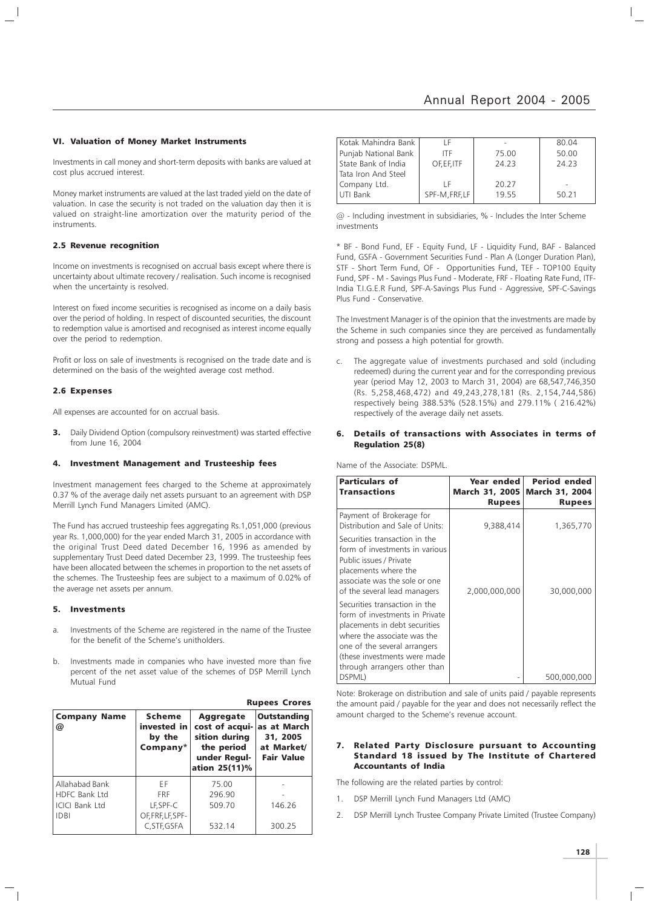#### VI. Valuation of Money Market Instruments

Investments in call money and short-term deposits with banks are valued at cost plus accrued interest.

Money market instruments are valued at the last traded yield on the date of valuation. In case the security is not traded on the valuation day then it is valued on straight-line amortization over the maturity period of the instruments.

#### 2.5 Revenue recognition

Income on investments is recognised on accrual basis except where there is uncertainty about ultimate recovery / realisation. Such income is recognised when the uncertainty is resolved.

Interest on fixed income securities is recognised as income on a daily basis over the period of holding. In respect of discounted securities, the discount to redemption value is amortised and recognised as interest income equally over the period to redemption.

Profit or loss on sale of investments is recognised on the trade date and is determined on the basis of the weighted average cost method.

#### 2.6 Expenses

All expenses are accounted for on accrual basis.

3. Daily Dividend Option (compulsory reinvestment) was started effective from June 16, 2004

#### 4. Investment Management and Trusteeship fees

Investment management fees charged to the Scheme at approximately 0.37 % of the average daily net assets pursuant to an agreement with DSP Merrill Lynch Fund Managers Limited (AMC).

The Fund has accrued trusteeship fees aggregating Rs.1,051,000 (previous year Rs. 1,000,000) for the year ended March 31, 2005 in accordance with the original Trust Deed dated December 16, 1996 as amended by supplementary Trust Deed dated December 23, 1999. The trusteeship fees have been allocated between the schemes in proportion to the net assets of the schemes. The Trusteeship fees are subject to a maximum of 0.02% of the average net assets per annum.

#### 5. Investments

- a. Investments of the Scheme are registered in the name of the Trustee for the benefit of the Scheme's unitholders.
- b. Investments made in companies who have invested more than five percent of the net asset value of the schemes of DSP Merrill Lynch Mutual Fund

Rupees Crores

| <b>Company Name</b><br>@ | <b>Scheme</b><br>invested in<br>by the<br>Company* | <b>Aggregate</b><br>cost of acqui-<br>sition during<br>the period<br>under Regul-<br>ation 25(11)% | <b>Outstanding</b><br>as at March<br>31, 2005<br>at Market/<br><b>Fair Value</b> |
|--------------------------|----------------------------------------------------|----------------------------------------------------------------------------------------------------|----------------------------------------------------------------------------------|
| Allahabad Bank           | FF                                                 | 75.00                                                                                              |                                                                                  |
| <b>HDFC Bank Ltd</b>     | <b>FRF</b>                                         | 296.90                                                                                             |                                                                                  |
| <b>ICICI Bank Ltd</b>    | LF, SPF-C                                          | 509.70                                                                                             | 146.26                                                                           |
| <b>IDBI</b>              | OF, FRF, LF, SPF-                                  |                                                                                                    |                                                                                  |
|                          | C.STF.GSFA                                         | 532.14                                                                                             | 300.25                                                                           |

| Kotak Mahindra Bank   | ΙF             |       | 80.04 |
|-----------------------|----------------|-------|-------|
| Punjab National Bank  | ITF            | 75.00 | 50.00 |
| l State Bank of India | OF.EF.ITF      | 24.23 | 24.23 |
| Tata Iron And Steel   |                |       |       |
| Company Ltd.          | ΙF             | 20.27 |       |
| UTI Bank              | SPF-M, FRF, LF | 1955  | 50.21 |

@ - Including investment in subsidiaries, % - Includes the Inter Scheme investments

\* BF - Bond Fund, EF - Equity Fund, LF - Liquidity Fund, BAF - Balanced Fund, GSFA - Government Securities Fund - Plan A (Longer Duration Plan), STF - Short Term Fund, OF - Opportunities Fund, TEF - TOP100 Equity Fund, SPF - M - Savings Plus Fund - Moderate, FRF - Floating Rate Fund, ITF-India T.I.G.E.R Fund, SPF-A-Savings Plus Fund - Aggressive, SPF-C-Savings Plus Fund - Conservative.

The Investment Manager is of the opinion that the investments are made by the Scheme in such companies since they are perceived as fundamentally strong and possess a high potential for growth.

The aggregate value of investments purchased and sold (including redeemed) during the current year and for the corresponding previous year (period May 12, 2003 to March 31, 2004) are 68,547,746,350 (Rs. 5,258,468,472) and 49,243,278,181 (Rs. 2,154,744,586) respectively being 388.53% (528.15%) and 279.11% ( 216.42%) respectively of the average daily net assets.

#### Details of transactions with Associates in terms of Regulation 25(8)

Name of the Associate: DSPML.

| <b>Particulars of</b><br><b>Transactions</b>                                                                                                                                                                                    | Year ended<br><b>March 31, 2005</b><br><b>Rupees</b> | <b>Period ended</b><br><b>March 31, 2004</b><br><b>Rupees</b> |
|---------------------------------------------------------------------------------------------------------------------------------------------------------------------------------------------------------------------------------|------------------------------------------------------|---------------------------------------------------------------|
| Payment of Brokerage for<br>Distribution and Sale of Units:                                                                                                                                                                     | 9,388,414                                            | 1,365,770                                                     |
| Securities transaction in the<br>form of investments in various<br>Public issues / Private<br>placements where the<br>associate was the sole or one<br>of the several lead managers                                             | 2,000,000,000                                        | 30,000,000                                                    |
| Securities transaction in the<br>form of investments in Private<br>placements in debt securities<br>where the associate was the<br>one of the several arrangers<br>(these investments were made<br>through arrangers other than |                                                      |                                                               |
| DSPML)                                                                                                                                                                                                                          |                                                      | 500,000,000                                                   |

Note: Brokerage on distribution and sale of units paid / payable represents the amount paid / payable for the year and does not necessarily reflect the amount charged to the Scheme's revenue account.

#### 7. Related Party Disclosure pursuant to Accounting Standard 18 issued by The Institute of Chartered Accountants of India

The following are the related parties by control:

- 1. DSP Merrill Lynch Fund Managers Ltd (AMC)
- 2. DSP Merrill Lynch Trustee Company Private Limited (Trustee Company)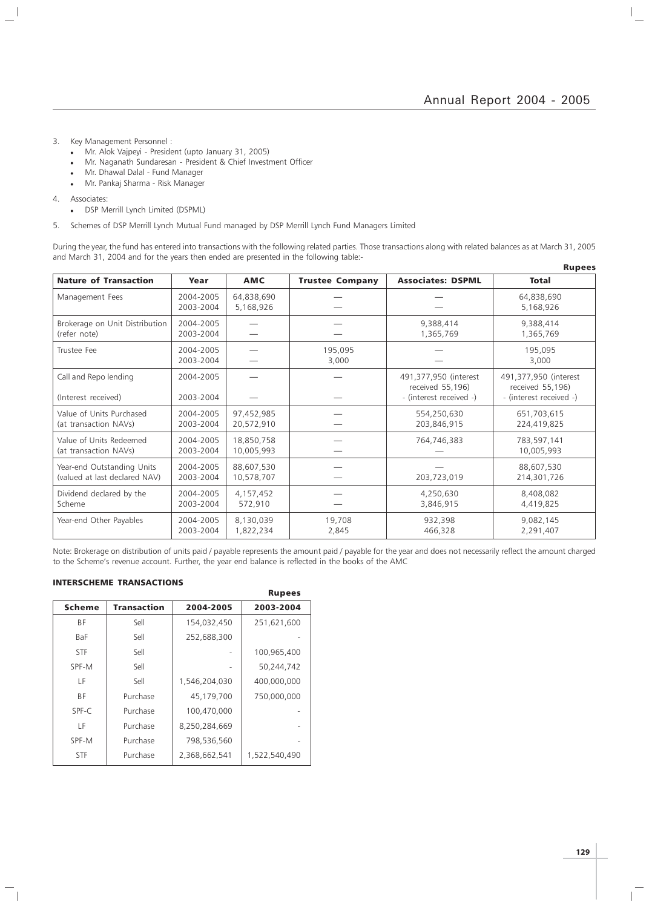$\vert$  $\overline{\phantom{a}}$ 

- 3. Key Management Personnel :
	- Mr. Alok Vajpeyi President (upto January 31, 2005)
	- Mr. Naganath Sundaresan President & Chief Investment Officer
	- Mr. Dhawal Dalal Fund Manager
	- Mr. Pankaj Sharma Risk Manager

4. Associates:

 $\overline{\phantom{a}}$ 

 $\mathcal{L}$ 

- DSP Merrill Lynch Limited (DSPML)
- 5. Schemes of DSP Merrill Lynch Mutual Fund managed by DSP Merrill Lynch Fund Managers Limited

During the year, the fund has entered into transactions with the following related parties. Those transactions along with related balances as at March 31, 2005 and March 31, 2004 and for the years then ended are presented in the following table:- Rupees

|                                |           |            |                        |                          | nupees                  |
|--------------------------------|-----------|------------|------------------------|--------------------------|-------------------------|
| <b>Nature of Transaction</b>   | Year      | <b>AMC</b> | <b>Trustee Company</b> | <b>Associates: DSPML</b> | <b>Total</b>            |
| Management Fees                | 2004-2005 | 64,838,690 |                        |                          | 64,838,690              |
|                                | 2003-2004 | 5,168,926  |                        |                          | 5,168,926               |
| Brokerage on Unit Distribution | 2004-2005 |            |                        | 9,388,414                | 9,388,414               |
| (refer note)                   | 2003-2004 |            |                        | 1,365,769                | 1,365,769               |
| Trustee Fee                    | 2004-2005 |            | 195,095                |                          | 195,095                 |
|                                | 2003-2004 |            | 3,000                  |                          | 3,000                   |
| Call and Repo lending          | 2004-2005 |            |                        | 491,377,950 (interest    | 491,377,950 (interest   |
|                                |           |            |                        | received 55,196)         | received 55,196)        |
| (Interest received)            | 2003-2004 |            |                        | - (interest received -)  | - (interest received -) |
| Value of Units Purchased       | 2004-2005 | 97,452,985 |                        | 554,250,630              | 651,703,615             |
| (at transaction NAVs)          | 2003-2004 | 20,572,910 |                        | 203,846,915              | 224,419,825             |
| Value of Units Redeemed        | 2004-2005 | 18,850,758 |                        | 764,746,383              | 783,597,141             |
| (at transaction NAVs)          | 2003-2004 | 10,005,993 |                        |                          | 10,005,993              |
| Year-end Outstanding Units     | 2004-2005 | 88,607,530 |                        |                          | 88,607,530              |
| (valued at last declared NAV)  | 2003-2004 | 10,578,707 |                        | 203,723,019              | 214,301,726             |
| Dividend declared by the       | 2004-2005 | 4,157,452  |                        | 4,250,630                | 8,408,082               |
| Scheme                         | 2003-2004 | 572,910    |                        | 3,846,915                | 4,419,825               |
| Year-end Other Payables        | 2004-2005 | 8,130,039  | 19,708                 | 932,398                  | 9,082,145               |
|                                | 2003-2004 | 1,822,234  | 2,845                  | 466,328                  | 2,291,407               |

Note: Brokerage on distribution of units paid / payable represents the amount paid / payable for the year and does not necessarily reflect the amount charged to the Scheme's revenue account. Further, the year end balance is reflected in the books of the AMC

#### INTERSCHEME TRANSACTIONS

 $\overline{\phantom{a}}_1$ 

|               |                    |               | <b>Rupees</b> |
|---------------|--------------------|---------------|---------------|
| <b>Scheme</b> | <b>Transaction</b> | 2004-2005     | 2003-2004     |
| ΒF            | Sell               | 154,032,450   | 251,621,600   |
| <b>BaF</b>    | Sell               | 252,688,300   |               |
| <b>STF</b>    | Sell               |               | 100,965,400   |
| SPF-M         | Sell               |               | 50,244,742    |
| ΙF            | Sell               | 1,546,204,030 | 400,000,000   |
| <b>BF</b>     | Purchase           | 45,179,700    | 750,000,000   |
| SPF-C         | Purchase           | 100,470,000   |               |
| ΙF            | Purchase           | 8,250,284,669 |               |
| SPF-M         | Purchase           | 798,536,560   |               |
| <b>STF</b>    | Purchase           | 2,368,662,541 | 1,522,540,490 |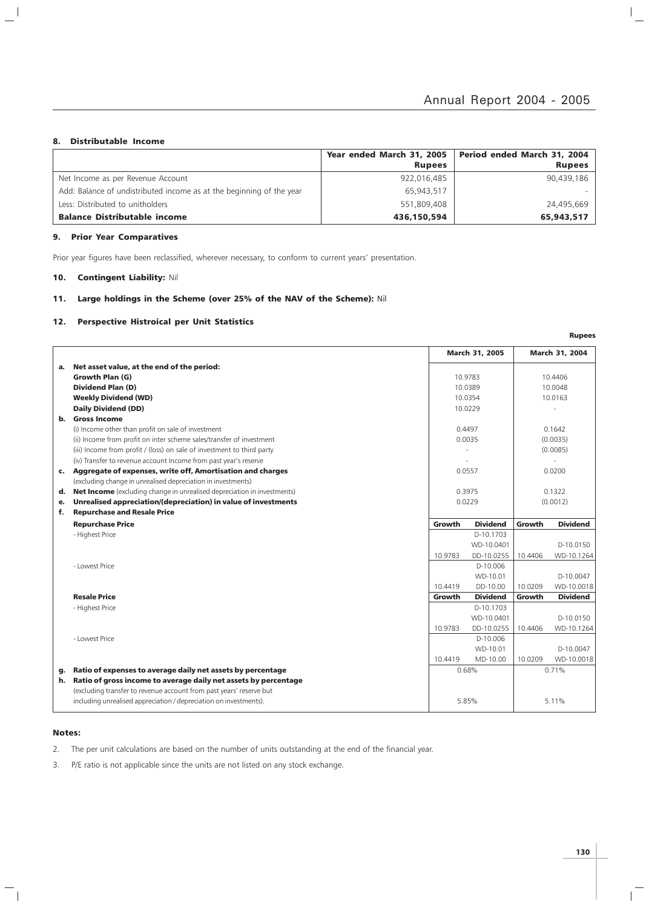#### 8. Distributable Income

 $\overline{\phantom{a}}$  $\overline{\phantom{a}}$ 

|                                                                      | Year ended March 31, 2005 | Period ended March 31, 2004 |
|----------------------------------------------------------------------|---------------------------|-----------------------------|
|                                                                      | <b>Rupees</b>             | <b>Rupees</b>               |
| Net Income as per Revenue Account                                    | 922,016,485               | 90,439,186                  |
| Add: Balance of undistributed income as at the beginning of the year | 65,943,517                |                             |
| Less: Distributed to unitholders                                     | 551,809,408               | 24,495,669                  |
| <b>Balance Distributable income</b>                                  | 436,150,594               | 65,943,517                  |

#### 9. Prior Year Comparatives

Prior year figures have been reclassified, wherever necessary, to conform to current years' presentation.

### 10. Contingent Liability: Nil

#### 11. Large holdings in the Scheme (over 25% of the NAV of the Scheme): Nil

#### 12. Perspective Histroical per Unit Statistics

|                |                                                                         |         | <b>March 31, 2005</b> |          | March 31, 2004  |
|----------------|-------------------------------------------------------------------------|---------|-----------------------|----------|-----------------|
| а.             | Net asset value, at the end of the period:                              |         |                       |          |                 |
|                | Growth Plan (G)                                                         |         | 10.9783               |          | 10.4406         |
|                | <b>Dividend Plan (D)</b>                                                |         | 10.0389               |          | 10.0048         |
|                | <b>Weekly Dividend (WD)</b>                                             |         | 10.0354               |          | 10.0163         |
|                | <b>Daily Dividend (DD)</b>                                              |         | 10.0229               |          |                 |
| b.             | <b>Gross Income</b>                                                     |         |                       |          |                 |
|                | (i) Income other than profit on sale of investment                      |         | 0.4497                |          | 0.1642          |
|                | (ii) Income from profit on inter scheme sales/transfer of investment    |         | 0.0035                |          | (0.0035)        |
|                | (iii) Income from profit / (loss) on sale of investment to third party  |         |                       |          | (0.0085)        |
|                | (iv) Transfer to revenue account Income from past year's reserve        |         |                       |          |                 |
| $\mathsf{c}$ . | Aggregate of expenses, write off, Amortisation and charges              |         | 0.0557                |          | 0.0200          |
|                | (excluding change in unrealised depreciation in investments)            |         |                       |          |                 |
| d.             | Net Income (excluding change in unrealised depreciation in investments) | 0.3975  |                       | 0.1322   |                 |
| е.             | Unrealised appreciation/(depreciation) in value of investments          | 0.0229  |                       | (0.0012) |                 |
| f.             | <b>Repurchase and Resale Price</b>                                      |         |                       |          |                 |
|                | <b>Repurchase Price</b>                                                 | Growth  | <b>Dividend</b>       | Growth   | <b>Dividend</b> |
|                | - Highest Price                                                         |         | D-10.1703             |          |                 |
|                |                                                                         |         | WD-10.0401            |          | D-10.0150       |
|                |                                                                         | 10.9783 | DD-10.0255            | 10.4406  | WD-10.1264      |
|                | - Lowest Price                                                          |         | D-10.006              |          |                 |
|                |                                                                         |         | WD-10.01              |          | D-10.0047       |
|                |                                                                         | 10.4419 | DD-10.00              | 10.0209  | WD-10.0018      |
|                | <b>Resale Price</b>                                                     | Growth  | <b>Dividend</b>       | Growth   | <b>Dividend</b> |
|                | - Highest Price                                                         |         | D-10.1703             |          |                 |
|                |                                                                         |         | WD-10.0401            |          | D-10.0150       |
|                |                                                                         | 10.9783 | DD-10.0255            | 10.4406  | WD-10.1264      |
|                | - Lowest Price                                                          |         | D-10.006              |          |                 |
|                |                                                                         |         | WD-10.01              |          | D-10.0047       |
|                |                                                                         | 10.4419 | MD-10.00              | 10.0209  | WD-10.0018      |
| g.             | Ratio of expenses to average daily net assets by percentage             |         | 0.68%                 |          | 0.71%           |
| h.             | Ratio of gross income to average daily net assets by percentage         |         |                       |          |                 |
|                | (excluding transfer to revenue account from past years' reserve but     |         |                       |          |                 |
|                | including unrealised appreciation / depreciation on investments).       |         | 5.85%                 |          | 5.11%           |

#### Notes:

 $\overline{\phantom{a}}_1$ 

- 2. The per unit calculations are based on the number of units outstanding at the end of the financial year.
- 3. P/E ratio is not applicable since the units are not listed on any stock exchange.

Rupees

 $\mathbb{I}_+$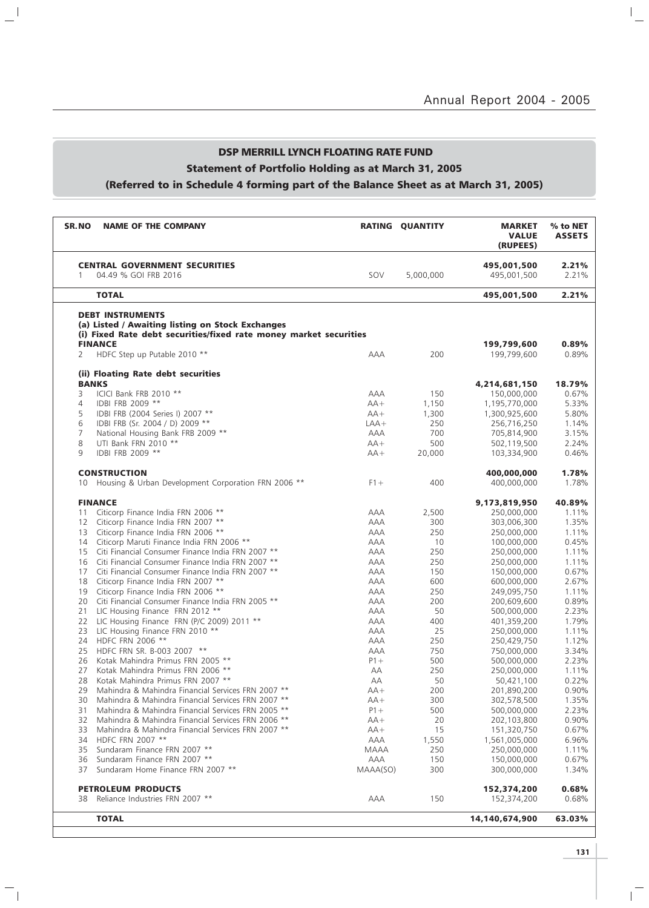## DSP MERRILL LYNCH FLOATING RATE FUND Statement of Portfolio Holding as at March 31, 2005 (Referred to in Schedule 4 forming part of the Balance Sheet as at March 31, 2005)

 $\mathbf{u}^{\parallel}$ 

 $\overline{\phantom{a}}_1$ 

| SR.NO             | <b>NAME OF THE COMPANY</b>                                                                                            |             | RATING QUANTITY | <b>MARKET</b><br><b>VALUE</b><br>(RUPEES) | % to NET<br><b>ASSETS</b> |
|-------------------|-----------------------------------------------------------------------------------------------------------------------|-------------|-----------------|-------------------------------------------|---------------------------|
|                   | <b>CENTRAL GOVERNMENT SECURITIES</b>                                                                                  |             |                 | 495,001,500                               | 2.21%                     |
| 1                 | 04.49 % GOI FRB 2016                                                                                                  | SOV         | 5,000,000       | 495,001,500                               | 2.21%                     |
|                   | <b>TOTAL</b>                                                                                                          |             |                 | 495,001,500                               | 2.21%                     |
|                   | <b>DEBT INSTRUMENTS</b>                                                                                               |             |                 |                                           |                           |
|                   | (a) Listed / Awaiting listing on Stock Exchanges<br>(i) Fixed Rate debt securities/fixed rate money market securities |             |                 |                                           |                           |
|                   | <b>FINANCE</b>                                                                                                        |             |                 | 199,799,600                               | 0.89%                     |
| 2                 | HDFC Step up Putable 2010 **                                                                                          | <b>AAA</b>  | 200             | 199,799,600                               | 0.89%                     |
|                   | (ii) Floating Rate debt securities                                                                                    |             |                 |                                           |                           |
|                   | <b>BANKS</b>                                                                                                          |             |                 | 4,214,681,150                             | 18.79%                    |
| 3                 | ICICI Bank FRB 2010 **                                                                                                | AAA         | 150             | 150,000,000                               | 0.67%                     |
| $\overline{4}$    | IDBI FRB 2009 **                                                                                                      | $AA+$       | 1,150           | 1,195,770,000                             | 5.33%                     |
| 5                 | IDBI FRB (2004 Series I) 2007 **                                                                                      | $AA+$       | 1,300           | 1,300,925,600                             | 5.80%                     |
| 6                 | IDBI FRB (Sr. 2004 / D) 2009 **                                                                                       | $LAA+$      | 250             | 256,716,250                               | 1.14%                     |
| 7                 | National Housing Bank FRB 2009 **                                                                                     | <b>AAA</b>  | 700             | 705,814,900                               | 3.15%                     |
| 8                 | UTI Bank FRN 2010 **                                                                                                  | $AA+$       | 500             | 502,119,500                               | 2.24%                     |
| 9                 | IDBI FRB 2009 **                                                                                                      | $AA+$       | 20,000          | 103,334,900                               | 0.46%                     |
|                   | <b>CONSTRUCTION</b>                                                                                                   |             |                 | 400,000,000                               | 1.78%                     |
| 10                | Housing & Urban Development Corporation FRN 2006 **                                                                   | $F1 +$      | 400             | 400,000,000                               | 1.78%                     |
|                   | <b>FINANCE</b>                                                                                                        |             |                 |                                           | 40.89%                    |
| 11                | Citicorp Finance India FRN 2006 **                                                                                    | AAA         |                 | 9,173,819,950                             | 1.11%                     |
|                   |                                                                                                                       |             | 2,500           | 250,000,000                               |                           |
| $12 \overline{ }$ | Citicorp Finance India FRN 2007 **                                                                                    | AAA         | 300             | 303,006,300                               | 1.35%                     |
| 13                | Citicorp Finance India FRN 2006 **                                                                                    | <b>AAA</b>  | 250             | 250,000,000                               | 1.11%                     |
| 14                | Citicorp Maruti Finance India FRN 2006 **                                                                             | AAA         | 10              | 100,000,000                               | 0.45%                     |
| 15                | Citi Financial Consumer Finance India FRN 2007 **                                                                     | <b>AAA</b>  | 250             | 250,000,000                               | 1.11%                     |
| 16                | Citi Financial Consumer Finance India FRN 2007 **                                                                     | AAA         | 250             | 250,000,000                               | 1.11%                     |
| 17                | Citi Financial Consumer Finance India FRN 2007 **                                                                     | AAA         | 150             | 150,000,000                               | 0.67%                     |
| 18                | Citicorp Finance India FRN 2007 **                                                                                    | AAA         | 600             | 600,000,000                               | 2.67%                     |
| 19                | Citicorp Finance India FRN 2006 **                                                                                    | AAA         | 250             | 249,095,750                               | 1.11%                     |
| 20                | Citi Financial Consumer Finance India FRN 2005 **                                                                     | <b>AAA</b>  | 200             | 200,609,600                               | 0.89%                     |
| 21                | LIC Housing Finance FRN 2012 **                                                                                       | AAA         | 50              | 500,000,000                               | 2.23%                     |
| 22                | LIC Housing Finance FRN (P/C 2009) 2011 **                                                                            | AAA         | 400             | 401,359,200                               | 1.79%                     |
| 23                | LIC Housing Finance FRN 2010 **                                                                                       | AAA         | 25              | 250,000,000                               | 1.11%                     |
| 24                | HDFC FRN 2006 **                                                                                                      | AAA         | 250             | 250,429,750                               | 1.12%                     |
| 25                | HDFC FRN SR. B-003 2007 **                                                                                            | <b>AAA</b>  | 750             | 750,000,000                               | 3.34%                     |
| 26                | Kotak Mahindra Primus FRN 2005 **                                                                                     | $P1+$       | 500             | 500,000,000                               | 2.23%                     |
| 27                | Kotak Mahindra Primus FRN 2006 **                                                                                     | АA          | 250             | 250,000,000                               | 1.11%                     |
| 28                | Kotak Mahindra Primus FRN 2007 **                                                                                     | АA          | 50              | 50,421,100                                | 0.22%                     |
| 29                | Mahindra & Mahindra Financial Services FRN 2007 **                                                                    | $AA+$       | 200             | 201,890,200                               | 0.90%                     |
|                   |                                                                                                                       |             |                 |                                           |                           |
| 30                | Mahindra & Mahindra Financial Services FRN 2007 **                                                                    | $AA+$       | 300             | 302,578,500                               | 1.35%                     |
| 31                | Mahindra & Mahindra Financial Services FRN 2005 **                                                                    | $P1+$       | 500             | 500,000,000                               | 2.23%                     |
| 32                | Mahindra & Mahindra Financial Services FRN 2006 **                                                                    | $AA+$       | 20              | 202,103,800                               | 0.90%                     |
| 33                | Mahindra & Mahindra Financial Services FRN 2007 **                                                                    | $AA+$       | 15              | 151,320,750                               | 0.67%                     |
| 34                | HDFC FRN 2007 **                                                                                                      | AAA         | 1,550           | 1,561,005,000                             | 6.96%                     |
| 35                | Sundaram Finance FRN 2007 **                                                                                          | <b>MAAA</b> | 250             | 250,000,000                               | 1.11%                     |
| 36                | Sundaram Finance FRN 2007 **                                                                                          | AAA         | 150             | 150,000,000                               | 0.67%                     |
| 37                | Sundaram Home Finance FRN 2007 **                                                                                     | MAAA(SO)    | 300             | 300,000,000                               | 1.34%                     |
|                   | <b>PETROLEUM PRODUCTS</b>                                                                                             |             |                 | 152,374,200                               | 0.68%                     |
| 38                | Reliance Industries FRN 2007 **                                                                                       | AAA         | 150             | 152,374,200                               | 0.68%                     |
|                   |                                                                                                                       |             |                 |                                           |                           |
|                   | <b>TOTAL</b>                                                                                                          |             |                 | 14,140,674,900                            | 63.03%                    |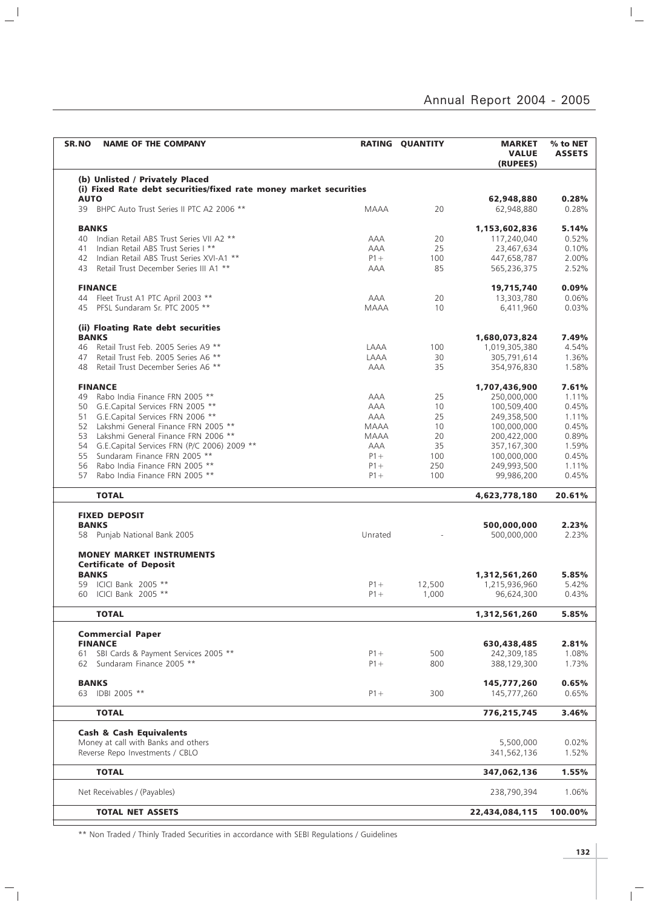| (b) Unlisted / Privately Placed<br>(i) Fixed Rate debt securities/fixed rate money market securities<br><b>AUTO</b><br>62,948,880<br>0.28%<br>BHPC Auto Trust Series II PTC A2 2006 **<br>20<br>0.28%<br>39<br><b>MAAA</b><br>62,948,880<br><b>BANKS</b><br>5.14%<br>1,153,602,836<br>40 Indian Retail ABS Trust Series VII A2 **<br>0.52%<br>AAA<br>20<br>117,240,040<br>25<br>Indian Retail ABS Trust Series I **<br><b>AAA</b><br>23,467,634<br>0.10%<br>41<br>Indian Retail ABS Trust Series XVI-A1 **<br>2.00%<br>$P1 +$<br>100<br>447,658,787<br>42<br>Retail Trust December Series III A1 **<br>85<br>2.52%<br><b>AAA</b><br>565,236,375<br>43<br><b>FINANCE</b><br>0.09%<br>19,715,740<br>44 Fleet Trust A1 PTC April 2003 **<br><b>AAA</b><br>20<br>13,303,780<br>0.06%<br>45 PFSL Sundaram Sr. PTC 2005 **<br>10<br>0.03%<br><b>MAAA</b><br>6,411,960<br>(ii) Floating Rate debt securities<br><b>BANKS</b><br>7.49%<br>1,680,073,824<br>4.54%<br>46 Retail Trust Feb. 2005 Series A9 **<br>LAAA<br>100<br>1,019,305,380<br>Retail Trust Feb. 2005 Series A6 **<br>LAAA<br>1.36%<br>47<br>30<br>305,791,614<br>Retail Trust December Series A6 **<br>35<br><b>AAA</b><br>354,976,830<br>1.58%<br>48<br><b>FINANCE</b><br>7.61%<br>1,707,436,900<br>Rabo India Finance FRN 2005 **<br><b>AAA</b><br>25<br>1.11%<br>49<br>250,000,000<br>0.45%<br>50 G.E.Capital Services FRN 2005 **<br>AAA<br>10<br>100,509,400<br>G.E.Capital Services FRN 2006 **<br>AAA<br>25<br>1.11%<br>51<br>249,358,500<br>Lakshmi General Finance FRN 2005 **<br>0.45%<br>52<br><b>MAAA</b><br>10<br>100,000,000<br>Lakshmi General Finance FRN 2006 **<br>53<br>20<br>0.89%<br>MAAA<br>200,422,000<br>54 G.E.Capital Services FRN (P/C 2006) 2009 **<br>1.59%<br><b>AAA</b><br>35<br>357,167,300<br>Sundaram Finance FRN 2005 **<br>0.45%<br>55<br>$P1 +$<br>100<br>100,000,000<br>Rabo India Finance FRN 2005 **<br>56<br>$P1+$<br>250<br>249,993,500<br>1.11%<br>$P1+$<br>0.45%<br>57<br>Rabo India Finance FRN 2005 **<br>100<br>99,986,200<br><b>TOTAL</b><br>20.61%<br>4,623,778,180<br><b>FIXED DEPOSIT</b><br><b>BANKS</b><br>500,000,000<br>2.23%<br>Unrated<br>2.23%<br>58 Punjab National Bank 2005<br>500,000,000<br><b>MONEY MARKET INSTRUMENTS</b><br><b>Certificate of Deposit</b><br><b>BANKS</b><br>5.85%<br>1,312,561,260<br>5.42%<br>59 ICICI Bank 2005 **<br>$P1 +$<br>12,500<br>1,215,936,960<br>60 ICICI Bank 2005 **<br>$P1 +$<br>1,000<br>96,624,300<br>0.43%<br><b>TOTAL</b><br>1,312,561,260<br>5.85%<br><b>Commercial Paper</b><br><b>FINANCE</b><br>2.81%<br>630,438,485<br>SBI Cards & Payment Services 2005 **<br>500<br>1.08%<br>$P1 +$<br>242,309,185<br>61<br>62 Sundaram Finance 2005 **<br>$P1 +$<br>800<br>388,129,300<br>1.73%<br><b>BANKS</b><br>145,777,260<br>0.65%<br>63 IDBI 2005 **<br>$P1 +$<br>300<br>145,777,260<br>0.65%<br><b>TOTAL</b><br>776,215,745<br>3.46%<br><b>Cash &amp; Cash Equivalents</b><br>Money at call with Banks and others<br>5,500,000<br>0.02%<br>Reverse Repo Investments / CBLO<br>341,562,136<br>1.52%<br><b>TOTAL</b><br>347,062,136<br>1.55%<br>Net Receivables / (Payables)<br>238,790,394<br>1.06%<br><b>TOTAL NET ASSETS</b><br>22,434,084,115<br>100.00% | <b>SR.NO</b><br><b>NAME OF THE COMPANY</b> | <b>RATING QUANTITY</b> | <b>MARKET</b><br><b>VALUE</b><br>(RUPEES) | % to NET<br><b>ASSETS</b> |
|-------------------------------------------------------------------------------------------------------------------------------------------------------------------------------------------------------------------------------------------------------------------------------------------------------------------------------------------------------------------------------------------------------------------------------------------------------------------------------------------------------------------------------------------------------------------------------------------------------------------------------------------------------------------------------------------------------------------------------------------------------------------------------------------------------------------------------------------------------------------------------------------------------------------------------------------------------------------------------------------------------------------------------------------------------------------------------------------------------------------------------------------------------------------------------------------------------------------------------------------------------------------------------------------------------------------------------------------------------------------------------------------------------------------------------------------------------------------------------------------------------------------------------------------------------------------------------------------------------------------------------------------------------------------------------------------------------------------------------------------------------------------------------------------------------------------------------------------------------------------------------------------------------------------------------------------------------------------------------------------------------------------------------------------------------------------------------------------------------------------------------------------------------------------------------------------------------------------------------------------------------------------------------------------------------------------------------------------------------------------------------------------------------------------------------------------------------------------------------------------------------------------------------------------------------------------------------------------------------------------------------------------------------------------------------------------------------------------------------------------------------------------------------------------------------------------------------------------------------------------------------------------------------------------------------------------------------------------------------------------------------------------------------------------------------------------------------------------------------------------------------------------------------------------------------------------------------------------------|--------------------------------------------|------------------------|-------------------------------------------|---------------------------|
|                                                                                                                                                                                                                                                                                                                                                                                                                                                                                                                                                                                                                                                                                                                                                                                                                                                                                                                                                                                                                                                                                                                                                                                                                                                                                                                                                                                                                                                                                                                                                                                                                                                                                                                                                                                                                                                                                                                                                                                                                                                                                                                                                                                                                                                                                                                                                                                                                                                                                                                                                                                                                                                                                                                                                                                                                                                                                                                                                                                                                                                                                                                                                                                                                         |                                            |                        |                                           |                           |
|                                                                                                                                                                                                                                                                                                                                                                                                                                                                                                                                                                                                                                                                                                                                                                                                                                                                                                                                                                                                                                                                                                                                                                                                                                                                                                                                                                                                                                                                                                                                                                                                                                                                                                                                                                                                                                                                                                                                                                                                                                                                                                                                                                                                                                                                                                                                                                                                                                                                                                                                                                                                                                                                                                                                                                                                                                                                                                                                                                                                                                                                                                                                                                                                                         |                                            |                        |                                           |                           |
|                                                                                                                                                                                                                                                                                                                                                                                                                                                                                                                                                                                                                                                                                                                                                                                                                                                                                                                                                                                                                                                                                                                                                                                                                                                                                                                                                                                                                                                                                                                                                                                                                                                                                                                                                                                                                                                                                                                                                                                                                                                                                                                                                                                                                                                                                                                                                                                                                                                                                                                                                                                                                                                                                                                                                                                                                                                                                                                                                                                                                                                                                                                                                                                                                         |                                            |                        |                                           |                           |
|                                                                                                                                                                                                                                                                                                                                                                                                                                                                                                                                                                                                                                                                                                                                                                                                                                                                                                                                                                                                                                                                                                                                                                                                                                                                                                                                                                                                                                                                                                                                                                                                                                                                                                                                                                                                                                                                                                                                                                                                                                                                                                                                                                                                                                                                                                                                                                                                                                                                                                                                                                                                                                                                                                                                                                                                                                                                                                                                                                                                                                                                                                                                                                                                                         |                                            |                        |                                           |                           |
|                                                                                                                                                                                                                                                                                                                                                                                                                                                                                                                                                                                                                                                                                                                                                                                                                                                                                                                                                                                                                                                                                                                                                                                                                                                                                                                                                                                                                                                                                                                                                                                                                                                                                                                                                                                                                                                                                                                                                                                                                                                                                                                                                                                                                                                                                                                                                                                                                                                                                                                                                                                                                                                                                                                                                                                                                                                                                                                                                                                                                                                                                                                                                                                                                         |                                            |                        |                                           |                           |
|                                                                                                                                                                                                                                                                                                                                                                                                                                                                                                                                                                                                                                                                                                                                                                                                                                                                                                                                                                                                                                                                                                                                                                                                                                                                                                                                                                                                                                                                                                                                                                                                                                                                                                                                                                                                                                                                                                                                                                                                                                                                                                                                                                                                                                                                                                                                                                                                                                                                                                                                                                                                                                                                                                                                                                                                                                                                                                                                                                                                                                                                                                                                                                                                                         |                                            |                        |                                           |                           |
|                                                                                                                                                                                                                                                                                                                                                                                                                                                                                                                                                                                                                                                                                                                                                                                                                                                                                                                                                                                                                                                                                                                                                                                                                                                                                                                                                                                                                                                                                                                                                                                                                                                                                                                                                                                                                                                                                                                                                                                                                                                                                                                                                                                                                                                                                                                                                                                                                                                                                                                                                                                                                                                                                                                                                                                                                                                                                                                                                                                                                                                                                                                                                                                                                         |                                            |                        |                                           |                           |
|                                                                                                                                                                                                                                                                                                                                                                                                                                                                                                                                                                                                                                                                                                                                                                                                                                                                                                                                                                                                                                                                                                                                                                                                                                                                                                                                                                                                                                                                                                                                                                                                                                                                                                                                                                                                                                                                                                                                                                                                                                                                                                                                                                                                                                                                                                                                                                                                                                                                                                                                                                                                                                                                                                                                                                                                                                                                                                                                                                                                                                                                                                                                                                                                                         |                                            |                        |                                           |                           |
|                                                                                                                                                                                                                                                                                                                                                                                                                                                                                                                                                                                                                                                                                                                                                                                                                                                                                                                                                                                                                                                                                                                                                                                                                                                                                                                                                                                                                                                                                                                                                                                                                                                                                                                                                                                                                                                                                                                                                                                                                                                                                                                                                                                                                                                                                                                                                                                                                                                                                                                                                                                                                                                                                                                                                                                                                                                                                                                                                                                                                                                                                                                                                                                                                         |                                            |                        |                                           |                           |
|                                                                                                                                                                                                                                                                                                                                                                                                                                                                                                                                                                                                                                                                                                                                                                                                                                                                                                                                                                                                                                                                                                                                                                                                                                                                                                                                                                                                                                                                                                                                                                                                                                                                                                                                                                                                                                                                                                                                                                                                                                                                                                                                                                                                                                                                                                                                                                                                                                                                                                                                                                                                                                                                                                                                                                                                                                                                                                                                                                                                                                                                                                                                                                                                                         |                                            |                        |                                           |                           |
|                                                                                                                                                                                                                                                                                                                                                                                                                                                                                                                                                                                                                                                                                                                                                                                                                                                                                                                                                                                                                                                                                                                                                                                                                                                                                                                                                                                                                                                                                                                                                                                                                                                                                                                                                                                                                                                                                                                                                                                                                                                                                                                                                                                                                                                                                                                                                                                                                                                                                                                                                                                                                                                                                                                                                                                                                                                                                                                                                                                                                                                                                                                                                                                                                         |                                            |                        |                                           |                           |
|                                                                                                                                                                                                                                                                                                                                                                                                                                                                                                                                                                                                                                                                                                                                                                                                                                                                                                                                                                                                                                                                                                                                                                                                                                                                                                                                                                                                                                                                                                                                                                                                                                                                                                                                                                                                                                                                                                                                                                                                                                                                                                                                                                                                                                                                                                                                                                                                                                                                                                                                                                                                                                                                                                                                                                                                                                                                                                                                                                                                                                                                                                                                                                                                                         |                                            |                        |                                           |                           |
|                                                                                                                                                                                                                                                                                                                                                                                                                                                                                                                                                                                                                                                                                                                                                                                                                                                                                                                                                                                                                                                                                                                                                                                                                                                                                                                                                                                                                                                                                                                                                                                                                                                                                                                                                                                                                                                                                                                                                                                                                                                                                                                                                                                                                                                                                                                                                                                                                                                                                                                                                                                                                                                                                                                                                                                                                                                                                                                                                                                                                                                                                                                                                                                                                         |                                            |                        |                                           |                           |
|                                                                                                                                                                                                                                                                                                                                                                                                                                                                                                                                                                                                                                                                                                                                                                                                                                                                                                                                                                                                                                                                                                                                                                                                                                                                                                                                                                                                                                                                                                                                                                                                                                                                                                                                                                                                                                                                                                                                                                                                                                                                                                                                                                                                                                                                                                                                                                                                                                                                                                                                                                                                                                                                                                                                                                                                                                                                                                                                                                                                                                                                                                                                                                                                                         |                                            |                        |                                           |                           |
|                                                                                                                                                                                                                                                                                                                                                                                                                                                                                                                                                                                                                                                                                                                                                                                                                                                                                                                                                                                                                                                                                                                                                                                                                                                                                                                                                                                                                                                                                                                                                                                                                                                                                                                                                                                                                                                                                                                                                                                                                                                                                                                                                                                                                                                                                                                                                                                                                                                                                                                                                                                                                                                                                                                                                                                                                                                                                                                                                                                                                                                                                                                                                                                                                         |                                            |                        |                                           |                           |
|                                                                                                                                                                                                                                                                                                                                                                                                                                                                                                                                                                                                                                                                                                                                                                                                                                                                                                                                                                                                                                                                                                                                                                                                                                                                                                                                                                                                                                                                                                                                                                                                                                                                                                                                                                                                                                                                                                                                                                                                                                                                                                                                                                                                                                                                                                                                                                                                                                                                                                                                                                                                                                                                                                                                                                                                                                                                                                                                                                                                                                                                                                                                                                                                                         |                                            |                        |                                           |                           |
|                                                                                                                                                                                                                                                                                                                                                                                                                                                                                                                                                                                                                                                                                                                                                                                                                                                                                                                                                                                                                                                                                                                                                                                                                                                                                                                                                                                                                                                                                                                                                                                                                                                                                                                                                                                                                                                                                                                                                                                                                                                                                                                                                                                                                                                                                                                                                                                                                                                                                                                                                                                                                                                                                                                                                                                                                                                                                                                                                                                                                                                                                                                                                                                                                         |                                            |                        |                                           |                           |
|                                                                                                                                                                                                                                                                                                                                                                                                                                                                                                                                                                                                                                                                                                                                                                                                                                                                                                                                                                                                                                                                                                                                                                                                                                                                                                                                                                                                                                                                                                                                                                                                                                                                                                                                                                                                                                                                                                                                                                                                                                                                                                                                                                                                                                                                                                                                                                                                                                                                                                                                                                                                                                                                                                                                                                                                                                                                                                                                                                                                                                                                                                                                                                                                                         |                                            |                        |                                           |                           |
|                                                                                                                                                                                                                                                                                                                                                                                                                                                                                                                                                                                                                                                                                                                                                                                                                                                                                                                                                                                                                                                                                                                                                                                                                                                                                                                                                                                                                                                                                                                                                                                                                                                                                                                                                                                                                                                                                                                                                                                                                                                                                                                                                                                                                                                                                                                                                                                                                                                                                                                                                                                                                                                                                                                                                                                                                                                                                                                                                                                                                                                                                                                                                                                                                         |                                            |                        |                                           |                           |
|                                                                                                                                                                                                                                                                                                                                                                                                                                                                                                                                                                                                                                                                                                                                                                                                                                                                                                                                                                                                                                                                                                                                                                                                                                                                                                                                                                                                                                                                                                                                                                                                                                                                                                                                                                                                                                                                                                                                                                                                                                                                                                                                                                                                                                                                                                                                                                                                                                                                                                                                                                                                                                                                                                                                                                                                                                                                                                                                                                                                                                                                                                                                                                                                                         |                                            |                        |                                           |                           |
|                                                                                                                                                                                                                                                                                                                                                                                                                                                                                                                                                                                                                                                                                                                                                                                                                                                                                                                                                                                                                                                                                                                                                                                                                                                                                                                                                                                                                                                                                                                                                                                                                                                                                                                                                                                                                                                                                                                                                                                                                                                                                                                                                                                                                                                                                                                                                                                                                                                                                                                                                                                                                                                                                                                                                                                                                                                                                                                                                                                                                                                                                                                                                                                                                         |                                            |                        |                                           |                           |
|                                                                                                                                                                                                                                                                                                                                                                                                                                                                                                                                                                                                                                                                                                                                                                                                                                                                                                                                                                                                                                                                                                                                                                                                                                                                                                                                                                                                                                                                                                                                                                                                                                                                                                                                                                                                                                                                                                                                                                                                                                                                                                                                                                                                                                                                                                                                                                                                                                                                                                                                                                                                                                                                                                                                                                                                                                                                                                                                                                                                                                                                                                                                                                                                                         |                                            |                        |                                           |                           |
|                                                                                                                                                                                                                                                                                                                                                                                                                                                                                                                                                                                                                                                                                                                                                                                                                                                                                                                                                                                                                                                                                                                                                                                                                                                                                                                                                                                                                                                                                                                                                                                                                                                                                                                                                                                                                                                                                                                                                                                                                                                                                                                                                                                                                                                                                                                                                                                                                                                                                                                                                                                                                                                                                                                                                                                                                                                                                                                                                                                                                                                                                                                                                                                                                         |                                            |                        |                                           |                           |
|                                                                                                                                                                                                                                                                                                                                                                                                                                                                                                                                                                                                                                                                                                                                                                                                                                                                                                                                                                                                                                                                                                                                                                                                                                                                                                                                                                                                                                                                                                                                                                                                                                                                                                                                                                                                                                                                                                                                                                                                                                                                                                                                                                                                                                                                                                                                                                                                                                                                                                                                                                                                                                                                                                                                                                                                                                                                                                                                                                                                                                                                                                                                                                                                                         |                                            |                        |                                           |                           |
|                                                                                                                                                                                                                                                                                                                                                                                                                                                                                                                                                                                                                                                                                                                                                                                                                                                                                                                                                                                                                                                                                                                                                                                                                                                                                                                                                                                                                                                                                                                                                                                                                                                                                                                                                                                                                                                                                                                                                                                                                                                                                                                                                                                                                                                                                                                                                                                                                                                                                                                                                                                                                                                                                                                                                                                                                                                                                                                                                                                                                                                                                                                                                                                                                         |                                            |                        |                                           |                           |
|                                                                                                                                                                                                                                                                                                                                                                                                                                                                                                                                                                                                                                                                                                                                                                                                                                                                                                                                                                                                                                                                                                                                                                                                                                                                                                                                                                                                                                                                                                                                                                                                                                                                                                                                                                                                                                                                                                                                                                                                                                                                                                                                                                                                                                                                                                                                                                                                                                                                                                                                                                                                                                                                                                                                                                                                                                                                                                                                                                                                                                                                                                                                                                                                                         |                                            |                        |                                           |                           |
|                                                                                                                                                                                                                                                                                                                                                                                                                                                                                                                                                                                                                                                                                                                                                                                                                                                                                                                                                                                                                                                                                                                                                                                                                                                                                                                                                                                                                                                                                                                                                                                                                                                                                                                                                                                                                                                                                                                                                                                                                                                                                                                                                                                                                                                                                                                                                                                                                                                                                                                                                                                                                                                                                                                                                                                                                                                                                                                                                                                                                                                                                                                                                                                                                         |                                            |                        |                                           |                           |
|                                                                                                                                                                                                                                                                                                                                                                                                                                                                                                                                                                                                                                                                                                                                                                                                                                                                                                                                                                                                                                                                                                                                                                                                                                                                                                                                                                                                                                                                                                                                                                                                                                                                                                                                                                                                                                                                                                                                                                                                                                                                                                                                                                                                                                                                                                                                                                                                                                                                                                                                                                                                                                                                                                                                                                                                                                                                                                                                                                                                                                                                                                                                                                                                                         |                                            |                        |                                           |                           |
|                                                                                                                                                                                                                                                                                                                                                                                                                                                                                                                                                                                                                                                                                                                                                                                                                                                                                                                                                                                                                                                                                                                                                                                                                                                                                                                                                                                                                                                                                                                                                                                                                                                                                                                                                                                                                                                                                                                                                                                                                                                                                                                                                                                                                                                                                                                                                                                                                                                                                                                                                                                                                                                                                                                                                                                                                                                                                                                                                                                                                                                                                                                                                                                                                         |                                            |                        |                                           |                           |
|                                                                                                                                                                                                                                                                                                                                                                                                                                                                                                                                                                                                                                                                                                                                                                                                                                                                                                                                                                                                                                                                                                                                                                                                                                                                                                                                                                                                                                                                                                                                                                                                                                                                                                                                                                                                                                                                                                                                                                                                                                                                                                                                                                                                                                                                                                                                                                                                                                                                                                                                                                                                                                                                                                                                                                                                                                                                                                                                                                                                                                                                                                                                                                                                                         |                                            |                        |                                           |                           |
|                                                                                                                                                                                                                                                                                                                                                                                                                                                                                                                                                                                                                                                                                                                                                                                                                                                                                                                                                                                                                                                                                                                                                                                                                                                                                                                                                                                                                                                                                                                                                                                                                                                                                                                                                                                                                                                                                                                                                                                                                                                                                                                                                                                                                                                                                                                                                                                                                                                                                                                                                                                                                                                                                                                                                                                                                                                                                                                                                                                                                                                                                                                                                                                                                         |                                            |                        |                                           |                           |
|                                                                                                                                                                                                                                                                                                                                                                                                                                                                                                                                                                                                                                                                                                                                                                                                                                                                                                                                                                                                                                                                                                                                                                                                                                                                                                                                                                                                                                                                                                                                                                                                                                                                                                                                                                                                                                                                                                                                                                                                                                                                                                                                                                                                                                                                                                                                                                                                                                                                                                                                                                                                                                                                                                                                                                                                                                                                                                                                                                                                                                                                                                                                                                                                                         |                                            |                        |                                           |                           |
|                                                                                                                                                                                                                                                                                                                                                                                                                                                                                                                                                                                                                                                                                                                                                                                                                                                                                                                                                                                                                                                                                                                                                                                                                                                                                                                                                                                                                                                                                                                                                                                                                                                                                                                                                                                                                                                                                                                                                                                                                                                                                                                                                                                                                                                                                                                                                                                                                                                                                                                                                                                                                                                                                                                                                                                                                                                                                                                                                                                                                                                                                                                                                                                                                         |                                            |                        |                                           |                           |
|                                                                                                                                                                                                                                                                                                                                                                                                                                                                                                                                                                                                                                                                                                                                                                                                                                                                                                                                                                                                                                                                                                                                                                                                                                                                                                                                                                                                                                                                                                                                                                                                                                                                                                                                                                                                                                                                                                                                                                                                                                                                                                                                                                                                                                                                                                                                                                                                                                                                                                                                                                                                                                                                                                                                                                                                                                                                                                                                                                                                                                                                                                                                                                                                                         |                                            |                        |                                           |                           |
|                                                                                                                                                                                                                                                                                                                                                                                                                                                                                                                                                                                                                                                                                                                                                                                                                                                                                                                                                                                                                                                                                                                                                                                                                                                                                                                                                                                                                                                                                                                                                                                                                                                                                                                                                                                                                                                                                                                                                                                                                                                                                                                                                                                                                                                                                                                                                                                                                                                                                                                                                                                                                                                                                                                                                                                                                                                                                                                                                                                                                                                                                                                                                                                                                         |                                            |                        |                                           |                           |
|                                                                                                                                                                                                                                                                                                                                                                                                                                                                                                                                                                                                                                                                                                                                                                                                                                                                                                                                                                                                                                                                                                                                                                                                                                                                                                                                                                                                                                                                                                                                                                                                                                                                                                                                                                                                                                                                                                                                                                                                                                                                                                                                                                                                                                                                                                                                                                                                                                                                                                                                                                                                                                                                                                                                                                                                                                                                                                                                                                                                                                                                                                                                                                                                                         |                                            |                        |                                           |                           |
|                                                                                                                                                                                                                                                                                                                                                                                                                                                                                                                                                                                                                                                                                                                                                                                                                                                                                                                                                                                                                                                                                                                                                                                                                                                                                                                                                                                                                                                                                                                                                                                                                                                                                                                                                                                                                                                                                                                                                                                                                                                                                                                                                                                                                                                                                                                                                                                                                                                                                                                                                                                                                                                                                                                                                                                                                                                                                                                                                                                                                                                                                                                                                                                                                         |                                            |                        |                                           |                           |
|                                                                                                                                                                                                                                                                                                                                                                                                                                                                                                                                                                                                                                                                                                                                                                                                                                                                                                                                                                                                                                                                                                                                                                                                                                                                                                                                                                                                                                                                                                                                                                                                                                                                                                                                                                                                                                                                                                                                                                                                                                                                                                                                                                                                                                                                                                                                                                                                                                                                                                                                                                                                                                                                                                                                                                                                                                                                                                                                                                                                                                                                                                                                                                                                                         |                                            |                        |                                           |                           |
|                                                                                                                                                                                                                                                                                                                                                                                                                                                                                                                                                                                                                                                                                                                                                                                                                                                                                                                                                                                                                                                                                                                                                                                                                                                                                                                                                                                                                                                                                                                                                                                                                                                                                                                                                                                                                                                                                                                                                                                                                                                                                                                                                                                                                                                                                                                                                                                                                                                                                                                                                                                                                                                                                                                                                                                                                                                                                                                                                                                                                                                                                                                                                                                                                         |                                            |                        |                                           |                           |
|                                                                                                                                                                                                                                                                                                                                                                                                                                                                                                                                                                                                                                                                                                                                                                                                                                                                                                                                                                                                                                                                                                                                                                                                                                                                                                                                                                                                                                                                                                                                                                                                                                                                                                                                                                                                                                                                                                                                                                                                                                                                                                                                                                                                                                                                                                                                                                                                                                                                                                                                                                                                                                                                                                                                                                                                                                                                                                                                                                                                                                                                                                                                                                                                                         |                                            |                        |                                           |                           |
|                                                                                                                                                                                                                                                                                                                                                                                                                                                                                                                                                                                                                                                                                                                                                                                                                                                                                                                                                                                                                                                                                                                                                                                                                                                                                                                                                                                                                                                                                                                                                                                                                                                                                                                                                                                                                                                                                                                                                                                                                                                                                                                                                                                                                                                                                                                                                                                                                                                                                                                                                                                                                                                                                                                                                                                                                                                                                                                                                                                                                                                                                                                                                                                                                         |                                            |                        |                                           |                           |
|                                                                                                                                                                                                                                                                                                                                                                                                                                                                                                                                                                                                                                                                                                                                                                                                                                                                                                                                                                                                                                                                                                                                                                                                                                                                                                                                                                                                                                                                                                                                                                                                                                                                                                                                                                                                                                                                                                                                                                                                                                                                                                                                                                                                                                                                                                                                                                                                                                                                                                                                                                                                                                                                                                                                                                                                                                                                                                                                                                                                                                                                                                                                                                                                                         |                                            |                        |                                           |                           |
|                                                                                                                                                                                                                                                                                                                                                                                                                                                                                                                                                                                                                                                                                                                                                                                                                                                                                                                                                                                                                                                                                                                                                                                                                                                                                                                                                                                                                                                                                                                                                                                                                                                                                                                                                                                                                                                                                                                                                                                                                                                                                                                                                                                                                                                                                                                                                                                                                                                                                                                                                                                                                                                                                                                                                                                                                                                                                                                                                                                                                                                                                                                                                                                                                         |                                            |                        |                                           |                           |
|                                                                                                                                                                                                                                                                                                                                                                                                                                                                                                                                                                                                                                                                                                                                                                                                                                                                                                                                                                                                                                                                                                                                                                                                                                                                                                                                                                                                                                                                                                                                                                                                                                                                                                                                                                                                                                                                                                                                                                                                                                                                                                                                                                                                                                                                                                                                                                                                                                                                                                                                                                                                                                                                                                                                                                                                                                                                                                                                                                                                                                                                                                                                                                                                                         |                                            |                        |                                           |                           |
|                                                                                                                                                                                                                                                                                                                                                                                                                                                                                                                                                                                                                                                                                                                                                                                                                                                                                                                                                                                                                                                                                                                                                                                                                                                                                                                                                                                                                                                                                                                                                                                                                                                                                                                                                                                                                                                                                                                                                                                                                                                                                                                                                                                                                                                                                                                                                                                                                                                                                                                                                                                                                                                                                                                                                                                                                                                                                                                                                                                                                                                                                                                                                                                                                         |                                            |                        |                                           |                           |
|                                                                                                                                                                                                                                                                                                                                                                                                                                                                                                                                                                                                                                                                                                                                                                                                                                                                                                                                                                                                                                                                                                                                                                                                                                                                                                                                                                                                                                                                                                                                                                                                                                                                                                                                                                                                                                                                                                                                                                                                                                                                                                                                                                                                                                                                                                                                                                                                                                                                                                                                                                                                                                                                                                                                                                                                                                                                                                                                                                                                                                                                                                                                                                                                                         |                                            |                        |                                           |                           |
|                                                                                                                                                                                                                                                                                                                                                                                                                                                                                                                                                                                                                                                                                                                                                                                                                                                                                                                                                                                                                                                                                                                                                                                                                                                                                                                                                                                                                                                                                                                                                                                                                                                                                                                                                                                                                                                                                                                                                                                                                                                                                                                                                                                                                                                                                                                                                                                                                                                                                                                                                                                                                                                                                                                                                                                                                                                                                                                                                                                                                                                                                                                                                                                                                         |                                            |                        |                                           |                           |
|                                                                                                                                                                                                                                                                                                                                                                                                                                                                                                                                                                                                                                                                                                                                                                                                                                                                                                                                                                                                                                                                                                                                                                                                                                                                                                                                                                                                                                                                                                                                                                                                                                                                                                                                                                                                                                                                                                                                                                                                                                                                                                                                                                                                                                                                                                                                                                                                                                                                                                                                                                                                                                                                                                                                                                                                                                                                                                                                                                                                                                                                                                                                                                                                                         |                                            |                        |                                           |                           |
|                                                                                                                                                                                                                                                                                                                                                                                                                                                                                                                                                                                                                                                                                                                                                                                                                                                                                                                                                                                                                                                                                                                                                                                                                                                                                                                                                                                                                                                                                                                                                                                                                                                                                                                                                                                                                                                                                                                                                                                                                                                                                                                                                                                                                                                                                                                                                                                                                                                                                                                                                                                                                                                                                                                                                                                                                                                                                                                                                                                                                                                                                                                                                                                                                         |                                            |                        |                                           |                           |
|                                                                                                                                                                                                                                                                                                                                                                                                                                                                                                                                                                                                                                                                                                                                                                                                                                                                                                                                                                                                                                                                                                                                                                                                                                                                                                                                                                                                                                                                                                                                                                                                                                                                                                                                                                                                                                                                                                                                                                                                                                                                                                                                                                                                                                                                                                                                                                                                                                                                                                                                                                                                                                                                                                                                                                                                                                                                                                                                                                                                                                                                                                                                                                                                                         |                                            |                        |                                           |                           |
|                                                                                                                                                                                                                                                                                                                                                                                                                                                                                                                                                                                                                                                                                                                                                                                                                                                                                                                                                                                                                                                                                                                                                                                                                                                                                                                                                                                                                                                                                                                                                                                                                                                                                                                                                                                                                                                                                                                                                                                                                                                                                                                                                                                                                                                                                                                                                                                                                                                                                                                                                                                                                                                                                                                                                                                                                                                                                                                                                                                                                                                                                                                                                                                                                         |                                            |                        |                                           |                           |
|                                                                                                                                                                                                                                                                                                                                                                                                                                                                                                                                                                                                                                                                                                                                                                                                                                                                                                                                                                                                                                                                                                                                                                                                                                                                                                                                                                                                                                                                                                                                                                                                                                                                                                                                                                                                                                                                                                                                                                                                                                                                                                                                                                                                                                                                                                                                                                                                                                                                                                                                                                                                                                                                                                                                                                                                                                                                                                                                                                                                                                                                                                                                                                                                                         |                                            |                        |                                           |                           |
|                                                                                                                                                                                                                                                                                                                                                                                                                                                                                                                                                                                                                                                                                                                                                                                                                                                                                                                                                                                                                                                                                                                                                                                                                                                                                                                                                                                                                                                                                                                                                                                                                                                                                                                                                                                                                                                                                                                                                                                                                                                                                                                                                                                                                                                                                                                                                                                                                                                                                                                                                                                                                                                                                                                                                                                                                                                                                                                                                                                                                                                                                                                                                                                                                         |                                            |                        |                                           |                           |
|                                                                                                                                                                                                                                                                                                                                                                                                                                                                                                                                                                                                                                                                                                                                                                                                                                                                                                                                                                                                                                                                                                                                                                                                                                                                                                                                                                                                                                                                                                                                                                                                                                                                                                                                                                                                                                                                                                                                                                                                                                                                                                                                                                                                                                                                                                                                                                                                                                                                                                                                                                                                                                                                                                                                                                                                                                                                                                                                                                                                                                                                                                                                                                                                                         |                                            |                        |                                           |                           |

\*\* Non Traded / Thinly Traded Securities in accordance with SEBI Regulations / Guidelines

 $\frac{1}{2}$ 

 $\mathord{\hspace{1pt}\text{--}\hspace{1pt}}_\mathbb{L}$ 

 $\mathbf{1}^{\frac{1}{n}}$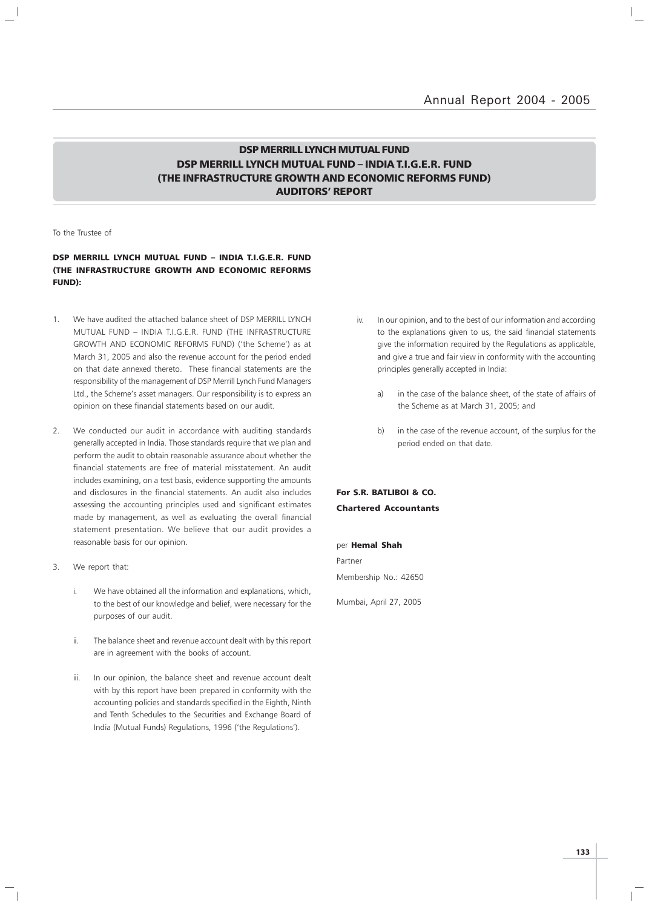### DSP MERRILL LYNCH MUTUAL FUND DSP MERRILL LYNCH MUTUAL FUND – INDIA T.I.G.E.R. FUND (THE INFRASTRUCTURE GROWTH AND ECONOMIC REFORMS FUND) AUDITORS' REPORT

To the Trustee of

### DSP MERRILL LYNCH MUTUAL FUND – INDIA T.I.G.E.R. FUND (THE INFRASTRUCTURE GROWTH AND ECONOMIC REFORMS FUND):

- 1. We have audited the attached balance sheet of DSP MERRILL LYNCH MUTUAL FUND – INDIA T.I.G.E.R. FUND (THE INFRASTRUCTURE GROWTH AND ECONOMIC REFORMS FUND) ('the Scheme') as at March 31, 2005 and also the revenue account for the period ended on that date annexed thereto. These financial statements are the responsibility of the management of DSP Merrill Lynch Fund Managers Ltd., the Scheme's asset managers. Our responsibility is to express an opinion on these financial statements based on our audit.
- 2. We conducted our audit in accordance with auditing standards generally accepted in India. Those standards require that we plan and perform the audit to obtain reasonable assurance about whether the financial statements are free of material misstatement. An audit includes examining, on a test basis, evidence supporting the amounts and disclosures in the financial statements. An audit also includes assessing the accounting principles used and significant estimates made by management, as well as evaluating the overall financial statement presentation. We believe that our audit provides a reasonable basis for our opinion.
- 3. We report that:
	- i. We have obtained all the information and explanations, which, to the best of our knowledge and belief, were necessary for the purposes of our audit.
	- ii. The balance sheet and revenue account dealt with by this report are in agreement with the books of account.
	- iii. In our opinion, the balance sheet and revenue account dealt with by this report have been prepared in conformity with the accounting policies and standards specified in the Eighth, Ninth and Tenth Schedules to the Securities and Exchange Board of India (Mutual Funds) Regulations, 1996 ('the Regulations').
- iv. In our opinion, and to the best of our information and according to the explanations given to us, the said financial statements give the information required by the Regulations as applicable, and give a true and fair view in conformity with the accounting principles generally accepted in India:
	- a) in the case of the balance sheet, of the state of affairs of the Scheme as at March 31, 2005; and
	- b) in the case of the revenue account, of the surplus for the period ended on that date.

For S.R. BATLIBOI & CO. Chartered Accountants

#### per Hemal Shah

Partner Membership No.: 42650

Mumbai, April 27, 2005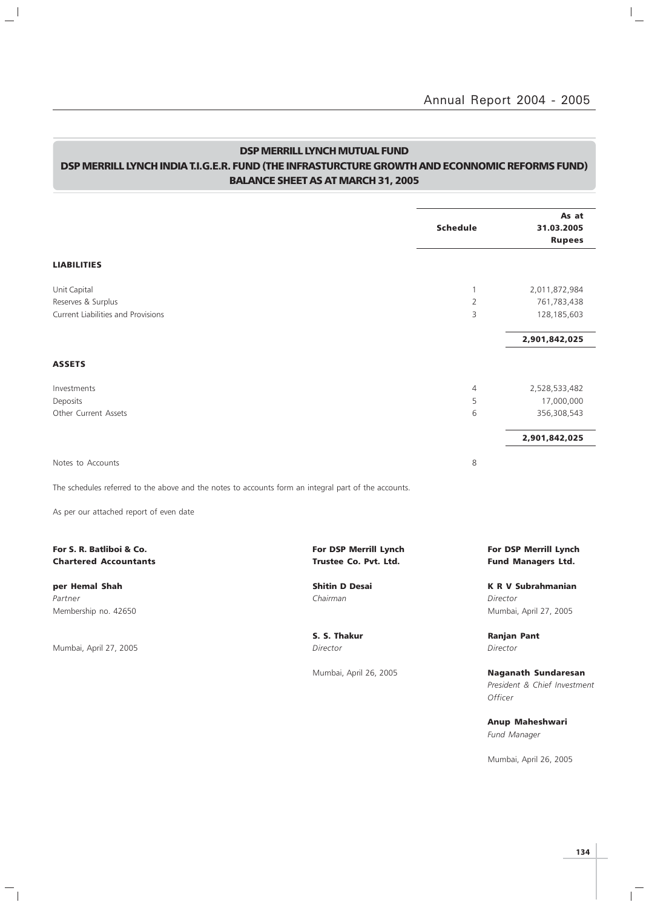### DSP MERRILL LYNCH MUTUAL FUND DSP MERRILL LYNCH INDIA T.I.G.E.R. FUND (THE INFRASTURCTURE GROWTH AND ECONNOMIC REFORMS FUND) BALANCE SHEET AS AT MARCH 31, 2005

 $\frac{1}{2}$ 

 $\overline{\phantom{a}}_1$ 

|                                                                                                      |                                                | <b>Schedule</b> | As at<br>31.03.2005<br><b>Rupees</b>               |
|------------------------------------------------------------------------------------------------------|------------------------------------------------|-----------------|----------------------------------------------------|
| <b>LIABILITIES</b>                                                                                   |                                                |                 |                                                    |
| Unit Capital                                                                                         |                                                | $\mathbf{1}$    | 2,011,872,984                                      |
| Reserves & Surplus                                                                                   |                                                | $\overline{2}$  | 761,783,438                                        |
| <b>Current Liabilities and Provisions</b>                                                            |                                                | 3               | 128,185,603                                        |
|                                                                                                      |                                                |                 | 2,901,842,025                                      |
| ASSETS                                                                                               |                                                |                 |                                                    |
| Investments                                                                                          |                                                | $\overline{4}$  | 2,528,533,482                                      |
| Deposits                                                                                             |                                                | 5               | 17,000,000                                         |
| Other Current Assets                                                                                 |                                                | 6               | 356,308,543                                        |
|                                                                                                      |                                                |                 | 2,901,842,025                                      |
| Notes to Accounts                                                                                    |                                                | 8               |                                                    |
| The schedules referred to the above and the notes to accounts form an integral part of the accounts. |                                                |                 |                                                    |
| As per our attached report of even date                                                              |                                                |                 |                                                    |
| For S. R. Batliboi & Co.<br><b>Chartered Accountants</b>                                             | For DSP Merrill Lynch<br>Trustee Co. Pvt. Ltd. |                 | For DSP Merrill Lynch<br><b>Fund Managers Ltd.</b> |
| per Hemal Shah                                                                                       | <b>Shitin D Desai</b>                          |                 | <b>K R V Subrahmanian</b>                          |
| Partner                                                                                              | Chairman                                       |                 | Director                                           |
| Membership no. 42650                                                                                 |                                                |                 | Mumbai, April 27, 2005                             |
|                                                                                                      | S. S. Thakur                                   |                 | <b>Ranjan Pant</b>                                 |
| Mumbai, April 27, 2005                                                                               | Director                                       |                 | Director                                           |
|                                                                                                      | Mumbai, April 26, 2005                         |                 | <b>Naganath Sundaresan</b>                         |
|                                                                                                      |                                                |                 | President & Chief Investment<br>Officer            |
|                                                                                                      |                                                |                 | Anup Maheshwari                                    |

Fund Manager

Mumbai, April 26, 2005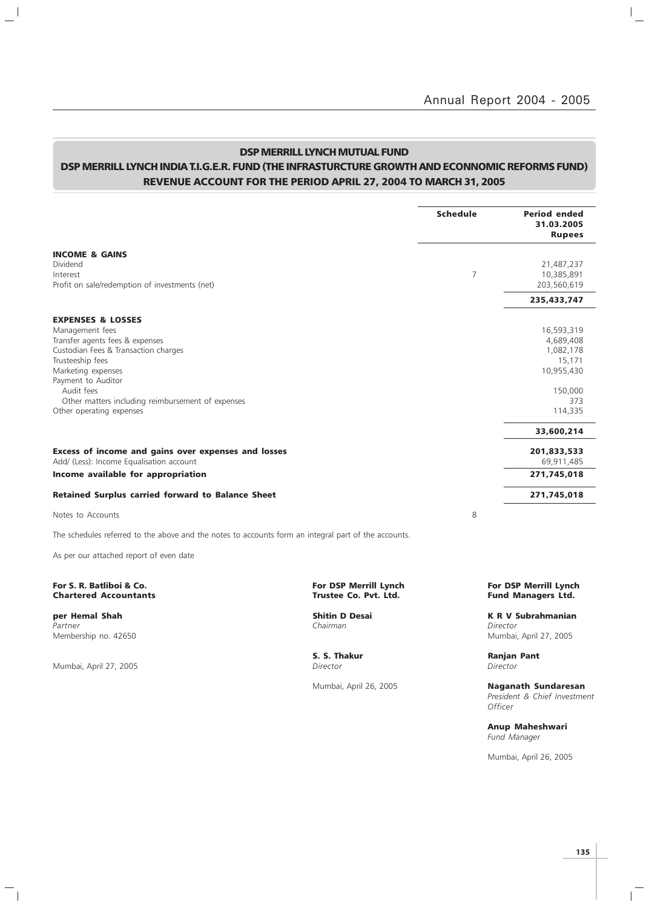### DSP MERRILL LYNCH MUTUAL FUND

### DSP MERRILL LYNCH INDIA T.I.G.E.R. FUND (THE INFRASTURCTURE GROWTH AND ECONNOMIC REFORMS FUND) REVENUE ACCOUNT FOR THE PERIOD APRIL 27, 2004 TO MARCH 31, 2005

|                                                                                                      |                                                       | <b>Schedule</b> | <b>Period ended</b><br>31.03.2005<br><b>Rupees</b> |
|------------------------------------------------------------------------------------------------------|-------------------------------------------------------|-----------------|----------------------------------------------------|
| <b>INCOME &amp; GAINS</b>                                                                            |                                                       |                 |                                                    |
| Dividend                                                                                             |                                                       |                 | 21,487,237                                         |
| Interest                                                                                             |                                                       | 7               | 10,385,891                                         |
| Profit on sale/redemption of investments (net)                                                       |                                                       |                 | 203,560,619                                        |
|                                                                                                      |                                                       |                 | 235,433,747                                        |
| <b>EXPENSES &amp; LOSSES</b>                                                                         |                                                       |                 |                                                    |
| Management fees                                                                                      |                                                       |                 | 16,593,319                                         |
| Transfer agents fees & expenses                                                                      |                                                       |                 | 4,689,408                                          |
| Custodian Fees & Transaction charges                                                                 |                                                       |                 | 1,082,178                                          |
| Trusteeship fees                                                                                     |                                                       |                 | 15,171                                             |
| Marketing expenses                                                                                   |                                                       |                 | 10,955,430                                         |
| Payment to Auditor                                                                                   |                                                       |                 |                                                    |
| Audit fees                                                                                           |                                                       |                 | 150,000                                            |
| Other matters including reimbursement of expenses                                                    |                                                       |                 | 373                                                |
| Other operating expenses                                                                             |                                                       |                 | 114,335                                            |
|                                                                                                      |                                                       |                 | 33,600,214                                         |
| Excess of income and gains over expenses and losses                                                  |                                                       |                 | 201,833,533                                        |
| Add/ (Less): Income Equalisation account                                                             |                                                       |                 | 69,911,485                                         |
| Income available for appropriation                                                                   |                                                       |                 | 271,745,018                                        |
| <b>Retained Surplus carried forward to Balance Sheet</b>                                             |                                                       |                 | 271,745,018                                        |
| Notes to Accounts                                                                                    |                                                       | 8               |                                                    |
| The schedules referred to the above and the notes to accounts form an integral part of the accounts. |                                                       |                 |                                                    |
| As per our attached report of even date                                                              |                                                       |                 |                                                    |
| For S. R. Batliboi & Co.<br><b>Chartered Accountants</b>                                             | <b>For DSP Merrill Lynch</b><br>Trustee Co. Pvt. Ltd. |                 | For DSP Merrill Lynch<br><b>Fund Managers Ltd.</b> |
| per Hemal Shah                                                                                       | <b>Shitin D Desai</b>                                 |                 | <b>K R V Subrahmanian</b>                          |
| Partner                                                                                              | Chairman                                              |                 | Director                                           |
| Membership no. 42650                                                                                 |                                                       |                 | Mumbai, April 27, 2005                             |
|                                                                                                      |                                                       |                 |                                                    |

Mumbai, April 27, 2005

 $\overline{\phantom{a}}_1$ 

 $\frac{1}{2}$ 

S. S. Thakur Ranjan Pant Director Ranjan Pant

Mumbai, April 26, 2005 Naganath Sundaresan President & Chief Investment **Officer** 

> Anup Maheshwari Fund Manager

Mumbai, April 26, 2005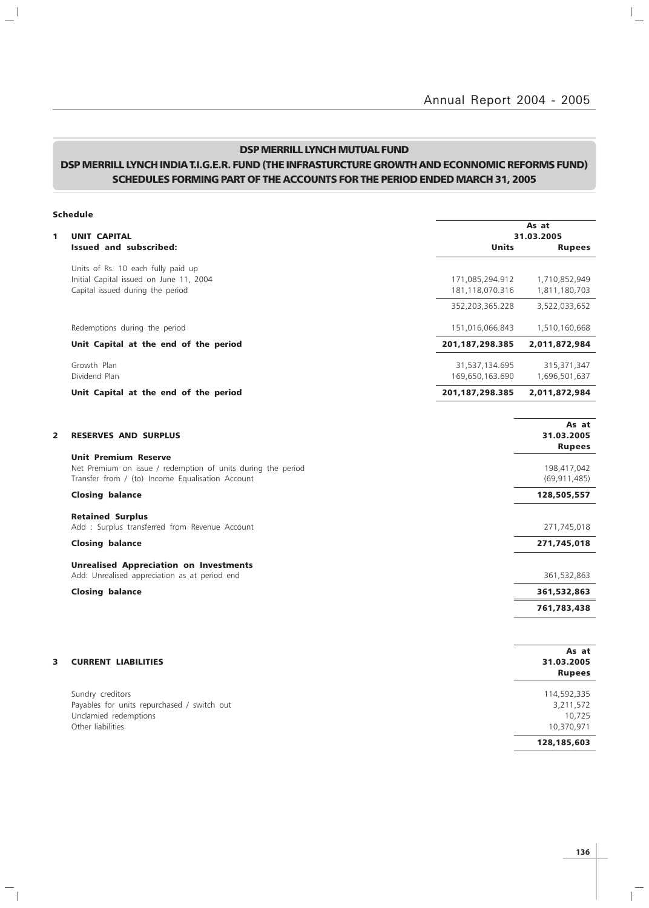$\mathbb{I}_+$ 

### DSP MERRILL LYNCH MUTUAL FUND

### DSP MERRILL LYNCH INDIA T.I.G.E.R. FUND (THE INFRASTURCTURE GROWTH AND ECONNOMIC REFORMS FUND) SCHEDULES FORMING PART OF THE ACCOUNTS FOR THE PERIOD ENDED MARCH 31, 2005

 $\mathbf{a}^{\dagger}$ 

 $\overline{\phantom{a}}_1$ 

|   | <b>Schedule</b>                                                                                                                                 |                                    |                                                  |
|---|-------------------------------------------------------------------------------------------------------------------------------------------------|------------------------------------|--------------------------------------------------|
| 1 | <b>UNIT CAPITAL</b>                                                                                                                             |                                    | As at<br>31.03.2005                              |
|   | Issued and subscribed:                                                                                                                          | <b>Units</b>                       | <b>Rupees</b>                                    |
|   | Units of Rs. 10 each fully paid up<br>Initial Capital issued on June 11, 2004<br>Capital issued during the period                               | 171,085,294.912<br>181,118,070.316 | 1,710,852,949<br>1,811,180,703                   |
|   |                                                                                                                                                 | 352,203,365.228                    | 3,522,033,652                                    |
|   | Redemptions during the period                                                                                                                   | 151,016,066.843                    | 1,510,160,668                                    |
|   | Unit Capital at the end of the period                                                                                                           | 201, 187, 298. 385                 | 2,011,872,984                                    |
|   | Growth Plan<br>Dividend Plan                                                                                                                    | 31,537,134.695<br>169,650,163.690  | 315,371,347<br>1,696,501,637                     |
|   | Unit Capital at the end of the period                                                                                                           | 201, 187, 298. 385                 | 2,011,872,984                                    |
| 2 | <b>RESERVES AND SURPLUS</b>                                                                                                                     |                                    | As at<br>31.03.2005<br><b>Rupees</b>             |
|   | <b>Unit Premium Reserve</b><br>Net Premium on issue / redemption of units during the period<br>Transfer from / (to) Income Equalisation Account |                                    | 198,417,042<br>(69, 911, 485)                    |
|   | <b>Closing balance</b>                                                                                                                          |                                    | 128,505,557                                      |
|   | <b>Retained Surplus</b><br>Add : Surplus transferred from Revenue Account                                                                       |                                    | 271,745,018                                      |
|   | <b>Closing balance</b>                                                                                                                          |                                    | 271,745,018                                      |
|   | <b>Unrealised Appreciation on Investments</b><br>Add: Unrealised appreciation as at period end                                                  |                                    | 361,532,863                                      |
|   | <b>Closing balance</b>                                                                                                                          |                                    | 361,532,863                                      |
|   |                                                                                                                                                 |                                    | 761,783,438                                      |
| 3 | <b>CURRENT LIABILITIES</b>                                                                                                                      |                                    | As at<br>31.03.2005<br><b>Rupees</b>             |
|   | Sundry creditors<br>Payables for units repurchased / switch out<br>Unclamied redemptions<br>Other liabilities                                   |                                    | 114,592,335<br>3,211,572<br>10,725<br>10,370,971 |
|   |                                                                                                                                                 |                                    | 128,185,603                                      |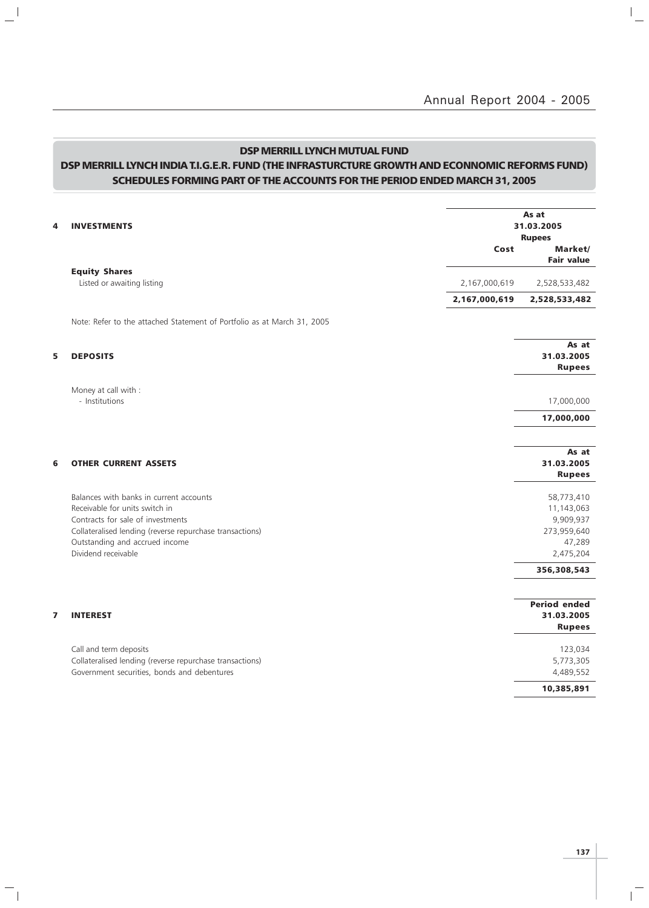$\overline{a}$ 

### DSP MERRILL LYNCH MUTUAL FUND

 $\mathbf{L}^{\parallel}$ 

 $\overline{\phantom{a}}_1$ 

### DSP MERRILL LYNCH INDIA T.I.G.E.R. FUND (THE INFRASTURCTURE GROWTH AND ECONNOMIC REFORMS FUND) SCHEDULES FORMING PART OF THE ACCOUNTS FOR THE PERIOD ENDED MARCH 31, 2005

| 4 | <b>INVESTMENTS</b>                                                                                                                                                                                           | Cost          | As at<br>31.03.2005<br><b>Rupees</b><br>Market/                |
|---|--------------------------------------------------------------------------------------------------------------------------------------------------------------------------------------------------------------|---------------|----------------------------------------------------------------|
|   |                                                                                                                                                                                                              |               | <b>Fair value</b>                                              |
|   | <b>Equity Shares</b><br>Listed or awaiting listing                                                                                                                                                           | 2,167,000,619 | 2,528,533,482                                                  |
|   |                                                                                                                                                                                                              | 2,167,000,619 | 2,528,533,482                                                  |
|   | Note: Refer to the attached Statement of Portfolio as at March 31, 2005                                                                                                                                      |               |                                                                |
| 5 | <b>DEPOSITS</b>                                                                                                                                                                                              |               | As at<br>31.03.2005<br><b>Rupees</b>                           |
|   | Money at call with :<br>- Institutions                                                                                                                                                                       |               | 17,000,000                                                     |
|   |                                                                                                                                                                                                              |               | 17,000,000                                                     |
|   |                                                                                                                                                                                                              |               | As at                                                          |
| 6 | <b>OTHER CURRENT ASSETS</b>                                                                                                                                                                                  |               | 31.03.2005<br><b>Rupees</b>                                    |
|   | Balances with banks in current accounts<br>Receivable for units switch in<br>Contracts for sale of investments<br>Collateralised lending (reverse repurchase transactions)<br>Outstanding and accrued income |               | 58,773,410<br>11,143,063<br>9,909,937<br>273,959,640<br>47,289 |
|   | Dividend receivable                                                                                                                                                                                          |               | 2,475,204                                                      |
|   |                                                                                                                                                                                                              |               | 356,308,543                                                    |
| 7 | <b>INTEREST</b>                                                                                                                                                                                              |               | <b>Period ended</b><br>31.03.2005<br><b>Rupees</b>             |
|   | Call and term deposits<br>Collateralised lending (reverse repurchase transactions)<br>Government securities, bonds and debentures                                                                            |               | 123,034<br>5,773,305<br>4,489,552                              |
|   |                                                                                                                                                                                                              |               | 10,385,891                                                     |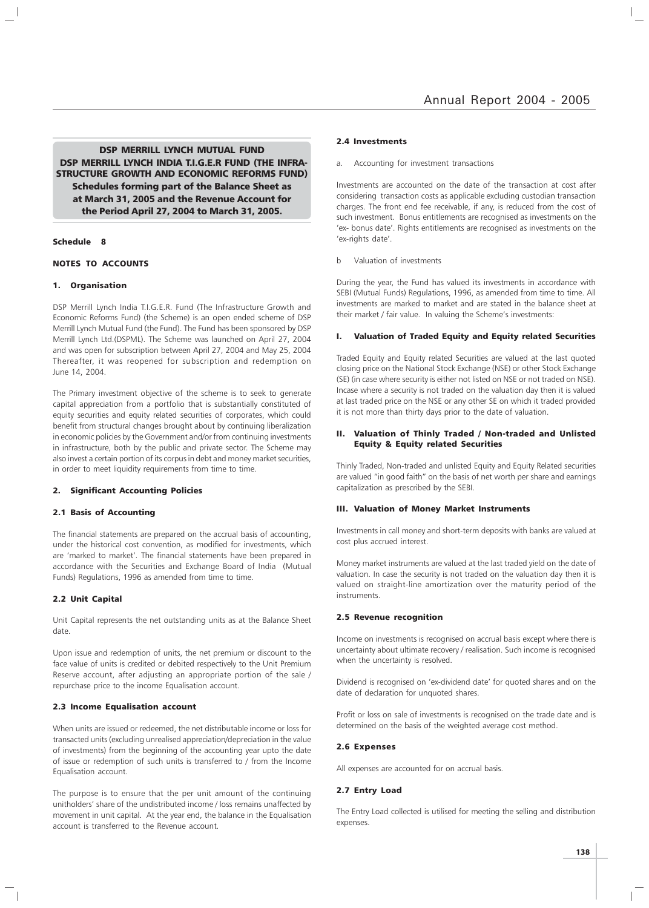DSP MERRILL LYNCH MUTUAL FUND DSP MERRILL LYNCH INDIA T.I.G.E.R FUND (THE INFRA-STRUCTURE GROWTH AND ECONOMIC REFORMS FUND) Schedules forming part of the Balance Sheet as at March 31, 2005 and the Revenue Account for the Period April 27, 2004 to March 31, 2005.

#### Schedule 8

#### NOTES TO ACCOUNTS

#### 1. Organisation

DSP Merrill Lynch India T.I.G.E.R. Fund (The Infrastructure Growth and Economic Reforms Fund) (the Scheme) is an open ended scheme of DSP Merrill Lynch Mutual Fund (the Fund). The Fund has been sponsored by DSP Merrill Lynch Ltd.(DSPML). The Scheme was launched on April 27, 2004 and was open for subscription between April 27, 2004 and May 25, 2004 Thereafter, it was reopened for subscription and redemption on June 14, 2004.

The Primary investment objective of the scheme is to seek to generate capital appreciation from a portfolio that is substantially constituted of equity securities and equity related securities of corporates, which could benefit from structural changes brought about by continuing liberalization in economic policies by the Government and/or from continuing investments in infrastructure, both by the public and private sector. The Scheme may also invest a certain portion of its corpus in debt and money market securities, in order to meet liquidity requirements from time to time.

#### 2. Significant Accounting Policies

#### 2.1 Basis of Accounting

The financial statements are prepared on the accrual basis of accounting, under the historical cost convention, as modified for investments, which are 'marked to market'. The financial statements have been prepared in accordance with the Securities and Exchange Board of India (Mutual Funds) Regulations, 1996 as amended from time to time.

#### 2.2 Unit Capital

Unit Capital represents the net outstanding units as at the Balance Sheet date.

Upon issue and redemption of units, the net premium or discount to the face value of units is credited or debited respectively to the Unit Premium Reserve account, after adjusting an appropriate portion of the sale / repurchase price to the income Equalisation account.

#### 2.3 Income Equalisation account

When units are issued or redeemed, the net distributable income or loss for transacted units (excluding unrealised appreciation/depreciation in the value of investments) from the beginning of the accounting year upto the date of issue or redemption of such units is transferred to / from the Income Equalisation account.

The purpose is to ensure that the per unit amount of the continuing unitholders' share of the undistributed income / loss remains unaffected by movement in unit capital. At the year end, the balance in the Equalisation account is transferred to the Revenue account.

#### 2.4 Investments

a. Accounting for investment transactions

Investments are accounted on the date of the transaction at cost after considering transaction costs as applicable excluding custodian transaction charges. The front end fee receivable, if any, is reduced from the cost of such investment. Bonus entitlements are recognised as investments on the 'ex- bonus date'. Rights entitlements are recognised as investments on the 'ex-rights date'.

b Valuation of investments

During the year, the Fund has valued its investments in accordance with SEBI (Mutual Funds) Regulations, 1996, as amended from time to time. All investments are marked to market and are stated in the balance sheet at their market / fair value. In valuing the Scheme's investments:

#### I. Valuation of Traded Equity and Equity related Securities

Traded Equity and Equity related Securities are valued at the last quoted closing price on the National Stock Exchange (NSE) or other Stock Exchange (SE) (in case where security is either not listed on NSE or not traded on NSE). Incase where a security is not traded on the valuation day then it is valued at last traded price on the NSE or any other SE on which it traded provided it is not more than thirty days prior to the date of valuation.

#### II. Valuation of Thinly Traded / Non-traded and Unlisted Equity & Equity related Securities

Thinly Traded, Non-traded and unlisted Equity and Equity Related securities are valued "in good faith" on the basis of net worth per share and earnings capitalization as prescribed by the SEBI.

#### III. Valuation of Money Market Instruments

Investments in call money and short-term deposits with banks are valued at cost plus accrued interest.

Money market instruments are valued at the last traded yield on the date of valuation. In case the security is not traded on the valuation day then it is valued on straight-line amortization over the maturity period of the instruments.

#### 2.5 Revenue recognition

Income on investments is recognised on accrual basis except where there is uncertainty about ultimate recovery / realisation. Such income is recognised when the uncertainty is resolved.

Dividend is recognised on 'ex-dividend date' for quoted shares and on the date of declaration for unquoted shares.

Profit or loss on sale of investments is recognised on the trade date and is determined on the basis of the weighted average cost method.

#### 2.6 Expenses

All expenses are accounted for on accrual basis.

#### 2.7 Entry Load

The Entry Load collected is utilised for meeting the selling and distribution expenses.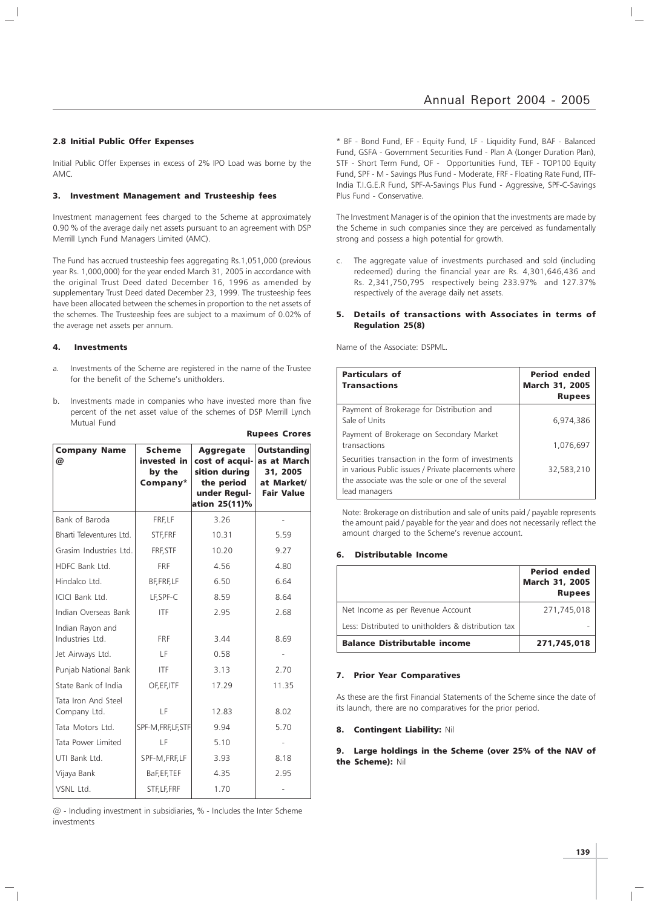### Annual Report 2004 - 2005

#### 2.8 Initial Public Offer Expenses

Initial Public Offer Expenses in excess of 2% IPO Load was borne by the AMC.

#### 3. Investment Management and Trusteeship fees

Investment management fees charged to the Scheme at approximately 0.90 % of the average daily net assets pursuant to an agreement with DSP Merrill Lynch Fund Managers Limited (AMC).

The Fund has accrued trusteeship fees aggregating Rs.1,051,000 (previous year Rs. 1,000,000) for the year ended March 31, 2005 in accordance with the original Trust Deed dated December 16, 1996 as amended by supplementary Trust Deed dated December 23, 1999. The trusteeship fees have been allocated between the schemes in proportion to the net assets of the schemes. The Trusteeship fees are subject to a maximum of 0.02% of the average net assets per annum.

#### 4. Investments

- a. Investments of the Scheme are registered in the name of the Trustee for the benefit of the Scheme's unitholders.
- b. Investments made in companies who have invested more than five percent of the net asset value of the schemes of DSP Merrill Lynch Mutual Fund

Rupees Crores

| <b>Company Name</b><br>@            | <b>Scheme</b><br>invested in<br>by the<br>Company* | <b>Aggregate</b><br>cost of acqui-<br>sition during<br>the period<br>under Regul-<br>ation 25(11)% | <b>Outstanding</b><br>as at March<br>31, 2005<br>at Market/<br><b>Fair Value</b> |
|-------------------------------------|----------------------------------------------------|----------------------------------------------------------------------------------------------------|----------------------------------------------------------------------------------|
| Bank of Baroda                      | FRF, LF                                            | 3.26                                                                                               |                                                                                  |
| Bharti Televentures Ltd.            | STF, FRF                                           | 10.31                                                                                              | 5.59                                                                             |
| Grasim Industries Ltd.              | FRF, STF                                           | 10.20                                                                                              | 9.27                                                                             |
| HDFC Bank Ltd.                      | <b>FRF</b>                                         | 4.56                                                                                               | 4.80                                                                             |
| Hindalco Ltd.                       | BF, FRF, LF                                        | 6.50                                                                                               | 6.64                                                                             |
| ICICI Bank Ltd.                     | LF, SPF-C                                          | 8.59                                                                                               | 8.64                                                                             |
| Indian Overseas Bank                | <b>ITF</b>                                         | 2.95                                                                                               | 2.68                                                                             |
| Indian Rayon and<br>Industries Ltd. | <b>FRF</b>                                         | 3.44                                                                                               | 8.69                                                                             |
| Jet Airways Ltd.                    | LF                                                 | 0.58                                                                                               |                                                                                  |
| Punjab National Bank                | <b>ITF</b>                                         | 3.13                                                                                               | 2.70                                                                             |
| State Bank of India                 | OF, EF, ITF                                        | 17.29                                                                                              | 11.35                                                                            |
| Tata Iron And Steel<br>Company Ltd. | LF                                                 | 12.83                                                                                              | 8.02                                                                             |
| Tata Motors Ltd.                    | SPF-M, FRF, LF, STF                                | 9.94                                                                                               | 5.70                                                                             |
| Tata Power Limited                  | LF                                                 | 5.10                                                                                               |                                                                                  |
| UTI Bank Ltd.                       | SPF-M, FRF, LF                                     | 3.93                                                                                               | 8.18                                                                             |
| Vijaya Bank                         | BaF, EF, TEF                                       | 4.35                                                                                               | 2.95                                                                             |
| VSNL Ltd.                           | STF, LF, FRF                                       | 1.70                                                                                               |                                                                                  |

@ - Including investment in subsidiaries, % - Includes the Inter Scheme investments

\* BF - Bond Fund, EF - Equity Fund, LF - Liquidity Fund, BAF - Balanced Fund, GSFA - Government Securities Fund - Plan A (Longer Duration Plan), STF - Short Term Fund, OF - Opportunities Fund, TEF - TOP100 Equity Fund, SPF - M - Savings Plus Fund - Moderate, FRF - Floating Rate Fund, ITF-India T.I.G.E.R Fund, SPF-A-Savings Plus Fund - Aggressive, SPF-C-Savings Plus Fund - Conservative.

The Investment Manager is of the opinion that the investments are made by the Scheme in such companies since they are perceived as fundamentally strong and possess a high potential for growth.

c. The aggregate value of investments purchased and sold (including redeemed) during the financial year are Rs. 4,301,646,436 and Rs. 2,341,750,795 respectively being 233.97% and 127.37% respectively of the average daily net assets.

#### 5. Details of transactions with Associates in terms of Regulation 25(8)

Name of the Associate: DSPML.

| <b>Particulars of</b><br><b>Transactions</b>                                                                                                                                  | <b>Period ended</b><br><b>March 31, 2005</b><br><b>Rupees</b> |
|-------------------------------------------------------------------------------------------------------------------------------------------------------------------------------|---------------------------------------------------------------|
| Payment of Brokerage for Distribution and<br>Sale of Units                                                                                                                    | 6,974,386                                                     |
| Payment of Brokerage on Secondary Market<br>transactions                                                                                                                      | 1,076,697                                                     |
| Securities transaction in the form of investments<br>in various Public issues / Private placements where<br>the associate was the sole or one of the several<br>lead managers | 32,583,210                                                    |

Note: Brokerage on distribution and sale of units paid / payable represents the amount paid / payable for the year and does not necessarily reflect the amount charged to the Scheme's revenue account.

#### 6. Distributable Income

|                                                     | Period ended<br>March 31, 2005<br><b>Rupees</b> |
|-----------------------------------------------------|-------------------------------------------------|
| Net Income as per Revenue Account                   | 271,745,018                                     |
| Less: Distributed to unitholders & distribution tax |                                                 |
| <b>Balance Distributable income</b>                 | 271,745,018                                     |

#### 7. Prior Year Comparatives

As these are the first Financial Statements of the Scheme since the date of its launch, there are no comparatives for the prior period.

#### 8. Contingent Liability: Nil

#### 9. Large holdings in the Scheme (over 25% of the NAV of the Scheme): Nil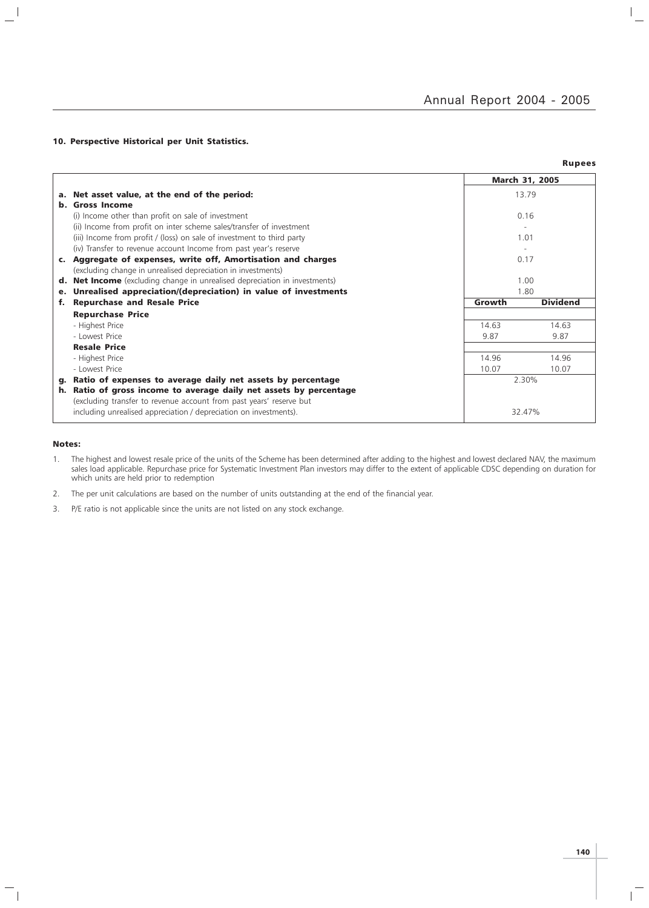$\frac{1}{\sqrt{2}}$ 

#### 10. Perspective Historical per Unit Statistics.

|                |                                                                                |        | <b>Rupees</b>         |
|----------------|--------------------------------------------------------------------------------|--------|-----------------------|
|                |                                                                                |        | <b>March 31, 2005</b> |
|                | a. Net asset value, at the end of the period:                                  |        | 13.79                 |
|                | <b>b.</b> Gross Income                                                         |        |                       |
|                | (i) Income other than profit on sale of investment                             |        | 0.16                  |
|                | (ii) Income from profit on inter scheme sales/transfer of investment           |        |                       |
|                | (iii) Income from profit / (loss) on sale of investment to third party         | 1.01   |                       |
|                | (iv) Transfer to revenue account Income from past year's reserve               |        |                       |
|                | c. Aggregate of expenses, write off, Amortisation and charges                  |        | 0.17                  |
|                | (excluding change in unrealised depreciation in investments)                   |        |                       |
| d.             | <b>Net Income</b> (excluding change in unrealised depreciation in investments) |        | 1.00                  |
| e <sub>1</sub> | Unrealised appreciation/(depreciation) in value of investments                 | 1.80   |                       |
| f.             | <b>Repurchase and Resale Price</b>                                             | Growth | <b>Dividend</b>       |
|                | <b>Repurchase Price</b>                                                        |        |                       |
|                | - Highest Price                                                                | 14.63  | 14.63                 |
|                | - Lowest Price                                                                 | 9.87   | 9.87                  |
|                | <b>Resale Price</b>                                                            |        |                       |
|                | - Highest Price                                                                | 14.96  | 14.96                 |
|                | - Lowest Price                                                                 | 10.07  | 10.07                 |
| q.             | Ratio of expenses to average daily net assets by percentage                    |        | 2.30%                 |
| h.             | Ratio of gross income to average daily net assets by percentage                |        |                       |
|                | (excluding transfer to revenue account from past years' reserve but            |        |                       |
|                | including unrealised appreciation / depreciation on investments).              |        | 32.47%                |

#### Notes:

 $\mathord{\hspace{1pt}\text{--}\hspace{1pt}}_\parallel$ 

 $\frac{1}{2}$ 

1. The highest and lowest resale price of the units of the Scheme has been determined after adding to the highest and lowest declared NAV, the maximum sales load applicable. Repurchase price for Systematic Investment Plan investors may differ to the extent of applicable CDSC depending on duration for which units are held prior to redemption

2. The per unit calculations are based on the number of units outstanding at the end of the financial year.

3. P/E ratio is not applicable since the units are not listed on any stock exchange.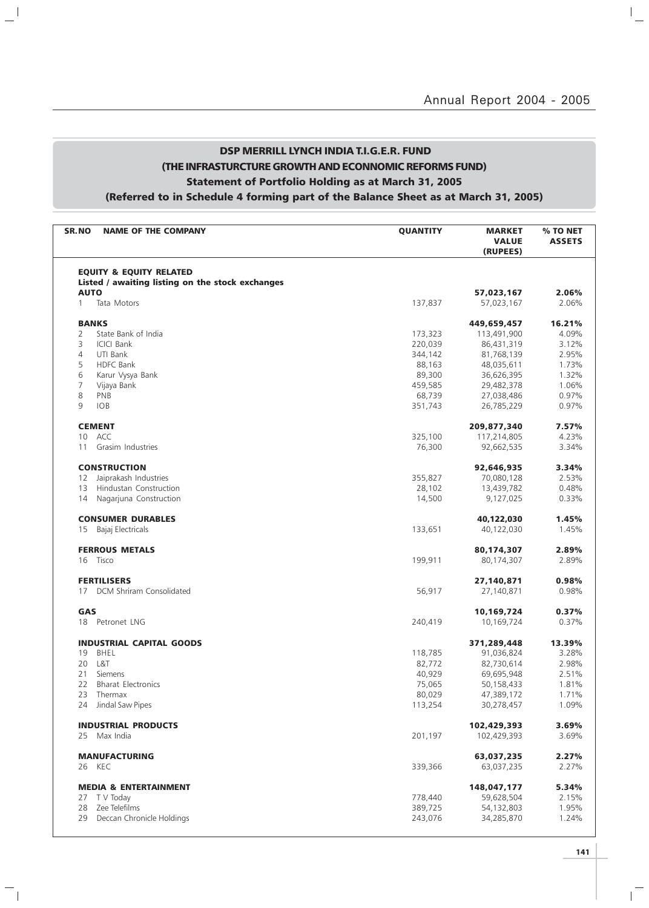$\overline{\phantom{a}}$ 

### DSP MERRILL LYNCH INDIA T.I.G.E.R. FUND (THE INFRASTURCTURE GROWTH AND ECONNOMIC REFORMS FUND) Statement of Portfolio Holding as at March 31, 2005 (Referred to in Schedule 4 forming part of the Balance Sheet as at March 31, 2005)

 $\mathbf{a}^{\dagger}$ 

 $\mathcal{L}_{\parallel}$ 

| <b>SR.NO</b><br><b>NAME OF THE COMPANY</b>       | <b>QUANTITY</b> | <b>MARKET</b><br><b>VALUE</b><br>(RUPEES) | % TO NET<br><b>ASSETS</b> |
|--------------------------------------------------|-----------------|-------------------------------------------|---------------------------|
| <b>EQUITY &amp; EQUITY RELATED</b>               |                 |                                           |                           |
| Listed / awaiting listing on the stock exchanges |                 |                                           |                           |
| <b>AUTO</b>                                      |                 | 57,023,167                                | 2.06%                     |
| Tata Motors<br>$\mathbf{1}$                      | 137,837         | 57,023,167                                | 2.06%                     |
| <b>BANKS</b>                                     |                 | 449,659,457                               | 16.21%                    |
| 2<br>State Bank of India                         | 173,323         | 113,491,900                               | 4.09%                     |
| <b>ICICI Bank</b><br>3                           | 220,039         | 86,431,319                                | 3.12%                     |
| $\overline{4}$<br>UTI Bank                       | 344,142         | 81,768,139                                | 2.95%                     |
| 5<br><b>HDFC Bank</b>                            | 88,163          | 48,035,611                                | 1.73%                     |
| 6<br>Karur Vysya Bank                            | 89,300          | 36,626,395                                | 1.32%                     |
| 7<br>Vijaya Bank                                 | 459,585         | 29,482,378                                | 1.06%                     |
| 8<br>PNB                                         | 68,739          | 27,038,486                                | 0.97%                     |
| 9<br><b>IOB</b>                                  | 351,743         | 26,785,229                                | 0.97%                     |
| <b>CEMENT</b>                                    |                 | 209,877,340                               | 7.57%                     |
| ACC<br>10                                        | 325,100         | 117,214,805                               | 4.23%                     |
| Grasim Industries<br>11                          | 76,300          | 92,662,535                                | 3.34%                     |
| <b>CONSTRUCTION</b>                              |                 | 92,646,935                                | 3.34%                     |
| Jaiprakash Industries<br>12                      | 355,827         | 70,080,128                                | 2.53%                     |
| Hindustan Construction<br>13                     | 28,102          | 13,439,782                                | 0.48%                     |
| Nagarjuna Construction<br>14                     | 14,500          | 9,127,025                                 | 0.33%                     |
| <b>CONSUMER DURABLES</b>                         |                 | 40,122,030                                | 1.45%                     |
| 15 Bajaj Electricals                             | 133,651         | 40,122,030                                | 1.45%                     |
| <b>FERROUS METALS</b>                            |                 | 80,174,307                                | 2.89%                     |
| 16 Tisco                                         | 199,911         | 80,174,307                                | 2.89%                     |
| <b>FERTILISERS</b>                               |                 | 27,140,871                                | 0.98%                     |
| <b>DCM Shriram Consolidated</b><br>17            | 56,917          | 27,140,871                                | 0.98%                     |
| GAS                                              |                 | 10,169,724                                | 0.37%                     |
| 18 Petronet LNG                                  | 240,419         | 10,169,724                                | 0.37%                     |
| <b>INDUSTRIAL CAPITAL GOODS</b>                  |                 | 371,289,448                               | 13.39%                    |
| 19<br>BHEL                                       | 118,785         | 91,036,824                                | 3.28%                     |
| L&T<br>20                                        | 82,772          | 82,730,614                                | 2.98%                     |
| 21<br>Siemens                                    | 40,929          | 69,695,948                                | 2.51%                     |
| <b>Bharat Electronics</b><br>22                  | 75,065          | 50,158,433                                | 1.81%                     |
| 23 Thermax                                       | 80,029          | 47,389,172                                | 1.71%                     |
| 24 Jindal Saw Pipes                              | 113,254         | 30,278,457                                | 1.09%                     |
| <b>INDUSTRIAL PRODUCTS</b>                       |                 | 102,429,393                               | 3.69%                     |
| 25 Max India                                     | 201,197         | 102,429,393                               | 3.69%                     |
| <b>MANUFACTURING</b>                             |                 | 63,037,235                                | 2.27%                     |
| 26 KEC                                           | 339,366         | 63,037,235                                | 2.27%                     |
| <b>MEDIA &amp; ENTERTAINMENT</b>                 |                 | 148,047,177                               | 5.34%                     |
| 27 T V Today                                     | 778,440         | 59,628,504                                | 2.15%                     |
| 28 Zee Telefilms                                 | 389,725         | 54,132,803                                | 1.95%                     |
| 29<br>Deccan Chronicle Holdings                  | 243,076         | 34,285,870                                | 1.24%                     |
|                                                  |                 |                                           |                           |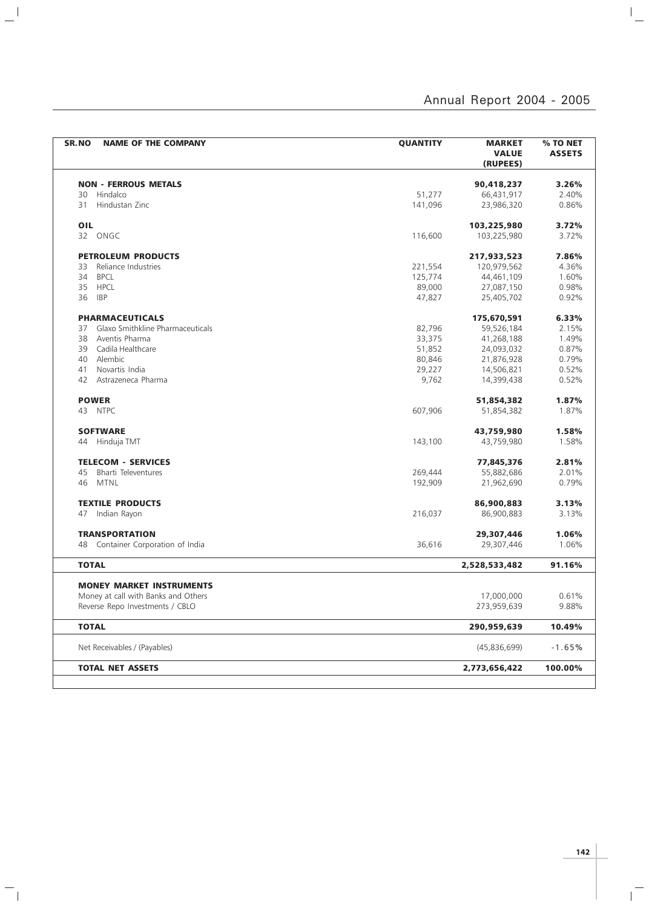| SR.NO<br><b>NAME OF THE COMPANY</b>    | <b>QUANTITY</b> | <b>MARKET</b><br><b>VALUE</b><br>(RUPEES) | % TO NET<br><b>ASSETS</b> |
|----------------------------------------|-----------------|-------------------------------------------|---------------------------|
| <b>NON - FERROUS METALS</b>            |                 | 90,418,237                                | 3.26%                     |
| 30<br>Hindalco                         | 51,277          | 66,431,917                                | 2.40%                     |
| Hindustan Zinc<br>31                   | 141,096         | 23,986,320                                | 0.86%                     |
|                                        |                 |                                           |                           |
| OIL                                    |                 | 103,225,980                               | 3.72%                     |
| 32 ONGC                                | 116,600         | 103,225,980                               | 3.72%                     |
| <b>PETROLEUM PRODUCTS</b>              |                 | 217,933,523                               | 7.86%                     |
| Reliance Industries<br>33              | 221,554         | 120,979,562                               | 4.36%                     |
| 34<br><b>BPCL</b>                      | 125,774         | 44,461,109                                | 1.60%                     |
| 35<br><b>HPCL</b>                      | 89,000          | 27,087,150                                | 0.98%                     |
| 36<br><b>IBP</b>                       | 47,827          | 25,405,702                                | 0.92%                     |
| <b>PHARMACEUTICALS</b>                 |                 | 175,670,591                               | 6.33%                     |
| Glaxo Smithkline Pharmaceuticals<br>37 | 82,796          | 59,526,184                                | 2.15%                     |
| Aventis Pharma<br>38                   | 33,375          | 41,268,188                                | 1.49%                     |
| Cadila Healthcare<br>39                | 51,852          | 24,093,032                                | 0.87%                     |
| Alembic<br>40                          |                 |                                           | 0.79%                     |
| Novartis India                         | 80,846          | 21,876,928                                | 0.52%                     |
| 41<br>42                               | 29,227          | 14,506,821                                | 0.52%                     |
| Astrazeneca Pharma                     | 9,762           | 14,399,438                                |                           |
| <b>POWER</b>                           |                 | 51,854,382                                | 1.87%                     |
| 43 NTPC                                | 607,906         | 51,854,382                                | 1.87%                     |
| <b>SOFTWARE</b>                        |                 | 43,759,980                                | 1.58%                     |
| Hinduja TMT<br>44                      | 143,100         | 43,759,980                                | 1.58%                     |
| <b>TELECOM - SERVICES</b>              |                 | 77,845,376                                | 2.81%                     |
| <b>Bharti Televentures</b><br>45       | 269,444         | 55,882,686                                | 2.01%                     |
| <b>MTNL</b><br>46                      | 192,909         | 21,962,690                                | 0.79%                     |
|                                        |                 |                                           |                           |
| <b>TEXTILE PRODUCTS</b>                |                 | 86,900,883                                | 3.13%                     |
| Indian Rayon<br>47                     | 216,037         | 86,900,883                                | 3.13%                     |
| <b>TRANSPORTATION</b>                  |                 | 29,307,446                                | 1.06%                     |
| Container Corporation of India<br>48   | 36,616          | 29,307,446                                | 1.06%                     |
| <b>TOTAL</b>                           |                 | 2,528,533,482                             | 91.16%                    |
|                                        |                 |                                           |                           |
| <b>MONEY MARKET INSTRUMENTS</b>        |                 |                                           |                           |
| Money at call with Banks and Others    |                 | 17,000,000                                | 0.61%                     |
| Reverse Repo Investments / CBLO        |                 | 273,959,639                               | 9.88%                     |
| <b>TOTAL</b>                           |                 | 290,959,639                               | 10.49%                    |
| Net Receivables / (Payables)           |                 | (45,836,699)                              | $-1.65%$                  |
| <b>TOTAL NET ASSETS</b>                |                 | 2,773,656,422                             | 100.00%                   |
|                                        |                 |                                           |                           |

 $\mathbf{a}^{\dagger}$ 

 $\frac{1}{\sqrt{2}}$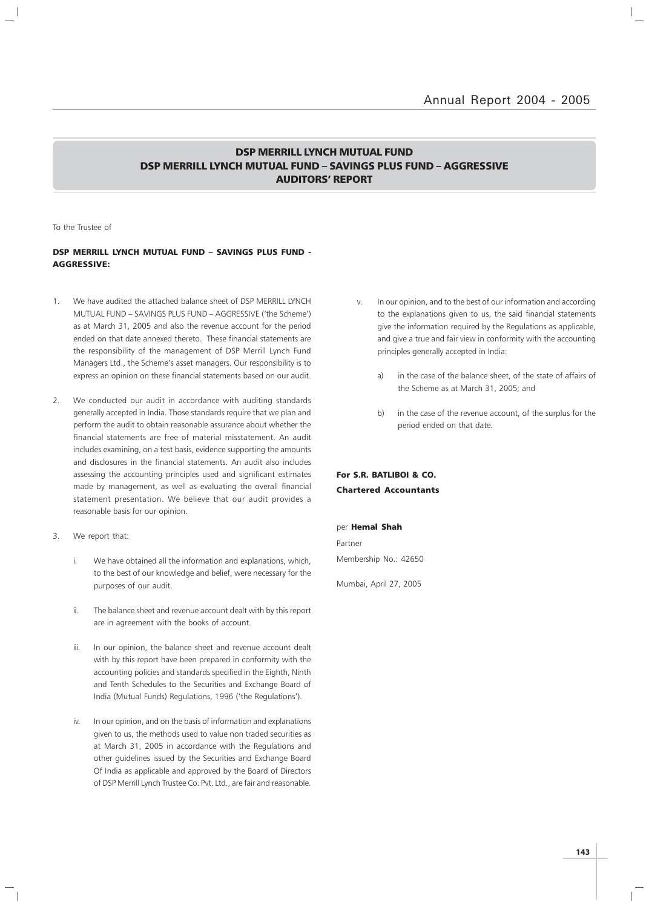### DSP MERRILL LYNCH MUTUAL FUND DSP MERRILL LYNCH MUTUAL FUND – SAVINGS PLUS FUND – AGGRESSIVE AUDITORS' REPORT

To the Trustee of

#### DSP MERRILL LYNCH MUTUAL FUND – SAVINGS PLUS FUND - AGGRESSIVE:

- 1. We have audited the attached balance sheet of DSP MERRILL LYNCH MUTUAL FUND – SAVINGS PLUS FUND – AGGRESSIVE ('the Scheme') as at March 31, 2005 and also the revenue account for the period ended on that date annexed thereto. These financial statements are the responsibility of the management of DSP Merrill Lynch Fund Managers Ltd., the Scheme's asset managers. Our responsibility is to express an opinion on these financial statements based on our audit.
- 2. We conducted our audit in accordance with auditing standards generally accepted in India. Those standards require that we plan and perform the audit to obtain reasonable assurance about whether the financial statements are free of material misstatement. An audit includes examining, on a test basis, evidence supporting the amounts and disclosures in the financial statements. An audit also includes assessing the accounting principles used and significant estimates made by management, as well as evaluating the overall financial statement presentation. We believe that our audit provides a reasonable basis for our opinion.
- 3. We report that:
	- i. We have obtained all the information and explanations, which, to the best of our knowledge and belief, were necessary for the purposes of our audit.
	- ii. The balance sheet and revenue account dealt with by this report are in agreement with the books of account.
	- iii. In our opinion, the balance sheet and revenue account dealt with by this report have been prepared in conformity with the accounting policies and standards specified in the Eighth, Ninth and Tenth Schedules to the Securities and Exchange Board of India (Mutual Funds) Regulations, 1996 ('the Regulations').
	- iv. In our opinion, and on the basis of information and explanations given to us, the methods used to value non traded securities as at March 31, 2005 in accordance with the Regulations and other guidelines issued by the Securities and Exchange Board Of India as applicable and approved by the Board of Directors of DSP Merrill Lynch Trustee Co. Pvt. Ltd., are fair and reasonable.
- v. In our opinion, and to the best of our information and according to the explanations given to us, the said financial statements give the information required by the Regulations as applicable, and give a true and fair view in conformity with the accounting principles generally accepted in India:
	- a) in the case of the balance sheet, of the state of affairs of the Scheme as at March 31, 2005; and
	- b) in the case of the revenue account, of the surplus for the period ended on that date.

### For S.R. BATLIBOI & CO. Chartered Accountants

#### per Hemal Shah

Partner Membership No.: 42650

Mumbai, April 27, 2005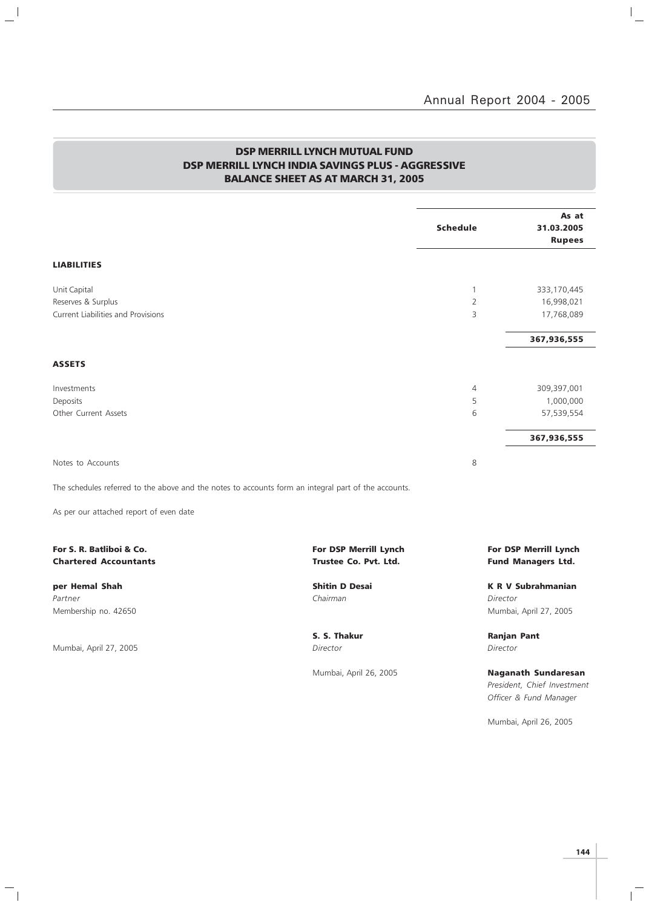$\overline{a}$ 

### DSP MERRILL LYNCH MUTUAL FUND DSP MERRILL LYNCH INDIA SAVINGS PLUS - AGGRESSIVE BALANCE SHEET AS AT MARCH 31, 2005

 $\frac{1}{2}$ 

 $\overline{\phantom{a}}_1$ 

|                                                          |                                                                                                      | <b>Schedule</b> | As at<br>31.03.2005<br><b>Rupees</b>               |
|----------------------------------------------------------|------------------------------------------------------------------------------------------------------|-----------------|----------------------------------------------------|
| <b>LIABILITIES</b>                                       |                                                                                                      |                 |                                                    |
| Unit Capital                                             |                                                                                                      | $\mathbf{1}$    | 333,170,445                                        |
| Reserves & Surplus                                       |                                                                                                      | $\overline{2}$  | 16,998,021                                         |
| <b>Current Liabilities and Provisions</b>                |                                                                                                      | 3               | 17,768,089                                         |
|                                                          |                                                                                                      |                 | 367,936,555                                        |
| <b>ASSETS</b>                                            |                                                                                                      |                 |                                                    |
| Investments                                              |                                                                                                      | 4               | 309,397,001                                        |
| Deposits                                                 |                                                                                                      | 5               | 1,000,000                                          |
| Other Current Assets                                     |                                                                                                      | 6               | 57,539,554                                         |
|                                                          |                                                                                                      |                 | 367,936,555                                        |
| Notes to Accounts                                        |                                                                                                      | 8               |                                                    |
|                                                          | The schedules referred to the above and the notes to accounts form an integral part of the accounts. |                 |                                                    |
| As per our attached report of even date                  |                                                                                                      |                 |                                                    |
| For S. R. Batliboi & Co.<br><b>Chartered Accountants</b> | For DSP Merrill Lynch<br>Trustee Co. Pvt. Ltd.                                                       |                 | For DSP Merrill Lynch<br><b>Fund Managers Ltd.</b> |
| per Hemal Shah                                           | <b>Shitin D Desai</b>                                                                                |                 | <b>K R V Subrahmanian</b>                          |
| Partner                                                  | Chairman                                                                                             | Director        |                                                    |
| Membership no. 42650                                     |                                                                                                      |                 | Mumbai, April 27, 2005                             |
|                                                          | S. S. Thakur                                                                                         |                 | <b>Ranjan Pant</b>                                 |
| Mumbai, April 27, 2005                                   | Director                                                                                             | Director        |                                                    |
|                                                          | Mumbai, April 26, 2005                                                                               |                 | <b>Naganath Sundaresan</b>                         |
|                                                          |                                                                                                      |                 | President, Chief Investment                        |
|                                                          |                                                                                                      |                 | Officer & Fund Manager                             |

Mumbai, April 26, 2005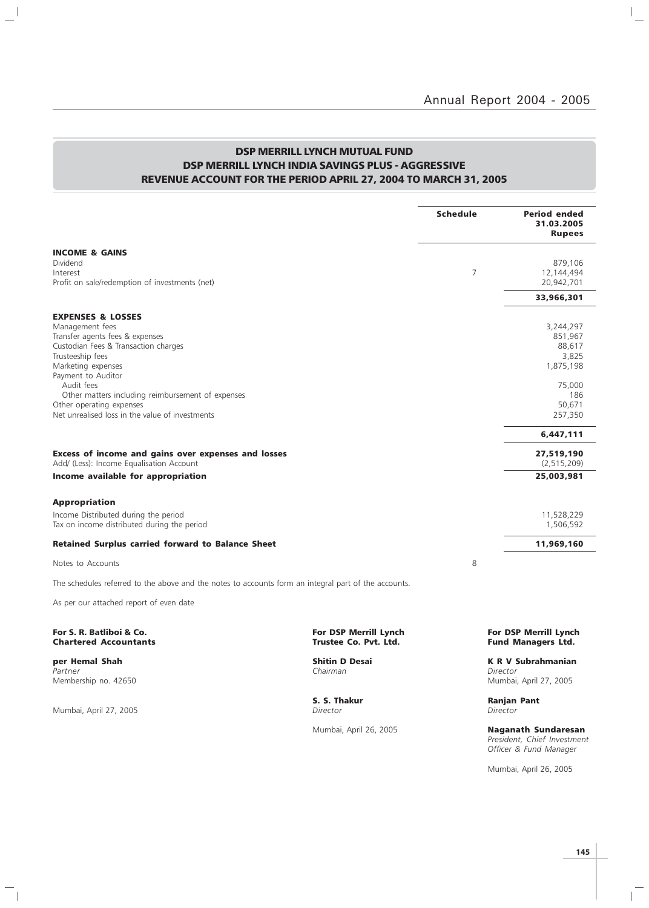$\mathbb{I}_+$ 

## DSP MERRILL LYNCH MUTUAL FUND DSP MERRILL LYNCH INDIA SAVINGS PLUS - AGGRESSIVE REVENUE ACCOUNT FOR THE PERIOD APRIL 27, 2004 TO MARCH 31, 2005

|                                                                                                                                                |                                                       | <b>Schedule</b> | <b>Period ended</b><br>31.03.2005<br><b>Rupees</b>              |
|------------------------------------------------------------------------------------------------------------------------------------------------|-------------------------------------------------------|-----------------|-----------------------------------------------------------------|
| <b>INCOME &amp; GAINS</b><br>Dividend<br>Interest<br>Profit on sale/redemption of investments (net)                                            |                                                       | 7               | 879,106<br>12,144,494<br>20,942,701                             |
|                                                                                                                                                |                                                       |                 | 33,966,301                                                      |
| <b>EXPENSES &amp; LOSSES</b><br>Management fees<br>Transfer agents fees & expenses<br>Custodian Fees & Transaction charges<br>Trusteeship fees |                                                       |                 | 3,244,297<br>851,967<br>88,617<br>3,825                         |
| Marketing expenses<br>Payment to Auditor<br>Audit fees<br>Other matters including reimbursement of expenses                                    |                                                       |                 | 1,875,198<br>75,000<br>186                                      |
| Other operating expenses<br>Net unrealised loss in the value of investments                                                                    |                                                       |                 | 50,671<br>257,350                                               |
|                                                                                                                                                |                                                       |                 | 6,447,111                                                       |
| Excess of income and gains over expenses and losses<br>Add/ (Less): Income Equalisation Account                                                |                                                       |                 | 27,519,190<br>(2, 515, 209)                                     |
| Income available for appropriation                                                                                                             |                                                       |                 | 25,003,981                                                      |
| <b>Appropriation</b><br>Income Distributed during the period<br>Tax on income distributed during the period                                    |                                                       |                 | 11,528,229<br>1,506,592                                         |
| <b>Retained Surplus carried forward to Balance Sheet</b>                                                                                       |                                                       |                 | 11,969,160                                                      |
| Notes to Accounts                                                                                                                              |                                                       | 8               |                                                                 |
| The schedules referred to the above and the notes to accounts form an integral part of the accounts.                                           |                                                       |                 |                                                                 |
| As per our attached report of even date                                                                                                        |                                                       |                 |                                                                 |
| For S. R. Batliboi & Co.<br><b>Chartered Accountants</b>                                                                                       | <b>For DSP Merrill Lynch</b><br>Trustee Co. Pvt. Ltd. |                 | <b>For DSP Merrill Lynch</b><br><b>Fund Managers Ltd.</b>       |
| per Hemal Shah<br>Partner<br>Membership no. 42650                                                                                              | <b>Shitin D Desai</b><br>Chairman                     |                 | <b>K R V Subrahmanian</b><br>Director<br>Mumbai, April 27, 2005 |

Mumbai, April 27, 2005

 $\mathord{\hspace{1pt}\text{--}\hspace{1pt}}_\parallel$ 

 $\frac{1}{2}$ 

**S. S. Thakur Ranjan Pant** *Director Director* 

Mumbai, April 26, 2005 Naganath Sundaresan President, Chief Investment Officer & Fund Manager

Mumbai, April 26, 2005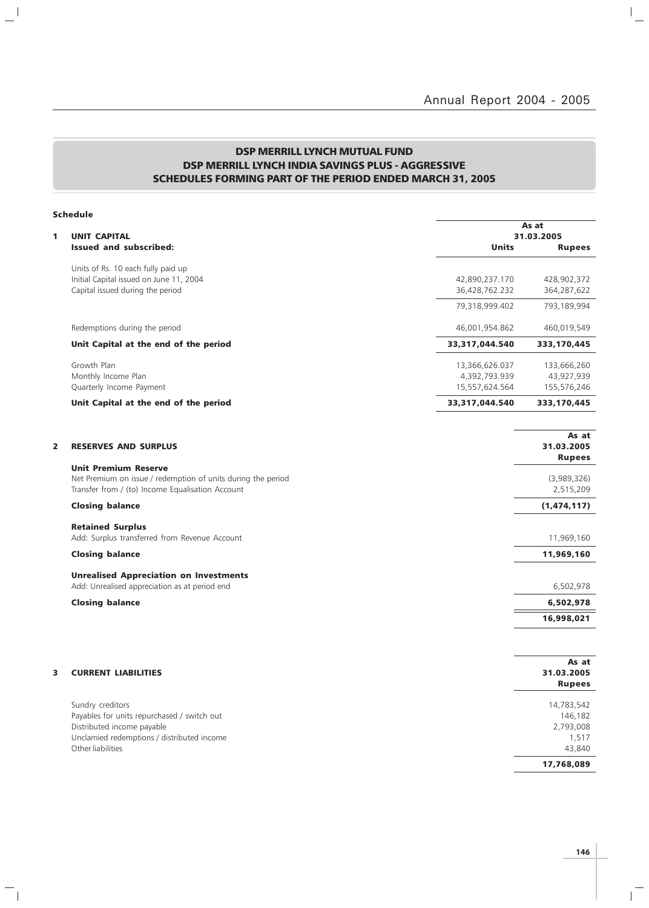# DSP MERRILL LYNCH MUTUAL FUND DSP MERRILL LYNCH INDIA SAVINGS PLUS - AGGRESSIVE SCHEDULES FORMING PART OF THE PERIOD ENDED MARCH 31, 2005

 $\mathbb{L}^{\mathbb{I}}$ 

 $\overline{\phantom{a}}_1$ 

|                | <b>Schedule</b>                                                                             |                |                             |
|----------------|---------------------------------------------------------------------------------------------|----------------|-----------------------------|
|                |                                                                                             |                | As at                       |
| 1              | <b>UNIT CAPITAL</b><br><b>Issued and subscribed:</b>                                        | <b>Units</b>   | 31.03.2005<br><b>Rupees</b> |
|                | Units of Rs. 10 each fully paid up                                                          |                |                             |
|                | Initial Capital issued on June 11, 2004                                                     | 42,890,237.170 | 428,902,372                 |
|                | Capital issued during the period                                                            | 36,428,762.232 | 364,287,622                 |
|                |                                                                                             | 79,318,999.402 | 793,189,994                 |
|                | Redemptions during the period                                                               | 46,001,954.862 | 460,019,549                 |
|                | Unit Capital at the end of the period                                                       | 33,317,044.540 | 333,170,445                 |
|                | Growth Plan                                                                                 | 13,366,626.037 | 133,666,260                 |
|                | Monthly Income Plan                                                                         | 4,392,793.939  | 43,927,939                  |
|                | Quarterly Income Payment                                                                    | 15,557,624.564 | 155,576,246                 |
|                | Unit Capital at the end of the period                                                       | 33,317,044.540 | 333,170,445                 |
|                |                                                                                             |                | As at                       |
| $\overline{2}$ | <b>RESERVES AND SURPLUS</b>                                                                 |                | 31.03.2005<br><b>Rupees</b> |
|                | <b>Unit Premium Reserve</b><br>Net Premium on issue / redemption of units during the period |                | (3,989,326)                 |
|                | Transfer from / (to) Income Equalisation Account                                            |                | 2,515,209                   |
|                | <b>Closing balance</b>                                                                      |                | (1,474,117)                 |
|                | <b>Retained Surplus</b>                                                                     |                |                             |
|                | Add: Surplus transferred from Revenue Account                                               |                | 11,969,160                  |
|                | <b>Closing balance</b>                                                                      |                | 11,969,160                  |
|                | <b>Unrealised Appreciation on Investments</b>                                               |                |                             |
|                | Add: Unrealised appreciation as at period end                                               |                | 6,502,978                   |
|                | <b>Closing balance</b>                                                                      |                | 6,502,978                   |
|                |                                                                                             |                | 16,998,021                  |
|                |                                                                                             |                |                             |
|                |                                                                                             |                | As at                       |
| 3              | <b>CURRENT LIABILITIES</b>                                                                  |                | 31.03.2005<br><b>Rupees</b> |
|                |                                                                                             |                |                             |
|                | Sundry creditors                                                                            |                | 14,783,542                  |
|                | Payables for units repurchased / switch out                                                 |                | 146,182                     |
|                | Distributed income payable                                                                  |                | 2,793,008                   |
|                | Unclamied redemptions / distributed income                                                  |                | 1,517                       |
|                | Other liabilities                                                                           |                | 43,840                      |
|                |                                                                                             |                | 17,768,089                  |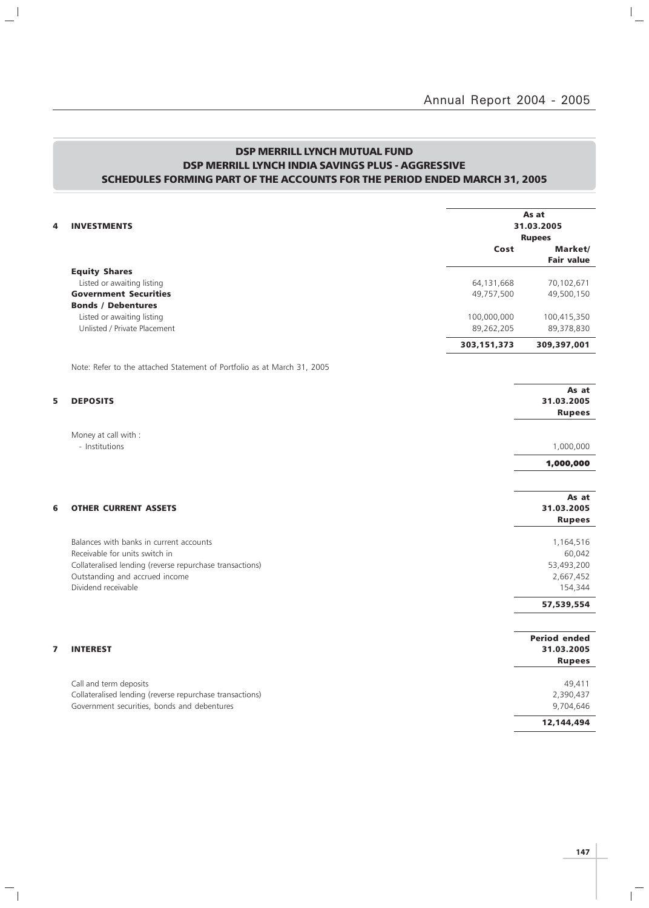## DSP MERRILL LYNCH MUTUAL FUND DSP MERRILL LYNCH INDIA SAVINGS PLUS - AGGRESSIVE SCHEDULES FORMING PART OF THE ACCOUNTS FOR THE PERIOD ENDED MARCH 31, 2005

 $\mathbb{L}^{\mathbb{I}}$ 

 $\overline{\phantom{a}}_1$ 

| 4<br><b>INVESTMENTS</b>                                                                                                            |                                                                         |                           | As at<br>31.03.2005<br><b>Rupees</b>                      |
|------------------------------------------------------------------------------------------------------------------------------------|-------------------------------------------------------------------------|---------------------------|-----------------------------------------------------------|
|                                                                                                                                    |                                                                         | Cost                      | Market/<br><b>Fair value</b>                              |
| <b>Equity Shares</b><br>Listed or awaiting listing<br><b>Government Securities</b><br><b>Bonds / Debentures</b>                    |                                                                         | 64,131,668<br>49,757,500  | 70,102,671<br>49,500,150                                  |
| Listed or awaiting listing<br>Unlisted / Private Placement                                                                         |                                                                         | 100,000,000<br>89,262,205 | 100,415,350<br>89,378,830                                 |
|                                                                                                                                    | Note: Refer to the attached Statement of Portfolio as at March 31, 2005 | 303, 151, 373             | 309,397,001                                               |
|                                                                                                                                    |                                                                         |                           |                                                           |
| 5<br><b>DEPOSITS</b>                                                                                                               |                                                                         |                           | As at<br>31.03.2005<br><b>Rupees</b>                      |
| Money at call with :                                                                                                               |                                                                         |                           |                                                           |
| - Institutions                                                                                                                     |                                                                         |                           | 1,000,000                                                 |
|                                                                                                                                    |                                                                         |                           | 1,000,000                                                 |
| 6<br><b>OTHER CURRENT ASSETS</b>                                                                                                   |                                                                         |                           | As at<br>31.03.2005<br><b>Rupees</b>                      |
| Balances with banks in current accounts<br>Receivable for units switch in<br>Outstanding and accrued income<br>Dividend receivable | Collateralised lending (reverse repurchase transactions)                |                           | 1,164,516<br>60,042<br>53,493,200<br>2,667,452<br>154,344 |
|                                                                                                                                    |                                                                         |                           | 57,539,554                                                |
| 7<br><b>INTEREST</b>                                                                                                               |                                                                         |                           | <b>Period ended</b><br>31.03.2005<br><b>Rupees</b>        |
| Call and term deposits<br>Government securities, bonds and debentures                                                              | Collateralised lending (reverse repurchase transactions)                |                           | 49,411<br>2,390,437<br>9,704,646                          |
|                                                                                                                                    |                                                                         |                           | 12,144,494                                                |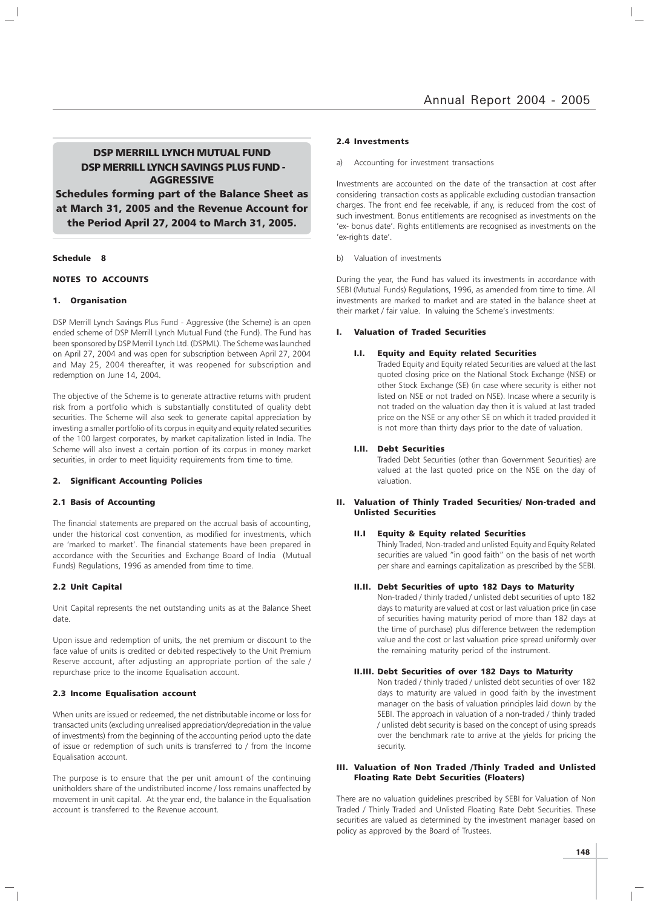### DSP MERRILL LYNCH MUTUAL FUND DSP MERRILL LYNCH SAVINGS PLUS FUND - AGGRESSIVE

Schedules forming part of the Balance Sheet as at March 31, 2005 and the Revenue Account for the Period April 27, 2004 to March 31, 2005.

### Schedule 8

### NOTES TO ACCOUNTS

### 1. Organisation

DSP Merrill Lynch Savings Plus Fund - Aggressive (the Scheme) is an open ended scheme of DSP Merrill Lynch Mutual Fund (the Fund). The Fund has been sponsored by DSP Merrill Lynch Ltd. (DSPML). The Scheme was launched on April 27, 2004 and was open for subscription between April 27, 2004 and May 25, 2004 thereafter, it was reopened for subscription and redemption on June 14, 2004.

The objective of the Scheme is to generate attractive returns with prudent risk from a portfolio which is substantially constituted of quality debt securities. The Scheme will also seek to generate capital appreciation by investing a smaller portfolio of its corpus in equity and equity related securities of the 100 largest corporates, by market capitalization listed in India. The Scheme will also invest a certain portion of its corpus in money market securities, in order to meet liquidity requirements from time to time.

### 2. Significant Accounting Policies

### 2.1 Basis of Accounting

The financial statements are prepared on the accrual basis of accounting, under the historical cost convention, as modified for investments, which are 'marked to market'. The financial statements have been prepared in accordance with the Securities and Exchange Board of India (Mutual Funds) Regulations, 1996 as amended from time to time.

### 2.2 Unit Capital

Unit Capital represents the net outstanding units as at the Balance Sheet date.

Upon issue and redemption of units, the net premium or discount to the face value of units is credited or debited respectively to the Unit Premium Reserve account, after adjusting an appropriate portion of the sale / repurchase price to the income Equalisation account.

### 2.3 Income Equalisation account

When units are issued or redeemed, the net distributable income or loss for transacted units (excluding unrealised appreciation/depreciation in the value of investments) from the beginning of the accounting period upto the date of issue or redemption of such units is transferred to / from the Income Equalisation account.

The purpose is to ensure that the per unit amount of the continuing unitholders share of the undistributed income / loss remains unaffected by movement in unit capital. At the year end, the balance in the Equalisation account is transferred to the Revenue account.

#### 2.4 Investments

Accounting for investment transactions

Investments are accounted on the date of the transaction at cost after considering transaction costs as applicable excluding custodian transaction charges. The front end fee receivable, if any, is reduced from the cost of such investment. Bonus entitlements are recognised as investments on the 'ex- bonus date'. Rights entitlements are recognised as investments on the 'ex-rights date'.

### b) Valuation of investments

During the year, the Fund has valued its investments in accordance with SEBI (Mutual Funds) Regulations, 1996, as amended from time to time. All investments are marked to market and are stated in the balance sheet at their market / fair value. In valuing the Scheme's investments:

#### I. Valuation of Traded Securities

### I.I. Equity and Equity related Securities

Traded Equity and Equity related Securities are valued at the last quoted closing price on the National Stock Exchange (NSE) or other Stock Exchange (SE) (in case where security is either not listed on NSE or not traded on NSE). Incase where a security is not traded on the valuation day then it is valued at last traded price on the NSE or any other SE on which it traded provided it is not more than thirty days prior to the date of valuation.

### I.II. Debt Securities

Traded Debt Securities (other than Government Securities) are valued at the last quoted price on the NSE on the day of valuation.

### II. Valuation of Thinly Traded Securities/ Non-traded and Unlisted Securities

### II.I Equity & Equity related Securities

Thinly Traded, Non-traded and unlisted Equity and Equity Related securities are valued "in good faith" on the basis of net worth per share and earnings capitalization as prescribed by the SEBI.

### II.II. Debt Securities of upto 182 Days to Maturity

Non-traded / thinly traded / unlisted debt securities of upto 182 days to maturity are valued at cost or last valuation price (in case of securities having maturity period of more than 182 days at the time of purchase) plus difference between the redemption value and the cost or last valuation price spread uniformly over the remaining maturity period of the instrument.

### II.III. Debt Securities of over 182 Days to Maturity

Non traded / thinly traded / unlisted debt securities of over 182 days to maturity are valued in good faith by the investment manager on the basis of valuation principles laid down by the SEBI. The approach in valuation of a non-traded / thinly traded / unlisted debt security is based on the concept of using spreads over the benchmark rate to arrive at the yields for pricing the security.

### III. Valuation of Non Traded /Thinly Traded and Unlisted Floating Rate Debt Securities (Floaters)

There are no valuation guidelines prescribed by SEBI for Valuation of Non Traded / Thinly Traded and Unlisted Floating Rate Debt Securities. These securities are valued as determined by the investment manager based on policy as approved by the Board of Trustees.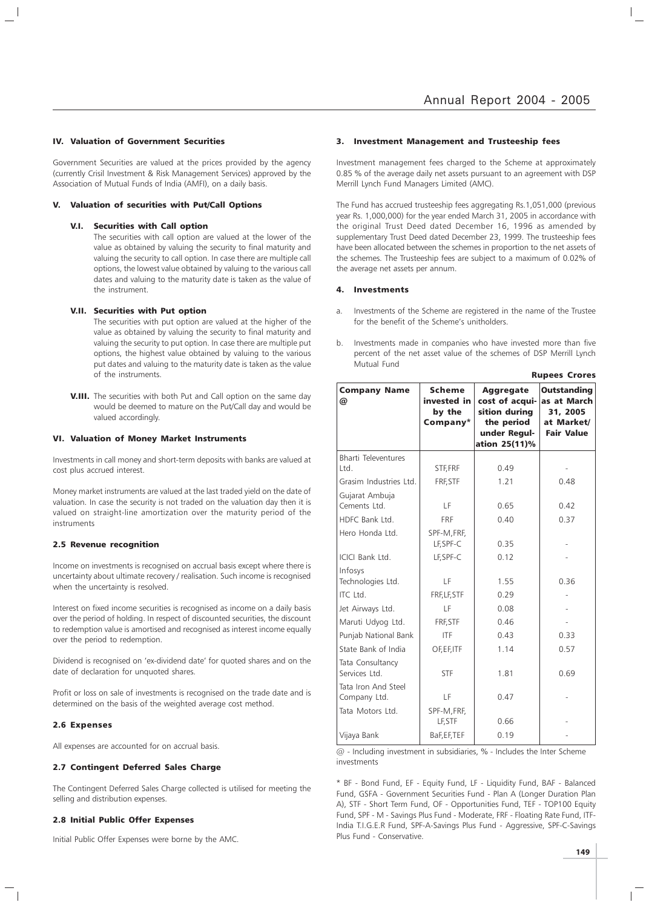### IV. Valuation of Government Securities

Government Securities are valued at the prices provided by the agency (currently Crisil Investment & Risk Management Services) approved by the Association of Mutual Funds of India (AMFI), on a daily basis.

### Valuation of securities with Put/Call Options

### V.I. Securities with Call option

The securities with call option are valued at the lower of the value as obtained by valuing the security to final maturity and valuing the security to call option. In case there are multiple call options, the lowest value obtained by valuing to the various call dates and valuing to the maturity date is taken as the value of the instrument.

### V.II. Securities with Put option

The securities with put option are valued at the higher of the value as obtained by valuing the security to final maturity and valuing the security to put option. In case there are multiple put options, the highest value obtained by valuing to the various put dates and valuing to the maturity date is taken as the value of the instruments.

**V.III.** The securities with both Put and Call option on the same day would be deemed to mature on the Put/Call day and would be valued accordingly.

### VI. Valuation of Money Market Instruments

Investments in call money and short-term deposits with banks are valued at cost plus accrued interest.

Money market instruments are valued at the last traded yield on the date of valuation. In case the security is not traded on the valuation day then it is valued on straight-line amortization over the maturity period of the instruments

### 2.5 Revenue recognition

Income on investments is recognised on accrual basis except where there is uncertainty about ultimate recovery / realisation. Such income is recognised when the uncertainty is resolved.

Interest on fixed income securities is recognised as income on a daily basis over the period of holding. In respect of discounted securities, the discount to redemption value is amortised and recognised as interest income equally over the period to redemption.

Dividend is recognised on 'ex-dividend date' for quoted shares and on the date of declaration for unquoted shares.

Profit or loss on sale of investments is recognised on the trade date and is determined on the basis of the weighted average cost method.

### 2.6 Expenses

All expenses are accounted for on accrual basis.

### 2.7 Contingent Deferred Sales Charge

The Contingent Deferred Sales Charge collected is utilised for meeting the selling and distribution expenses.

### 2.8 Initial Public Offer Expenses

Initial Public Offer Expenses were borne by the AMC.

#### 3. Investment Management and Trusteeship fees

Investment management fees charged to the Scheme at approximately 0.85 % of the average daily net assets pursuant to an agreement with DSP Merrill Lynch Fund Managers Limited (AMC).

The Fund has accrued trusteeship fees aggregating Rs.1,051,000 (previous year Rs. 1,000,000) for the year ended March 31, 2005 in accordance with the original Trust Deed dated December 16, 1996 as amended by supplementary Trust Deed dated December 23, 1999. The trusteeship fees have been allocated between the schemes in proportion to the net assets of the schemes. The Trusteeship fees are subject to a maximum of 0.02% of the average net assets per annum.

### 4. Investments

- Investments of the Scheme are registered in the name of the Trustee for the benefit of the Scheme's unitholders.
- b. Investments made in companies who have invested more than five percent of the net asset value of the schemes of DSP Merrill Lynch Mutual Fund

Rupees Crores

| <b>Company Name</b><br>@            | <b>Scheme</b><br>invested in<br>by the<br>Company* | <b>Aggregate</b><br>cost of acqui-<br>sition during<br>the period<br>under Regul-<br>ation 25(11)% | <b>Outstanding</b><br>as at March<br>31, 2005<br>at Market/<br><b>Fair Value</b> |
|-------------------------------------|----------------------------------------------------|----------------------------------------------------------------------------------------------------|----------------------------------------------------------------------------------|
| <b>Bharti Televentures</b><br>Ltd.  | STF, FRF                                           | 0.49                                                                                               |                                                                                  |
| Grasim Industries Ltd.              | FRF, STF                                           | 1.21                                                                                               | 0.48                                                                             |
| Gujarat Ambuja<br>Cements Ltd.      | LF                                                 | 0.65                                                                                               | 0.42                                                                             |
| HDFC Bank Ltd.                      | FRF                                                | 0.40                                                                                               | 0.37                                                                             |
| Hero Honda Ltd.                     | SPF-M, FRF,<br>LF, SPF-C                           | 0.35                                                                                               |                                                                                  |
| ICICI Bank Ltd.                     | LF, SPF-C                                          | 0.12                                                                                               |                                                                                  |
| Infosys<br>Technologies Ltd.        | LF                                                 | 1.55                                                                                               | 0.36                                                                             |
| ITC Ltd.                            | FRF, LF, STF                                       | 0.29                                                                                               |                                                                                  |
| Jet Airways Ltd.                    | LF                                                 | 0.08                                                                                               |                                                                                  |
| Maruti Udyog Ltd.                   | FRF, STF                                           | 0.46                                                                                               |                                                                                  |
| Punjab National Bank                | <b>ITF</b>                                         | 0.43                                                                                               | 0.33                                                                             |
| State Bank of India                 | OF, EF, ITF                                        | 1.14                                                                                               | 0.57                                                                             |
| Tata Consultancy<br>Services Ltd.   | <b>STF</b>                                         | 1.81                                                                                               | 0.69                                                                             |
| Tata Iron And Steel<br>Company Ltd. | LF                                                 | 0.47                                                                                               |                                                                                  |
| Tata Motors Ltd.                    | SPF-M, FRF,<br>LF, STF                             | 0.66                                                                                               |                                                                                  |
| Vijaya Bank                         | BaF, EF, TEF                                       | 0.19                                                                                               |                                                                                  |

@ - Including investment in subsidiaries, % - Includes the Inter Scheme investments

\* BF - Bond Fund, EF - Equity Fund, LF - Liquidity Fund, BAF - Balanced Fund, GSFA - Government Securities Fund - Plan A (Longer Duration Plan A), STF - Short Term Fund, OF - Opportunities Fund, TEF - TOP100 Equity Fund, SPF - M - Savings Plus Fund - Moderate, FRF - Floating Rate Fund, ITF-India T.I.G.E.R Fund, SPF-A-Savings Plus Fund - Aggressive, SPF-C-Savings Plus Fund - Conservative.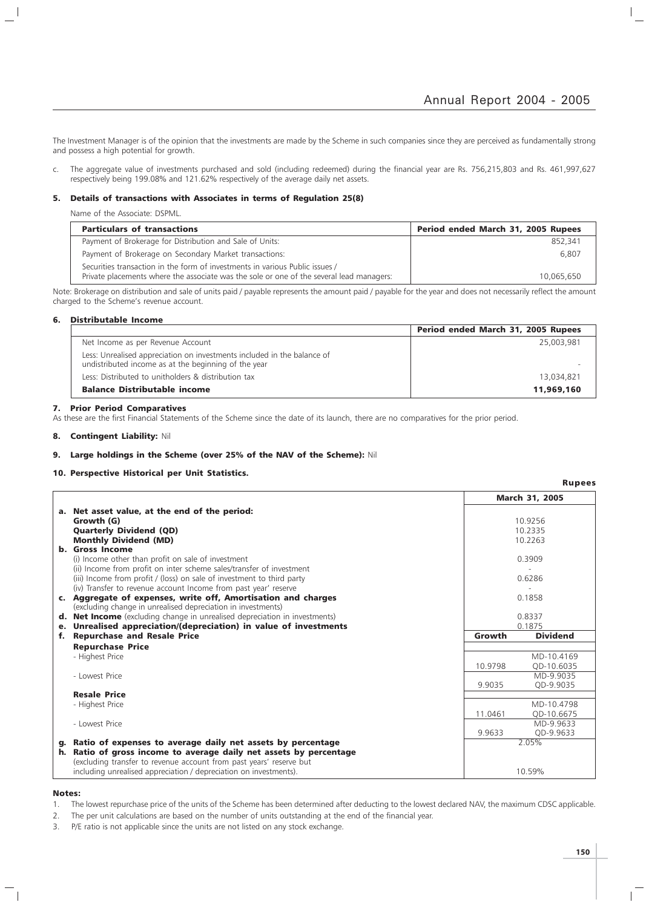$\mathbf{L}$ 

The Investment Manager is of the opinion that the investments are made by the Scheme in such companies since they are perceived as fundamentally strong and possess a high potential for growth.

c. The aggregate value of investments purchased and sold (including redeemed) during the financial year are Rs. 756,215,803 and Rs. 461,997,627 respectively being 199.08% and 121.62% respectively of the average daily net assets.

### 5. Details of transactions with Associates in terms of Regulation 25(8)

Name of the Associate: DSPML.

| <b>Particulars of transactions</b>                                                                                                                                       | Period ended March 31, 2005 Rupees |
|--------------------------------------------------------------------------------------------------------------------------------------------------------------------------|------------------------------------|
| Payment of Brokerage for Distribution and Sale of Units:                                                                                                                 | 852.341                            |
| Payment of Brokerage on Secondary Market transactions:                                                                                                                   | 6.807                              |
| Securities transaction in the form of investments in various Public issues /<br>Private placements where the associate was the sole or one of the several lead managers: | 10.065.650                         |

Note: Brokerage on distribution and sale of units paid / payable represents the amount paid / payable for the year and does not necessarily reflect the amount charged to the Scheme's revenue account.

### 6. Distributable Income

|                                                                                                                                 | Period ended March 31, 2005 Rupees |
|---------------------------------------------------------------------------------------------------------------------------------|------------------------------------|
| Net Income as per Revenue Account                                                                                               | 25,003,981                         |
| Less: Unrealised appreciation on investments included in the balance of<br>undistributed income as at the beginning of the year |                                    |
| Less: Distributed to unitholders & distribution tax                                                                             | 13,034,821                         |
| <b>Balance Distributable income</b>                                                                                             | 11,969,160                         |

### 7. Prior Period Comparatives

As these are the first Financial Statements of the Scheme since the date of its launch, there are no comparatives for the prior period.

### 8. Contingent Liability: Nil

### 9. Large holdings in the Scheme (over 25% of the NAV of the Scheme): Nil

### 10. Perspective Historical per Unit Statistics.

|    |                                                                                                                                        |         | <b>March 31, 2005</b> |
|----|----------------------------------------------------------------------------------------------------------------------------------------|---------|-----------------------|
|    | a. Net asset value, at the end of the period:                                                                                          |         |                       |
|    | Growth (G)                                                                                                                             |         | 10.9256               |
|    | <b>Quarterly Dividend (QD)</b>                                                                                                         |         | 10.2335               |
|    | <b>Monthly Dividend (MD)</b>                                                                                                           | 10.2263 |                       |
|    | b. Gross Income                                                                                                                        |         |                       |
|    | (i) Income other than profit on sale of investment                                                                                     |         | 0.3909                |
|    | (ii) Income from profit on inter scheme sales/transfer of investment                                                                   |         |                       |
|    | (iii) Income from profit / (loss) on sale of investment to third party                                                                 |         | 0.6286                |
|    | (iv) Transfer to revenue account Income from past year' reserve                                                                        |         |                       |
|    | c. Aggregate of expenses, write off, Amortisation and charges                                                                          |         | 0.1858                |
|    | (excluding change in unrealised depreciation in investments)                                                                           |         |                       |
| d. | <b>Net Income</b> (excluding change in unrealised depreciation in investments)                                                         |         | 0.8337                |
| е. | Unrealised appreciation/(depreciation) in value of investments                                                                         | 0.1875  |                       |
| f. | <b>Repurchase and Resale Price</b>                                                                                                     | Growth  | <b>Dividend</b>       |
|    | <b>Repurchase Price</b>                                                                                                                |         |                       |
|    | - Highest Price                                                                                                                        |         | MD-10.4169            |
|    |                                                                                                                                        | 10.9798 | OD-10.6035            |
|    | - Lowest Price                                                                                                                         |         | MD-9.9035             |
|    |                                                                                                                                        | 9.9035  | OD-9.9035             |
|    | <b>Resale Price</b>                                                                                                                    |         |                       |
|    | - Highest Price                                                                                                                        |         | MD-10.4798            |
|    |                                                                                                                                        | 11.0461 | QD-10.6675            |
|    | - Lowest Price                                                                                                                         |         | MD-9.9633             |
|    |                                                                                                                                        | 9.9633  | QD-9.9633<br>2.05%    |
| h. | g. Ratio of expenses to average daily net assets by percentage                                                                         |         |                       |
|    | Ratio of gross income to average daily net assets by percentage<br>(excluding transfer to revenue account from past years' reserve but |         |                       |
|    | including unrealised appreciation / depreciation on investments).                                                                      |         | 10.59%                |

### Notes:

- 1. The lowest repurchase price of the units of the Scheme has been determined after deducting to the lowest declared NAV, the maximum CDSC applicable.
- 2. The per unit calculations are based on the number of units outstanding at the end of the financial year.
- 3. P/E ratio is not applicable since the units are not listed on any stock exchange.

Rupees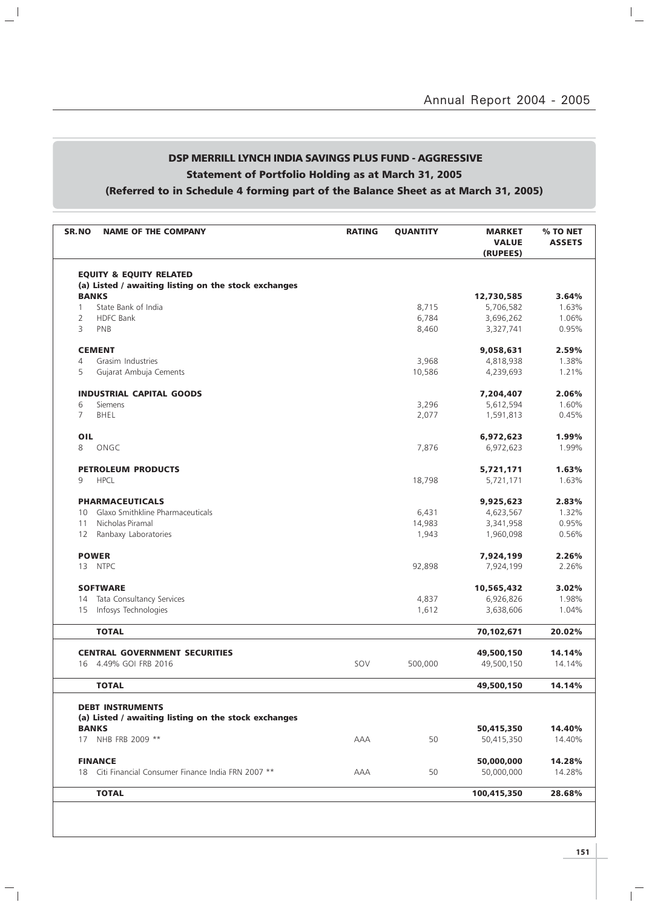# DSP MERRILL LYNCH INDIA SAVINGS PLUS FUND - AGGRESSIVE Statement of Portfolio Holding as at March 31, 2005 (Referred to in Schedule 4 forming part of the Balance Sheet as at March 31, 2005)

 $\mathbb{L}^{\parallel}$ 

 $\overline{\phantom{a}}_1$ 

| <b>SR.NO</b>   | <b>NAME OF THE COMPANY</b>                           | <b>RATING</b> | <b>QUANTITY</b> | <b>MARKET</b><br><b>VALUE</b><br>(RUPEES) | % TO NET<br><b>ASSETS</b> |
|----------------|------------------------------------------------------|---------------|-----------------|-------------------------------------------|---------------------------|
|                | <b>EQUITY &amp; EQUITY RELATED</b>                   |               |                 |                                           |                           |
|                | (a) Listed / awaiting listing on the stock exchanges |               |                 |                                           |                           |
|                | <b>BANKS</b>                                         |               |                 | 12,730,585                                | 3.64%                     |
| 1              | State Bank of India                                  |               | 8,715           | 5,706,582                                 | 1.63%                     |
| $\overline{2}$ | <b>HDFC Bank</b>                                     |               | 6,784           | 3,696,262                                 | 1.06%                     |
| 3              | PNB                                                  |               | 8,460           | 3,327,741                                 | 0.95%                     |
|                | <b>CEMENT</b>                                        |               |                 | 9,058,631                                 | 2.59%                     |
| $\overline{4}$ | Grasim Industries                                    |               | 3,968           | 4,818,938                                 | 1.38%                     |
| 5              | Gujarat Ambuja Cements                               |               | 10,586          | 4,239,693                                 | 1.21%                     |
|                | <b>INDUSTRIAL CAPITAL GOODS</b>                      |               |                 | 7,204,407                                 | 2.06%                     |
| 6              | <b>Siemens</b>                                       |               | 3,296           | 5,612,594                                 | 1.60%                     |
| 7              | BHEL                                                 |               | 2,077           | 1,591,813                                 | 0.45%                     |
| OIL            |                                                      |               |                 | 6,972,623                                 | 1.99%                     |
| 8              | ONGC                                                 |               | 7,876           | 6,972,623                                 | 1.99%                     |
|                |                                                      |               |                 |                                           |                           |
|                | <b>PETROLEUM PRODUCTS</b>                            |               |                 | 5,721,171                                 | 1.63%                     |
| 9              | <b>HPCL</b>                                          |               | 18,798          | 5,721,171                                 | 1.63%                     |
|                | <b>PHARMACEUTICALS</b>                               |               |                 | 9,925,623                                 | 2.83%                     |
| 10             | Glaxo Smithkline Pharmaceuticals                     |               | 6,431           | 4,623,567                                 | 1.32%                     |
| 11             | Nicholas Piramal                                     |               | 14,983          | 3,341,958                                 | 0.95%                     |
| 12             | Ranbaxy Laboratories                                 |               | 1,943           | 1,960,098                                 | 0.56%                     |
|                | <b>POWER</b>                                         |               |                 | 7,924,199                                 | 2.26%                     |
| 13             | <b>NTPC</b>                                          |               | 92,898          | 7,924,199                                 | 2.26%                     |
|                |                                                      |               |                 |                                           |                           |
|                | <b>SOFTWARE</b>                                      |               |                 | 10,565,432                                | 3.02%                     |
| 14             | Tata Consultancy Services                            |               | 4,837           | 6,926,826                                 | 1.98%                     |
| 15             | Infosys Technologies                                 |               | 1,612           | 3,638,606                                 | 1.04%                     |
|                | <b>TOTAL</b>                                         |               |                 | 70,102,671                                | 20.02%                    |
|                | <b>CENTRAL GOVERNMENT SECURITIES</b>                 |               |                 | 49,500,150                                | 14.14%                    |
| 16             | 4.49% GOI FRB 2016                                   | SOV           | 500,000         | 49,500,150                                | 14.14%                    |
|                |                                                      |               |                 |                                           |                           |
|                | TOTAL                                                |               |                 | 49,500,150                                | 14.14%                    |
|                | <b>DEBT INSTRUMENTS</b>                              |               |                 |                                           |                           |
|                | (a) Listed / awaiting listing on the stock exchanges |               |                 |                                           |                           |
|                | <b>BANKS</b>                                         |               |                 | 50,415,350                                | 14.40%                    |
|                | 17 NHB FRB 2009 **                                   | AAA           | 50              | 50,415,350                                | 14.40%                    |
|                | <b>FINANCE</b>                                       |               |                 | 50,000,000                                | 14.28%                    |
|                | 18 Citi Financial Consumer Finance India FRN 2007 ** | AAA           | 50              | 50,000,000                                | 14.28%                    |
|                | <b>TOTAL</b>                                         |               |                 | 100,415,350                               | 28.68%                    |
|                |                                                      |               |                 |                                           |                           |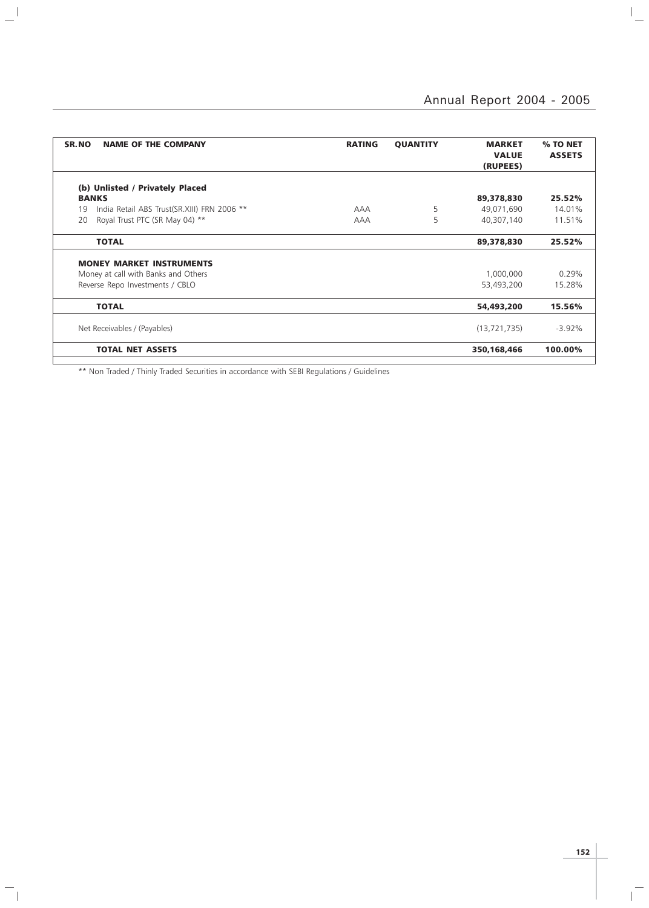$\overline{a}$ 

| SR.NO<br><b>NAME OF THE COMPANY</b>               | <b>RATING</b> | <b>QUANTITY</b> | <b>MARKET</b><br><b>VALUE</b><br>(RUPEES) | % TO NET<br><b>ASSETS</b> |
|---------------------------------------------------|---------------|-----------------|-------------------------------------------|---------------------------|
|                                                   |               |                 |                                           |                           |
| (b) Unlisted / Privately Placed                   |               |                 |                                           |                           |
| <b>BANKS</b>                                      |               |                 | 89,378,830                                | 25.52%                    |
| India Retail ABS Trust(SR.XIII) FRN 2006 **<br>19 | <b>AAA</b>    | 5               | 49,071,690                                | 14.01%                    |
| Royal Trust PTC (SR May 04) **<br>20              | <b>AAA</b>    | 5               | 40,307,140                                | 11.51%                    |
| <b>TOTAL</b>                                      |               |                 | 89,378,830                                | 25.52%                    |
| <b>MONEY MARKET INSTRUMENTS</b>                   |               |                 |                                           |                           |
|                                                   |               |                 | 1,000,000                                 | 0.29%                     |
| Money at call with Banks and Others               |               |                 |                                           |                           |
| Reverse Repo Investments / CBLO                   |               |                 | 53,493,200                                | 15.28%                    |
| <b>TOTAL</b>                                      |               |                 | 54,493,200                                | 15.56%                    |
|                                                   |               |                 |                                           |                           |
| Net Receivables / (Payables)                      |               |                 | (13, 721, 735)                            | $-3.92\%$                 |
| <b>TOTAL NET ASSETS</b>                           |               |                 | 350,168,466                               | 100.00%                   |
|                                                   |               |                 |                                           |                           |

\*\* Non Traded / Thinly Traded Securities in accordance with SEBI Regulations / Guidelines

 $\mathbf{a}^{\dagger}$ 

 $\mathcal{L}_{\parallel}$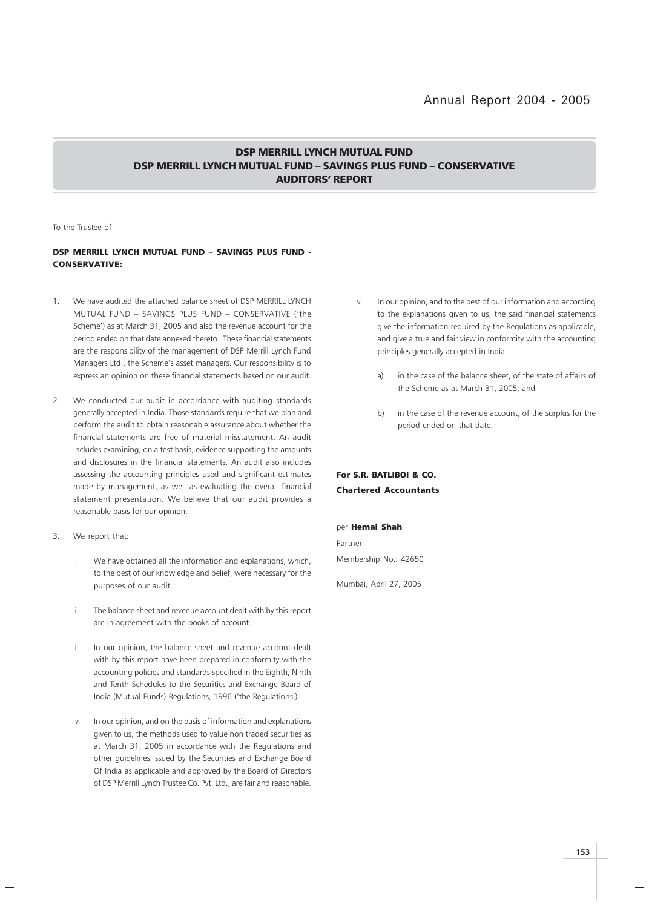### DSP MERRILL LYNCH MUTUAL FUND DSP MERRILL LYNCH MUTUAL FUND – SAVINGS PLUS FUND – CONSERVATIVE AUDITORS' REPORT

To the Trustee of

### DSP MERRILL LYNCH MUTUAL FUND – SAVINGS PLUS FUND - CONSERVATIVE:

- 1. We have audited the attached balance sheet of DSP MERRILL LYNCH MUTUAL FUND – SAVINGS PLUS FUND – CONSERVATIVE ('the Scheme') as at March 31, 2005 and also the revenue account for the period ended on that date annexed thereto. These financial statements are the responsibility of the management of DSP Merrill Lynch Fund Managers Ltd., the Scheme's asset managers. Our responsibility is to express an opinion on these financial statements based on our audit.
- 2. We conducted our audit in accordance with auditing standards generally accepted in India. Those standards require that we plan and perform the audit to obtain reasonable assurance about whether the financial statements are free of material misstatement. An audit includes examining, on a test basis, evidence supporting the amounts and disclosures in the financial statements. An audit also includes assessing the accounting principles used and significant estimates made by management, as well as evaluating the overall financial statement presentation. We believe that our audit provides a reasonable basis for our opinion.
- 3. We report that:
	- i. We have obtained all the information and explanations, which, to the best of our knowledge and belief, were necessary for the purposes of our audit.
	- ii. The balance sheet and revenue account dealt with by this report are in agreement with the books of account.
	- iii. In our opinion, the balance sheet and revenue account dealt with by this report have been prepared in conformity with the accounting policies and standards specified in the Eighth, Ninth and Tenth Schedules to the Securities and Exchange Board of India (Mutual Funds) Regulations, 1996 ('the Regulations').
	- iv. In our opinion, and on the basis of information and explanations given to us, the methods used to value non traded securities as at March 31, 2005 in accordance with the Regulations and other guidelines issued by the Securities and Exchange Board Of India as applicable and approved by the Board of Directors of DSP Merrill Lynch Trustee Co. Pvt. Ltd., are fair and reasonable.
- v. In our opinion, and to the best of our information and according to the explanations given to us, the said financial statements give the information required by the Regulations as applicable, and give a true and fair view in conformity with the accounting principles generally accepted in India:
	- a) in the case of the balance sheet, of the state of affairs of the Scheme as at March 31, 2005; and
	- b) in the case of the revenue account, of the surplus for the period ended on that date.

### For S.R. BATLIBOI & CO. Chartered Accountants

### per Hemal Shah

Partner Membership No.: 42650

Mumbai, April 27, 2005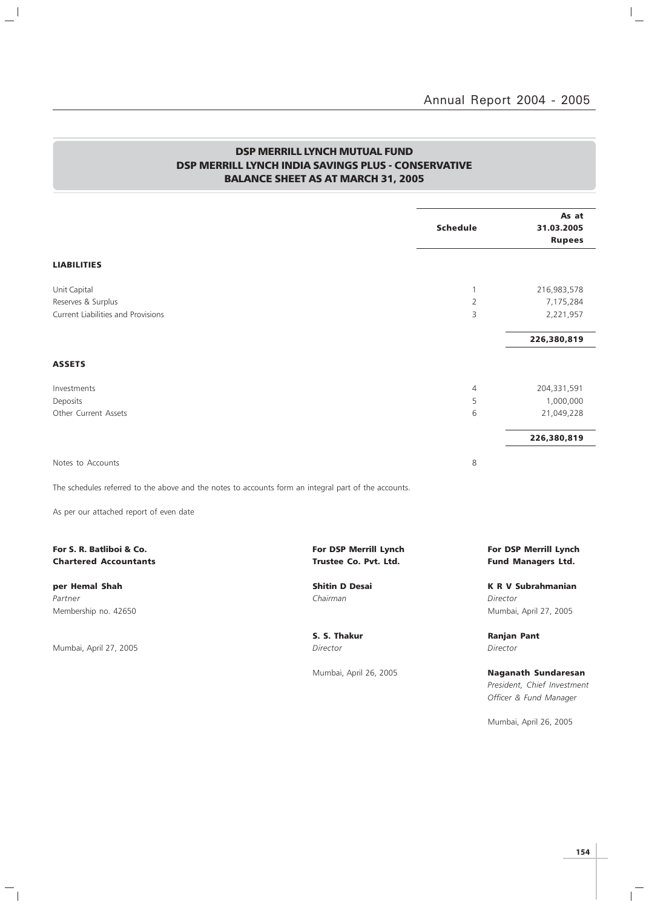$\overline{a}$ 

## DSP MERRILL LYNCH MUTUAL FUND DSP MERRILL LYNCH INDIA SAVINGS PLUS - CONSERVATIVE BALANCE SHEET AS AT MARCH 31, 2005

 $\mathbf{a}^{\dagger}$ 

 $\overline{\phantom{a}}_1$ 

|                                                          |                                                                                                      | <b>Schedule</b> | As at<br>31.03.2005<br><b>Rupees</b>               |
|----------------------------------------------------------|------------------------------------------------------------------------------------------------------|-----------------|----------------------------------------------------|
| <b>LIABILITIES</b>                                       |                                                                                                      |                 |                                                    |
| Unit Capital                                             |                                                                                                      | $\mathbf{1}$    | 216,983,578                                        |
| Reserves & Surplus                                       |                                                                                                      | $\overline{2}$  | 7,175,284                                          |
| Current Liabilities and Provisions                       |                                                                                                      | 3               | 2,221,957                                          |
|                                                          |                                                                                                      |                 | 226,380,819                                        |
| <b>ASSETS</b>                                            |                                                                                                      |                 |                                                    |
| Investments                                              |                                                                                                      | 4               | 204,331,591                                        |
| Deposits                                                 |                                                                                                      | 5               | 1,000,000                                          |
| Other Current Assets                                     |                                                                                                      | 6               | 21,049,228                                         |
|                                                          |                                                                                                      |                 | 226,380,819                                        |
| Notes to Accounts                                        |                                                                                                      | 8               |                                                    |
|                                                          | The schedules referred to the above and the notes to accounts form an integral part of the accounts. |                 |                                                    |
| As per our attached report of even date                  |                                                                                                      |                 |                                                    |
| For S. R. Batliboi & Co.<br><b>Chartered Accountants</b> | For DSP Merrill Lynch<br>Trustee Co. Pvt. Ltd.                                                       |                 | For DSP Merrill Lynch<br><b>Fund Managers Ltd.</b> |
| per Hemal Shah                                           | <b>Shitin D Desai</b>                                                                                |                 | <b>K R V Subrahmanian</b>                          |
| Partner                                                  | Chairman                                                                                             |                 | Director                                           |
| Membership no. 42650                                     |                                                                                                      |                 | Mumbai, April 27, 2005                             |
|                                                          | S. S. Thakur                                                                                         |                 | <b>Ranjan Pant</b>                                 |
| Mumbai, April 27, 2005                                   | Director                                                                                             |                 | Director                                           |
|                                                          | Mumbai, April 26, 2005                                                                               |                 | <b>Naganath Sundaresan</b>                         |
|                                                          |                                                                                                      |                 | President, Chief Investment                        |
|                                                          |                                                                                                      |                 | Officer & Fund Manager                             |

Mumbai, April 26, 2005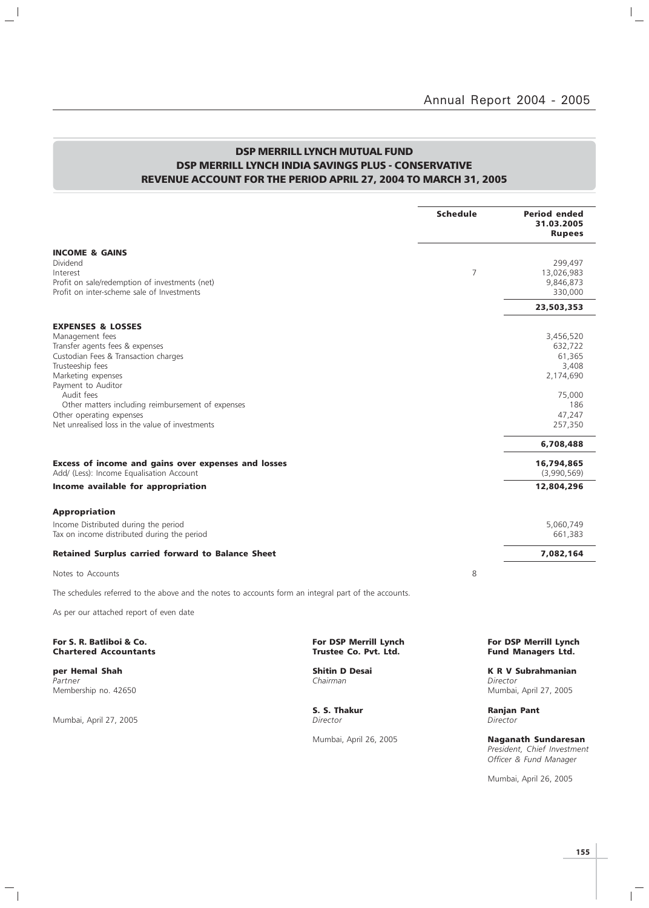$\mathbb{I}_+$ 

## DSP MERRILL LYNCH MUTUAL FUND DSP MERRILL LYNCH INDIA SAVINGS PLUS - CONSERVATIVE REVENUE ACCOUNT FOR THE PERIOD APRIL 27, 2004 TO MARCH 31, 2005

|                                                                                                      |                                   | <b>Schedule</b> | <b>Period ended</b><br>31.03.2005<br><b>Rupees</b> |
|------------------------------------------------------------------------------------------------------|-----------------------------------|-----------------|----------------------------------------------------|
| INCOME & GAINS                                                                                       |                                   |                 |                                                    |
| Dividend                                                                                             |                                   | 7               | 299,497                                            |
| Interest<br>Profit on sale/redemption of investments (net)                                           |                                   |                 | 13,026,983<br>9,846,873                            |
| Profit on inter-scheme sale of Investments                                                           |                                   |                 | 330,000                                            |
|                                                                                                      |                                   |                 | 23,503,353                                         |
| <b>EXPENSES &amp; LOSSES</b>                                                                         |                                   |                 |                                                    |
| Management fees                                                                                      |                                   |                 | 3,456,520                                          |
| Transfer agents fees & expenses                                                                      |                                   |                 | 632,722                                            |
| Custodian Fees & Transaction charges<br>Trusteeship fees                                             |                                   |                 | 61,365<br>3,408                                    |
| Marketing expenses                                                                                   |                                   |                 | 2,174,690                                          |
| Payment to Auditor                                                                                   |                                   |                 |                                                    |
| Audit fees                                                                                           |                                   |                 | 75,000                                             |
| Other matters including reimbursement of expenses                                                    |                                   |                 | 186                                                |
| Other operating expenses<br>Net unrealised loss in the value of investments                          |                                   |                 | 47,247<br>257,350                                  |
|                                                                                                      |                                   |                 |                                                    |
|                                                                                                      |                                   |                 | 6,708,488                                          |
| Excess of income and gains over expenses and losses<br>Add/ (Less): Income Equalisation Account      |                                   |                 | 16,794,865<br>(3,990,569)                          |
| Income available for appropriation                                                                   |                                   |                 | 12,804,296                                         |
| Appropriation                                                                                        |                                   |                 |                                                    |
| Income Distributed during the period                                                                 |                                   |                 | 5,060,749                                          |
| Tax on income distributed during the period                                                          |                                   |                 | 661,383                                            |
| Retained Surplus carried forward to Balance Sheet                                                    |                                   |                 | 7,082,164                                          |
| Notes to Accounts                                                                                    |                                   | 8               |                                                    |
| The schedules referred to the above and the notes to accounts form an integral part of the accounts. |                                   |                 |                                                    |
| As per our attached report of even date                                                              |                                   |                 |                                                    |
| For S. R. Batliboi & Co.                                                                             | <b>For DSP Merrill Lynch</b>      |                 | <b>For DSP Merrill Lynch</b>                       |
| <b>Chartered Accountants</b>                                                                         | Trustee Co. Pvt. Ltd.             |                 | <b>Fund Managers Ltd.</b>                          |
| per Hemal Shah<br>Partner                                                                            | <b>Shitin D Desai</b><br>Chairman |                 | <b>K R V Subrahmanian</b><br>Director              |

Membership no. 42650 Mumbai, April 27, 2005

 $\mathbb{L}^{\mathbb{I}}$ 

Mumbai, April 27, 2005

 $\overline{\phantom{a}}_1$ 

**S. S. Thakur Ranjan Pant Director Ranjan Pant Director** 

Mumbai, April 26, 2005 Naganath Sundaresan President, Chief Investment Officer & Fund Manager

Mumbai, April 26, 2005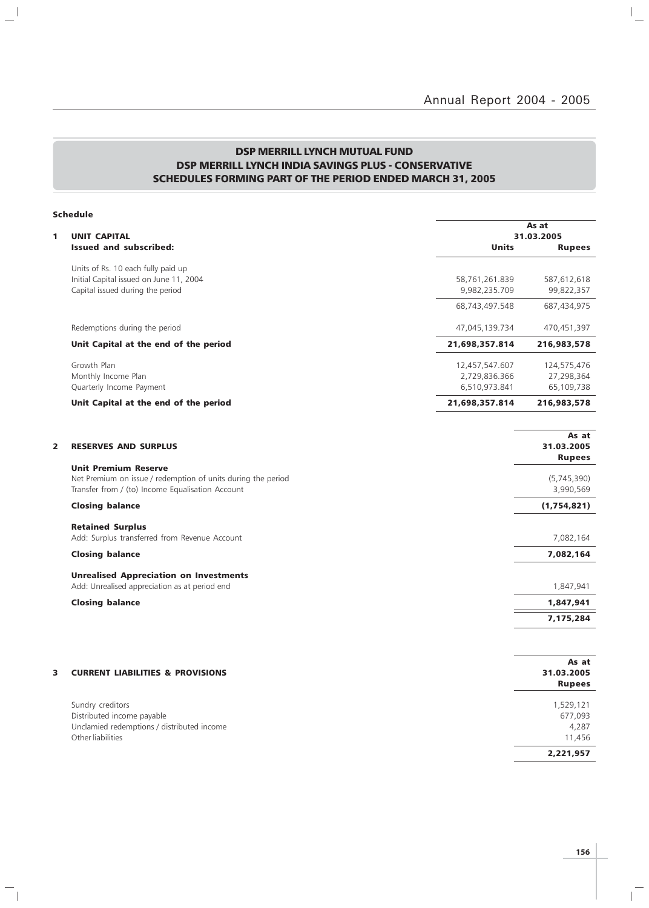# DSP MERRILL LYNCH MUTUAL FUND DSP MERRILL LYNCH INDIA SAVINGS PLUS - CONSERVATIVE SCHEDULES FORMING PART OF THE PERIOD ENDED MARCH 31, 2005

 $\mathbb{L}^{\parallel}$ 

 $\mathcal{L}_{\parallel}$ 

|                         | <b>Schedule</b>                                                                                                                                 |                                                  |                                         |  |
|-------------------------|-------------------------------------------------------------------------------------------------------------------------------------------------|--------------------------------------------------|-----------------------------------------|--|
| 1                       | <b>UNIT CAPITAL</b>                                                                                                                             | As at<br>31.03.2005                              |                                         |  |
|                         | <b>Issued and subscribed:</b>                                                                                                                   | <b>Units</b>                                     | <b>Rupees</b>                           |  |
|                         | Units of Rs. 10 each fully paid up                                                                                                              |                                                  |                                         |  |
|                         | Initial Capital issued on June 11, 2004<br>Capital issued during the period                                                                     | 58,761,261.839<br>9,982,235.709                  | 587,612,618<br>99,822,357               |  |
|                         |                                                                                                                                                 | 68,743,497.548                                   | 687,434,975                             |  |
|                         | Redemptions during the period                                                                                                                   | 47,045,139.734                                   | 470,451,397                             |  |
|                         | Unit Capital at the end of the period                                                                                                           | 21,698,357.814                                   | 216,983,578                             |  |
|                         | Growth Plan<br>Monthly Income Plan<br>Quarterly Income Payment                                                                                  | 12,457,547.607<br>2,729,836.366<br>6,510,973.841 | 124,575,476<br>27,298,364<br>65,109,738 |  |
|                         | Unit Capital at the end of the period                                                                                                           | 21,698,357.814                                   | 216,983,578                             |  |
|                         |                                                                                                                                                 |                                                  | As at                                   |  |
| $\overline{\mathbf{2}}$ | <b>RESERVES AND SURPLUS</b>                                                                                                                     |                                                  | 31.03.2005<br><b>Rupees</b>             |  |
|                         | <b>Unit Premium Reserve</b><br>Net Premium on issue / redemption of units during the period<br>Transfer from / (to) Income Equalisation Account |                                                  | (5,745,390)<br>3,990,569                |  |
|                         | <b>Closing balance</b>                                                                                                                          |                                                  | (1,754,821)                             |  |
|                         | <b>Retained Surplus</b><br>Add: Surplus transferred from Revenue Account                                                                        |                                                  | 7,082,164                               |  |
|                         | <b>Closing balance</b>                                                                                                                          |                                                  | 7,082,164                               |  |
|                         | <b>Unrealised Appreciation on Investments</b><br>Add: Unrealised appreciation as at period end                                                  |                                                  | 1,847,941                               |  |
|                         | <b>Closing balance</b>                                                                                                                          |                                                  | 1,847,941                               |  |
|                         |                                                                                                                                                 |                                                  | 7,175,284                               |  |
|                         |                                                                                                                                                 |                                                  |                                         |  |
| 3                       | <b>CURRENT LIABILITIES &amp; PROVISIONS</b>                                                                                                     |                                                  | As at<br>31.03.2005<br><b>Rupees</b>    |  |
|                         | Sundry creditors<br>Distributed income payable<br>Unclamied redemptions / distributed income<br>Other liabilities                               |                                                  | 1,529,121<br>677,093<br>4,287<br>11,456 |  |
|                         |                                                                                                                                                 |                                                  | 2,221,957                               |  |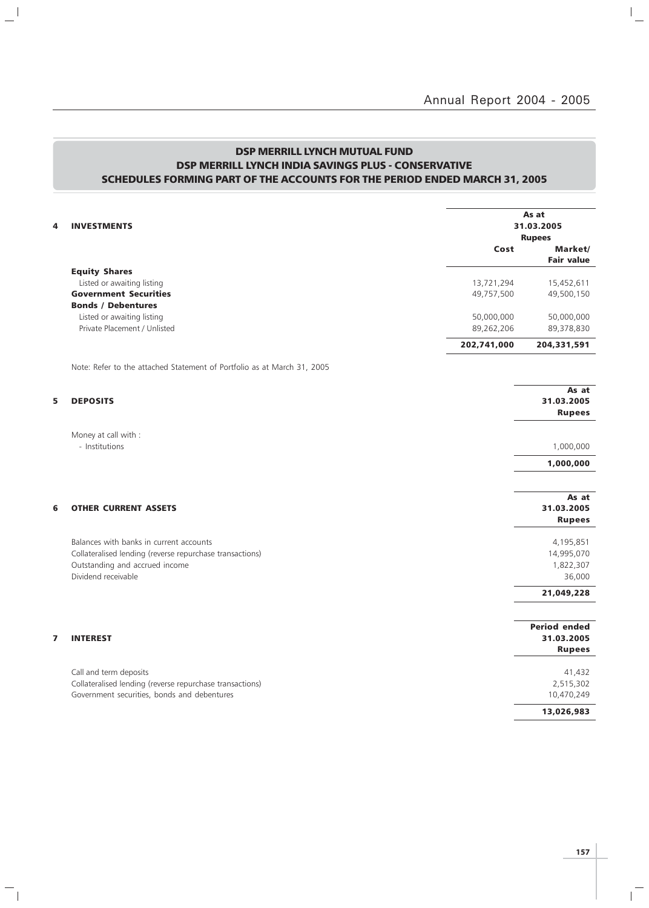# DSP MERRILL LYNCH MUTUAL FUND DSP MERRILL LYNCH INDIA SAVINGS PLUS - CONSERVATIVE SCHEDULES FORMING PART OF THE ACCOUNTS FOR THE PERIOD ENDED MARCH 31, 2005

 $\mathbb{L}^{\parallel}$ 

 $\overline{\phantom{a}}_1$ 

| 4 | <b>INVESTMENTS</b>                                                      | As at<br>31.03.2005<br><b>Rupees</b> |                                   |
|---|-------------------------------------------------------------------------|--------------------------------------|-----------------------------------|
|   |                                                                         | Cost                                 | Market/                           |
|   |                                                                         |                                      | <b>Fair value</b>                 |
|   | <b>Equity Shares</b>                                                    |                                      |                                   |
|   | Listed or awaiting listing<br><b>Government Securities</b>              | 13,721,294<br>49,757,500             | 15,452,611                        |
|   | <b>Bonds / Debentures</b>                                               |                                      | 49,500,150                        |
|   | Listed or awaiting listing                                              | 50,000,000                           | 50,000,000                        |
|   | Private Placement / Unlisted                                            | 89,262,206                           | 89,378,830                        |
|   |                                                                         | 202,741,000                          | 204,331,591                       |
|   | Note: Refer to the attached Statement of Portfolio as at March 31, 2005 |                                      |                                   |
| 5 | <b>DEPOSITS</b>                                                         |                                      | As at<br>31.03.2005               |
|   |                                                                         |                                      | <b>Rupees</b>                     |
|   | Money at call with :                                                    |                                      |                                   |
|   | - Institutions                                                          |                                      | 1,000,000                         |
|   |                                                                         |                                      | 1,000,000                         |
|   |                                                                         |                                      |                                   |
|   |                                                                         |                                      | As at                             |
| 6 | <b>OTHER CURRENT ASSETS</b>                                             |                                      | 31.03.2005<br><b>Rupees</b>       |
|   | Balances with banks in current accounts                                 |                                      | 4,195,851                         |
|   | Collateralised lending (reverse repurchase transactions)                |                                      | 14,995,070                        |
|   | Outstanding and accrued income                                          |                                      | 1,822,307                         |
|   | Dividend receivable                                                     |                                      | 36,000                            |
|   |                                                                         |                                      | 21,049,228                        |
|   |                                                                         |                                      |                                   |
| 7 | <b>INTEREST</b>                                                         |                                      | <b>Period ended</b><br>31.03.2005 |
|   |                                                                         |                                      | <b>Rupees</b>                     |
|   | Call and term deposits                                                  |                                      | 41,432                            |
|   | Collateralised lending (reverse repurchase transactions)                |                                      | 2,515,302                         |
|   | Government securities, bonds and debentures                             |                                      | 10,470,249                        |
|   |                                                                         |                                      | 13,026,983                        |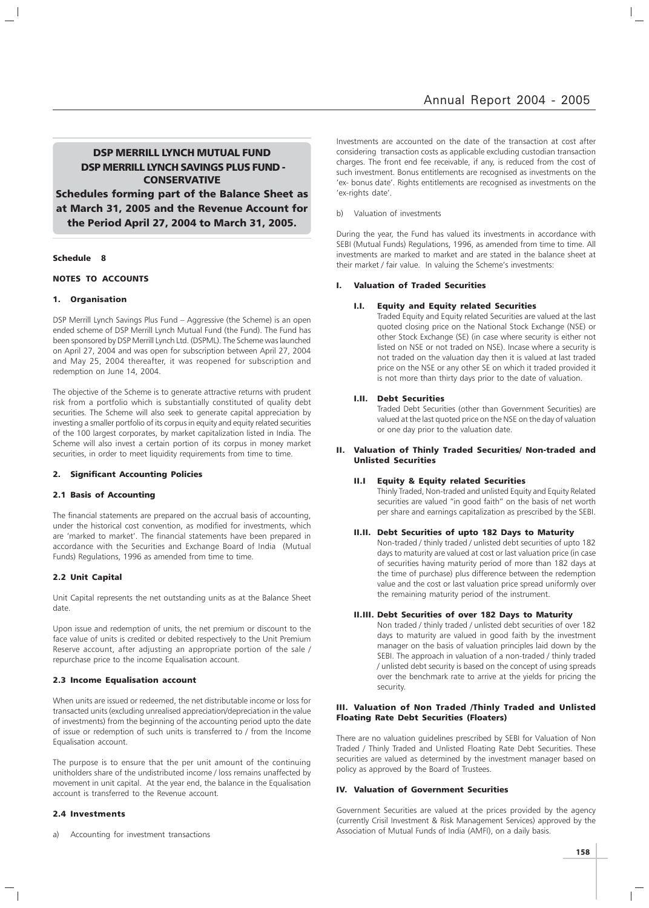### DSP MERRILL LYNCH MUTUAL FUND DSP MERRILL LYNCH SAVINGS PLUS FUND - **CONSERVATIVE**

Schedules forming part of the Balance Sheet as at March 31, 2005 and the Revenue Account for the Period April 27, 2004 to March 31, 2005.

### Schedule 8

### NOTES TO ACCOUNTS

### 1. Organisation

DSP Merrill Lynch Savings Plus Fund – Aggressive (the Scheme) is an open ended scheme of DSP Merrill Lynch Mutual Fund (the Fund). The Fund has been sponsored by DSP Merrill Lynch Ltd. (DSPML). The Scheme was launched on April 27, 2004 and was open for subscription between April 27, 2004 and May 25, 2004 thereafter, it was reopened for subscription and redemption on June 14, 2004.

The objective of the Scheme is to generate attractive returns with prudent risk from a portfolio which is substantially constituted of quality debt securities. The Scheme will also seek to generate capital appreciation by investing a smaller portfolio of its corpus in equity and equity related securities of the 100 largest corporates, by market capitalization listed in India. The Scheme will also invest a certain portion of its corpus in money market securities, in order to meet liquidity requirements from time to time.

### 2. Significant Accounting Policies

### 2.1 Basis of Accounting

The financial statements are prepared on the accrual basis of accounting, under the historical cost convention, as modified for investments, which are 'marked to market'. The financial statements have been prepared in accordance with the Securities and Exchange Board of India (Mutual Funds) Regulations, 1996 as amended from time to time.

### 2.2 Unit Capital

Unit Capital represents the net outstanding units as at the Balance Sheet date.

Upon issue and redemption of units, the net premium or discount to the face value of units is credited or debited respectively to the Unit Premium Reserve account, after adjusting an appropriate portion of the sale / repurchase price to the income Equalisation account.

### 2.3 Income Equalisation account

When units are issued or redeemed, the net distributable income or loss for transacted units (excluding unrealised appreciation/depreciation in the value of investments) from the beginning of the accounting period upto the date of issue or redemption of such units is transferred to / from the Income Equalisation account.

The purpose is to ensure that the per unit amount of the continuing unitholders share of the undistributed income / loss remains unaffected by movement in unit capital. At the year end, the balance in the Equalisation account is transferred to the Revenue account.

### 2.4 Investments

Accounting for investment transactions

Investments are accounted on the date of the transaction at cost after considering transaction costs as applicable excluding custodian transaction charges. The front end fee receivable, if any, is reduced from the cost of such investment. Bonus entitlements are recognised as investments on the 'ex- bonus date'. Rights entitlements are recognised as investments on the 'ex-rights date'.

### b) Valuation of investments

During the year, the Fund has valued its investments in accordance with SEBI (Mutual Funds) Regulations, 1996, as amended from time to time. All investments are marked to market and are stated in the balance sheet at their market / fair value. In valuing the Scheme's investments:

### **Valuation of Traded Securities**

### **Equity and Equity related Securities**

Traded Equity and Equity related Securities are valued at the last quoted closing price on the National Stock Exchange (NSE) or other Stock Exchange (SE) (in case where security is either not listed on NSE or not traded on NSE). Incase where a security is not traded on the valuation day then it is valued at last traded price on the NSE or any other SE on which it traded provided it is not more than thirty days prior to the date of valuation.

### I.II. Debt Securities

Traded Debt Securities (other than Government Securities) are valued at the last quoted price on the NSE on the day of valuation or one day prior to the valuation date.

### II. Valuation of Thinly Traded Securities/ Non-traded and Unlisted Securities

### II.I Equity & Equity related Securities

Thinly Traded, Non-traded and unlisted Equity and Equity Related securities are valued "in good faith" on the basis of net worth per share and earnings capitalization as prescribed by the SEBI.

### II.II. Debt Securities of upto 182 Days to Maturity

Non-traded / thinly traded / unlisted debt securities of upto 182 days to maturity are valued at cost or last valuation price (in case of securities having maturity period of more than 182 days at the time of purchase) plus difference between the redemption value and the cost or last valuation price spread uniformly over the remaining maturity period of the instrument.

### II.III. Debt Securities of over 182 Days to Maturity

Non traded / thinly traded / unlisted debt securities of over 182 days to maturity are valued in good faith by the investment manager on the basis of valuation principles laid down by the SEBI. The approach in valuation of a non-traded / thinly traded / unlisted debt security is based on the concept of using spreads over the benchmark rate to arrive at the yields for pricing the security.

### III. Valuation of Non Traded /Thinly Traded and Unlisted Floating Rate Debt Securities (Floaters)

There are no valuation guidelines prescribed by SEBI for Valuation of Non Traded / Thinly Traded and Unlisted Floating Rate Debt Securities. These securities are valued as determined by the investment manager based on policy as approved by the Board of Trustees.

### IV. Valuation of Government Securities

Government Securities are valued at the prices provided by the agency (currently Crisil Investment & Risk Management Services) approved by the Association of Mutual Funds of India (AMFI), on a daily basis.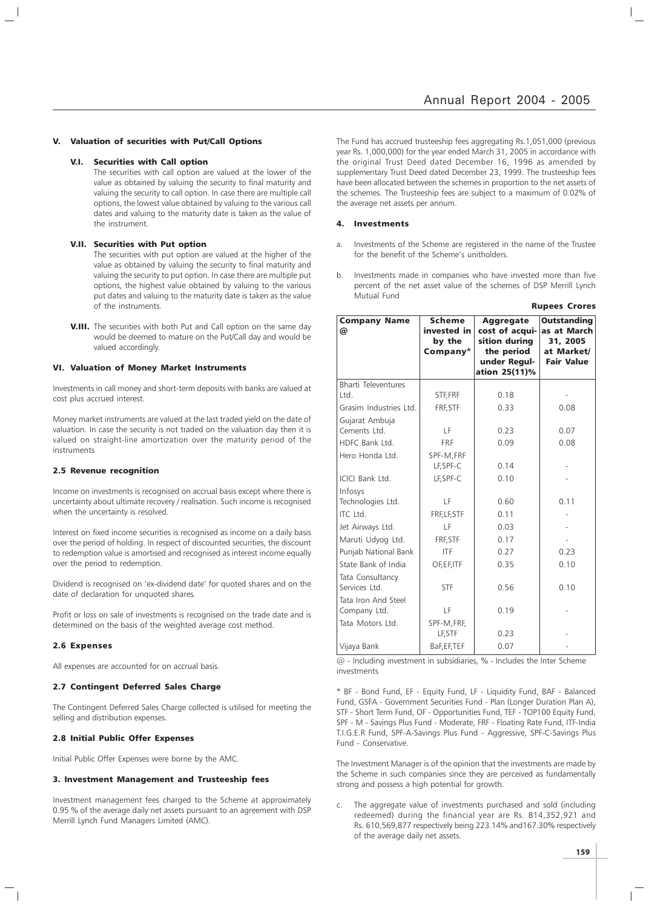Rupees Crores

#### V. Valuation of securities with Put/Call Options

### V.I. Securities with Call option

The securities with call option are valued at the lower of the value as obtained by valuing the security to final maturity and valuing the security to call option. In case there are multiple call options, the lowest value obtained by valuing to the various call dates and valuing to the maturity date is taken as the value of the instrument.

#### V.II. Securities with Put option

The securities with put option are valued at the higher of the value as obtained by valuing the security to final maturity and valuing the security to put option. In case there are multiple put options, the highest value obtained by valuing to the various put dates and valuing to the maturity date is taken as the value of the instruments.

**V.III.** The securities with both Put and Call option on the same day would be deemed to mature on the Put/Call day and would be valued accordingly.

#### VI. Valuation of Money Market Instruments

Investments in call money and short-term deposits with banks are valued at cost plus accrued interest.

Money market instruments are valued at the last traded yield on the date of valuation. In case the security is not traded on the valuation day then it is valued on straight-line amortization over the maturity period of the instruments

### 2.5 Revenue recognition

Income on investments is recognised on accrual basis except where there is uncertainty about ultimate recovery / realisation. Such income is recognised when the uncertainty is resolved.

Interest on fixed income securities is recognised as income on a daily basis over the period of holding. In respect of discounted securities, the discount to redemption value is amortised and recognised as interest income equally over the period to redemption.

Dividend is recognised on 'ex-dividend date' for quoted shares and on the date of declaration for unquoted shares.

Profit or loss on sale of investments is recognised on the trade date and is determined on the basis of the weighted average cost method.

#### 2.6 Expenses

All expenses are accounted for on accrual basis.

### 2.7 Contingent Deferred Sales Charge

The Contingent Deferred Sales Charge collected is utilised for meeting the selling and distribution expenses.

### 2.8 Initial Public Offer Expenses

Initial Public Offer Expenses were borne by the AMC.

### 3. Investment Management and Trusteeship fees

Investment management fees charged to the Scheme at approximately 0.95 % of the average daily net assets pursuant to an agreement with DSP Merrill Lynch Fund Managers Limited (AMC).

The Fund has accrued trusteeship fees aggregating Rs.1,051,000 (previous year Rs. 1,000,000) for the year ended March 31, 2005 in accordance with the original Trust Deed dated December 16, 1996 as amended by supplementary Trust Deed dated December 23, 1999. The trusteeship fees have been allocated between the schemes in proportion to the net assets of the schemes. The Trusteeship fees are subject to a maximum of 0.02% of the average net assets per annum.

### 4. Investments

- a. Investments of the Scheme are registered in the name of the Trustee for the benefit of the Scheme's unitholders.
- b. Investments made in companies who have invested more than five percent of the net asset value of the schemes of DSP Merrill Lynch Mutual Fund

| <b>Company Name</b><br>@            | <b>Scheme</b><br>invested in<br>by the<br>Company* | Aggregate<br>cost of acqui-<br>sition during<br>the period<br>under Regul-<br>ation 25(11)% | <b>Outstanding</b><br>as at March<br>31, 2005<br>at Market/<br><b>Fair Value</b> |
|-------------------------------------|----------------------------------------------------|---------------------------------------------------------------------------------------------|----------------------------------------------------------------------------------|
| Bharti Televentures                 |                                                    |                                                                                             |                                                                                  |
| Ltd.                                | STF, FRF                                           | 0.18                                                                                        |                                                                                  |
| Grasim Industries Ltd.              | FRF, STF                                           | 0.33                                                                                        | 0.08                                                                             |
| Gujarat Ambuja<br>Cements Ltd.      | LF                                                 | 0.23                                                                                        | 0.07                                                                             |
| HDFC Bank Ltd.                      | <b>FRF</b>                                         | 0.09                                                                                        | 0.08                                                                             |
| Hero Honda Ltd.                     | SPF-M.FRF<br>LF, SPF-C                             | 0.14                                                                                        |                                                                                  |
| ICICI Bank Ltd.                     | LF, SPF-C                                          | 0.10                                                                                        |                                                                                  |
| Infosys                             |                                                    |                                                                                             |                                                                                  |
| Technologies Ltd.                   | LF                                                 | 0.60                                                                                        | 0.11                                                                             |
| ITC Ltd.                            | FRF, LF, STF                                       | 0.11                                                                                        |                                                                                  |
| Jet Airways Ltd.                    | LF                                                 | 0.03                                                                                        |                                                                                  |
| Maruti Udyog Ltd.                   | FRF, STF                                           | 0.17                                                                                        |                                                                                  |
| Punjab National Bank                | <b>ITF</b>                                         | 0.27                                                                                        | 0.23                                                                             |
| State Bank of India                 | OF, EF, ITF                                        | 0.35                                                                                        | 0.10                                                                             |
| Tata Consultancy<br>Services Ltd.   | <b>STF</b>                                         | 0.56                                                                                        | 0.10                                                                             |
| Tata Iron And Steel<br>Company Ltd. | LF                                                 | 0.19                                                                                        |                                                                                  |
| Tata Motors Ltd.                    | SPF-M, FRF,<br>LF, STF                             | 0.23                                                                                        |                                                                                  |
| Vijaya Bank                         | BaF, EF, TEF                                       | 0.07                                                                                        |                                                                                  |

 $\overline{\omega}$  - Including investment in subsidiaries, % - Includes the Inter Scheme investments

\* BF - Bond Fund, EF - Equity Fund, LF - Liquidity Fund, BAF - Balanced Fund, GSFA - Government Securities Fund - Plan (Longer Duration Plan A), STF - Short Term Fund, OF - Opportunities Fund, TEF - TOP100 Equity Fund, SPF - M - Savings Plus Fund - Moderate, FRF - Floating Rate Fund, ITF-India T.I.G.E.R Fund, SPF-A-Savings Plus Fund - Aggressive, SPF-C-Savings Plus Fund - Conservative.

The Investment Manager is of the opinion that the investments are made by the Scheme in such companies since they are perceived as fundamentally strong and possess a high potential for growth.

c. The aggregate value of investments purchased and sold (including redeemed) during the financial year are Rs. 814,352,921 and Rs. 610,569,877 respectively being 223.14% and167.30% respectively of the average daily net assets.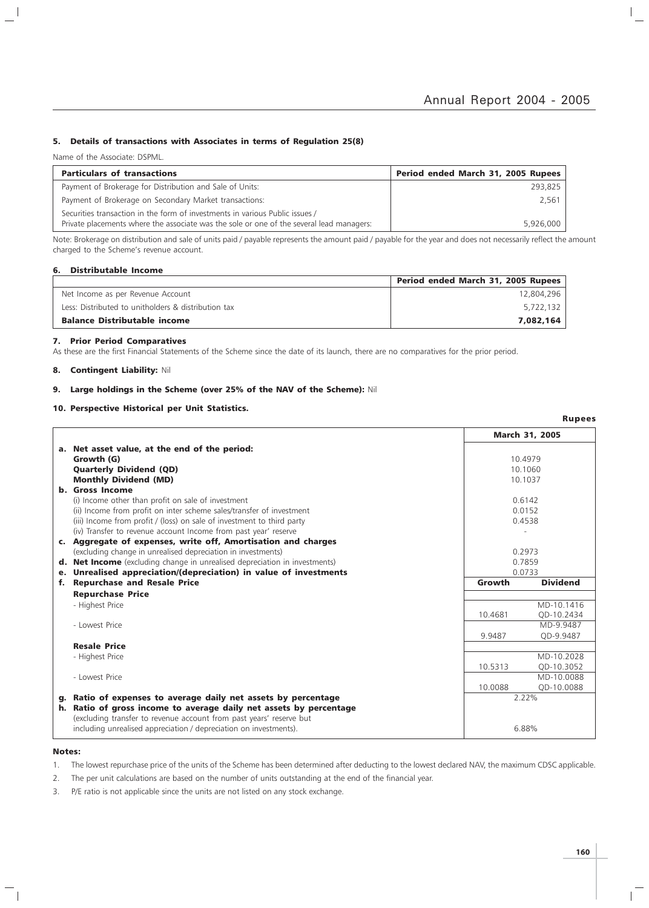### 5. Details of transactions with Associates in terms of Regulation 25(8)

Name of the Associate: DSPML.

 $\overline{\phantom{a}}$ 

| <b>Particulars of transactions</b>                                                                                                                                       | Period ended March 31, 2005 Rupees |
|--------------------------------------------------------------------------------------------------------------------------------------------------------------------------|------------------------------------|
| Payment of Brokerage for Distribution and Sale of Units:                                                                                                                 | 293.825                            |
| Payment of Brokerage on Secondary Market transactions:                                                                                                                   | 2.561                              |
| Securities transaction in the form of investments in various Public issues /<br>Private placements where the associate was the sole or one of the several lead managers: | 5,926,000                          |

Note: Brokerage on distribution and sale of units paid / payable represents the amount paid / payable for the year and does not necessarily reflect the amount charged to the Scheme's revenue account.

### 6. Distributable Income

|                                                     | Period ended March 31, 2005 Rupees |
|-----------------------------------------------------|------------------------------------|
| Net Income as per Revenue Account                   | 12,804,296                         |
| Less: Distributed to unitholders & distribution tax | 5,722,132                          |
| <b>Balance Distributable income</b>                 | 7,082,164                          |

### 7. Prior Period Comparatives

As these are the first Financial Statements of the Scheme since the date of its launch, there are no comparatives for the prior period.

### 8. Contingent Liability: Nil

### 9. Large holdings in the Scheme (over 25% of the NAV of the Scheme): Nil

### 10. Perspective Historical per Unit Statistics.

March 31, 2005 a. Net asset value, at the end of the period: **Growth (G)** 10.4979 **Quarterly Dividend (QD)** 10.1060 **Monthly Dividend (MD)** 10.1037 b. Gross Income (i) Income other than profit on sale of investment 0.6142 (ii) Income from profit on inter scheme sales/transfer of investment 0.0152 (iii) Income from profit / (loss) on sale of investment to third party 0.4538 (iv) Transfer to revenue account Income from past year' reserve c. Aggregate of expenses, write off, Amortisation and charges (excluding change in unrealised depreciation in investments) 0.2973 d. Net Income (excluding change in unrealised depreciation in investments) 0.7859<br> **e. Unrealised appreciation/(depreciation) in value of investments** 6.0733 e. Unrealised appreciation/(depreciation) in value of investments 0.0733 f. Repurchase and Resale Price **Growth** Dividend Repurchase Price - Highest Price MD-10.1416 MD-10.1416 MD-10.1416 MD-10.1416 MD-10.1416 MD-10.1416 10.4681 QD-10.2434 - Lowest Price MD-9.9487 9.9487 QD-9.9487 Resale Price - Highest Price MD-10.2028 ND-10.2028 (Number of the MD-10.2028 ND-10.2028 ND-10.2028 ND-10.2028 ND-10.5313 QD-10.3052 - Lowest Price MD-10.0088 ND-10.0088 ND-10.0088 ND-10.0088 ND-10.0088 ND-10.0088 ND-10.0088 ND-10.0088 ND-10.0088 10.0088 QD-10.0088 g. Ratio of expenses to average daily net assets by percentage  $2.22\%$ h. Ratio of gross income to average daily net assets by percentage (excluding transfer to revenue account from past years' reserve but including unrealised appreciation / depreciation on investments). 6.88%

### Notes:

1. The lowest repurchase price of the units of the Scheme has been determined after deducting to the lowest declared NAV, the maximum CDSC applicable.

- 2. The per unit calculations are based on the number of units outstanding at the end of the financial year.
- 3. P/E ratio is not applicable since the units are not listed on any stock exchange.

Rupees

 $\mathbb{L}$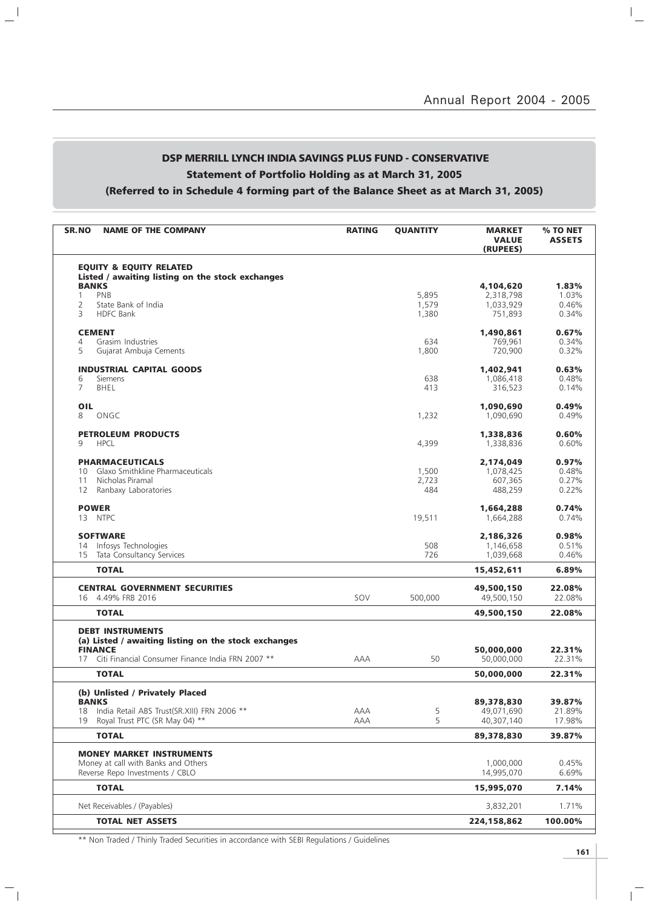# DSP MERRILL LYNCH INDIA SAVINGS PLUS FUND - CONSERVATIVE Statement of Portfolio Holding as at March 31, 2005 (Referred to in Schedule 4 forming part of the Balance Sheet as at March 31, 2005)

 $\mathbf{a}^{\dagger}$ 

 $\overline{\phantom{a}}_1$ 

| SR.NO<br><b>NAME OF THE COMPANY</b>                                                       | <b>RATING</b> | <b>QUANTITY</b> | <b>MARKET</b><br><b>VALUE</b><br>(RUPEES) | % TO NET<br><b>ASSETS</b> |
|-------------------------------------------------------------------------------------------|---------------|-----------------|-------------------------------------------|---------------------------|
| <b>EQUITY &amp; EQUITY RELATED</b>                                                        |               |                 |                                           |                           |
| Listed / awaiting listing on the stock exchanges                                          |               |                 |                                           |                           |
| <b>BANKS</b>                                                                              |               |                 | 4,104,620                                 | 1.83%                     |
| PNB<br>1<br>$\overline{2}$<br>State Bank of India                                         |               | 5,895<br>1,579  | 2,318,798<br>1,033,929                    | 1.03%<br>0.46%            |
| 3<br><b>HDFC Bank</b>                                                                     |               | 1,380           | 751,893                                   | 0.34%                     |
|                                                                                           |               |                 |                                           |                           |
| <b>CEMENT</b>                                                                             |               |                 | 1,490,861                                 | 0.67%                     |
| Grasim Industries<br>4                                                                    |               | 634             | 769,961                                   | 0.34%                     |
| 5<br>Gujarat Ambuja Cements                                                               |               | 1,800           | 720,900                                   | 0.32%                     |
| <b>INDUSTRIAL CAPITAL GOODS</b>                                                           |               |                 | 1,402,941                                 | 0.63%                     |
| Siemens<br>6                                                                              |               | 638             | 1,086,418                                 | 0.48%                     |
| 7<br><b>BHEL</b>                                                                          |               | 413             | 316,523                                   | 0.14%                     |
|                                                                                           |               |                 |                                           |                           |
| OIL<br>8<br>ONGC                                                                          |               | 1,232           | 1,090,690<br>1,090,690                    | 0.49%<br>0.49%            |
|                                                                                           |               |                 |                                           |                           |
| <b>PETROLEUM PRODUCTS</b>                                                                 |               |                 | 1,338,836                                 | 0.60%                     |
| 9<br><b>HPCL</b>                                                                          |               | 4,399           | 1,338,836                                 | 0.60%                     |
| <b>PHARMACEUTICALS</b>                                                                    |               |                 | 2,174,049                                 | 0.97%                     |
| Glaxo Smithkline Pharmaceuticals<br>10                                                    |               | 1,500           | 1,078,425                                 | 0.48%                     |
| Nicholas Piramal<br>11                                                                    |               | 2,723           | 607,365                                   | 0.27%                     |
| Ranbaxy Laboratories<br>12                                                                |               | 484             | 488.259                                   | 0.22%                     |
|                                                                                           |               |                 |                                           |                           |
| <b>POWER</b>                                                                              |               |                 | 1,664,288                                 | 0.74%                     |
| 13 NTPC                                                                                   |               | 19,511          | 1,664,288                                 | 0.74%                     |
| <b>SOFTWARE</b>                                                                           |               |                 | 2,186,326                                 | 0.98%                     |
| Infosys Technologies<br>14                                                                |               | 508             | 1,146,658                                 | 0.51%                     |
| Tata Consultancy Services<br>15                                                           |               | 726             | 1,039,668                                 | 0.46%                     |
| <b>TOTAL</b>                                                                              |               |                 | 15,452,611                                | 6.89%                     |
| <b>CENTRAL GOVERNMENT SECURITIES</b>                                                      |               |                 | 49,500,150                                | 22.08%                    |
| 4.49% FRB 2016<br>16                                                                      | SOV           | 500,000         | 49,500,150                                | 22.08%                    |
| <b>TOTAL</b>                                                                              |               |                 | 49,500,150                                | 22.08%                    |
|                                                                                           |               |                 |                                           |                           |
| <b>DEBT INSTRUMENTS</b><br>(a) Listed / awaiting listing on the stock exchanges           |               |                 |                                           |                           |
| <b>FINANCE</b>                                                                            |               |                 | 50,000,000                                | 22.31%                    |
| Citi Financial Consumer Finance India FRN 2007 **<br>17                                   | AAA           | 50              | 50,000,000                                | 22.31%                    |
| <b>TOTAL</b>                                                                              |               |                 | 50,000,000                                | 22.31%                    |
|                                                                                           |               |                 |                                           |                           |
| (b) Unlisted / Privately Placed                                                           |               |                 |                                           |                           |
| <b>BANKS</b>                                                                              |               |                 | 89,378,830                                | 39.87%<br>21.89%          |
| India Retail ABS Trust(SR.XIII) FRN 2006 **<br>18<br>Royal Trust PTC (SR May 04) **<br>19 | AAA<br>AAA    | 5<br>5          | 49,071,690<br>40,307,140                  | 17.98%                    |
|                                                                                           |               |                 |                                           |                           |
| <b>TOTAL</b>                                                                              |               |                 | 89,378,830                                | 39.87%                    |
| <b>MONEY MARKET INSTRUMENTS</b>                                                           |               |                 |                                           |                           |
| Money at call with Banks and Others                                                       |               |                 | 1,000,000                                 | 0.45%                     |
| Reverse Repo Investments / CBLO                                                           |               |                 | 14,995,070                                | 6.69%                     |
| <b>TOTAL</b>                                                                              |               |                 | 15,995,070                                | 7.14%                     |
| Net Receivables / (Payables)                                                              |               |                 | 3,832,201                                 | 1.71%                     |
| <b>TOTAL NET ASSETS</b>                                                                   |               |                 | 224,158,862                               | 100.00%                   |
|                                                                                           |               |                 |                                           |                           |

\*\* Non Traded / Thinly Traded Securities in accordance with SEBI Regulations / Guidelines

 $\mathbb{R}$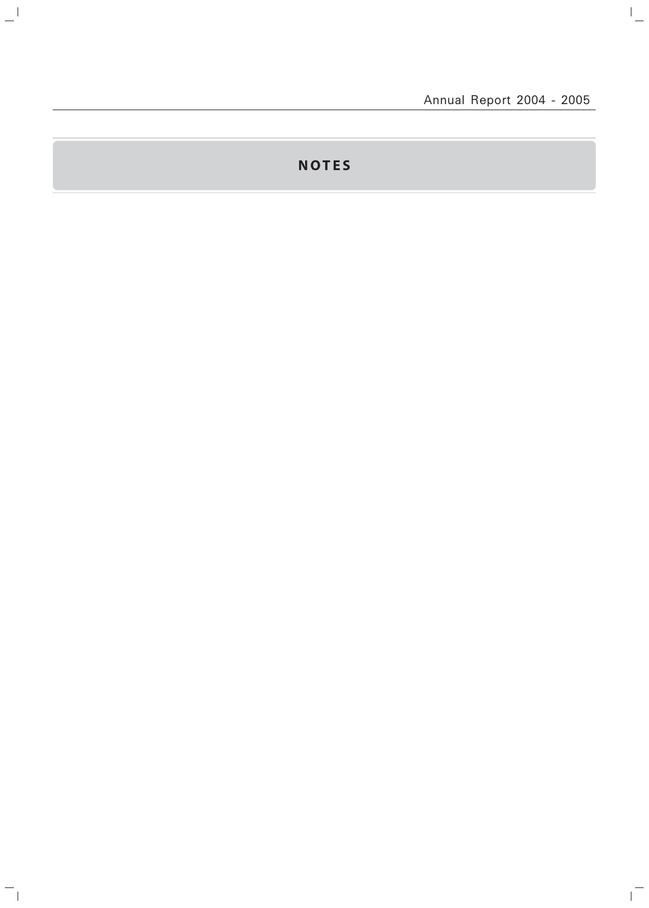$\overline{a}$ 

 $\mathbf{r}^{\top}$ 

# **NOTES**

 $\frac{1}{2}$ 

 $\mathord{\hspace{1pt}\text{--}\hspace{1pt}}_\parallel$